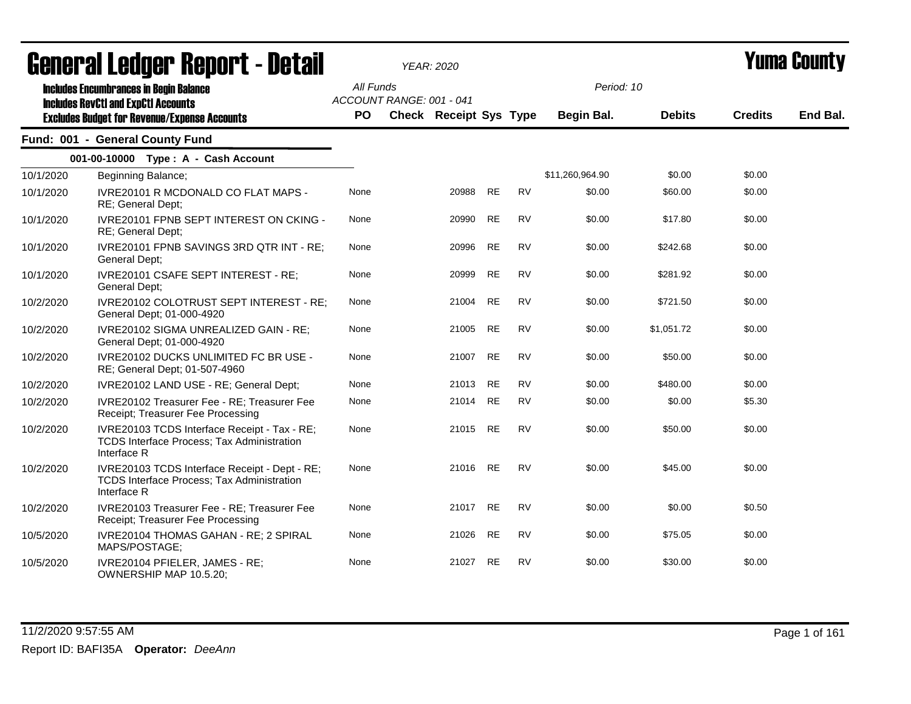|           | General Ledger Report - Detail                                                                                   |                                       | <b>YEAR: 2020</b>      |           |           |                 |               | <b>Yuma County</b> |          |  |
|-----------|------------------------------------------------------------------------------------------------------------------|---------------------------------------|------------------------|-----------|-----------|-----------------|---------------|--------------------|----------|--|
|           | <b>Includes Encumbrances in Begin Balance</b><br><b>Includes RevCtI and ExpCtI Accounts</b>                      | All Funds<br>ACCOUNT RANGE: 001 - 041 |                        |           |           | Period: 10      |               |                    |          |  |
|           | <b>Excludes Budget for Revenue/Expense Accounts</b>                                                              | PO                                    | Check Receipt Sys Type |           |           | Begin Bal.      | <b>Debits</b> | <b>Credits</b>     | End Bal. |  |
|           | Fund: 001 - General County Fund                                                                                  |                                       |                        |           |           |                 |               |                    |          |  |
|           | 001-00-10000 Type: A - Cash Account                                                                              |                                       |                        |           |           |                 |               |                    |          |  |
| 10/1/2020 | Beginning Balance;                                                                                               |                                       |                        |           |           | \$11,260,964.90 | \$0.00        | \$0.00             |          |  |
| 10/1/2020 | IVRE20101 R MCDONALD CO FLAT MAPS -<br>RE; General Dept;                                                         | None                                  | 20988                  | <b>RE</b> | <b>RV</b> | \$0.00          | \$60.00       | \$0.00             |          |  |
| 10/1/2020 | IVRE20101 FPNB SEPT INTEREST ON CKING -<br>RE; General Dept;                                                     | None                                  | 20990                  | <b>RE</b> | <b>RV</b> | \$0.00          | \$17.80       | \$0.00             |          |  |
| 10/1/2020 | IVRE20101 FPNB SAVINGS 3RD QTR INT - RE;<br>General Dept;                                                        | None                                  | 20996                  | <b>RE</b> | <b>RV</b> | \$0.00          | \$242.68      | \$0.00             |          |  |
| 10/1/2020 | IVRE20101 CSAFE SEPT INTEREST - RE;<br>General Dept;                                                             | None                                  | 20999                  | <b>RE</b> | <b>RV</b> | \$0.00          | \$281.92      | \$0.00             |          |  |
| 10/2/2020 | IVRE20102 COLOTRUST SEPT INTEREST - RE;<br>General Dept; 01-000-4920                                             | None                                  | 21004                  | <b>RE</b> | <b>RV</b> | \$0.00          | \$721.50      | \$0.00             |          |  |
| 10/2/2020 | IVRE20102 SIGMA UNREALIZED GAIN - RE;<br>General Dept; 01-000-4920                                               | None                                  | 21005                  | <b>RE</b> | <b>RV</b> | \$0.00          | \$1,051.72    | \$0.00             |          |  |
| 10/2/2020 | IVRE20102 DUCKS UNLIMITED FC BR USE -<br>RE; General Dept; 01-507-4960                                           | None                                  | 21007 RE               |           | <b>RV</b> | \$0.00          | \$50.00       | \$0.00             |          |  |
| 10/2/2020 | IVRE20102 LAND USE - RE; General Dept;                                                                           | None                                  | 21013                  | <b>RE</b> | <b>RV</b> | \$0.00          | \$480.00      | \$0.00             |          |  |
| 10/2/2020 | IVRE20102 Treasurer Fee - RE; Treasurer Fee<br>Receipt; Treasurer Fee Processing                                 | None                                  | 21014                  | <b>RE</b> | <b>RV</b> | \$0.00          | \$0.00        | \$5.30             |          |  |
| 10/2/2020 | IVRE20103 TCDS Interface Receipt - Tax - RE:<br><b>TCDS Interface Process; Tax Administration</b><br>Interface R | None                                  | 21015 RE               |           | <b>RV</b> | \$0.00          | \$50.00       | \$0.00             |          |  |
| 10/2/2020 | IVRE20103 TCDS Interface Receipt - Dept - RE;<br>TCDS Interface Process; Tax Administration<br>Interface R       | None                                  | 21016                  | <b>RE</b> | <b>RV</b> | \$0.00          | \$45.00       | \$0.00             |          |  |
| 10/2/2020 | IVRE20103 Treasurer Fee - RE; Treasurer Fee<br>Receipt; Treasurer Fee Processing                                 | None                                  | 21017 RE               |           | <b>RV</b> | \$0.00          | \$0.00        | \$0.50             |          |  |
| 10/5/2020 | IVRE20104 THOMAS GAHAN - RE; 2 SPIRAL<br>MAPS/POSTAGE;                                                           | None                                  | 21026                  | RE        | <b>RV</b> | \$0.00          | \$75.05       | \$0.00             |          |  |
| 10/5/2020 | IVRE20104 PFIELER, JAMES - RE;<br>OWNERSHIP MAP 10.5.20;                                                         | None                                  | 21027                  | <b>RE</b> | <b>RV</b> | \$0.00          | \$30.00       | \$0.00             |          |  |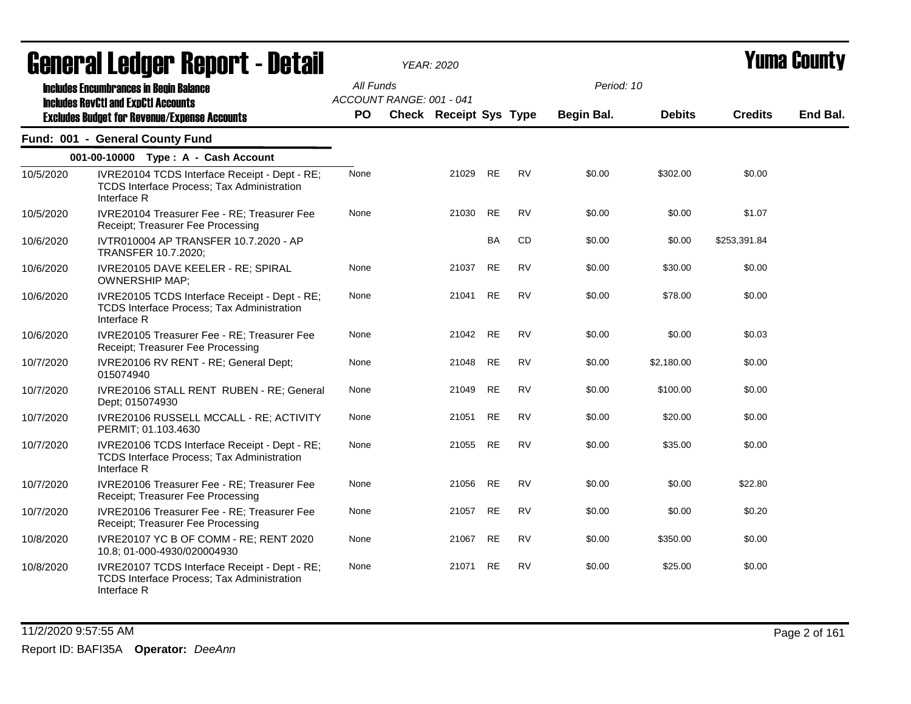|           | ugligi ai Lguygi Highni l - Dglaii                                                                         |                        |                          | I CAR. ZUZU                   |           |           |                          |               |                | I UMU VVUM J |
|-----------|------------------------------------------------------------------------------------------------------------|------------------------|--------------------------|-------------------------------|-----------|-----------|--------------------------|---------------|----------------|--------------|
|           | <b>Includes Encumbrances in Begin Balance</b><br><b>Includes RevCtI and ExpCtI Accounts</b>                | All Funds<br><b>PO</b> | ACCOUNT RANGE: 001 - 041 | <b>Check Receipt Sys Type</b> |           |           | Period: 10<br>Begin Bal. | <b>Debits</b> | <b>Credits</b> | End Bal.     |
|           | <b>Excludes Budget for Revenue/Expense Accounts</b>                                                        |                        |                          |                               |           |           |                          |               |                |              |
|           | Fund: 001 - General County Fund                                                                            |                        |                          |                               |           |           |                          |               |                |              |
|           | 001-00-10000 Type: A - Cash Account                                                                        |                        |                          |                               |           |           |                          |               |                |              |
| 10/5/2020 | IVRE20104 TCDS Interface Receipt - Dept - RE;<br>TCDS Interface Process; Tax Administration<br>Interface R | None                   |                          | 21029                         | <b>RE</b> | <b>RV</b> | \$0.00                   | \$302.00      | \$0.00         |              |
| 10/5/2020 | IVRE20104 Treasurer Fee - RE; Treasurer Fee<br>Receipt; Treasurer Fee Processing                           | None                   |                          | 21030                         | <b>RE</b> | <b>RV</b> | \$0.00                   | \$0.00        | \$1.07         |              |
| 10/6/2020 | IVTR010004 AP TRANSFER 10.7.2020 - AP<br><b>TRANSFER 10.7.2020:</b>                                        |                        |                          |                               | <b>BA</b> | CD        | \$0.00                   | \$0.00        | \$253,391.84   |              |
| 10/6/2020 | IVRE20105 DAVE KEELER - RE; SPIRAL<br><b>OWNERSHIP MAP;</b>                                                | None                   |                          | 21037                         | <b>RE</b> | <b>RV</b> | \$0.00                   | \$30.00       | \$0.00         |              |
| 10/6/2020 | IVRE20105 TCDS Interface Receipt - Dept - RE;<br>TCDS Interface Process; Tax Administration<br>Interface R | None                   |                          | 21041                         | <b>RE</b> | <b>RV</b> | \$0.00                   | \$78.00       | \$0.00         |              |
| 10/6/2020 | IVRE20105 Treasurer Fee - RE; Treasurer Fee<br>Receipt; Treasurer Fee Processing                           | None                   |                          | 21042                         | <b>RE</b> | <b>RV</b> | \$0.00                   | \$0.00        | \$0.03         |              |
| 10/7/2020 | IVRE20106 RV RENT - RE; General Dept;<br>015074940                                                         | None                   |                          | 21048                         | <b>RE</b> | <b>RV</b> | \$0.00                   | \$2,180.00    | \$0.00         |              |
| 10/7/2020 | IVRE20106 STALL RENT RUBEN - RE; General<br>Dept; 015074930                                                | None                   |                          | 21049                         | RE        | <b>RV</b> | \$0.00                   | \$100.00      | \$0.00         |              |
| 10/7/2020 | IVRE20106 RUSSELL MCCALL - RE; ACTIVITY<br>PERMIT; 01.103.4630                                             | None                   |                          | 21051                         | <b>RE</b> | <b>RV</b> | \$0.00                   | \$20.00       | \$0.00         |              |
| 10/7/2020 | IVRE20106 TCDS Interface Receipt - Dept - RE;<br>TCDS Interface Process; Tax Administration<br>Interface R | None                   |                          | 21055                         | RE        | <b>RV</b> | \$0.00                   | \$35.00       | \$0.00         |              |
| 10/7/2020 | IVRE20106 Treasurer Fee - RE; Treasurer Fee<br>Receipt; Treasurer Fee Processing                           | None                   |                          | 21056 RE                      |           | <b>RV</b> | \$0.00                   | \$0.00        | \$22.80        |              |
| 10/7/2020 | IVRE20106 Treasurer Fee - RE; Treasurer Fee<br>Receipt; Treasurer Fee Processing                           | None                   |                          | 21057                         | <b>RE</b> | <b>RV</b> | \$0.00                   | \$0.00        | \$0.20         |              |
| 10/8/2020 | IVRE20107 YC B OF COMM - RE; RENT 2020<br>10.8; 01-000-4930/020004930                                      | None                   |                          | 21067                         | <b>RE</b> | <b>RV</b> | \$0.00                   | \$350.00      | \$0.00         |              |
| 10/8/2020 | IVRE20107 TCDS Interface Receipt - Dept - RE;<br>TCDS Interface Process; Tax Administration<br>Interface R | None                   |                          | 21071                         | <b>RE</b> | <b>RV</b> | \$0.00                   | \$25.00       | \$0.00         |              |

11/2/2020 9:57:55 AM Page 2 of 161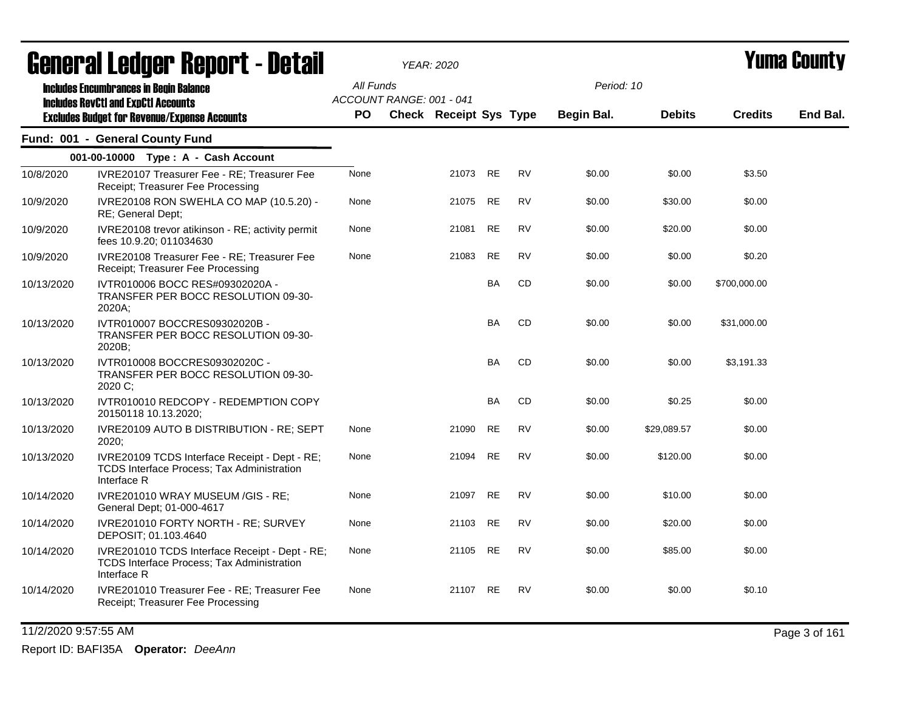|            | ugligi ai Lguygi ngpulil - Dglaii                                                                           |           |                          | YEAR: 2020             |           |           |                   |               |                | ı unu vvunty |
|------------|-------------------------------------------------------------------------------------------------------------|-----------|--------------------------|------------------------|-----------|-----------|-------------------|---------------|----------------|--------------|
|            | <b>Includes Encumbrances in Begin Balance</b><br><b>Includes RevCtI and ExpCtI Accounts</b>                 | All Funds | ACCOUNT RANGE: 001 - 041 |                        |           |           | Period: 10        |               |                |              |
|            | <b>Excludes Budget for Revenue/Expense Accounts</b>                                                         | PO.       |                          | Check Receipt Sys Type |           |           | <b>Begin Bal.</b> | <b>Debits</b> | <b>Credits</b> | End Bal.     |
|            | Fund: 001 - General County Fund                                                                             |           |                          |                        |           |           |                   |               |                |              |
|            | 001-00-10000 Type: A - Cash Account                                                                         |           |                          |                        |           |           |                   |               |                |              |
| 10/8/2020  | IVRE20107 Treasurer Fee - RE; Treasurer Fee<br>Receipt; Treasurer Fee Processing                            | None      |                          | 21073                  | <b>RE</b> | <b>RV</b> | \$0.00            | \$0.00        | \$3.50         |              |
| 10/9/2020  | IVRE20108 RON SWEHLA CO MAP (10.5.20) -<br>RE; General Dept;                                                | None      |                          | 21075                  | <b>RE</b> | <b>RV</b> | \$0.00            | \$30.00       | \$0.00         |              |
| 10/9/2020  | IVRE20108 trevor atikinson - RE; activity permit<br>fees 10.9.20; 011034630                                 | None      |                          | 21081                  | RE        | <b>RV</b> | \$0.00            | \$20.00       | \$0.00         |              |
| 10/9/2020  | IVRE20108 Treasurer Fee - RE; Treasurer Fee<br>Receipt; Treasurer Fee Processing                            | None      |                          | 21083                  | <b>RE</b> | <b>RV</b> | \$0.00            | \$0.00        | \$0.20         |              |
| 10/13/2020 | IVTR010006 BOCC RES#09302020A -<br>TRANSFER PER BOCC RESOLUTION 09-30-<br>2020A;                            |           |                          |                        | <b>BA</b> | <b>CD</b> | \$0.00            | \$0.00        | \$700,000.00   |              |
| 10/13/2020 | IVTR010007 BOCCRES09302020B -<br>TRANSFER PER BOCC RESOLUTION 09-30-<br>2020B;                              |           |                          |                        | BA        | CD        | \$0.00            | \$0.00        | \$31,000.00    |              |
| 10/13/2020 | IVTR010008 BOCCRES09302020C -<br>TRANSFER PER BOCC RESOLUTION 09-30-<br>2020 C;                             |           |                          |                        | <b>BA</b> | <b>CD</b> | \$0.00            | \$0.00        | \$3,191.33     |              |
| 10/13/2020 | IVTR010010 REDCOPY - REDEMPTION COPY<br>20150118 10.13.2020;                                                |           |                          |                        | <b>BA</b> | CD        | \$0.00            | \$0.25        | \$0.00         |              |
| 10/13/2020 | IVRE20109 AUTO B DISTRIBUTION - RE; SEPT<br>2020;                                                           | None      |                          | 21090                  | <b>RE</b> | <b>RV</b> | \$0.00            | \$29,089.57   | \$0.00         |              |
| 10/13/2020 | IVRE20109 TCDS Interface Receipt - Dept - RE;<br>TCDS Interface Process; Tax Administration<br>Interface R  | None      |                          | 21094                  | <b>RE</b> | <b>RV</b> | \$0.00            | \$120.00      | \$0.00         |              |
| 10/14/2020 | IVRE201010 WRAY MUSEUM /GIS - RE;<br>General Dept; 01-000-4617                                              | None      |                          | 21097                  | RE        | <b>RV</b> | \$0.00            | \$10.00       | \$0.00         |              |
| 10/14/2020 | IVRE201010 FORTY NORTH - RE; SURVEY<br>DEPOSIT; 01.103.4640                                                 | None      |                          | 21103                  | <b>RE</b> | <b>RV</b> | \$0.00            | \$20.00       | \$0.00         |              |
| 10/14/2020 | IVRE201010 TCDS Interface Receipt - Dept - RE;<br>TCDS Interface Process; Tax Administration<br>Interface R | None      |                          | 21105 RE               |           | <b>RV</b> | \$0.00            | \$85.00       | \$0.00         |              |
| 10/14/2020 | IVRE201010 Treasurer Fee - RE; Treasurer Fee<br>Receipt; Treasurer Fee Processing                           | None      |                          | 21107 RE               |           | <b>RV</b> | \$0.00            | \$0.00        | \$0.10         |              |

11/2/2020 9:57:55 AM Page 3 of 161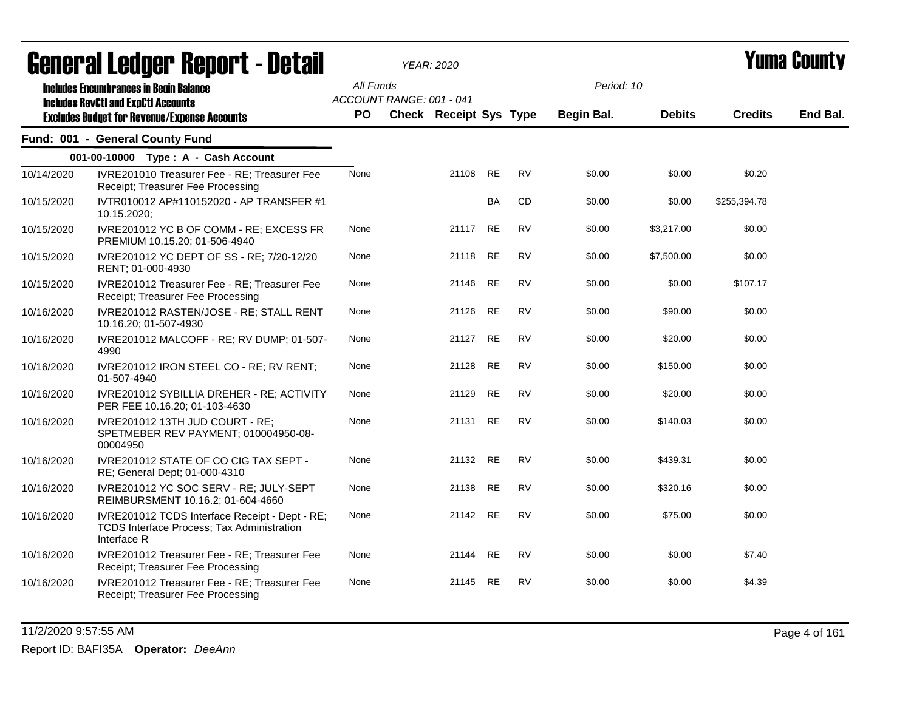|            | agligi qi fanagi. Ughni f - nefqil                                                                          |           |                          | YEAR: 2020                    |           |           |            |               |                | I UIIIU VUUIIL J |
|------------|-------------------------------------------------------------------------------------------------------------|-----------|--------------------------|-------------------------------|-----------|-----------|------------|---------------|----------------|------------------|
|            | <b>Includes Encumbrances in Begin Balance</b><br><b>Includes RevCtI and ExpCtI Accounts</b>                 | All Funds | ACCOUNT RANGE: 001 - 041 |                               |           |           | Period: 10 |               |                |                  |
|            | <b>Excludes Budget for Revenue/Expense Accounts</b>                                                         | PO.       |                          | <b>Check Receipt Sys Type</b> |           |           | Begin Bal. | <b>Debits</b> | <b>Credits</b> | End Bal.         |
|            | Fund: 001 - General County Fund                                                                             |           |                          |                               |           |           |            |               |                |                  |
|            | 001-00-10000 Type: A - Cash Account                                                                         |           |                          |                               |           |           |            |               |                |                  |
| 10/14/2020 | IVRE201010 Treasurer Fee - RE; Treasurer Fee<br>Receipt; Treasurer Fee Processing                           | None      |                          | 21108 RE                      |           | <b>RV</b> | \$0.00     | \$0.00        | \$0.20         |                  |
| 10/15/2020 | IVTR010012 AP#110152020 - AP TRANSFER #1<br>10.15.2020;                                                     |           |                          |                               | <b>BA</b> | <b>CD</b> | \$0.00     | \$0.00        | \$255,394.78   |                  |
| 10/15/2020 | IVRE201012 YC B OF COMM - RE; EXCESS FR<br>PREMIUM 10.15.20; 01-506-4940                                    | None      |                          | 21117                         | RE        | <b>RV</b> | \$0.00     | \$3,217.00    | \$0.00         |                  |
| 10/15/2020 | IVRE201012 YC DEPT OF SS - RE; 7/20-12/20<br>RENT; 01-000-4930                                              | None      |                          | 21118                         | <b>RE</b> | <b>RV</b> | \$0.00     | \$7,500.00    | \$0.00         |                  |
| 10/15/2020 | IVRE201012 Treasurer Fee - RE; Treasurer Fee<br>Receipt; Treasurer Fee Processing                           | None      |                          | 21146                         | RE        | <b>RV</b> | \$0.00     | \$0.00        | \$107.17       |                  |
| 10/16/2020 | IVRE201012 RASTEN/JOSE - RE; STALL RENT<br>10.16.20; 01-507-4930                                            | None      |                          | 21126 RE                      |           | <b>RV</b> | \$0.00     | \$90.00       | \$0.00         |                  |
| 10/16/2020 | IVRE201012 MALCOFF - RE; RV DUMP; 01-507-<br>4990                                                           | None      |                          | 21127                         | <b>RE</b> | <b>RV</b> | \$0.00     | \$20.00       | \$0.00         |                  |
| 10/16/2020 | IVRE201012 IRON STEEL CO - RE; RV RENT;<br>01-507-4940                                                      | None      |                          | 21128                         | RE        | RV        | \$0.00     | \$150.00      | \$0.00         |                  |
| 10/16/2020 | IVRE201012 SYBILLIA DREHER - RE; ACTIVITY<br>PER FEE 10.16.20; 01-103-4630                                  | None      |                          | 21129                         | <b>RE</b> | <b>RV</b> | \$0.00     | \$20.00       | \$0.00         |                  |
| 10/16/2020 | IVRE201012 13TH JUD COURT - RE;<br>SPETMEBER REV PAYMENT; 010004950-08-<br>00004950                         | None      |                          | 21131 RE                      |           | <b>RV</b> | \$0.00     | \$140.03      | \$0.00         |                  |
| 10/16/2020 | IVRE201012 STATE OF CO CIG TAX SEPT -<br>RE; General Dept; 01-000-4310                                      | None      |                          | 21132 RE                      |           | <b>RV</b> | \$0.00     | \$439.31      | \$0.00         |                  |
| 10/16/2020 | IVRE201012 YC SOC SERV - RE; JULY-SEPT<br>REIMBURSMENT 10.16.2; 01-604-4660                                 | None      |                          | 21138                         | <b>RE</b> | <b>RV</b> | \$0.00     | \$320.16      | \$0.00         |                  |
| 10/16/2020 | IVRE201012 TCDS Interface Receipt - Dept - RE;<br>TCDS Interface Process; Tax Administration<br>Interface R | None      |                          | 21142 RE                      |           | <b>RV</b> | \$0.00     | \$75.00       | \$0.00         |                  |
| 10/16/2020 | IVRE201012 Treasurer Fee - RE; Treasurer Fee<br>Receipt; Treasurer Fee Processing                           | None      |                          | 21144                         | <b>RE</b> | <b>RV</b> | \$0.00     | \$0.00        | \$7.40         |                  |
| 10/16/2020 | IVRE201012 Treasurer Fee - RE; Treasurer Fee<br>Receipt; Treasurer Fee Processing                           | None      |                          | 21145                         | RE        | RV        | \$0.00     | \$0.00        | \$4.39         |                  |

11/2/2020 9:57:55 AM Page 4 of 161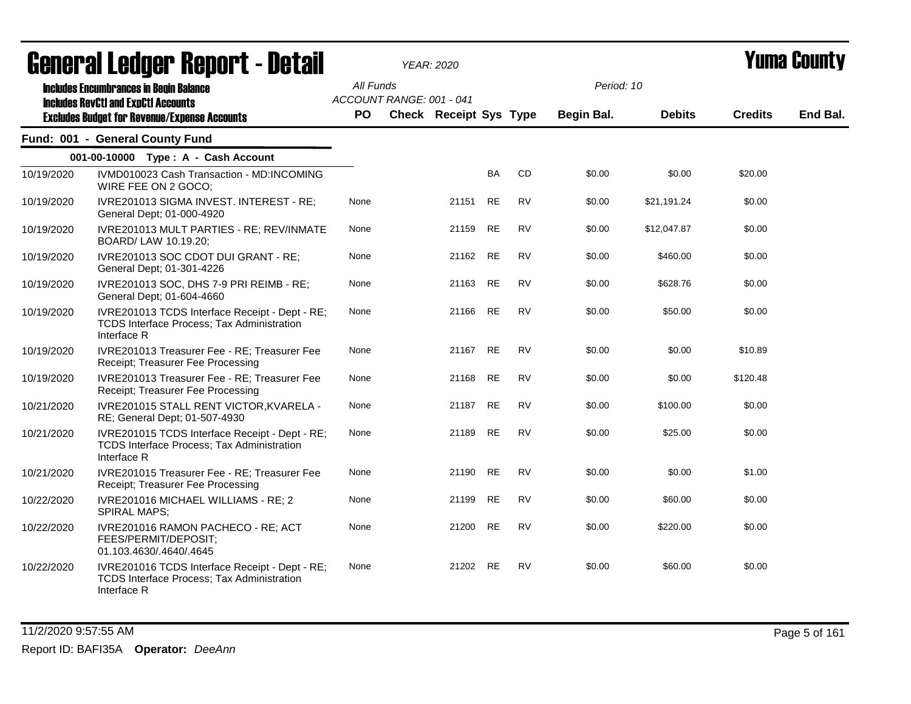|            | agligi (gi fanàri, bahai, f - nefail                                                                                                               |                        |                          | YEAR: 2020                    |           |           |                          |               |                | I UIIIU VUUILLY |
|------------|----------------------------------------------------------------------------------------------------------------------------------------------------|------------------------|--------------------------|-------------------------------|-----------|-----------|--------------------------|---------------|----------------|-----------------|
|            | <b>Includes Encumbrances in Begin Balance</b><br><b>Includes RevCtI and ExpCtI Accounts</b><br><b>Excludes Budget for Revenue/Expense Accounts</b> | All Funds<br><b>PO</b> | ACCOUNT RANGE: 001 - 041 | <b>Check Receipt Sys Type</b> |           |           | Period: 10<br>Begin Bal. | <b>Debits</b> | <b>Credits</b> | End Bal.        |
|            | Fund: 001 - General County Fund                                                                                                                    |                        |                          |                               |           |           |                          |               |                |                 |
|            | 001-00-10000 Type: A - Cash Account                                                                                                                |                        |                          |                               |           |           |                          |               |                |                 |
| 10/19/2020 | IVMD010023 Cash Transaction - MD:INCOMING<br>WIRE FEE ON 2 GOCO;                                                                                   |                        |                          |                               | BA        | CD        | \$0.00                   | \$0.00        | \$20.00        |                 |
| 10/19/2020 | IVRE201013 SIGMA INVEST. INTEREST - RE;<br>General Dept; 01-000-4920                                                                               | None                   |                          | 21151                         | <b>RE</b> | <b>RV</b> | \$0.00                   | \$21,191.24   | \$0.00         |                 |
| 10/19/2020 | IVRE201013 MULT PARTIES - RE; REV/INMATE<br>BOARD/ LAW 10.19.20;                                                                                   | None                   |                          | 21159                         | <b>RE</b> | <b>RV</b> | \$0.00                   | \$12,047.87   | \$0.00         |                 |
| 10/19/2020 | IVRE201013 SOC CDOT DUI GRANT - RE;<br>General Dept; 01-301-4226                                                                                   | None                   |                          | 21162                         | RE        | <b>RV</b> | \$0.00                   | \$460.00      | \$0.00         |                 |
| 10/19/2020 | IVRE201013 SOC, DHS 7-9 PRI REIMB - RE;<br>General Dept; 01-604-4660                                                                               | None                   |                          | 21163                         | <b>RE</b> | <b>RV</b> | \$0.00                   | \$628.76      | \$0.00         |                 |
| 10/19/2020 | IVRE201013 TCDS Interface Receipt - Dept - RE;<br>TCDS Interface Process; Tax Administration<br>Interface R                                        | None                   |                          | 21166                         | <b>RE</b> | <b>RV</b> | \$0.00                   | \$50.00       | \$0.00         |                 |
| 10/19/2020 | IVRE201013 Treasurer Fee - RE; Treasurer Fee<br>Receipt; Treasurer Fee Processing                                                                  | None                   |                          | 21167                         | <b>RE</b> | <b>RV</b> | \$0.00                   | \$0.00        | \$10.89        |                 |
| 10/19/2020 | IVRE201013 Treasurer Fee - RE; Treasurer Fee<br>Receipt; Treasurer Fee Processing                                                                  | None                   |                          | 21168                         | RE        | <b>RV</b> | \$0.00                   | \$0.00        | \$120.48       |                 |
| 10/21/2020 | IVRE201015 STALL RENT VICTOR, KVARELA -<br>RE; General Dept; 01-507-4930                                                                           | None                   |                          | 21187                         | <b>RE</b> | <b>RV</b> | \$0.00                   | \$100.00      | \$0.00         |                 |
| 10/21/2020 | IVRE201015 TCDS Interface Receipt - Dept - RE;<br><b>TCDS Interface Process; Tax Administration</b><br>Interface R                                 | None                   |                          | 21189                         | <b>RE</b> | <b>RV</b> | \$0.00                   | \$25.00       | \$0.00         |                 |
| 10/21/2020 | IVRE201015 Treasurer Fee - RE; Treasurer Fee<br>Receipt; Treasurer Fee Processing                                                                  | None                   |                          | 21190                         | RE        | <b>RV</b> | \$0.00                   | \$0.00        | \$1.00         |                 |
| 10/22/2020 | IVRE201016 MICHAEL WILLIAMS - RE; 2<br><b>SPIRAL MAPS;</b>                                                                                         | None                   |                          | 21199                         | <b>RE</b> | <b>RV</b> | \$0.00                   | \$60.00       | \$0.00         |                 |
| 10/22/2020 | IVRE201016 RAMON PACHECO - RE; ACT<br>FEES/PERMIT/DEPOSIT;<br>01.103.4630/.4640/.4645                                                              | None                   |                          | 21200                         | <b>RE</b> | <b>RV</b> | \$0.00                   | \$220.00      | \$0.00         |                 |
| 10/22/2020 | IVRE201016 TCDS Interface Receipt - Dept - RE;<br>TCDS Interface Process; Tax Administration<br>Interface R                                        | None                   |                          | 21202 RE                      |           | <b>RV</b> | \$0.00                   | \$60.00       | \$0.00         |                 |

11/2/2020 9:57:55 AM Page 5 of 161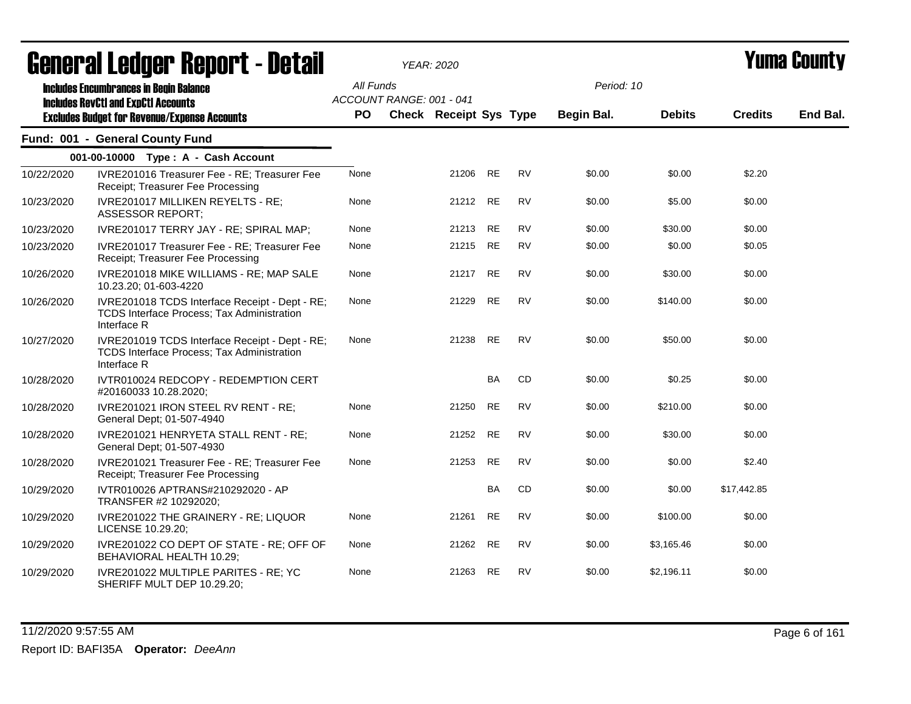|            | General Ledger Report - Detail                                                                                                                     |                        |                          | <b>YEAR: 2020</b>             |           |           |                                 |               | <b>Yuma County</b> |          |  |
|------------|----------------------------------------------------------------------------------------------------------------------------------------------------|------------------------|--------------------------|-------------------------------|-----------|-----------|---------------------------------|---------------|--------------------|----------|--|
|            | <b>Includes Encumbrances in Begin Balance</b><br><b>Includes RevCtI and ExpCtI Accounts</b><br><b>Excludes Budget for Revenue/Expense Accounts</b> | All Funds<br><b>PO</b> | ACCOUNT RANGE: 001 - 041 | <b>Check Receipt Sys Type</b> |           |           | Period: 10<br><b>Begin Bal.</b> | <b>Debits</b> | <b>Credits</b>     | End Bal. |  |
|            | Fund: 001 - General County Fund                                                                                                                    |                        |                          |                               |           |           |                                 |               |                    |          |  |
|            | 001-00-10000 Type: A - Cash Account                                                                                                                |                        |                          |                               |           |           |                                 |               |                    |          |  |
| 10/22/2020 | IVRE201016 Treasurer Fee - RE; Treasurer Fee<br>Receipt; Treasurer Fee Processing                                                                  | None                   |                          | 21206 RE                      |           | <b>RV</b> | \$0.00                          | \$0.00        | \$2.20             |          |  |
| 10/23/2020 | IVRE201017 MILLIKEN REYELTS - RE;<br><b>ASSESSOR REPORT;</b>                                                                                       | None                   |                          | 21212 RE                      |           | <b>RV</b> | \$0.00                          | \$5.00        | \$0.00             |          |  |
| 10/23/2020 | IVRE201017 TERRY JAY - RE; SPIRAL MAP;                                                                                                             | None                   |                          | 21213                         | <b>RE</b> | <b>RV</b> | \$0.00                          | \$30.00       | \$0.00             |          |  |
| 10/23/2020 | IVRE201017 Treasurer Fee - RE; Treasurer Fee<br>Receipt; Treasurer Fee Processing                                                                  | None                   |                          | 21215 RE                      |           | <b>RV</b> | \$0.00                          | \$0.00        | \$0.05             |          |  |
| 10/26/2020 | IVRE201018 MIKE WILLIAMS - RE; MAP SALE<br>10.23.20; 01-603-4220                                                                                   | None                   |                          | 21217 RE                      |           | <b>RV</b> | \$0.00                          | \$30.00       | \$0.00             |          |  |
| 10/26/2020 | IVRE201018 TCDS Interface Receipt - Dept - RE;<br><b>TCDS Interface Process; Tax Administration</b><br>Interface R                                 | None                   |                          | 21229                         | <b>RE</b> | <b>RV</b> | \$0.00                          | \$140.00      | \$0.00             |          |  |
| 10/27/2020 | IVRE201019 TCDS Interface Receipt - Dept - RE;<br><b>TCDS Interface Process; Tax Administration</b><br>Interface R                                 | None                   |                          | 21238 RE                      |           | <b>RV</b> | \$0.00                          | \$50.00       | \$0.00             |          |  |
| 10/28/2020 | IVTR010024 REDCOPY - REDEMPTION CERT<br>#20160033 10.28.2020;                                                                                      |                        |                          |                               | <b>BA</b> | <b>CD</b> | \$0.00                          | \$0.25        | \$0.00             |          |  |
| 10/28/2020 | IVRE201021 IRON STEEL RV RENT - RE;<br>General Dept; 01-507-4940                                                                                   | None                   |                          | 21250                         | <b>RE</b> | <b>RV</b> | \$0.00                          | \$210.00      | \$0.00             |          |  |
| 10/28/2020 | IVRE201021 HENRYETA STALL RENT - RE;<br>General Dept; 01-507-4930                                                                                  | None                   |                          | 21252                         | <b>RE</b> | RV        | \$0.00                          | \$30.00       | \$0.00             |          |  |
| 10/28/2020 | IVRE201021 Treasurer Fee - RE; Treasurer Fee<br>Receipt; Treasurer Fee Processing                                                                  | None                   |                          | 21253                         | RE        | <b>RV</b> | \$0.00                          | \$0.00        | \$2.40             |          |  |
| 10/29/2020 | IVTR010026 APTRANS#210292020 - AP<br>TRANSFER #2 10292020;                                                                                         |                        |                          |                               | BA        | CD        | \$0.00                          | \$0.00        | \$17,442.85        |          |  |
| 10/29/2020 | IVRE201022 THE GRAINERY - RE; LIQUOR<br>LICENSE 10.29.20;                                                                                          | None                   |                          | 21261                         | <b>RE</b> | <b>RV</b> | \$0.00                          | \$100.00      | \$0.00             |          |  |
| 10/29/2020 | IVRE201022 CO DEPT OF STATE - RE; OFF OF<br>BEHAVIORAL HEALTH 10.29;                                                                               | None                   |                          | 21262 RE                      |           | <b>RV</b> | \$0.00                          | \$3,165.46    | \$0.00             |          |  |
| 10/29/2020 | IVRE201022 MULTIPLE PARITES - RE; YC<br>SHERIFF MULT DEP 10.29.20;                                                                                 | None                   |                          | 21263                         | <b>RE</b> | <b>RV</b> | \$0.00                          | \$2,196.11    | \$0.00             |          |  |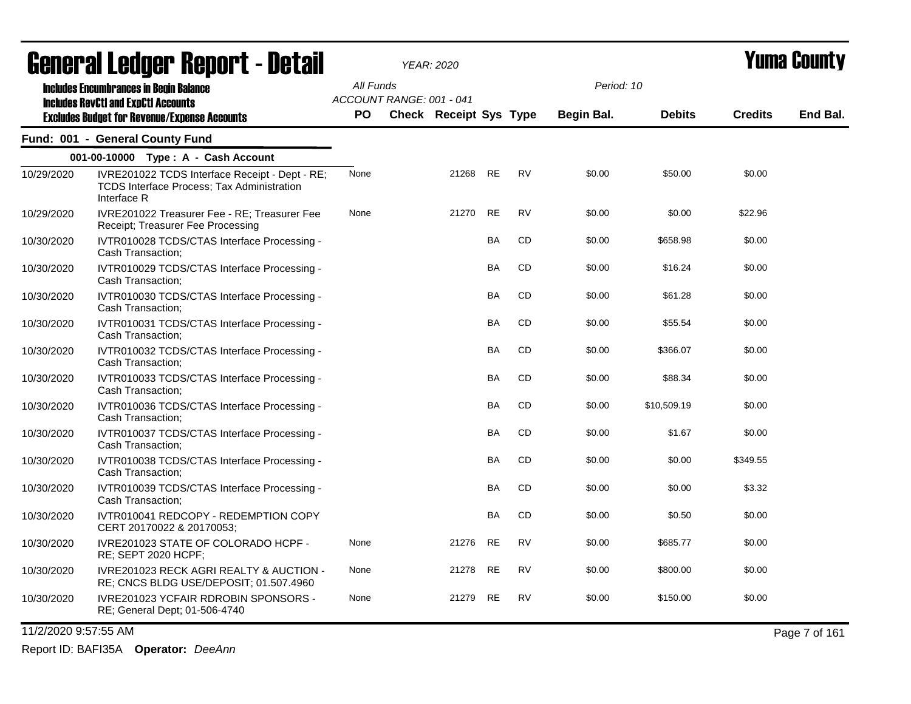|            | ugligi ai Lguygi ngpulil - Dglail                                                                                  |           |                          | YEAR: 2020             |           |           |                   |               |                | I UMU VVUNT, |
|------------|--------------------------------------------------------------------------------------------------------------------|-----------|--------------------------|------------------------|-----------|-----------|-------------------|---------------|----------------|--------------|
|            | <b>Includes Encumbrances in Begin Balance</b><br><b>Includes RevCtI and ExpCtI Accounts</b>                        | All Funds | ACCOUNT RANGE: 001 - 041 |                        |           |           | Period: 10        |               |                |              |
|            | <b>Excludes Budget for Revenue/Expense Accounts</b>                                                                | PO.       |                          | Check Receipt Sys Type |           |           | <b>Begin Bal.</b> | <b>Debits</b> | <b>Credits</b> | End Bal.     |
|            | Fund: 001 - General County Fund                                                                                    |           |                          |                        |           |           |                   |               |                |              |
|            | 001-00-10000 Type: A - Cash Account                                                                                |           |                          |                        |           |           |                   |               |                |              |
| 10/29/2020 | IVRE201022 TCDS Interface Receipt - Dept - RE;<br><b>TCDS Interface Process: Tax Administration</b><br>Interface R | None      |                          | 21268                  | RE        | <b>RV</b> | \$0.00            | \$50.00       | \$0.00         |              |
| 10/29/2020 | IVRE201022 Treasurer Fee - RE; Treasurer Fee<br>Receipt; Treasurer Fee Processing                                  | None      |                          | 21270                  | <b>RE</b> | <b>RV</b> | \$0.00            | \$0.00        | \$22.96        |              |
| 10/30/2020 | IVTR010028 TCDS/CTAS Interface Processing -<br>Cash Transaction:                                                   |           |                          |                        | <b>BA</b> | CD        | \$0.00            | \$658.98      | \$0.00         |              |
| 10/30/2020 | IVTR010029 TCDS/CTAS Interface Processing -<br>Cash Transaction;                                                   |           |                          |                        | <b>BA</b> | CD        | \$0.00            | \$16.24       | \$0.00         |              |
| 10/30/2020 | IVTR010030 TCDS/CTAS Interface Processing -<br>Cash Transaction;                                                   |           |                          |                        | BA        | CD        | \$0.00            | \$61.28       | \$0.00         |              |
| 10/30/2020 | IVTR010031 TCDS/CTAS Interface Processing -<br>Cash Transaction;                                                   |           |                          |                        | BA        | CD        | \$0.00            | \$55.54       | \$0.00         |              |
| 10/30/2020 | IVTR010032 TCDS/CTAS Interface Processing -<br>Cash Transaction;                                                   |           |                          |                        | BA        | CD        | \$0.00            | \$366.07      | \$0.00         |              |
| 10/30/2020 | IVTR010033 TCDS/CTAS Interface Processing -<br>Cash Transaction;                                                   |           |                          |                        | BA        | CD        | \$0.00            | \$88.34       | \$0.00         |              |
| 10/30/2020 | IVTR010036 TCDS/CTAS Interface Processing -<br>Cash Transaction;                                                   |           |                          |                        | BA        | CD        | \$0.00            | \$10,509.19   | \$0.00         |              |
| 10/30/2020 | IVTR010037 TCDS/CTAS Interface Processing -<br>Cash Transaction;                                                   |           |                          |                        | BA        | CD        | \$0.00            | \$1.67        | \$0.00         |              |
| 10/30/2020 | IVTR010038 TCDS/CTAS Interface Processing -<br>Cash Transaction;                                                   |           |                          |                        | BA        | CD        | \$0.00            | \$0.00        | \$349.55       |              |
| 10/30/2020 | IVTR010039 TCDS/CTAS Interface Processing -<br>Cash Transaction;                                                   |           |                          |                        | BA        | CD        | \$0.00            | \$0.00        | \$3.32         |              |
| 10/30/2020 | IVTR010041 REDCOPY - REDEMPTION COPY<br>CERT 20170022 & 20170053;                                                  |           |                          |                        | BA        | CD        | \$0.00            | \$0.50        | \$0.00         |              |
| 10/30/2020 | IVRE201023 STATE OF COLORADO HCPF -<br>RE; SEPT 2020 HCPF;                                                         | None      |                          | 21276                  | <b>RE</b> | <b>RV</b> | \$0.00            | \$685.77      | \$0.00         |              |
| 10/30/2020 | IVRE201023 RECK AGRI REALTY & AUCTION -<br>RE; CNCS BLDG USE/DEPOSIT; 01.507.4960                                  | None      |                          | 21278                  | <b>RE</b> | <b>RV</b> | \$0.00            | \$800.00      | \$0.00         |              |
| 10/30/2020 | <b>IVRE201023 YCFAIR RDROBIN SPONSORS -</b><br>RE; General Dept; 01-506-4740                                       | None      |                          | 21279                  | <b>RE</b> | <b>RV</b> | \$0.00            | \$150.00      | \$0.00         |              |

11/2/2020 9:57:55 AM Page 7 of 161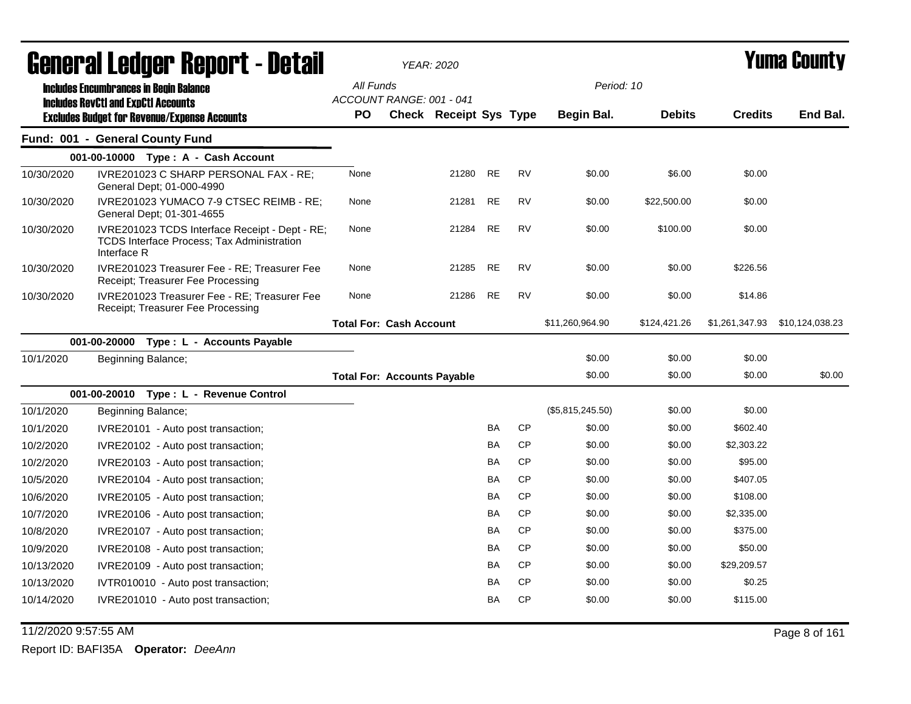|            | General Ledger Report - Detail                                                                                     |                                    | YEAR: 2020                    |           |           |                  |               |                | <b>Yuma County</b> |
|------------|--------------------------------------------------------------------------------------------------------------------|------------------------------------|-------------------------------|-----------|-----------|------------------|---------------|----------------|--------------------|
|            | <b>Includes Encumbrances in Begin Balance</b>                                                                      | All Funds                          |                               |           |           | Period: 10       |               |                |                    |
|            | <b>Includes RevCtI and ExpCtI Accounts</b><br><b>Excludes Budget for Revenue/Expense Accounts</b>                  | ACCOUNT RANGE: 001 - 041<br>PO.    | <b>Check Receipt Sys Type</b> |           |           | Begin Bal.       | <b>Debits</b> | <b>Credits</b> | End Bal.           |
|            | Fund: 001 - General County Fund                                                                                    |                                    |                               |           |           |                  |               |                |                    |
|            | 001-00-10000 Type: A - Cash Account                                                                                |                                    |                               |           |           |                  |               |                |                    |
| 10/30/2020 | IVRE201023 C SHARP PERSONAL FAX - RE;<br>General Dept; 01-000-4990                                                 | None                               | 21280                         | <b>RE</b> | <b>RV</b> | \$0.00           | \$6.00        | \$0.00         |                    |
| 10/30/2020 | IVRE201023 YUMACO 7-9 CTSEC REIMB - RE;<br>General Dept; 01-301-4655                                               | None                               | 21281                         | <b>RE</b> | <b>RV</b> | \$0.00           | \$22,500.00   | \$0.00         |                    |
| 10/30/2020 | IVRE201023 TCDS Interface Receipt - Dept - RE;<br><b>TCDS Interface Process: Tax Administration</b><br>Interface R | None                               | 21284                         | <b>RE</b> | <b>RV</b> | \$0.00           | \$100.00      | \$0.00         |                    |
| 10/30/2020 | IVRE201023 Treasurer Fee - RE; Treasurer Fee<br>Receipt; Treasurer Fee Processing                                  | None                               | 21285                         | <b>RE</b> | <b>RV</b> | \$0.00           | \$0.00        | \$226.56       |                    |
| 10/30/2020 | IVRE201023 Treasurer Fee - RE; Treasurer Fee<br>Receipt; Treasurer Fee Processing                                  | None                               | 21286                         | <b>RE</b> | <b>RV</b> | \$0.00           | \$0.00        | \$14.86        |                    |
|            |                                                                                                                    | <b>Total For: Cash Account</b>     |                               |           |           | \$11,260,964.90  | \$124,421.26  | \$1,261,347.93 | \$10,124,038.23    |
|            | 001-00-20000<br>Type: L - Accounts Payable                                                                         |                                    |                               |           |           |                  |               |                |                    |
| 10/1/2020  | Beginning Balance;                                                                                                 |                                    |                               |           |           | \$0.00           | \$0.00        | \$0.00         |                    |
|            |                                                                                                                    | <b>Total For: Accounts Payable</b> |                               |           |           | \$0.00           | \$0.00        | \$0.00         | \$0.00             |
|            | 001-00-20010 Type: L - Revenue Control                                                                             |                                    |                               |           |           |                  |               |                |                    |
| 10/1/2020  | Beginning Balance;                                                                                                 |                                    |                               |           |           | (\$5,815,245.50) | \$0.00        | \$0.00         |                    |
| 10/1/2020  | IVRE20101 - Auto post transaction;                                                                                 |                                    |                               | BA        | <b>CP</b> | \$0.00           | \$0.00        | \$602.40       |                    |
| 10/2/2020  | IVRE20102 - Auto post transaction;                                                                                 |                                    |                               | BA        | <b>CP</b> | \$0.00           | \$0.00        | \$2,303.22     |                    |
| 10/2/2020  | IVRE20103 - Auto post transaction;                                                                                 |                                    |                               | BA        | <b>CP</b> | \$0.00           | \$0.00        | \$95.00        |                    |
| 10/5/2020  | IVRE20104 - Auto post transaction;                                                                                 |                                    |                               | BA        | <b>CP</b> | \$0.00           | \$0.00        | \$407.05       |                    |
| 10/6/2020  | IVRE20105 - Auto post transaction;                                                                                 |                                    |                               | BA        | <b>CP</b> | \$0.00           | \$0.00        | \$108.00       |                    |
| 10/7/2020  | IVRE20106 - Auto post transaction;                                                                                 |                                    |                               | <b>BA</b> | <b>CP</b> | \$0.00           | \$0.00        | \$2,335.00     |                    |
| 10/8/2020  | IVRE20107 - Auto post transaction;                                                                                 |                                    |                               | <b>BA</b> | <b>CP</b> | \$0.00           | \$0.00        | \$375.00       |                    |
| 10/9/2020  | IVRE20108 - Auto post transaction;                                                                                 |                                    |                               | BA        | <b>CP</b> | \$0.00           | \$0.00        | \$50.00        |                    |
| 10/13/2020 | IVRE20109 - Auto post transaction;                                                                                 |                                    |                               | BA        | <b>CP</b> | \$0.00           | \$0.00        | \$29,209.57    |                    |
| 10/13/2020 | IVTR010010 - Auto post transaction;                                                                                |                                    |                               | BA        | <b>CP</b> | \$0.00           | \$0.00        | \$0.25         |                    |
| 10/14/2020 | IVRE201010 - Auto post transaction;                                                                                |                                    |                               | BA        | <b>CP</b> | \$0.00           | \$0.00        | \$115.00       |                    |

11/2/2020 9:57:55 AM Page 8 of 161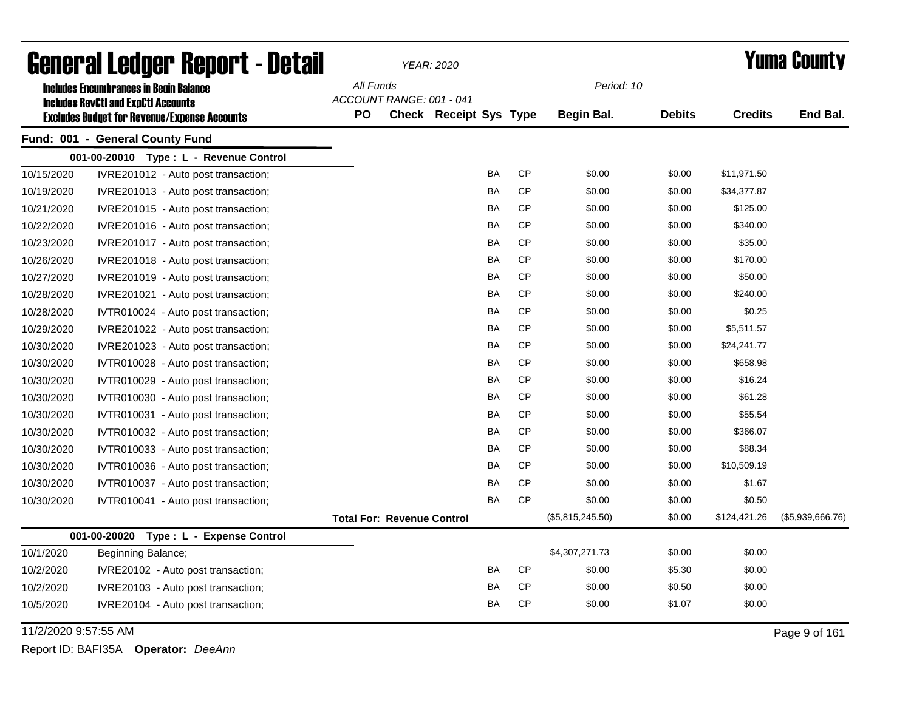|                      | <b>General Ledger Report - Detail</b>               |           |                                   | <b>YEAR: 2020</b>             |           |           |                  |               |                | <b>Yuma County</b> |
|----------------------|-----------------------------------------------------|-----------|-----------------------------------|-------------------------------|-----------|-----------|------------------|---------------|----------------|--------------------|
|                      | <b>Includes Encumbrances in Begin Balance</b>       | All Funds |                                   |                               |           |           | Period: 10       |               |                |                    |
|                      | <b>Includes RevCtI and ExpCtI Accounts</b>          |           | ACCOUNT RANGE: 001 - 041          |                               |           |           |                  |               |                |                    |
|                      | <b>Excludes Budget for Revenue/Expense Accounts</b> | <b>PO</b> |                                   | <b>Check Receipt Sys Type</b> |           |           | Begin Bal.       | <b>Debits</b> | <b>Credits</b> | End Bal.           |
|                      | Fund: 001 - General County Fund                     |           |                                   |                               |           |           |                  |               |                |                    |
|                      | 001-00-20010 Type: L - Revenue Control              |           |                                   |                               |           |           |                  |               |                |                    |
| 10/15/2020           | IVRE201012 - Auto post transaction;                 |           |                                   |                               | BA        | <b>CP</b> | \$0.00           | \$0.00        | \$11,971.50    |                    |
| 10/19/2020           | IVRE201013 - Auto post transaction;                 |           |                                   |                               | BA        | <b>CP</b> | \$0.00           | \$0.00        | \$34,377.87    |                    |
| 10/21/2020           | IVRE201015 - Auto post transaction;                 |           |                                   |                               | BA        | <b>CP</b> | \$0.00           | \$0.00        | \$125.00       |                    |
| 10/22/2020           | IVRE201016 - Auto post transaction;                 |           |                                   |                               | <b>BA</b> | <b>CP</b> | \$0.00           | \$0.00        | \$340.00       |                    |
| 10/23/2020           | IVRE201017 - Auto post transaction;                 |           |                                   |                               | <b>BA</b> | <b>CP</b> | \$0.00           | \$0.00        | \$35.00        |                    |
| 10/26/2020           | IVRE201018 - Auto post transaction;                 |           |                                   |                               | <b>BA</b> | <b>CP</b> | \$0.00           | \$0.00        | \$170.00       |                    |
| 10/27/2020           | IVRE201019 - Auto post transaction;                 |           |                                   |                               | BA        | <b>CP</b> | \$0.00           | \$0.00        | \$50.00        |                    |
| 10/28/2020           | IVRE201021 - Auto post transaction;                 |           |                                   |                               | <b>BA</b> | <b>CP</b> | \$0.00           | \$0.00        | \$240.00       |                    |
| 10/28/2020           | IVTR010024 - Auto post transaction;                 |           |                                   |                               | BA        | <b>CP</b> | \$0.00           | \$0.00        | \$0.25         |                    |
| 10/29/2020           | IVRE201022 - Auto post transaction;                 |           |                                   |                               | BA        | <b>CP</b> | \$0.00           | \$0.00        | \$5,511.57     |                    |
| 10/30/2020           | IVRE201023 - Auto post transaction;                 |           |                                   |                               | <b>BA</b> | <b>CP</b> | \$0.00           | \$0.00        | \$24,241.77    |                    |
| 10/30/2020           | IVTR010028 - Auto post transaction;                 |           |                                   |                               | <b>BA</b> | <b>CP</b> | \$0.00           | \$0.00        | \$658.98       |                    |
| 10/30/2020           | IVTR010029 - Auto post transaction;                 |           |                                   |                               | <b>BA</b> | <b>CP</b> | \$0.00           | \$0.00        | \$16.24        |                    |
| 10/30/2020           | IVTR010030 - Auto post transaction;                 |           |                                   |                               | <b>BA</b> | <b>CP</b> | \$0.00           | \$0.00        | \$61.28        |                    |
| 10/30/2020           | IVTR010031 - Auto post transaction;                 |           |                                   |                               | <b>BA</b> | <b>CP</b> | \$0.00           | \$0.00        | \$55.54        |                    |
| 10/30/2020           | IVTR010032 - Auto post transaction;                 |           |                                   |                               | BA        | <b>CP</b> | \$0.00           | \$0.00        | \$366.07       |                    |
| 10/30/2020           | IVTR010033 - Auto post transaction;                 |           |                                   |                               | <b>BA</b> | <b>CP</b> | \$0.00           | \$0.00        | \$88.34        |                    |
| 10/30/2020           | IVTR010036 - Auto post transaction;                 |           |                                   |                               | <b>BA</b> | <b>CP</b> | \$0.00           | \$0.00        | \$10,509.19    |                    |
| 10/30/2020           | IVTR010037 - Auto post transaction;                 |           |                                   |                               | BA        | <b>CP</b> | \$0.00           | \$0.00        | \$1.67         |                    |
| 10/30/2020           | IVTR010041 - Auto post transaction;                 |           |                                   |                               | <b>BA</b> | <b>CP</b> | \$0.00           | \$0.00        | \$0.50         |                    |
|                      |                                                     |           | <b>Total For: Revenue Control</b> |                               |           |           | (\$5,815,245.50) | \$0.00        | \$124,421.26   | (\$5,939,666.76)   |
|                      | 001-00-20020<br>Type: L - Expense Control           |           |                                   |                               |           |           |                  |               |                |                    |
| 10/1/2020            | Beginning Balance;                                  |           |                                   |                               |           |           | \$4,307,271.73   | \$0.00        | \$0.00         |                    |
| 10/2/2020            | IVRE20102 - Auto post transaction;                  |           |                                   |                               | <b>BA</b> | <b>CP</b> | \$0.00           | \$5.30        | \$0.00         |                    |
| 10/2/2020            | IVRE20103 - Auto post transaction;                  |           |                                   |                               | <b>BA</b> | <b>CP</b> | \$0.00           | \$0.50        | \$0.00         |                    |
| 10/5/2020            | IVRE20104 - Auto post transaction;                  |           |                                   |                               | BA        | <b>CP</b> | \$0.00           | \$1.07        | \$0.00         |                    |
| 11/2/2020 9:57:55 AM |                                                     |           |                                   |                               |           |           |                  |               |                | Page 9 of 161      |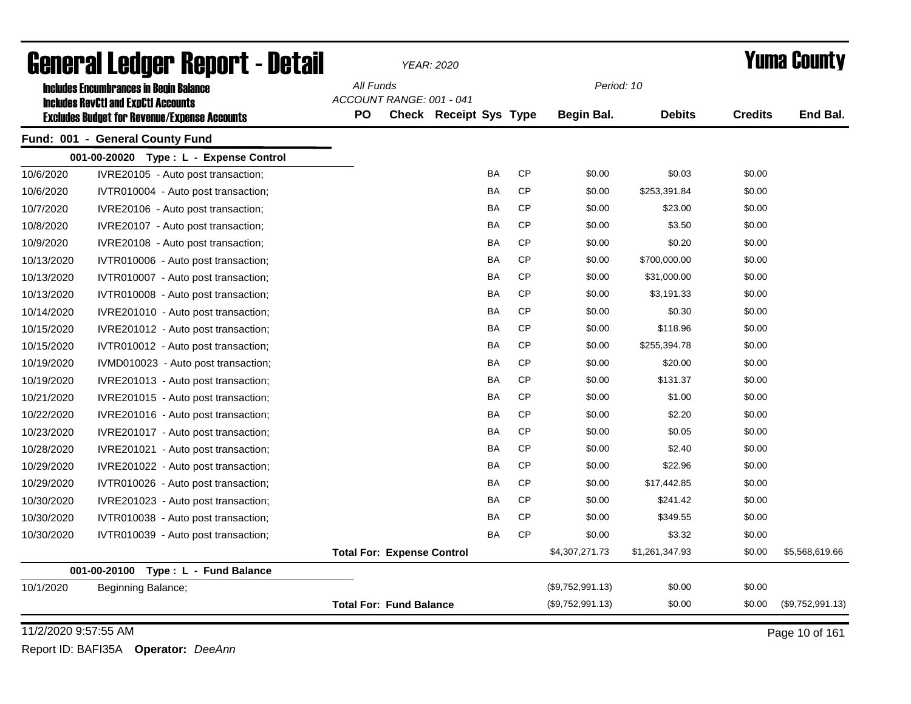| <b>General Ledger Report - Detail</b>               |           |                                   | <b>YEAR: 2020</b>             |           |           |                  |                |                | <b>Yuma County</b> |
|-----------------------------------------------------|-----------|-----------------------------------|-------------------------------|-----------|-----------|------------------|----------------|----------------|--------------------|
| <b>Includes Encumbrances in Begin Balance</b>       | All Funds |                                   |                               |           |           | Period: 10       |                |                |                    |
| <b>Includes RevCtI and ExpCtI Accounts</b>          |           | ACCOUNT RANGE: 001 - 041          |                               |           |           |                  |                |                |                    |
| <b>Excludes Budget for Revenue/Expense Accounts</b> | <b>PO</b> |                                   | <b>Check Receipt Sys Type</b> |           |           | Begin Bal.       | <b>Debits</b>  | <b>Credits</b> | End Bal.           |
| Fund: 001 - General County Fund                     |           |                                   |                               |           |           |                  |                |                |                    |
| 001-00-20020 Type: L - Expense Control              |           |                                   |                               |           |           |                  |                |                |                    |
| 10/6/2020<br>IVRE20105 - Auto post transaction;     |           |                                   |                               | <b>BA</b> | <b>CP</b> | \$0.00           | \$0.03         | \$0.00         |                    |
| 10/6/2020<br>IVTR010004 - Auto post transaction;    |           |                                   |                               | BA        | CP        | \$0.00           | \$253,391.84   | \$0.00         |                    |
| 10/7/2020<br>IVRE20106 - Auto post transaction;     |           |                                   |                               | BA        | <b>CP</b> | \$0.00           | \$23.00        | \$0.00         |                    |
| 10/8/2020<br>IVRE20107 - Auto post transaction;     |           |                                   |                               | BA        | <b>CP</b> | \$0.00           | \$3.50         | \$0.00         |                    |
| 10/9/2020<br>IVRE20108 - Auto post transaction;     |           |                                   |                               | <b>BA</b> | <b>CP</b> | \$0.00           | \$0.20         | \$0.00         |                    |
| 10/13/2020<br>IVTR010006 - Auto post transaction;   |           |                                   |                               | BA        | <b>CP</b> | \$0.00           | \$700,000.00   | \$0.00         |                    |
| 10/13/2020<br>IVTR010007 - Auto post transaction;   |           |                                   |                               | BA        | <b>CP</b> | \$0.00           | \$31,000.00    | \$0.00         |                    |
| 10/13/2020<br>IVTR010008 - Auto post transaction;   |           |                                   |                               | BA        | <b>CP</b> | \$0.00           | \$3,191.33     | \$0.00         |                    |
| 10/14/2020<br>IVRE201010 - Auto post transaction;   |           |                                   |                               | BA        | <b>CP</b> | \$0.00           | \$0.30         | \$0.00         |                    |
| 10/15/2020<br>IVRE201012 - Auto post transaction;   |           |                                   |                               | <b>BA</b> | <b>CP</b> | \$0.00           | \$118.96       | \$0.00         |                    |
| 10/15/2020<br>IVTR010012 - Auto post transaction;   |           |                                   |                               | <b>BA</b> | <b>CP</b> | \$0.00           | \$255,394.78   | \$0.00         |                    |
| 10/19/2020<br>IVMD010023 - Auto post transaction;   |           |                                   |                               | <b>BA</b> | <b>CP</b> | \$0.00           | \$20.00        | \$0.00         |                    |
| 10/19/2020<br>IVRE201013 - Auto post transaction;   |           |                                   |                               | <b>BA</b> | <b>CP</b> | \$0.00           | \$131.37       | \$0.00         |                    |
| 10/21/2020<br>IVRE201015 - Auto post transaction;   |           |                                   |                               | <b>BA</b> | <b>CP</b> | \$0.00           | \$1.00         | \$0.00         |                    |
| 10/22/2020<br>IVRE201016 - Auto post transaction;   |           |                                   |                               | BA        | <b>CP</b> | \$0.00           | \$2.20         | \$0.00         |                    |
| 10/23/2020<br>IVRE201017 - Auto post transaction;   |           |                                   |                               | BA        | <b>CP</b> | \$0.00           | \$0.05         | \$0.00         |                    |
| 10/28/2020<br>IVRE201021 - Auto post transaction;   |           |                                   |                               | BA        | <b>CP</b> | \$0.00           | \$2.40         | \$0.00         |                    |
| 10/29/2020<br>IVRE201022 - Auto post transaction;   |           |                                   |                               | <b>BA</b> | <b>CP</b> | \$0.00           | \$22.96        | \$0.00         |                    |
| 10/29/2020<br>IVTR010026 - Auto post transaction;   |           |                                   |                               | <b>BA</b> | <b>CP</b> | \$0.00           | \$17,442.85    | \$0.00         |                    |
| 10/30/2020<br>IVRE201023 - Auto post transaction;   |           |                                   |                               | <b>BA</b> | <b>CP</b> | \$0.00           | \$241.42       | \$0.00         |                    |
| 10/30/2020<br>IVTR010038 - Auto post transaction;   |           |                                   |                               | BA        | <b>CP</b> | \$0.00           | \$349.55       | \$0.00         |                    |
| 10/30/2020<br>IVTR010039 - Auto post transaction;   |           |                                   |                               | BA        | <b>CP</b> | \$0.00           | \$3.32         | \$0.00         |                    |
|                                                     |           | <b>Total For: Expense Control</b> |                               |           |           | \$4,307,271.73   | \$1,261,347.93 | \$0.00         | \$5,568,619.66     |
| 001-00-20100<br>Type: L - Fund Balance              |           |                                   |                               |           |           |                  |                |                |                    |
| 10/1/2020<br>Beginning Balance;                     |           |                                   |                               |           |           | (\$9,752,991.13) | \$0.00         | \$0.00         |                    |
|                                                     |           | <b>Total For: Fund Balance</b>    |                               |           |           | (\$9,752,991.13) | \$0.00         | \$0.00         | (\$9,752,991.13)   |
| 11/2/2020 9:57:55 AM                                |           |                                   |                               |           |           |                  |                |                | Page 10 of 161     |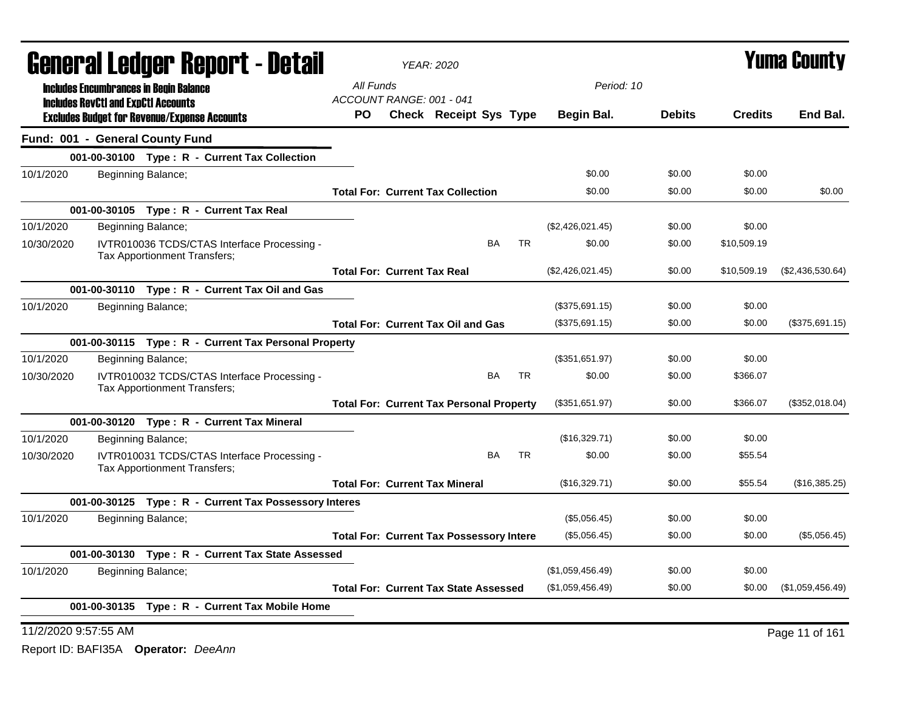|            | General Ledger Report - Detail                                                                    |                                                 | <b>YEAR: 2020</b>      |           |           |                  |               |                | Yuma Countv      |
|------------|---------------------------------------------------------------------------------------------------|-------------------------------------------------|------------------------|-----------|-----------|------------------|---------------|----------------|------------------|
|            | <b>Includes Encumbrances in Begin Balance</b>                                                     | All Funds<br>ACCOUNT RANGE: 001 - 041           |                        |           |           |                  | Period: 10    |                |                  |
|            | <b>Includes RevCtI and ExpCtI Accounts</b><br><b>Excludes Budget for Revenue/Expense Accounts</b> | PO.                                             | Check Receipt Sys Type |           |           | Begin Bal.       | <b>Debits</b> | <b>Credits</b> | End Bal.         |
|            | Fund: 001 - General County Fund                                                                   |                                                 |                        |           |           |                  |               |                |                  |
|            | 001-00-30100 Type: R - Current Tax Collection                                                     |                                                 |                        |           |           |                  |               |                |                  |
| 10/1/2020  | Beginning Balance;                                                                                |                                                 |                        |           |           | \$0.00           | \$0.00        | \$0.00         |                  |
|            |                                                                                                   | <b>Total For: Current Tax Collection</b>        |                        |           |           | \$0.00           | \$0.00        | \$0.00         | \$0.00           |
|            | 001-00-30105 Type: R - Current Tax Real                                                           |                                                 |                        |           |           |                  |               |                |                  |
| 10/1/2020  | Beginning Balance;                                                                                |                                                 |                        |           |           | (\$2,426,021.45) | \$0.00        | \$0.00         |                  |
| 10/30/2020 | IVTR010036 TCDS/CTAS Interface Processing -<br>Tax Apportionment Transfers;                       |                                                 |                        | <b>BA</b> | TR.       | \$0.00           | \$0.00        | \$10,509.19    |                  |
|            |                                                                                                   | <b>Total For: Current Tax Real</b>              |                        |           |           | (\$2,426,021.45) | \$0.00        | \$10,509.19    | (\$2,436,530.64) |
|            | 001-00-30110 Type: R - Current Tax Oil and Gas                                                    |                                                 |                        |           |           |                  |               |                |                  |
| 10/1/2020  | Beginning Balance;                                                                                |                                                 |                        |           |           | (\$375,691.15)   | \$0.00        | \$0.00         |                  |
|            |                                                                                                   | <b>Total For: Current Tax Oil and Gas</b>       |                        |           |           | (\$375,691.15)   | \$0.00        | \$0.00         | (\$375,691.15)   |
|            | 001-00-30115 Type: R - Current Tax Personal Property                                              |                                                 |                        |           |           |                  |               |                |                  |
| 10/1/2020  | Beginning Balance;                                                                                |                                                 |                        |           |           | (\$351,651.97)   | \$0.00        | \$0.00         |                  |
| 10/30/2020 | IVTR010032 TCDS/CTAS Interface Processing -<br>Tax Apportionment Transfers;                       |                                                 |                        | <b>BA</b> | <b>TR</b> | \$0.00           | \$0.00        | \$366.07       |                  |
|            |                                                                                                   | <b>Total For: Current Tax Personal Property</b> |                        |           |           | (\$351.651.97)   | \$0.00        | \$366.07       | (\$352,018.04)   |
|            | 001-00-30120 Type: R - Current Tax Mineral                                                        |                                                 |                        |           |           |                  |               |                |                  |
| 10/1/2020  | Beginning Balance;                                                                                |                                                 |                        |           |           | (\$16,329.71)    | \$0.00        | \$0.00         |                  |
| 10/30/2020 | IVTR010031 TCDS/CTAS Interface Processing -<br>Tax Apportionment Transfers;                       |                                                 |                        | <b>BA</b> | <b>TR</b> | \$0.00           | \$0.00        | \$55.54        |                  |
|            |                                                                                                   | <b>Total For: Current Tax Mineral</b>           |                        |           |           | (\$16,329.71)    | \$0.00        | \$55.54        | (\$16,385.25)    |
|            | 001-00-30125 Type: R - Current Tax Possessory Interes                                             |                                                 |                        |           |           |                  |               |                |                  |
| 10/1/2020  | Beginning Balance;                                                                                |                                                 |                        |           |           | (\$5,056.45)     | \$0.00        | \$0.00         |                  |
|            |                                                                                                   | <b>Total For: Current Tax Possessory Intere</b> |                        |           |           | (\$5,056.45)     | \$0.00        | \$0.00         | (\$5,056.45)     |
|            | 001-00-30130 Type: R - Current Tax State Assessed                                                 |                                                 |                        |           |           |                  |               |                |                  |
| 10/1/2020  | Beginning Balance;                                                                                |                                                 |                        |           |           | (\$1,059,456.49) | \$0.00        | \$0.00         |                  |
|            |                                                                                                   | <b>Total For: Current Tax State Assessed</b>    |                        |           |           | (\$1,059,456.49) | \$0.00        | \$0.00         | (\$1,059,456.49) |
|            | 001-00-30135 Type: R - Current Tax Mobile Home                                                    |                                                 |                        |           |           |                  |               |                |                  |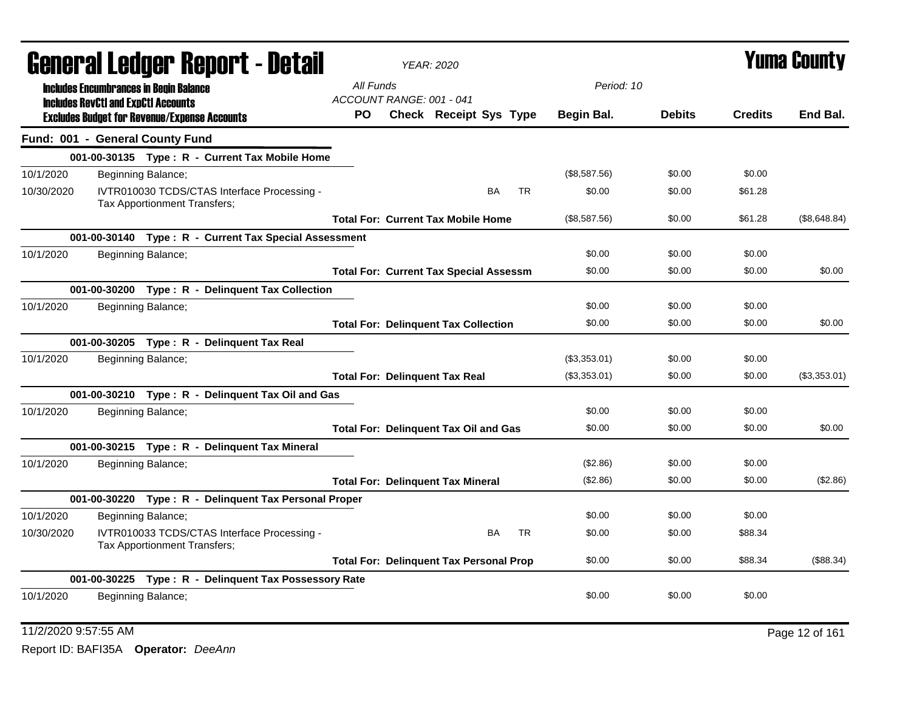|            |                                            | General Ledger Report - Detail                                              |                                       | <b>YEAR: 2020</b>                             |                                                |              |               |                | Yuma Countv  |
|------------|--------------------------------------------|-----------------------------------------------------------------------------|---------------------------------------|-----------------------------------------------|------------------------------------------------|--------------|---------------|----------------|--------------|
|            | <b>Includes RevCtI and ExpCtI Accounts</b> | <b>Includes Encumbrances in Begin Balance</b>                               | All Funds<br>ACCOUNT RANGE: 001 - 041 |                                               |                                                | Period: 10   |               |                |              |
|            |                                            | <b>Excludes Budget for Revenue/Expense Accounts</b>                         | PO.                                   |                                               | Check Receipt Sys Type                         | Begin Bal.   | <b>Debits</b> | <b>Credits</b> | End Bal.     |
|            |                                            | Fund: 001 - General County Fund                                             |                                       |                                               |                                                |              |               |                |              |
|            |                                            | 001-00-30135 Type: R - Current Tax Mobile Home                              |                                       |                                               |                                                |              |               |                |              |
| 10/1/2020  |                                            | Beginning Balance;                                                          |                                       |                                               |                                                | (\$8,587.56) | \$0.00        | \$0.00         |              |
| 10/30/2020 |                                            | IVTR010030 TCDS/CTAS Interface Processing -<br>Tax Apportionment Transfers; |                                       |                                               | BA<br>TR.                                      | \$0.00       | \$0.00        | \$61.28        |              |
|            |                                            |                                                                             |                                       | <b>Total For: Current Tax Mobile Home</b>     |                                                | (\$8,587.56) | \$0.00        | \$61.28        | (\$8,648.84) |
|            |                                            | 001-00-30140 Type: R - Current Tax Special Assessment                       |                                       |                                               |                                                |              |               |                |              |
| 10/1/2020  |                                            | Beginning Balance;                                                          |                                       |                                               |                                                | \$0.00       | \$0.00        | \$0.00         |              |
|            |                                            |                                                                             |                                       | <b>Total For: Current Tax Special Assessm</b> |                                                | \$0.00       | \$0.00        | \$0.00         | \$0.00       |
|            |                                            | 001-00-30200 Type: R - Delinguent Tax Collection                            |                                       |                                               |                                                |              |               |                |              |
| 10/1/2020  |                                            | Beginning Balance;                                                          |                                       |                                               |                                                | \$0.00       | \$0.00        | \$0.00         |              |
|            |                                            |                                                                             |                                       | <b>Total For: Delinquent Tax Collection</b>   |                                                | \$0.00       | \$0.00        | \$0.00         | \$0.00       |
|            |                                            | 001-00-30205 Type: R - Delinquent Tax Real                                  |                                       |                                               |                                                |              |               |                |              |
| 10/1/2020  |                                            | Beginning Balance;                                                          |                                       |                                               |                                                | (\$3,353.01) | \$0.00        | \$0.00         |              |
|            |                                            |                                                                             |                                       | <b>Total For: Delinquent Tax Real</b>         |                                                | (\$3,353.01) | \$0.00        | \$0.00         | (\$3,353.01) |
|            |                                            | 001-00-30210 Type: R - Delinquent Tax Oil and Gas                           |                                       |                                               |                                                |              |               |                |              |
| 10/1/2020  |                                            | Beginning Balance;                                                          |                                       |                                               |                                                | \$0.00       | \$0.00        | \$0.00         |              |
|            |                                            |                                                                             |                                       | <b>Total For: Delinquent Tax Oil and Gas</b>  |                                                | \$0.00       | \$0.00        | \$0.00         | \$0.00       |
|            |                                            | 001-00-30215 Type: R - Delinquent Tax Mineral                               |                                       |                                               |                                                |              |               |                |              |
| 10/1/2020  |                                            | Beginning Balance;                                                          |                                       |                                               |                                                | (\$2.86)     | \$0.00        | \$0.00         |              |
|            |                                            |                                                                             |                                       | <b>Total For: Delinquent Tax Mineral</b>      |                                                | (S2.86)      | \$0.00        | \$0.00         | (\$2.86)     |
|            |                                            | 001-00-30220 Type: R - Delinguent Tax Personal Proper                       |                                       |                                               |                                                |              |               |                |              |
| 10/1/2020  |                                            | Beginning Balance;                                                          |                                       |                                               |                                                | \$0.00       | \$0.00        | \$0.00         |              |
| 10/30/2020 |                                            | IVTR010033 TCDS/CTAS Interface Processing -<br>Tax Apportionment Transfers; |                                       |                                               | <b>BA</b><br><b>TR</b>                         | \$0.00       | \$0.00        | \$88.34        |              |
|            |                                            |                                                                             |                                       |                                               | <b>Total For: Delinquent Tax Personal Prop</b> | \$0.00       | \$0.00        | \$88.34        | (\$88.34)    |
|            |                                            | 001-00-30225 Type: R - Delinguent Tax Possessory Rate                       |                                       |                                               |                                                |              |               |                |              |
| 10/1/2020  |                                            | Beginning Balance;                                                          |                                       |                                               |                                                | \$0.00       | \$0.00        | \$0.00         |              |

11/2/2020 9:57:55 AM Page 12 of 161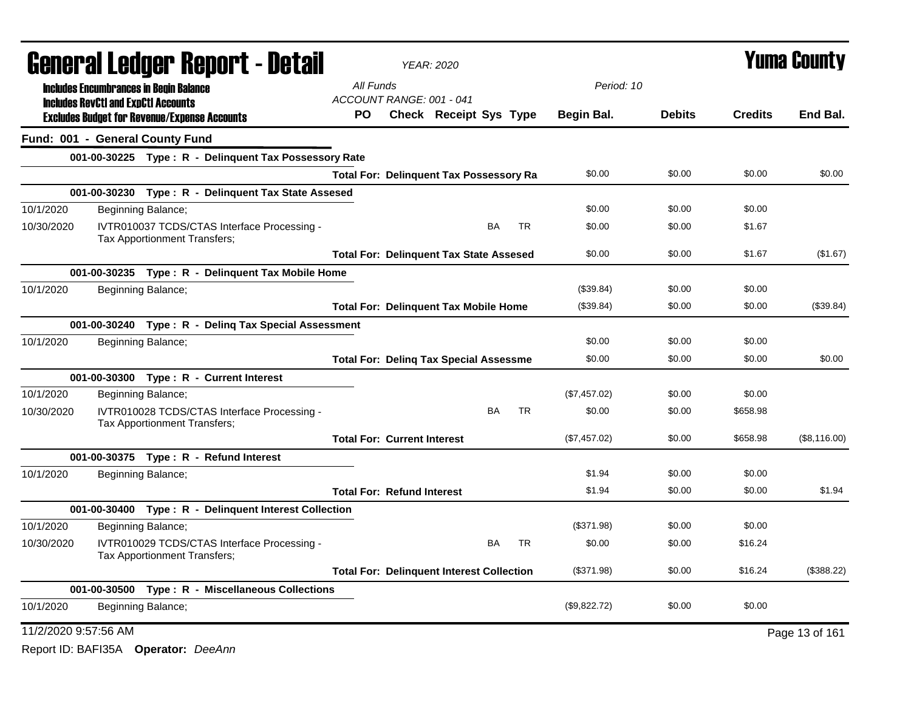|                      | <b>General Ledger Report - Detail</b>                                              |           |                                    | <b>YEAR: 2020</b>                                |           |              |               |                | <b>Yuma County</b> |
|----------------------|------------------------------------------------------------------------------------|-----------|------------------------------------|--------------------------------------------------|-----------|--------------|---------------|----------------|--------------------|
|                      | <b>Includes Encumbrances in Begin Balance</b>                                      | All Funds |                                    |                                                  |           | Period: 10   |               |                |                    |
|                      | <b>Includes RevCtI and ExpCtI Accounts</b>                                         |           | ACCOUNT RANGE: 001 - 041           |                                                  |           |              |               |                |                    |
|                      | <b>Excludes Budget for Revenue/Expense Accounts</b>                                | <b>PO</b> |                                    | <b>Check Receipt Sys Type</b>                    |           | Begin Bal.   | <b>Debits</b> | <b>Credits</b> | End Bal.           |
|                      | Fund: 001 - General County Fund                                                    |           |                                    |                                                  |           |              |               |                |                    |
|                      | 001-00-30225 Type: R - Delinquent Tax Possessory Rate                              |           |                                    |                                                  |           |              |               |                |                    |
|                      |                                                                                    |           |                                    | <b>Total For: Delinquent Tax Possessory Ra</b>   |           | \$0.00       | \$0.00        | \$0.00         | \$0.00             |
|                      | 001-00-30230 Type: R - Delinquent Tax State Assesed                                |           |                                    |                                                  |           |              |               |                |                    |
| 10/1/2020            | Beginning Balance;                                                                 |           |                                    |                                                  |           | \$0.00       | \$0.00        | \$0.00         |                    |
| 10/30/2020           | IVTR010037 TCDS/CTAS Interface Processing -<br>Tax Apportionment Transfers;        |           |                                    | <b>BA</b>                                        | <b>TR</b> | \$0.00       | \$0.00        | \$1.67         |                    |
|                      |                                                                                    |           |                                    | <b>Total For: Delinguent Tax State Assesed</b>   |           | \$0.00       | \$0.00        | \$1.67         | (\$1.67)           |
|                      | 001-00-30235 Type: R - Delinquent Tax Mobile Home                                  |           |                                    |                                                  |           |              |               |                |                    |
| 10/1/2020            | Beginning Balance;                                                                 |           |                                    |                                                  |           | (\$39.84)    | \$0.00        | \$0.00         |                    |
|                      |                                                                                    |           |                                    | <b>Total For: Delinquent Tax Mobile Home</b>     |           | (\$39.84)    | \$0.00        | \$0.00         | (\$39.84)          |
|                      | 001-00-30240 Type: R - Deling Tax Special Assessment                               |           |                                    |                                                  |           |              |               |                |                    |
| 10/1/2020            | Beginning Balance;                                                                 |           |                                    |                                                  |           | \$0.00       | \$0.00        | \$0.00         |                    |
|                      |                                                                                    |           |                                    | <b>Total For: Deling Tax Special Assessme</b>    |           | \$0.00       | \$0.00        | \$0.00         | \$0.00             |
|                      | 001-00-30300 Type: R - Current Interest                                            |           |                                    |                                                  |           |              |               |                |                    |
| 10/1/2020            | Beginning Balance;                                                                 |           |                                    |                                                  |           | (\$7,457.02) | \$0.00        | \$0.00         |                    |
| 10/30/2020           | IVTR010028 TCDS/CTAS Interface Processing -<br><b>Tax Apportionment Transfers:</b> |           |                                    | BA                                               | <b>TR</b> | \$0.00       | \$0.00        | \$658.98       |                    |
|                      |                                                                                    |           | <b>Total For: Current Interest</b> |                                                  |           | (\$7,457.02) | \$0.00        | \$658.98       | (\$8,116.00)       |
|                      | 001-00-30375 Type: R - Refund Interest                                             |           |                                    |                                                  |           |              |               |                |                    |
| 10/1/2020            | Beginning Balance;                                                                 |           |                                    |                                                  |           | \$1.94       | \$0.00        | \$0.00         |                    |
|                      |                                                                                    |           | <b>Total For: Refund Interest</b>  |                                                  |           | \$1.94       | \$0.00        | \$0.00         | \$1.94             |
|                      | 001-00-30400 Type: R - Delinquent Interest Collection                              |           |                                    |                                                  |           |              |               |                |                    |
| 10/1/2020            | Beginning Balance;                                                                 |           |                                    |                                                  |           | (\$371.98)   | \$0.00        | \$0.00         |                    |
| 10/30/2020           | IVTR010029 TCDS/CTAS Interface Processing -<br>Tax Apportionment Transfers;        |           |                                    | <b>BA</b>                                        | <b>TR</b> | \$0.00       | \$0.00        | \$16.24        |                    |
|                      |                                                                                    |           |                                    | <b>Total For: Delinguent Interest Collection</b> |           | (\$371.98)   | \$0.00        | \$16.24        | (\$388.22)         |
|                      | 001-00-30500 Type: R - Miscellaneous Collections                                   |           |                                    |                                                  |           |              |               |                |                    |
| 10/1/2020            | Beginning Balance;                                                                 |           |                                    |                                                  |           | (\$9,822.72) | \$0.00        | \$0.00         |                    |
| 11/2/2020 9:57:56 AM |                                                                                    |           |                                    |                                                  |           |              |               |                | Page 13 of 161     |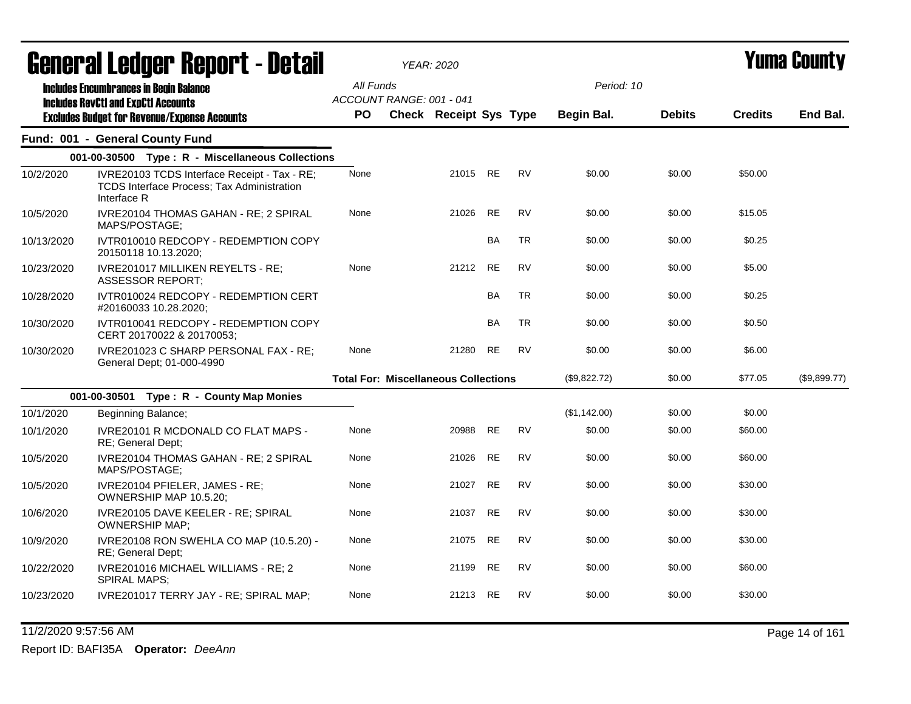|            | Generai Leuger Keport - Detail                                                                                   |                                                    | YEAR: 2020                                  |           |           |                          |               |                | Y UIII'A GUUIILY |
|------------|------------------------------------------------------------------------------------------------------------------|----------------------------------------------------|---------------------------------------------|-----------|-----------|--------------------------|---------------|----------------|------------------|
|            | <b>Includes Encumbrances in Begin Balance</b><br><b>Includes RevCtI and ExpCtI Accounts</b>                      | All Funds<br>ACCOUNT RANGE: 001 - 041<br><b>PO</b> | <b>Check Receipt Sys Type</b>               |           |           | Period: 10<br>Begin Bal. | <b>Debits</b> | <b>Credits</b> | End Bal.         |
|            | <b>Excludes Budget for Revenue/Expense Accounts</b>                                                              |                                                    |                                             |           |           |                          |               |                |                  |
|            | Fund: 001 - General County Fund                                                                                  |                                                    |                                             |           |           |                          |               |                |                  |
|            | 001-00-30500 Type: R - Miscellaneous Collections                                                                 |                                                    |                                             |           |           |                          |               |                |                  |
| 10/2/2020  | IVRE20103 TCDS Interface Receipt - Tax - RE;<br><b>TCDS Interface Process; Tax Administration</b><br>Interface R | None                                               | 21015 RE                                    |           | <b>RV</b> | \$0.00                   | \$0.00        | \$50.00        |                  |
| 10/5/2020  | IVRE20104 THOMAS GAHAN - RE; 2 SPIRAL<br>MAPS/POSTAGE;                                                           | None                                               | 21026                                       | <b>RE</b> | <b>RV</b> | \$0.00                   | \$0.00        | \$15.05        |                  |
| 10/13/2020 | IVTR010010 REDCOPY - REDEMPTION COPY<br>20150118 10.13.2020;                                                     |                                                    |                                             | <b>BA</b> | <b>TR</b> | \$0.00                   | \$0.00        | \$0.25         |                  |
| 10/23/2020 | IVRE201017 MILLIKEN REYELTS - RE;<br><b>ASSESSOR REPORT;</b>                                                     | None                                               | 21212                                       | <b>RE</b> | <b>RV</b> | \$0.00                   | \$0.00        | \$5.00         |                  |
| 10/28/2020 | IVTR010024 REDCOPY - REDEMPTION CERT<br>#20160033 10.28.2020;                                                    |                                                    |                                             | BA        | <b>TR</b> | \$0.00                   | \$0.00        | \$0.25         |                  |
| 10/30/2020 | IVTR010041 REDCOPY - REDEMPTION COPY<br>CERT 20170022 & 20170053;                                                |                                                    |                                             | BA        | <b>TR</b> | \$0.00                   | \$0.00        | \$0.50         |                  |
| 10/30/2020 | IVRE201023 C SHARP PERSONAL FAX - RE;<br>General Dept; 01-000-4990                                               | None                                               | 21280                                       | <b>RE</b> | <b>RV</b> | \$0.00                   | \$0.00        | \$6.00         |                  |
|            |                                                                                                                  |                                                    | <b>Total For: Miscellaneous Collections</b> |           |           | (\$9,822.72)             | \$0.00        | \$77.05        | (\$9,899.77)     |
|            | 001-00-30501 Type: R - County Map Monies                                                                         |                                                    |                                             |           |           |                          |               |                |                  |
| 10/1/2020  | Beginning Balance;                                                                                               |                                                    |                                             |           |           | (\$1,142.00)             | \$0.00        | \$0.00         |                  |
| 10/1/2020  | IVRE20101 R MCDONALD CO FLAT MAPS -<br>RE; General Dept;                                                         | None                                               | 20988                                       | <b>RE</b> | RV        | \$0.00                   | \$0.00        | \$60.00        |                  |
| 10/5/2020  | IVRE20104 THOMAS GAHAN - RE; 2 SPIRAL<br>MAPS/POSTAGE;                                                           | None                                               | 21026                                       | <b>RE</b> | <b>RV</b> | \$0.00                   | \$0.00        | \$60.00        |                  |
| 10/5/2020  | IVRE20104 PFIELER, JAMES - RE;<br>OWNERSHIP MAP 10.5.20;                                                         | None                                               | 21027                                       | <b>RE</b> | <b>RV</b> | \$0.00                   | \$0.00        | \$30.00        |                  |
| 10/6/2020  | IVRE20105 DAVE KEELER - RE; SPIRAL<br><b>OWNERSHIP MAP;</b>                                                      | None                                               | 21037                                       | RE        | <b>RV</b> | \$0.00                   | \$0.00        | \$30.00        |                  |
| 10/9/2020  | IVRE20108 RON SWEHLA CO MAP (10.5.20) -<br>RE; General Dept;                                                     | None                                               | 21075                                       | RE        | <b>RV</b> | \$0.00                   | \$0.00        | \$30.00        |                  |
| 10/22/2020 | IVRE201016 MICHAEL WILLIAMS - RE; 2<br><b>SPIRAL MAPS:</b>                                                       | None                                               | 21199                                       | RE        | <b>RV</b> | \$0.00                   | \$0.00        | \$60.00        |                  |
| 10/23/2020 | IVRE201017 TERRY JAY - RE; SPIRAL MAP;                                                                           | None                                               | 21213 RE                                    |           | <b>RV</b> | \$0.00                   | \$0.00        | \$30.00        |                  |

11/2/2020 9:57:56 AM Page 14 of 161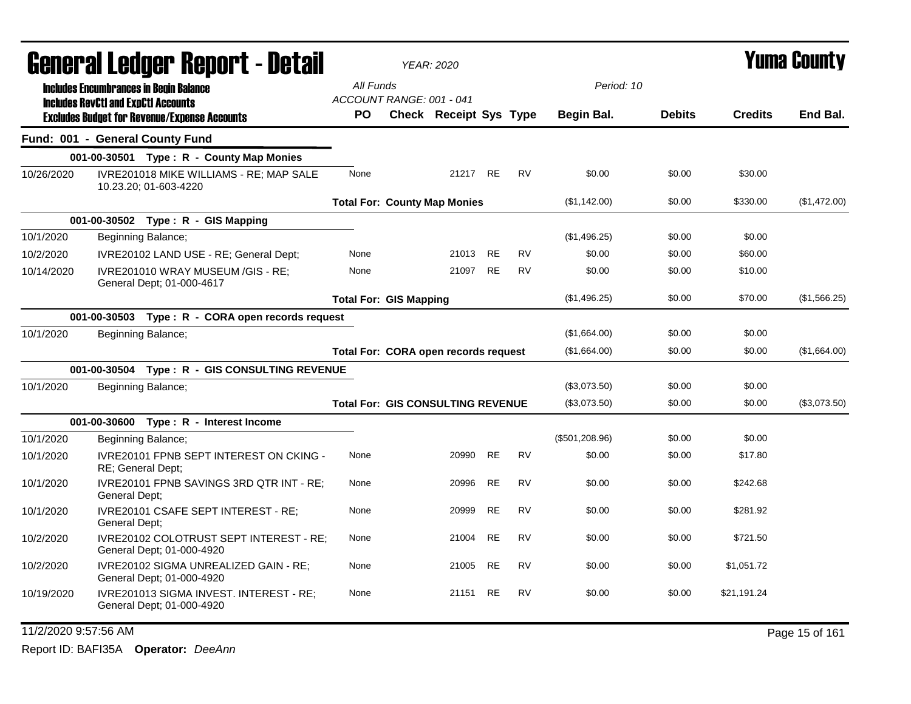|                      | <b>General Ledger Report - Detail</b>                                                             |                                          | <b>YEAR: 2020</b>             |           |           |                   |               |                | Yuma County    |
|----------------------|---------------------------------------------------------------------------------------------------|------------------------------------------|-------------------------------|-----------|-----------|-------------------|---------------|----------------|----------------|
|                      | <b>Includes Encumbrances in Begin Balance</b>                                                     | All Funds                                |                               |           |           | Period: 10        |               |                |                |
|                      | <b>Includes RevCtI and ExpCtI Accounts</b><br><b>Excludes Budget for Revenue/Expense Accounts</b> | ACCOUNT RANGE: 001 - 041<br><b>PO</b>    | <b>Check Receipt Sys Type</b> |           |           | <b>Begin Bal.</b> | <b>Debits</b> | <b>Credits</b> | End Bal.       |
|                      | Fund: 001 - General County Fund                                                                   |                                          |                               |           |           |                   |               |                |                |
|                      | 001-00-30501 Type: R - County Map Monies                                                          |                                          |                               |           |           |                   |               |                |                |
| 10/26/2020           | IVRE201018 MIKE WILLIAMS - RE; MAP SALE<br>10.23.20; 01-603-4220                                  | None                                     | 21217 RE                      |           | <b>RV</b> | \$0.00            | \$0.00        | \$30.00        |                |
|                      |                                                                                                   | <b>Total For: County Map Monies</b>      |                               |           |           | (\$1,142.00)      | \$0.00        | \$330.00       | (\$1,472.00)   |
|                      | 001-00-30502 Type: R - GIS Mapping                                                                |                                          |                               |           |           |                   |               |                |                |
| 10/1/2020            | Beginning Balance;                                                                                |                                          |                               |           |           | (\$1,496.25)      | \$0.00        | \$0.00         |                |
| 10/2/2020            | IVRE20102 LAND USE - RE; General Dept;                                                            | None                                     | 21013                         | <b>RE</b> | <b>RV</b> | \$0.00            | \$0.00        | \$60.00        |                |
| 10/14/2020           | IVRE201010 WRAY MUSEUM /GIS - RE;<br>General Dept; 01-000-4617                                    | None                                     | 21097                         | RE        | <b>RV</b> | \$0.00            | \$0.00        | \$10.00        |                |
|                      |                                                                                                   | <b>Total For: GIS Mapping</b>            |                               |           |           | (\$1,496.25)      | \$0.00        | \$70.00        | (\$1,566.25)   |
|                      | 001-00-30503 Type: R - CORA open records request                                                  |                                          |                               |           |           |                   |               |                |                |
| 10/1/2020            | Beginning Balance;                                                                                |                                          |                               |           |           | (\$1,664.00)      | \$0.00        | \$0.00         |                |
|                      |                                                                                                   | Total For: CORA open records request     |                               |           |           | (\$1,664.00)      | \$0.00        | \$0.00         | (\$1,664.00)   |
|                      | 001-00-30504 Type: R - GIS CONSULTING REVENUE                                                     |                                          |                               |           |           |                   |               |                |                |
| 10/1/2020            | Beginning Balance;                                                                                |                                          |                               |           |           | (\$3,073.50)      | \$0.00        | \$0.00         |                |
|                      |                                                                                                   | <b>Total For: GIS CONSULTING REVENUE</b> |                               |           |           | (\$3,073.50)      | \$0.00        | \$0.00         | (\$3,073.50)   |
|                      | 001-00-30600 Type: R - Interest Income                                                            |                                          |                               |           |           |                   |               |                |                |
| 10/1/2020            | Beginning Balance;                                                                                |                                          |                               |           |           | (\$501,208.96)    | \$0.00        | \$0.00         |                |
| 10/1/2020            | <b>IVRE20101 FPNB SEPT INTEREST ON CKING -</b><br>RE; General Dept;                               | None                                     | 20990                         | RE        | <b>RV</b> | \$0.00            | \$0.00        | \$17.80        |                |
| 10/1/2020            | IVRE20101 FPNB SAVINGS 3RD QTR INT - RE;<br><b>General Dept:</b>                                  | None                                     | 20996                         | RE        | <b>RV</b> | \$0.00            | \$0.00        | \$242.68       |                |
| 10/1/2020            | IVRE20101 CSAFE SEPT INTEREST - RE;<br>General Dept;                                              | None                                     | 20999                         | RE        | <b>RV</b> | \$0.00            | \$0.00        | \$281.92       |                |
| 10/2/2020            | IVRE20102 COLOTRUST SEPT INTEREST - RE;<br>General Dept; 01-000-4920                              | None                                     | 21004                         | RE        | RV        | \$0.00            | \$0.00        | \$721.50       |                |
| 10/2/2020            | IVRE20102 SIGMA UNREALIZED GAIN - RE;<br>General Dept; 01-000-4920                                | None                                     | 21005                         | <b>RE</b> | <b>RV</b> | \$0.00            | \$0.00        | \$1,051.72     |                |
| 10/19/2020           | IVRE201013 SIGMA INVEST. INTEREST - RE;<br>General Dept; 01-000-4920                              | None                                     | 21151                         | <b>RE</b> | <b>RV</b> | \$0.00            | \$0.00        | \$21,191.24    |                |
| 11/2/2020 9:57:56 AM |                                                                                                   |                                          |                               |           |           |                   |               |                | Page 15 of 161 |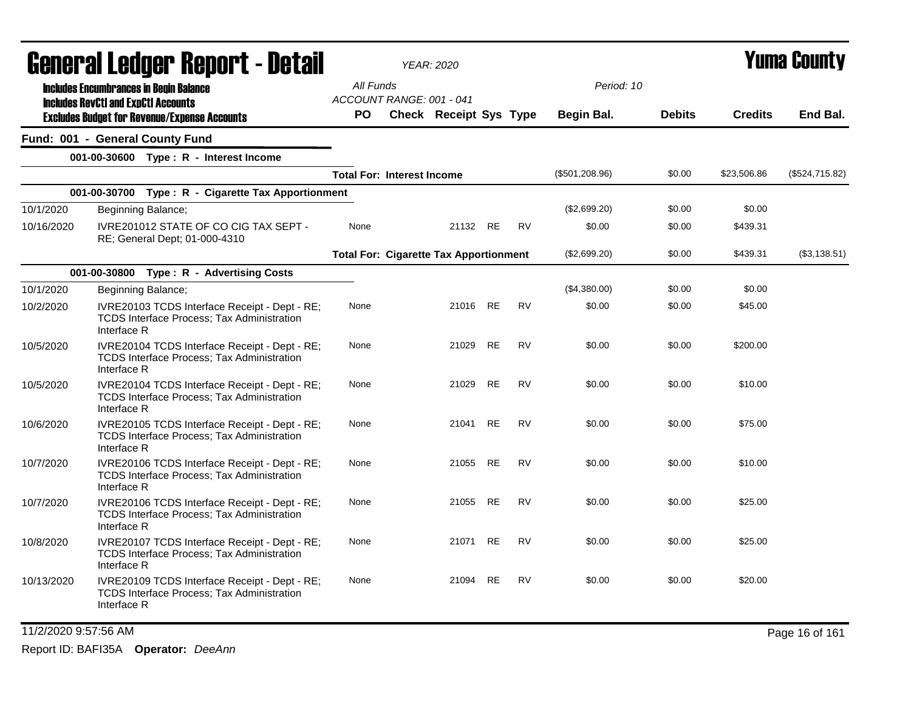|            | General Ledger Report - Detail                                                                                    |                                       | YEAR: 2020                                    |           |           |                  |               |                | <b>Yuma County</b> |
|------------|-------------------------------------------------------------------------------------------------------------------|---------------------------------------|-----------------------------------------------|-----------|-----------|------------------|---------------|----------------|--------------------|
|            | <b>Includes Encumbrances in Begin Balance</b><br><b>Includes RevCtI and ExpCtI Accounts</b>                       | All Funds<br>ACCOUNT RANGE: 001 - 041 |                                               |           |           | Period: 10       |               |                |                    |
|            | <b>Excludes Budget for Revenue/Expense Accounts</b>                                                               | <b>PO</b>                             | <b>Check Receipt Sys Type</b>                 |           |           | Begin Bal.       | <b>Debits</b> | <b>Credits</b> | End Bal.           |
|            | Fund: 001 - General County Fund                                                                                   |                                       |                                               |           |           |                  |               |                |                    |
|            | 001-00-30600 Type: R - Interest Income                                                                            |                                       |                                               |           |           |                  |               |                |                    |
|            |                                                                                                                   | <b>Total For: Interest Income</b>     |                                               |           |           | $(\$501,208.96)$ | \$0.00        | \$23,506.86    | (\$524,715.82)     |
|            | 001-00-30700 Type: R - Cigarette Tax Apportionment                                                                |                                       |                                               |           |           |                  |               |                |                    |
| 10/1/2020  | Beginning Balance;                                                                                                |                                       |                                               |           |           | (\$2,699.20)     | \$0.00        | \$0.00         |                    |
| 10/16/2020 | IVRE201012 STATE OF CO CIG TAX SEPT -<br>RE; General Dept; 01-000-4310                                            | None                                  | 21132 RE                                      |           | <b>RV</b> | \$0.00           | \$0.00        | \$439.31       |                    |
|            |                                                                                                                   |                                       | <b>Total For: Cigarette Tax Apportionment</b> |           |           | (\$2,699.20)     | \$0.00        | \$439.31       | (\$3,138.51)       |
|            | 001-00-30800 Type: R - Advertising Costs                                                                          |                                       |                                               |           |           |                  |               |                |                    |
| 10/1/2020  | Beginning Balance;                                                                                                |                                       |                                               |           |           | (\$4,380.00)     | \$0.00        | \$0.00         |                    |
| 10/2/2020  | IVRE20103 TCDS Interface Receipt - Dept - RE;<br>TCDS Interface Process; Tax Administration<br>Interface R        | None                                  | 21016 RE                                      |           | <b>RV</b> | \$0.00           | \$0.00        | \$45.00        |                    |
| 10/5/2020  | IVRE20104 TCDS Interface Receipt - Dept - RE;<br>TCDS Interface Process; Tax Administration<br>Interface R        | None                                  | 21029                                         | <b>RE</b> | <b>RV</b> | \$0.00           | \$0.00        | \$200.00       |                    |
| 10/5/2020  | IVRE20104 TCDS Interface Receipt - Dept - RE;<br>TCDS Interface Process; Tax Administration<br>Interface R        | None                                  | 21029                                         | RE        | RV        | \$0.00           | \$0.00        | \$10.00        |                    |
| 10/6/2020  | IVRE20105 TCDS Interface Receipt - Dept - RE;<br>TCDS Interface Process; Tax Administration<br>Interface R        | None                                  | 21041                                         | RE        | <b>RV</b> | \$0.00           | \$0.00        | \$75.00        |                    |
| 10/7/2020  | IVRE20106 TCDS Interface Receipt - Dept - RE;<br><b>TCDS Interface Process: Tax Administration</b><br>Interface R | None                                  | 21055                                         | <b>RE</b> | <b>RV</b> | \$0.00           | \$0.00        | \$10.00        |                    |
| 10/7/2020  | IVRE20106 TCDS Interface Receipt - Dept - RE;<br>TCDS Interface Process; Tax Administration<br>Interface R        | None                                  | 21055 RE                                      |           | <b>RV</b> | \$0.00           | \$0.00        | \$25.00        |                    |
| 10/8/2020  | IVRE20107 TCDS Interface Receipt - Dept - RE;<br>TCDS Interface Process; Tax Administration<br>Interface R        | None                                  | 21071 RE                                      |           | <b>RV</b> | \$0.00           | \$0.00        | \$25.00        |                    |
| 10/13/2020 | IVRE20109 TCDS Interface Receipt - Dept - RE;<br>TCDS Interface Process; Tax Administration<br>Interface R        | None                                  | 21094 RE                                      |           | RV        | \$0.00           | \$0.00        | \$20.00        |                    |

11/2/2020 9:57:56 AM Page 16 of 161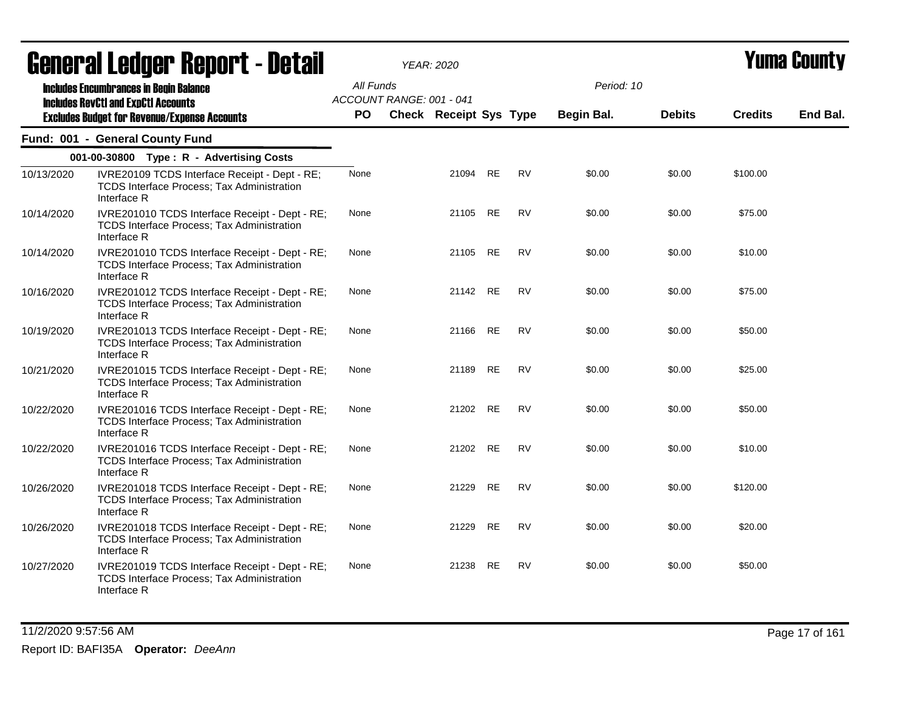|            | <b>General Ledger Report - Detail</b>                                                                              |           | <b>YEAR: 2020</b>             |           |           |                   |               | <b>Yuma County</b> |          |  |
|------------|--------------------------------------------------------------------------------------------------------------------|-----------|-------------------------------|-----------|-----------|-------------------|---------------|--------------------|----------|--|
|            | <b>Includes Encumbrances in Begin Balance</b><br><b>Includes RevCtI and ExpCtI Accounts</b>                        | All Funds | ACCOUNT RANGE: 001 - 041      |           |           | Period: 10        |               |                    |          |  |
|            | <b>Excludes Budget for Revenue/Expense Accounts</b>                                                                | <b>PO</b> | <b>Check Receipt Sys Type</b> |           |           | <b>Begin Bal.</b> | <b>Debits</b> | <b>Credits</b>     | End Bal. |  |
|            | Fund: 001 - General County Fund                                                                                    |           |                               |           |           |                   |               |                    |          |  |
|            | 001-00-30800 Type: R - Advertising Costs                                                                           |           |                               |           |           |                   |               |                    |          |  |
| 10/13/2020 | IVRE20109 TCDS Interface Receipt - Dept - RE;<br>TCDS Interface Process; Tax Administration<br>Interface R         | None      | 21094                         | RE        | <b>RV</b> | \$0.00            | \$0.00        | \$100.00           |          |  |
| 10/14/2020 | IVRE201010 TCDS Interface Receipt - Dept - RE;<br>TCDS Interface Process; Tax Administration<br>Interface R        | None      | 21105                         | RE        | <b>RV</b> | \$0.00            | \$0.00        | \$75.00            |          |  |
| 10/14/2020 | IVRE201010 TCDS Interface Receipt - Dept - RE;<br>TCDS Interface Process; Tax Administration<br>Interface R        | None      |                               | 21105 RE  | <b>RV</b> | \$0.00            | \$0.00        | \$10.00            |          |  |
| 10/16/2020 | IVRE201012 TCDS Interface Receipt - Dept - RE;<br><b>TCDS Interface Process; Tax Administration</b><br>Interface R | None      |                               | 21142 RE  | <b>RV</b> | \$0.00            | \$0.00        | \$75.00            |          |  |
| 10/19/2020 | IVRE201013 TCDS Interface Receipt - Dept - RE;<br><b>TCDS Interface Process; Tax Administration</b><br>Interface R | None      | 21166                         | RE        | <b>RV</b> | \$0.00            | \$0.00        | \$50.00            |          |  |
| 10/21/2020 | IVRE201015 TCDS Interface Receipt - Dept - RE;<br>TCDS Interface Process; Tax Administration<br>Interface R        | None      | 21189                         | <b>RE</b> | <b>RV</b> | \$0.00            | \$0.00        | \$25.00            |          |  |
| 10/22/2020 | IVRE201016 TCDS Interface Receipt - Dept - RE;<br>TCDS Interface Process; Tax Administration<br>Interface R        | None      |                               | 21202 RE  | <b>RV</b> | \$0.00            | \$0.00        | \$50.00            |          |  |
| 10/22/2020 | IVRE201016 TCDS Interface Receipt - Dept - RE;<br>TCDS Interface Process; Tax Administration<br>Interface R        | None      |                               | 21202 RE  | <b>RV</b> | \$0.00            | \$0.00        | \$10.00            |          |  |
| 10/26/2020 | IVRE201018 TCDS Interface Receipt - Dept - RE;<br>TCDS Interface Process; Tax Administration<br>Interface R        | None      | 21229                         | <b>RE</b> | <b>RV</b> | \$0.00            | \$0.00        | \$120.00           |          |  |
| 10/26/2020 | IVRE201018 TCDS Interface Receipt - Dept - RE;<br><b>TCDS Interface Process; Tax Administration</b><br>Interface R | None      | 21229                         | <b>RE</b> | <b>RV</b> | \$0.00            | \$0.00        | \$20.00            |          |  |
| 10/27/2020 | IVRE201019 TCDS Interface Receipt - Dept - RE;<br>TCDS Interface Process; Tax Administration<br>Interface R        | None      | 21238                         | <b>RE</b> | <b>RV</b> | \$0.00            | \$0.00        | \$50.00            |          |  |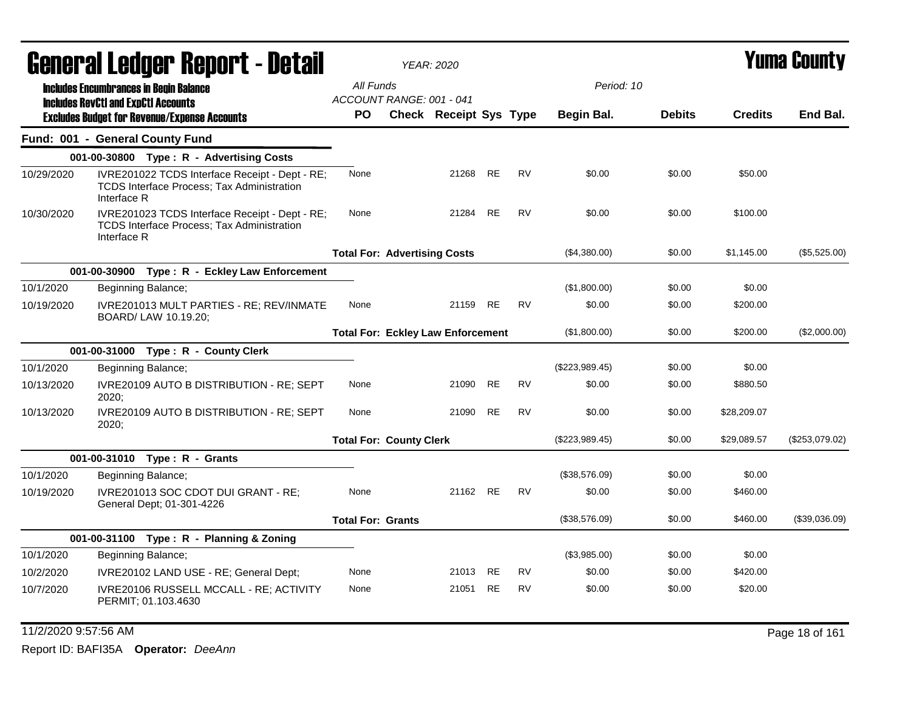|            | General Ledger Report - Detail                                                                                     |                                          | YEAR: 2020             |           |           |                |               |                | Yuma County    |
|------------|--------------------------------------------------------------------------------------------------------------------|------------------------------------------|------------------------|-----------|-----------|----------------|---------------|----------------|----------------|
|            | <b>Includes Encumbrances in Begin Balance</b>                                                                      | All Funds                                |                        |           |           | Period: 10     |               |                |                |
|            | <b>Includes RevCtI and ExpCtI Accounts</b>                                                                         | ACCOUNT RANGE: 001 - 041                 |                        |           |           |                |               |                |                |
|            | <b>Excludes Budget for Revenue/Expense Accounts</b>                                                                | PO.                                      | Check Receipt Sys Type |           |           | Begin Bal.     | <b>Debits</b> | <b>Credits</b> | End Bal.       |
|            | Fund: 001 - General County Fund                                                                                    |                                          |                        |           |           |                |               |                |                |
|            | 001-00-30800 Type: R - Advertising Costs                                                                           |                                          |                        |           |           |                |               |                |                |
| 10/29/2020 | IVRE201022 TCDS Interface Receipt - Dept - RE;<br>TCDS Interface Process; Tax Administration<br>Interface R        | None                                     | 21268 RE               |           | <b>RV</b> | \$0.00         | \$0.00        | \$50.00        |                |
| 10/30/2020 | IVRE201023 TCDS Interface Receipt - Dept - RE;<br><b>TCDS Interface Process: Tax Administration</b><br>Interface R | None                                     | 21284                  | <b>RE</b> | <b>RV</b> | \$0.00         | \$0.00        | \$100.00       |                |
|            |                                                                                                                    | <b>Total For: Advertising Costs</b>      |                        |           |           | (\$4,380.00)   | \$0.00        | \$1,145.00     | (\$5,525.00)   |
|            | 001-00-30900 Type: R - Eckley Law Enforcement                                                                      |                                          |                        |           |           |                |               |                |                |
| 10/1/2020  | Beginning Balance;                                                                                                 |                                          |                        |           |           | (\$1,800.00)   | \$0.00        | \$0.00         |                |
| 10/19/2020 | IVRE201013 MULT PARTIES - RE; REV/INMATE<br>BOARD/ LAW 10.19.20;                                                   | None                                     | 21159                  | <b>RE</b> | <b>RV</b> | \$0.00         | \$0.00        | \$200.00       |                |
|            |                                                                                                                    | <b>Total For: Eckley Law Enforcement</b> |                        |           |           | (\$1,800.00)   | \$0.00        | \$200.00       | (\$2,000.00)   |
|            | 001-00-31000 Type: R - County Clerk                                                                                |                                          |                        |           |           |                |               |                |                |
| 10/1/2020  | Beginning Balance;                                                                                                 |                                          |                        |           |           | (\$223,989.45) | \$0.00        | \$0.00         |                |
| 10/13/2020 | IVRE20109 AUTO B DISTRIBUTION - RE; SEPT<br>2020:                                                                  | None                                     | 21090                  | <b>RE</b> | <b>RV</b> | \$0.00         | \$0.00        | \$880.50       |                |
| 10/13/2020 | IVRE20109 AUTO B DISTRIBUTION - RE; SEPT<br>2020:                                                                  | None                                     | 21090                  | <b>RE</b> | <b>RV</b> | \$0.00         | \$0.00        | \$28,209.07    |                |
|            |                                                                                                                    | <b>Total For: County Clerk</b>           |                        |           |           | (\$223,989.45) | \$0.00        | \$29,089.57    | (\$253,079.02) |
|            | 001-00-31010 Type: R - Grants                                                                                      |                                          |                        |           |           |                |               |                |                |
| 10/1/2020  | Beginning Balance;                                                                                                 |                                          |                        |           |           | (\$38,576.09)  | \$0.00        | \$0.00         |                |
| 10/19/2020 | IVRE201013 SOC CDOT DUI GRANT - RE;<br>General Dept; 01-301-4226                                                   | None                                     | 21162 RE               |           | <b>RV</b> | \$0.00         | \$0.00        | \$460.00       |                |
|            |                                                                                                                    | <b>Total For: Grants</b>                 |                        |           |           | (\$38,576.09)  | \$0.00        | \$460.00       | (\$39,036.09)  |
|            | 001-00-31100 Type: R - Planning & Zoning                                                                           |                                          |                        |           |           |                |               |                |                |
| 10/1/2020  | Beginning Balance;                                                                                                 |                                          |                        |           |           | (\$3,985.00)   | \$0.00        | \$0.00         |                |
| 10/2/2020  | IVRE20102 LAND USE - RE; General Dept;                                                                             | None                                     | 21013                  | RE        | <b>RV</b> | \$0.00         | \$0.00        | \$420.00       |                |
| 10/7/2020  | IVRE20106 RUSSELL MCCALL - RE; ACTIVITY<br>PERMIT; 01.103.4630                                                     | None                                     | 21051                  | <b>RE</b> | <b>RV</b> | \$0.00         | \$0.00        | \$20.00        |                |

11/2/2020 9:57:56 AM Page 18 of 161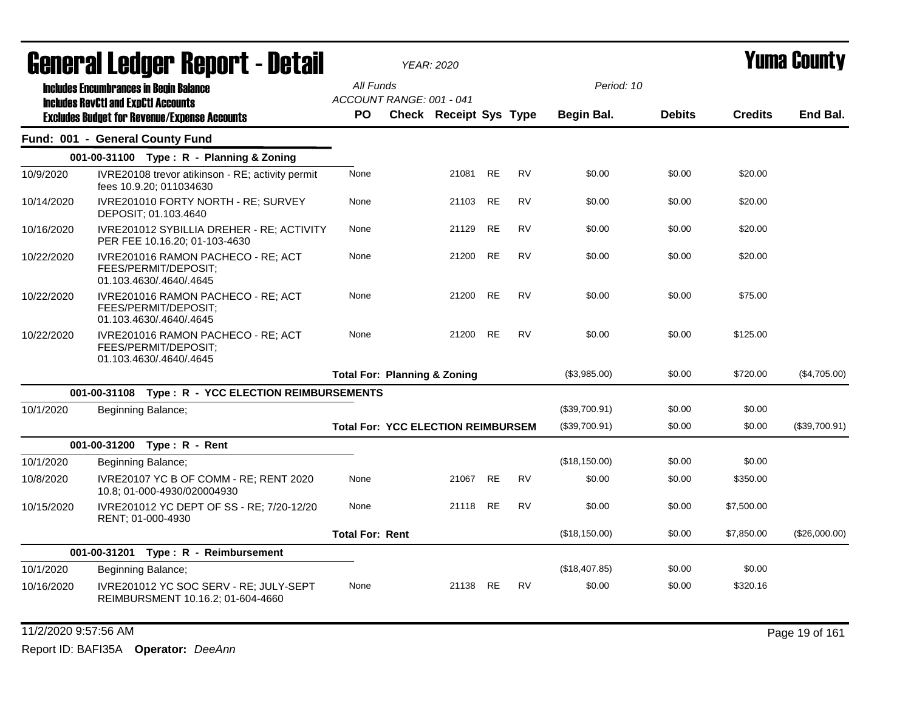|            | General Ledger Report - Detail                                                                    |                        | <b>YEAR: 2020</b>                         |          |                 |           |               |               |                | Yuma Countv   |
|------------|---------------------------------------------------------------------------------------------------|------------------------|-------------------------------------------|----------|-----------------|-----------|---------------|---------------|----------------|---------------|
|            | <b>Includes Encumbrances in Begin Balance</b>                                                     | All Funds              | ACCOUNT RANGE: 001 - 041                  |          |                 |           | Period: 10    |               |                |               |
|            | <b>Includes RevCtI and ExpCtI Accounts</b><br><b>Excludes Budget for Revenue/Expense Accounts</b> | PO.                    | <b>Check Receipt Sys Type</b>             |          |                 |           | Begin Bal.    | <b>Debits</b> | <b>Credits</b> | End Bal.      |
|            | Fund: 001 - General County Fund                                                                   |                        |                                           |          |                 |           |               |               |                |               |
|            | 001-00-31100 Type: R - Planning & Zoning                                                          |                        |                                           |          |                 |           |               |               |                |               |
| 10/9/2020  | IVRE20108 trevor atikinson - RE; activity permit<br>fees 10.9.20; 011034630                       | None                   |                                           | 21081 RE |                 | <b>RV</b> | \$0.00        | \$0.00        | \$20.00        |               |
| 10/14/2020 | IVRE201010 FORTY NORTH - RE; SURVEY<br>DEPOSIT; 01.103.4640                                       | None                   |                                           | 21103 RE |                 | <b>RV</b> | \$0.00        | \$0.00        | \$20.00        |               |
| 10/16/2020 | IVRE201012 SYBILLIA DREHER - RE; ACTIVITY<br>PER FEE 10.16.20; 01-103-4630                        | None                   |                                           | 21129    | <b>RE</b>       | <b>RV</b> | \$0.00        | \$0.00        | \$20.00        |               |
| 10/22/2020 | IVRE201016 RAMON PACHECO - RE; ACT<br>FEES/PERMIT/DEPOSIT:<br>01.103.4630/.4640/.4645             | None                   |                                           | 21200    | <b>RE</b>       | <b>RV</b> | \$0.00        | \$0.00        | \$20.00        |               |
| 10/22/2020 | IVRE201016 RAMON PACHECO - RE; ACT<br>FEES/PERMIT/DEPOSIT;<br>01.103.4630/.4640/.4645             | None                   |                                           | 21200    | <b>RE</b>       | <b>RV</b> | \$0.00        | \$0.00        | \$75.00        |               |
| 10/22/2020 | IVRE201016 RAMON PACHECO - RE; ACT<br>FEES/PERMIT/DEPOSIT:<br>01.103.4630/.4640/.4645             | None                   |                                           | 21200    | <b>RE</b>       | <b>RV</b> | \$0.00        | \$0.00        | \$125.00       |               |
|            |                                                                                                   |                        | <b>Total For: Planning &amp; Zoning</b>   |          |                 |           | (\$3,985.00)  | \$0.00        | \$720.00       | (\$4,705.00)  |
|            | 001-00-31108 Type: R - YCC ELECTION REIMBURSEMENTS                                                |                        |                                           |          |                 |           |               |               |                |               |
| 10/1/2020  | Beginning Balance;                                                                                |                        |                                           |          |                 |           | (\$39,700.91) | \$0.00        | \$0.00         |               |
|            |                                                                                                   |                        | <b>Total For: YCC ELECTION REIMBURSEM</b> |          |                 |           | (\$39,700.91) | \$0.00        | \$0.00         | (\$39,700.91) |
|            | 001-00-31200 Type: R - Rent                                                                       |                        |                                           |          |                 |           |               |               |                |               |
| 10/1/2020  | Beginning Balance;                                                                                |                        |                                           |          |                 |           | (\$18,150.00) | \$0.00        | \$0.00         |               |
| 10/8/2020  | IVRE20107 YC B OF COMM - RE; RENT 2020<br>10.8; 01-000-4930/020004930                             | None                   |                                           | 21067 RE |                 | <b>RV</b> | \$0.00        | \$0.00        | \$350.00       |               |
| 10/15/2020 | IVRE201012 YC DEPT OF SS - RE; 7/20-12/20<br>RENT: 01-000-4930                                    | None                   |                                           | 21118    | RE <sub>1</sub> | <b>RV</b> | \$0.00        | \$0.00        | \$7,500.00     |               |
|            |                                                                                                   | <b>Total For: Rent</b> |                                           |          |                 |           | (\$18,150.00) | \$0.00        | \$7,850.00     | (\$26,000.00) |
|            | 001-00-31201 Type: R - Reimbursement                                                              |                        |                                           |          |                 |           |               |               |                |               |
| 10/1/2020  | Beginning Balance;                                                                                |                        |                                           |          |                 |           | (\$18,407.85) | \$0.00        | \$0.00         |               |
| 10/16/2020 | IVRE201012 YC SOC SERV - RE; JULY-SEPT<br>REIMBURSMENT 10.16.2; 01-604-4660                       | None                   |                                           | 21138 RE |                 | <b>RV</b> | \$0.00        | \$0.00        | \$320.16       |               |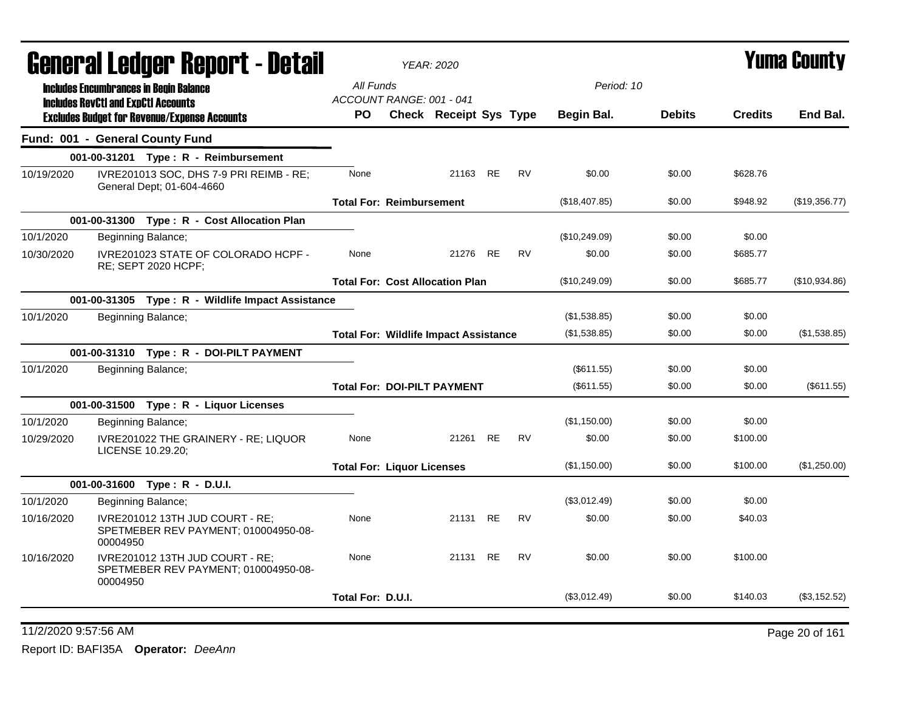|                                 |          | General Ledger Report - Detail                                          |                                              | <b>YEAR: 2020</b>      |           |           |                   |               |                | <b>Yuma County</b> |
|---------------------------------|----------|-------------------------------------------------------------------------|----------------------------------------------|------------------------|-----------|-----------|-------------------|---------------|----------------|--------------------|
|                                 |          | <b>Includes Encumbrances in Begin Balance</b>                           | All Funds                                    |                        |           |           | Period: 10        |               |                |                    |
|                                 |          | <b>Includes RevCtI and ExpCtI Accounts</b>                              | ACCOUNT RANGE: 001 - 041                     |                        |           |           |                   |               |                |                    |
|                                 |          | <b>Excludes Budget for Revenue/Expense Accounts</b>                     | PO.                                          | Check Receipt Sys Type |           |           | <b>Begin Bal.</b> | <b>Debits</b> | <b>Credits</b> | End Bal.           |
| Fund: 001 - General County Fund |          |                                                                         |                                              |                        |           |           |                   |               |                |                    |
|                                 |          | 001-00-31201 Type: R - Reimbursement                                    |                                              |                        |           |           |                   |               |                |                    |
| 10/19/2020                      |          | IVRE201013 SOC, DHS 7-9 PRI REIMB - RE;<br>General Dept; 01-604-4660    | None                                         | 21163 RE               |           | <b>RV</b> | \$0.00            | \$0.00        | \$628.76       |                    |
|                                 |          |                                                                         | <b>Total For: Reimbursement</b>              |                        |           |           | (\$18,407.85)     | \$0.00        | \$948.92       | (\$19,356.77)      |
|                                 |          | 001-00-31300 Type: R - Cost Allocation Plan                             |                                              |                        |           |           |                   |               |                |                    |
| 10/1/2020                       |          | Beginning Balance;                                                      |                                              |                        |           |           | (\$10,249.09)     | \$0.00        | \$0.00         |                    |
| 10/30/2020                      |          | IVRE201023 STATE OF COLORADO HCPF -<br>RE; SEPT 2020 HCPF;              | None                                         | 21276                  | <b>RE</b> | <b>RV</b> | \$0.00            | \$0.00        | \$685.77       |                    |
|                                 |          |                                                                         | <b>Total For: Cost Allocation Plan</b>       |                        |           |           | (\$10,249.09)     | \$0.00        | \$685.77       | (\$10,934.86)      |
|                                 |          | 001-00-31305 Type: R - Wildlife Impact Assistance                       |                                              |                        |           |           |                   |               |                |                    |
| 10/1/2020                       |          | Beginning Balance;                                                      |                                              |                        |           |           | (\$1,538.85)      | \$0.00        | \$0.00         |                    |
|                                 |          |                                                                         | <b>Total For: Wildlife Impact Assistance</b> |                        |           |           | (\$1,538.85)      | \$0.00        | \$0.00         | (\$1,538.85)       |
|                                 |          | 001-00-31310 Type: R - DOI-PILT PAYMENT                                 |                                              |                        |           |           |                   |               |                |                    |
| 10/1/2020                       |          | Beginning Balance;                                                      |                                              |                        |           |           | (\$611.55)        | \$0.00        | \$0.00         |                    |
|                                 |          |                                                                         | <b>Total For: DOI-PILT PAYMENT</b>           |                        |           |           | (\$611.55)        | \$0.00        | \$0.00         | (\$611.55)         |
|                                 |          | 001-00-31500 Type: R - Liquor Licenses                                  |                                              |                        |           |           |                   |               |                |                    |
| 10/1/2020                       |          | Beginning Balance;                                                      |                                              |                        |           |           | (\$1,150.00)      | \$0.00        | \$0.00         |                    |
| 10/29/2020                      |          | IVRE201022 THE GRAINERY - RE; LIQUOR<br>LICENSE 10.29.20;               | None                                         | 21261 RE               |           | <b>RV</b> | \$0.00            | \$0.00        | \$100.00       |                    |
|                                 |          |                                                                         | <b>Total For: Liquor Licenses</b>            |                        |           |           | (\$1,150.00)      | \$0.00        | \$100.00       | (\$1,250.00)       |
|                                 |          | 001-00-31600 Type: R - D.U.I.                                           |                                              |                        |           |           |                   |               |                |                    |
| 10/1/2020                       |          | Beginning Balance;                                                      |                                              |                        |           |           | (\$3,012.49)      | \$0.00        | \$0.00         |                    |
| 10/16/2020                      | 00004950 | IVRE201012 13TH JUD COURT - RE;<br>SPETMEBER REV PAYMENT; 010004950-08- | None                                         | 21131                  | <b>RE</b> | <b>RV</b> | \$0.00            | \$0.00        | \$40.03        |                    |
| 10/16/2020                      | 00004950 | IVRE201012 13TH JUD COURT - RE;<br>SPETMEBER REV PAYMENT; 010004950-08- | None                                         | 21131 RE               |           | <b>RV</b> | \$0.00            | \$0.00        | \$100.00       |                    |
|                                 |          |                                                                         | Total For: D.U.I.                            |                        |           |           | (\$3,012.49)      | \$0.00        | \$140.03       | (\$3,152.52)       |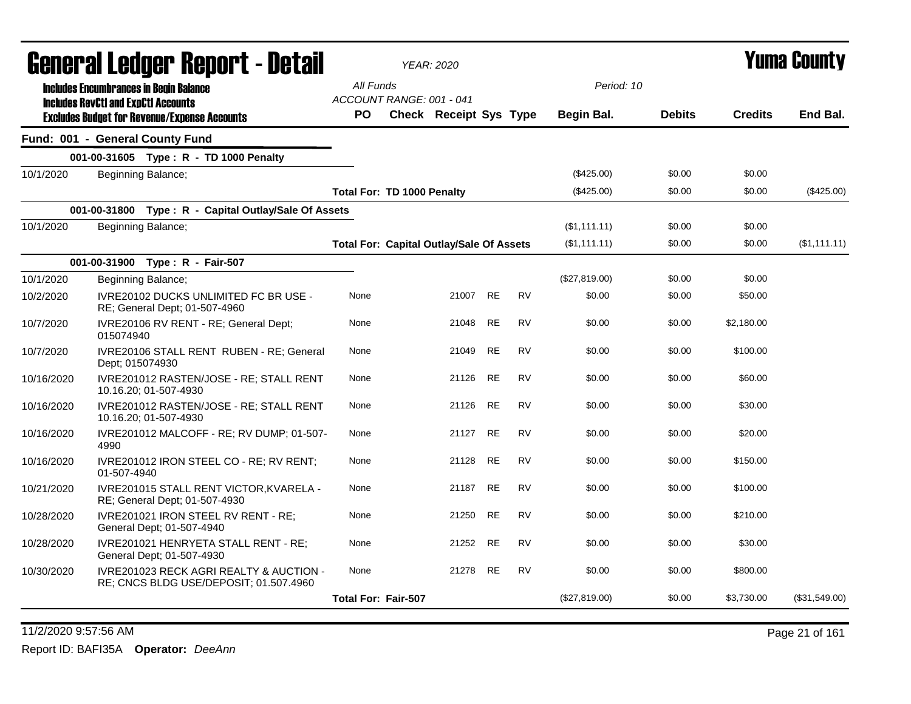|            | General Ledger Report - Detail                                                                    |                                                 | <b>YEAR: 2020</b>      |           |           |               |               |                | Yuma County   |
|------------|---------------------------------------------------------------------------------------------------|-------------------------------------------------|------------------------|-----------|-----------|---------------|---------------|----------------|---------------|
|            | <b>Includes Encumbrances in Begin Balance</b>                                                     | All Funds                                       |                        |           |           | Period: 10    |               |                |               |
|            | <b>Includes RevCtI and ExpCtI Accounts</b><br><b>Excludes Budget for Revenue/Expense Accounts</b> | ACCOUNT RANGE: 001 - 041<br>PO.                 | Check Receipt Sys Type |           |           | Begin Bal.    | <b>Debits</b> | <b>Credits</b> | End Bal.      |
|            | Fund: 001 - General County Fund                                                                   |                                                 |                        |           |           |               |               |                |               |
|            | 001-00-31605 Type: R - TD 1000 Penalty                                                            |                                                 |                        |           |           |               |               |                |               |
| 10/1/2020  | Beginning Balance;                                                                                |                                                 |                        |           |           | $(\$425.00)$  | \$0.00        | \$0.00         |               |
|            |                                                                                                   | Total For: TD 1000 Penalty                      |                        |           |           | (\$425.00)    | \$0.00        | \$0.00         | $(\$425.00)$  |
|            | 001-00-31800 Type: R - Capital Outlay/Sale Of Assets                                              |                                                 |                        |           |           |               |               |                |               |
| 10/1/2020  | Beginning Balance;                                                                                |                                                 |                        |           |           | (\$1,111.11)  | \$0.00        | \$0.00         |               |
|            |                                                                                                   | <b>Total For: Capital Outlay/Sale Of Assets</b> |                        |           |           | (\$1,111.11)  | \$0.00        | \$0.00         | (\$1,111.11)  |
|            | 001-00-31900 Type: R - Fair-507                                                                   |                                                 |                        |           |           |               |               |                |               |
| 10/1/2020  | Beginning Balance;                                                                                |                                                 |                        |           |           | (\$27,819.00) | \$0.00        | \$0.00         |               |
| 10/2/2020  | IVRE20102 DUCKS UNLIMITED FC BR USE -<br>RE; General Dept; 01-507-4960                            | None                                            | 21007 RE               |           | <b>RV</b> | \$0.00        | \$0.00        | \$50.00        |               |
| 10/7/2020  | IVRE20106 RV RENT - RE; General Dept;<br>015074940                                                | None                                            | 21048                  | RE        | <b>RV</b> | \$0.00        | \$0.00        | \$2,180.00     |               |
| 10/7/2020  | IVRE20106 STALL RENT RUBEN - RE; General<br>Dept; 015074930                                       | None                                            | 21049                  | <b>RE</b> | <b>RV</b> | \$0.00        | \$0.00        | \$100.00       |               |
| 10/16/2020 | IVRE201012 RASTEN/JOSE - RE; STALL RENT<br>10.16.20; 01-507-4930                                  | None                                            | 21126                  | <b>RE</b> | <b>RV</b> | \$0.00        | \$0.00        | \$60.00        |               |
| 10/16/2020 | IVRE201012 RASTEN/JOSE - RE; STALL RENT<br>10.16.20; 01-507-4930                                  | None                                            | 21126 RE               |           | <b>RV</b> | \$0.00        | \$0.00        | \$30.00        |               |
| 10/16/2020 | IVRE201012 MALCOFF - RE; RV DUMP; 01-507-<br>4990                                                 | None                                            | 21127                  | <b>RE</b> | <b>RV</b> | \$0.00        | \$0.00        | \$20.00        |               |
| 10/16/2020 | IVRE201012 IRON STEEL CO - RE; RV RENT;<br>01-507-4940                                            | None                                            | 21128                  | <b>RE</b> | <b>RV</b> | \$0.00        | \$0.00        | \$150.00       |               |
| 10/21/2020 | IVRE201015 STALL RENT VICTOR, KVARELA -<br>RE; General Dept; 01-507-4930                          | None                                            | 21187                  | <b>RE</b> | <b>RV</b> | \$0.00        | \$0.00        | \$100.00       |               |
| 10/28/2020 | IVRE201021 IRON STEEL RV RENT - RE;<br>General Dept: 01-507-4940                                  | None                                            | 21250                  | <b>RE</b> | <b>RV</b> | \$0.00        | \$0.00        | \$210.00       |               |
| 10/28/2020 | IVRE201021 HENRYETA STALL RENT - RE;<br>General Dept; 01-507-4930                                 | None                                            | 21252 RE               |           | <b>RV</b> | \$0.00        | \$0.00        | \$30.00        |               |
| 10/30/2020 | <b>IVRE201023 RECK AGRI REALTY &amp; AUCTION -</b><br>RE; CNCS BLDG USE/DEPOSIT; 01.507.4960      | None                                            | 21278 RE               |           | <b>RV</b> | \$0.00        | \$0.00        | \$800.00       |               |
|            |                                                                                                   | <b>Total For: Fair-507</b>                      |                        |           |           | (\$27,819.00) | \$0.00        | \$3,730.00     | (\$31,549.00) |

11/2/2020 9:57:56 AM Page 21 of 161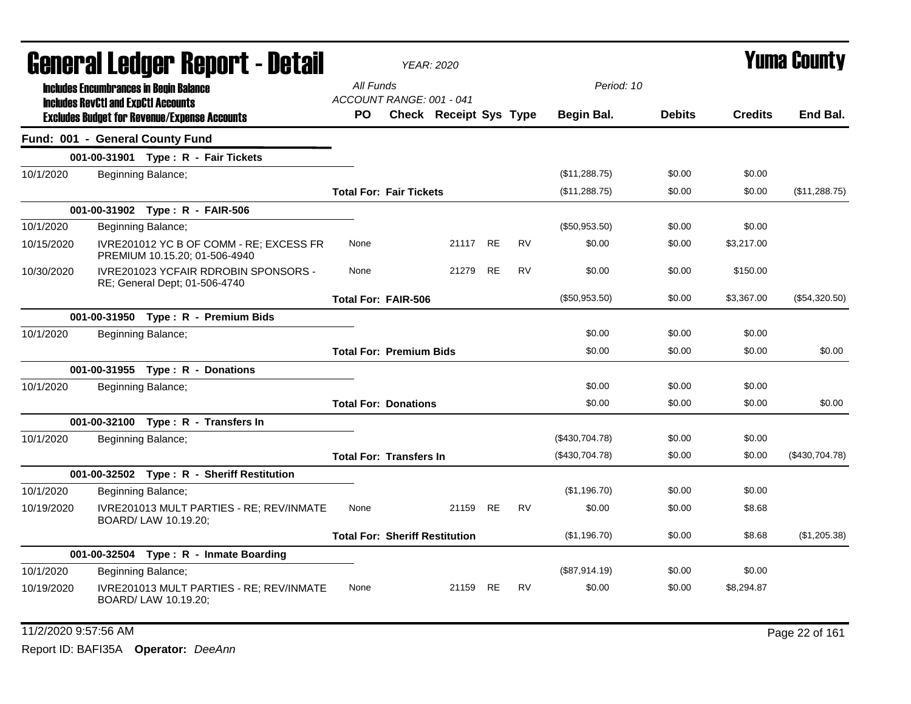|            |                                            | General Ledger Report - Detail                                           |                                       | <b>YEAR: 2020</b> |                        |           |           |                |               |                | <b>Yuma County</b> |
|------------|--------------------------------------------|--------------------------------------------------------------------------|---------------------------------------|-------------------|------------------------|-----------|-----------|----------------|---------------|----------------|--------------------|
|            |                                            | <b>Includes Encumbrances in Begin Balance</b>                            | All Funds<br>ACCOUNT RANGE: 001 - 041 |                   |                        |           |           | Period: 10     |               |                |                    |
|            | <b>Includes RevCtI and ExpCtI Accounts</b> | <b>Excludes Budget for Revenue/Expense Accounts</b>                      | PO.                                   |                   | Check Receipt Sys Type |           |           | Begin Bal.     | <b>Debits</b> | <b>Credits</b> | End Bal.           |
|            |                                            | Fund: 001 - General County Fund                                          |                                       |                   |                        |           |           |                |               |                |                    |
|            |                                            | 001-00-31901 Type: R - Fair Tickets                                      |                                       |                   |                        |           |           |                |               |                |                    |
| 10/1/2020  |                                            | Beginning Balance;                                                       |                                       |                   |                        |           |           | (\$11,288.75)  | \$0.00        | \$0.00         |                    |
|            |                                            |                                                                          | <b>Total For: Fair Tickets</b>        |                   |                        |           |           | (\$11,288.75)  | \$0.00        | \$0.00         | (\$11,288.75)      |
|            |                                            | 001-00-31902 Type: R - FAIR-506                                          |                                       |                   |                        |           |           |                |               |                |                    |
| 10/1/2020  |                                            | Beginning Balance;                                                       |                                       |                   |                        |           |           | (\$50,953.50)  | \$0.00        | \$0.00         |                    |
| 10/15/2020 |                                            | IVRE201012 YC B OF COMM - RE; EXCESS FR<br>PREMIUM 10.15.20; 01-506-4940 | None                                  |                   | 21117 RE               |           | <b>RV</b> | \$0.00         | \$0.00        | \$3,217.00     |                    |
| 10/30/2020 |                                            | IVRE201023 YCFAIR RDROBIN SPONSORS -<br>RE; General Dept; 01-506-4740    | None                                  |                   | 21279                  | <b>RE</b> | <b>RV</b> | \$0.00         | \$0.00        | \$150.00       |                    |
|            |                                            |                                                                          | <b>Total For: FAIR-506</b>            |                   |                        |           |           | (\$50,953.50)  | \$0.00        | \$3,367.00     | (\$54,320.50)      |
|            |                                            | 001-00-31950 Type: R - Premium Bids                                      |                                       |                   |                        |           |           |                |               |                |                    |
| 10/1/2020  |                                            | Beginning Balance;                                                       |                                       |                   |                        |           |           | \$0.00         | \$0.00        | \$0.00         |                    |
|            |                                            |                                                                          | <b>Total For: Premium Bids</b>        |                   |                        |           |           | \$0.00         | \$0.00        | \$0.00         | \$0.00             |
|            |                                            | 001-00-31955 Type: R - Donations                                         |                                       |                   |                        |           |           |                |               |                |                    |
| 10/1/2020  |                                            | Beginning Balance;                                                       |                                       |                   |                        |           |           | \$0.00         | \$0.00        | \$0.00         |                    |
|            |                                            |                                                                          | <b>Total For: Donations</b>           |                   |                        |           |           | \$0.00         | \$0.00        | \$0.00         | \$0.00             |
|            |                                            | 001-00-32100 Type: R - Transfers In                                      |                                       |                   |                        |           |           |                |               |                |                    |
| 10/1/2020  |                                            | Beginning Balance;                                                       |                                       |                   |                        |           |           | (\$430,704.78) | \$0.00        | \$0.00         |                    |
|            |                                            |                                                                          | <b>Total For: Transfers In</b>        |                   |                        |           |           | (\$430,704.78) | \$0.00        | \$0.00         | (\$430,704.78)     |
|            |                                            | 001-00-32502 Type: R - Sheriff Restitution                               |                                       |                   |                        |           |           |                |               |                |                    |
| 10/1/2020  |                                            | Beginning Balance;                                                       |                                       |                   |                        |           |           | (\$1,196.70)   | \$0.00        | \$0.00         |                    |
| 10/19/2020 |                                            | IVRE201013 MULT PARTIES - RE; REV/INMATE<br>BOARD/ LAW 10.19.20;         | None                                  |                   | 21159                  | RE        | <b>RV</b> | \$0.00         | \$0.00        | \$8.68         |                    |
|            |                                            |                                                                          | <b>Total For: Sheriff Restitution</b> |                   |                        |           |           | (\$1,196.70)   | \$0.00        | \$8.68         | (\$1,205.38)       |
|            |                                            | 001-00-32504 Type: R - Inmate Boarding                                   |                                       |                   |                        |           |           |                |               |                |                    |
| 10/1/2020  |                                            | Beginning Balance;                                                       |                                       |                   |                        |           |           | (\$87,914.19)  | \$0.00        | \$0.00         |                    |
| 10/19/2020 |                                            | IVRE201013 MULT PARTIES - RE; REV/INMATE<br>BOARD/ LAW 10.19.20;         | None                                  |                   | 21159 RE               |           | <b>RV</b> | \$0.00         | \$0.00        | \$8.294.87     |                    |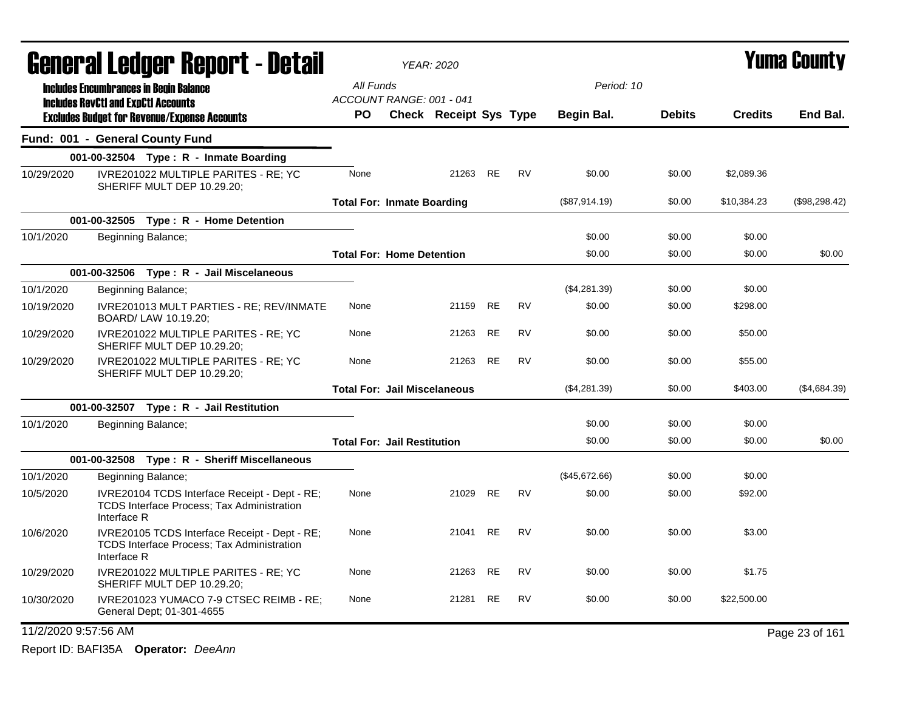|                      | <b>General Ledger Report - Detail</b>                                                                             |                                       | <b>YEAR: 2020</b>             |           |           |               |               |                | <b>Yuma County</b> |
|----------------------|-------------------------------------------------------------------------------------------------------------------|---------------------------------------|-------------------------------|-----------|-----------|---------------|---------------|----------------|--------------------|
|                      | <b>Includes Encumbrances in Begin Balance</b>                                                                     | All Funds                             |                               |           |           | Period: 10    |               |                |                    |
|                      | <b>Includes RevCtI and ExpCtI Accounts</b><br><b>Excludes Budget for Revenue/Expense Accounts</b>                 | ACCOUNT RANGE: 001 - 041<br><b>PO</b> | <b>Check Receipt Sys Type</b> |           |           | Begin Bal.    | <b>Debits</b> | <b>Credits</b> | End Bal.           |
|                      | Fund: 001 - General County Fund                                                                                   |                                       |                               |           |           |               |               |                |                    |
|                      | 001-00-32504 Type: $R -$ Inmate Boarding                                                                          |                                       |                               |           |           |               |               |                |                    |
| 10/29/2020           | IVRE201022 MULTIPLE PARITES - RE; YC<br>SHERIFF MULT DEP 10.29.20;                                                | None                                  | 21263 RE                      |           | <b>RV</b> | \$0.00        | \$0.00        | \$2,089.36     |                    |
|                      |                                                                                                                   | <b>Total For: Inmate Boarding</b>     |                               |           |           | (\$87,914.19) | \$0.00        | \$10,384.23    | (\$98,298.42)      |
|                      | 001-00-32505    Type: R - Home Detention                                                                          |                                       |                               |           |           |               |               |                |                    |
| 10/1/2020            | Beginning Balance;                                                                                                |                                       |                               |           |           | \$0.00        | \$0.00        | \$0.00         |                    |
|                      |                                                                                                                   | <b>Total For: Home Detention</b>      |                               |           |           | \$0.00        | \$0.00        | \$0.00         | \$0.00             |
|                      | 001-00-32506 Type: R - Jail Miscelaneous                                                                          |                                       |                               |           |           |               |               |                |                    |
| 10/1/2020            | Beginning Balance;                                                                                                |                                       |                               |           |           | (\$4,281.39)  | \$0.00        | \$0.00         |                    |
| 10/19/2020           | IVRE201013 MULT PARTIES - RE; REV/INMATE<br>BOARD/ LAW 10.19.20;                                                  | None                                  | 21159                         | <b>RE</b> | <b>RV</b> | \$0.00        | \$0.00        | \$298.00       |                    |
| 10/29/2020           | IVRE201022 MULTIPLE PARITES - RE; YC<br>SHERIFF MULT DEP 10.29.20;                                                | None                                  | 21263                         | <b>RE</b> | <b>RV</b> | \$0.00        | \$0.00        | \$50.00        |                    |
| 10/29/2020           | IVRE201022 MULTIPLE PARITES - RE; YC<br>SHERIFF MULT DEP 10.29.20;                                                | None                                  | 21263                         | RE        | <b>RV</b> | \$0.00        | \$0.00        | \$55.00        |                    |
|                      |                                                                                                                   | <b>Total For: Jail Miscelaneous</b>   |                               |           |           | (\$4,281.39)  | \$0.00        | \$403.00       | (\$4,684.39)       |
|                      | 001-00-32507 Type: R - Jail Restitution                                                                           |                                       |                               |           |           |               |               |                |                    |
| 10/1/2020            | Beginning Balance;                                                                                                |                                       |                               |           |           | \$0.00        | \$0.00        | \$0.00         |                    |
|                      |                                                                                                                   | <b>Total For: Jail Restitution</b>    |                               |           |           | \$0.00        | \$0.00        | \$0.00         | \$0.00             |
|                      | 001-00-32508 Type: R - Sheriff Miscellaneous                                                                      |                                       |                               |           |           |               |               |                |                    |
| 10/1/2020            | Beginning Balance;                                                                                                |                                       |                               |           |           | (\$45,672.66) | \$0.00        | \$0.00         |                    |
| 10/5/2020            | IVRE20104 TCDS Interface Receipt - Dept - RE;<br><b>TCDS Interface Process: Tax Administration</b><br>Interface R | None                                  | 21029                         | <b>RE</b> | <b>RV</b> | \$0.00        | \$0.00        | \$92.00        |                    |
| 10/6/2020            | IVRE20105 TCDS Interface Receipt - Dept - RE;<br><b>TCDS Interface Process: Tax Administration</b><br>Interface R | None                                  | 21041 RE                      |           | <b>RV</b> | \$0.00        | \$0.00        | \$3.00         |                    |
| 10/29/2020           | IVRE201022 MULTIPLE PARITES - RE; YC<br>SHERIFF MULT DEP 10.29.20;                                                | None                                  | 21263 RE                      |           | RV        | \$0.00        | \$0.00        | \$1.75         |                    |
| 10/30/2020           | IVRE201023 YUMACO 7-9 CTSEC REIMB - RE;<br>General Dept; 01-301-4655                                              | None                                  | 21281                         | <b>RE</b> | <b>RV</b> | \$0.00        | \$0.00        | \$22,500.00    |                    |
| 11/2/2020 9:57:56 AM |                                                                                                                   |                                       |                               |           |           |               |               |                | Page 23 of 161     |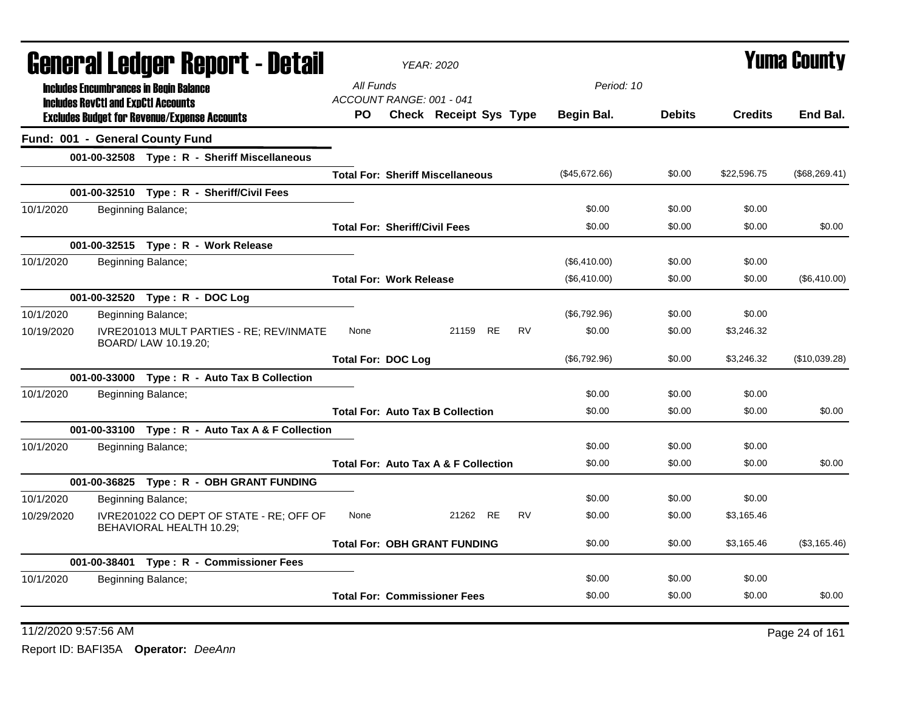|            |                                            | General Ledger Report - Detail                                       |                           | <b>YEAR: 2020</b>                               |          |           |               |               |                | Yuma County   |
|------------|--------------------------------------------|----------------------------------------------------------------------|---------------------------|-------------------------------------------------|----------|-----------|---------------|---------------|----------------|---------------|
|            |                                            | <b>Includes Encumbrances in Begin Balance</b>                        | All Funds                 |                                                 |          |           | Period: 10    |               |                |               |
|            | <b>Includes RevCtI and ExpCtI Accounts</b> |                                                                      |                           | ACCOUNT RANGE: 001 - 041                        |          |           |               |               |                |               |
|            |                                            | <b>Excludes Budget for Revenue/Expense Accounts</b>                  | PO.                       | <b>Check Receipt Sys Type</b>                   |          |           | Begin Bal.    | <b>Debits</b> | <b>Credits</b> | End Bal.      |
|            |                                            | Fund: 001 - General County Fund                                      |                           |                                                 |          |           |               |               |                |               |
|            |                                            | 001-00-32508 Type: R - Sheriff Miscellaneous                         |                           |                                                 |          |           |               |               |                |               |
|            |                                            |                                                                      |                           | <b>Total For: Sheriff Miscellaneous</b>         |          |           | (\$45,672.66) | \$0.00        | \$22,596.75    | (\$68,269.41) |
|            |                                            | 001-00-32510 Type: R - Sheriff/Civil Fees                            |                           |                                                 |          |           |               |               |                |               |
| 10/1/2020  |                                            | Beginning Balance;                                                   |                           |                                                 |          |           | \$0.00        | \$0.00        | \$0.00         |               |
|            |                                            |                                                                      |                           | <b>Total For: Sheriff/Civil Fees</b>            |          |           | \$0.00        | \$0.00        | \$0.00         | \$0.00        |
|            |                                            | 001-00-32515 Type: R - Work Release                                  |                           |                                                 |          |           |               |               |                |               |
| 10/1/2020  |                                            | Beginning Balance;                                                   |                           |                                                 |          |           | (\$6,410.00)  | \$0.00        | \$0.00         |               |
|            |                                            |                                                                      |                           | <b>Total For: Work Release</b>                  |          |           | (\$6,410.00)  | \$0.00        | \$0.00         | (\$6,410.00)  |
|            |                                            | 001-00-32520 Type: R - DOC Log                                       |                           |                                                 |          |           |               |               |                |               |
| 10/1/2020  |                                            | Beginning Balance;                                                   |                           |                                                 |          |           | (\$6,792.96)  | \$0.00        | \$0.00         |               |
| 10/19/2020 |                                            | IVRE201013 MULT PARTIES - RE; REV/INMATE<br>BOARD/ LAW 10.19.20;     | None                      |                                                 | 21159 RE | RV        | \$0.00        | \$0.00        | \$3,246.32     |               |
|            |                                            |                                                                      | <b>Total For: DOC Log</b> |                                                 |          |           | (\$6,792.96)  | \$0.00        | \$3,246.32     | (\$10,039.28) |
|            |                                            | 001-00-33000 Type: R - Auto Tax B Collection                         |                           |                                                 |          |           |               |               |                |               |
| 10/1/2020  |                                            | Beginning Balance;                                                   |                           |                                                 |          |           | \$0.00        | \$0.00        | \$0.00         |               |
|            |                                            |                                                                      |                           | <b>Total For: Auto Tax B Collection</b>         |          |           | \$0.00        | \$0.00        | \$0.00         | \$0.00        |
|            |                                            | 001-00-33100 Type: R - Auto Tax A & F Collection                     |                           |                                                 |          |           |               |               |                |               |
| 10/1/2020  |                                            | Beginning Balance;                                                   |                           |                                                 |          |           | \$0.00        | \$0.00        | \$0.00         |               |
|            |                                            |                                                                      |                           | <b>Total For: Auto Tax A &amp; F Collection</b> |          |           | \$0.00        | \$0.00        | \$0.00         | \$0.00        |
|            |                                            | 001-00-36825 Type: R - OBH GRANT FUNDING                             |                           |                                                 |          |           |               |               |                |               |
| 10/1/2020  |                                            | Beginning Balance;                                                   |                           |                                                 |          |           | \$0.00        | \$0.00        | \$0.00         |               |
| 10/29/2020 |                                            | IVRE201022 CO DEPT OF STATE - RE; OFF OF<br>BEHAVIORAL HEALTH 10.29; | None                      |                                                 | 21262 RE | <b>RV</b> | \$0.00        | \$0.00        | \$3,165.46     |               |
|            |                                            |                                                                      |                           | <b>Total For: OBH GRANT FUNDING</b>             |          |           | \$0.00        | \$0.00        | \$3,165.46     | (\$3,165.46)  |
|            |                                            | 001-00-38401 Type: R - Commissioner Fees                             |                           |                                                 |          |           |               |               |                |               |
| 10/1/2020  |                                            | Beginning Balance;                                                   |                           |                                                 |          |           | \$0.00        | \$0.00        | \$0.00         |               |
|            |                                            |                                                                      |                           | <b>Total For: Commissioner Fees</b>             |          |           | \$0.00        | \$0.00        | \$0.00         | \$0.00        |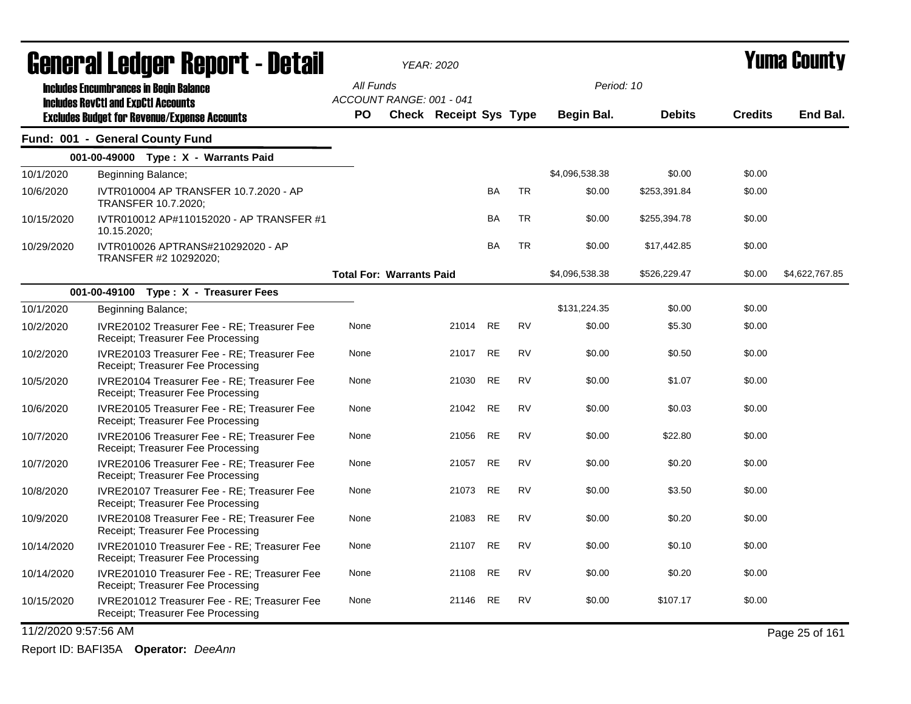|                      | General Ledger Report - Detail                                                                    |                                       | <b>YEAR: 2020</b>             |           | Period: 10 |                   |               | <b>Yuma County</b> |                |
|----------------------|---------------------------------------------------------------------------------------------------|---------------------------------------|-------------------------------|-----------|------------|-------------------|---------------|--------------------|----------------|
|                      | <b>Includes Encumbrances in Begin Balance</b>                                                     | All Funds                             |                               |           |            |                   |               |                    |                |
|                      | <b>Includes RevCtI and ExpCtI Accounts</b><br><b>Excludes Budget for Revenue/Expense Accounts</b> | ACCOUNT RANGE: 001 - 041<br><b>PO</b> | <b>Check Receipt Sys Type</b> |           |            | <b>Begin Bal.</b> | <b>Debits</b> | <b>Credits</b>     | End Bal.       |
|                      | Fund: 001 - General County Fund                                                                   |                                       |                               |           |            |                   |               |                    |                |
|                      | 001-00-49000 Type: X - Warrants Paid                                                              |                                       |                               |           |            |                   |               |                    |                |
| 10/1/2020            | Beginning Balance;                                                                                |                                       |                               |           |            | \$4,096,538.38    | \$0.00        | \$0.00             |                |
| 10/6/2020            | IVTR010004 AP TRANSFER 10.7.2020 - AP<br>TRANSFER 10.7.2020;                                      |                                       |                               | <b>BA</b> | <b>TR</b>  | \$0.00            | \$253,391.84  | \$0.00             |                |
| 10/15/2020           | IVTR010012 AP#110152020 - AP TRANSFER #1<br>10.15.2020;                                           |                                       |                               | <b>BA</b> | <b>TR</b>  | \$0.00            | \$255,394.78  | \$0.00             |                |
| 10/29/2020           | IVTR010026 APTRANS#210292020 - AP<br>TRANSFER #2 10292020;                                        |                                       |                               | <b>BA</b> | <b>TR</b>  | \$0.00            | \$17,442.85   | \$0.00             |                |
|                      |                                                                                                   | <b>Total For: Warrants Paid</b>       |                               |           |            | \$4,096,538.38    | \$526,229.47  | \$0.00             | \$4,622,767.85 |
|                      | 001-00-49100 Type: X - Treasurer Fees                                                             |                                       |                               |           |            |                   |               |                    |                |
| 10/1/2020            | Beginning Balance;                                                                                |                                       |                               |           |            | \$131,224.35      | \$0.00        | \$0.00             |                |
| 10/2/2020            | IVRE20102 Treasurer Fee - RE; Treasurer Fee<br>Receipt; Treasurer Fee Processing                  | None                                  | 21014                         | <b>RE</b> | <b>RV</b>  | \$0.00            | \$5.30        | \$0.00             |                |
| 10/2/2020            | IVRE20103 Treasurer Fee - RE; Treasurer Fee<br>Receipt; Treasurer Fee Processing                  | None                                  | 21017                         | <b>RE</b> | <b>RV</b>  | \$0.00            | \$0.50        | \$0.00             |                |
| 10/5/2020            | IVRE20104 Treasurer Fee - RE; Treasurer Fee<br>Receipt; Treasurer Fee Processing                  | None                                  | 21030                         | <b>RE</b> | <b>RV</b>  | \$0.00            | \$1.07        | \$0.00             |                |
| 10/6/2020            | IVRE20105 Treasurer Fee - RE; Treasurer Fee<br>Receipt; Treasurer Fee Processing                  | None                                  | 21042                         | <b>RE</b> | <b>RV</b>  | \$0.00            | \$0.03        | \$0.00             |                |
| 10/7/2020            | IVRE20106 Treasurer Fee - RE; Treasurer Fee<br>Receipt; Treasurer Fee Processing                  | None                                  | 21056                         | RE        | <b>RV</b>  | \$0.00            | \$22.80       | \$0.00             |                |
| 10/7/2020            | IVRE20106 Treasurer Fee - RE; Treasurer Fee<br>Receipt; Treasurer Fee Processing                  | None                                  | 21057                         | <b>RE</b> | <b>RV</b>  | \$0.00            | \$0.20        | \$0.00             |                |
| 10/8/2020            | IVRE20107 Treasurer Fee - RE; Treasurer Fee<br>Receipt; Treasurer Fee Processing                  | None                                  | 21073                         | <b>RE</b> | <b>RV</b>  | \$0.00            | \$3.50        | \$0.00             |                |
| 10/9/2020            | IVRE20108 Treasurer Fee - RE: Treasurer Fee<br>Receipt; Treasurer Fee Processing                  | None                                  | 21083                         | RE        | <b>RV</b>  | \$0.00            | \$0.20        | \$0.00             |                |
| 10/14/2020           | IVRE201010 Treasurer Fee - RE; Treasurer Fee<br>Receipt; Treasurer Fee Processing                 | None                                  | 21107                         | <b>RE</b> | <b>RV</b>  | \$0.00            | \$0.10        | \$0.00             |                |
| 10/14/2020           | IVRE201010 Treasurer Fee - RE; Treasurer Fee<br>Receipt: Treasurer Fee Processing                 | None                                  | 21108                         | <b>RE</b> | <b>RV</b>  | \$0.00            | \$0.20        | \$0.00             |                |
| 10/15/2020           | IVRE201012 Treasurer Fee - RE; Treasurer Fee<br>Receipt; Treasurer Fee Processing                 | None                                  | 21146                         | <b>RE</b> | <b>RV</b>  | \$0.00            | \$107.17      | \$0.00             |                |
| 11/2/2020 9:57:56 AM |                                                                                                   |                                       |                               |           |            |                   |               |                    | Page 25 of 161 |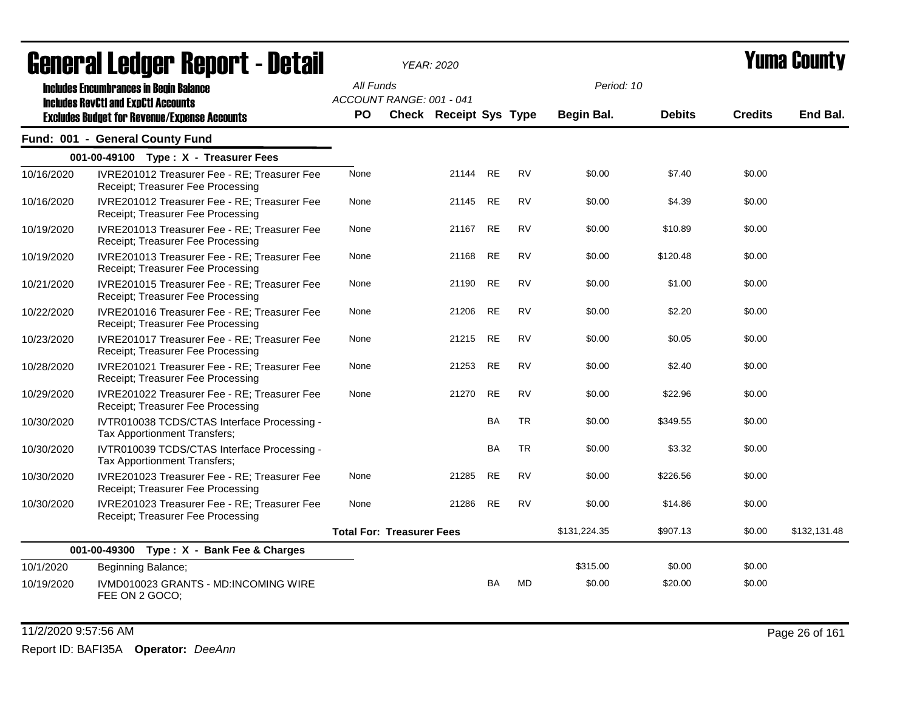|            | UGIIGI AI LGUYGI  Ilgµvi  l <sup>-</sup> Dglaii                                             |           | YEAR: ZUZU                       |           |           |              |               |                | I UMU VVUN LY |
|------------|---------------------------------------------------------------------------------------------|-----------|----------------------------------|-----------|-----------|--------------|---------------|----------------|---------------|
|            | <b>Includes Encumbrances in Begin Balance</b><br><b>Includes RevCtI and ExpCtI Accounts</b> | All Funds | ACCOUNT RANGE: 001 - 041         |           |           | Period: 10   |               |                |               |
|            | <b>Excludes Budget for Revenue/Expense Accounts</b>                                         | <b>PO</b> | Check Receipt Sys Type           |           |           | Begin Bal.   | <b>Debits</b> | <b>Credits</b> | End Bal.      |
|            | Fund: 001 - General County Fund                                                             |           |                                  |           |           |              |               |                |               |
|            | 001-00-49100 Type: X - Treasurer Fees                                                       |           |                                  |           |           |              |               |                |               |
| 10/16/2020 | IVRE201012 Treasurer Fee - RE: Treasurer Fee<br>Receipt; Treasurer Fee Processing           | None      | 21144 RE                         |           | <b>RV</b> | \$0.00       | \$7.40        | \$0.00         |               |
| 10/16/2020 | IVRE201012 Treasurer Fee - RE; Treasurer Fee<br>Receipt; Treasurer Fee Processing           | None      | 21145                            | <b>RE</b> | <b>RV</b> | \$0.00       | \$4.39        | \$0.00         |               |
| 10/19/2020 | IVRE201013 Treasurer Fee - RE; Treasurer Fee<br>Receipt; Treasurer Fee Processing           | None      | 21167                            | <b>RE</b> | <b>RV</b> | \$0.00       | \$10.89       | \$0.00         |               |
| 10/19/2020 | IVRE201013 Treasurer Fee - RE; Treasurer Fee<br>Receipt; Treasurer Fee Processing           | None      | 21168                            | <b>RE</b> | <b>RV</b> | \$0.00       | \$120.48      | \$0.00         |               |
| 10/21/2020 | IVRE201015 Treasurer Fee - RE; Treasurer Fee<br>Receipt; Treasurer Fee Processing           | None      | 21190                            | <b>RE</b> | <b>RV</b> | \$0.00       | \$1.00        | \$0.00         |               |
| 10/22/2020 | IVRE201016 Treasurer Fee - RE; Treasurer Fee<br>Receipt; Treasurer Fee Processing           | None      | 21206                            | <b>RE</b> | <b>RV</b> | \$0.00       | \$2.20        | \$0.00         |               |
| 10/23/2020 | IVRE201017 Treasurer Fee - RE; Treasurer Fee<br>Receipt; Treasurer Fee Processing           | None      | 21215                            | <b>RE</b> | <b>RV</b> | \$0.00       | \$0.05        | \$0.00         |               |
| 10/28/2020 | IVRE201021 Treasurer Fee - RE: Treasurer Fee<br>Receipt; Treasurer Fee Processing           | None      | 21253                            | <b>RE</b> | <b>RV</b> | \$0.00       | \$2.40        | \$0.00         |               |
| 10/29/2020 | IVRE201022 Treasurer Fee - RE; Treasurer Fee<br>Receipt; Treasurer Fee Processing           | None      | 21270                            | <b>RE</b> | <b>RV</b> | \$0.00       | \$22.96       | \$0.00         |               |
| 10/30/2020 | IVTR010038 TCDS/CTAS Interface Processing -<br>Tax Apportionment Transfers;                 |           |                                  | <b>BA</b> | <b>TR</b> | \$0.00       | \$349.55      | \$0.00         |               |
| 10/30/2020 | IVTR010039 TCDS/CTAS Interface Processing -<br>Tax Apportionment Transfers;                 |           |                                  | <b>BA</b> | <b>TR</b> | \$0.00       | \$3.32        | \$0.00         |               |
| 10/30/2020 | IVRE201023 Treasurer Fee - RE; Treasurer Fee<br>Receipt; Treasurer Fee Processing           | None      | 21285                            | <b>RE</b> | <b>RV</b> | \$0.00       | \$226.56      | \$0.00         |               |
| 10/30/2020 | IVRE201023 Treasurer Fee - RE; Treasurer Fee<br>Receipt; Treasurer Fee Processing           | None      | 21286                            | <b>RE</b> | <b>RV</b> | \$0.00       | \$14.86       | \$0.00         |               |
|            |                                                                                             |           | <b>Total For: Treasurer Fees</b> |           |           | \$131,224.35 | \$907.13      | \$0.00         | \$132,131.48  |
|            | 001-00-49300 Type: X - Bank Fee & Charges                                                   |           |                                  |           |           |              |               |                |               |
| 10/1/2020  | Beginning Balance;                                                                          |           |                                  |           |           | \$315.00     | \$0.00        | \$0.00         |               |
| 10/19/2020 | IVMD010023 GRANTS - MD:INCOMING WIRE<br>FEE ON 2 GOCO;                                      |           |                                  | BA        | <b>MD</b> | \$0.00       | \$20.00       | \$0.00         |               |

11/2/2020 9:57:56 AM Page 26 of 161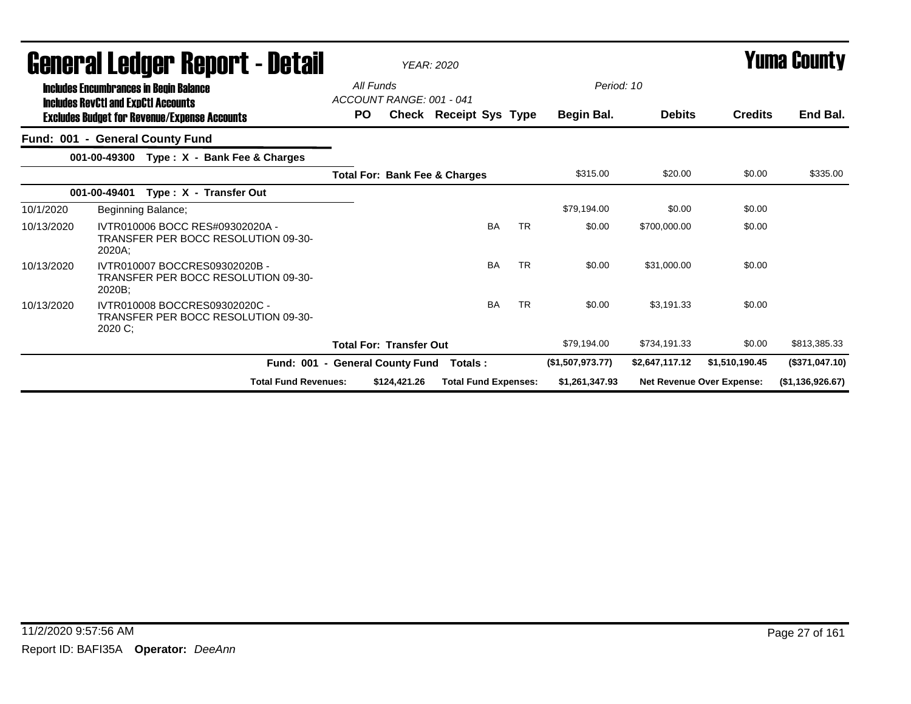| General Ledger Report - Detail |                                                                                             |                                 | <b>YEAR: 2020</b>              |                                          |           |                          | <b>Yuma County</b> |                                  |                  |
|--------------------------------|---------------------------------------------------------------------------------------------|---------------------------------|--------------------------------|------------------------------------------|-----------|--------------------------|--------------------|----------------------------------|------------------|
|                                | <b>Includes Encumbrances in Begin Balance</b><br><b>Includes RevCtI and ExpCtI Accounts</b> | All Funds<br>PO.                | ACCOUNT RANGE: 001 - 041       | <b>Check Receipt Sys Type</b>            |           | Period: 10<br>Begin Bal. | <b>Debits</b>      | <b>Credits</b>                   | End Bal.         |
|                                | <b>Excludes Budget for Revenue/Expense Accounts</b><br>Fund: 001 - General County Fund      |                                 |                                |                                          |           |                          |                    |                                  |                  |
|                                | 001-00-49300<br>Type: X - Bank Fee & Charges                                                |                                 |                                |                                          |           |                          |                    |                                  |                  |
|                                |                                                                                             |                                 |                                | <b>Total For: Bank Fee &amp; Charges</b> |           | \$315.00                 | \$20.00            | \$0.00                           | \$335.00         |
|                                | Type: X - Transfer Out<br>001-00-49401                                                      |                                 |                                |                                          |           |                          |                    |                                  |                  |
| 10/1/2020                      | Beginning Balance;                                                                          |                                 |                                |                                          |           | \$79,194.00              | \$0.00             | \$0.00                           |                  |
| 10/13/2020                     | IVTR010006 BOCC RES#09302020A -<br>TRANSFER PER BOCC RESOLUTION 09-30-<br>2020A:            |                                 |                                | <b>BA</b>                                | <b>TR</b> | \$0.00                   | \$700.000.00       | \$0.00                           |                  |
| 10/13/2020                     | IVTR010007 BOCCRES09302020B -<br>TRANSFER PER BOCC RESOLUTION 09-30-<br>2020B;              |                                 |                                | <b>BA</b>                                | <b>TR</b> | \$0.00                   | \$31,000.00        | \$0.00                           |                  |
| 10/13/2020                     | IVTR010008 BOCCRES09302020C -<br>TRANSFER PER BOCC RESOLUTION 09-30-<br>2020 C;             |                                 |                                | <b>BA</b>                                | <b>TR</b> | \$0.00                   | \$3.191.33         | \$0.00                           |                  |
|                                |                                                                                             |                                 | <b>Total For: Transfer Out</b> |                                          |           | \$79,194.00              | \$734,191.33       | \$0.00                           | \$813,385.33     |
|                                |                                                                                             | Fund: 001 - General County Fund |                                | Totals :                                 |           | (\$1,507,973.77)         | \$2,647,117.12     | \$1,510,190.45                   | (\$371,047.10)   |
|                                | <b>Total Fund Revenues:</b>                                                                 |                                 | \$124,421.26                   | <b>Total Fund Expenses:</b>              |           | \$1,261,347.93           |                    | <b>Net Revenue Over Expense:</b> | (\$1,136,926.67) |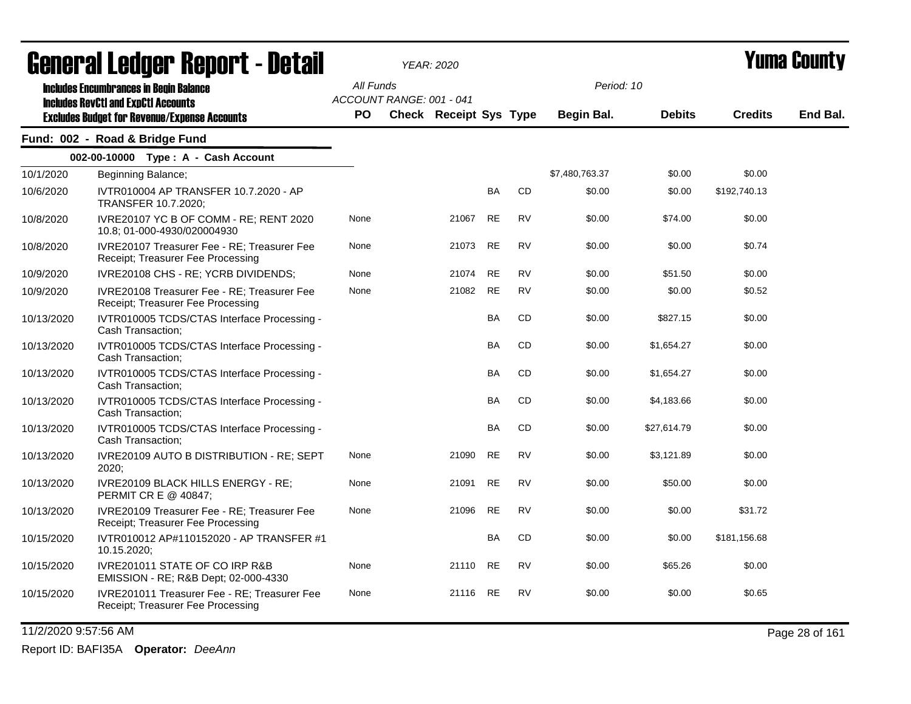|            | Generai Leuger Keport - Detail                                                                                                                     |                        |                          | <b>YEAR: 2020</b>             |           |           |                                 |               |                | Y UIII'd GUUIILY |
|------------|----------------------------------------------------------------------------------------------------------------------------------------------------|------------------------|--------------------------|-------------------------------|-----------|-----------|---------------------------------|---------------|----------------|------------------|
|            | <b>Includes Encumbrances in Begin Balance</b><br><b>Includes RevCtI and ExpCtI Accounts</b><br><b>Excludes Budget for Revenue/Expense Accounts</b> | All Funds<br><b>PO</b> | ACCOUNT RANGE: 001 - 041 | <b>Check Receipt Sys Type</b> |           |           | Period: 10<br><b>Begin Bal.</b> | <b>Debits</b> | <b>Credits</b> | End Bal.         |
|            | Fund: 002 - Road & Bridge Fund                                                                                                                     |                        |                          |                               |           |           |                                 |               |                |                  |
|            | 002-00-10000 Type: A - Cash Account                                                                                                                |                        |                          |                               |           |           |                                 |               |                |                  |
| 10/1/2020  | Beginning Balance;                                                                                                                                 |                        |                          |                               |           |           | \$7,480,763.37                  | \$0.00        | \$0.00         |                  |
| 10/6/2020  | IVTR010004 AP TRANSFER 10.7.2020 - AP<br>TRANSFER 10.7.2020;                                                                                       |                        |                          |                               | BA        | <b>CD</b> | \$0.00                          | \$0.00        | \$192,740.13   |                  |
| 10/8/2020  | IVRE20107 YC B OF COMM - RE; RENT 2020<br>10.8; 01-000-4930/020004930                                                                              | None                   |                          | 21067                         | <b>RE</b> | <b>RV</b> | \$0.00                          | \$74.00       | \$0.00         |                  |
| 10/8/2020  | IVRE20107 Treasurer Fee - RE; Treasurer Fee<br>Receipt; Treasurer Fee Processing                                                                   | None                   |                          | 21073                         | <b>RE</b> | <b>RV</b> | \$0.00                          | \$0.00        | \$0.74         |                  |
| 10/9/2020  | IVRE20108 CHS - RE; YCRB DIVIDENDS;                                                                                                                | None                   |                          | 21074                         | <b>RE</b> | <b>RV</b> | \$0.00                          | \$51.50       | \$0.00         |                  |
| 10/9/2020  | IVRE20108 Treasurer Fee - RE; Treasurer Fee<br>Receipt; Treasurer Fee Processing                                                                   | None                   |                          | 21082                         | <b>RE</b> | <b>RV</b> | \$0.00                          | \$0.00        | \$0.52         |                  |
| 10/13/2020 | IVTR010005 TCDS/CTAS Interface Processing -<br>Cash Transaction;                                                                                   |                        |                          |                               | <b>BA</b> | CD        | \$0.00                          | \$827.15      | \$0.00         |                  |
| 10/13/2020 | IVTR010005 TCDS/CTAS Interface Processing -<br>Cash Transaction;                                                                                   |                        |                          |                               | <b>BA</b> | <b>CD</b> | \$0.00                          | \$1,654.27    | \$0.00         |                  |
| 10/13/2020 | IVTR010005 TCDS/CTAS Interface Processing -<br>Cash Transaction;                                                                                   |                        |                          |                               | BA        | <b>CD</b> | \$0.00                          | \$1,654.27    | \$0.00         |                  |
| 10/13/2020 | IVTR010005 TCDS/CTAS Interface Processing -<br>Cash Transaction;                                                                                   |                        |                          |                               | BA        | <b>CD</b> | \$0.00                          | \$4,183.66    | \$0.00         |                  |
| 10/13/2020 | IVTR010005 TCDS/CTAS Interface Processing -<br>Cash Transaction;                                                                                   |                        |                          |                               | <b>BA</b> | CD        | \$0.00                          | \$27,614.79   | \$0.00         |                  |
| 10/13/2020 | IVRE20109 AUTO B DISTRIBUTION - RE; SEPT<br>2020;                                                                                                  | None                   |                          | 21090                         | <b>RE</b> | <b>RV</b> | \$0.00                          | \$3,121.89    | \$0.00         |                  |
| 10/13/2020 | IVRE20109 BLACK HILLS ENERGY - RE;<br>PERMIT CR E @ 40847;                                                                                         | None                   |                          | 21091                         | <b>RE</b> | <b>RV</b> | \$0.00                          | \$50.00       | \$0.00         |                  |
| 10/13/2020 | IVRE20109 Treasurer Fee - RE; Treasurer Fee<br>Receipt; Treasurer Fee Processing                                                                   | None                   |                          | 21096                         | <b>RE</b> | <b>RV</b> | \$0.00                          | \$0.00        | \$31.72        |                  |
| 10/15/2020 | IVTR010012 AP#110152020 - AP TRANSFER #1<br>10.15.2020;                                                                                            |                        |                          |                               | BA        | CD        | \$0.00                          | \$0.00        | \$181,156.68   |                  |
| 10/15/2020 | IVRE201011 STATE OF CO IRP R&B<br>EMISSION - RE; R&B Dept; 02-000-4330                                                                             | None                   |                          | 21110                         | <b>RE</b> | <b>RV</b> | \$0.00                          | \$65.26       | \$0.00         |                  |
| 10/15/2020 | IVRE201011 Treasurer Fee - RE; Treasurer Fee<br>Receipt; Treasurer Fee Processing                                                                  | None                   |                          | 21116                         | <b>RE</b> | <b>RV</b> | \$0.00                          | \$0.00        | \$0.65         |                  |
|            |                                                                                                                                                    |                        |                          |                               |           |           |                                 |               |                |                  |

11/2/2020 9:57:56 AM Page 28 of 161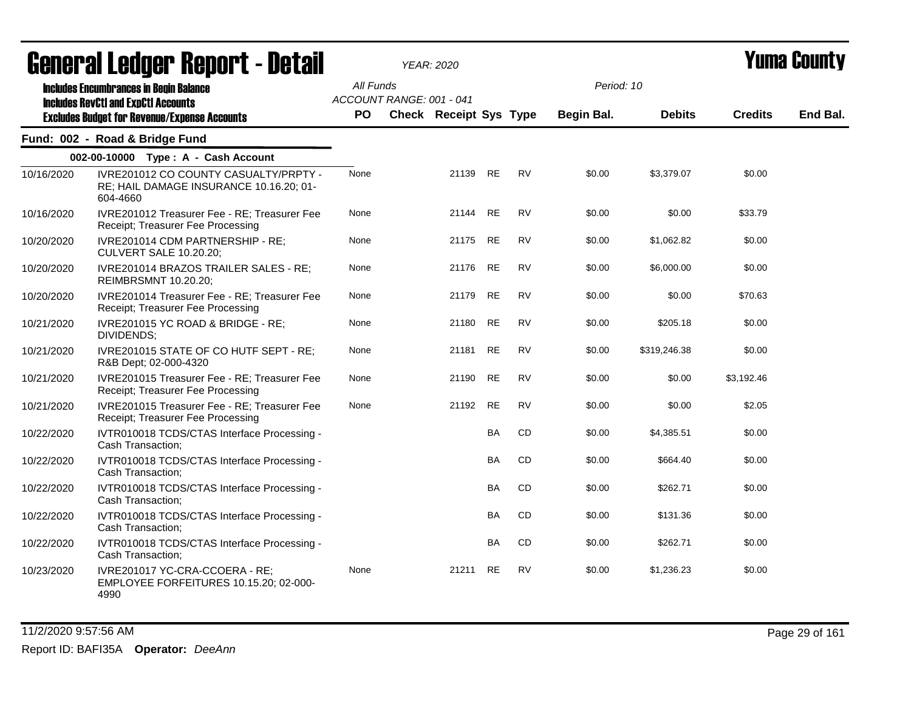|            | agligi qi fanqiqi. Uqhal f - nefqil                                                          |           |                          | YEAR: 2020                    |           |           |            |               |                | I UIIIU VVUIIL J |
|------------|----------------------------------------------------------------------------------------------|-----------|--------------------------|-------------------------------|-----------|-----------|------------|---------------|----------------|------------------|
|            | <b>Includes Encumbrances in Begin Balance</b><br><b>Includes RevCtI and ExpCtI Accounts</b>  | All Funds | ACCOUNT RANGE: 001 - 041 |                               |           |           | Period: 10 |               |                |                  |
|            | <b>Excludes Budget for Revenue/Expense Accounts</b>                                          | PO.       |                          | <b>Check Receipt Sys Type</b> |           |           | Begin Bal. | <b>Debits</b> | <b>Credits</b> | End Bal.         |
|            | Fund: 002 - Road & Bridge Fund                                                               |           |                          |                               |           |           |            |               |                |                  |
|            | 002-00-10000 Type: A - Cash Account                                                          |           |                          |                               |           |           |            |               |                |                  |
| 10/16/2020 | IVRE201012 CO COUNTY CASUALTY/PRPTY -<br>RE; HAIL DAMAGE INSURANCE 10.16.20; 01-<br>604-4660 | None      |                          | 21139 RE                      |           | <b>RV</b> | \$0.00     | \$3,379.07    | \$0.00         |                  |
| 10/16/2020 | IVRE201012 Treasurer Fee - RE; Treasurer Fee<br>Receipt; Treasurer Fee Processing            | None      |                          | 21144                         | <b>RE</b> | <b>RV</b> | \$0.00     | \$0.00        | \$33.79        |                  |
| 10/20/2020 | IVRE201014 CDM PARTNERSHIP - RE;<br>CULVERT SALE 10.20.20;                                   | None      |                          | 21175                         | <b>RE</b> | <b>RV</b> | \$0.00     | \$1,062.82    | \$0.00         |                  |
| 10/20/2020 | IVRE201014 BRAZOS TRAILER SALES - RE;<br>REIMBRSMNT 10.20.20;                                | None      |                          | 21176                         | <b>RE</b> | <b>RV</b> | \$0.00     | \$6,000.00    | \$0.00         |                  |
| 10/20/2020 | IVRE201014 Treasurer Fee - RE; Treasurer Fee<br>Receipt; Treasurer Fee Processing            | None      |                          | 21179                         | <b>RE</b> | <b>RV</b> | \$0.00     | \$0.00        | \$70.63        |                  |
| 10/21/2020 | IVRE201015 YC ROAD & BRIDGE - RE;<br>DIVIDENDS;                                              | None      |                          | 21180                         | <b>RE</b> | <b>RV</b> | \$0.00     | \$205.18      | \$0.00         |                  |
| 10/21/2020 | IVRE201015 STATE OF CO HUTF SEPT - RE;<br>R&B Dept; 02-000-4320                              | None      |                          | 21181                         | <b>RE</b> | <b>RV</b> | \$0.00     | \$319,246.38  | \$0.00         |                  |
| 10/21/2020 | IVRE201015 Treasurer Fee - RE; Treasurer Fee<br>Receipt; Treasurer Fee Processing            | None      |                          | 21190                         | <b>RE</b> | <b>RV</b> | \$0.00     | \$0.00        | \$3,192.46     |                  |
| 10/21/2020 | IVRE201015 Treasurer Fee - RE; Treasurer Fee<br>Receipt; Treasurer Fee Processing            | None      |                          | 21192                         | <b>RE</b> | <b>RV</b> | \$0.00     | \$0.00        | \$2.05         |                  |
| 10/22/2020 | IVTR010018 TCDS/CTAS Interface Processing -<br>Cash Transaction:                             |           |                          |                               | <b>BA</b> | CD        | \$0.00     | \$4,385.51    | \$0.00         |                  |
| 10/22/2020 | IVTR010018 TCDS/CTAS Interface Processing -<br>Cash Transaction;                             |           |                          |                               | BA        | CD        | \$0.00     | \$664.40      | \$0.00         |                  |
| 10/22/2020 | IVTR010018 TCDS/CTAS Interface Processing -<br>Cash Transaction;                             |           |                          |                               | BA        | CD        | \$0.00     | \$262.71      | \$0.00         |                  |
| 10/22/2020 | IVTR010018 TCDS/CTAS Interface Processing -<br>Cash Transaction;                             |           |                          |                               | <b>BA</b> | CD        | \$0.00     | \$131.36      | \$0.00         |                  |
| 10/22/2020 | IVTR010018 TCDS/CTAS Interface Processing -<br>Cash Transaction;                             |           |                          |                               | <b>BA</b> | CD        | \$0.00     | \$262.71      | \$0.00         |                  |
| 10/23/2020 | IVRE201017 YC-CRA-CCOERA - RE;<br>EMPLOYEE FORFEITURES 10.15.20; 02-000-<br>4990             | None      |                          | 21211                         | RE        | <b>RV</b> | \$0.00     | \$1,236.23    | \$0.00         |                  |

11/2/2020 9:57:56 AM Page 29 of 161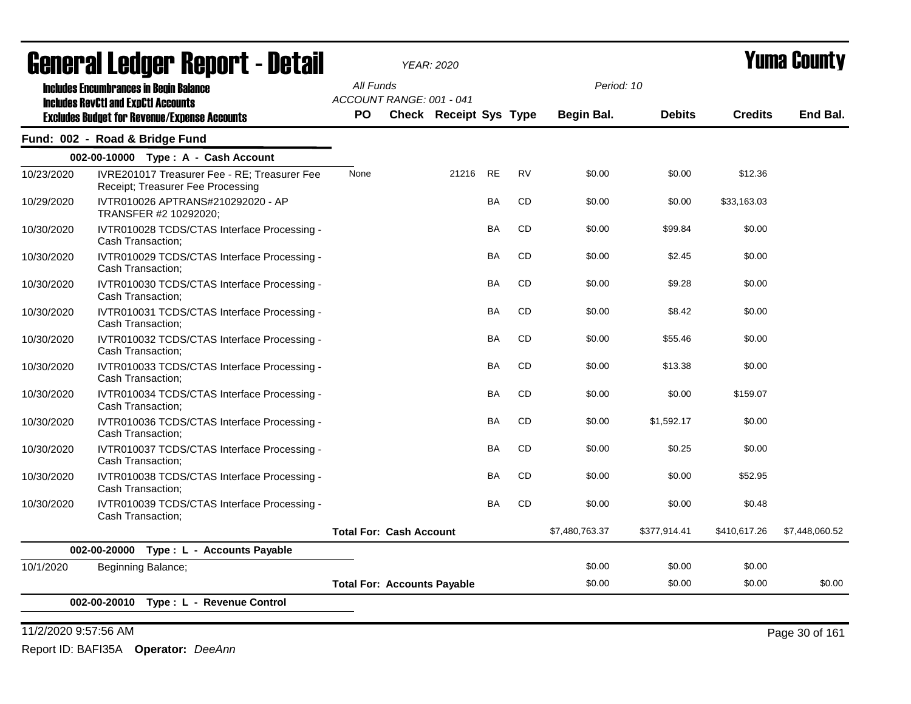|            | acıici ai leuyei" nepul l - detail                                                          |                                    |                                | YEAR: 2020                    |           |           |                |               |                | I UIIIA VUUIILY |
|------------|---------------------------------------------------------------------------------------------|------------------------------------|--------------------------------|-------------------------------|-----------|-----------|----------------|---------------|----------------|-----------------|
|            | <b>Includes Encumbrances in Begin Balance</b><br><b>Includes RevCtI and ExpCtI Accounts</b> | All Funds                          | ACCOUNT RANGE: 001 - 041       |                               |           |           | Period: 10     |               |                |                 |
|            | <b>Excludes Budget for Revenue/Expense Accounts</b>                                         | <b>PO</b>                          |                                | <b>Check Receipt Sys Type</b> |           |           | Begin Bal.     | <b>Debits</b> | <b>Credits</b> | End Bal.        |
|            | Fund: 002 - Road & Bridge Fund                                                              |                                    |                                |                               |           |           |                |               |                |                 |
|            | 002-00-10000 Type: A - Cash Account                                                         |                                    |                                |                               |           |           |                |               |                |                 |
| 10/23/2020 | IVRE201017 Treasurer Fee - RE; Treasurer Fee<br>Receipt; Treasurer Fee Processing           | None                               |                                | 21216                         | <b>RE</b> | <b>RV</b> | \$0.00         | \$0.00        | \$12.36        |                 |
| 10/29/2020 | IVTR010026 APTRANS#210292020 - AP<br>TRANSFER #2 10292020;                                  |                                    |                                |                               | <b>BA</b> | <b>CD</b> | \$0.00         | \$0.00        | \$33,163.03    |                 |
| 10/30/2020 | IVTR010028 TCDS/CTAS Interface Processing -<br>Cash Transaction;                            |                                    |                                |                               | BA        | CD        | \$0.00         | \$99.84       | \$0.00         |                 |
| 10/30/2020 | IVTR010029 TCDS/CTAS Interface Processing -<br>Cash Transaction;                            |                                    |                                |                               | <b>BA</b> | <b>CD</b> | \$0.00         | \$2.45        | \$0.00         |                 |
| 10/30/2020 | IVTR010030 TCDS/CTAS Interface Processing -<br>Cash Transaction;                            |                                    |                                |                               | <b>BA</b> | <b>CD</b> | \$0.00         | \$9.28        | \$0.00         |                 |
| 10/30/2020 | IVTR010031 TCDS/CTAS Interface Processing -<br>Cash Transaction;                            |                                    |                                |                               | <b>BA</b> | <b>CD</b> | \$0.00         | \$8.42        | \$0.00         |                 |
| 10/30/2020 | IVTR010032 TCDS/CTAS Interface Processing -<br>Cash Transaction;                            |                                    |                                |                               | BA        | <b>CD</b> | \$0.00         | \$55.46       | \$0.00         |                 |
| 10/30/2020 | IVTR010033 TCDS/CTAS Interface Processing -<br>Cash Transaction;                            |                                    |                                |                               | BA        | CD        | \$0.00         | \$13.38       | \$0.00         |                 |
| 10/30/2020 | IVTR010034 TCDS/CTAS Interface Processing -<br>Cash Transaction;                            |                                    |                                |                               | <b>BA</b> | <b>CD</b> | \$0.00         | \$0.00        | \$159.07       |                 |
| 10/30/2020 | IVTR010036 TCDS/CTAS Interface Processing -<br>Cash Transaction;                            |                                    |                                |                               | <b>BA</b> | <b>CD</b> | \$0.00         | \$1,592.17    | \$0.00         |                 |
| 10/30/2020 | IVTR010037 TCDS/CTAS Interface Processing -<br>Cash Transaction;                            |                                    |                                |                               | <b>BA</b> | <b>CD</b> | \$0.00         | \$0.25        | \$0.00         |                 |
| 10/30/2020 | IVTR010038 TCDS/CTAS Interface Processing -<br>Cash Transaction;                            |                                    |                                |                               | <b>BA</b> | <b>CD</b> | \$0.00         | \$0.00        | \$52.95        |                 |
| 10/30/2020 | IVTR010039 TCDS/CTAS Interface Processing -<br>Cash Transaction;                            |                                    |                                |                               | <b>BA</b> | <b>CD</b> | \$0.00         | \$0.00        | \$0.48         |                 |
|            |                                                                                             |                                    | <b>Total For: Cash Account</b> |                               |           |           | \$7,480,763.37 | \$377,914.41  | \$410,617.26   | \$7.448.060.52  |
|            | 002-00-20000<br>Type : L - Accounts Payable                                                 |                                    |                                |                               |           |           |                |               |                |                 |
| 10/1/2020  | Beginning Balance;                                                                          |                                    |                                |                               |           |           | \$0.00         | \$0.00        | \$0.00         |                 |
|            |                                                                                             | <b>Total For: Accounts Payable</b> |                                |                               |           |           | \$0.00         | \$0.00        | \$0.00         | \$0.00          |
|            | 002-00-20010 Type: L - Revenue Control                                                      |                                    |                                |                               |           |           |                |               |                |                 |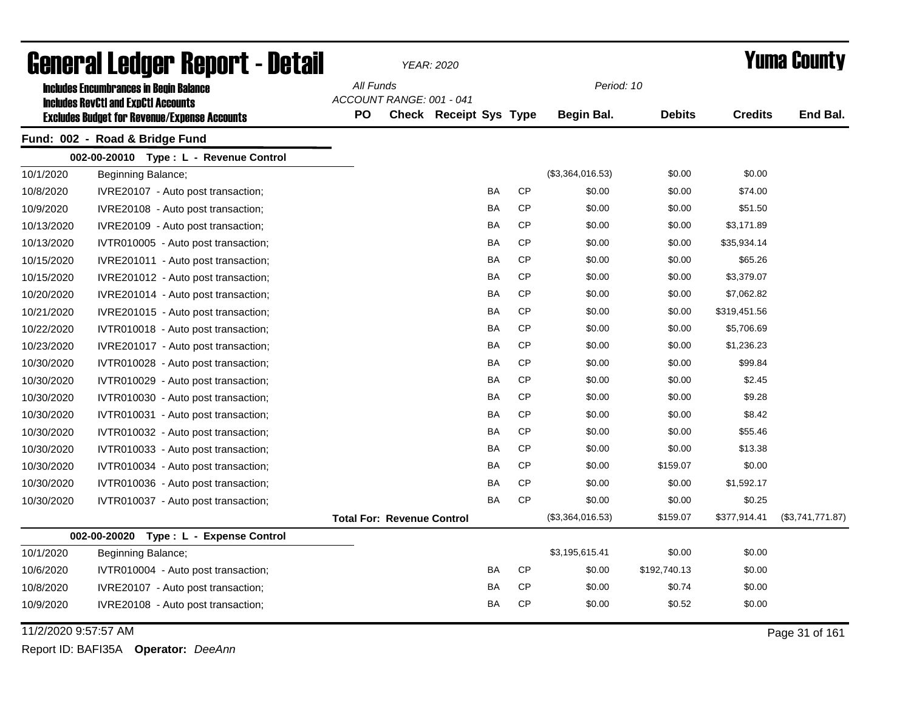|                      | <b>General Ledger Report - Detail</b>               |           |                                   | <b>YEAR: 2020</b>      |           |           |                  |               |                | <b>Yuma County</b> |
|----------------------|-----------------------------------------------------|-----------|-----------------------------------|------------------------|-----------|-----------|------------------|---------------|----------------|--------------------|
|                      | <b>Includes Encumbrances in Begin Balance</b>       | All Funds |                                   |                        |           |           | Period: 10       |               |                |                    |
|                      | <b>Includes RevCtI and ExpCtI Accounts</b>          |           | ACCOUNT RANGE: 001 - 041          |                        |           |           |                  |               |                |                    |
|                      | <b>Excludes Budget for Revenue/Expense Accounts</b> | <b>PO</b> |                                   | Check Receipt Sys Type |           |           | Begin Bal.       | <b>Debits</b> | <b>Credits</b> | End Bal.           |
|                      | Fund: 002 - Road & Bridge Fund                      |           |                                   |                        |           |           |                  |               |                |                    |
|                      | 002-00-20010 Type: L - Revenue Control              |           |                                   |                        |           |           |                  |               |                |                    |
| 10/1/2020            | Beginning Balance;                                  |           |                                   |                        |           |           | (\$3,364,016.53) | \$0.00        | \$0.00         |                    |
| 10/8/2020            | IVRE20107 - Auto post transaction;                  |           |                                   |                        | BA        | <b>CP</b> | \$0.00           | \$0.00        | \$74.00        |                    |
| 10/9/2020            | IVRE20108 - Auto post transaction;                  |           |                                   |                        | BA        | <b>CP</b> | \$0.00           | \$0.00        | \$51.50        |                    |
| 10/13/2020           | IVRE20109 - Auto post transaction;                  |           |                                   |                        | BA        | <b>CP</b> | \$0.00           | \$0.00        | \$3,171.89     |                    |
| 10/13/2020           | IVTR010005 - Auto post transaction;                 |           |                                   |                        | <b>BA</b> | <b>CP</b> | \$0.00           | \$0.00        | \$35,934.14    |                    |
| 10/15/2020           | IVRE201011 - Auto post transaction;                 |           |                                   |                        | BA        | <b>CP</b> | \$0.00           | \$0.00        | \$65.26        |                    |
| 10/15/2020           | IVRE201012 - Auto post transaction;                 |           |                                   |                        | BA        | <b>CP</b> | \$0.00           | \$0.00        | \$3,379.07     |                    |
| 10/20/2020           | IVRE201014 - Auto post transaction;                 |           |                                   |                        | BA        | <b>CP</b> | \$0.00           | \$0.00        | \$7,062.82     |                    |
| 10/21/2020           | IVRE201015 - Auto post transaction;                 |           |                                   |                        | BA        | <b>CP</b> | \$0.00           | \$0.00        | \$319,451.56   |                    |
| 10/22/2020           | IVTR010018 - Auto post transaction;                 |           |                                   |                        | BA        | <b>CP</b> | \$0.00           | \$0.00        | \$5,706.69     |                    |
| 10/23/2020           | IVRE201017 - Auto post transaction;                 |           |                                   |                        | <b>BA</b> | <b>CP</b> | \$0.00           | \$0.00        | \$1,236.23     |                    |
| 10/30/2020           | IVTR010028 - Auto post transaction;                 |           |                                   |                        | <b>BA</b> | <b>CP</b> | \$0.00           | \$0.00        | \$99.84        |                    |
| 10/30/2020           | IVTR010029 - Auto post transaction;                 |           |                                   |                        | BA        | <b>CP</b> | \$0.00           | \$0.00        | \$2.45         |                    |
| 10/30/2020           | IVTR010030 - Auto post transaction;                 |           |                                   |                        | BA        | <b>CP</b> | \$0.00           | \$0.00        | \$9.28         |                    |
| 10/30/2020           | IVTR010031 - Auto post transaction;                 |           |                                   |                        | BA        | <b>CP</b> | \$0.00           | \$0.00        | \$8.42         |                    |
| 10/30/2020           | IVTR010032 - Auto post transaction;                 |           |                                   |                        | BA        | <b>CP</b> | \$0.00           | \$0.00        | \$55.46        |                    |
| 10/30/2020           | IVTR010033 - Auto post transaction;                 |           |                                   |                        | <b>BA</b> | <b>CP</b> | \$0.00           | \$0.00        | \$13.38        |                    |
| 10/30/2020           | IVTR010034 - Auto post transaction;                 |           |                                   |                        | <b>BA</b> | <b>CP</b> | \$0.00           | \$159.07      | \$0.00         |                    |
| 10/30/2020           | IVTR010036 - Auto post transaction;                 |           |                                   |                        | BA        | <b>CP</b> | \$0.00           | \$0.00        | \$1,592.17     |                    |
| 10/30/2020           | IVTR010037 - Auto post transaction;                 |           |                                   |                        | <b>BA</b> | <b>CP</b> | \$0.00           | \$0.00        | \$0.25         |                    |
|                      |                                                     |           | <b>Total For: Revenue Control</b> |                        |           |           | (\$3,364,016.53) | \$159.07      | \$377,914.41   | (\$3,741,771.87)   |
|                      | 002-00-20020 Type: L - Expense Control              |           |                                   |                        |           |           |                  |               |                |                    |
| 10/1/2020            | Beginning Balance;                                  |           |                                   |                        |           |           | \$3,195,615.41   | \$0.00        | \$0.00         |                    |
| 10/6/2020            | IVTR010004 - Auto post transaction;                 |           |                                   |                        | BA        | <b>CP</b> | \$0.00           | \$192,740.13  | \$0.00         |                    |
| 10/8/2020            | IVRE20107 - Auto post transaction;                  |           |                                   |                        | BA        | <b>CP</b> | \$0.00           | \$0.74        | \$0.00         |                    |
| 10/9/2020            | IVRE20108 - Auto post transaction;                  |           |                                   |                        | BA        | <b>CP</b> | \$0.00           | \$0.52        | \$0.00         |                    |
| 11/2/2020 9:57:57 AM |                                                     |           |                                   |                        |           |           |                  |               |                | Page 31 of 161     |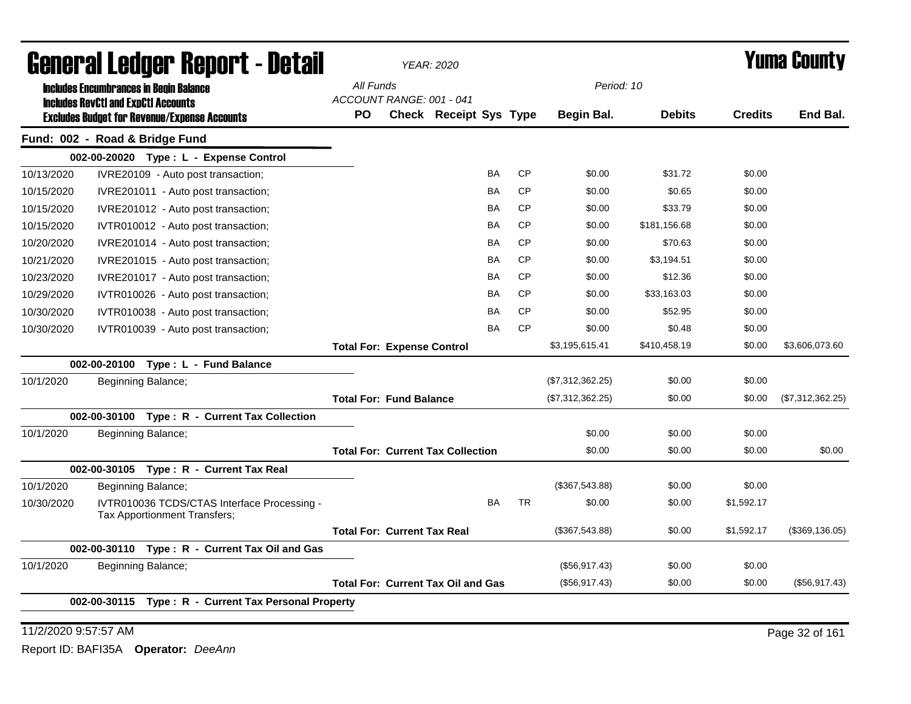|            |              | General Ledger Report - Detail                                                                    |                                           | <b>YEAR: 2020</b>             |           |           |                  |               |                | <b>Yuma County</b> |
|------------|--------------|---------------------------------------------------------------------------------------------------|-------------------------------------------|-------------------------------|-----------|-----------|------------------|---------------|----------------|--------------------|
|            |              | <b>Includes Encumbrances in Begin Balance</b>                                                     | All Funds                                 |                               |           |           | Period: 10       |               |                |                    |
|            |              | <b>Includes RevCtI and ExpCtI Accounts</b><br><b>Excludes Budget for Revenue/Expense Accounts</b> | ACCOUNT RANGE: 001 - 041<br><b>PO</b>     | <b>Check Receipt Sys Type</b> |           |           | Begin Bal.       | <b>Debits</b> | <b>Credits</b> | End Bal.           |
|            |              | Fund: 002 - Road & Bridge Fund                                                                    |                                           |                               |           |           |                  |               |                |                    |
|            |              | 002-00-20020 Type: L - Expense Control                                                            |                                           |                               |           |           |                  |               |                |                    |
| 10/13/2020 |              | IVRE20109 - Auto post transaction;                                                                |                                           |                               | <b>BA</b> | <b>CP</b> | \$0.00           | \$31.72       | \$0.00         |                    |
| 10/15/2020 |              | IVRE201011 - Auto post transaction;                                                               |                                           |                               | <b>BA</b> | <b>CP</b> | \$0.00           | \$0.65        | \$0.00         |                    |
| 10/15/2020 |              | IVRE201012 - Auto post transaction;                                                               |                                           |                               | BA        | CP        | \$0.00           | \$33.79       | \$0.00         |                    |
| 10/15/2020 |              | IVTR010012 - Auto post transaction;                                                               |                                           |                               | <b>BA</b> | <b>CP</b> | \$0.00           | \$181,156.68  | \$0.00         |                    |
| 10/20/2020 |              | IVRE201014 - Auto post transaction;                                                               |                                           |                               | BA        | <b>CP</b> | \$0.00           | \$70.63       | \$0.00         |                    |
| 10/21/2020 |              | IVRE201015 - Auto post transaction;                                                               |                                           |                               | BA        | <b>CP</b> | \$0.00           | \$3,194.51    | \$0.00         |                    |
| 10/23/2020 |              | IVRE201017 - Auto post transaction;                                                               |                                           |                               | BA        | <b>CP</b> | \$0.00           | \$12.36       | \$0.00         |                    |
| 10/29/2020 |              | IVTR010026 - Auto post transaction;                                                               |                                           |                               | BA        | <b>CP</b> | \$0.00           | \$33,163.03   | \$0.00         |                    |
| 10/30/2020 |              | IVTR010038 - Auto post transaction;                                                               |                                           |                               | BA        | <b>CP</b> | \$0.00           | \$52.95       | \$0.00         |                    |
| 10/30/2020 |              | IVTR010039 - Auto post transaction;                                                               |                                           |                               | <b>BA</b> | <b>CP</b> | \$0.00           | \$0.48        | \$0.00         |                    |
|            |              |                                                                                                   | <b>Total For: Expense Control</b>         |                               |           |           | \$3,195,615.41   | \$410,458.19  | \$0.00         | \$3,606,073.60     |
|            | 002-00-20100 | Type: L - Fund Balance                                                                            |                                           |                               |           |           |                  |               |                |                    |
| 10/1/2020  |              | Beginning Balance;                                                                                |                                           |                               |           |           | (\$7,312,362.25) | \$0.00        | \$0.00         |                    |
|            |              |                                                                                                   | <b>Total For: Fund Balance</b>            |                               |           |           | (\$7,312,362.25) | \$0.00        | \$0.00         | (\$7,312,362.25)   |
|            |              | 002-00-30100 Type: R - Current Tax Collection                                                     |                                           |                               |           |           |                  |               |                |                    |
| 10/1/2020  |              | Beginning Balance;                                                                                |                                           |                               |           |           | \$0.00           | \$0.00        | \$0.00         |                    |
|            |              |                                                                                                   | <b>Total For: Current Tax Collection</b>  |                               |           |           | \$0.00           | \$0.00        | \$0.00         | \$0.00             |
|            |              | 002-00-30105 Type: R - Current Tax Real                                                           |                                           |                               |           |           |                  |               |                |                    |
| 10/1/2020  |              | Beginning Balance;                                                                                |                                           |                               |           |           | (\$367,543.88)   | \$0.00        | \$0.00         |                    |
| 10/30/2020 |              | IVTR010036 TCDS/CTAS Interface Processing -<br>Tax Apportionment Transfers;                       |                                           |                               | BA        | <b>TR</b> | \$0.00           | \$0.00        | \$1,592.17     |                    |
|            |              |                                                                                                   | <b>Total For: Current Tax Real</b>        |                               |           |           | (\$367,543.88)   | \$0.00        | \$1,592.17     | (\$369,136.05)     |
|            |              | 002-00-30110 Type: R - Current Tax Oil and Gas                                                    |                                           |                               |           |           |                  |               |                |                    |
| 10/1/2020  |              | Beginning Balance;                                                                                |                                           |                               |           |           | (\$56,917.43)    | \$0.00        | \$0.00         |                    |
|            |              |                                                                                                   | <b>Total For: Current Tax Oil and Gas</b> |                               |           |           | (\$56,917.43)    | \$0.00        | \$0.00         | (\$56,917.43)      |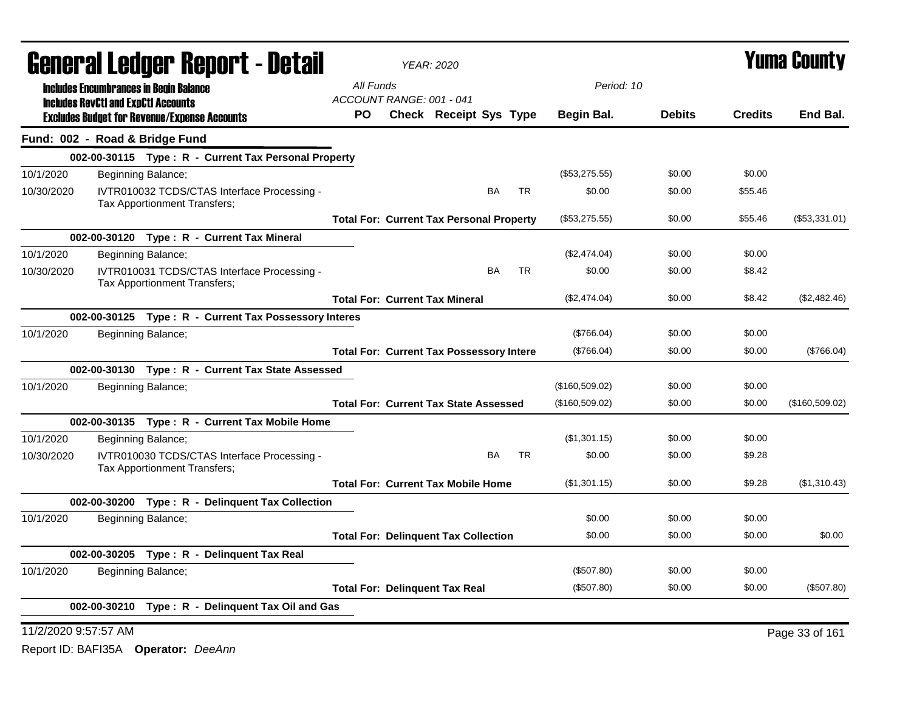|                      | <b>General Ledger Report - Detail</b>                                       |                          | <b>YEAR: 2020</b>                               |           |           |                   |               |                | <b>Yuma County</b> |
|----------------------|-----------------------------------------------------------------------------|--------------------------|-------------------------------------------------|-----------|-----------|-------------------|---------------|----------------|--------------------|
|                      | <b>Includes Encumbrances in Begin Balance</b>                               | All Funds                |                                                 |           |           | Period: 10        |               |                |                    |
|                      | <b>Includes RevCtI and ExpCtI Accounts</b>                                  | ACCOUNT RANGE: 001 - 041 |                                                 |           |           |                   |               |                | End Bal.           |
|                      | <b>Excludes Budget for Revenue/Expense Accounts</b>                         | PO.                      | <b>Check Receipt Sys Type</b>                   |           |           | <b>Begin Bal.</b> | <b>Debits</b> | <b>Credits</b> |                    |
|                      | Fund: 002 - Road & Bridge Fund                                              |                          |                                                 |           |           |                   |               |                |                    |
|                      | 002-00-30115 Type: R - Current Tax Personal Property                        |                          |                                                 |           |           |                   |               |                |                    |
| 10/1/2020            | Beginning Balance;                                                          |                          |                                                 |           |           | (\$53,275.55)     | \$0.00        | \$0.00         |                    |
| 10/30/2020           | IVTR010032 TCDS/CTAS Interface Processing -<br>Tax Apportionment Transfers; |                          |                                                 | <b>BA</b> | <b>TR</b> | \$0.00            | \$0.00        | \$55.46        |                    |
|                      |                                                                             |                          | <b>Total For: Current Tax Personal Property</b> |           |           | (\$53,275.55)     | \$0.00        | \$55.46        | (\$53,331.01)      |
|                      | 002-00-30120 Type: R - Current Tax Mineral                                  |                          |                                                 |           |           |                   |               |                |                    |
| 10/1/2020            | Beginning Balance;                                                          |                          |                                                 |           |           | (\$2,474.04)      | \$0.00        | \$0.00         |                    |
| 10/30/2020           | IVTR010031 TCDS/CTAS Interface Processing -<br>Tax Apportionment Transfers; |                          |                                                 | BA        | <b>TR</b> | \$0.00            | \$0.00        | \$8.42         |                    |
|                      |                                                                             |                          | <b>Total For: Current Tax Mineral</b>           |           |           | (\$2,474.04)      | \$0.00        | \$8.42         | (\$2,482.46)       |
|                      | 002-00-30125 Type: R - Current Tax Possessory Interes                       |                          |                                                 |           |           |                   |               |                |                    |
| 10/1/2020            | Beginning Balance;                                                          |                          |                                                 |           |           | (\$766.04)        | \$0.00        | \$0.00         |                    |
|                      |                                                                             |                          | <b>Total For: Current Tax Possessory Intere</b> |           |           | (\$766.04)        | \$0.00        | \$0.00         | (\$766.04)         |
|                      | 002-00-30130 Type: R - Current Tax State Assessed                           |                          |                                                 |           |           |                   |               |                |                    |
| 10/1/2020            | Beginning Balance;                                                          |                          |                                                 |           |           | (\$160,509.02)    | \$0.00        | \$0.00         |                    |
|                      |                                                                             |                          | <b>Total For: Current Tax State Assessed</b>    |           |           | (\$160,509.02)    | \$0.00        | \$0.00         | (\$160,509.02)     |
|                      | 002-00-30135 Type: R - Current Tax Mobile Home                              |                          |                                                 |           |           |                   |               |                |                    |
| 10/1/2020            | Beginning Balance;                                                          |                          |                                                 |           |           | (\$1,301.15)      | \$0.00        | \$0.00         |                    |
| 10/30/2020           | IVTR010030 TCDS/CTAS Interface Processing -<br>Tax Apportionment Transfers; |                          |                                                 | <b>BA</b> | <b>TR</b> | \$0.00            | \$0.00        | \$9.28         |                    |
|                      |                                                                             |                          | <b>Total For: Current Tax Mobile Home</b>       |           |           | (\$1,301.15)      | \$0.00        | \$9.28         | (\$1,310.43)       |
|                      | 002-00-30200 Type: R - Delinquent Tax Collection                            |                          |                                                 |           |           |                   |               |                |                    |
| 10/1/2020            | Beginning Balance;                                                          |                          |                                                 |           |           | \$0.00            | \$0.00        | \$0.00         |                    |
|                      |                                                                             |                          | <b>Total For: Delinquent Tax Collection</b>     |           |           | \$0.00            | \$0.00        | \$0.00         | \$0.00             |
|                      | 002-00-30205 Type: R - Delinquent Tax Real                                  |                          |                                                 |           |           |                   |               |                |                    |
| 10/1/2020            | Beginning Balance;                                                          |                          |                                                 |           |           | (\$507.80)        | \$0.00        | \$0.00         |                    |
|                      |                                                                             |                          | <b>Total For: Delinquent Tax Real</b>           |           |           | (\$507.80)        | \$0.00        | \$0.00         | (\$507.80)         |
|                      | 002-00-30210 Type: R - Delinquent Tax Oil and Gas                           |                          |                                                 |           |           |                   |               |                |                    |
| 11/2/2020 9:57:57 AM |                                                                             |                          |                                                 |           |           |                   |               |                | Page 33 of 161     |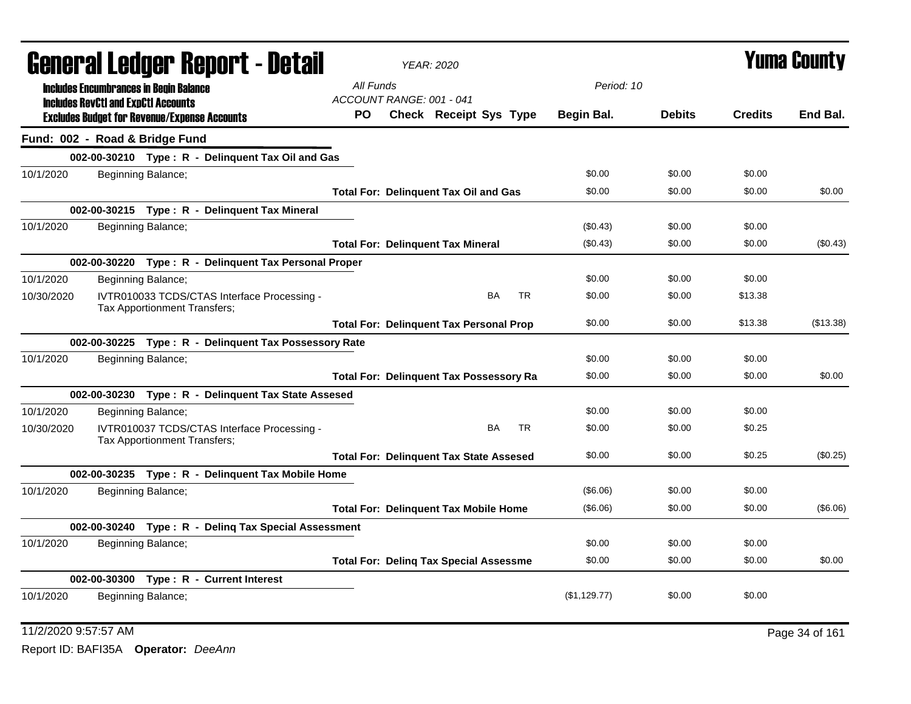|            |                                            | General Ledger Report - Detail                                              |                          | <b>YEAR: 2020</b>                              |           |              |               |                | <b>Yuma County</b> |
|------------|--------------------------------------------|-----------------------------------------------------------------------------|--------------------------|------------------------------------------------|-----------|--------------|---------------|----------------|--------------------|
|            |                                            | <b>Includes Encumbrances in Begin Balance</b>                               | All Funds                |                                                |           | Period: 10   |               |                |                    |
|            | <b>Includes RevCtI and ExpCtI Accounts</b> |                                                                             | ACCOUNT RANGE: 001 - 041 |                                                |           |              |               |                |                    |
|            |                                            | <b>Excludes Budget for Revenue/Expense Accounts</b>                         | PO.                      | <b>Check Receipt Sys Type</b>                  |           | Begin Bal.   | <b>Debits</b> | <b>Credits</b> | End Bal.           |
|            |                                            | Fund: 002 - Road & Bridge Fund                                              |                          |                                                |           |              |               |                |                    |
|            |                                            | 002-00-30210 Type: R - Delinquent Tax Oil and Gas                           |                          |                                                |           |              |               |                |                    |
| 10/1/2020  |                                            | Beginning Balance;                                                          |                          |                                                |           | \$0.00       | \$0.00        | \$0.00         |                    |
|            |                                            |                                                                             |                          | <b>Total For: Delinquent Tax Oil and Gas</b>   |           | \$0.00       | \$0.00        | \$0.00         | \$0.00             |
|            |                                            | 002-00-30215 Type: R - Delinquent Tax Mineral                               |                          |                                                |           |              |               |                |                    |
| 10/1/2020  |                                            | Beginning Balance;                                                          |                          |                                                |           | (\$0.43)     | \$0.00        | \$0.00         |                    |
|            |                                            |                                                                             |                          | <b>Total For: Delinquent Tax Mineral</b>       |           | (\$0.43)     | \$0.00        | \$0.00         | (\$0.43)           |
|            |                                            | 002-00-30220 Type: R - Delinquent Tax Personal Proper                       |                          |                                                |           |              |               |                |                    |
| 10/1/2020  |                                            | Beginning Balance;                                                          |                          |                                                |           | \$0.00       | \$0.00        | \$0.00         |                    |
| 10/30/2020 |                                            | IVTR010033 TCDS/CTAS Interface Processing -<br>Tax Apportionment Transfers; |                          | BA                                             | <b>TR</b> | \$0.00       | \$0.00        | \$13.38        |                    |
|            |                                            |                                                                             |                          | <b>Total For: Delinquent Tax Personal Prop</b> |           | \$0.00       | \$0.00        | \$13.38        | (\$13.38)          |
|            |                                            | 002-00-30225 Type: R - Delinquent Tax Possessory Rate                       |                          |                                                |           |              |               |                |                    |
| 10/1/2020  |                                            | Beginning Balance;                                                          |                          |                                                |           | \$0.00       | \$0.00        | \$0.00         |                    |
|            |                                            |                                                                             |                          | <b>Total For: Delinquent Tax Possessory Ra</b> |           | \$0.00       | \$0.00        | \$0.00         | \$0.00             |
|            |                                            | 002-00-30230 Type: R - Delinquent Tax State Assesed                         |                          |                                                |           |              |               |                |                    |
| 10/1/2020  |                                            | Beginning Balance;                                                          |                          |                                                |           | \$0.00       | \$0.00        | \$0.00         |                    |
| 10/30/2020 |                                            | IVTR010037 TCDS/CTAS Interface Processing -<br>Tax Apportionment Transfers; |                          | <b>BA</b>                                      | TR.       | \$0.00       | \$0.00        | \$0.25         |                    |
|            |                                            |                                                                             |                          | <b>Total For: Delinquent Tax State Assesed</b> |           | \$0.00       | \$0.00        | \$0.25         | (\$0.25)           |
|            |                                            | 002-00-30235 Type: R - Delinquent Tax Mobile Home                           |                          |                                                |           |              |               |                |                    |
| 10/1/2020  |                                            | Beginning Balance;                                                          |                          |                                                |           | (\$6.06)     | \$0.00        | \$0.00         |                    |
|            |                                            |                                                                             |                          | <b>Total For: Delinguent Tax Mobile Home</b>   |           | (\$6.06)     | \$0.00        | \$0.00         | (\$6.06)           |
|            |                                            | 002-00-30240 Type: R - Deling Tax Special Assessment                        |                          |                                                |           |              |               |                |                    |
| 10/1/2020  |                                            | Beginning Balance;                                                          |                          |                                                |           | \$0.00       | \$0.00        | \$0.00         |                    |
|            |                                            |                                                                             |                          | <b>Total For: Deling Tax Special Assessme</b>  |           | \$0.00       | \$0.00        | \$0.00         | \$0.00             |
|            |                                            | 002-00-30300 Type: R - Current Interest                                     |                          |                                                |           |              |               |                |                    |
| 10/1/2020  |                                            | Beginning Balance;                                                          |                          |                                                |           | (S1, 129.77) | \$0.00        | \$0.00         |                    |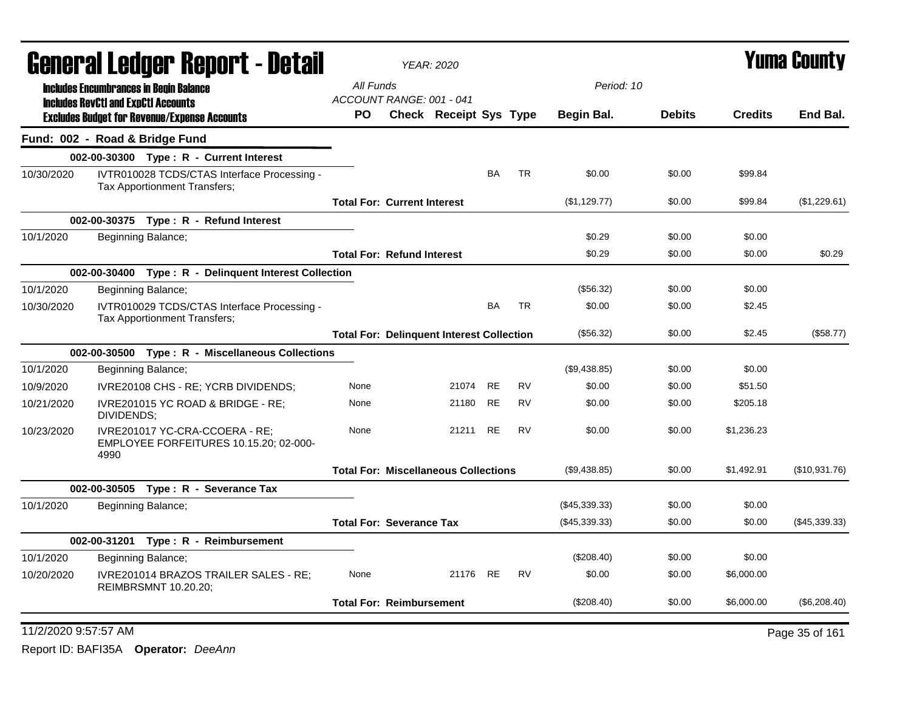| All Funds<br>Period: 10<br><b>Includes Encumbrances in Begin Balance</b><br>ACCOUNT RANGE: 001 - 041<br><b>Includes RevCtI and ExpCtI Accounts</b><br>End Bal.<br>Check Receipt Sys Type<br><b>Debits</b><br><b>Credits</b><br>PO.<br>Begin Bal.<br><b>Excludes Budget for Revenue/Expense Accounts</b><br>Fund: 002 - Road & Bridge Fund<br>002-00-30300 Type: R - Current Interest<br><b>TR</b><br>10/30/2020<br>IVTR010028 TCDS/CTAS Interface Processing -<br>BA<br>\$0.00<br>\$0.00<br>\$99.84<br>Tax Apportionment Transfers;<br>(\$1,129.77)<br>\$0.00<br>\$99.84<br><b>Total For: Current Interest</b><br>002-00-30375 Type: R - Refund Interest<br>10/1/2020<br>Beginning Balance;<br>\$0.29<br>\$0.00<br>\$0.00<br>\$0.29<br>\$0.00<br>\$0.00<br>\$0.29<br><b>Total For: Refund Interest</b><br>002-00-30400 Type: R - Delinquent Interest Collection<br>10/1/2020<br>(\$56.32)<br>\$0.00<br>\$0.00<br>Beginning Balance;<br>IVTR010029 TCDS/CTAS Interface Processing -<br><b>BA</b><br><b>TR</b><br>\$0.00<br>10/30/2020<br>\$0.00<br>\$2.45<br>Tax Apportionment Transfers;<br>(\$56.32)<br>\$0.00<br>\$2.45<br>(\$58.77)<br><b>Total For: Delinguent Interest Collection</b><br>002-00-30500 Type: R - Miscellaneous Collections<br>\$0.00<br>10/1/2020<br>(\$9,438.85)<br>\$0.00<br>Beginning Balance;<br><b>RE</b><br><b>RV</b><br>\$0.00<br>None<br>21074<br>\$0.00<br>\$51.50<br>10/9/2020<br>IVRE20108 CHS - RE; YCRB DIVIDENDS;<br><b>RE</b><br><b>RV</b><br>\$0.00<br>\$0.00<br>\$205.18<br>10/21/2020<br>21180<br>IVRE201015 YC ROAD & BRIDGE - RE;<br>None<br>DIVIDENDS;<br><b>RE</b><br><b>RV</b><br>21211<br>\$0.00<br>\$0.00<br>\$1,236.23<br>10/23/2020<br>IVRE201017 YC-CRA-CCOERA - RE:<br>None<br>EMPLOYEE FORFEITURES 10.15.20; 02-000-<br>4990<br>(\$10,931.76)<br><b>Total For: Miscellaneous Collections</b><br>(\$9,438.85)<br>\$0.00<br>\$1,492.91<br>002-00-30505 Type: R - Severance Tax<br>10/1/2020<br>Beginning Balance;<br>(\$45,339.33)<br>\$0.00<br>\$0.00<br>(\$45,339.33)<br>(\$45,339.33)<br>\$0.00<br>\$0.00<br><b>Total For: Severance Tax</b><br>002-00-31201 Type: R - Reimbursement<br>(\$208.40)<br>\$0.00<br>\$0.00<br>Beginning Balance;<br>IVRE201014 BRAZOS TRAILER SALES - RE;<br>21176 RE<br><b>RV</b><br>10/20/2020<br>\$0.00<br>\$0.00<br>\$6,000.00<br>None<br><b>REIMBRSMNT 10.20.20;</b><br><b>Total For: Reimbursement</b><br>(\$208.40)<br>\$0.00<br>\$6,000.00<br>(\$6,208.40) |           | General Ledger Report - Detail |  | <b>YEAR: 2020</b> |  |  | <b>Yuma County</b> |
|---------------------------------------------------------------------------------------------------------------------------------------------------------------------------------------------------------------------------------------------------------------------------------------------------------------------------------------------------------------------------------------------------------------------------------------------------------------------------------------------------------------------------------------------------------------------------------------------------------------------------------------------------------------------------------------------------------------------------------------------------------------------------------------------------------------------------------------------------------------------------------------------------------------------------------------------------------------------------------------------------------------------------------------------------------------------------------------------------------------------------------------------------------------------------------------------------------------------------------------------------------------------------------------------------------------------------------------------------------------------------------------------------------------------------------------------------------------------------------------------------------------------------------------------------------------------------------------------------------------------------------------------------------------------------------------------------------------------------------------------------------------------------------------------------------------------------------------------------------------------------------------------------------------------------------------------------------------------------------------------------------------------------------------------------------------------------------------------------------------------------------------------------------------------------------------------------------------------------------------------------------------------------------------------------------------------------------------------------------------------------------------------------------------------------------------------------|-----------|--------------------------------|--|-------------------|--|--|--------------------|
|                                                                                                                                                                                                                                                                                                                                                                                                                                                                                                                                                                                                                                                                                                                                                                                                                                                                                                                                                                                                                                                                                                                                                                                                                                                                                                                                                                                                                                                                                                                                                                                                                                                                                                                                                                                                                                                                                                                                                                                                                                                                                                                                                                                                                                                                                                                                                                                                                                                   |           |                                |  |                   |  |  |                    |
|                                                                                                                                                                                                                                                                                                                                                                                                                                                                                                                                                                                                                                                                                                                                                                                                                                                                                                                                                                                                                                                                                                                                                                                                                                                                                                                                                                                                                                                                                                                                                                                                                                                                                                                                                                                                                                                                                                                                                                                                                                                                                                                                                                                                                                                                                                                                                                                                                                                   |           |                                |  |                   |  |  |                    |
|                                                                                                                                                                                                                                                                                                                                                                                                                                                                                                                                                                                                                                                                                                                                                                                                                                                                                                                                                                                                                                                                                                                                                                                                                                                                                                                                                                                                                                                                                                                                                                                                                                                                                                                                                                                                                                                                                                                                                                                                                                                                                                                                                                                                                                                                                                                                                                                                                                                   |           |                                |  |                   |  |  |                    |
|                                                                                                                                                                                                                                                                                                                                                                                                                                                                                                                                                                                                                                                                                                                                                                                                                                                                                                                                                                                                                                                                                                                                                                                                                                                                                                                                                                                                                                                                                                                                                                                                                                                                                                                                                                                                                                                                                                                                                                                                                                                                                                                                                                                                                                                                                                                                                                                                                                                   |           |                                |  |                   |  |  |                    |
|                                                                                                                                                                                                                                                                                                                                                                                                                                                                                                                                                                                                                                                                                                                                                                                                                                                                                                                                                                                                                                                                                                                                                                                                                                                                                                                                                                                                                                                                                                                                                                                                                                                                                                                                                                                                                                                                                                                                                                                                                                                                                                                                                                                                                                                                                                                                                                                                                                                   |           |                                |  |                   |  |  |                    |
|                                                                                                                                                                                                                                                                                                                                                                                                                                                                                                                                                                                                                                                                                                                                                                                                                                                                                                                                                                                                                                                                                                                                                                                                                                                                                                                                                                                                                                                                                                                                                                                                                                                                                                                                                                                                                                                                                                                                                                                                                                                                                                                                                                                                                                                                                                                                                                                                                                                   |           |                                |  |                   |  |  | (\$1,229.61)       |
|                                                                                                                                                                                                                                                                                                                                                                                                                                                                                                                                                                                                                                                                                                                                                                                                                                                                                                                                                                                                                                                                                                                                                                                                                                                                                                                                                                                                                                                                                                                                                                                                                                                                                                                                                                                                                                                                                                                                                                                                                                                                                                                                                                                                                                                                                                                                                                                                                                                   |           |                                |  |                   |  |  |                    |
|                                                                                                                                                                                                                                                                                                                                                                                                                                                                                                                                                                                                                                                                                                                                                                                                                                                                                                                                                                                                                                                                                                                                                                                                                                                                                                                                                                                                                                                                                                                                                                                                                                                                                                                                                                                                                                                                                                                                                                                                                                                                                                                                                                                                                                                                                                                                                                                                                                                   |           |                                |  |                   |  |  |                    |
|                                                                                                                                                                                                                                                                                                                                                                                                                                                                                                                                                                                                                                                                                                                                                                                                                                                                                                                                                                                                                                                                                                                                                                                                                                                                                                                                                                                                                                                                                                                                                                                                                                                                                                                                                                                                                                                                                                                                                                                                                                                                                                                                                                                                                                                                                                                                                                                                                                                   |           |                                |  |                   |  |  |                    |
|                                                                                                                                                                                                                                                                                                                                                                                                                                                                                                                                                                                                                                                                                                                                                                                                                                                                                                                                                                                                                                                                                                                                                                                                                                                                                                                                                                                                                                                                                                                                                                                                                                                                                                                                                                                                                                                                                                                                                                                                                                                                                                                                                                                                                                                                                                                                                                                                                                                   |           |                                |  |                   |  |  |                    |
|                                                                                                                                                                                                                                                                                                                                                                                                                                                                                                                                                                                                                                                                                                                                                                                                                                                                                                                                                                                                                                                                                                                                                                                                                                                                                                                                                                                                                                                                                                                                                                                                                                                                                                                                                                                                                                                                                                                                                                                                                                                                                                                                                                                                                                                                                                                                                                                                                                                   |           |                                |  |                   |  |  |                    |
|                                                                                                                                                                                                                                                                                                                                                                                                                                                                                                                                                                                                                                                                                                                                                                                                                                                                                                                                                                                                                                                                                                                                                                                                                                                                                                                                                                                                                                                                                                                                                                                                                                                                                                                                                                                                                                                                                                                                                                                                                                                                                                                                                                                                                                                                                                                                                                                                                                                   |           |                                |  |                   |  |  |                    |
|                                                                                                                                                                                                                                                                                                                                                                                                                                                                                                                                                                                                                                                                                                                                                                                                                                                                                                                                                                                                                                                                                                                                                                                                                                                                                                                                                                                                                                                                                                                                                                                                                                                                                                                                                                                                                                                                                                                                                                                                                                                                                                                                                                                                                                                                                                                                                                                                                                                   |           |                                |  |                   |  |  |                    |
|                                                                                                                                                                                                                                                                                                                                                                                                                                                                                                                                                                                                                                                                                                                                                                                                                                                                                                                                                                                                                                                                                                                                                                                                                                                                                                                                                                                                                                                                                                                                                                                                                                                                                                                                                                                                                                                                                                                                                                                                                                                                                                                                                                                                                                                                                                                                                                                                                                                   |           |                                |  |                   |  |  |                    |
|                                                                                                                                                                                                                                                                                                                                                                                                                                                                                                                                                                                                                                                                                                                                                                                                                                                                                                                                                                                                                                                                                                                                                                                                                                                                                                                                                                                                                                                                                                                                                                                                                                                                                                                                                                                                                                                                                                                                                                                                                                                                                                                                                                                                                                                                                                                                                                                                                                                   |           |                                |  |                   |  |  |                    |
|                                                                                                                                                                                                                                                                                                                                                                                                                                                                                                                                                                                                                                                                                                                                                                                                                                                                                                                                                                                                                                                                                                                                                                                                                                                                                                                                                                                                                                                                                                                                                                                                                                                                                                                                                                                                                                                                                                                                                                                                                                                                                                                                                                                                                                                                                                                                                                                                                                                   |           |                                |  |                   |  |  |                    |
|                                                                                                                                                                                                                                                                                                                                                                                                                                                                                                                                                                                                                                                                                                                                                                                                                                                                                                                                                                                                                                                                                                                                                                                                                                                                                                                                                                                                                                                                                                                                                                                                                                                                                                                                                                                                                                                                                                                                                                                                                                                                                                                                                                                                                                                                                                                                                                                                                                                   |           |                                |  |                   |  |  |                    |
|                                                                                                                                                                                                                                                                                                                                                                                                                                                                                                                                                                                                                                                                                                                                                                                                                                                                                                                                                                                                                                                                                                                                                                                                                                                                                                                                                                                                                                                                                                                                                                                                                                                                                                                                                                                                                                                                                                                                                                                                                                                                                                                                                                                                                                                                                                                                                                                                                                                   |           |                                |  |                   |  |  |                    |
|                                                                                                                                                                                                                                                                                                                                                                                                                                                                                                                                                                                                                                                                                                                                                                                                                                                                                                                                                                                                                                                                                                                                                                                                                                                                                                                                                                                                                                                                                                                                                                                                                                                                                                                                                                                                                                                                                                                                                                                                                                                                                                                                                                                                                                                                                                                                                                                                                                                   |           |                                |  |                   |  |  |                    |
|                                                                                                                                                                                                                                                                                                                                                                                                                                                                                                                                                                                                                                                                                                                                                                                                                                                                                                                                                                                                                                                                                                                                                                                                                                                                                                                                                                                                                                                                                                                                                                                                                                                                                                                                                                                                                                                                                                                                                                                                                                                                                                                                                                                                                                                                                                                                                                                                                                                   |           |                                |  |                   |  |  |                    |
|                                                                                                                                                                                                                                                                                                                                                                                                                                                                                                                                                                                                                                                                                                                                                                                                                                                                                                                                                                                                                                                                                                                                                                                                                                                                                                                                                                                                                                                                                                                                                                                                                                                                                                                                                                                                                                                                                                                                                                                                                                                                                                                                                                                                                                                                                                                                                                                                                                                   |           |                                |  |                   |  |  |                    |
|                                                                                                                                                                                                                                                                                                                                                                                                                                                                                                                                                                                                                                                                                                                                                                                                                                                                                                                                                                                                                                                                                                                                                                                                                                                                                                                                                                                                                                                                                                                                                                                                                                                                                                                                                                                                                                                                                                                                                                                                                                                                                                                                                                                                                                                                                                                                                                                                                                                   |           |                                |  |                   |  |  |                    |
|                                                                                                                                                                                                                                                                                                                                                                                                                                                                                                                                                                                                                                                                                                                                                                                                                                                                                                                                                                                                                                                                                                                                                                                                                                                                                                                                                                                                                                                                                                                                                                                                                                                                                                                                                                                                                                                                                                                                                                                                                                                                                                                                                                                                                                                                                                                                                                                                                                                   |           |                                |  |                   |  |  |                    |
|                                                                                                                                                                                                                                                                                                                                                                                                                                                                                                                                                                                                                                                                                                                                                                                                                                                                                                                                                                                                                                                                                                                                                                                                                                                                                                                                                                                                                                                                                                                                                                                                                                                                                                                                                                                                                                                                                                                                                                                                                                                                                                                                                                                                                                                                                                                                                                                                                                                   | 10/1/2020 |                                |  |                   |  |  |                    |
|                                                                                                                                                                                                                                                                                                                                                                                                                                                                                                                                                                                                                                                                                                                                                                                                                                                                                                                                                                                                                                                                                                                                                                                                                                                                                                                                                                                                                                                                                                                                                                                                                                                                                                                                                                                                                                                                                                                                                                                                                                                                                                                                                                                                                                                                                                                                                                                                                                                   |           |                                |  |                   |  |  |                    |
|                                                                                                                                                                                                                                                                                                                                                                                                                                                                                                                                                                                                                                                                                                                                                                                                                                                                                                                                                                                                                                                                                                                                                                                                                                                                                                                                                                                                                                                                                                                                                                                                                                                                                                                                                                                                                                                                                                                                                                                                                                                                                                                                                                                                                                                                                                                                                                                                                                                   |           |                                |  |                   |  |  |                    |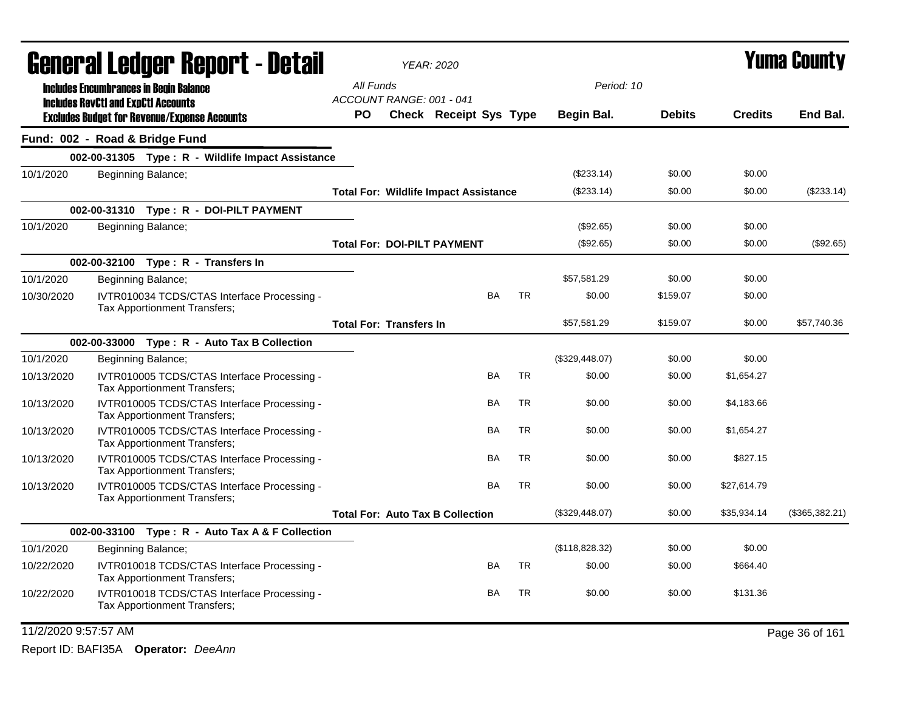|                      | General Ledger Report - Detail                                                                    |           |                                | <b>YEAR: 2020</b>                            |           |           |                |               |                | Yuma County    |
|----------------------|---------------------------------------------------------------------------------------------------|-----------|--------------------------------|----------------------------------------------|-----------|-----------|----------------|---------------|----------------|----------------|
|                      | <b>Includes Encumbrances in Begin Balance</b>                                                     | All Funds | ACCOUNT RANGE: 001 - 041       |                                              |           |           | Period: 10     |               |                |                |
|                      | <b>Includes RevCtI and ExpCtI Accounts</b><br><b>Excludes Budget for Revenue/Expense Accounts</b> | <b>PO</b> |                                | Check Receipt Sys Type                       |           |           | Begin Bal.     | <b>Debits</b> | <b>Credits</b> | End Bal.       |
|                      | Fund: 002 - Road & Bridge Fund                                                                    |           |                                |                                              |           |           |                |               |                |                |
|                      | 002-00-31305 Type: R - Wildlife Impact Assistance                                                 |           |                                |                                              |           |           |                |               |                |                |
| 10/1/2020            | Beginning Balance;                                                                                |           |                                |                                              |           |           | $(\$233.14)$   | \$0.00        | \$0.00         |                |
|                      |                                                                                                   |           |                                | <b>Total For: Wildlife Impact Assistance</b> |           |           | (\$233.14)     | \$0.00        | \$0.00         | (\$233.14)     |
|                      | 002-00-31310 Type: R - DOI-PILT PAYMENT                                                           |           |                                |                                              |           |           |                |               |                |                |
| 10/1/2020            | Beginning Balance;                                                                                |           |                                |                                              |           |           | (\$92.65)      | \$0.00        | \$0.00         |                |
|                      |                                                                                                   |           |                                | <b>Total For: DOI-PILT PAYMENT</b>           |           |           | (\$92.65)      | \$0.00        | \$0.00         | (\$92.65)      |
|                      | 002-00-32100 Type: R - Transfers In                                                               |           |                                |                                              |           |           |                |               |                |                |
| 10/1/2020            | Beginning Balance;                                                                                |           |                                |                                              |           |           | \$57,581.29    | \$0.00        | \$0.00         |                |
| 10/30/2020           | IVTR010034 TCDS/CTAS Interface Processing -<br>Tax Apportionment Transfers;                       |           |                                |                                              | <b>BA</b> | TR        | \$0.00         | \$159.07      | \$0.00         |                |
|                      |                                                                                                   |           | <b>Total For: Transfers In</b> |                                              |           |           | \$57,581.29    | \$159.07      | \$0.00         | \$57,740.36    |
|                      | 002-00-33000 Type: R - Auto Tax B Collection                                                      |           |                                |                                              |           |           |                |               |                |                |
| 10/1/2020            | Beginning Balance;                                                                                |           |                                |                                              |           |           | (\$329,448.07) | \$0.00        | \$0.00         |                |
| 10/13/2020           | IVTR010005 TCDS/CTAS Interface Processing -<br>Tax Apportionment Transfers;                       |           |                                |                                              | BA        | <b>TR</b> | \$0.00         | \$0.00        | \$1,654.27     |                |
| 10/13/2020           | IVTR010005 TCDS/CTAS Interface Processing -<br>Tax Apportionment Transfers;                       |           |                                |                                              | BA        | <b>TR</b> | \$0.00         | \$0.00        | \$4,183.66     |                |
| 10/13/2020           | IVTR010005 TCDS/CTAS Interface Processing -<br>Tax Apportionment Transfers;                       |           |                                |                                              | BA        | <b>TR</b> | \$0.00         | \$0.00        | \$1,654.27     |                |
| 10/13/2020           | IVTR010005 TCDS/CTAS Interface Processing -<br>Tax Apportionment Transfers;                       |           |                                |                                              | BA        | <b>TR</b> | \$0.00         | \$0.00        | \$827.15       |                |
| 10/13/2020           | IVTR010005 TCDS/CTAS Interface Processing -<br>Tax Apportionment Transfers;                       |           |                                |                                              | BA        | <b>TR</b> | \$0.00         | \$0.00        | \$27,614.79    |                |
|                      |                                                                                                   |           |                                | <b>Total For: Auto Tax B Collection</b>      |           |           | (\$329,448.07) | \$0.00        | \$35,934.14    | (\$365,382.21) |
|                      | 002-00-33100 Type: R - Auto Tax A & F Collection                                                  |           |                                |                                              |           |           |                |               |                |                |
| 10/1/2020            | Beginning Balance;                                                                                |           |                                |                                              |           |           | (\$118,828.32) | \$0.00        | \$0.00         |                |
| 10/22/2020           | IVTR010018 TCDS/CTAS Interface Processing -<br>Tax Apportionment Transfers;                       |           |                                |                                              | <b>BA</b> | <b>TR</b> | \$0.00         | \$0.00        | \$664.40       |                |
| 10/22/2020           | IVTR010018 TCDS/CTAS Interface Processing -<br>Tax Apportionment Transfers;                       |           |                                |                                              | <b>BA</b> | <b>TR</b> | \$0.00         | \$0.00        | \$131.36       |                |
| 11/2/2020 9:57:57 AM |                                                                                                   |           |                                |                                              |           |           |                |               |                | Page 36 of 161 |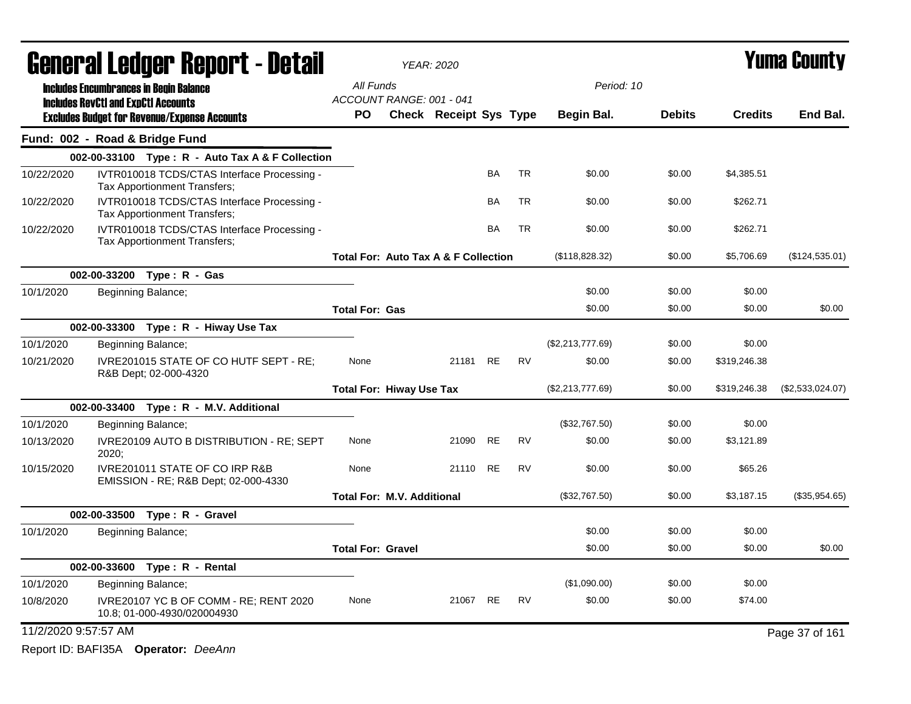|                      |                                            | General Ledger Report - Detail                                                    |                                                 | <b>YEAR: 2020</b>      |           |           |                  |               |                | <b>Yuma County</b> |
|----------------------|--------------------------------------------|-----------------------------------------------------------------------------------|-------------------------------------------------|------------------------|-----------|-----------|------------------|---------------|----------------|--------------------|
|                      |                                            | <b>Includes Encumbrances in Begin Balance</b>                                     | All Funds                                       |                        |           |           | Period: 10       |               |                |                    |
|                      | <b>Includes RevCtI and ExpCtI Accounts</b> | <b>Excludes Budget for Revenue/Expense Accounts</b>                               | ACCOUNT RANGE: 001 - 041<br>PO                  | Check Receipt Sys Type |           |           | Begin Bal.       | <b>Debits</b> | <b>Credits</b> | End Bal.           |
|                      |                                            | Fund: 002 - Road & Bridge Fund                                                    |                                                 |                        |           |           |                  |               |                |                    |
|                      |                                            | 002-00-33100 Type: $R -$ Auto Tax A & F Collection                                |                                                 |                        |           |           |                  |               |                |                    |
| 10/22/2020           |                                            | IVTR010018 TCDS/CTAS Interface Processing -<br>Tax Apportionment Transfers;       |                                                 |                        | BA        | <b>TR</b> | \$0.00           | \$0.00        | \$4,385.51     |                    |
| 10/22/2020           |                                            | IVTR010018 TCDS/CTAS Interface Processing -<br>Tax Apportionment Transfers;       |                                                 |                        | BA        | TR        | \$0.00           | \$0.00        | \$262.71       |                    |
| 10/22/2020           |                                            | IVTR010018 TCDS/CTAS Interface Processing -<br>Tax Apportionment Transfers;       |                                                 |                        | <b>BA</b> | <b>TR</b> | \$0.00           | \$0.00        | \$262.71       |                    |
|                      |                                            |                                                                                   | <b>Total For: Auto Tax A &amp; F Collection</b> |                        |           |           | (\$118,828.32)   | \$0.00        | \$5,706.69     | (\$124,535.01)     |
|                      |                                            | 002-00-33200 Type: R - Gas                                                        |                                                 |                        |           |           |                  |               |                |                    |
| 10/1/2020            |                                            | Beginning Balance;                                                                |                                                 |                        |           |           | \$0.00           | \$0.00        | \$0.00         |                    |
|                      |                                            |                                                                                   | <b>Total For: Gas</b>                           |                        |           |           | \$0.00           | \$0.00        | \$0.00         | \$0.00             |
|                      |                                            | 002-00-33300 Type: R - Hiway Use Tax                                              |                                                 |                        |           |           |                  |               |                |                    |
| 10/1/2020            |                                            | Beginning Balance;                                                                |                                                 |                        |           |           | (\$2,213,777.69) | \$0.00        | \$0.00         |                    |
| 10/21/2020           |                                            | IVRE201015 STATE OF CO HUTF SEPT - RE;<br>R&B Dept; 02-000-4320                   | None                                            | 21181                  | RE        | <b>RV</b> | \$0.00           | \$0.00        | \$319,246.38   |                    |
|                      |                                            |                                                                                   | <b>Total For: Hiway Use Tax</b>                 |                        |           |           | (\$2,213,777.69) | \$0.00        | \$319,246.38   | (\$2,533,024.07)   |
|                      |                                            | 002-00-33400 Type: R - M.V. Additional                                            |                                                 |                        |           |           |                  |               |                |                    |
| 10/1/2020            |                                            | Beginning Balance;                                                                |                                                 |                        |           |           | (\$32,767.50)    | \$0.00        | \$0.00         |                    |
| 10/13/2020           | 2020:                                      | IVRE20109 AUTO B DISTRIBUTION - RE; SEPT                                          | None                                            | 21090                  | <b>RE</b> | <b>RV</b> | \$0.00           | \$0.00        | \$3.121.89     |                    |
| 10/15/2020           |                                            | <b>IVRE201011 STATE OF CO IRP R&amp;B</b><br>EMISSION - RE; R&B Dept; 02-000-4330 | None                                            | 21110 RE               |           | <b>RV</b> | \$0.00           | \$0.00        | \$65.26        |                    |
|                      |                                            |                                                                                   | <b>Total For: M.V. Additional</b>               |                        |           |           | (\$32,767.50)    | \$0.00        | \$3,187.15     | (\$35,954.65)      |
|                      |                                            | 002-00-33500 Type: R - Gravel                                                     |                                                 |                        |           |           |                  |               |                |                    |
| 10/1/2020            |                                            | Beginning Balance;                                                                |                                                 |                        |           |           | \$0.00           | \$0.00        | \$0.00         |                    |
|                      |                                            |                                                                                   | <b>Total For: Gravel</b>                        |                        |           |           | \$0.00           | \$0.00        | \$0.00         | \$0.00             |
|                      | 002-00-33600                               | Type: R - Rental                                                                  |                                                 |                        |           |           |                  |               |                |                    |
| 10/1/2020            |                                            | Beginning Balance;                                                                |                                                 |                        |           |           | (\$1,090.00)     | \$0.00        | \$0.00         |                    |
| 10/8/2020            |                                            | IVRE20107 YC B OF COMM - RE; RENT 2020<br>10.8; 01-000-4930/020004930             | None                                            | 21067                  | <b>RE</b> | <b>RV</b> | \$0.00           | \$0.00        | \$74.00        |                    |
| 11/2/2020 9:57:57 AM |                                            |                                                                                   |                                                 |                        |           |           |                  |               |                | Page 37 of 161     |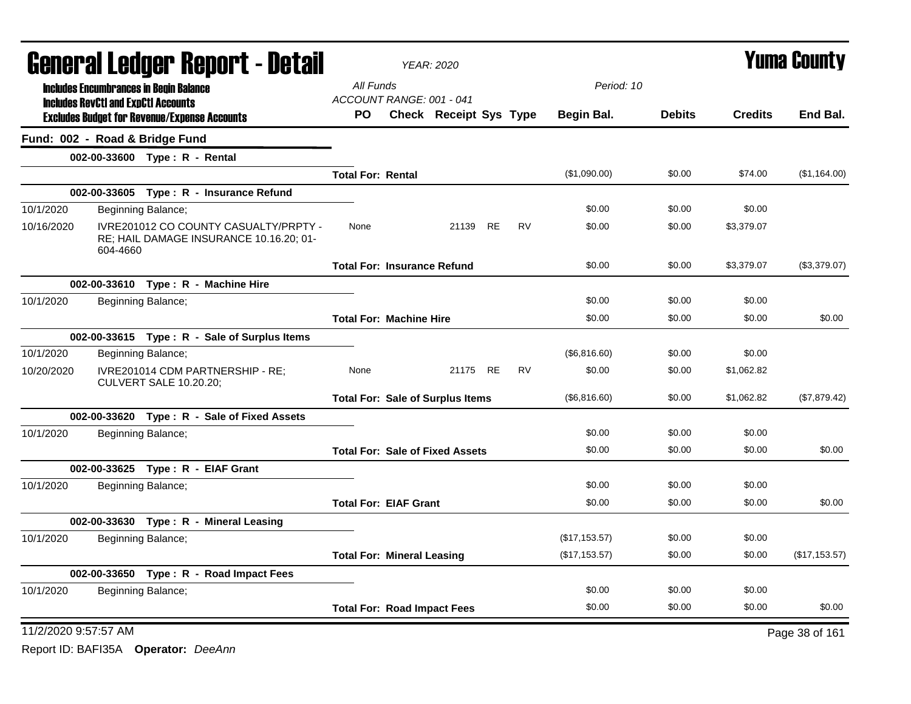|                      | <b>General Ledger Report - Detail</b>                                                             | <b>YEAR: 2020</b>                     |  |                                         |  |           |                |               | <b>Yuma County</b> |                |  |
|----------------------|---------------------------------------------------------------------------------------------------|---------------------------------------|--|-----------------------------------------|--|-----------|----------------|---------------|--------------------|----------------|--|
|                      | <b>Includes Encumbrances in Begin Balance</b>                                                     | All Funds<br>ACCOUNT RANGE: 001 - 041 |  |                                         |  |           | Period: 10     |               |                    |                |  |
|                      | <b>Includes RevCtI and ExpCtI Accounts</b><br><b>Excludes Budget for Revenue/Expense Accounts</b> | PO.                                   |  | Check Receipt Sys Type                  |  |           | Begin Bal.     | <b>Debits</b> | <b>Credits</b>     | End Bal.       |  |
|                      | Fund: 002 - Road & Bridge Fund                                                                    |                                       |  |                                         |  |           |                |               |                    |                |  |
|                      | 002-00-33600 Type: R - Rental                                                                     |                                       |  |                                         |  |           |                |               |                    |                |  |
|                      |                                                                                                   | <b>Total For: Rental</b>              |  |                                         |  |           | (\$1,090.00)   | \$0.00        | \$74.00            | (\$1,164.00)   |  |
|                      | 002-00-33605 Type: R - Insurance Refund                                                           |                                       |  |                                         |  |           |                |               |                    |                |  |
| 10/1/2020            | Beginning Balance;                                                                                |                                       |  |                                         |  |           | \$0.00         | \$0.00        | \$0.00             |                |  |
| 10/16/2020           | IVRE201012 CO COUNTY CASUALTY/PRPTY -<br>RE; HAIL DAMAGE INSURANCE 10.16.20; 01-<br>604-4660      | None                                  |  | 21139 RE                                |  | <b>RV</b> | \$0.00         | \$0.00        | \$3,379.07         |                |  |
|                      |                                                                                                   | <b>Total For: Insurance Refund</b>    |  |                                         |  |           | \$0.00         | \$0.00        | \$3,379.07         | (\$3,379.07)   |  |
|                      | 002-00-33610 Type: R - Machine Hire                                                               |                                       |  |                                         |  |           |                |               |                    |                |  |
| 10/1/2020            | Beginning Balance;                                                                                |                                       |  |                                         |  |           | \$0.00         | \$0.00        | \$0.00             |                |  |
|                      |                                                                                                   | <b>Total For: Machine Hire</b>        |  |                                         |  |           | \$0.00         | \$0.00        | \$0.00             | \$0.00         |  |
|                      | 002-00-33615 Type: R - Sale of Surplus Items                                                      |                                       |  |                                         |  |           |                |               |                    |                |  |
| 10/1/2020            | Beginning Balance;                                                                                |                                       |  |                                         |  |           | (\$6,816.60)   | \$0.00        | \$0.00             |                |  |
| 10/20/2020           | IVRE201014 CDM PARTNERSHIP - RE;<br><b>CULVERT SALE 10.20.20;</b>                                 | None                                  |  | 21175 RE                                |  | <b>RV</b> | \$0.00         | \$0.00        | \$1,062.82         |                |  |
|                      |                                                                                                   |                                       |  | <b>Total For: Sale of Surplus Items</b> |  |           | (\$6,816.60)   | \$0.00        | \$1,062.82         | (\$7,879.42)   |  |
|                      | 002-00-33620 Type: R - Sale of Fixed Assets                                                       |                                       |  |                                         |  |           |                |               |                    |                |  |
| 10/1/2020            | Beginning Balance;                                                                                |                                       |  |                                         |  |           | \$0.00         | \$0.00        | \$0.00             |                |  |
|                      |                                                                                                   |                                       |  | <b>Total For: Sale of Fixed Assets</b>  |  |           | \$0.00         | \$0.00        | \$0.00             | \$0.00         |  |
|                      | 002-00-33625 Type: R - EIAF Grant                                                                 |                                       |  |                                         |  |           |                |               |                    |                |  |
| 10/1/2020            | Beginning Balance;                                                                                |                                       |  |                                         |  |           | \$0.00         | \$0.00        | \$0.00             |                |  |
|                      |                                                                                                   | <b>Total For: EIAF Grant</b>          |  |                                         |  |           | \$0.00         | \$0.00        | \$0.00             | \$0.00         |  |
|                      | 002-00-33630 Type: R - Mineral Leasing                                                            |                                       |  |                                         |  |           |                |               |                    |                |  |
| 10/1/2020            | Beginning Balance;                                                                                |                                       |  |                                         |  |           | (\$17,153.57)  | \$0.00        | \$0.00             |                |  |
|                      |                                                                                                   | <b>Total For: Mineral Leasing</b>     |  |                                         |  |           | (\$17, 153.57) | \$0.00        | \$0.00             | (\$17, 153.57) |  |
|                      | 002-00-33650 Type: R - Road Impact Fees                                                           |                                       |  |                                         |  |           |                |               |                    |                |  |
| 10/1/2020            | Beginning Balance;                                                                                |                                       |  |                                         |  |           | \$0.00         | \$0.00        | \$0.00             |                |  |
|                      |                                                                                                   | <b>Total For: Road Impact Fees</b>    |  |                                         |  |           | \$0.00         | \$0.00        | \$0.00             | \$0.00         |  |
| 11/2/2020 9:57:57 AM |                                                                                                   |                                       |  |                                         |  |           |                |               |                    | Page 38 of 161 |  |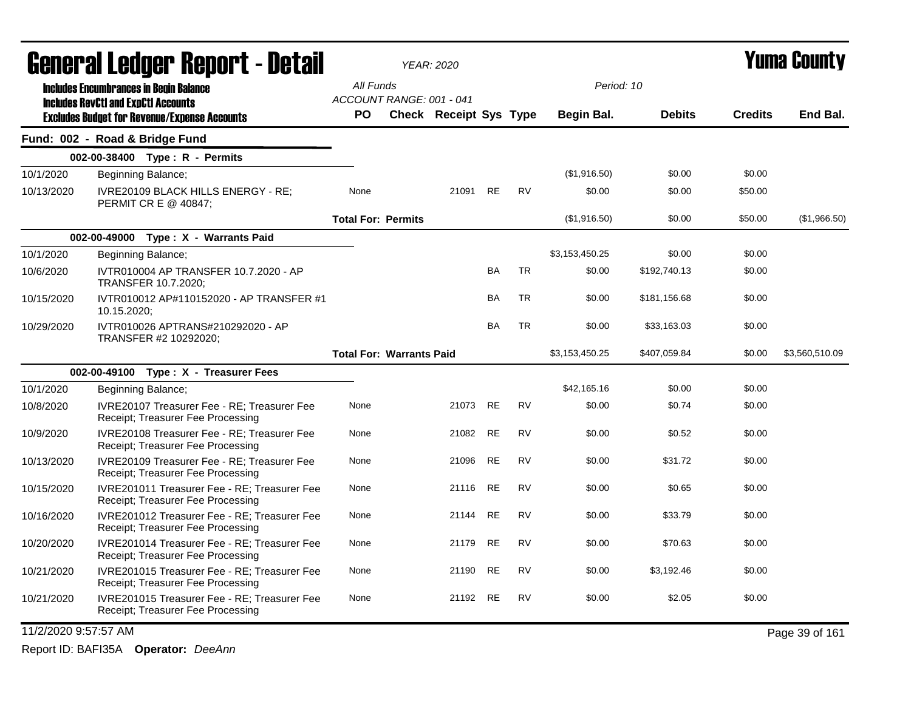|                      | General Ledger Report - Detail                                                                    |                                       | <b>YEAR: 2020</b>      |           |           |                |               |                | <b>Yuma County</b> |
|----------------------|---------------------------------------------------------------------------------------------------|---------------------------------------|------------------------|-----------|-----------|----------------|---------------|----------------|--------------------|
|                      | <b>Includes Encumbrances in Begin Balance</b>                                                     | All Funds                             |                        |           |           | Period: 10     |               |                |                    |
|                      | <b>Includes RevCtI and ExpCtI Accounts</b><br><b>Excludes Budget for Revenue/Expense Accounts</b> | ACCOUNT RANGE: 001 - 041<br><b>PO</b> | Check Receipt Sys Type |           |           | Begin Bal.     | <b>Debits</b> | <b>Credits</b> | End Bal.           |
|                      | Fund: 002 - Road & Bridge Fund                                                                    |                                       |                        |           |           |                |               |                |                    |
|                      | 002-00-38400 Type: R - Permits                                                                    |                                       |                        |           |           |                |               |                |                    |
| 10/1/2020            | Beginning Balance;                                                                                |                                       |                        |           |           | (\$1,916.50)   | \$0.00        | \$0.00         |                    |
| 10/13/2020           | IVRE20109 BLACK HILLS ENERGY - RE:<br>PERMIT CR E @ 40847;                                        | None                                  | 21091                  | <b>RE</b> | <b>RV</b> | \$0.00         | \$0.00        | \$50.00        |                    |
|                      |                                                                                                   | <b>Total For: Permits</b>             |                        |           |           | (\$1,916.50)   | \$0.00        | \$50.00        | (\$1,966.50)       |
|                      | 002-00-49000 Type: X - Warrants Paid                                                              |                                       |                        |           |           |                |               |                |                    |
| 10/1/2020            | Beginning Balance;                                                                                |                                       |                        |           |           | \$3,153,450.25 | \$0.00        | \$0.00         |                    |
| 10/6/2020            | IVTR010004 AP TRANSFER 10.7.2020 - AP<br>TRANSFER 10.7.2020;                                      |                                       |                        | <b>BA</b> | <b>TR</b> | \$0.00         | \$192,740.13  | \$0.00         |                    |
| 10/15/2020           | IVTR010012 AP#110152020 - AP TRANSFER #1<br>10.15.2020;                                           |                                       |                        | <b>BA</b> | <b>TR</b> | \$0.00         | \$181,156.68  | \$0.00         |                    |
| 10/29/2020           | IVTR010026 APTRANS#210292020 - AP<br>TRANSFER #2 10292020;                                        |                                       |                        | <b>BA</b> | <b>TR</b> | \$0.00         | \$33,163.03   | \$0.00         |                    |
|                      |                                                                                                   | <b>Total For: Warrants Paid</b>       |                        |           |           | \$3,153,450.25 | \$407,059.84  | \$0.00         | \$3,560,510.09     |
|                      | 002-00-49100 Type: X - Treasurer Fees                                                             |                                       |                        |           |           |                |               |                |                    |
| 10/1/2020            | Beginning Balance;                                                                                |                                       |                        |           |           | \$42,165.16    | \$0.00        | \$0.00         |                    |
| 10/8/2020            | IVRE20107 Treasurer Fee - RE; Treasurer Fee<br>Receipt; Treasurer Fee Processing                  | None                                  | 21073 RE               |           | <b>RV</b> | \$0.00         | \$0.74        | \$0.00         |                    |
| 10/9/2020            | IVRE20108 Treasurer Fee - RE; Treasurer Fee<br>Receipt; Treasurer Fee Processing                  | None                                  | 21082                  | <b>RE</b> | <b>RV</b> | \$0.00         | \$0.52        | \$0.00         |                    |
| 10/13/2020           | IVRE20109 Treasurer Fee - RE; Treasurer Fee<br>Receipt; Treasurer Fee Processing                  | None                                  | 21096                  | <b>RE</b> | <b>RV</b> | \$0.00         | \$31.72       | \$0.00         |                    |
| 10/15/2020           | IVRE201011 Treasurer Fee - RE: Treasurer Fee<br>Receipt; Treasurer Fee Processing                 | None                                  | 21116                  | <b>RE</b> | <b>RV</b> | \$0.00         | \$0.65        | \$0.00         |                    |
| 10/16/2020           | IVRE201012 Treasurer Fee - RE: Treasurer Fee<br>Receipt; Treasurer Fee Processing                 | None                                  | 21144                  | <b>RE</b> | <b>RV</b> | \$0.00         | \$33.79       | \$0.00         |                    |
| 10/20/2020           | IVRE201014 Treasurer Fee - RE; Treasurer Fee<br>Receipt; Treasurer Fee Processing                 | None                                  | 21179                  | <b>RE</b> | <b>RV</b> | \$0.00         | \$70.63       | \$0.00         |                    |
| 10/21/2020           | IVRE201015 Treasurer Fee - RE: Treasurer Fee<br>Receipt; Treasurer Fee Processing                 | None                                  | 21190                  | <b>RE</b> | <b>RV</b> | \$0.00         | \$3,192.46    | \$0.00         |                    |
| 10/21/2020           | IVRE201015 Treasurer Fee - RE; Treasurer Fee<br>Receipt; Treasurer Fee Processing                 | None                                  | 21192 RE               |           | RV        | \$0.00         | \$2.05        | \$0.00         |                    |
| 11/2/2020 9:57:57 AM |                                                                                                   |                                       |                        |           |           |                |               |                | Page 39 of 161     |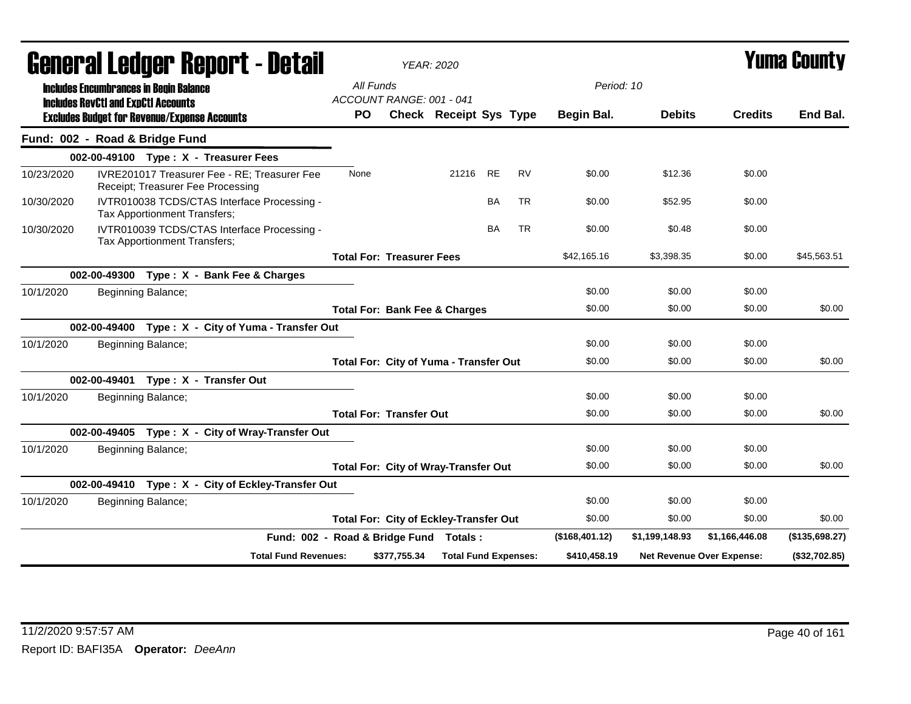|            |                                                                                             |                              | General Ledger Report - Detail                                                    |           |                                               | <b>YEAR: 2020</b>           |           |           |                |                | Yuma Countv                      |                |
|------------|---------------------------------------------------------------------------------------------|------------------------------|-----------------------------------------------------------------------------------|-----------|-----------------------------------------------|-----------------------------|-----------|-----------|----------------|----------------|----------------------------------|----------------|
|            | <b>Includes Encumbrances in Begin Balance</b><br><b>Includes RevCtI and ExpCtI Accounts</b> |                              |                                                                                   | All Funds | ACCOUNT RANGE: 001 - 041                      |                             |           |           | Period: 10     |                |                                  |                |
|            | <b>Excludes Budget for Revenue/Expense Accounts</b>                                         |                              |                                                                                   | PO.       |                                               | Check Receipt Sys Type      |           |           | Begin Bal.     | <b>Debits</b>  | <b>Credits</b>                   | End Bal.       |
|            | Fund: 002 - Road & Bridge Fund                                                              |                              |                                                                                   |           |                                               |                             |           |           |                |                |                                  |                |
|            |                                                                                             |                              | 002-00-49100 Type: X - Treasurer Fees                                             |           |                                               |                             |           |           |                |                |                                  |                |
| 10/23/2020 |                                                                                             |                              | IVRE201017 Treasurer Fee - RE; Treasurer Fee<br>Receipt; Treasurer Fee Processing | None      |                                               | 21216 RE                    |           | <b>RV</b> | \$0.00         | \$12.36        | \$0.00                           |                |
| 10/30/2020 |                                                                                             | Tax Apportionment Transfers; | IVTR010038 TCDS/CTAS Interface Processing -                                       |           |                                               |                             | BA        | <b>TR</b> | \$0.00         | \$52.95        | \$0.00                           |                |
| 10/30/2020 |                                                                                             | Tax Apportionment Transfers; | IVTR010039 TCDS/CTAS Interface Processing -                                       |           |                                               |                             | <b>BA</b> | <b>TR</b> | \$0.00         | \$0.48         | \$0.00                           |                |
|            |                                                                                             |                              |                                                                                   |           | <b>Total For: Treasurer Fees</b>              |                             |           |           | \$42,165.16    | \$3,398.35     | \$0.00                           | \$45,563.51    |
|            |                                                                                             |                              | 002-00-49300 Type: X - Bank Fee & Charges                                         |           |                                               |                             |           |           |                |                |                                  |                |
| 10/1/2020  |                                                                                             | Beginning Balance;           |                                                                                   |           |                                               |                             |           |           | \$0.00         | \$0.00         | \$0.00                           |                |
|            |                                                                                             |                              |                                                                                   |           | <b>Total For: Bank Fee &amp; Charges</b>      |                             |           |           | \$0.00         | \$0.00         | \$0.00                           | \$0.00         |
|            |                                                                                             |                              | 002-00-49400 Type: X - City of Yuma - Transfer Out                                |           |                                               |                             |           |           |                |                |                                  |                |
| 10/1/2020  |                                                                                             | Beginning Balance;           |                                                                                   |           |                                               |                             |           |           | \$0.00         | \$0.00         | \$0.00                           |                |
|            |                                                                                             |                              |                                                                                   |           | <b>Total For: City of Yuma - Transfer Out</b> |                             |           |           | \$0.00         | \$0.00         | \$0.00                           | \$0.00         |
|            |                                                                                             |                              | 002-00-49401 Type: X - Transfer Out                                               |           |                                               |                             |           |           |                |                |                                  |                |
| 10/1/2020  |                                                                                             | Beginning Balance;           |                                                                                   |           |                                               |                             |           |           | \$0.00         | \$0.00         | \$0.00                           |                |
|            |                                                                                             |                              |                                                                                   |           | <b>Total For: Transfer Out</b>                |                             |           |           | \$0.00         | \$0.00         | \$0.00                           | \$0.00         |
|            |                                                                                             |                              | 002-00-49405 Type: X - City of Wray-Transfer Out                                  |           |                                               |                             |           |           |                |                |                                  |                |
| 10/1/2020  |                                                                                             | Beginning Balance;           |                                                                                   |           |                                               |                             |           |           | \$0.00         | \$0.00         | \$0.00                           |                |
|            |                                                                                             |                              |                                                                                   |           | <b>Total For: City of Wray-Transfer Out</b>   |                             |           |           | \$0.00         | \$0.00         | \$0.00                           | \$0.00         |
|            |                                                                                             |                              | 002-00-49410 Type: X - City of Eckley-Transfer Out                                |           |                                               |                             |           |           |                |                |                                  |                |
| 10/1/2020  |                                                                                             | Beginning Balance;           |                                                                                   |           |                                               |                             |           |           | \$0.00         | \$0.00         | \$0.00                           |                |
|            |                                                                                             |                              |                                                                                   |           | <b>Total For: City of Eckley-Transfer Out</b> |                             |           |           | \$0.00         | \$0.00         | \$0.00                           | \$0.00         |
|            |                                                                                             |                              | Fund: 002 - Road & Bridge Fund Totals:                                            |           |                                               |                             |           |           | (\$168,401.12) | \$1,199,148.93 | \$1,166,446.08                   | (\$135,698.27) |
|            |                                                                                             |                              | <b>Total Fund Revenues:</b>                                                       |           | \$377,755.34                                  | <b>Total Fund Expenses:</b> |           |           | \$410,458.19   |                | <b>Net Revenue Over Expense:</b> | (\$32,702.85)  |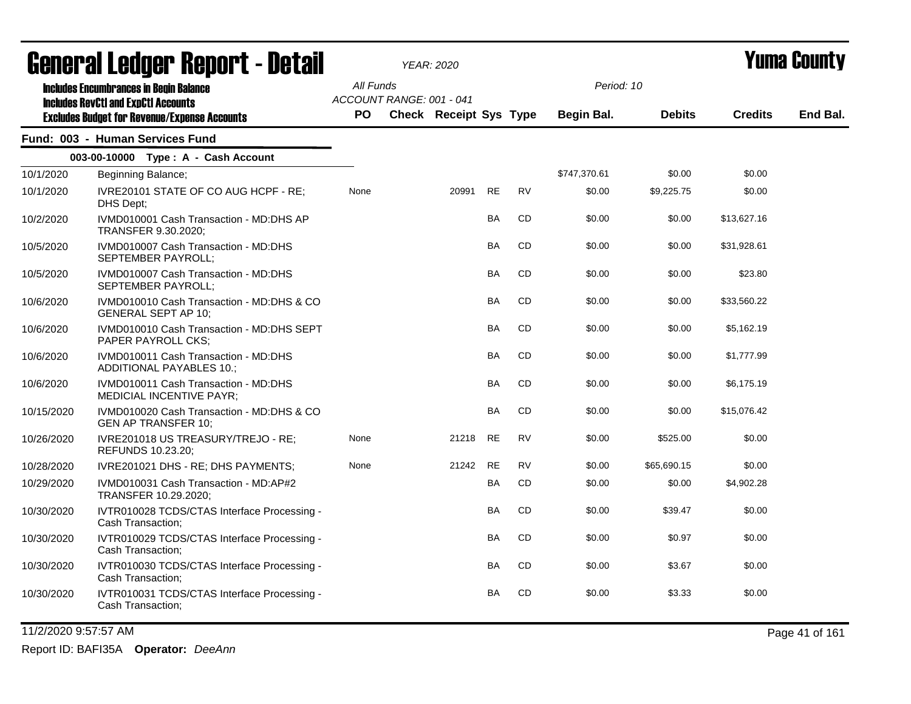|            | <u>agiigi.si fanñai. Kanni. ( - nafsh</u><br><b>Includes Encumbrances in Begin Balance</b><br><b>Includes RevCtI and ExpCtI Accounts</b> | All Funds<br>ACCOUNT RANGE: 001 - 041 |                               |           |           |                          |               |                |          |
|------------|------------------------------------------------------------------------------------------------------------------------------------------|---------------------------------------|-------------------------------|-----------|-----------|--------------------------|---------------|----------------|----------|
|            | <b>Excludes Budget for Revenue/Expense Accounts</b>                                                                                      | PO.                                   | <b>Check Receipt Sys Type</b> |           |           | Period: 10<br>Begin Bal. | <b>Debits</b> | <b>Credits</b> | End Bal. |
|            | Fund: 003 - Human Services Fund                                                                                                          |                                       |                               |           |           |                          |               |                |          |
|            | 003-00-10000 Type: A - Cash Account                                                                                                      |                                       |                               |           |           |                          |               |                |          |
| 10/1/2020  | Beginning Balance;                                                                                                                       |                                       |                               |           |           | \$747,370.61             | \$0.00        | \$0.00         |          |
| 10/1/2020  | IVRE20101 STATE OF CO AUG HCPF - RE;<br>DHS Dept:                                                                                        | None                                  | 20991                         | <b>RE</b> | <b>RV</b> | \$0.00                   | \$9,225.75    | \$0.00         |          |
| 10/2/2020  | IVMD010001 Cash Transaction - MD:DHS AP<br>TRANSFER 9.30.2020;                                                                           |                                       |                               | BA        | CD        | \$0.00                   | \$0.00        | \$13,627.16    |          |
| 10/5/2020  | IVMD010007 Cash Transaction - MD:DHS<br>SEPTEMBER PAYROLL;                                                                               |                                       |                               | BA        | CD        | \$0.00                   | \$0.00        | \$31,928.61    |          |
| 10/5/2020  | IVMD010007 Cash Transaction - MD:DHS<br>SEPTEMBER PAYROLL;                                                                               |                                       |                               | BA        | CD        | \$0.00                   | \$0.00        | \$23.80        |          |
| 10/6/2020  | IVMD010010 Cash Transaction - MD:DHS & CO<br><b>GENERAL SEPT AP 10;</b>                                                                  |                                       |                               | <b>BA</b> | <b>CD</b> | \$0.00                   | \$0.00        | \$33,560.22    |          |
| 10/6/2020  | IVMD010010 Cash Transaction - MD:DHS SEPT<br><b>PAPER PAYROLL CKS:</b>                                                                   |                                       |                               | BA        | CD        | \$0.00                   | \$0.00        | \$5,162.19     |          |
| 10/6/2020  | IVMD010011 Cash Transaction - MD:DHS<br>ADDITIONAL PAYABLES 10.;                                                                         |                                       |                               | BA        | CD        | \$0.00                   | \$0.00        | \$1,777.99     |          |
| 10/6/2020  | IVMD010011 Cash Transaction - MD:DHS<br>MEDICIAL INCENTIVE PAYR;                                                                         |                                       |                               | <b>BA</b> | CD        | \$0.00                   | \$0.00        | \$6,175.19     |          |
| 10/15/2020 | IVMD010020 Cash Transaction - MD:DHS & CO<br><b>GEN AP TRANSFER 10;</b>                                                                  |                                       |                               | BA        | CD        | \$0.00                   | \$0.00        | \$15,076.42    |          |
| 10/26/2020 | IVRE201018 US TREASURY/TREJO - RE;<br>REFUNDS 10.23.20;                                                                                  | None                                  | 21218                         | <b>RE</b> | <b>RV</b> | \$0.00                   | \$525.00      | \$0.00         |          |
| 10/28/2020 | IVRE201021 DHS - RE; DHS PAYMENTS;                                                                                                       | None                                  | 21242                         | <b>RE</b> | <b>RV</b> | \$0.00                   | \$65,690.15   | \$0.00         |          |
| 10/29/2020 | IVMD010031 Cash Transaction - MD:AP#2<br>TRANSFER 10.29.2020;                                                                            |                                       |                               | <b>BA</b> | CD        | \$0.00                   | \$0.00        | \$4,902.28     |          |
| 10/30/2020 | IVTR010028 TCDS/CTAS Interface Processing -<br>Cash Transaction:                                                                         |                                       |                               | <b>BA</b> | CD        | \$0.00                   | \$39.47       | \$0.00         |          |
| 10/30/2020 | IVTR010029 TCDS/CTAS Interface Processing -<br>Cash Transaction;                                                                         |                                       |                               | BA        | CD        | \$0.00                   | \$0.97        | \$0.00         |          |
| 10/30/2020 | IVTR010030 TCDS/CTAS Interface Processing -<br>Cash Transaction;                                                                         |                                       |                               | BA        | CD        | \$0.00                   | \$3.67        | \$0.00         |          |
| 10/30/2020 | IVTR010031 TCDS/CTAS Interface Processing -<br>Cash Transaction:                                                                         |                                       |                               | <b>BA</b> | CD        | \$0.00                   | \$3.33        | \$0.00         |          |

# General Ledger Report - Detail *YEAR: 2020* Yuma County

11/2/2020 9:57:57 AM Page 41 of 161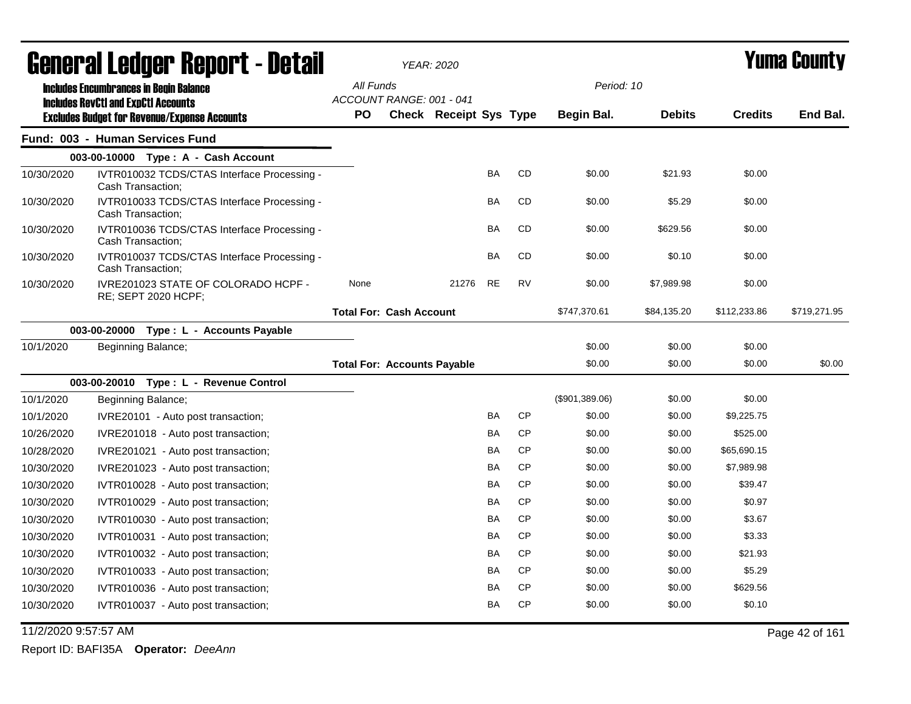|            | General Ledger Report - Detail                                                                    |                                       | YEAR: 2020             |           |           |                | <b>Yuma County</b> |                |              |
|------------|---------------------------------------------------------------------------------------------------|---------------------------------------|------------------------|-----------|-----------|----------------|--------------------|----------------|--------------|
|            | <b>Includes Encumbrances in Begin Balance</b>                                                     | All Funds<br>ACCOUNT RANGE: 001 - 041 |                        |           |           | Period: 10     |                    |                |              |
|            | <b>Includes RevCtI and ExpCtI Accounts</b><br><b>Excludes Budget for Revenue/Expense Accounts</b> | PO                                    | Check Receipt Sys Type |           |           | Begin Bal.     | <b>Debits</b>      | <b>Credits</b> | End Bal.     |
|            | Fund: 003 - Human Services Fund                                                                   |                                       |                        |           |           |                |                    |                |              |
|            | 003-00-10000 Type: A - Cash Account                                                               |                                       |                        |           |           |                |                    |                |              |
| 10/30/2020 | IVTR010032 TCDS/CTAS Interface Processing -<br>Cash Transaction;                                  |                                       |                        | <b>BA</b> | <b>CD</b> | \$0.00         | \$21.93            | \$0.00         |              |
| 10/30/2020 | IVTR010033 TCDS/CTAS Interface Processing -<br>Cash Transaction;                                  |                                       |                        | BA        | <b>CD</b> | \$0.00         | \$5.29             | \$0.00         |              |
| 10/30/2020 | IVTR010036 TCDS/CTAS Interface Processing -<br>Cash Transaction;                                  |                                       |                        | BA        | CD        | \$0.00         | \$629.56           | \$0.00         |              |
| 10/30/2020 | IVTR010037 TCDS/CTAS Interface Processing -<br>Cash Transaction;                                  |                                       |                        | <b>BA</b> | <b>CD</b> | \$0.00         | \$0.10             | \$0.00         |              |
| 10/30/2020 | IVRE201023 STATE OF COLORADO HCPF -<br><b>RE: SEPT 2020 HCPF:</b>                                 | None                                  | 21276                  | <b>RE</b> | <b>RV</b> | \$0.00         | \$7,989.98         | \$0.00         |              |
|            |                                                                                                   | <b>Total For: Cash Account</b>        |                        |           |           | \$747,370.61   | \$84,135.20        | \$112,233.86   | \$719,271.95 |
|            | 003-00-20000 Type : L - Accounts Payable                                                          |                                       |                        |           |           |                |                    |                |              |
| 10/1/2020  | Beginning Balance;                                                                                |                                       |                        |           |           | \$0.00         | \$0.00             | \$0.00         |              |
|            |                                                                                                   | <b>Total For: Accounts Payable</b>    |                        |           |           | \$0.00         | \$0.00             | \$0.00         | \$0.00       |
|            | 003-00-20010 Type: L - Revenue Control                                                            |                                       |                        |           |           |                |                    |                |              |
| 10/1/2020  | Beginning Balance;                                                                                |                                       |                        |           |           | (\$901,389.06) | \$0.00             | \$0.00         |              |
| 10/1/2020  | IVRE20101 - Auto post transaction;                                                                |                                       |                        | <b>BA</b> | <b>CP</b> | \$0.00         | \$0.00             | \$9,225.75     |              |
| 10/26/2020 | IVRE201018 - Auto post transaction;                                                               |                                       |                        | BA        | <b>CP</b> | \$0.00         | \$0.00             | \$525.00       |              |
| 10/28/2020 | IVRE201021 - Auto post transaction;                                                               |                                       |                        | BA        | <b>CP</b> | \$0.00         | \$0.00             | \$65,690.15    |              |
| 10/30/2020 | IVRE201023 - Auto post transaction;                                                               |                                       |                        | BA        | <b>CP</b> | \$0.00         | \$0.00             | \$7,989.98     |              |
| 10/30/2020 | IVTR010028 - Auto post transaction;                                                               |                                       |                        | BA        | <b>CP</b> | \$0.00         | \$0.00             | \$39.47        |              |
| 10/30/2020 | IVTR010029 - Auto post transaction;                                                               |                                       |                        | <b>BA</b> | <b>CP</b> | \$0.00         | \$0.00             | \$0.97         |              |
| 10/30/2020 | IVTR010030 - Auto post transaction;                                                               |                                       |                        | BA        | <b>CP</b> | \$0.00         | \$0.00             | \$3.67         |              |
| 10/30/2020 | IVTR010031 - Auto post transaction;                                                               |                                       |                        | <b>BA</b> | <b>CP</b> | \$0.00         | \$0.00             | \$3.33         |              |
| 10/30/2020 | IVTR010032 - Auto post transaction;                                                               |                                       |                        | <b>BA</b> | <b>CP</b> | \$0.00         | \$0.00             | \$21.93        |              |
| 10/30/2020 | IVTR010033 - Auto post transaction;                                                               |                                       |                        | <b>BA</b> | <b>CP</b> | \$0.00         | \$0.00             | \$5.29         |              |
| 10/30/2020 | IVTR010036 - Auto post transaction;                                                               |                                       |                        | BA        | <b>CP</b> | \$0.00         | \$0.00             | \$629.56       |              |
| 10/30/2020 | IVTR010037 - Auto post transaction;                                                               |                                       |                        | ΒA        | CP        | \$0.00         | \$0.00             | \$0.10         |              |

11/2/2020 9:57:57 AM Page 42 of 161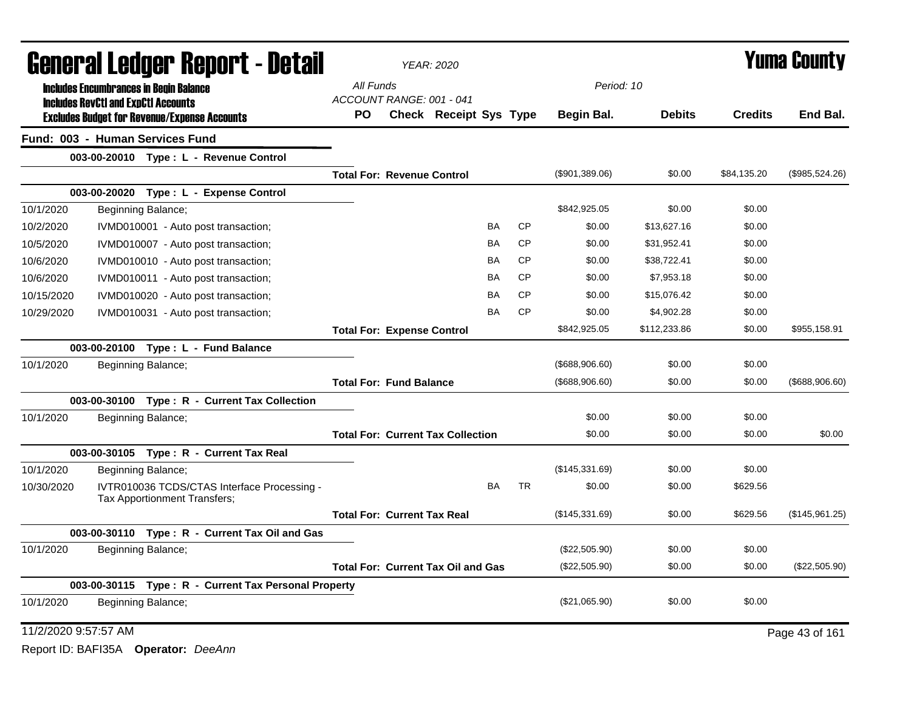|                      |                                            | <b>General Ledger Report - Detail</b>                                       |                                           | <b>YEAR: 2020</b>      |           | <b>Yuma County</b> |                   |               |                |                |
|----------------------|--------------------------------------------|-----------------------------------------------------------------------------|-------------------------------------------|------------------------|-----------|--------------------|-------------------|---------------|----------------|----------------|
|                      |                                            | <b>Includes Encumbrances in Begin Balance</b>                               | All Funds                                 |                        |           |                    | Period: 10        |               |                |                |
|                      | <b>Includes RevCtI and ExpCtI Accounts</b> | <b>Excludes Budget for Revenue/Expense Accounts</b>                         | ACCOUNT RANGE: 001 - 041<br>PO.           | Check Receipt Sys Type |           |                    | Begin Bal.        | <b>Debits</b> | <b>Credits</b> | End Bal.       |
|                      |                                            | Fund: 003 - Human Services Fund                                             |                                           |                        |           |                    |                   |               |                |                |
|                      |                                            | 003-00-20010 Type: L - Revenue Control                                      |                                           |                        |           |                    |                   |               |                |                |
|                      |                                            |                                                                             | <b>Total For: Revenue Control</b>         |                        |           |                    | (\$901,389.06)    | \$0.00        | \$84,135.20    | (\$985,524.26) |
|                      |                                            | 003-00-20020 Type: L - Expense Control                                      |                                           |                        |           |                    |                   |               |                |                |
| 10/1/2020            |                                            | Beginning Balance;                                                          |                                           |                        |           |                    | \$842,925.05      | \$0.00        | \$0.00         |                |
| 10/2/2020            |                                            | IVMD010001 - Auto post transaction;                                         |                                           |                        | <b>BA</b> | <b>CP</b>          | \$0.00            | \$13,627.16   | \$0.00         |                |
| 10/5/2020            |                                            | IVMD010007 - Auto post transaction;                                         |                                           |                        | BA        | <b>CP</b>          | \$0.00            | \$31,952.41   | \$0.00         |                |
| 10/6/2020            |                                            | IVMD010010 - Auto post transaction;                                         |                                           |                        | ΒA        | <b>CP</b>          | \$0.00            | \$38,722.41   | \$0.00         |                |
| 10/6/2020            |                                            | IVMD010011 - Auto post transaction;                                         |                                           |                        | BA        | <b>CP</b>          | \$0.00            | \$7,953.18    | \$0.00         |                |
| 10/15/2020           |                                            | IVMD010020 - Auto post transaction;                                         |                                           |                        | BA        | <b>CP</b>          | \$0.00            | \$15,076.42   | \$0.00         |                |
| 10/29/2020           |                                            | IVMD010031 - Auto post transaction;                                         |                                           |                        | BA        | <b>CP</b>          | \$0.00            | \$4,902.28    | \$0.00         |                |
|                      |                                            |                                                                             | <b>Total For: Expense Control</b>         |                        |           |                    | \$842,925.05      | \$112,233.86  | \$0.00         | \$955,158.91   |
|                      |                                            | 003-00-20100 Type: L - Fund Balance                                         |                                           |                        |           |                    |                   |               |                |                |
| 10/1/2020            |                                            | Beginning Balance;                                                          |                                           |                        |           |                    | $($ \$688,906.60) | \$0.00        | \$0.00         |                |
|                      |                                            |                                                                             | <b>Total For: Fund Balance</b>            |                        |           |                    | (\$688,906.60)    | \$0.00        | \$0.00         | (\$688,906.60) |
|                      |                                            | 003-00-30100 Type: R - Current Tax Collection                               |                                           |                        |           |                    |                   |               |                |                |
| 10/1/2020            |                                            | Beginning Balance;                                                          |                                           |                        |           |                    | \$0.00            | \$0.00        | \$0.00         |                |
|                      |                                            |                                                                             | <b>Total For: Current Tax Collection</b>  |                        |           |                    | \$0.00            | \$0.00        | \$0.00         | \$0.00         |
|                      |                                            | 003-00-30105 Type: R - Current Tax Real                                     |                                           |                        |           |                    |                   |               |                |                |
| 10/1/2020            |                                            | Beginning Balance;                                                          |                                           |                        |           |                    | (\$145,331.69)    | \$0.00        | \$0.00         |                |
| 10/30/2020           |                                            | IVTR010036 TCDS/CTAS Interface Processing -<br>Tax Apportionment Transfers; |                                           |                        | <b>BA</b> | <b>TR</b>          | \$0.00            | \$0.00        | \$629.56       |                |
|                      |                                            |                                                                             | <b>Total For: Current Tax Real</b>        |                        |           |                    | (\$145,331.69)    | \$0.00        | \$629.56       | (\$145,961.25) |
|                      |                                            | 003-00-30110 Type: R - Current Tax Oil and Gas                              |                                           |                        |           |                    |                   |               |                |                |
| 10/1/2020            |                                            | Beginning Balance;                                                          |                                           |                        |           |                    | (\$22,505.90)     | \$0.00        | \$0.00         |                |
|                      |                                            |                                                                             | <b>Total For: Current Tax Oil and Gas</b> |                        |           |                    | (\$22,505.90)     | \$0.00        | \$0.00         | (\$22,505.90)  |
|                      |                                            | 003-00-30115 Type: R - Current Tax Personal Property                        |                                           |                        |           |                    |                   |               |                |                |
| 10/1/2020            |                                            | Beginning Balance;                                                          |                                           |                        |           |                    | (\$21,065.90)     | \$0.00        | \$0.00         |                |
| 11/2/2020 9:57:57 AM |                                            |                                                                             |                                           |                        |           |                    |                   |               |                | Page 43 of 161 |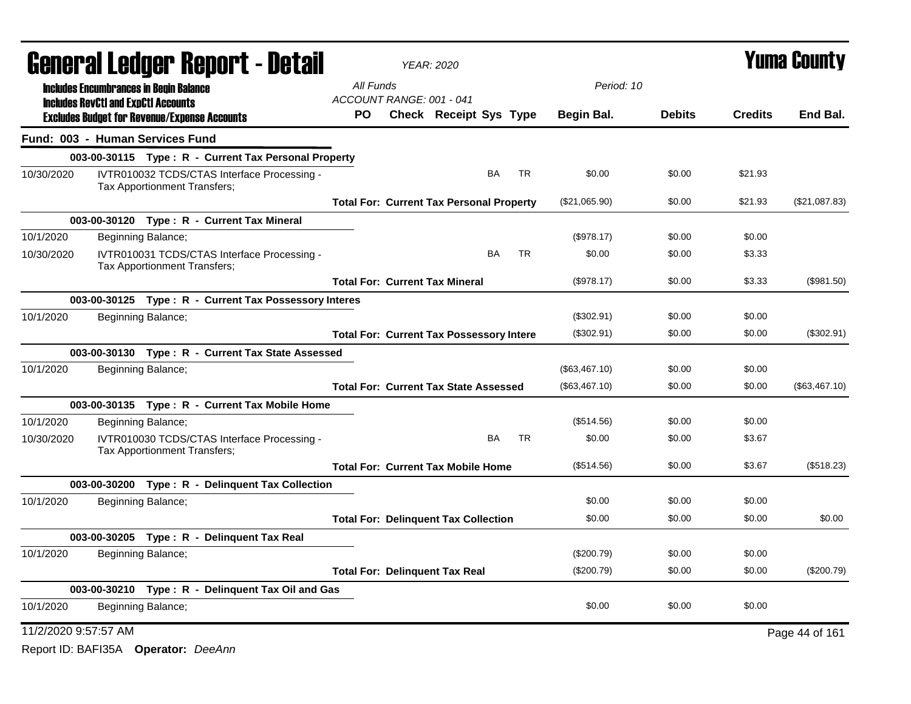|                                 |                                                                                                   |                              | General Ledger Report - Detail                        | <b>YEAR: 2020</b><br>All Funds<br>Period: 10 |  |                                                 |           |           |               |               |                | <b>Yuma County</b> |
|---------------------------------|---------------------------------------------------------------------------------------------------|------------------------------|-------------------------------------------------------|----------------------------------------------|--|-------------------------------------------------|-----------|-----------|---------------|---------------|----------------|--------------------|
|                                 | <b>Includes Encumbrances in Begin Balance</b>                                                     |                              |                                                       |                                              |  |                                                 |           |           |               |               |                |                    |
|                                 | <b>Includes RevCtI and ExpCtI Accounts</b><br><b>Excludes Budget for Revenue/Expense Accounts</b> |                              |                                                       | ACCOUNT RANGE: 001 - 041<br>PO               |  | Check Receipt Sys Type                          |           |           | Begin Bal.    | <b>Debits</b> | <b>Credits</b> | End Bal.           |
| Fund: 003 - Human Services Fund |                                                                                                   |                              |                                                       |                                              |  |                                                 |           |           |               |               |                |                    |
|                                 |                                                                                                   |                              | 003-00-30115 Type: R - Current Tax Personal Property  |                                              |  |                                                 |           |           |               |               |                |                    |
| 10/30/2020                      |                                                                                                   | Tax Apportionment Transfers; | IVTR010032 TCDS/CTAS Interface Processing -           |                                              |  |                                                 | BA        | TR        | \$0.00        | \$0.00        | \$21.93        |                    |
|                                 |                                                                                                   |                              |                                                       |                                              |  | <b>Total For: Current Tax Personal Property</b> |           |           | (\$21,065.90) | \$0.00        | \$21.93        | (\$21,087.83)      |
|                                 |                                                                                                   |                              | 003-00-30120 Type: R - Current Tax Mineral            |                                              |  |                                                 |           |           |               |               |                |                    |
| 10/1/2020                       |                                                                                                   | Beginning Balance;           |                                                       |                                              |  |                                                 |           |           | (\$978.17)    | \$0.00        | \$0.00         |                    |
| 10/30/2020                      |                                                                                                   | Tax Apportionment Transfers; | IVTR010031 TCDS/CTAS Interface Processing -           |                                              |  |                                                 | <b>BA</b> | <b>TR</b> | \$0.00        | \$0.00        | \$3.33         |                    |
|                                 |                                                                                                   |                              |                                                       |                                              |  | <b>Total For: Current Tax Mineral</b>           |           |           | (\$978.17)    | \$0.00        | \$3.33         | (\$981.50)         |
|                                 |                                                                                                   |                              | 003-00-30125 Type: R - Current Tax Possessory Interes |                                              |  |                                                 |           |           |               |               |                |                    |
| 10/1/2020                       |                                                                                                   | Beginning Balance;           |                                                       |                                              |  |                                                 |           |           | (\$302.91)    | \$0.00        | \$0.00         |                    |
|                                 |                                                                                                   |                              |                                                       |                                              |  | <b>Total For: Current Tax Possessory Intere</b> |           |           | (\$302.91)    | \$0.00        | \$0.00         | (\$302.91)         |
|                                 |                                                                                                   |                              | 003-00-30130 Type: R - Current Tax State Assessed     |                                              |  |                                                 |           |           |               |               |                |                    |
| 10/1/2020                       |                                                                                                   | Beginning Balance;           |                                                       |                                              |  |                                                 |           |           | (\$63,467.10) | \$0.00        | \$0.00         |                    |
|                                 |                                                                                                   |                              |                                                       |                                              |  | <b>Total For: Current Tax State Assessed</b>    |           |           | (\$63,467.10) | \$0.00        | \$0.00         | (\$63,467.10)      |
|                                 |                                                                                                   |                              | 003-00-30135 Type: R - Current Tax Mobile Home        |                                              |  |                                                 |           |           |               |               |                |                    |
| 10/1/2020                       |                                                                                                   | Beginning Balance;           |                                                       |                                              |  |                                                 |           |           | (\$514.56)    | \$0.00        | \$0.00         |                    |
| 10/30/2020                      |                                                                                                   | Tax Apportionment Transfers; | IVTR010030 TCDS/CTAS Interface Processing -           |                                              |  |                                                 | BA        | <b>TR</b> | \$0.00        | \$0.00        | \$3.67         |                    |
|                                 |                                                                                                   |                              |                                                       |                                              |  | <b>Total For: Current Tax Mobile Home</b>       |           |           | (\$514.56)    | \$0.00        | \$3.67         | (\$518.23)         |
|                                 |                                                                                                   |                              | 003-00-30200 Type: R - Delinquent Tax Collection      |                                              |  |                                                 |           |           |               |               |                |                    |
| 10/1/2020                       |                                                                                                   | Beginning Balance;           |                                                       |                                              |  |                                                 |           |           | \$0.00        | \$0.00        | \$0.00         |                    |
|                                 |                                                                                                   |                              |                                                       | <b>Total For: Delinquent Tax Collection</b>  |  |                                                 |           |           | \$0.00        | \$0.00        | \$0.00         | \$0.00             |
|                                 |                                                                                                   |                              | 003-00-30205 Type: R - Delinquent Tax Real            |                                              |  |                                                 |           |           |               |               |                |                    |
| 10/1/2020                       |                                                                                                   | Beginning Balance;           |                                                       |                                              |  |                                                 |           |           | (\$200.79)    | \$0.00        | \$0.00         |                    |
|                                 |                                                                                                   |                              |                                                       |                                              |  | <b>Total For: Delinguent Tax Real</b>           |           |           | (\$200.79)    | \$0.00        | \$0.00         | (\$200.79)         |
|                                 |                                                                                                   |                              | 003-00-30210 Type: R - Delinquent Tax Oil and Gas     |                                              |  |                                                 |           |           |               |               |                |                    |
| 10/1/2020                       |                                                                                                   | Beginning Balance;           |                                                       |                                              |  |                                                 |           |           | \$0.00        | \$0.00        | \$0.00         |                    |
| 11/2/2020 9:57:57 AM            |                                                                                                   |                              |                                                       |                                              |  |                                                 |           |           |               |               |                | Page 44 of 161     |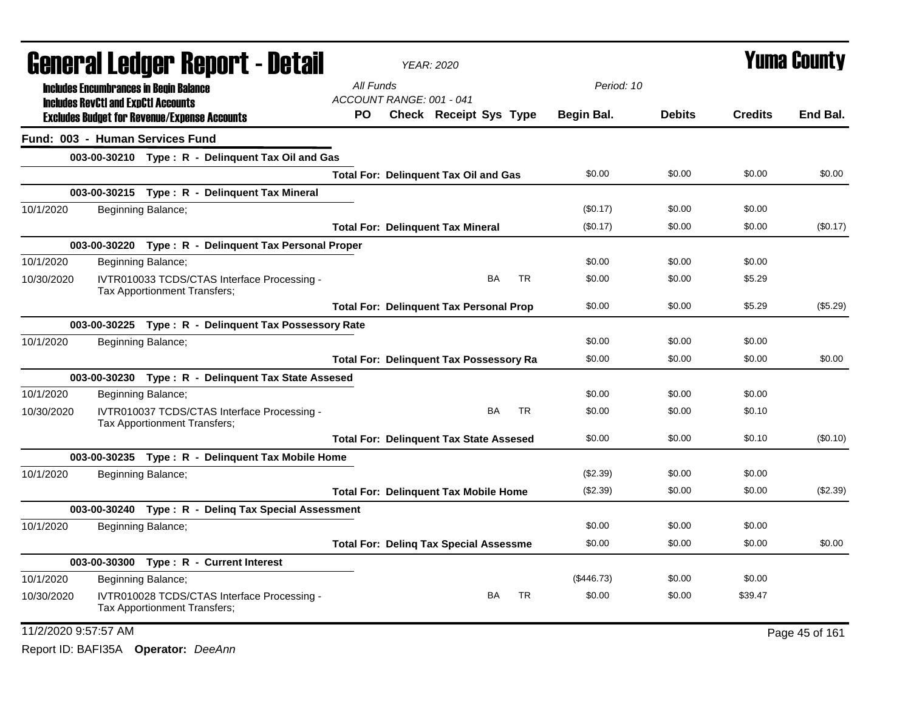|                      | <b>General Ledger Report - Detail</b>                                       | <b>YEAR: 2020</b>                              |            |               |                | <b>Yuma County</b> |
|----------------------|-----------------------------------------------------------------------------|------------------------------------------------|------------|---------------|----------------|--------------------|
|                      | <b>Includes Encumbrances in Begin Balance</b>                               | All Funds                                      | Period: 10 |               |                |                    |
|                      | <b>Includes RevCtI and ExpCtI Accounts</b>                                  | ACCOUNT RANGE: 001 - 041                       |            |               |                |                    |
|                      | <b>Excludes Budget for Revenue/Expense Accounts</b>                         | <b>Check Receipt Sys Type</b><br>PO.           | Begin Bal. | <b>Debits</b> | <b>Credits</b> | End Bal.           |
|                      | Fund: 003 - Human Services Fund                                             |                                                |            |               |                |                    |
|                      | 003-00-30210 Type: R - Delinquent Tax Oil and Gas                           |                                                |            |               |                |                    |
|                      |                                                                             | <b>Total For: Delinquent Tax Oil and Gas</b>   | \$0.00     | \$0.00        | \$0.00         | \$0.00             |
|                      | 003-00-30215 Type: R - Delinguent Tax Mineral                               |                                                |            |               |                |                    |
| 10/1/2020            | Beginning Balance;                                                          |                                                | (\$0.17)   | \$0.00        | \$0.00         |                    |
|                      |                                                                             | <b>Total For: Delinquent Tax Mineral</b>       | (\$0.17)   | \$0.00        | \$0.00         | (\$0.17)           |
|                      | 003-00-30220 Type: R - Delinquent Tax Personal Proper                       |                                                |            |               |                |                    |
| 10/1/2020            | Beginning Balance;                                                          |                                                | \$0.00     | \$0.00        | \$0.00         |                    |
| 10/30/2020           | IVTR010033 TCDS/CTAS Interface Processing -<br>Tax Apportionment Transfers; | <b>BA</b><br><b>TR</b>                         | \$0.00     | \$0.00        | \$5.29         |                    |
|                      |                                                                             | <b>Total For: Delinquent Tax Personal Prop</b> | \$0.00     | \$0.00        | \$5.29         | (\$5.29)           |
|                      | 003-00-30225 Type: R - Delinquent Tax Possessory Rate                       |                                                |            |               |                |                    |
| 10/1/2020            | Beginning Balance;                                                          |                                                | \$0.00     | \$0.00        | \$0.00         |                    |
|                      |                                                                             | <b>Total For: Delinquent Tax Possessory Ra</b> | \$0.00     | \$0.00        | \$0.00         | \$0.00             |
|                      | 003-00-30230 Type: R - Delinquent Tax State Assesed                         |                                                |            |               |                |                    |
| 10/1/2020            | Beginning Balance;                                                          |                                                | \$0.00     | \$0.00        | \$0.00         |                    |
| 10/30/2020           | IVTR010037 TCDS/CTAS Interface Processing -<br>Tax Apportionment Transfers; | <b>BA</b><br><b>TR</b>                         | \$0.00     | \$0.00        | \$0.10         |                    |
|                      |                                                                             | <b>Total For: Delinquent Tax State Assesed</b> | \$0.00     | \$0.00        | \$0.10         | (\$0.10)           |
|                      | 003-00-30235 Type: R - Delinquent Tax Mobile Home                           |                                                |            |               |                |                    |
| 10/1/2020            | Beginning Balance;                                                          |                                                | (\$2.39)   | \$0.00        | \$0.00         |                    |
|                      |                                                                             | <b>Total For: Delinquent Tax Mobile Home</b>   | (\$2.39)   | \$0.00        | \$0.00         | (\$2.39)           |
|                      | 003-00-30240 Type: R - Deling Tax Special Assessment                        |                                                |            |               |                |                    |
| 10/1/2020            | Beginning Balance;                                                          |                                                | \$0.00     | \$0.00        | \$0.00         |                    |
|                      |                                                                             | <b>Total For: Deling Tax Special Assessme</b>  | \$0.00     | \$0.00        | \$0.00         | \$0.00             |
|                      | 003-00-30300 Type: R - Current Interest                                     |                                                |            |               |                |                    |
| 10/1/2020            | Beginning Balance;                                                          |                                                | (\$446.73) | \$0.00        | \$0.00         |                    |
| 10/30/2020           | IVTR010028 TCDS/CTAS Interface Processing -<br>Tax Apportionment Transfers; | <b>TR</b><br><b>BA</b>                         | \$0.00     | \$0.00        | \$39.47        |                    |
| 11/2/2020 9:57:57 AM |                                                                             |                                                |            |               |                | Page 45 of 161     |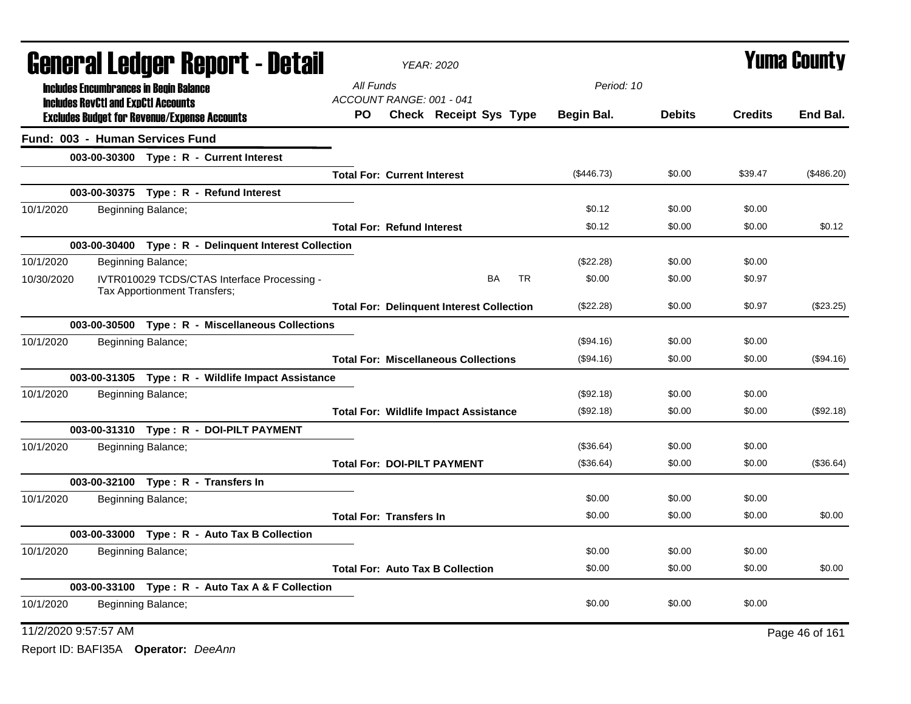|                                 |                                            |                                                     | <b>General Ledger Report - Detail</b>                 |                                              | <b>YEAR: 2020</b>                                |           |           |            |               |                | <b>Yuma County</b> |
|---------------------------------|--------------------------------------------|-----------------------------------------------------|-------------------------------------------------------|----------------------------------------------|--------------------------------------------------|-----------|-----------|------------|---------------|----------------|--------------------|
|                                 |                                            | <b>Includes Encumbrances in Begin Balance</b>       |                                                       | All Funds                                    |                                                  |           |           | Period: 10 |               |                |                    |
|                                 | <b>Includes RevCtI and ExpCtI Accounts</b> |                                                     |                                                       | ACCOUNT RANGE: 001 - 041                     |                                                  |           |           |            |               |                |                    |
|                                 |                                            | <b>Excludes Budget for Revenue/Expense Accounts</b> |                                                       | PO.                                          | <b>Check Receipt Sys Type</b>                    |           |           | Begin Bal. | <b>Debits</b> | <b>Credits</b> | End Bal.           |
| Fund: 003 - Human Services Fund |                                            |                                                     |                                                       |                                              |                                                  |           |           |            |               |                |                    |
|                                 |                                            |                                                     | 003-00-30300 Type: R - Current Interest               |                                              |                                                  |           |           |            |               |                |                    |
|                                 |                                            |                                                     |                                                       | <b>Total For: Current Interest</b>           |                                                  |           |           | (\$446.73) | \$0.00        | \$39.47        | (\$486.20)         |
|                                 |                                            |                                                     | 003-00-30375 Type: R - Refund Interest                |                                              |                                                  |           |           |            |               |                |                    |
| 10/1/2020                       |                                            | Beginning Balance;                                  |                                                       |                                              |                                                  |           |           | \$0.12     | \$0.00        | \$0.00         |                    |
|                                 |                                            |                                                     |                                                       | <b>Total For: Refund Interest</b>            |                                                  |           |           | \$0.12     | \$0.00        | \$0.00         | \$0.12             |
|                                 |                                            |                                                     | 003-00-30400 Type: R - Delinquent Interest Collection |                                              |                                                  |           |           |            |               |                |                    |
| 10/1/2020                       |                                            | Beginning Balance;                                  |                                                       |                                              |                                                  |           |           | (\$22.28)  | \$0.00        | \$0.00         |                    |
| 10/30/2020                      |                                            | Tax Apportionment Transfers;                        | IVTR010029 TCDS/CTAS Interface Processing -           |                                              |                                                  | <b>BA</b> | <b>TR</b> | \$0.00     | \$0.00        | \$0.97         |                    |
|                                 |                                            |                                                     |                                                       |                                              | <b>Total For: Delinquent Interest Collection</b> |           |           | (\$22.28)  | \$0.00        | \$0.97         | (\$23.25)          |
|                                 |                                            |                                                     | 003-00-30500 Type: R - Miscellaneous Collections      |                                              |                                                  |           |           |            |               |                |                    |
| 10/1/2020                       |                                            | Beginning Balance;                                  |                                                       |                                              |                                                  |           |           | (\$94.16)  | \$0.00        | \$0.00         |                    |
|                                 |                                            |                                                     |                                                       |                                              | <b>Total For: Miscellaneous Collections</b>      |           |           | (\$94.16)  | \$0.00        | \$0.00         | (\$94.16)          |
|                                 |                                            |                                                     | 003-00-31305 Type: R - Wildlife Impact Assistance     |                                              |                                                  |           |           |            |               |                |                    |
| 10/1/2020                       |                                            | Beginning Balance;                                  |                                                       |                                              |                                                  |           |           | (\$92.18)  | \$0.00        | \$0.00         |                    |
|                                 |                                            |                                                     |                                                       | <b>Total For: Wildlife Impact Assistance</b> |                                                  |           |           | (\$92.18)  | \$0.00        | \$0.00         | (\$92.18)          |
|                                 |                                            |                                                     | 003-00-31310 Type: R - DOI-PILT PAYMENT               |                                              |                                                  |           |           |            |               |                |                    |
| 10/1/2020                       |                                            | Beginning Balance;                                  |                                                       |                                              |                                                  |           |           | (\$36.64)  | \$0.00        | \$0.00         |                    |
|                                 |                                            |                                                     |                                                       |                                              | <b>Total For: DOI-PILT PAYMENT</b>               |           |           | (\$36.64)  | \$0.00        | \$0.00         | (\$36.64)          |
|                                 |                                            |                                                     | 003-00-32100 Type: R - Transfers In                   |                                              |                                                  |           |           |            |               |                |                    |
| 10/1/2020                       |                                            | Beginning Balance;                                  |                                                       |                                              |                                                  |           |           | \$0.00     | \$0.00        | \$0.00         |                    |
|                                 |                                            |                                                     |                                                       | <b>Total For: Transfers In</b>               |                                                  |           |           | \$0.00     | \$0.00        | \$0.00         | \$0.00             |
|                                 |                                            |                                                     | 003-00-33000 Type : R - Auto Tax B Collection         |                                              |                                                  |           |           |            |               |                |                    |
| 10/1/2020                       |                                            | Beginning Balance;                                  |                                                       |                                              |                                                  |           |           | \$0.00     | \$0.00        | \$0.00         |                    |
|                                 |                                            |                                                     |                                                       |                                              | <b>Total For: Auto Tax B Collection</b>          |           |           | \$0.00     | \$0.00        | \$0.00         | \$0.00             |
|                                 |                                            |                                                     | 003-00-33100 Type: R - Auto Tax A & F Collection      |                                              |                                                  |           |           |            |               |                |                    |
| 10/1/2020                       |                                            | Beginning Balance;                                  |                                                       |                                              |                                                  |           |           | \$0.00     | \$0.00        | \$0.00         |                    |
| 11/2/2020 9:57:57 AM            |                                            |                                                     |                                                       |                                              |                                                  |           |           |            |               |                | Page 46 of 161     |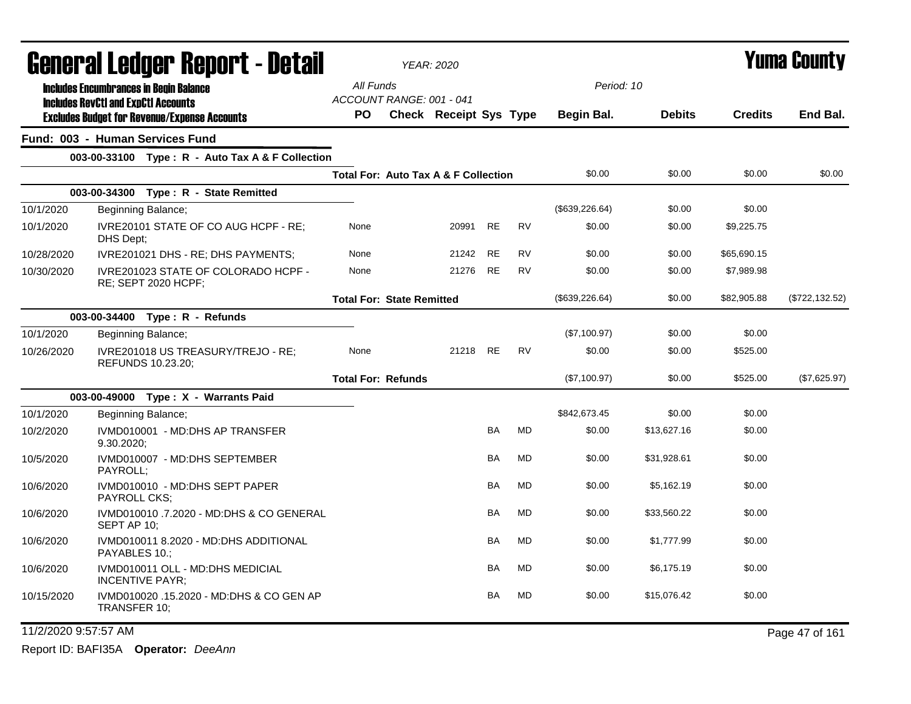|            | General Ledger Report - Detail                                                              |                                                 | <b>YEAR: 2020</b>      |           |           |                 |               |                | <b>Yuma County</b> |
|------------|---------------------------------------------------------------------------------------------|-------------------------------------------------|------------------------|-----------|-----------|-----------------|---------------|----------------|--------------------|
|            | <b>Includes Encumbrances in Begin Balance</b><br><b>Includes RevCtI and ExpCtI Accounts</b> | All Funds<br>ACCOUNT RANGE: 001 - 041           |                        |           |           | Period: 10      |               |                |                    |
|            | <b>Excludes Budget for Revenue/Expense Accounts</b>                                         | <b>PO</b>                                       | Check Receipt Sys Type |           |           | Begin Bal.      | <b>Debits</b> | <b>Credits</b> | End Bal.           |
|            | Fund: 003 - Human Services Fund                                                             |                                                 |                        |           |           |                 |               |                |                    |
|            | 003-00-33100 Type: R - Auto Tax A & F Collection                                            |                                                 |                        |           |           |                 |               |                |                    |
|            |                                                                                             | <b>Total For: Auto Tax A &amp; F Collection</b> |                        |           |           | \$0.00          | \$0.00        | \$0.00         | \$0.00             |
|            | 003-00-34300 Type: R - State Remitted                                                       |                                                 |                        |           |           |                 |               |                |                    |
| 10/1/2020  | Beginning Balance;                                                                          |                                                 |                        |           |           | (\$639,226.64)  | \$0.00        | \$0.00         |                    |
| 10/1/2020  | IVRE20101 STATE OF CO AUG HCPF - RE;<br>DHS Dept;                                           | None                                            | 20991                  | <b>RE</b> | <b>RV</b> | \$0.00          | \$0.00        | \$9,225.75     |                    |
| 10/28/2020 | IVRE201021 DHS - RE; DHS PAYMENTS;                                                          | None                                            | 21242                  | <b>RE</b> | <b>RV</b> | \$0.00          | \$0.00        | \$65,690.15    |                    |
| 10/30/2020 | IVRE201023 STATE OF COLORADO HCPF -<br>RE; SEPT 2020 HCPF;                                  | None                                            | 21276                  | RE        | <b>RV</b> | \$0.00          | \$0.00        | \$7,989.98     |                    |
|            |                                                                                             | <b>Total For: State Remitted</b>                |                        |           |           | (\$639, 226.64) | \$0.00        | \$82,905.88    | (\$722, 132.52)    |
|            | 003-00-34400 Type: R - Refunds                                                              |                                                 |                        |           |           |                 |               |                |                    |
| 10/1/2020  | Beginning Balance;                                                                          |                                                 |                        |           |           | (\$7,100.97)    | \$0.00        | \$0.00         |                    |
| 10/26/2020 | IVRE201018 US TREASURY/TREJO - RE;<br>REFUNDS 10.23.20;                                     | None                                            | 21218 RE               |           | <b>RV</b> | \$0.00          | \$0.00        | \$525.00       |                    |
|            |                                                                                             | <b>Total For: Refunds</b>                       |                        |           |           | (\$7,100.97)    | \$0.00        | \$525.00       | (\$7,625.97)       |
|            | 003-00-49000 Type: X - Warrants Paid                                                        |                                                 |                        |           |           |                 |               |                |                    |
| 10/1/2020  | Beginning Balance;                                                                          |                                                 |                        |           |           | \$842,673.45    | \$0.00        | \$0.00         |                    |
| 10/2/2020  | IVMD010001 - MD:DHS AP TRANSFER<br>9.30.2020;                                               |                                                 |                        | <b>BA</b> | MD        | \$0.00          | \$13,627.16   | \$0.00         |                    |
| 10/5/2020  | IVMD010007 - MD:DHS SEPTEMBER<br>PAYROLL:                                                   |                                                 |                        | <b>BA</b> | <b>MD</b> | \$0.00          | \$31,928.61   | \$0.00         |                    |
| 10/6/2020  | IVMD010010 - MD:DHS SEPT PAPER<br><b>PAYROLL CKS:</b>                                       |                                                 |                        | BA        | <b>MD</b> | \$0.00          | \$5,162.19    | \$0.00         |                    |
| 10/6/2020  | IVMD010010 .7.2020 - MD:DHS & CO GENERAL<br>SEPT AP 10;                                     |                                                 |                        | BA        | MD        | \$0.00          | \$33,560.22   | \$0.00         |                    |
| 10/6/2020  | IVMD010011 8.2020 - MD:DHS ADDITIONAL<br>PAYABLES 10.:                                      |                                                 |                        | BA        | <b>MD</b> | \$0.00          | \$1,777.99    | \$0.00         |                    |
| 10/6/2020  | IVMD010011 OLL - MD:DHS MEDICIAL<br><b>INCENTIVE PAYR;</b>                                  |                                                 |                        | BA        | <b>MD</b> | \$0.00          | \$6,175.19    | \$0.00         |                    |
| 10/15/2020 | IVMD010020 .15.2020 - MD:DHS & CO GEN AP<br>TRANSFER 10;                                    |                                                 |                        | BA        | MD        | \$0.00          | \$15,076.42   | \$0.00         |                    |

## 11/2/2020 9:57:57 AM Page 47 of 161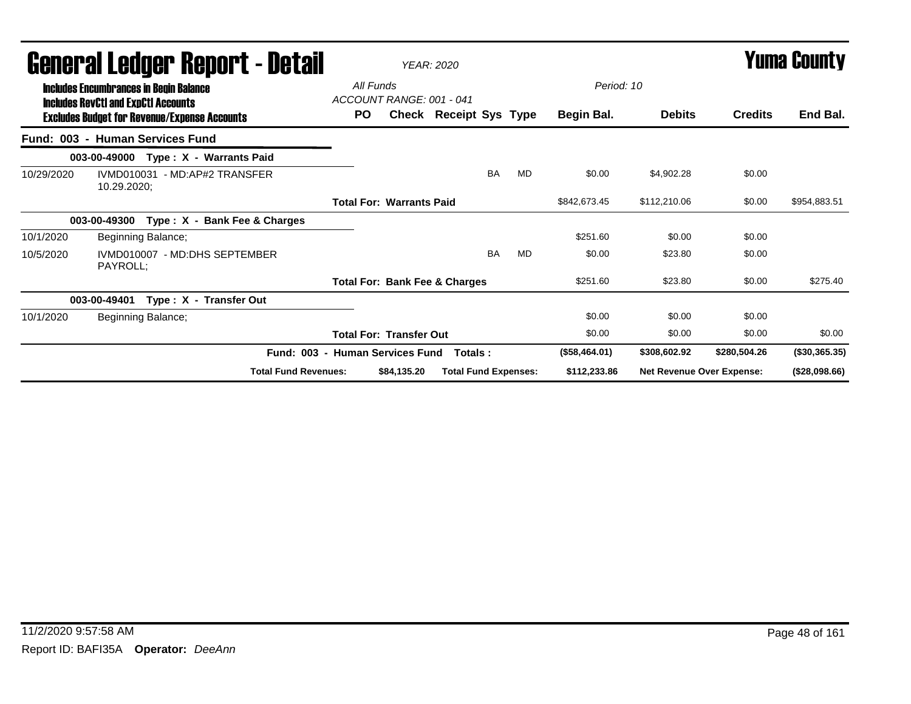|            |              | General Ledger Report - Detail<br><b>Includes Encumbrances in Begin Balance</b>                   |                             |           | All Funds<br>ACCOUNT RANGE: 001 - 041    | <b>YEAR: 2020</b>             |           |           | Period: 10    |               | <b>Yuma County</b>               |                  |
|------------|--------------|---------------------------------------------------------------------------------------------------|-----------------------------|-----------|------------------------------------------|-------------------------------|-----------|-----------|---------------|---------------|----------------------------------|------------------|
|            |              | <b>Includes RevCtI and ExpCtI Accounts</b><br><b>Excludes Budget for Revenue/Expense Accounts</b> |                             | <b>PO</b> |                                          | <b>Check Receipt Sys Type</b> |           |           | Begin Bal.    | <b>Debits</b> | <b>Credits</b>                   | End Bal.         |
|            |              | Fund: 003 - Human Services Fund                                                                   |                             |           |                                          |                               |           |           |               |               |                                  |                  |
|            |              | 003-00-49000 Type: X - Warrants Paid                                                              |                             |           |                                          |                               |           |           |               |               |                                  |                  |
| 10/29/2020 | 10.29.2020;  | IVMD010031 - MD:AP#2 TRANSFER                                                                     |                             |           |                                          |                               | <b>BA</b> | <b>MD</b> | \$0.00        | \$4,902.28    | \$0.00                           |                  |
|            |              |                                                                                                   |                             |           | <b>Total For: Warrants Paid</b>          |                               |           |           | \$842,673.45  | \$112,210.06  | \$0.00                           | \$954,883.51     |
|            | 003-00-49300 | Type: X - Bank Fee & Charges                                                                      |                             |           |                                          |                               |           |           |               |               |                                  |                  |
| 10/1/2020  |              | Beginning Balance;                                                                                |                             |           |                                          |                               |           |           | \$251.60      | \$0.00        | \$0.00                           |                  |
| 10/5/2020  | PAYROLL;     | IVMD010007 - MD:DHS SEPTEMBER                                                                     |                             |           |                                          |                               | BA        | MD        | \$0.00        | \$23.80       | \$0.00                           |                  |
|            |              |                                                                                                   |                             |           | <b>Total For: Bank Fee &amp; Charges</b> |                               |           |           | \$251.60      | \$23.80       | \$0.00                           | \$275.40         |
|            | 003-00-49401 | Type: X - Transfer Out                                                                            |                             |           |                                          |                               |           |           |               |               |                                  |                  |
| 10/1/2020  |              | Beginning Balance;                                                                                |                             |           |                                          |                               |           |           | \$0.00        | \$0.00        | \$0.00                           |                  |
|            |              |                                                                                                   |                             |           | <b>Total For: Transfer Out</b>           |                               |           |           | \$0.00        | \$0.00        | \$0.00                           | \$0.00           |
|            |              |                                                                                                   | Fund: 003 -                 |           | <b>Human Services Fund</b>               | Totals:                       |           |           | (\$58,464.01) | \$308,602.92  | \$280,504.26                     | $($ \$30,365.35) |
|            |              |                                                                                                   | <b>Total Fund Revenues:</b> |           | \$84,135.20                              | <b>Total Fund Expenses:</b>   |           |           | \$112,233.86  |               | <b>Net Revenue Over Expense:</b> | (\$28,098.66)    |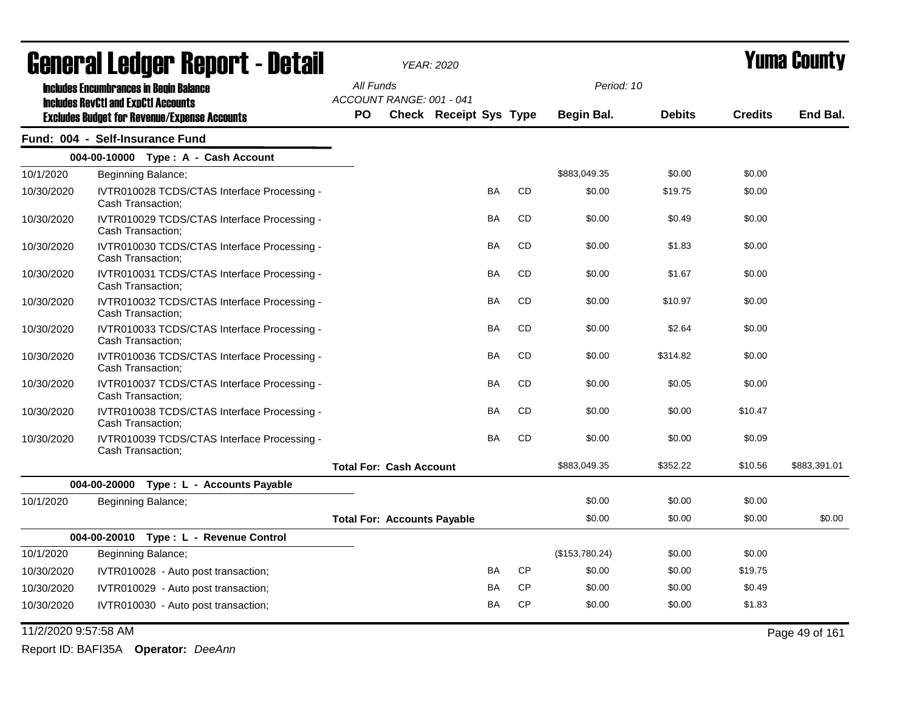| General Ledger Report - Detail |                                                                  | <b>YEAR: 2020</b>                  |                               |           |           |                |               | <b>Yuma County</b> |                |
|--------------------------------|------------------------------------------------------------------|------------------------------------|-------------------------------|-----------|-----------|----------------|---------------|--------------------|----------------|
|                                | <b>Includes Encumbrances in Begin Balance</b>                    | All Funds                          |                               |           |           | Period: 10     |               |                    |                |
|                                | <b>Includes RevCtI and ExpCtI Accounts</b>                       | ACCOUNT RANGE: 001 - 041           |                               |           |           |                |               |                    |                |
|                                | <b>Excludes Budget for Revenue/Expense Accounts</b>              | <b>PO</b>                          | <b>Check Receipt Sys Type</b> |           |           | Begin Bal.     | <b>Debits</b> | <b>Credits</b>     | End Bal.       |
|                                | Fund: 004 - Self-Insurance Fund                                  |                                    |                               |           |           |                |               |                    |                |
|                                | 004-00-10000 Type: A - Cash Account                              |                                    |                               |           |           |                |               |                    |                |
| 10/1/2020                      | Beginning Balance;                                               |                                    |                               |           |           | \$883,049.35   | \$0.00        | \$0.00             |                |
| 10/30/2020                     | IVTR010028 TCDS/CTAS Interface Processing -<br>Cash Transaction; |                                    |                               | <b>BA</b> | CD        | \$0.00         | \$19.75       | \$0.00             |                |
| 10/30/2020                     | IVTR010029 TCDS/CTAS Interface Processing -<br>Cash Transaction; |                                    |                               | <b>BA</b> | <b>CD</b> | \$0.00         | \$0.49        | \$0.00             |                |
| 10/30/2020                     | IVTR010030 TCDS/CTAS Interface Processing -<br>Cash Transaction; |                                    |                               | <b>BA</b> | <b>CD</b> | \$0.00         | \$1.83        | \$0.00             |                |
| 10/30/2020                     | IVTR010031 TCDS/CTAS Interface Processing -<br>Cash Transaction: |                                    |                               | <b>BA</b> | <b>CD</b> | \$0.00         | \$1.67        | \$0.00             |                |
| 10/30/2020                     | IVTR010032 TCDS/CTAS Interface Processing -<br>Cash Transaction; |                                    |                               | BA        | CD        | \$0.00         | \$10.97       | \$0.00             |                |
| 10/30/2020                     | IVTR010033 TCDS/CTAS Interface Processing -<br>Cash Transaction; |                                    |                               | <b>BA</b> | <b>CD</b> | \$0.00         | \$2.64        | \$0.00             |                |
| 10/30/2020                     | IVTR010036 TCDS/CTAS Interface Processing -<br>Cash Transaction; |                                    |                               | <b>BA</b> | <b>CD</b> | \$0.00         | \$314.82      | \$0.00             |                |
| 10/30/2020                     | IVTR010037 TCDS/CTAS Interface Processing -<br>Cash Transaction; |                                    |                               | <b>BA</b> | <b>CD</b> | \$0.00         | \$0.05        | \$0.00             |                |
| 10/30/2020                     | IVTR010038 TCDS/CTAS Interface Processing -<br>Cash Transaction; |                                    |                               | <b>BA</b> | CD        | \$0.00         | \$0.00        | \$10.47            |                |
| 10/30/2020                     | IVTR010039 TCDS/CTAS Interface Processing -<br>Cash Transaction; |                                    |                               | <b>BA</b> | CD        | \$0.00         | \$0.00        | \$0.09             |                |
|                                |                                                                  | <b>Total For: Cash Account</b>     |                               |           |           | \$883,049.35   | \$352.22      | \$10.56            | \$883,391.01   |
|                                | 004-00-20000 Type : L - Accounts Payable                         |                                    |                               |           |           |                |               |                    |                |
| 10/1/2020                      | Beginning Balance;                                               |                                    |                               |           |           | \$0.00         | \$0.00        | \$0.00             |                |
|                                |                                                                  | <b>Total For: Accounts Payable</b> |                               |           |           | \$0.00         | \$0.00        | \$0.00             | \$0.00         |
|                                | 004-00-20010 Type: L - Revenue Control                           |                                    |                               |           |           |                |               |                    |                |
| 10/1/2020                      | Beginning Balance;                                               |                                    |                               |           |           | (\$153,780.24) | \$0.00        | \$0.00             |                |
| 10/30/2020                     | IVTR010028 - Auto post transaction;                              |                                    |                               | BA        | <b>CP</b> | \$0.00         | \$0.00        | \$19.75            |                |
| 10/30/2020                     | IVTR010029 - Auto post transaction;                              |                                    |                               | BA        | <b>CP</b> | \$0.00         | \$0.00        | \$0.49             |                |
| 10/30/2020                     | IVTR010030 - Auto post transaction;                              |                                    |                               | <b>BA</b> | <b>CP</b> | \$0.00         | \$0.00        | \$1.83             |                |
| 11/2/2020 9:57:58 AM           |                                                                  |                                    |                               |           |           |                |               |                    | Page 49 of 161 |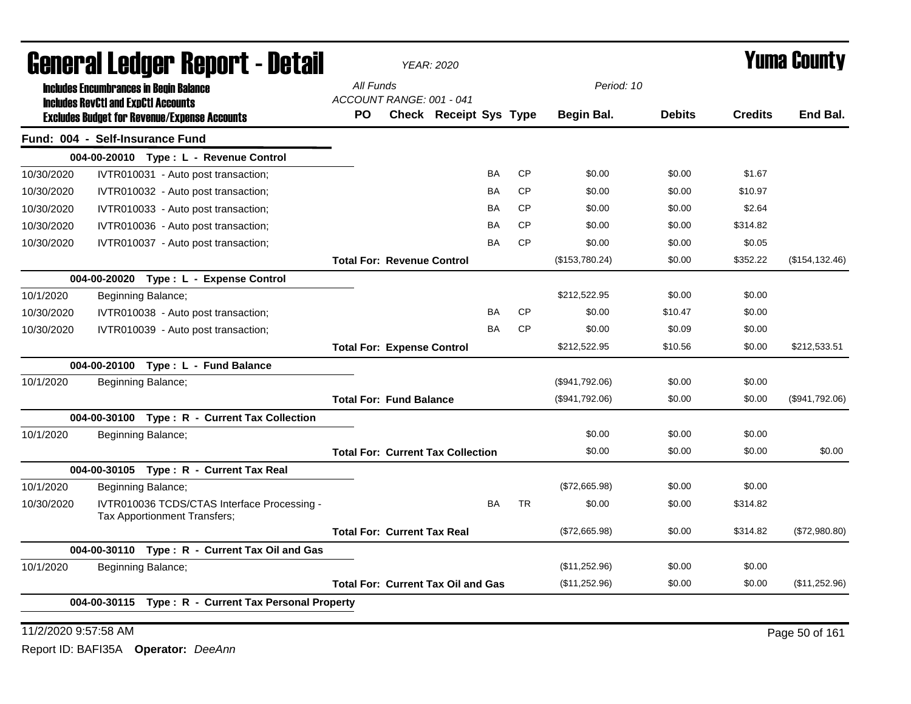| General Ledger Report - Detail |                                                                             | <b>YEAR: 2020</b>                         |                        |           |           | <b>Yuma County</b> |               |                |                 |  |
|--------------------------------|-----------------------------------------------------------------------------|-------------------------------------------|------------------------|-----------|-----------|--------------------|---------------|----------------|-----------------|--|
|                                | <b>Includes Encumbrances in Begin Balance</b>                               | All Funds                                 |                        |           |           |                    | Period: 10    |                |                 |  |
|                                | <b>Includes RevCtI and ExpCtI Accounts</b>                                  | ACCOUNT RANGE: 001 - 041                  |                        |           |           |                    |               |                |                 |  |
|                                | <b>Excludes Budget for Revenue/Expense Accounts</b>                         | <b>PO</b>                                 | Check Receipt Sys Type |           |           | Begin Bal.         | <b>Debits</b> | <b>Credits</b> | End Bal.        |  |
|                                | Fund: 004 - Self-Insurance Fund                                             |                                           |                        |           |           |                    |               |                |                 |  |
|                                | 004-00-20010 Type: L - Revenue Control                                      |                                           |                        |           |           |                    |               |                |                 |  |
| 10/30/2020                     | IVTR010031 - Auto post transaction;                                         |                                           |                        | BA        | <b>CP</b> | \$0.00             | \$0.00        | \$1.67         |                 |  |
| 10/30/2020                     | IVTR010032 - Auto post transaction;                                         |                                           |                        | BA        | <b>CP</b> | \$0.00             | \$0.00        | \$10.97        |                 |  |
| 10/30/2020                     | IVTR010033 - Auto post transaction;                                         |                                           |                        | BA        | <b>CP</b> | \$0.00             | \$0.00        | \$2.64         |                 |  |
| 10/30/2020                     | IVTR010036 - Auto post transaction;                                         |                                           |                        | BA        | <b>CP</b> | \$0.00             | \$0.00        | \$314.82       |                 |  |
| 10/30/2020                     | IVTR010037 - Auto post transaction;                                         |                                           |                        | <b>BA</b> | <b>CP</b> | \$0.00             | \$0.00        | \$0.05         |                 |  |
|                                |                                                                             | <b>Total For: Revenue Control</b>         |                        |           |           | (\$153,780.24)     | \$0.00        | \$352.22       | (\$154, 132.46) |  |
|                                | 004-00-20020 Type: L - Expense Control                                      |                                           |                        |           |           |                    |               |                |                 |  |
| 10/1/2020                      | Beginning Balance;                                                          |                                           |                        |           |           | \$212,522.95       | \$0.00        | \$0.00         |                 |  |
| 10/30/2020                     | IVTR010038 - Auto post transaction;                                         |                                           |                        | BA        | <b>CP</b> | \$0.00             | \$10.47       | \$0.00         |                 |  |
| 10/30/2020                     | IVTR010039 - Auto post transaction;                                         |                                           |                        | BA        | <b>CP</b> | \$0.00             | \$0.09        | \$0.00         |                 |  |
|                                |                                                                             | <b>Total For: Expense Control</b>         |                        |           |           | \$212,522.95       | \$10.56       | \$0.00         | \$212,533.51    |  |
|                                | 004-00-20100 Type: L - Fund Balance                                         |                                           |                        |           |           |                    |               |                |                 |  |
| 10/1/2020                      | Beginning Balance;                                                          |                                           |                        |           |           | (\$941,792.06)     | \$0.00        | \$0.00         |                 |  |
|                                |                                                                             | <b>Total For: Fund Balance</b>            |                        |           |           | (\$941,792.06)     | \$0.00        | \$0.00         | (\$941,792.06)  |  |
|                                | 004-00-30100 Type: R - Current Tax Collection                               |                                           |                        |           |           |                    |               |                |                 |  |
| 10/1/2020                      | Beginning Balance;                                                          |                                           |                        |           |           | \$0.00             | \$0.00        | \$0.00         |                 |  |
|                                |                                                                             | <b>Total For: Current Tax Collection</b>  |                        |           |           | \$0.00             | \$0.00        | \$0.00         | \$0.00          |  |
|                                | 004-00-30105 Type: R - Current Tax Real                                     |                                           |                        |           |           |                    |               |                |                 |  |
| 10/1/2020                      | Beginning Balance;                                                          |                                           |                        |           |           | (\$72,665.98)      | \$0.00        | \$0.00         |                 |  |
| 10/30/2020                     | IVTR010036 TCDS/CTAS Interface Processing -<br>Tax Apportionment Transfers; |                                           |                        | <b>BA</b> | <b>TR</b> | \$0.00             | \$0.00        | \$314.82       |                 |  |
|                                |                                                                             | <b>Total For: Current Tax Real</b>        |                        |           |           | (\$72,665.98)      | \$0.00        | \$314.82       | (\$72,980.80)   |  |
|                                | 004-00-30110 Type: R - Current Tax Oil and Gas                              |                                           |                        |           |           |                    |               |                |                 |  |
| 10/1/2020                      | Beginning Balance;                                                          |                                           |                        |           |           | (\$11,252.96)      | \$0.00        | \$0.00         |                 |  |
|                                |                                                                             | <b>Total For: Current Tax Oil and Gas</b> |                        |           |           | (\$11,252.96)      | \$0.00        | \$0.00         | (\$11,252.96)   |  |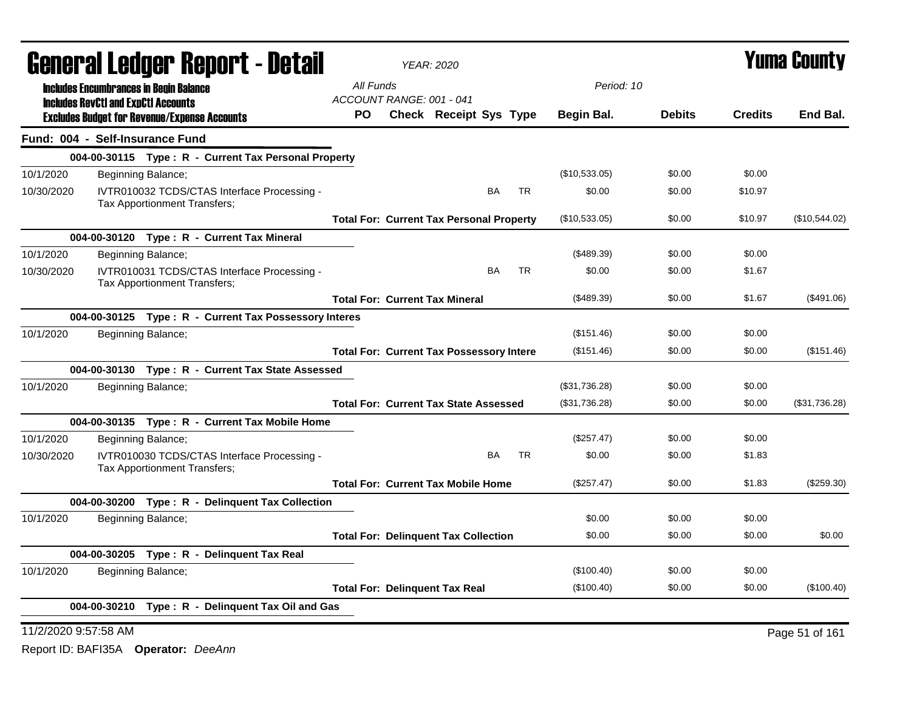| <b>General Ledger Report - Detail</b>                                                     | <b>YEAR: 2020</b>                               |               | <b>Yuma County</b> |                |                |
|-------------------------------------------------------------------------------------------|-------------------------------------------------|---------------|--------------------|----------------|----------------|
| <b>Includes Encumbrances in Begin Balance</b>                                             | All Funds                                       | Period: 10    |                    |                |                |
| <b>Includes RevCtI and ExpCtI Accounts</b>                                                | ACCOUNT RANGE: 001 - 041                        |               |                    |                |                |
| <b>Excludes Budget for Revenue/Expense Accounts</b>                                       | Check Receipt Sys Type<br>PO.                   | Begin Bal.    | <b>Debits</b>      | <b>Credits</b> | End Bal.       |
| Fund: 004 - Self-Insurance Fund                                                           |                                                 |               |                    |                |                |
| 004-00-30115 Type: R - Current Tax Personal Property                                      |                                                 |               |                    |                |                |
| 10/1/2020<br>Beginning Balance;                                                           |                                                 | (\$10,533.05) | \$0.00             | \$0.00         |                |
| 10/30/2020<br>IVTR010032 TCDS/CTAS Interface Processing -<br>Tax Apportionment Transfers; | <b>TR</b><br>BA                                 | \$0.00        | \$0.00             | \$10.97        |                |
|                                                                                           | <b>Total For: Current Tax Personal Property</b> | (\$10,533.05) | \$0.00             | \$10.97        | (\$10,544.02)  |
| 004-00-30120 Type: R - Current Tax Mineral                                                |                                                 |               |                    |                |                |
| 10/1/2020<br>Beginning Balance;                                                           |                                                 | (\$489.39)    | \$0.00             | \$0.00         |                |
| 10/30/2020<br>IVTR010031 TCDS/CTAS Interface Processing -<br>Tax Apportionment Transfers; | <b>TR</b><br>BA                                 | \$0.00        | \$0.00             | \$1.67         |                |
|                                                                                           | <b>Total For: Current Tax Mineral</b>           | (\$489.39)    | \$0.00             | \$1.67         | (\$491.06)     |
| 004-00-30125 Type: R - Current Tax Possessory Interes                                     |                                                 |               |                    |                |                |
| 10/1/2020<br>Beginning Balance;                                                           |                                                 | (\$151.46)    | \$0.00             | \$0.00         |                |
|                                                                                           | <b>Total For: Current Tax Possessory Intere</b> | (\$151.46)    | \$0.00             | \$0.00         | (\$151.46)     |
| 004-00-30130 Type: R - Current Tax State Assessed                                         |                                                 |               |                    |                |                |
| 10/1/2020<br>Beginning Balance;                                                           |                                                 | (\$31,736.28) | \$0.00             | \$0.00         |                |
|                                                                                           | <b>Total For: Current Tax State Assessed</b>    | (\$31,736.28) | \$0.00             | \$0.00         | (\$31,736.28)  |
| 004-00-30135 Type: R - Current Tax Mobile Home                                            |                                                 |               |                    |                |                |
| 10/1/2020<br>Beginning Balance;                                                           |                                                 | $(\$257.47)$  | \$0.00             | \$0.00         |                |
| 10/30/2020<br>IVTR010030 TCDS/CTAS Interface Processing -<br>Tax Apportionment Transfers; | <b>BA</b><br>TR                                 | \$0.00        | \$0.00             | \$1.83         |                |
|                                                                                           | <b>Total For: Current Tax Mobile Home</b>       | (\$257.47)    | \$0.00             | \$1.83         | (\$259.30)     |
| 004-00-30200 Type: R - Delinquent Tax Collection                                          |                                                 |               |                    |                |                |
| 10/1/2020<br>Beginning Balance;                                                           |                                                 | \$0.00        | \$0.00             | \$0.00         |                |
|                                                                                           | <b>Total For: Delinquent Tax Collection</b>     | \$0.00        | \$0.00             | \$0.00         | \$0.00         |
| 004-00-30205 Type: R - Delinquent Tax Real                                                |                                                 |               |                    |                |                |
| 10/1/2020<br>Beginning Balance;                                                           |                                                 | (\$100.40)    | \$0.00             | \$0.00         |                |
|                                                                                           | <b>Total For: Delinquent Tax Real</b>           | (\$100.40)    | \$0.00             | \$0.00         | (\$100.40)     |
| 004-00-30210 Type: R - Delinquent Tax Oil and Gas                                         |                                                 |               |                    |                |                |
| 11/2/2020 9:57:58 AM                                                                      |                                                 |               |                    |                | Page 51 of 161 |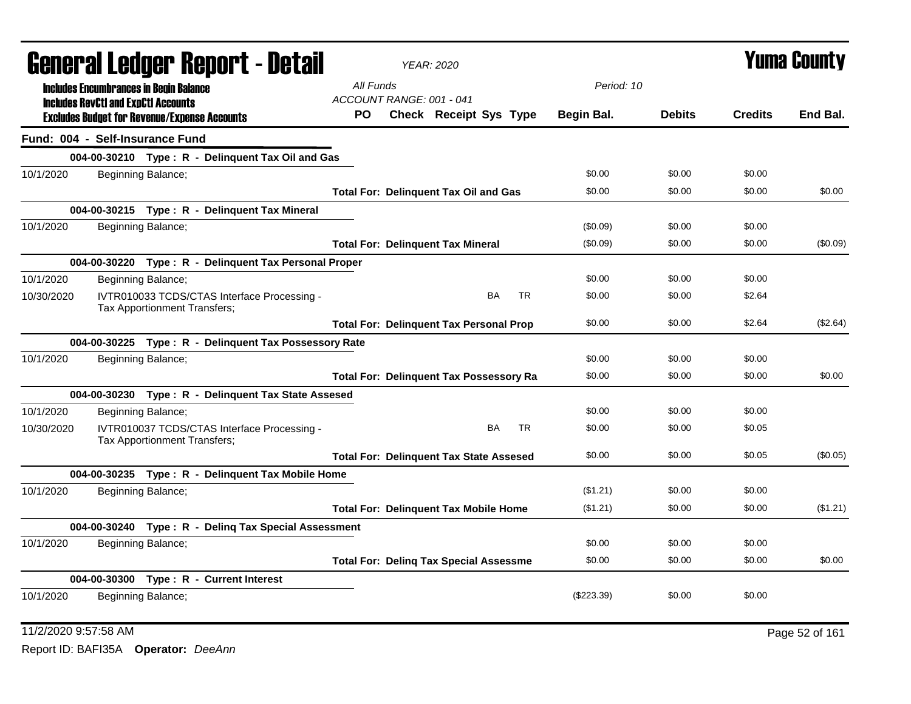| General Ledger Report - Detail |                                            |                                                                             |                                 | <b>YEAR: 2020</b>                              |           |              |               | <b>Yuma County</b> |            |
|--------------------------------|--------------------------------------------|-----------------------------------------------------------------------------|---------------------------------|------------------------------------------------|-----------|--------------|---------------|--------------------|------------|
|                                |                                            | <b>Includes Encumbrances in Begin Balance</b>                               | All Funds                       |                                                |           | Period: 10   |               |                    |            |
|                                | <b>Includes RevCtI and ExpCtI Accounts</b> | <b>Excludes Budget for Revenue/Expense Accounts</b>                         | ACCOUNT RANGE: 001 - 041<br>PO. | <b>Check Receipt Sys Type</b>                  |           | Begin Bal.   | <b>Debits</b> | <b>Credits</b>     | End Bal.   |
|                                |                                            | Fund: 004 - Self-Insurance Fund                                             |                                 |                                                |           |              |               |                    |            |
|                                |                                            | 004-00-30210 Type: R - Delinquent Tax Oil and Gas                           |                                 |                                                |           |              |               |                    |            |
| 10/1/2020                      |                                            | Beginning Balance;                                                          |                                 |                                                |           | \$0.00       | \$0.00        | \$0.00             |            |
|                                |                                            |                                                                             |                                 | <b>Total For: Delinquent Tax Oil and Gas</b>   |           | \$0.00       | \$0.00        | \$0.00             | \$0.00     |
|                                |                                            | 004-00-30215 Type: R - Delinquent Tax Mineral                               |                                 |                                                |           |              |               |                    |            |
| 10/1/2020                      |                                            | Beginning Balance;                                                          |                                 |                                                |           | (\$0.09)     | \$0.00        | \$0.00             |            |
|                                |                                            |                                                                             |                                 | <b>Total For: Delinquent Tax Mineral</b>       |           | (\$0.09)     | \$0.00        | \$0.00             | (\$0.09)   |
|                                |                                            | 004-00-30220 Type: R - Delinquent Tax Personal Proper                       |                                 |                                                |           |              |               |                    |            |
| 10/1/2020                      |                                            | Beginning Balance;                                                          |                                 |                                                |           | \$0.00       | \$0.00        | \$0.00             |            |
| 10/30/2020                     |                                            | IVTR010033 TCDS/CTAS Interface Processing -<br>Tax Apportionment Transfers; |                                 | BA                                             | <b>TR</b> | \$0.00       | \$0.00        | \$2.64             |            |
|                                |                                            |                                                                             |                                 | <b>Total For: Delinquent Tax Personal Prop</b> |           | \$0.00       | \$0.00        | \$2.64             | $(\$2.64)$ |
|                                |                                            | 004-00-30225 Type: R - Delinquent Tax Possessory Rate                       |                                 |                                                |           |              |               |                    |            |
| 10/1/2020                      |                                            | Beginning Balance;                                                          |                                 |                                                |           | \$0.00       | \$0.00        | \$0.00             |            |
|                                |                                            |                                                                             |                                 | <b>Total For: Delinguent Tax Possessory Ra</b> |           | \$0.00       | \$0.00        | \$0.00             | \$0.00     |
|                                |                                            | 004-00-30230 Type: R - Delinquent Tax State Assesed                         |                                 |                                                |           |              |               |                    |            |
| 10/1/2020                      |                                            | Beginning Balance;                                                          |                                 |                                                |           | \$0.00       | \$0.00        | \$0.00             |            |
| 10/30/2020                     |                                            | IVTR010037 TCDS/CTAS Interface Processing -<br>Tax Apportionment Transfers; |                                 | <b>BA</b>                                      | TR.       | \$0.00       | \$0.00        | \$0.05             |            |
|                                |                                            |                                                                             |                                 | <b>Total For: Delinquent Tax State Assesed</b> |           | \$0.00       | \$0.00        | \$0.05             | (\$0.05)   |
|                                |                                            | 004-00-30235 Type: R - Delinquent Tax Mobile Home                           |                                 |                                                |           |              |               |                    |            |
| 10/1/2020                      |                                            | Beginning Balance;                                                          |                                 |                                                |           | (\$1.21)     | \$0.00        | \$0.00             |            |
|                                |                                            |                                                                             |                                 | <b>Total For: Delinguent Tax Mobile Home</b>   |           | (\$1.21)     | \$0.00        | \$0.00             | (\$1.21)   |
|                                |                                            | 004-00-30240 Type: R - Deling Tax Special Assessment                        |                                 |                                                |           |              |               |                    |            |
| 10/1/2020                      |                                            | Beginning Balance;                                                          |                                 |                                                |           | \$0.00       | \$0.00        | \$0.00             |            |
|                                |                                            |                                                                             |                                 | <b>Total For: Deling Tax Special Assessme</b>  |           | \$0.00       | \$0.00        | \$0.00             | \$0.00     |
|                                |                                            | 004-00-30300 Type: R - Current Interest                                     |                                 |                                                |           |              |               |                    |            |
| 10/1/2020                      |                                            | Beginning Balance;                                                          |                                 |                                                |           | $(\$223.39)$ | \$0.00        | \$0.00             |            |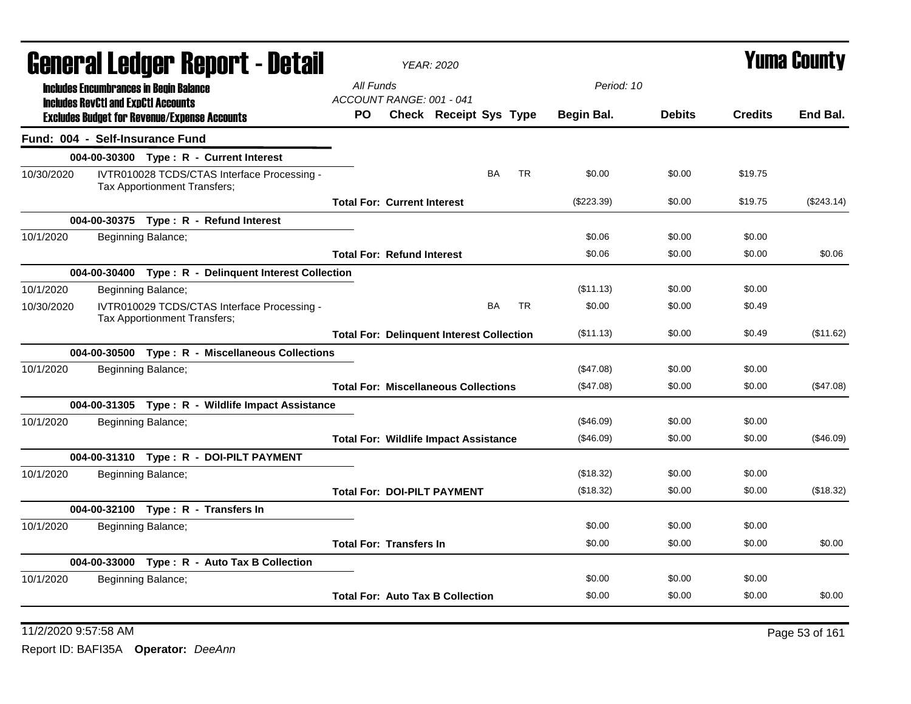| General Ledger Report - Detail<br>All Funds<br>Period: 10<br><b>Includes Encumbrances in Begin Balance</b><br>ACCOUNT RANGE: 001 - 041<br><b>Includes RevCtI and ExpCtI Accounts</b><br><b>Debits</b><br><b>Credits</b><br>PO.<br>Check Receipt Sys Type<br><b>Begin Bal.</b><br><b>Excludes Budget for Revenue/Expense Accounts</b><br>Fund: 004 - Self-Insurance Fund<br>004-00-30300 Type: R - Current Interest<br><b>BA</b><br><b>TR</b><br>IVTR010028 TCDS/CTAS Interface Processing -<br>\$0.00<br>\$0.00<br>\$19.75<br>10/30/2020<br>Tax Apportionment Transfers;<br><b>Total For: Current Interest</b><br>$(\$223.39)$<br>\$0.00<br>\$19.75<br>004-00-30375 Type: R - Refund Interest<br>\$0.06<br>10/1/2020<br>Beginning Balance;<br>\$0.00<br>\$0.00<br>\$0.06<br>\$0.00<br>\$0.00<br><b>Total For: Refund Interest</b><br>004-00-30400 Type: R - Delinquent Interest Collection<br>(\$11.13)<br>\$0.00<br>\$0.00<br>10/1/2020<br>Beginning Balance;<br>IVTR010029 TCDS/CTAS Interface Processing -<br>BA<br><b>TR</b><br>\$0.00<br>\$0.00<br>\$0.49<br>10/30/2020<br>Tax Apportionment Transfers;<br>(\$11.13)<br>\$0.00<br>\$0.49<br><b>Total For: Delinquent Interest Collection</b><br>004-00-30500 Type: R - Miscellaneous Collections<br>10/1/2020<br>Beginning Balance;<br>(\$47.08)<br>\$0.00<br>\$0.00 | End Bal.   |
|---------------------------------------------------------------------------------------------------------------------------------------------------------------------------------------------------------------------------------------------------------------------------------------------------------------------------------------------------------------------------------------------------------------------------------------------------------------------------------------------------------------------------------------------------------------------------------------------------------------------------------------------------------------------------------------------------------------------------------------------------------------------------------------------------------------------------------------------------------------------------------------------------------------------------------------------------------------------------------------------------------------------------------------------------------------------------------------------------------------------------------------------------------------------------------------------------------------------------------------------------------------------------------------------------------------------------|------------|
|                                                                                                                                                                                                                                                                                                                                                                                                                                                                                                                                                                                                                                                                                                                                                                                                                                                                                                                                                                                                                                                                                                                                                                                                                                                                                                                           |            |
|                                                                                                                                                                                                                                                                                                                                                                                                                                                                                                                                                                                                                                                                                                                                                                                                                                                                                                                                                                                                                                                                                                                                                                                                                                                                                                                           |            |
|                                                                                                                                                                                                                                                                                                                                                                                                                                                                                                                                                                                                                                                                                                                                                                                                                                                                                                                                                                                                                                                                                                                                                                                                                                                                                                                           |            |
|                                                                                                                                                                                                                                                                                                                                                                                                                                                                                                                                                                                                                                                                                                                                                                                                                                                                                                                                                                                                                                                                                                                                                                                                                                                                                                                           |            |
|                                                                                                                                                                                                                                                                                                                                                                                                                                                                                                                                                                                                                                                                                                                                                                                                                                                                                                                                                                                                                                                                                                                                                                                                                                                                                                                           |            |
|                                                                                                                                                                                                                                                                                                                                                                                                                                                                                                                                                                                                                                                                                                                                                                                                                                                                                                                                                                                                                                                                                                                                                                                                                                                                                                                           | (\$243.14) |
|                                                                                                                                                                                                                                                                                                                                                                                                                                                                                                                                                                                                                                                                                                                                                                                                                                                                                                                                                                                                                                                                                                                                                                                                                                                                                                                           |            |
|                                                                                                                                                                                                                                                                                                                                                                                                                                                                                                                                                                                                                                                                                                                                                                                                                                                                                                                                                                                                                                                                                                                                                                                                                                                                                                                           |            |
|                                                                                                                                                                                                                                                                                                                                                                                                                                                                                                                                                                                                                                                                                                                                                                                                                                                                                                                                                                                                                                                                                                                                                                                                                                                                                                                           | \$0.06     |
|                                                                                                                                                                                                                                                                                                                                                                                                                                                                                                                                                                                                                                                                                                                                                                                                                                                                                                                                                                                                                                                                                                                                                                                                                                                                                                                           |            |
|                                                                                                                                                                                                                                                                                                                                                                                                                                                                                                                                                                                                                                                                                                                                                                                                                                                                                                                                                                                                                                                                                                                                                                                                                                                                                                                           |            |
|                                                                                                                                                                                                                                                                                                                                                                                                                                                                                                                                                                                                                                                                                                                                                                                                                                                                                                                                                                                                                                                                                                                                                                                                                                                                                                                           |            |
|                                                                                                                                                                                                                                                                                                                                                                                                                                                                                                                                                                                                                                                                                                                                                                                                                                                                                                                                                                                                                                                                                                                                                                                                                                                                                                                           | (\$11.62)  |
|                                                                                                                                                                                                                                                                                                                                                                                                                                                                                                                                                                                                                                                                                                                                                                                                                                                                                                                                                                                                                                                                                                                                                                                                                                                                                                                           |            |
|                                                                                                                                                                                                                                                                                                                                                                                                                                                                                                                                                                                                                                                                                                                                                                                                                                                                                                                                                                                                                                                                                                                                                                                                                                                                                                                           |            |
| (\$47.08)<br>\$0.00<br>\$0.00<br><b>Total For: Miscellaneous Collections</b>                                                                                                                                                                                                                                                                                                                                                                                                                                                                                                                                                                                                                                                                                                                                                                                                                                                                                                                                                                                                                                                                                                                                                                                                                                              | (\$47.08)  |
| 004-00-31305 Type: R - Wildlife Impact Assistance                                                                                                                                                                                                                                                                                                                                                                                                                                                                                                                                                                                                                                                                                                                                                                                                                                                                                                                                                                                                                                                                                                                                                                                                                                                                         |            |
| (\$46.09)<br>\$0.00<br>\$0.00<br>10/1/2020<br>Beginning Balance;                                                                                                                                                                                                                                                                                                                                                                                                                                                                                                                                                                                                                                                                                                                                                                                                                                                                                                                                                                                                                                                                                                                                                                                                                                                          |            |
| (\$46.09)<br>\$0.00<br>\$0.00<br><b>Total For: Wildlife Impact Assistance</b>                                                                                                                                                                                                                                                                                                                                                                                                                                                                                                                                                                                                                                                                                                                                                                                                                                                                                                                                                                                                                                                                                                                                                                                                                                             | (\$46.09)  |
| 004-00-31310 Type: R - DOI-PILT PAYMENT                                                                                                                                                                                                                                                                                                                                                                                                                                                                                                                                                                                                                                                                                                                                                                                                                                                                                                                                                                                                                                                                                                                                                                                                                                                                                   |            |
| (\$18.32)<br>10/1/2020<br>Beginning Balance;<br>\$0.00<br>\$0.00                                                                                                                                                                                                                                                                                                                                                                                                                                                                                                                                                                                                                                                                                                                                                                                                                                                                                                                                                                                                                                                                                                                                                                                                                                                          |            |
| (\$18.32)<br>\$0.00<br>\$0.00<br><b>Total For: DOI-PILT PAYMENT</b>                                                                                                                                                                                                                                                                                                                                                                                                                                                                                                                                                                                                                                                                                                                                                                                                                                                                                                                                                                                                                                                                                                                                                                                                                                                       | (\$18.32)  |
| 004-00-32100 Type: R - Transfers In                                                                                                                                                                                                                                                                                                                                                                                                                                                                                                                                                                                                                                                                                                                                                                                                                                                                                                                                                                                                                                                                                                                                                                                                                                                                                       |            |
| \$0.00<br>\$0.00<br>\$0.00<br>10/1/2020<br>Beginning Balance;                                                                                                                                                                                                                                                                                                                                                                                                                                                                                                                                                                                                                                                                                                                                                                                                                                                                                                                                                                                                                                                                                                                                                                                                                                                             |            |
| \$0.00<br><b>Total For: Transfers In</b><br>\$0.00<br>\$0.00                                                                                                                                                                                                                                                                                                                                                                                                                                                                                                                                                                                                                                                                                                                                                                                                                                                                                                                                                                                                                                                                                                                                                                                                                                                              | \$0.00     |
| 004-00-33000 Type: R - Auto Tax B Collection                                                                                                                                                                                                                                                                                                                                                                                                                                                                                                                                                                                                                                                                                                                                                                                                                                                                                                                                                                                                                                                                                                                                                                                                                                                                              |            |
| 10/1/2020<br>Beginning Balance;<br>\$0.00<br>\$0.00<br>\$0.00                                                                                                                                                                                                                                                                                                                                                                                                                                                                                                                                                                                                                                                                                                                                                                                                                                                                                                                                                                                                                                                                                                                                                                                                                                                             |            |
| <b>Total For: Auto Tax B Collection</b><br>\$0.00<br>\$0.00<br>\$0.00                                                                                                                                                                                                                                                                                                                                                                                                                                                                                                                                                                                                                                                                                                                                                                                                                                                                                                                                                                                                                                                                                                                                                                                                                                                     | \$0.00     |

11/2/2020 9:57:58 AM Page 53 of 161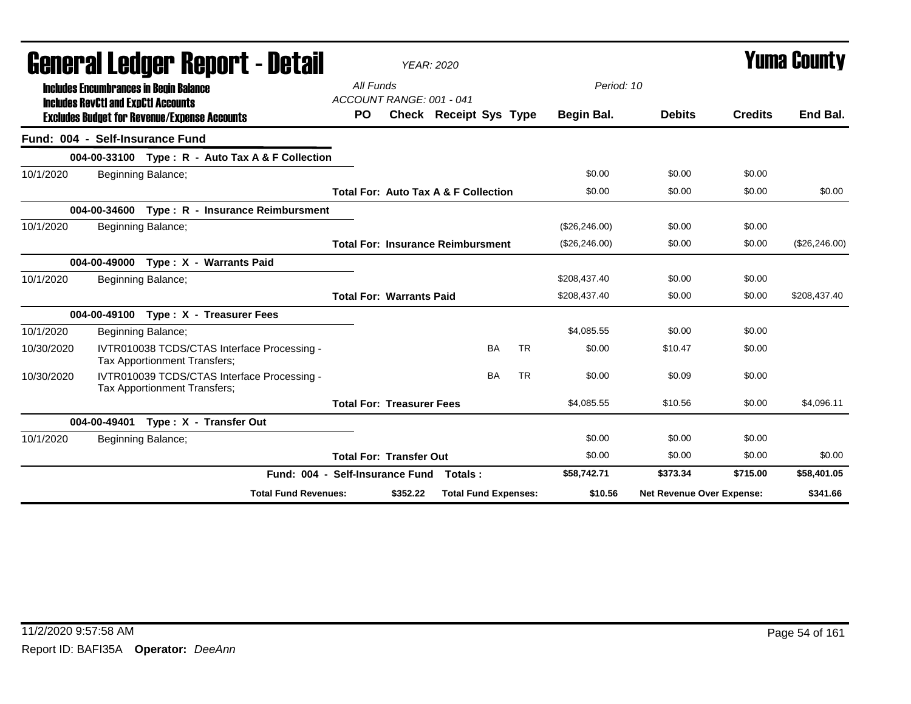|            | General Ledger Report - Detail                                                              |                                 |                                       | <b>YEAR: 2020</b>                               |           |                |                           | <b>Yuma County</b> |                |
|------------|---------------------------------------------------------------------------------------------|---------------------------------|---------------------------------------|-------------------------------------------------|-----------|----------------|---------------------------|--------------------|----------------|
|            | <b>Includes Encumbrances in Begin Balance</b><br><b>Includes RevCtI and ExpCtI Accounts</b> |                                 | All Funds<br>ACCOUNT RANGE: 001 - 041 |                                                 |           | Period: 10     |                           |                    |                |
|            | <b>Excludes Budget for Revenue/Expense Accounts</b>                                         | <b>PO</b>                       |                                       | <b>Check Receipt Sys Type</b>                   |           | Begin Bal.     | <b>Debits</b>             | <b>Credits</b>     | End Bal.       |
|            | Fund: 004 - Self-Insurance Fund                                                             |                                 |                                       |                                                 |           |                |                           |                    |                |
|            | 004-00-33100 Type: R - Auto Tax A & F Collection                                            |                                 |                                       |                                                 |           |                |                           |                    |                |
| 10/1/2020  | Beginning Balance;                                                                          |                                 |                                       |                                                 |           | \$0.00         | \$0.00                    | \$0.00             |                |
|            |                                                                                             |                                 |                                       | <b>Total For: Auto Tax A &amp; F Collection</b> |           | \$0.00         | \$0.00                    | \$0.00             | \$0.00         |
|            | 004-00-34600 Type: R - Insurance Reimbursment                                               |                                 |                                       |                                                 |           |                |                           |                    |                |
| 10/1/2020  | Beginning Balance;                                                                          |                                 |                                       |                                                 |           | (\$26, 246.00) | \$0.00                    | \$0.00             |                |
|            |                                                                                             |                                 |                                       | <b>Total For: Insurance Reimbursment</b>        |           | (\$26, 246.00) | \$0.00                    | \$0.00             | (\$26, 246.00) |
|            | 004-00-49000 Type: X - Warrants Paid                                                        |                                 |                                       |                                                 |           |                |                           |                    |                |
| 10/1/2020  | Beginning Balance;                                                                          |                                 |                                       |                                                 |           | \$208,437.40   | \$0.00                    | \$0.00             |                |
|            |                                                                                             |                                 | <b>Total For: Warrants Paid</b>       |                                                 |           | \$208,437.40   | \$0.00                    | \$0.00             | \$208,437.40   |
|            | 004-00-49100 Type: X - Treasurer Fees                                                       |                                 |                                       |                                                 |           |                |                           |                    |                |
| 10/1/2020  | Beginning Balance;                                                                          |                                 |                                       |                                                 |           | \$4.085.55     | \$0.00                    | \$0.00             |                |
| 10/30/2020 | IVTR010038 TCDS/CTAS Interface Processing -<br>Tax Apportionment Transfers;                 |                                 |                                       | BA                                              | <b>TR</b> | \$0.00         | \$10.47                   | \$0.00             |                |
| 10/30/2020 | IVTR010039 TCDS/CTAS Interface Processing -<br>Tax Apportionment Transfers;                 |                                 |                                       | <b>BA</b>                                       | <b>TR</b> | \$0.00         | \$0.09                    | \$0.00             |                |
|            |                                                                                             |                                 | <b>Total For: Treasurer Fees</b>      |                                                 |           | \$4,085.55     | \$10.56                   | \$0.00             | \$4,096.11     |
|            | Type: X - Transfer Out<br>004-00-49401                                                      |                                 |                                       |                                                 |           |                |                           |                    |                |
| 10/1/2020  | Beginning Balance;                                                                          |                                 |                                       |                                                 |           | \$0.00         | \$0.00                    | \$0.00             |                |
|            |                                                                                             |                                 | <b>Total For: Transfer Out</b>        |                                                 |           | \$0.00         | \$0.00                    | \$0.00             | \$0.00         |
|            |                                                                                             | Fund: 004 - Self-Insurance Fund |                                       | Totals :                                        |           | \$58,742.71    | \$373.34                  | \$715.00           | \$58,401.05    |
|            |                                                                                             | <b>Total Fund Revenues:</b>     | \$352.22                              | <b>Total Fund Expenses:</b>                     |           | \$10.56        | Net Revenue Over Expense: |                    | \$341.66       |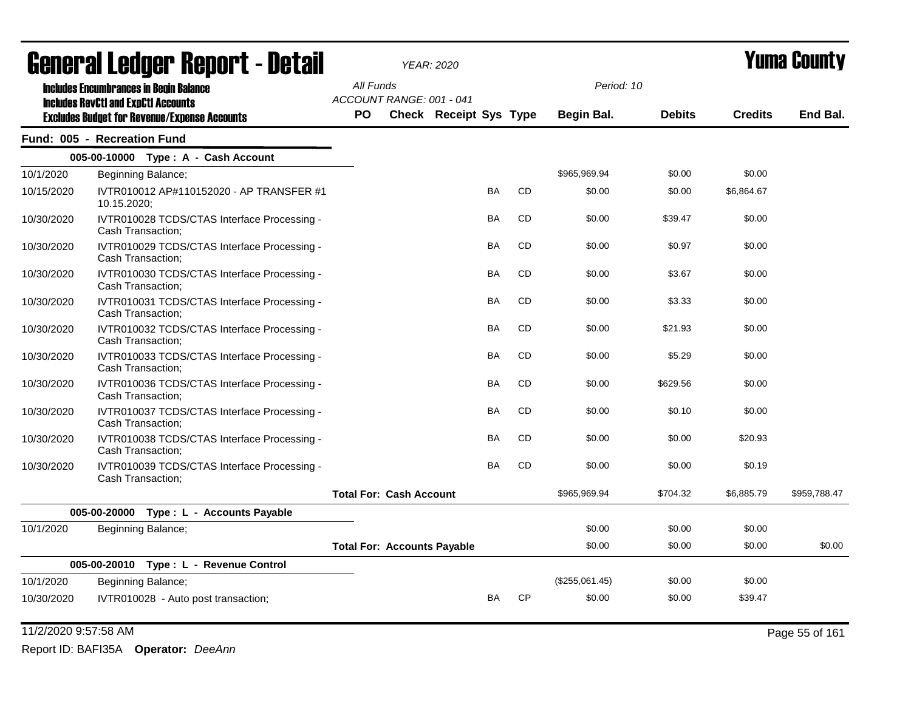|            | General Ledger Report - Detail                                   |           |                                    | <b>YEAR: 2020</b>             |           |           | Yuma Countv    |               |                |              |
|------------|------------------------------------------------------------------|-----------|------------------------------------|-------------------------------|-----------|-----------|----------------|---------------|----------------|--------------|
|            | <b>Includes Encumbrances in Begin Balance</b>                    | All Funds |                                    |                               |           |           | Period: 10     |               |                |              |
|            | <b>Includes RevCtI and ExpCtI Accounts</b>                       |           | ACCOUNT RANGE: 001 - 041           |                               |           |           |                |               |                |              |
|            | <b>Excludes Budget for Revenue/Expense Accounts</b>              | <b>PO</b> |                                    | <b>Check Receipt Sys Type</b> |           |           | Begin Bal.     | <b>Debits</b> | <b>Credits</b> | End Bal.     |
|            | Fund: 005 - Recreation Fund                                      |           |                                    |                               |           |           |                |               |                |              |
|            | 005-00-10000 Type: A - Cash Account                              |           |                                    |                               |           |           |                |               |                |              |
| 10/1/2020  | Beginning Balance;                                               |           |                                    |                               |           |           | \$965,969.94   | \$0.00        | \$0.00         |              |
| 10/15/2020 | IVTR010012 AP#110152020 - AP TRANSFER #1<br>10.15.2020;          |           |                                    |                               | <b>BA</b> | <b>CD</b> | \$0.00         | \$0.00        | \$6,864.67     |              |
| 10/30/2020 | IVTR010028 TCDS/CTAS Interface Processing -<br>Cash Transaction; |           |                                    |                               | BA        | CD        | \$0.00         | \$39.47       | \$0.00         |              |
| 10/30/2020 | IVTR010029 TCDS/CTAS Interface Processing -<br>Cash Transaction; |           |                                    |                               | <b>BA</b> | <b>CD</b> | \$0.00         | \$0.97        | \$0.00         |              |
| 10/30/2020 | IVTR010030 TCDS/CTAS Interface Processing -<br>Cash Transaction; |           |                                    |                               | BA        | <b>CD</b> | \$0.00         | \$3.67        | \$0.00         |              |
| 10/30/2020 | IVTR010031 TCDS/CTAS Interface Processing -<br>Cash Transaction; |           |                                    |                               | BA        | CD        | \$0.00         | \$3.33        | \$0.00         |              |
| 10/30/2020 | IVTR010032 TCDS/CTAS Interface Processing -<br>Cash Transaction; |           |                                    |                               | <b>BA</b> | <b>CD</b> | \$0.00         | \$21.93       | \$0.00         |              |
| 10/30/2020 | IVTR010033 TCDS/CTAS Interface Processing -<br>Cash Transaction; |           |                                    |                               | BA        | CD        | \$0.00         | \$5.29        | \$0.00         |              |
| 10/30/2020 | IVTR010036 TCDS/CTAS Interface Processing -<br>Cash Transaction; |           |                                    |                               | <b>BA</b> | <b>CD</b> | \$0.00         | \$629.56      | \$0.00         |              |
| 10/30/2020 | IVTR010037 TCDS/CTAS Interface Processing -<br>Cash Transaction; |           |                                    |                               | BA        | <b>CD</b> | \$0.00         | \$0.10        | \$0.00         |              |
| 10/30/2020 | IVTR010038 TCDS/CTAS Interface Processing -<br>Cash Transaction; |           |                                    |                               | <b>BA</b> | <b>CD</b> | \$0.00         | \$0.00        | \$20.93        |              |
| 10/30/2020 | IVTR010039 TCDS/CTAS Interface Processing -<br>Cash Transaction; |           |                                    |                               | <b>BA</b> | <b>CD</b> | \$0.00         | \$0.00        | \$0.19         |              |
|            |                                                                  |           | <b>Total For: Cash Account</b>     |                               |           |           | \$965,969.94   | \$704.32      | \$6,885.79     | \$959,788.47 |
|            | 005-00-20000 Type: L - Accounts Payable                          |           |                                    |                               |           |           |                |               |                |              |
| 10/1/2020  | Beginning Balance;                                               |           |                                    |                               |           |           | \$0.00         | \$0.00        | \$0.00         |              |
|            |                                                                  |           | <b>Total For: Accounts Payable</b> |                               |           |           | \$0.00         | \$0.00        | \$0.00         | \$0.00       |
|            | 005-00-20010 Type: L - Revenue Control                           |           |                                    |                               |           |           |                |               |                |              |
| 10/1/2020  | Beginning Balance;                                               |           |                                    |                               |           |           | (\$255,061.45) | \$0.00        | \$0.00         |              |
| 10/30/2020 | IVTR010028 - Auto post transaction;                              |           |                                    |                               | BA        | <b>CP</b> | \$0.00         | \$0.00        | \$39.47        |              |

11/2/2020 9:57:58 AM Page 55 of 161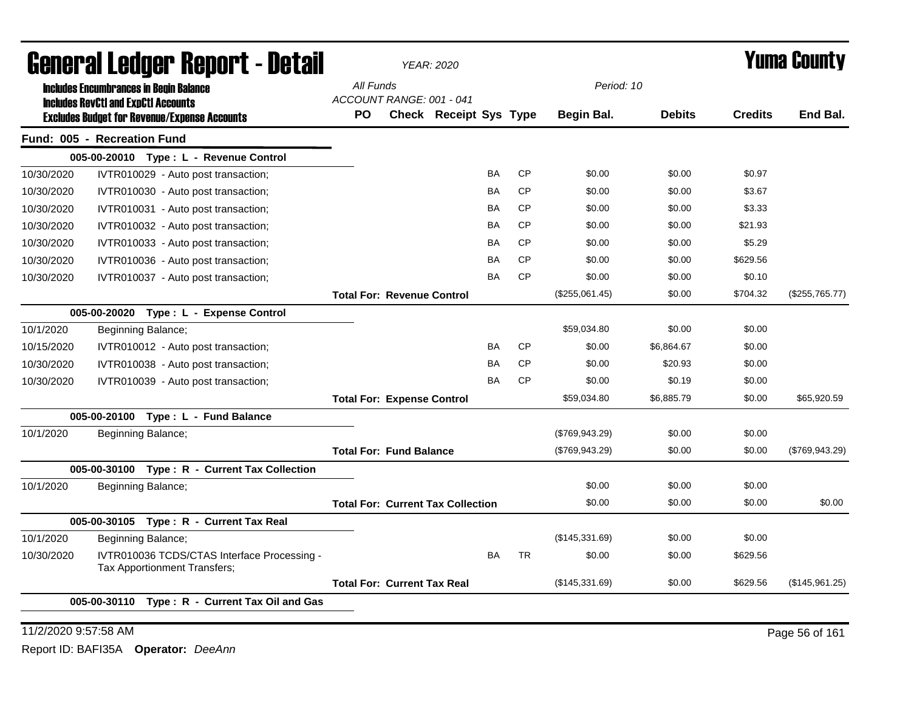|            | General Ledger Report - Detail                                                                    |           |                                    | <b>YEAR: 2020</b>                        |           |           | <b>Yuma County</b> |               |                |                |
|------------|---------------------------------------------------------------------------------------------------|-----------|------------------------------------|------------------------------------------|-----------|-----------|--------------------|---------------|----------------|----------------|
|            | <b>Includes Encumbrances in Begin Balance</b>                                                     | All Funds | ACCOUNT RANGE: 001 - 041           |                                          |           |           | Period: 10         |               |                |                |
|            | <b>Includes RevCtI and ExpCtI Accounts</b><br><b>Excludes Budget for Revenue/Expense Accounts</b> | PO        |                                    | Check Receipt Sys Type                   |           |           | Begin Bal.         | <b>Debits</b> | <b>Credits</b> | End Bal.       |
|            | Fund: 005 - Recreation Fund                                                                       |           |                                    |                                          |           |           |                    |               |                |                |
|            | 005-00-20010 Type: L - Revenue Control                                                            |           |                                    |                                          |           |           |                    |               |                |                |
| 10/30/2020 | IVTR010029 - Auto post transaction;                                                               |           |                                    |                                          | <b>BA</b> | <b>CP</b> | \$0.00             | \$0.00        | \$0.97         |                |
| 10/30/2020 | IVTR010030 - Auto post transaction;                                                               |           |                                    |                                          | <b>BA</b> | <b>CP</b> | \$0.00             | \$0.00        | \$3.67         |                |
| 10/30/2020 | IVTR010031 - Auto post transaction;                                                               |           |                                    |                                          | BA        | <b>CP</b> | \$0.00             | \$0.00        | \$3.33         |                |
| 10/30/2020 | IVTR010032 - Auto post transaction;                                                               |           |                                    |                                          | <b>BA</b> | <b>CP</b> | \$0.00             | \$0.00        | \$21.93        |                |
| 10/30/2020 | IVTR010033 - Auto post transaction;                                                               |           |                                    |                                          | BA        | <b>CP</b> | \$0.00             | \$0.00        | \$5.29         |                |
| 10/30/2020 | IVTR010036 - Auto post transaction;                                                               |           |                                    |                                          | <b>BA</b> | CP        | \$0.00             | \$0.00        | \$629.56       |                |
| 10/30/2020 | IVTR010037 - Auto post transaction;                                                               |           |                                    |                                          | <b>BA</b> | <b>CP</b> | \$0.00             | \$0.00        | \$0.10         |                |
|            |                                                                                                   |           | <b>Total For: Revenue Control</b>  |                                          |           |           | (\$255,061.45)     | \$0.00        | \$704.32       | (\$255,765.77) |
|            | 005-00-20020 Type: L - Expense Control                                                            |           |                                    |                                          |           |           |                    |               |                |                |
| 10/1/2020  | Beginning Balance;                                                                                |           |                                    |                                          |           |           | \$59,034.80        | \$0.00        | \$0.00         |                |
| 10/15/2020 | IVTR010012 - Auto post transaction;                                                               |           |                                    |                                          | <b>BA</b> | CP        | \$0.00             | \$6,864.67    | \$0.00         |                |
| 10/30/2020 | IVTR010038 - Auto post transaction;                                                               |           |                                    |                                          | BA        | CP        | \$0.00             | \$20.93       | \$0.00         |                |
| 10/30/2020 | IVTR010039 - Auto post transaction;                                                               |           |                                    |                                          | <b>BA</b> | <b>CP</b> | \$0.00             | \$0.19        | \$0.00         |                |
|            |                                                                                                   |           | <b>Total For: Expense Control</b>  |                                          |           |           | \$59,034.80        | \$6,885.79    | \$0.00         | \$65,920.59    |
|            | 005-00-20100 Type: L - Fund Balance                                                               |           |                                    |                                          |           |           |                    |               |                |                |
| 10/1/2020  | Beginning Balance;                                                                                |           |                                    |                                          |           |           | (\$769,943.29)     | \$0.00        | \$0.00         |                |
|            |                                                                                                   |           | <b>Total For: Fund Balance</b>     |                                          |           |           | (\$769,943.29)     | \$0.00        | \$0.00         | (\$769,943.29) |
|            | 005-00-30100 Type: R - Current Tax Collection                                                     |           |                                    |                                          |           |           |                    |               |                |                |
| 10/1/2020  | Beginning Balance;                                                                                |           |                                    |                                          |           |           | \$0.00             | \$0.00        | \$0.00         |                |
|            |                                                                                                   |           |                                    | <b>Total For: Current Tax Collection</b> |           |           | \$0.00             | \$0.00        | \$0.00         | \$0.00         |
|            | 005-00-30105 Type: R - Current Tax Real                                                           |           |                                    |                                          |           |           |                    |               |                |                |
| 10/1/2020  | Beginning Balance;                                                                                |           |                                    |                                          |           |           | (\$145,331.69)     | \$0.00        | \$0.00         |                |
| 10/30/2020 | IVTR010036 TCDS/CTAS Interface Processing -<br>Tax Apportionment Transfers;                       |           |                                    |                                          | <b>BA</b> | <b>TR</b> | \$0.00             | \$0.00        | \$629.56       |                |
|            |                                                                                                   |           | <b>Total For: Current Tax Real</b> |                                          |           |           | (\$145,331.69)     | \$0.00        | \$629.56       | (\$145,961.25) |
|            | 005-00-30110 Type: R - Current Tax Oil and Gas                                                    |           |                                    |                                          |           |           |                    |               |                |                |

11/2/2020 9:57:58 AM Page 56 of 161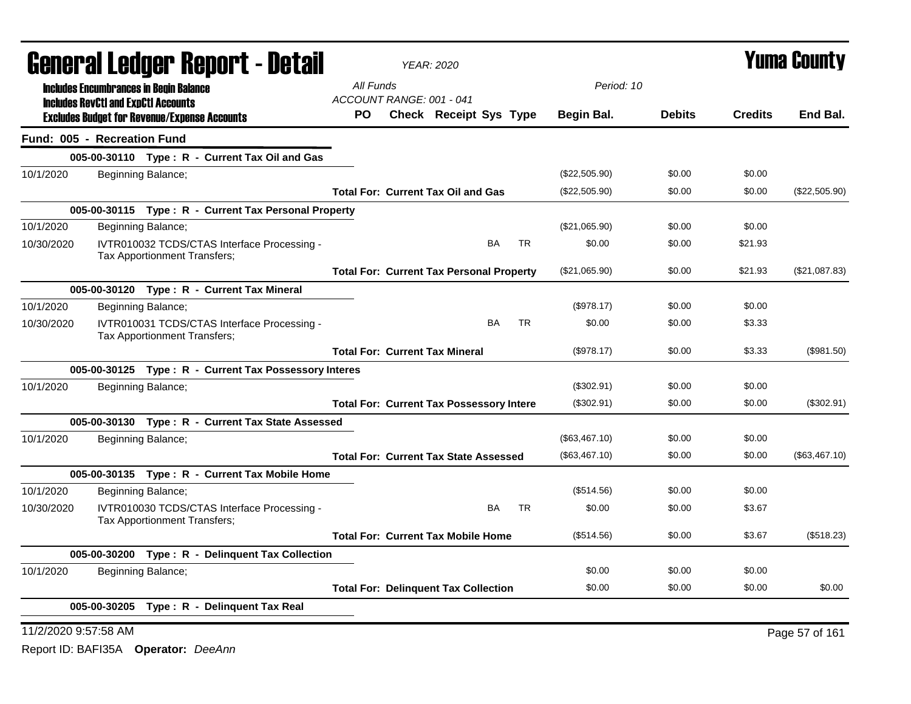|                                    |                                            | <b>General Ledger Report - Detail</b>                                              |                                 | <b>YEAR: 2020</b> |                                                 | <b>Yuma County</b> |                   |               |                |                |
|------------------------------------|--------------------------------------------|------------------------------------------------------------------------------------|---------------------------------|-------------------|-------------------------------------------------|--------------------|-------------------|---------------|----------------|----------------|
|                                    |                                            | <b>Includes Encumbrances in Begin Balance</b>                                      | All Funds                       |                   |                                                 |                    | Period: 10        |               |                |                |
|                                    | <b>Includes RevCtI and ExpCtI Accounts</b> | <b>Excludes Budget for Revenue/Expense Accounts</b>                                | ACCOUNT RANGE: 001 - 041<br>PO. |                   | <b>Check Receipt Sys Type</b>                   |                    | <b>Begin Bal.</b> | <b>Debits</b> | <b>Credits</b> | End Bal.       |
| <b>Fund: 005 - Recreation Fund</b> |                                            |                                                                                    |                                 |                   |                                                 |                    |                   |               |                |                |
|                                    |                                            | 005-00-30110 Type: R - Current Tax Oil and Gas                                     |                                 |                   |                                                 |                    |                   |               |                |                |
| 10/1/2020                          |                                            | Beginning Balance;                                                                 |                                 |                   |                                                 |                    | (\$22,505.90)     | \$0.00        | \$0.00         |                |
|                                    |                                            |                                                                                    |                                 |                   | <b>Total For: Current Tax Oil and Gas</b>       |                    | (\$22,505.90)     | \$0.00        | \$0.00         | (\$22,505.90)  |
|                                    |                                            | 005-00-30115 Type: R - Current Tax Personal Property                               |                                 |                   |                                                 |                    |                   |               |                |                |
| 10/1/2020                          | Beginning Balance;                         |                                                                                    |                                 |                   |                                                 |                    | (\$21,065.90)     | \$0.00        | \$0.00         |                |
| 10/30/2020                         |                                            | IVTR010032 TCDS/CTAS Interface Processing -<br><b>Tax Apportionment Transfers:</b> |                                 |                   | BA                                              | <b>TR</b>          | \$0.00            | \$0.00        | \$21.93        |                |
|                                    |                                            |                                                                                    |                                 |                   | <b>Total For: Current Tax Personal Property</b> |                    | (\$21,065.90)     | \$0.00        | \$21.93        | (\$21,087.83)  |
|                                    |                                            | 005-00-30120 Type: R - Current Tax Mineral                                         |                                 |                   |                                                 |                    |                   |               |                |                |
| 10/1/2020                          | Beginning Balance;                         |                                                                                    |                                 |                   |                                                 |                    | (\$978.17)        | \$0.00        | \$0.00         |                |
| 10/30/2020                         |                                            | IVTR010031 TCDS/CTAS Interface Processing -<br>Tax Apportionment Transfers;        |                                 |                   | <b>BA</b>                                       | <b>TR</b>          | \$0.00            | \$0.00        | \$3.33         |                |
|                                    |                                            |                                                                                    |                                 |                   | <b>Total For: Current Tax Mineral</b>           |                    | (\$978.17)        | \$0.00        | \$3.33         | (\$981.50)     |
|                                    |                                            | 005-00-30125 Type: R - Current Tax Possessory Interes                              |                                 |                   |                                                 |                    |                   |               |                |                |
| 10/1/2020                          | Beginning Balance;                         |                                                                                    |                                 |                   |                                                 |                    | (\$302.91)        | \$0.00        | \$0.00         |                |
|                                    |                                            |                                                                                    |                                 |                   | <b>Total For: Current Tax Possessory Intere</b> |                    | (\$302.91)        | \$0.00        | \$0.00         | (\$302.91)     |
|                                    |                                            | 005-00-30130 Type: R - Current Tax State Assessed                                  |                                 |                   |                                                 |                    |                   |               |                |                |
| 10/1/2020                          |                                            | Beginning Balance;                                                                 |                                 |                   |                                                 |                    | (\$63,467.10)     | \$0.00        | \$0.00         |                |
|                                    |                                            |                                                                                    |                                 |                   | <b>Total For: Current Tax State Assessed</b>    |                    | (\$63,467.10)     | \$0.00        | \$0.00         | (\$63,467.10)  |
|                                    |                                            | 005-00-30135 Type: R - Current Tax Mobile Home                                     |                                 |                   |                                                 |                    |                   |               |                |                |
| 10/1/2020                          | Beginning Balance;                         |                                                                                    |                                 |                   |                                                 |                    | (\$514.56)        | \$0.00        | \$0.00         |                |
| 10/30/2020                         |                                            | IVTR010030 TCDS/CTAS Interface Processing -<br>Tax Apportionment Transfers;        |                                 |                   | <b>BA</b>                                       | <b>TR</b>          | \$0.00            | \$0.00        | \$3.67         |                |
|                                    |                                            |                                                                                    |                                 |                   | <b>Total For: Current Tax Mobile Home</b>       |                    | (\$514.56)        | \$0.00        | \$3.67         | (\$518.23)     |
|                                    |                                            | 005-00-30200 Type: R - Delinquent Tax Collection                                   |                                 |                   |                                                 |                    |                   |               |                |                |
| 10/1/2020                          |                                            | Beginning Balance;                                                                 |                                 |                   |                                                 |                    | \$0.00            | \$0.00        | \$0.00         |                |
|                                    |                                            |                                                                                    |                                 |                   | <b>Total For: Delinquent Tax Collection</b>     |                    | \$0.00            | \$0.00        | \$0.00         | \$0.00         |
|                                    | 005-00-30205                               | Type: R - Delinquent Tax Real                                                      |                                 |                   |                                                 |                    |                   |               |                |                |
| 11/2/2020 9:57:58 AM               |                                            |                                                                                    |                                 |                   |                                                 |                    |                   |               |                | Page 57 of 161 |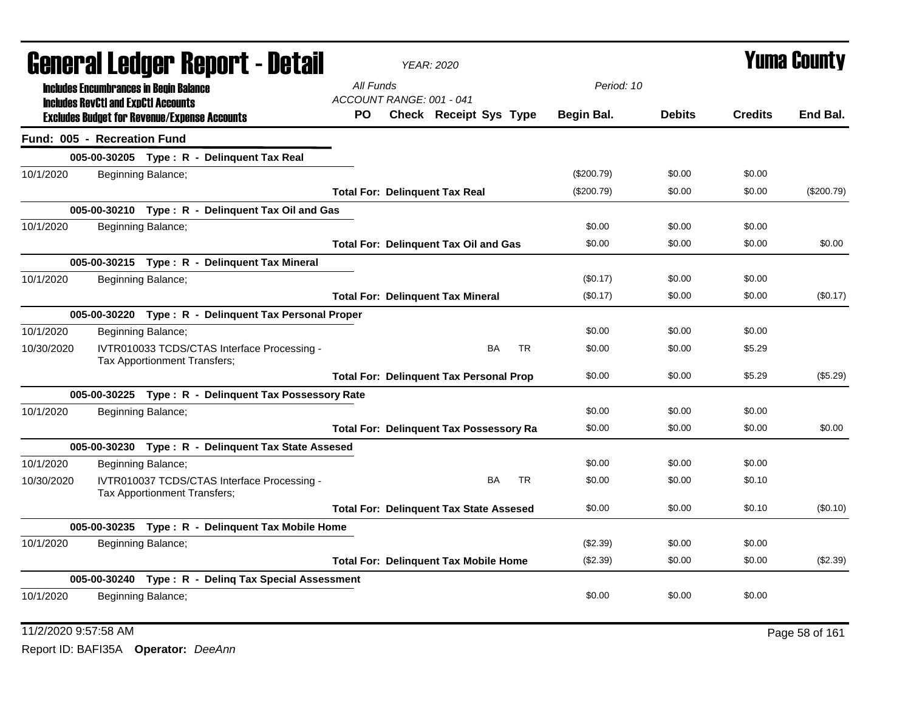| General Ledger Report - Detail |                                                                                                   |                              |                                                       | <b>YEAR: 2020</b>               |                                                |           |              | <b>Yuma County</b> |                |            |
|--------------------------------|---------------------------------------------------------------------------------------------------|------------------------------|-------------------------------------------------------|---------------------------------|------------------------------------------------|-----------|--------------|--------------------|----------------|------------|
|                                | <b>Includes Encumbrances in Begin Balance</b>                                                     |                              |                                                       | All Funds                       |                                                |           | Period: 10   |                    |                |            |
|                                | <b>Includes RevCtI and ExpCtI Accounts</b><br><b>Excludes Budget for Revenue/Expense Accounts</b> |                              |                                                       | ACCOUNT RANGE: 001 - 041<br>PO. | <b>Check Receipt Sys Type</b>                  |           | Begin Bal.   | <b>Debits</b>      | <b>Credits</b> | End Bal.   |
|                                | Fund: 005 - Recreation Fund                                                                       |                              |                                                       |                                 |                                                |           |              |                    |                |            |
|                                |                                                                                                   |                              | 005-00-30205 Type: R - Delinquent Tax Real            |                                 |                                                |           |              |                    |                |            |
| 10/1/2020                      |                                                                                                   | Beginning Balance;           |                                                       |                                 |                                                |           | (\$200.79)   | \$0.00             | \$0.00         |            |
|                                |                                                                                                   |                              |                                                       |                                 | <b>Total For: Delinquent Tax Real</b>          |           | $(\$200.79)$ | \$0.00             | \$0.00         | (\$200.79) |
|                                |                                                                                                   |                              | 005-00-30210 Type: R - Delinquent Tax Oil and Gas     |                                 |                                                |           |              |                    |                |            |
| 10/1/2020                      |                                                                                                   | Beginning Balance;           |                                                       |                                 |                                                |           | \$0.00       | \$0.00             | \$0.00         |            |
|                                |                                                                                                   |                              |                                                       |                                 | <b>Total For: Delinquent Tax Oil and Gas</b>   |           | \$0.00       | \$0.00             | \$0.00         | \$0.00     |
|                                |                                                                                                   |                              | 005-00-30215 Type: R - Delinquent Tax Mineral         |                                 |                                                |           |              |                    |                |            |
| 10/1/2020                      |                                                                                                   | Beginning Balance;           |                                                       |                                 |                                                |           | (\$0.17)     | \$0.00             | \$0.00         |            |
|                                |                                                                                                   |                              |                                                       |                                 | <b>Total For: Delinquent Tax Mineral</b>       |           | (\$0.17)     | \$0.00             | \$0.00         | (\$0.17)   |
|                                |                                                                                                   |                              | 005-00-30220 Type: R - Delinquent Tax Personal Proper |                                 |                                                |           |              |                    |                |            |
| 10/1/2020                      |                                                                                                   | Beginning Balance;           |                                                       |                                 |                                                |           | \$0.00       | \$0.00             | \$0.00         |            |
| 10/30/2020                     |                                                                                                   | Tax Apportionment Transfers; | IVTR010033 TCDS/CTAS Interface Processing -           |                                 | BA                                             | <b>TR</b> | \$0.00       | \$0.00             | \$5.29         |            |
|                                |                                                                                                   |                              |                                                       |                                 | <b>Total For: Delinquent Tax Personal Prop</b> |           | \$0.00       | \$0.00             | \$5.29         | (\$5.29)   |
|                                |                                                                                                   |                              | 005-00-30225 Type: R - Delinquent Tax Possessory Rate |                                 |                                                |           |              |                    |                |            |
| 10/1/2020                      |                                                                                                   | Beginning Balance;           |                                                       |                                 |                                                |           | \$0.00       | \$0.00             | \$0.00         |            |
|                                |                                                                                                   |                              |                                                       |                                 | <b>Total For: Delinquent Tax Possessory Ra</b> |           | \$0.00       | \$0.00             | \$0.00         | \$0.00     |
|                                |                                                                                                   |                              | 005-00-30230 Type: R - Delinquent Tax State Assesed   |                                 |                                                |           |              |                    |                |            |
| 10/1/2020                      |                                                                                                   | Beginning Balance;           |                                                       |                                 |                                                |           | \$0.00       | \$0.00             | \$0.00         |            |
| 10/30/2020                     |                                                                                                   | Tax Apportionment Transfers; | IVTR010037 TCDS/CTAS Interface Processing -           |                                 | BA                                             | <b>TR</b> | \$0.00       | \$0.00             | \$0.10         |            |
|                                |                                                                                                   |                              |                                                       |                                 | <b>Total For: Delinquent Tax State Assesed</b> |           | \$0.00       | \$0.00             | \$0.10         | (\$0.10)   |
|                                |                                                                                                   |                              | 005-00-30235 Type: R - Delinquent Tax Mobile Home     |                                 |                                                |           |              |                    |                |            |
| 10/1/2020                      |                                                                                                   | Beginning Balance;           |                                                       |                                 |                                                |           | (\$2.39)     | \$0.00             | \$0.00         |            |
|                                |                                                                                                   |                              |                                                       |                                 | <b>Total For: Delinquent Tax Mobile Home</b>   |           | (\$2.39)     | \$0.00             | \$0.00         | (\$2.39)   |
|                                |                                                                                                   |                              | 005-00-30240 Type: R - Deling Tax Special Assessment  |                                 |                                                |           |              |                    |                |            |
| 10/1/2020                      |                                                                                                   | Beginning Balance;           |                                                       |                                 |                                                |           | \$0.00       | \$0.00             | \$0.00         |            |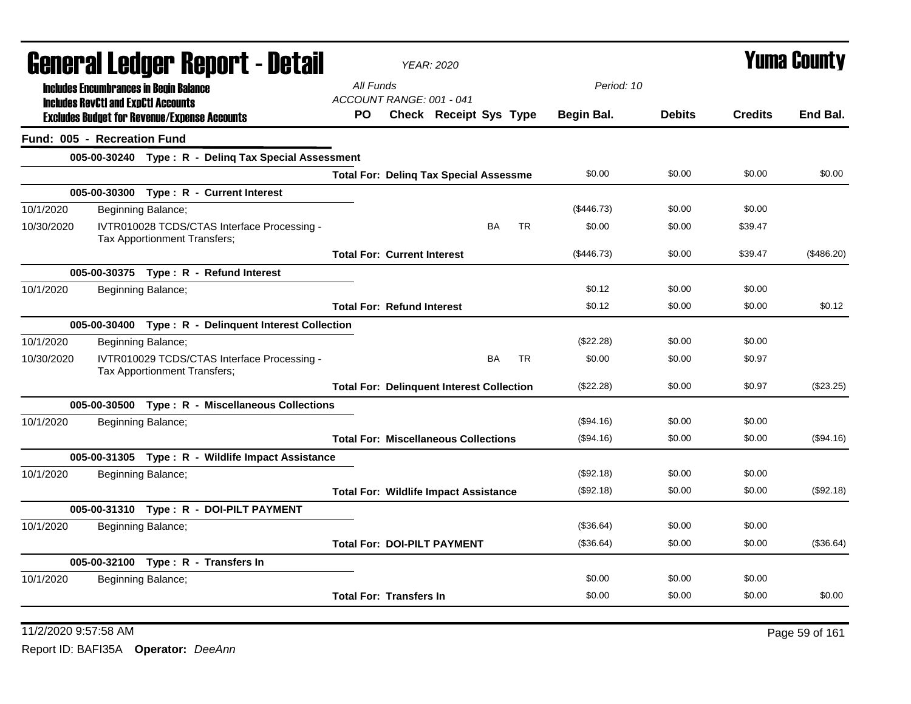| General Ledger Report - Detail |                                            | <b>YEAR: 2020</b>                                                           |                                                  |                        |           |           | Yuma Countv |               |                |            |
|--------------------------------|--------------------------------------------|-----------------------------------------------------------------------------|--------------------------------------------------|------------------------|-----------|-----------|-------------|---------------|----------------|------------|
|                                |                                            | <b>Includes Encumbrances in Begin Balance</b>                               | All Funds                                        |                        |           |           | Period: 10  |               |                |            |
|                                | <b>Includes RevCtI and ExpCtI Accounts</b> |                                                                             | ACCOUNT RANGE: 001 - 041                         |                        |           |           |             |               |                |            |
|                                |                                            | <b>Excludes Budget for Revenue/Expense Accounts</b>                         | PO.                                              | Check Receipt Sys Type |           |           | Begin Bal.  | <b>Debits</b> | <b>Credits</b> | End Bal.   |
|                                | Fund: 005 - Recreation Fund                |                                                                             |                                                  |                        |           |           |             |               |                |            |
|                                |                                            | 005-00-30240 Type: R - Deling Tax Special Assessment                        |                                                  |                        |           |           |             |               |                |            |
|                                |                                            |                                                                             | <b>Total For: Deling Tax Special Assessme</b>    |                        |           |           | \$0.00      | \$0.00        | \$0.00         | \$0.00     |
|                                |                                            | 005-00-30300 Type: R - Current Interest                                     |                                                  |                        |           |           |             |               |                |            |
| 10/1/2020                      |                                            | Beginning Balance;                                                          |                                                  |                        |           |           | (\$446.73)  | \$0.00        | \$0.00         |            |
| 10/30/2020                     |                                            | IVTR010028 TCDS/CTAS Interface Processing -<br>Tax Apportionment Transfers; |                                                  |                        | <b>BA</b> | <b>TR</b> | \$0.00      | \$0.00        | \$39.47        |            |
|                                |                                            |                                                                             | <b>Total For: Current Interest</b>               |                        |           |           | (\$446.73)  | \$0.00        | \$39.47        | (\$486.20) |
|                                |                                            | 005-00-30375 Type: R - Refund Interest                                      |                                                  |                        |           |           |             |               |                |            |
| 10/1/2020                      |                                            | Beginning Balance;                                                          |                                                  |                        |           |           | \$0.12      | \$0.00        | \$0.00         |            |
|                                |                                            |                                                                             | <b>Total For: Refund Interest</b>                |                        |           |           | \$0.12      | \$0.00        | \$0.00         | \$0.12     |
|                                |                                            | 005-00-30400 Type: R - Delinquent Interest Collection                       |                                                  |                        |           |           |             |               |                |            |
| 10/1/2020                      |                                            | Beginning Balance;                                                          |                                                  |                        |           |           | (\$22.28)   | \$0.00        | \$0.00         |            |
| 10/30/2020                     |                                            | IVTR010029 TCDS/CTAS Interface Processing -<br>Tax Apportionment Transfers; |                                                  |                        | <b>BA</b> | <b>TR</b> | \$0.00      | \$0.00        | \$0.97         |            |
|                                |                                            |                                                                             | <b>Total For: Delinquent Interest Collection</b> |                        |           |           | (\$22.28)   | \$0.00        | \$0.97         | (\$23.25)  |
|                                |                                            | 005-00-30500 Type: R - Miscellaneous Collections                            |                                                  |                        |           |           |             |               |                |            |
| 10/1/2020                      |                                            | Beginning Balance;                                                          |                                                  |                        |           |           | (\$94.16)   | \$0.00        | \$0.00         |            |
|                                |                                            |                                                                             | <b>Total For: Miscellaneous Collections</b>      |                        |           |           | (\$94.16)   | \$0.00        | \$0.00         | (\$94.16)  |
|                                |                                            | 005-00-31305 Type: R - Wildlife Impact Assistance                           |                                                  |                        |           |           |             |               |                |            |
| 10/1/2020                      |                                            | Beginning Balance;                                                          |                                                  |                        |           |           | (\$92.18)   | \$0.00        | \$0.00         |            |
|                                |                                            |                                                                             | <b>Total For: Wildlife Impact Assistance</b>     |                        |           |           | (\$92.18)   | \$0.00        | \$0.00         | (\$92.18)  |
|                                |                                            | 005-00-31310 Type: R - DOI-PILT PAYMENT                                     |                                                  |                        |           |           |             |               |                |            |
| 10/1/2020                      |                                            | Beginning Balance;                                                          |                                                  |                        |           |           | (\$36.64)   | \$0.00        | \$0.00         |            |
|                                |                                            |                                                                             | <b>Total For: DOI-PILT PAYMENT</b>               |                        |           |           | (\$36.64)   | \$0.00        | \$0.00         | (\$36.64)  |
|                                |                                            | 005-00-32100 Type: R - Transfers In                                         |                                                  |                        |           |           |             |               |                |            |
| 10/1/2020                      |                                            | Beginning Balance;                                                          |                                                  |                        |           |           | \$0.00      | \$0.00        | \$0.00         |            |
|                                |                                            |                                                                             | <b>Total For: Transfers In</b>                   |                        |           |           | \$0.00      | \$0.00        | \$0.00         | \$0.00     |

11/2/2020 9:57:58 AM Page 59 of 161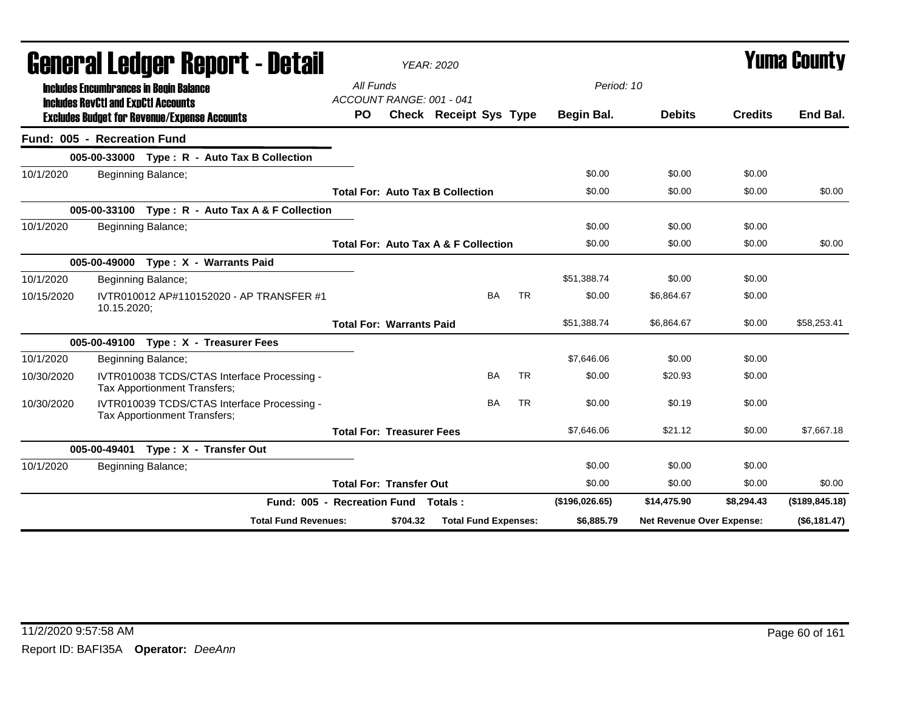|            | General Ledger Report - Detail                                                              |                                       |          | <b>YEAR: 2020</b>                               |           |                |                           | <b>Yuma County</b> |                 |
|------------|---------------------------------------------------------------------------------------------|---------------------------------------|----------|-------------------------------------------------|-----------|----------------|---------------------------|--------------------|-----------------|
|            | <b>Includes Encumbrances in Begin Balance</b><br><b>Includes RevCtI and ExpCtI Accounts</b> | All Funds<br>ACCOUNT RANGE: 001 - 041 |          |                                                 |           | Period: 10     |                           |                    |                 |
|            | <b>Excludes Budget for Revenue/Expense Accounts</b>                                         | <b>PO</b>                             |          | <b>Check Receipt Sys Type</b>                   |           | Begin Bal.     | <b>Debits</b>             | <b>Credits</b>     | End Bal.        |
|            | Fund: 005 - Recreation Fund                                                                 |                                       |          |                                                 |           |                |                           |                    |                 |
|            | 005-00-33000 Type: R - Auto Tax B Collection                                                |                                       |          |                                                 |           |                |                           |                    |                 |
| 10/1/2020  | Beginning Balance;                                                                          |                                       |          |                                                 |           | \$0.00         | \$0.00                    | \$0.00             |                 |
|            |                                                                                             |                                       |          | <b>Total For: Auto Tax B Collection</b>         |           | \$0.00         | \$0.00                    | \$0.00             | \$0.00          |
|            | 005-00-33100 Type: R - Auto Tax A & F Collection                                            |                                       |          |                                                 |           |                |                           |                    |                 |
| 10/1/2020  | Beginning Balance;                                                                          |                                       |          |                                                 |           | \$0.00         | \$0.00                    | \$0.00             |                 |
|            |                                                                                             |                                       |          | <b>Total For: Auto Tax A &amp; F Collection</b> |           | \$0.00         | \$0.00                    | \$0.00             | \$0.00          |
|            | 005-00-49000 Type: X - Warrants Paid                                                        |                                       |          |                                                 |           |                |                           |                    |                 |
| 10/1/2020  | Beginning Balance;                                                                          |                                       |          |                                                 |           | \$51,388.74    | \$0.00                    | \$0.00             |                 |
| 10/15/2020 | IVTR010012 AP#110152020 - AP TRANSFER #1<br>10.15.2020;                                     |                                       |          | BA                                              | <b>TR</b> | \$0.00         | \$6,864.67                | \$0.00             |                 |
|            |                                                                                             | <b>Total For: Warrants Paid</b>       |          |                                                 |           | \$51,388.74    | \$6,864.67                | \$0.00             | \$58,253.41     |
|            | 005-00-49100 Type: X - Treasurer Fees                                                       |                                       |          |                                                 |           |                |                           |                    |                 |
| 10/1/2020  | Beginning Balance;                                                                          |                                       |          |                                                 |           | \$7.646.06     | \$0.00                    | \$0.00             |                 |
| 10/30/2020 | IVTR010038 TCDS/CTAS Interface Processing -<br>Tax Apportionment Transfers;                 |                                       |          | BA                                              | <b>TR</b> | \$0.00         | \$20.93                   | \$0.00             |                 |
| 10/30/2020 | IVTR010039 TCDS/CTAS Interface Processing -<br>Tax Apportionment Transfers;                 |                                       |          | BA                                              | <b>TR</b> | \$0.00         | \$0.19                    | \$0.00             |                 |
|            |                                                                                             | <b>Total For: Treasurer Fees</b>      |          |                                                 |           | \$7,646.06     | \$21.12                   | \$0.00             | \$7,667.18      |
|            | 005-00-49401 Type: X - Transfer Out                                                         |                                       |          |                                                 |           |                |                           |                    |                 |
| 10/1/2020  | Beginning Balance;                                                                          |                                       |          |                                                 |           | \$0.00         | \$0.00                    | \$0.00             |                 |
|            |                                                                                             | <b>Total For: Transfer Out</b>        |          |                                                 |           | \$0.00         | \$0.00                    | \$0.00             | \$0.00          |
|            | Fund: 005 - Recreation Fund Totals:                                                         |                                       |          |                                                 |           | (\$196,026.65) | \$14,475.90               | \$8,294.43         | (\$189, 845.18) |
|            | <b>Total Fund Revenues:</b>                                                                 |                                       | \$704.32 | <b>Total Fund Expenses:</b>                     |           | \$6,885.79     | Net Revenue Over Expense: |                    | (\$6,181.47)    |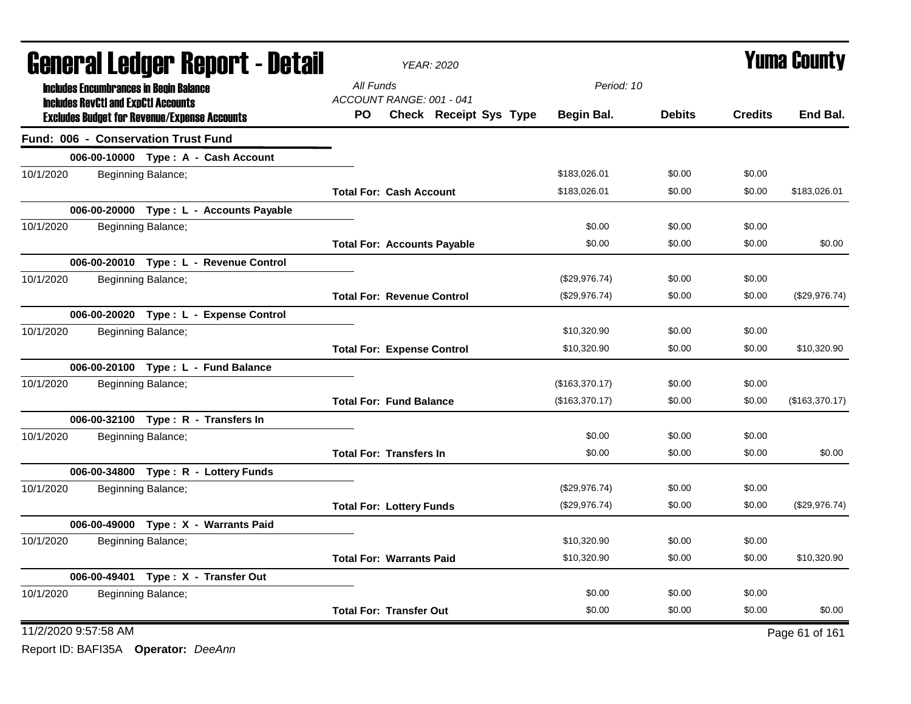| <b>General Ledger Report - Detail</b> |                                            |                                                     |                                    | <b>YEAR: 2020</b>      |                | <b>Yuma County</b> |                |                |
|---------------------------------------|--------------------------------------------|-----------------------------------------------------|------------------------------------|------------------------|----------------|--------------------|----------------|----------------|
|                                       |                                            | <b>Includes Encumbrances in Begin Balance</b>       | All Funds                          |                        | Period: 10     |                    |                |                |
|                                       | <b>Includes RevCtI and ExpCtI Accounts</b> | <b>Excludes Budget for Revenue/Expense Accounts</b> | ACCOUNT RANGE: 001 - 041<br>PO.    | Check Receipt Sys Type | Begin Bal.     | <b>Debits</b>      | <b>Credits</b> | End Bal.       |
|                                       |                                            | <b>Fund: 006 - Conservation Trust Fund</b>          |                                    |                        |                |                    |                |                |
|                                       |                                            | 006-00-10000 Type: A - Cash Account                 |                                    |                        |                |                    |                |                |
| 10/1/2020                             |                                            | Beginning Balance;                                  |                                    |                        | \$183,026.01   | \$0.00             | \$0.00         |                |
|                                       |                                            |                                                     | <b>Total For: Cash Account</b>     |                        | \$183,026.01   | \$0.00             | \$0.00         | \$183,026.01   |
|                                       |                                            | 006-00-20000 Type : L - Accounts Payable            |                                    |                        |                |                    |                |                |
| 10/1/2020                             |                                            | Beginning Balance;                                  |                                    |                        | \$0.00         | \$0.00             | \$0.00         |                |
|                                       |                                            |                                                     | <b>Total For: Accounts Payable</b> |                        | \$0.00         | \$0.00             | \$0.00         | \$0.00         |
|                                       |                                            | 006-00-20010 Type: L - Revenue Control              |                                    |                        |                |                    |                |                |
| 10/1/2020                             |                                            | Beginning Balance;                                  |                                    |                        | (\$29,976.74)  | \$0.00             | \$0.00         |                |
|                                       |                                            |                                                     | <b>Total For: Revenue Control</b>  |                        | (\$29,976.74)  | \$0.00             | \$0.00         | (\$29,976.74)  |
|                                       |                                            | 006-00-20020 Type: L - Expense Control              |                                    |                        |                |                    |                |                |
| 10/1/2020                             |                                            | Beginning Balance;                                  |                                    |                        | \$10,320.90    | \$0.00             | \$0.00         |                |
|                                       |                                            |                                                     | <b>Total For: Expense Control</b>  |                        | \$10,320.90    | \$0.00             | \$0.00         | \$10,320.90    |
|                                       |                                            | 006-00-20100 Type: L - Fund Balance                 |                                    |                        |                |                    |                |                |
| 10/1/2020                             |                                            | Beginning Balance;                                  |                                    |                        | (\$163,370.17) | \$0.00             | \$0.00         |                |
|                                       |                                            |                                                     | <b>Total For: Fund Balance</b>     |                        | (\$163,370.17) | \$0.00             | \$0.00         | (\$163,370.17) |
|                                       |                                            | 006-00-32100 Type: R - Transfers In                 |                                    |                        |                |                    |                |                |
| 10/1/2020                             |                                            | Beginning Balance;                                  |                                    |                        | \$0.00         | \$0.00             | \$0.00         |                |
|                                       |                                            |                                                     | <b>Total For: Transfers In</b>     |                        | \$0.00         | \$0.00             | \$0.00         | \$0.00         |
|                                       |                                            | 006-00-34800 Type: R - Lottery Funds                |                                    |                        |                |                    |                |                |
| 10/1/2020                             |                                            | Beginning Balance;                                  |                                    |                        | (\$29,976.74)  | \$0.00             | \$0.00         |                |
|                                       |                                            |                                                     | <b>Total For: Lottery Funds</b>    |                        | (\$29,976.74)  | \$0.00             | \$0.00         | (\$29,976.74)  |
|                                       |                                            | 006-00-49000 Type: X - Warrants Paid                |                                    |                        |                |                    |                |                |
| 10/1/2020                             |                                            | Beginning Balance;                                  |                                    |                        | \$10,320.90    | \$0.00             | \$0.00         |                |
|                                       |                                            |                                                     | <b>Total For: Warrants Paid</b>    |                        | \$10,320.90    | \$0.00             | \$0.00         | \$10,320.90    |
|                                       |                                            | 006-00-49401 Type: X - Transfer Out                 |                                    |                        |                |                    |                |                |
| 10/1/2020                             |                                            | Beginning Balance;                                  |                                    |                        | \$0.00         | \$0.00             | \$0.00         |                |
|                                       |                                            |                                                     | <b>Total For: Transfer Out</b>     |                        | \$0.00         | \$0.00             | \$0.00         | \$0.00         |
| 11/2/2020 9:57:58 AM                  |                                            |                                                     |                                    |                        |                |                    |                | Page 61 of 161 |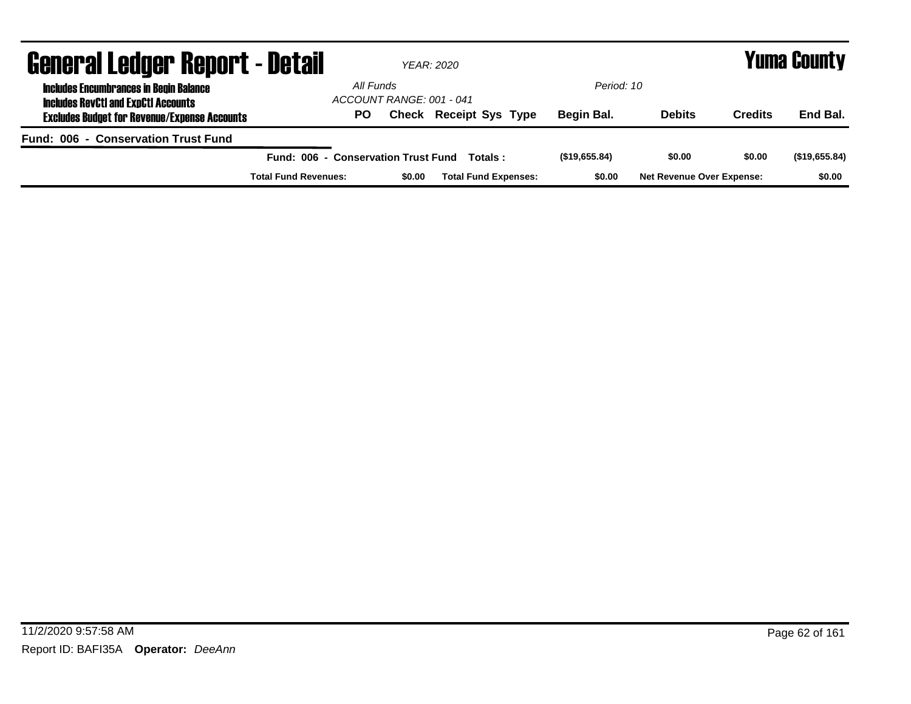| <b>General Ledger Report - Detail</b>                                                       |                                     |                          | <b>YEAR: 2020</b>             |               |                                  |                | <b>Yuma County</b> |  |  |
|---------------------------------------------------------------------------------------------|-------------------------------------|--------------------------|-------------------------------|---------------|----------------------------------|----------------|--------------------|--|--|
| <b>Includes Encumbrances in Begin Balance</b><br><b>Includes RevCtI and ExpCtI Accounts</b> | All Funds                           | ACCOUNT RANGE: 001 - 041 |                               | Period: 10    |                                  |                |                    |  |  |
| <b>Excludes Budget for Revenue/Expense Accounts</b>                                         | PO.                                 |                          | <b>Check Receipt Sys Type</b> | Begin Bal.    | <b>Debits</b>                    | <b>Credits</b> | End Bal.           |  |  |
| Fund: 006 - Conservation Trust Fund                                                         |                                     |                          |                               |               |                                  |                |                    |  |  |
|                                                                                             | Fund: 006 - Conservation Trust Fund |                          | Totals :                      | (\$19,655.84) | \$0.00                           | \$0.00         | (\$19,655.84)      |  |  |
|                                                                                             | <b>Total Fund Revenues:</b>         | \$0.00                   | <b>Total Fund Expenses:</b>   | \$0.00        | <b>Net Revenue Over Expense:</b> |                | \$0.00             |  |  |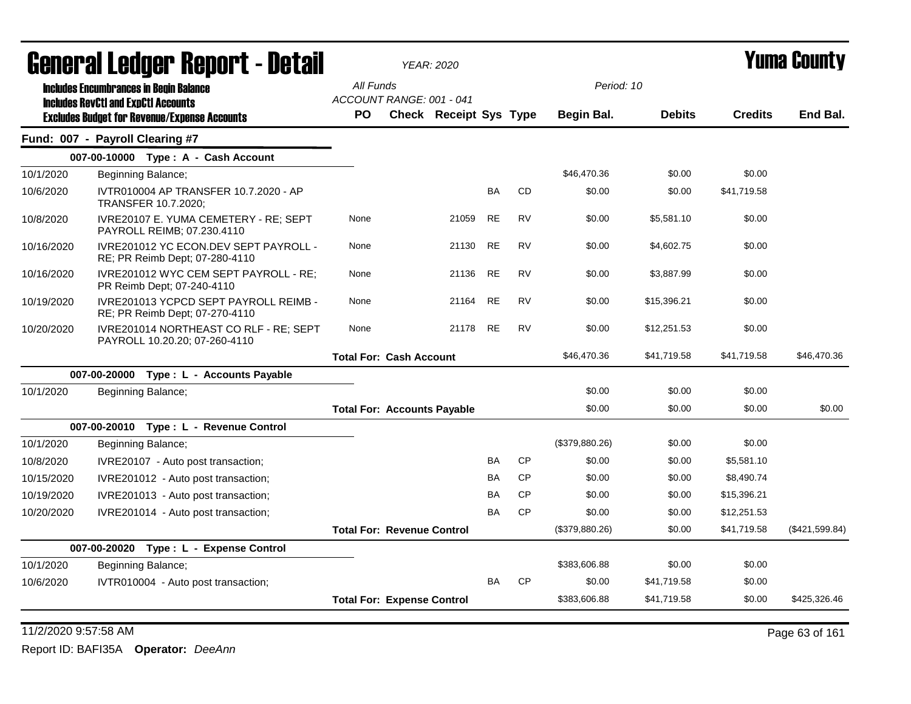| All Funds<br>Period: 10<br><b>Includes Encumbrances in Begin Balance</b><br>ACCOUNT RANGE: 001 - 041<br><b>Includes RevCtI and ExpCtI Accounts</b><br><b>Debits</b><br><b>Credits</b><br>PO.<br><b>Check Receipt Sys Type</b><br>Begin Bal.<br><b>Excludes Budget for Revenue/Expense Accounts</b><br>Fund: 007 - Payroll Clearing #7<br>007-00-10000 Type: A - Cash Account<br>\$46.470.36<br>\$0.00<br>\$0.00<br>10/1/2020<br>Beginning Balance;<br><b>BA</b><br><b>CD</b><br>\$0.00<br>\$0.00<br>\$41.719.58<br>IVTR010004 AP TRANSFER 10.7.2020 - AP<br>10/6/2020<br>TRANSFER 10.7.2020;<br><b>RE</b><br><b>RV</b><br>IVRE20107 E. YUMA CEMETERY - RE; SEPT<br>21059<br>\$0.00<br>\$5,581.10<br>\$0.00<br>10/8/2020<br>None<br>PAYROLL REIMB; 07.230.4110<br>IVRE201012 YC ECON.DEV SEPT PAYROLL -<br><b>RE</b><br><b>RV</b><br>10/16/2020<br>None<br>21130<br>\$0.00<br>\$4,602.75<br>\$0.00<br>RE; PR Reimb Dept; 07-280-4110<br><b>RE</b><br><b>RV</b><br>\$0.00<br>\$3,887.99<br>21136<br>\$0.00<br>IVRE201012 WYC CEM SEPT PAYROLL - RE;<br>None<br>10/16/2020<br>PR Reimb Dept; 07-240-4110<br><b>RE</b><br><b>RV</b><br>IVRE201013 YCPCD SEPT PAYROLL REIMB -<br>None<br>21164<br>\$0.00<br>\$15,396.21<br>\$0.00<br>10/19/2020<br>RE; PR Reimb Dept; 07-270-4110<br>IVRE201014 NORTHEAST CO RLF - RE; SEPT<br><b>RE</b><br><b>RV</b><br>\$0.00<br>\$0.00<br>None<br>21178<br>\$12,251.53<br>10/20/2020<br>PAYROLL 10.20.20; 07-260-4110<br>\$46,470.36<br><b>Total For: Cash Account</b><br>\$41,719.58<br>\$41,719.58<br>007-00-20000 Type: L - Accounts Payable<br>\$0.00<br>\$0.00<br>\$0.00<br>10/1/2020<br>Beginning Balance;<br>\$0.00<br>\$0.00<br>\$0.00<br><b>Total For: Accounts Payable</b><br>007-00-20010 Type: L - Revenue Control<br>10/1/2020<br>(\$379,880.26)<br>\$0.00<br>\$0.00<br>Beginning Balance;<br>CP<br>BA<br>\$0.00<br>\$0.00<br>10/8/2020<br>IVRE20107 - Auto post transaction;<br>\$5,581.10<br><b>CP</b><br>BA<br>\$0.00<br>\$0.00<br>\$8,490.74<br>10/15/2020<br>IVRE201012 - Auto post transaction;<br><b>CP</b><br>BA<br>\$0.00<br>\$0.00<br>\$15,396.21<br>10/19/2020<br>IVRE201013 - Auto post transaction;<br>C <sub>P</sub><br><b>BA</b><br>\$0.00<br>\$0.00<br>\$12,251.53<br>10/20/2020<br>IVRE201014 - Auto post transaction;<br>(\$379,880.26)<br>\$0.00<br>\$41,719.58<br><b>Total For: Revenue Control</b><br>007-00-20020 Type: L - Expense Control<br>\$383,606.88<br>\$0.00<br>\$0.00<br>10/1/2020<br>Beginning Balance;<br><b>CP</b><br>BA<br>\$0.00<br>\$41,719.58<br>\$0.00<br>10/6/2020<br>IVTR010004 - Auto post transaction;<br><b>Total For: Expense Control</b> | General Ledger Report - Detail |  | <b>YEAR: 2020</b> |  |              |             |        | Yuma Countv    |
|------------------------------------------------------------------------------------------------------------------------------------------------------------------------------------------------------------------------------------------------------------------------------------------------------------------------------------------------------------------------------------------------------------------------------------------------------------------------------------------------------------------------------------------------------------------------------------------------------------------------------------------------------------------------------------------------------------------------------------------------------------------------------------------------------------------------------------------------------------------------------------------------------------------------------------------------------------------------------------------------------------------------------------------------------------------------------------------------------------------------------------------------------------------------------------------------------------------------------------------------------------------------------------------------------------------------------------------------------------------------------------------------------------------------------------------------------------------------------------------------------------------------------------------------------------------------------------------------------------------------------------------------------------------------------------------------------------------------------------------------------------------------------------------------------------------------------------------------------------------------------------------------------------------------------------------------------------------------------------------------------------------------------------------------------------------------------------------------------------------------------------------------------------------------------------------------------------------------------------------------------------------------------------------------------------------------------------------------------------------------------------------------------------------------------------------------------------------------------------------------------------------------------------------------------------------------------------------------------------------------------------|--------------------------------|--|-------------------|--|--------------|-------------|--------|----------------|
|                                                                                                                                                                                                                                                                                                                                                                                                                                                                                                                                                                                                                                                                                                                                                                                                                                                                                                                                                                                                                                                                                                                                                                                                                                                                                                                                                                                                                                                                                                                                                                                                                                                                                                                                                                                                                                                                                                                                                                                                                                                                                                                                                                                                                                                                                                                                                                                                                                                                                                                                                                                                                                    |                                |  |                   |  |              |             |        |                |
|                                                                                                                                                                                                                                                                                                                                                                                                                                                                                                                                                                                                                                                                                                                                                                                                                                                                                                                                                                                                                                                                                                                                                                                                                                                                                                                                                                                                                                                                                                                                                                                                                                                                                                                                                                                                                                                                                                                                                                                                                                                                                                                                                                                                                                                                                                                                                                                                                                                                                                                                                                                                                                    |                                |  |                   |  |              |             |        |                |
|                                                                                                                                                                                                                                                                                                                                                                                                                                                                                                                                                                                                                                                                                                                                                                                                                                                                                                                                                                                                                                                                                                                                                                                                                                                                                                                                                                                                                                                                                                                                                                                                                                                                                                                                                                                                                                                                                                                                                                                                                                                                                                                                                                                                                                                                                                                                                                                                                                                                                                                                                                                                                                    |                                |  |                   |  |              |             |        | End Bal.       |
|                                                                                                                                                                                                                                                                                                                                                                                                                                                                                                                                                                                                                                                                                                                                                                                                                                                                                                                                                                                                                                                                                                                                                                                                                                                                                                                                                                                                                                                                                                                                                                                                                                                                                                                                                                                                                                                                                                                                                                                                                                                                                                                                                                                                                                                                                                                                                                                                                                                                                                                                                                                                                                    |                                |  |                   |  |              |             |        |                |
|                                                                                                                                                                                                                                                                                                                                                                                                                                                                                                                                                                                                                                                                                                                                                                                                                                                                                                                                                                                                                                                                                                                                                                                                                                                                                                                                                                                                                                                                                                                                                                                                                                                                                                                                                                                                                                                                                                                                                                                                                                                                                                                                                                                                                                                                                                                                                                                                                                                                                                                                                                                                                                    |                                |  |                   |  |              |             |        |                |
|                                                                                                                                                                                                                                                                                                                                                                                                                                                                                                                                                                                                                                                                                                                                                                                                                                                                                                                                                                                                                                                                                                                                                                                                                                                                                                                                                                                                                                                                                                                                                                                                                                                                                                                                                                                                                                                                                                                                                                                                                                                                                                                                                                                                                                                                                                                                                                                                                                                                                                                                                                                                                                    |                                |  |                   |  |              |             |        |                |
|                                                                                                                                                                                                                                                                                                                                                                                                                                                                                                                                                                                                                                                                                                                                                                                                                                                                                                                                                                                                                                                                                                                                                                                                                                                                                                                                                                                                                                                                                                                                                                                                                                                                                                                                                                                                                                                                                                                                                                                                                                                                                                                                                                                                                                                                                                                                                                                                                                                                                                                                                                                                                                    |                                |  |                   |  |              |             |        |                |
|                                                                                                                                                                                                                                                                                                                                                                                                                                                                                                                                                                                                                                                                                                                                                                                                                                                                                                                                                                                                                                                                                                                                                                                                                                                                                                                                                                                                                                                                                                                                                                                                                                                                                                                                                                                                                                                                                                                                                                                                                                                                                                                                                                                                                                                                                                                                                                                                                                                                                                                                                                                                                                    |                                |  |                   |  |              |             |        |                |
|                                                                                                                                                                                                                                                                                                                                                                                                                                                                                                                                                                                                                                                                                                                                                                                                                                                                                                                                                                                                                                                                                                                                                                                                                                                                                                                                                                                                                                                                                                                                                                                                                                                                                                                                                                                                                                                                                                                                                                                                                                                                                                                                                                                                                                                                                                                                                                                                                                                                                                                                                                                                                                    |                                |  |                   |  |              |             |        |                |
|                                                                                                                                                                                                                                                                                                                                                                                                                                                                                                                                                                                                                                                                                                                                                                                                                                                                                                                                                                                                                                                                                                                                                                                                                                                                                                                                                                                                                                                                                                                                                                                                                                                                                                                                                                                                                                                                                                                                                                                                                                                                                                                                                                                                                                                                                                                                                                                                                                                                                                                                                                                                                                    |                                |  |                   |  |              |             |        |                |
|                                                                                                                                                                                                                                                                                                                                                                                                                                                                                                                                                                                                                                                                                                                                                                                                                                                                                                                                                                                                                                                                                                                                                                                                                                                                                                                                                                                                                                                                                                                                                                                                                                                                                                                                                                                                                                                                                                                                                                                                                                                                                                                                                                                                                                                                                                                                                                                                                                                                                                                                                                                                                                    |                                |  |                   |  |              |             |        |                |
|                                                                                                                                                                                                                                                                                                                                                                                                                                                                                                                                                                                                                                                                                                                                                                                                                                                                                                                                                                                                                                                                                                                                                                                                                                                                                                                                                                                                                                                                                                                                                                                                                                                                                                                                                                                                                                                                                                                                                                                                                                                                                                                                                                                                                                                                                                                                                                                                                                                                                                                                                                                                                                    |                                |  |                   |  |              |             |        |                |
|                                                                                                                                                                                                                                                                                                                                                                                                                                                                                                                                                                                                                                                                                                                                                                                                                                                                                                                                                                                                                                                                                                                                                                                                                                                                                                                                                                                                                                                                                                                                                                                                                                                                                                                                                                                                                                                                                                                                                                                                                                                                                                                                                                                                                                                                                                                                                                                                                                                                                                                                                                                                                                    |                                |  |                   |  |              |             |        | \$46,470.36    |
|                                                                                                                                                                                                                                                                                                                                                                                                                                                                                                                                                                                                                                                                                                                                                                                                                                                                                                                                                                                                                                                                                                                                                                                                                                                                                                                                                                                                                                                                                                                                                                                                                                                                                                                                                                                                                                                                                                                                                                                                                                                                                                                                                                                                                                                                                                                                                                                                                                                                                                                                                                                                                                    |                                |  |                   |  |              |             |        |                |
|                                                                                                                                                                                                                                                                                                                                                                                                                                                                                                                                                                                                                                                                                                                                                                                                                                                                                                                                                                                                                                                                                                                                                                                                                                                                                                                                                                                                                                                                                                                                                                                                                                                                                                                                                                                                                                                                                                                                                                                                                                                                                                                                                                                                                                                                                                                                                                                                                                                                                                                                                                                                                                    |                                |  |                   |  |              |             |        |                |
|                                                                                                                                                                                                                                                                                                                                                                                                                                                                                                                                                                                                                                                                                                                                                                                                                                                                                                                                                                                                                                                                                                                                                                                                                                                                                                                                                                                                                                                                                                                                                                                                                                                                                                                                                                                                                                                                                                                                                                                                                                                                                                                                                                                                                                                                                                                                                                                                                                                                                                                                                                                                                                    |                                |  |                   |  |              |             |        | \$0.00         |
|                                                                                                                                                                                                                                                                                                                                                                                                                                                                                                                                                                                                                                                                                                                                                                                                                                                                                                                                                                                                                                                                                                                                                                                                                                                                                                                                                                                                                                                                                                                                                                                                                                                                                                                                                                                                                                                                                                                                                                                                                                                                                                                                                                                                                                                                                                                                                                                                                                                                                                                                                                                                                                    |                                |  |                   |  |              |             |        |                |
|                                                                                                                                                                                                                                                                                                                                                                                                                                                                                                                                                                                                                                                                                                                                                                                                                                                                                                                                                                                                                                                                                                                                                                                                                                                                                                                                                                                                                                                                                                                                                                                                                                                                                                                                                                                                                                                                                                                                                                                                                                                                                                                                                                                                                                                                                                                                                                                                                                                                                                                                                                                                                                    |                                |  |                   |  |              |             |        |                |
|                                                                                                                                                                                                                                                                                                                                                                                                                                                                                                                                                                                                                                                                                                                                                                                                                                                                                                                                                                                                                                                                                                                                                                                                                                                                                                                                                                                                                                                                                                                                                                                                                                                                                                                                                                                                                                                                                                                                                                                                                                                                                                                                                                                                                                                                                                                                                                                                                                                                                                                                                                                                                                    |                                |  |                   |  |              |             |        |                |
|                                                                                                                                                                                                                                                                                                                                                                                                                                                                                                                                                                                                                                                                                                                                                                                                                                                                                                                                                                                                                                                                                                                                                                                                                                                                                                                                                                                                                                                                                                                                                                                                                                                                                                                                                                                                                                                                                                                                                                                                                                                                                                                                                                                                                                                                                                                                                                                                                                                                                                                                                                                                                                    |                                |  |                   |  |              |             |        |                |
|                                                                                                                                                                                                                                                                                                                                                                                                                                                                                                                                                                                                                                                                                                                                                                                                                                                                                                                                                                                                                                                                                                                                                                                                                                                                                                                                                                                                                                                                                                                                                                                                                                                                                                                                                                                                                                                                                                                                                                                                                                                                                                                                                                                                                                                                                                                                                                                                                                                                                                                                                                                                                                    |                                |  |                   |  |              |             |        |                |
|                                                                                                                                                                                                                                                                                                                                                                                                                                                                                                                                                                                                                                                                                                                                                                                                                                                                                                                                                                                                                                                                                                                                                                                                                                                                                                                                                                                                                                                                                                                                                                                                                                                                                                                                                                                                                                                                                                                                                                                                                                                                                                                                                                                                                                                                                                                                                                                                                                                                                                                                                                                                                                    |                                |  |                   |  |              |             |        |                |
|                                                                                                                                                                                                                                                                                                                                                                                                                                                                                                                                                                                                                                                                                                                                                                                                                                                                                                                                                                                                                                                                                                                                                                                                                                                                                                                                                                                                                                                                                                                                                                                                                                                                                                                                                                                                                                                                                                                                                                                                                                                                                                                                                                                                                                                                                                                                                                                                                                                                                                                                                                                                                                    |                                |  |                   |  |              |             |        | (\$421,599.84) |
|                                                                                                                                                                                                                                                                                                                                                                                                                                                                                                                                                                                                                                                                                                                                                                                                                                                                                                                                                                                                                                                                                                                                                                                                                                                                                                                                                                                                                                                                                                                                                                                                                                                                                                                                                                                                                                                                                                                                                                                                                                                                                                                                                                                                                                                                                                                                                                                                                                                                                                                                                                                                                                    |                                |  |                   |  |              |             |        |                |
|                                                                                                                                                                                                                                                                                                                                                                                                                                                                                                                                                                                                                                                                                                                                                                                                                                                                                                                                                                                                                                                                                                                                                                                                                                                                                                                                                                                                                                                                                                                                                                                                                                                                                                                                                                                                                                                                                                                                                                                                                                                                                                                                                                                                                                                                                                                                                                                                                                                                                                                                                                                                                                    |                                |  |                   |  |              |             |        |                |
|                                                                                                                                                                                                                                                                                                                                                                                                                                                                                                                                                                                                                                                                                                                                                                                                                                                                                                                                                                                                                                                                                                                                                                                                                                                                                                                                                                                                                                                                                                                                                                                                                                                                                                                                                                                                                                                                                                                                                                                                                                                                                                                                                                                                                                                                                                                                                                                                                                                                                                                                                                                                                                    |                                |  |                   |  |              |             |        |                |
|                                                                                                                                                                                                                                                                                                                                                                                                                                                                                                                                                                                                                                                                                                                                                                                                                                                                                                                                                                                                                                                                                                                                                                                                                                                                                                                                                                                                                                                                                                                                                                                                                                                                                                                                                                                                                                                                                                                                                                                                                                                                                                                                                                                                                                                                                                                                                                                                                                                                                                                                                                                                                                    |                                |  |                   |  | \$383,606.88 | \$41,719.58 | \$0.00 | \$425,326.46   |

11/2/2020 9:57:58 AM Page 63 of 161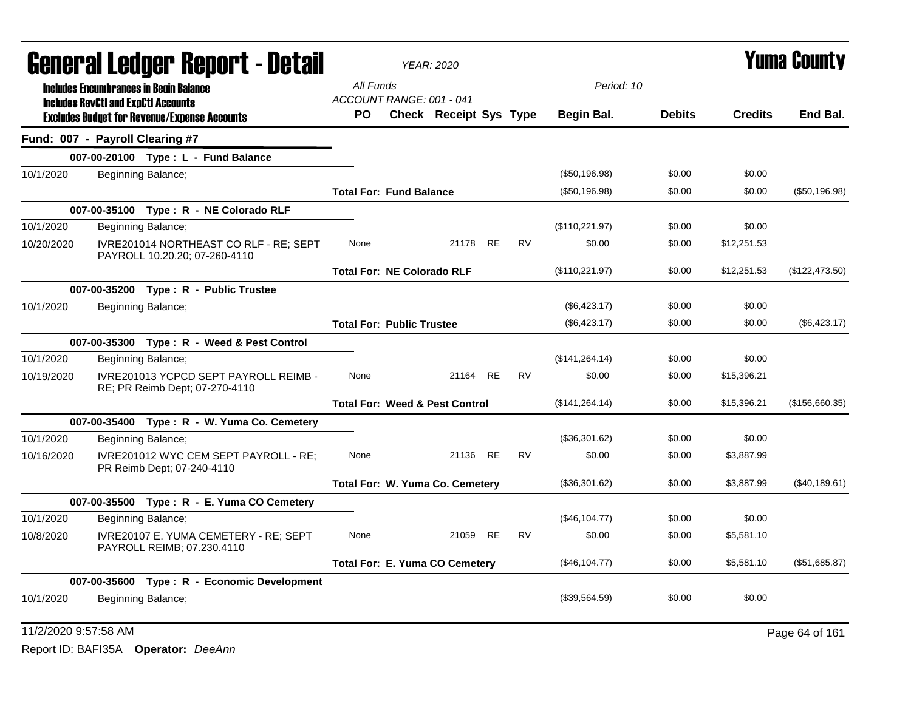| General Ledger Report - Detail |                                                                                                   | <b>YEAR: 2020</b>                 |                                           |           |                 |               | Yuma County    |                |
|--------------------------------|---------------------------------------------------------------------------------------------------|-----------------------------------|-------------------------------------------|-----------|-----------------|---------------|----------------|----------------|
|                                | <b>Includes Encumbrances in Begin Balance</b>                                                     | All Funds                         |                                           |           | Period: 10      |               |                |                |
|                                | <b>Includes RevCtI and ExpCtI Accounts</b><br><b>Excludes Budget for Revenue/Expense Accounts</b> | ACCOUNT RANGE: 001 - 041<br>PO.   | Check Receipt Sys Type                    |           | Begin Bal.      | <b>Debits</b> | <b>Credits</b> | End Bal.       |
|                                | Fund: 007 - Payroll Clearing #7                                                                   |                                   |                                           |           |                 |               |                |                |
|                                | 007-00-20100 Type: L - Fund Balance                                                               |                                   |                                           |           |                 |               |                |                |
| 10/1/2020                      | Beginning Balance;                                                                                |                                   |                                           |           | (\$50,196.98)   | \$0.00        | \$0.00         |                |
|                                |                                                                                                   | <b>Total For: Fund Balance</b>    |                                           |           | (\$50,196.98)   | \$0.00        | \$0.00         | (\$50,196.98)  |
|                                | 007-00-35100 Type: R - NE Colorado RLF                                                            |                                   |                                           |           |                 |               |                |                |
| 10/1/2020                      | Beginning Balance;                                                                                |                                   |                                           |           | (\$110,221.97)  | \$0.00        | \$0.00         |                |
| 10/20/2020                     | IVRE201014 NORTHEAST CO RLF - RE; SEPT<br>PAYROLL 10.20.20; 07-260-4110                           | None                              | 21178 RE                                  | <b>RV</b> | \$0.00          | \$0.00        | \$12,251.53    |                |
|                                |                                                                                                   | <b>Total For: NE Colorado RLF</b> |                                           |           | (\$110,221.97)  | \$0.00        | \$12,251.53    | (\$122,473.50) |
|                                | 007-00-35200 Type: R - Public Trustee                                                             |                                   |                                           |           |                 |               |                |                |
| 10/1/2020                      | Beginning Balance;                                                                                |                                   |                                           |           | (\$6,423.17)    | \$0.00        | \$0.00         |                |
|                                |                                                                                                   | <b>Total For: Public Trustee</b>  |                                           |           | (\$6,423.17)    | \$0.00        | \$0.00         | (\$6,423.17)   |
|                                | 007-00-35300 Type: R - Weed & Pest Control                                                        |                                   |                                           |           |                 |               |                |                |
| 10/1/2020                      | Beginning Balance;                                                                                |                                   |                                           |           | (\$141, 264.14) | \$0.00        | \$0.00         |                |
| 10/19/2020                     | IVRE201013 YCPCD SEPT PAYROLL REIMB -<br>RE; PR Reimb Dept; 07-270-4110                           | None                              | 21164 RE                                  | <b>RV</b> | \$0.00          | \$0.00        | \$15,396.21    |                |
|                                |                                                                                                   |                                   | <b>Total For: Weed &amp; Pest Control</b> |           | (\$141, 264.14) | \$0.00        | \$15,396.21    | (\$156,660.35) |
|                                | 007-00-35400 Type: R - W. Yuma Co. Cemetery                                                       |                                   |                                           |           |                 |               |                |                |
| 10/1/2020                      | Beginning Balance;                                                                                |                                   |                                           |           | (\$36,301.62)   | \$0.00        | \$0.00         |                |
| 10/16/2020                     | IVRE201012 WYC CEM SEPT PAYROLL - RE;<br>PR Reimb Dept; 07-240-4110                               | None                              | 21136 RE                                  | <b>RV</b> | \$0.00          | \$0.00        | \$3,887.99     |                |
|                                |                                                                                                   |                                   | Total For: W. Yuma Co. Cemetery           |           | (\$36,301.62)   | \$0.00        | \$3,887.99     | (\$40, 189.61) |
|                                | 007-00-35500 Type: R - E. Yuma CO Cemetery                                                        |                                   |                                           |           |                 |               |                |                |
| 10/1/2020                      | Beginning Balance;                                                                                |                                   |                                           |           | (\$46,104.77)   | \$0.00        | \$0.00         |                |
| 10/8/2020                      | IVRE20107 E. YUMA CEMETERY - RE; SEPT<br>PAYROLL REIMB; 07.230.4110                               | None                              | 21059 RE                                  | <b>RV</b> | \$0.00          | \$0.00        | \$5,581.10     |                |
|                                |                                                                                                   |                                   | Total For: E. Yuma CO Cemetery            |           | (\$46,104.77)   | \$0.00        | \$5,581.10     | (\$51,685.87)  |
|                                | 007-00-35600 Type: R - Economic Development                                                       |                                   |                                           |           |                 |               |                |                |
| 10/1/2020                      | Beginning Balance;                                                                                |                                   |                                           |           | (\$39,564.59)   | \$0.00        | \$0.00         |                |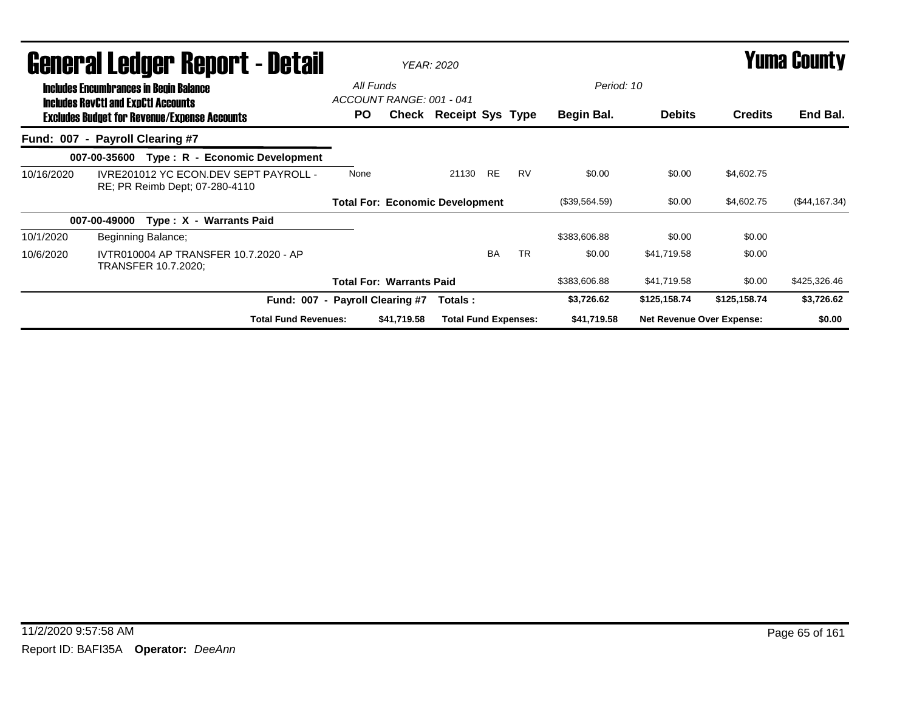|            | <b>General Ledger Report - Detail</b>                                                             |                                        |             | <b>YEAR: 2020</b>           |           |           |               |                                  | Yuma County    |               |
|------------|---------------------------------------------------------------------------------------------------|----------------------------------------|-------------|-----------------------------|-----------|-----------|---------------|----------------------------------|----------------|---------------|
|            | <b>Includes Encumbrances in Begin Balance</b>                                                     | All Funds<br>ACCOUNT RANGE: 001 - 041  |             |                             |           |           | Period: 10    |                                  |                |               |
|            | <b>Includes RevCtI and ExpCtI Accounts</b><br><b>Excludes Budget for Revenue/Expense Accounts</b> | PO.                                    |             | Check Receipt Sys Type      |           |           | Begin Bal.    | <b>Debits</b>                    | <b>Credits</b> | End Bal.      |
|            | Fund: 007 - Payroll Clearing #7                                                                   |                                        |             |                             |           |           |               |                                  |                |               |
|            | Type: R - Economic Development<br>007-00-35600                                                    |                                        |             |                             |           |           |               |                                  |                |               |
| 10/16/2020 | IVRE201012 YC ECON.DEV SEPT PAYROLL -<br>RE; PR Reimb Dept; 07-280-4110                           | None                                   |             | 21130 RE                    |           | <b>RV</b> | \$0.00        | \$0.00                           | \$4,602.75     |               |
|            |                                                                                                   | <b>Total For: Economic Development</b> |             |                             |           |           | (\$39,564.59) | \$0.00                           | \$4,602.75     | (\$44,167.34) |
|            | Type: X - Warrants Paid<br>007-00-49000                                                           |                                        |             |                             |           |           |               |                                  |                |               |
| 10/1/2020  | Beginning Balance;                                                                                |                                        |             |                             |           |           | \$383,606.88  | \$0.00                           | \$0.00         |               |
| 10/6/2020  | IVTR010004 AP TRANSFER 10.7.2020 - AP<br>TRANSFER 10.7.2020;                                      |                                        |             |                             | <b>BA</b> | <b>TR</b> | \$0.00        | \$41,719.58                      | \$0.00         |               |
|            |                                                                                                   | <b>Total For: Warrants Paid</b>        |             |                             |           |           | \$383,606.88  | \$41,719.58                      | \$0.00         | \$425,326.46  |
|            | Fund: 007 - Payroll Clearing #7                                                                   |                                        |             | Totals :                    |           |           | \$3,726.62    | \$125,158.74                     | \$125,158.74   | \$3,726.62    |
|            | <b>Total Fund Revenues:</b>                                                                       |                                        | \$41,719.58 | <b>Total Fund Expenses:</b> |           |           | \$41,719.58   | <b>Net Revenue Over Expense:</b> |                | \$0.00        |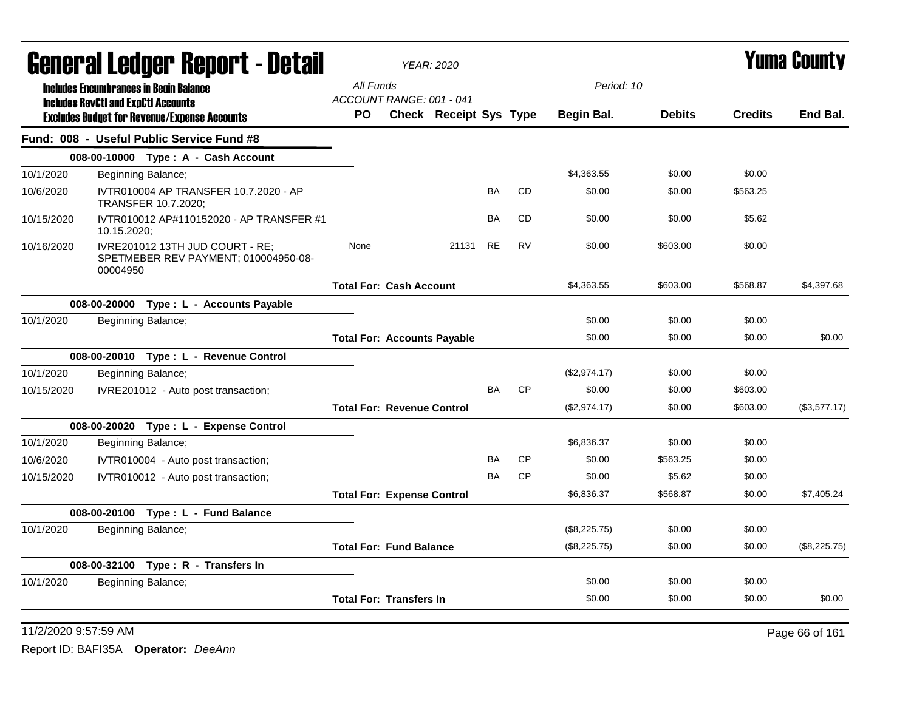| General Ledger Report - Detail |                                                                                                  | <b>YEAR: 2020</b>                        |                                    |                        |           |           |              | <b>Yuma County</b> |                |              |
|--------------------------------|--------------------------------------------------------------------------------------------------|------------------------------------------|------------------------------------|------------------------|-----------|-----------|--------------|--------------------|----------------|--------------|
|                                | <b>Includes Encumbrances in Begin Balance</b>                                                    |                                          | All Funds                          |                        |           |           | Period: 10   |                    |                |              |
|                                | <b>Includes RevCtI and ExpCtI Accounts</b>                                                       |                                          | ACCOUNT RANGE: 001 - 041<br>PO.    | Check Receipt Sys Type |           |           | Begin Bal.   | <b>Debits</b>      | <b>Credits</b> | End Bal.     |
|                                | <b>Excludes Budget for Revenue/Expense Accounts</b><br>Fund: 008 - Useful Public Service Fund #8 |                                          |                                    |                        |           |           |              |                    |                |              |
|                                | 008-00-10000 Type: A - Cash Account                                                              |                                          |                                    |                        |           |           |              |                    |                |              |
| 10/1/2020                      | Beginning Balance;                                                                               |                                          |                                    |                        |           |           | \$4,363.55   | \$0.00             | \$0.00         |              |
|                                |                                                                                                  |                                          |                                    |                        | <b>BA</b> | <b>CD</b> | \$0.00       | \$0.00             | \$563.25       |              |
| 10/6/2020                      | TRANSFER 10.7.2020;                                                                              | IVTR010004 AP TRANSFER 10.7.2020 - AP    |                                    |                        |           |           |              |                    |                |              |
| 10/15/2020                     | 10.15.2020;                                                                                      | IVTR010012 AP#110152020 - AP TRANSFER #1 |                                    |                        | BA        | CD        | \$0.00       | \$0.00             | \$5.62         |              |
| 10/16/2020                     | IVRE201012 13TH JUD COURT - RE;<br>00004950                                                      | SPETMEBER REV PAYMENT; 010004950-08-     | None                               | 21131                  | <b>RE</b> | <b>RV</b> | \$0.00       | \$603.00           | \$0.00         |              |
|                                |                                                                                                  |                                          | <b>Total For: Cash Account</b>     |                        |           |           | \$4,363.55   | \$603.00           | \$568.87       | \$4,397.68   |
|                                | 008-00-20000 Type: L - Accounts Payable                                                          |                                          |                                    |                        |           |           |              |                    |                |              |
| 10/1/2020                      | Beginning Balance;                                                                               |                                          |                                    |                        |           |           | \$0.00       | \$0.00             | \$0.00         |              |
|                                |                                                                                                  |                                          | <b>Total For: Accounts Payable</b> |                        |           |           | \$0.00       | \$0.00             | \$0.00         | \$0.00       |
|                                | 008-00-20010 Type: L - Revenue Control                                                           |                                          |                                    |                        |           |           |              |                    |                |              |
| 10/1/2020                      | Beginning Balance;                                                                               |                                          |                                    |                        |           |           | (\$2,974.17) | \$0.00             | \$0.00         |              |
| 10/15/2020                     | IVRE201012 - Auto post transaction;                                                              |                                          |                                    |                        | <b>BA</b> | <b>CP</b> | \$0.00       | \$0.00             | \$603.00       |              |
|                                |                                                                                                  |                                          | <b>Total For: Revenue Control</b>  |                        |           |           | (\$2,974.17) | \$0.00             | \$603.00       | (\$3,577.17) |
|                                | 008-00-20020 Type: L - Expense Control                                                           |                                          |                                    |                        |           |           |              |                    |                |              |
| 10/1/2020                      | Beginning Balance;                                                                               |                                          |                                    |                        |           |           | \$6,836.37   | \$0.00             | \$0.00         |              |
| 10/6/2020                      | IVTR010004 - Auto post transaction;                                                              |                                          |                                    |                        | BA        | <b>CP</b> | \$0.00       | \$563.25           | \$0.00         |              |
| 10/15/2020                     | IVTR010012 - Auto post transaction;                                                              |                                          |                                    |                        | <b>BA</b> | <b>CP</b> | \$0.00       | \$5.62             | \$0.00         |              |
|                                |                                                                                                  |                                          | <b>Total For: Expense Control</b>  |                        |           |           | \$6,836.37   | \$568.87           | \$0.00         | \$7,405.24   |
|                                | 008-00-20100 Type: L - Fund Balance                                                              |                                          |                                    |                        |           |           |              |                    |                |              |
| 10/1/2020                      | Beginning Balance;                                                                               |                                          |                                    |                        |           |           | (\$8,225.75) | \$0.00             | \$0.00         |              |
|                                |                                                                                                  |                                          | <b>Total For: Fund Balance</b>     |                        |           |           | (\$8,225.75) | \$0.00             | \$0.00         | (\$8,225.75) |
|                                | 008-00-32100 Type: R - Transfers In                                                              |                                          |                                    |                        |           |           |              |                    |                |              |
| 10/1/2020                      | Beginning Balance;                                                                               |                                          |                                    |                        |           |           | \$0.00       | \$0.00             | \$0.00         |              |
|                                |                                                                                                  |                                          | <b>Total For: Transfers In</b>     |                        |           |           | \$0.00       | \$0.00             | \$0.00         | \$0.00       |

11/2/2020 9:57:59 AM Page 66 of 161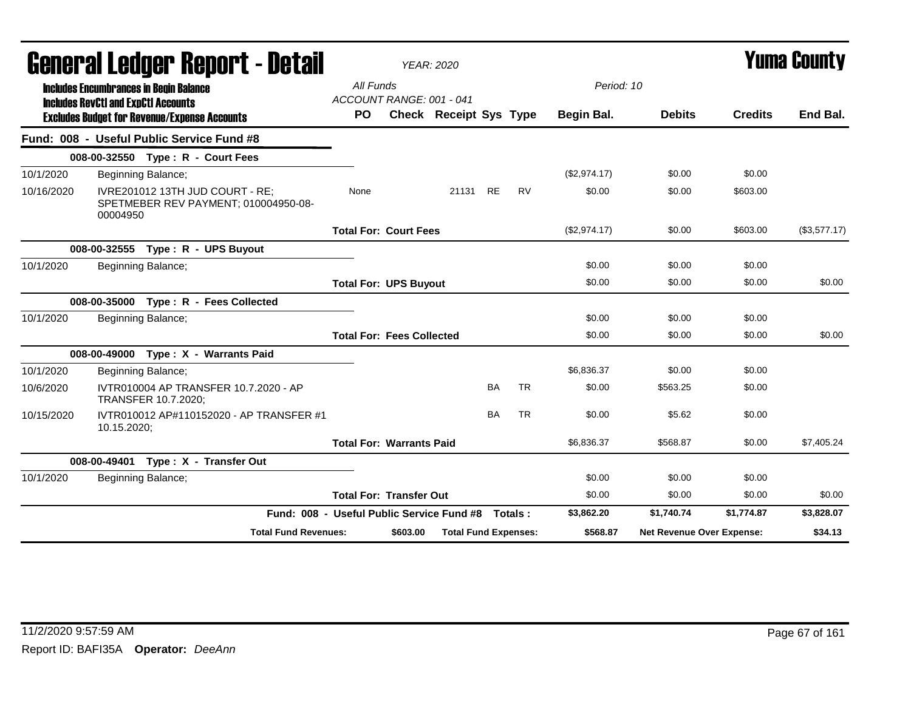|            | General Ledger Report - Detail                                                              |                                                   |           | <b>YEAR: 2020</b>                |                               |           |           |              |                                  | <b>Yuma County</b> |              |
|------------|---------------------------------------------------------------------------------------------|---------------------------------------------------|-----------|----------------------------------|-------------------------------|-----------|-----------|--------------|----------------------------------|--------------------|--------------|
|            | <b>Includes Encumbrances in Begin Balance</b><br><b>Includes RevCtI and ExpCtI Accounts</b> |                                                   | All Funds | ACCOUNT RANGE: 001 - 041         |                               |           |           | Period: 10   |                                  |                    |              |
|            | <b>Excludes Budget for Revenue/Expense Accounts</b>                                         |                                                   | <b>PO</b> |                                  | <b>Check Receipt Sys Type</b> |           |           | Begin Bal.   | <b>Debits</b>                    | <b>Credits</b>     | End Bal.     |
|            | Fund: 008 - Useful Public Service Fund #8                                                   |                                                   |           |                                  |                               |           |           |              |                                  |                    |              |
|            | 008-00-32550 Type: R - Court Fees                                                           |                                                   |           |                                  |                               |           |           |              |                                  |                    |              |
| 10/1/2020  | Beginning Balance;                                                                          |                                                   |           |                                  |                               |           |           | (\$2,974.17) | \$0.00                           | \$0.00             |              |
| 10/16/2020 | IVRE201012 13TH JUD COURT - RE;<br>SPETMEBER REV PAYMENT; 010004950-08-<br>00004950         |                                                   | None      |                                  | 21131 RE                      |           | <b>RV</b> | \$0.00       | \$0.00                           | \$603.00           |              |
|            |                                                                                             |                                                   |           | <b>Total For: Court Fees</b>     |                               |           |           | (\$2,974.17) | \$0.00                           | \$603.00           | (\$3,577.17) |
|            | 008-00-32555 Type: R - UPS Buyout                                                           |                                                   |           |                                  |                               |           |           |              |                                  |                    |              |
| 10/1/2020  | Beginning Balance;                                                                          |                                                   |           |                                  |                               |           |           | \$0.00       | \$0.00                           | \$0.00             |              |
|            |                                                                                             |                                                   |           | <b>Total For: UPS Buyout</b>     |                               |           |           | \$0.00       | \$0.00                           | \$0.00             | \$0.00       |
|            | 008-00-35000<br>Type: R - Fees Collected                                                    |                                                   |           |                                  |                               |           |           |              |                                  |                    |              |
| 10/1/2020  | Beginning Balance;                                                                          |                                                   |           |                                  |                               |           |           | \$0.00       | \$0.00                           | \$0.00             |              |
|            |                                                                                             |                                                   |           | <b>Total For: Fees Collected</b> |                               |           |           | \$0.00       | \$0.00                           | \$0.00             | \$0.00       |
|            | 008-00-49000 Type: X - Warrants Paid                                                        |                                                   |           |                                  |                               |           |           |              |                                  |                    |              |
| 10/1/2020  | Beginning Balance;                                                                          |                                                   |           |                                  |                               |           |           | \$6,836.37   | \$0.00                           | \$0.00             |              |
| 10/6/2020  | IVTR010004 AP TRANSFER 10.7.2020 - AP<br>TRANSFER 10.7.2020;                                |                                                   |           |                                  |                               | <b>BA</b> | <b>TR</b> | \$0.00       | \$563.25                         | \$0.00             |              |
| 10/15/2020 | IVTR010012 AP#110152020 - AP TRANSFER #1<br>10.15.2020;                                     |                                                   |           |                                  |                               | <b>BA</b> | <b>TR</b> | \$0.00       | \$5.62                           | \$0.00             |              |
|            |                                                                                             |                                                   |           | <b>Total For: Warrants Paid</b>  |                               |           |           | \$6,836.37   | \$568.87                         | \$0.00             | \$7,405.24   |
|            | 008-00-49401<br>Type: X - Transfer Out                                                      |                                                   |           |                                  |                               |           |           |              |                                  |                    |              |
| 10/1/2020  | Beginning Balance;                                                                          |                                                   |           |                                  |                               |           |           | \$0.00       | \$0.00                           | \$0.00             |              |
|            |                                                                                             |                                                   |           | <b>Total For: Transfer Out</b>   |                               |           |           | \$0.00       | \$0.00                           | \$0.00             | \$0.00       |
|            |                                                                                             | Fund: 008 - Useful Public Service Fund #8 Totals: |           |                                  |                               |           |           | \$3,862.20   | \$1,740.74                       | \$1,774.87         | \$3,828.07   |
|            |                                                                                             | <b>Total Fund Revenues:</b>                       |           | \$603.00                         | <b>Total Fund Expenses:</b>   |           |           | \$568.87     | <b>Net Revenue Over Expense:</b> |                    | \$34.13      |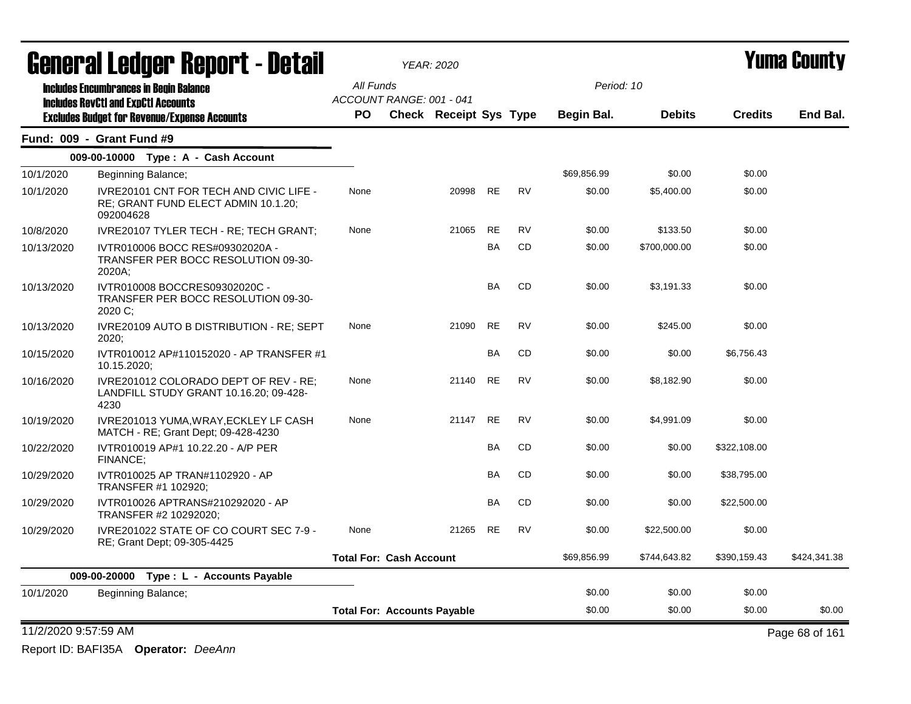|                      | General Ledger Report - Detail                                                                     |           | YEAR: 2020                         |       |           |           |             |               |                | <b>Yuma County</b> |
|----------------------|----------------------------------------------------------------------------------------------------|-----------|------------------------------------|-------|-----------|-----------|-------------|---------------|----------------|--------------------|
|                      | <b>Includes Encumbrances in Begin Balance</b>                                                      | All Funds |                                    |       |           |           | Period: 10  |               |                |                    |
|                      | <b>Includes RevCtI and ExpCtI Accounts</b>                                                         |           | ACCOUNT RANGE: 001 - 041           |       |           |           |             |               |                |                    |
|                      | <b>Excludes Budget for Revenue/Expense Accounts</b>                                                | PO.       | <b>Check Receipt Sys Type</b>      |       |           |           | Begin Bal.  | <b>Debits</b> | <b>Credits</b> | End Bal.           |
|                      | Fund: 009 - Grant Fund #9                                                                          |           |                                    |       |           |           |             |               |                |                    |
|                      | 009-00-10000 Type: A - Cash Account                                                                |           |                                    |       |           |           |             |               |                |                    |
| 10/1/2020            | Beginning Balance;                                                                                 |           |                                    |       |           |           | \$69,856.99 | \$0.00        | \$0.00         |                    |
| 10/1/2020            | <b>IVRE20101 CNT FOR TECH AND CIVIC LIFE -</b><br>RE; GRANT FUND ELECT ADMIN 10.1.20;<br>092004628 | None      |                                    | 20998 | <b>RE</b> | <b>RV</b> | \$0.00      | \$5,400.00    | \$0.00         |                    |
| 10/8/2020            | IVRE20107 TYLER TECH - RE; TECH GRANT;                                                             | None      |                                    | 21065 | <b>RE</b> | <b>RV</b> | \$0.00      | \$133.50      | \$0.00         |                    |
| 10/13/2020           | IVTR010006 BOCC RES#09302020A -<br>TRANSFER PER BOCC RESOLUTION 09-30-<br>2020A:                   |           |                                    |       | BA        | <b>CD</b> | \$0.00      | \$700,000.00  | \$0.00         |                    |
| 10/13/2020           | IVTR010008 BOCCRES09302020C -<br>TRANSFER PER BOCC RESOLUTION 09-30-<br>2020 C:                    |           |                                    |       | <b>BA</b> | CD        | \$0.00      | \$3,191.33    | \$0.00         |                    |
| 10/13/2020           | IVRE20109 AUTO B DISTRIBUTION - RE; SEPT<br>2020;                                                  | None      |                                    | 21090 | <b>RE</b> | <b>RV</b> | \$0.00      | \$245.00      | \$0.00         |                    |
| 10/15/2020           | IVTR010012 AP#110152020 - AP TRANSFER #1<br>10.15.2020;                                            |           |                                    |       | <b>BA</b> | <b>CD</b> | \$0.00      | \$0.00        | \$6,756.43     |                    |
| 10/16/2020           | IVRE201012 COLORADO DEPT OF REV - RE;<br>LANDFILL STUDY GRANT 10.16.20; 09-428-<br>4230            | None      |                                    | 21140 | <b>RE</b> | <b>RV</b> | \$0.00      | \$8,182.90    | \$0.00         |                    |
| 10/19/2020           | IVRE201013 YUMA, WRAY, ECKLEY LF CASH<br>MATCH - RE; Grant Dept; 09-428-4230                       | None      |                                    | 21147 | <b>RE</b> | <b>RV</b> | \$0.00      | \$4,991.09    | \$0.00         |                    |
| 10/22/2020           | IVTR010019 AP#1 10.22.20 - A/P PER<br>FINANCE:                                                     |           |                                    |       | <b>BA</b> | <b>CD</b> | \$0.00      | \$0.00        | \$322,108.00   |                    |
| 10/29/2020           | IVTR010025 AP TRAN#1102920 - AP<br>TRANSFER #1 102920;                                             |           |                                    |       | BA        | CD        | \$0.00      | \$0.00        | \$38,795.00    |                    |
| 10/29/2020           | IVTR010026 APTRANS#210292020 - AP<br>TRANSFER #2 10292020;                                         |           |                                    |       | <b>BA</b> | <b>CD</b> | \$0.00      | \$0.00        | \$22,500.00    |                    |
| 10/29/2020           | IVRE201022 STATE OF CO COURT SEC 7-9 -<br>RE; Grant Dept; 09-305-4425                              | None      |                                    | 21265 | <b>RE</b> | <b>RV</b> | \$0.00      | \$22,500.00   | \$0.00         |                    |
|                      |                                                                                                    |           | <b>Total For: Cash Account</b>     |       |           |           | \$69.856.99 | \$744,643.82  | \$390,159.43   | \$424,341.38       |
|                      | 009-00-20000 Type: L - Accounts Payable                                                            |           |                                    |       |           |           |             |               |                |                    |
| 10/1/2020            | Beginning Balance;                                                                                 |           |                                    |       |           |           | \$0.00      | \$0.00        | \$0.00         |                    |
|                      |                                                                                                    |           | <b>Total For: Accounts Payable</b> |       |           |           | \$0.00      | \$0.00        | \$0.00         | \$0.00             |
| 11/2/2020 9:57:59 AM |                                                                                                    |           |                                    |       |           |           |             |               |                | Page 68 of 161     |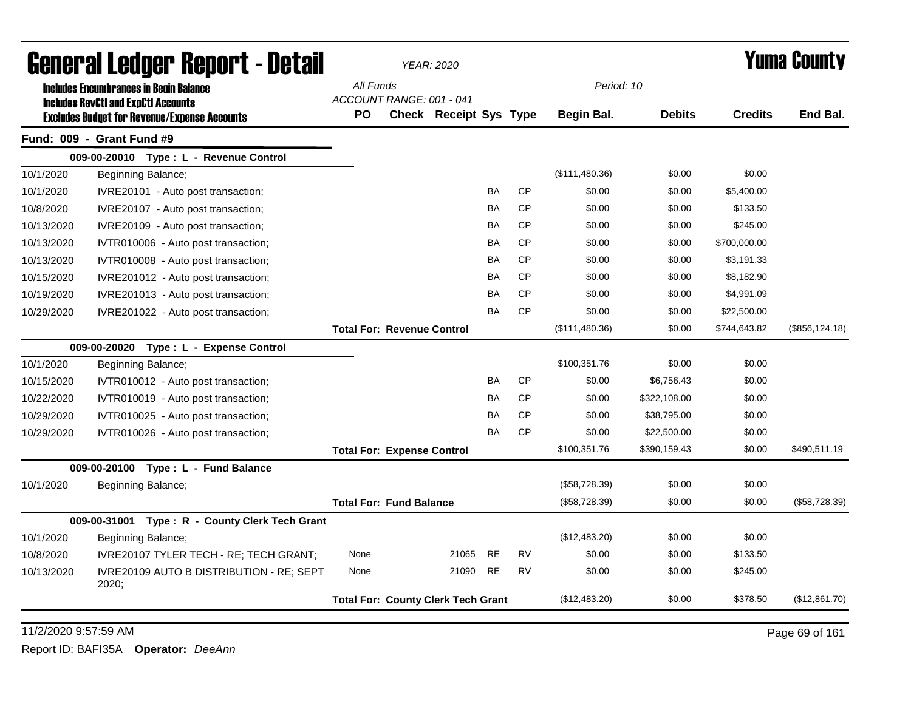| <b>Includes Encumbrances in Begin Balance</b><br><b>Includes RevCtI and ExpCtI Accounts</b><br><b>Excludes Budget for Revenue/Expense Accounts</b><br>Fund: 009 - Grant Fund #9<br>009-00-20010 Type: L - Revenue Control<br>10/1/2020<br>Beginning Balance;<br>10/1/2020<br>IVRE20101 - Auto post transaction;<br>10/8/2020<br>IVRE20107 - Auto post transaction;<br>10/13/2020<br>IVRE20109 - Auto post transaction;<br>10/13/2020<br>IVTR010006 - Auto post transaction;<br>10/13/2020<br>IVTR010008 - Auto post transaction; | General Ledger Report - Detail |                                           | <b>YEAR: 2020</b>      |           |           |                |               |                | Yuma Countv     |
|----------------------------------------------------------------------------------------------------------------------------------------------------------------------------------------------------------------------------------------------------------------------------------------------------------------------------------------------------------------------------------------------------------------------------------------------------------------------------------------------------------------------------------|--------------------------------|-------------------------------------------|------------------------|-----------|-----------|----------------|---------------|----------------|-----------------|
|                                                                                                                                                                                                                                                                                                                                                                                                                                                                                                                                  |                                | All Funds                                 |                        |           |           | Period: 10     |               |                |                 |
|                                                                                                                                                                                                                                                                                                                                                                                                                                                                                                                                  |                                | ACCOUNT RANGE: 001 - 041                  |                        |           |           |                |               |                |                 |
|                                                                                                                                                                                                                                                                                                                                                                                                                                                                                                                                  | <b>PO</b>                      |                                           | Check Receipt Sys Type |           |           | Begin Bal.     | <b>Debits</b> | <b>Credits</b> | End Bal.        |
|                                                                                                                                                                                                                                                                                                                                                                                                                                                                                                                                  |                                |                                           |                        |           |           |                |               |                |                 |
|                                                                                                                                                                                                                                                                                                                                                                                                                                                                                                                                  |                                |                                           |                        |           |           |                |               |                |                 |
|                                                                                                                                                                                                                                                                                                                                                                                                                                                                                                                                  |                                |                                           |                        |           |           | (\$111,480.36) | \$0.00        | \$0.00         |                 |
|                                                                                                                                                                                                                                                                                                                                                                                                                                                                                                                                  |                                |                                           |                        | BA        | CP        | \$0.00         | \$0.00        | \$5,400.00     |                 |
|                                                                                                                                                                                                                                                                                                                                                                                                                                                                                                                                  |                                |                                           |                        | BA        | <b>CP</b> | \$0.00         | \$0.00        | \$133.50       |                 |
|                                                                                                                                                                                                                                                                                                                                                                                                                                                                                                                                  |                                |                                           |                        | BA        | CP        | \$0.00         | \$0.00        | \$245.00       |                 |
|                                                                                                                                                                                                                                                                                                                                                                                                                                                                                                                                  |                                |                                           |                        | <b>BA</b> | <b>CP</b> | \$0.00         | \$0.00        | \$700,000.00   |                 |
|                                                                                                                                                                                                                                                                                                                                                                                                                                                                                                                                  |                                |                                           |                        | BA        | <b>CP</b> | \$0.00         | \$0.00        | \$3,191.33     |                 |
| 10/15/2020<br>IVRE201012 - Auto post transaction;                                                                                                                                                                                                                                                                                                                                                                                                                                                                                |                                |                                           |                        | BA        | <b>CP</b> | \$0.00         | \$0.00        | \$8,182.90     |                 |
| 10/19/2020<br>IVRE201013 - Auto post transaction;                                                                                                                                                                                                                                                                                                                                                                                                                                                                                |                                |                                           |                        | BA        | CP        | \$0.00         | \$0.00        | \$4,991.09     |                 |
| 10/29/2020<br>IVRE201022 - Auto post transaction;                                                                                                                                                                                                                                                                                                                                                                                                                                                                                |                                |                                           |                        | BA        | <b>CP</b> | \$0.00         | \$0.00        | \$22,500.00    |                 |
|                                                                                                                                                                                                                                                                                                                                                                                                                                                                                                                                  |                                | <b>Total For: Revenue Control</b>         |                        |           |           | (\$111,480.36) | \$0.00        | \$744,643.82   | (\$856, 124.18) |
| 009-00-20020 Type: L - Expense Control                                                                                                                                                                                                                                                                                                                                                                                                                                                                                           |                                |                                           |                        |           |           |                |               |                |                 |
| 10/1/2020<br>Beginning Balance;                                                                                                                                                                                                                                                                                                                                                                                                                                                                                                  |                                |                                           |                        |           |           | \$100,351.76   | \$0.00        | \$0.00         |                 |
| 10/15/2020<br>IVTR010012 - Auto post transaction;                                                                                                                                                                                                                                                                                                                                                                                                                                                                                |                                |                                           |                        | <b>BA</b> | <b>CP</b> | \$0.00         | \$6,756.43    | \$0.00         |                 |
| 10/22/2020<br>IVTR010019 - Auto post transaction;                                                                                                                                                                                                                                                                                                                                                                                                                                                                                |                                |                                           |                        | BA        | <b>CP</b> | \$0.00         | \$322,108.00  | \$0.00         |                 |
| 10/29/2020<br>IVTR010025 - Auto post transaction;                                                                                                                                                                                                                                                                                                                                                                                                                                                                                |                                |                                           |                        | BA        | CP        | \$0.00         | \$38,795.00   | \$0.00         |                 |
| 10/29/2020<br>IVTR010026 - Auto post transaction;                                                                                                                                                                                                                                                                                                                                                                                                                                                                                |                                |                                           |                        | BA        | <b>CP</b> | \$0.00         | \$22,500.00   | \$0.00         |                 |
|                                                                                                                                                                                                                                                                                                                                                                                                                                                                                                                                  |                                | <b>Total For: Expense Control</b>         |                        |           |           | \$100,351.76   | \$390,159.43  | \$0.00         | \$490,511.19    |
| 009-00-20100 Type: L - Fund Balance                                                                                                                                                                                                                                                                                                                                                                                                                                                                                              |                                |                                           |                        |           |           |                |               |                |                 |
| 10/1/2020<br>Beginning Balance;                                                                                                                                                                                                                                                                                                                                                                                                                                                                                                  |                                |                                           |                        |           |           | (\$58,728.39)  | \$0.00        | \$0.00         |                 |
|                                                                                                                                                                                                                                                                                                                                                                                                                                                                                                                                  |                                | <b>Total For: Fund Balance</b>            |                        |           |           | (\$58,728.39)  | \$0.00        | \$0.00         | (\$58,728.39)   |
| 009-00-31001<br>Type: R - County Clerk Tech Grant                                                                                                                                                                                                                                                                                                                                                                                                                                                                                |                                |                                           |                        |           |           |                |               |                |                 |
| 10/1/2020<br>Beginning Balance;                                                                                                                                                                                                                                                                                                                                                                                                                                                                                                  |                                |                                           |                        |           |           | (\$12,483.20)  | \$0.00        | \$0.00         |                 |
| 10/8/2020<br>IVRE20107 TYLER TECH - RE; TECH GRANT;                                                                                                                                                                                                                                                                                                                                                                                                                                                                              | None                           |                                           | 21065                  | <b>RE</b> | <b>RV</b> | \$0.00         | \$0.00        | \$133.50       |                 |
| IVRE20109 AUTO B DISTRIBUTION - RE; SEPT<br>10/13/2020<br>2020;                                                                                                                                                                                                                                                                                                                                                                                                                                                                  | None                           |                                           | 21090                  | <b>RE</b> | <b>RV</b> | \$0.00         | \$0.00        | \$245.00       |                 |
|                                                                                                                                                                                                                                                                                                                                                                                                                                                                                                                                  |                                | <b>Total For: County Clerk Tech Grant</b> |                        |           |           | (\$12,483.20)  | \$0.00        | \$378.50       |                 |

11/2/2020 9:57:59 AM Page 69 of 161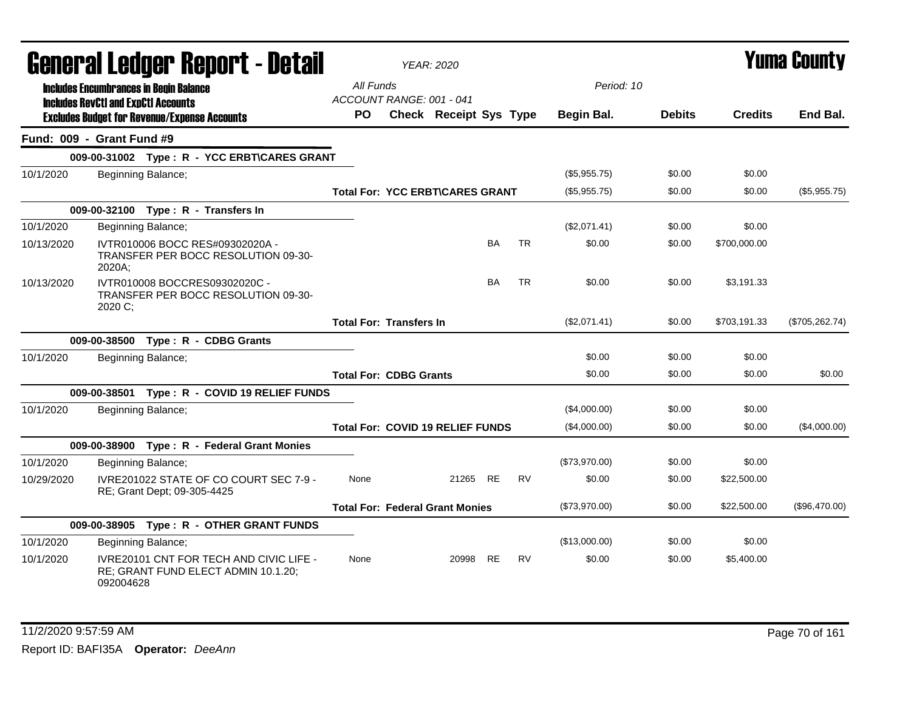| <b>General Ledger Report - Detail</b> |                                                                                                    |                                         | <b>YEAR: 2020</b>             |           |           |               |               |                | Yuma County    |
|---------------------------------------|----------------------------------------------------------------------------------------------------|-----------------------------------------|-------------------------------|-----------|-----------|---------------|---------------|----------------|----------------|
|                                       | <b>Includes Encumbrances in Begin Balance</b><br><b>Includes RevCtI and ExpCtI Accounts</b>        | All Funds<br>ACCOUNT RANGE: 001 - 041   |                               |           |           | Period: 10    |               |                |                |
|                                       | <b>Excludes Budget for Revenue/Expense Accounts</b>                                                | <b>PO</b>                               | <b>Check Receipt Sys Type</b> |           |           | Begin Bal.    | <b>Debits</b> | <b>Credits</b> | End Bal.       |
|                                       | Fund: 009 - Grant Fund #9                                                                          |                                         |                               |           |           |               |               |                |                |
|                                       | 009-00-31002 Type: R - YCC ERBT\CARES GRANT                                                        |                                         |                               |           |           |               |               |                |                |
| 10/1/2020                             | Beginning Balance;                                                                                 |                                         |                               |           |           | (\$5,955.75)  | \$0.00        | \$0.00         |                |
|                                       |                                                                                                    | <b>Total For: YCC ERBT\CARES GRANT</b>  |                               |           |           | (\$5,955.75)  | \$0.00        | \$0.00         | (\$5,955.75)   |
|                                       | 009-00-32100 Type: R - Transfers In                                                                |                                         |                               |           |           |               |               |                |                |
| 10/1/2020                             | Beginning Balance;                                                                                 |                                         |                               |           |           | (\$2,071.41)  | \$0.00        | \$0.00         |                |
| 10/13/2020                            | IVTR010006 BOCC RES#09302020A -<br>TRANSFER PER BOCC RESOLUTION 09-30-<br>2020A;                   |                                         |                               | <b>BA</b> | <b>TR</b> | \$0.00        | \$0.00        | \$700,000.00   |                |
| 10/13/2020                            | IVTR010008 BOCCRES09302020C -<br>TRANSFER PER BOCC RESOLUTION 09-30-<br>2020 C;                    |                                         |                               | <b>BA</b> | <b>TR</b> | \$0.00        | \$0.00        | \$3.191.33     |                |
|                                       |                                                                                                    | <b>Total For: Transfers In</b>          |                               |           |           | (\$2,071.41)  | \$0.00        | \$703,191.33   | (\$705,262.74) |
|                                       | 009-00-38500 Type: R - CDBG Grants                                                                 |                                         |                               |           |           |               |               |                |                |
| 10/1/2020                             | Beginning Balance;                                                                                 |                                         |                               |           |           | \$0.00        | \$0.00        | \$0.00         |                |
|                                       |                                                                                                    | <b>Total For: CDBG Grants</b>           |                               |           |           | \$0.00        | \$0.00        | \$0.00         | \$0.00         |
|                                       | 009-00-38501 Type: R - COVID 19 RELIEF FUNDS                                                       |                                         |                               |           |           |               |               |                |                |
| 10/1/2020                             | Beginning Balance;                                                                                 |                                         |                               |           |           | (\$4,000.00)  | \$0.00        | \$0.00         |                |
|                                       |                                                                                                    | <b>Total For: COVID 19 RELIEF FUNDS</b> |                               |           |           | (\$4,000.00)  | \$0.00        | \$0.00         | (\$4,000.00)   |
|                                       | 009-00-38900 Type: R - Federal Grant Monies                                                        |                                         |                               |           |           |               |               |                |                |
| 10/1/2020                             | Beginning Balance;                                                                                 |                                         |                               |           |           | (\$73,970.00) | \$0.00        | \$0.00         |                |
| 10/29/2020                            | IVRE201022 STATE OF CO COURT SEC 7-9 -<br>RE; Grant Dept; 09-305-4425                              | None                                    | 21265 RE                      |           | <b>RV</b> | \$0.00        | \$0.00        | \$22,500.00    |                |
|                                       |                                                                                                    | <b>Total For: Federal Grant Monies</b>  |                               |           |           | (\$73,970.00) | \$0.00        | \$22,500.00    | (\$96,470.00)  |
|                                       | 009-00-38905 Type: R - OTHER GRANT FUNDS                                                           |                                         |                               |           |           |               |               |                |                |
| 10/1/2020                             | Beginning Balance;                                                                                 |                                         |                               |           |           | (\$13,000.00) | \$0.00        | \$0.00         |                |
| 10/1/2020                             | <b>IVRE20101 CNT FOR TECH AND CIVIC LIFE -</b><br>RE; GRANT FUND ELECT ADMIN 10.1.20;<br>092004628 | None                                    | 20998                         | <b>RE</b> | <b>RV</b> | \$0.00        | \$0.00        | \$5,400.00     |                |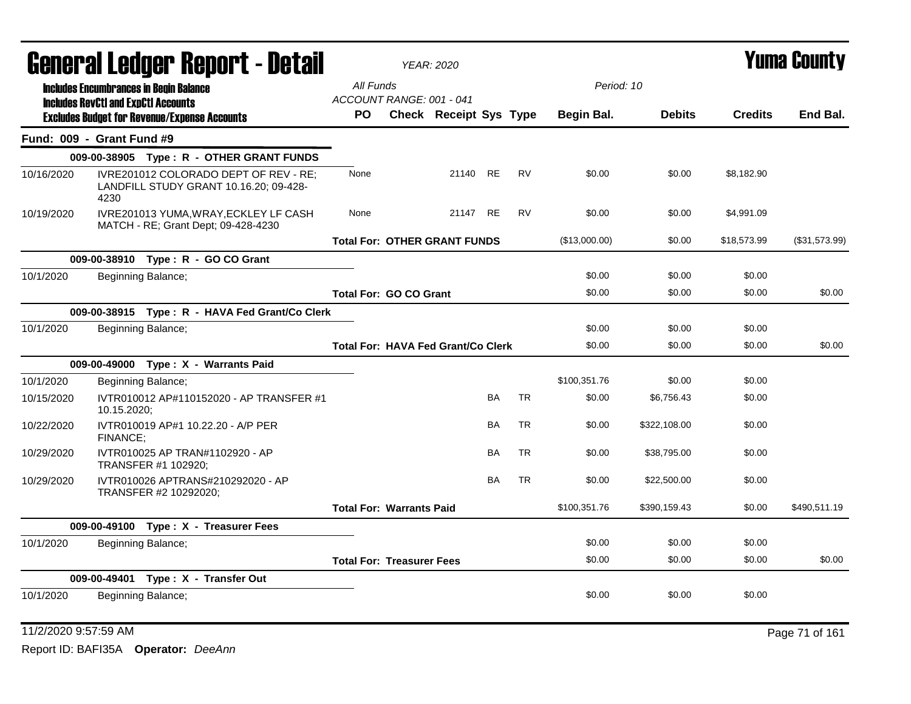|            | General Ledger Report - Detail                                                                    |                                           |  | <b>YEAR: 2020</b>      |           |           |               | Yuma Countv   |                |               |  |
|------------|---------------------------------------------------------------------------------------------------|-------------------------------------------|--|------------------------|-----------|-----------|---------------|---------------|----------------|---------------|--|
|            | <b>Includes Encumbrances in Begin Balance</b>                                                     | All Funds                                 |  |                        |           |           | Period: 10    |               |                |               |  |
|            | <b>Includes RevCtI and ExpCtI Accounts</b><br><b>Excludes Budget for Revenue/Expense Accounts</b> | ACCOUNT RANGE: 001 - 041<br>PO.           |  | Check Receipt Sys Type |           |           | Begin Bal.    | <b>Debits</b> | <b>Credits</b> | End Bal.      |  |
|            | Fund: 009 - Grant Fund #9                                                                         |                                           |  |                        |           |           |               |               |                |               |  |
|            | 009-00-38905 Type: R - OTHER GRANT FUNDS                                                          |                                           |  |                        |           |           |               |               |                |               |  |
| 10/16/2020 | IVRE201012 COLORADO DEPT OF REV - RE;<br>LANDFILL STUDY GRANT 10.16.20; 09-428-<br>4230           | None                                      |  | 21140 RE               |           | <b>RV</b> | \$0.00        | \$0.00        | \$8,182.90     |               |  |
| 10/19/2020 | IVRE201013 YUMA, WRAY, ECKLEY LF CASH<br>MATCH - RE; Grant Dept; 09-428-4230                      | None                                      |  | 21147 RE               |           | <b>RV</b> | \$0.00        | \$0.00        | \$4,991.09     |               |  |
|            |                                                                                                   | <b>Total For: OTHER GRANT FUNDS</b>       |  |                        |           |           | (\$13,000.00) | \$0.00        | \$18,573.99    | (\$31,573.99) |  |
|            | 009-00-38910 Type: R - GO CO Grant                                                                |                                           |  |                        |           |           |               |               |                |               |  |
| 10/1/2020  | Beginning Balance;                                                                                |                                           |  |                        |           |           | \$0.00        | \$0.00        | \$0.00         |               |  |
|            |                                                                                                   | <b>Total For: GO CO Grant</b>             |  |                        |           |           | \$0.00        | \$0.00        | \$0.00         | \$0.00        |  |
|            | 009-00-38915 Type: R - HAVA Fed Grant/Co Clerk                                                    |                                           |  |                        |           |           |               |               |                |               |  |
| 10/1/2020  | Beginning Balance;                                                                                |                                           |  |                        |           |           | \$0.00        | \$0.00        | \$0.00         |               |  |
|            |                                                                                                   | <b>Total For: HAVA Fed Grant/Co Clerk</b> |  |                        |           |           | \$0.00        | \$0.00        | \$0.00         | \$0.00        |  |
|            | 009-00-49000 Type: X - Warrants Paid                                                              |                                           |  |                        |           |           |               |               |                |               |  |
| 10/1/2020  | Beginning Balance;                                                                                |                                           |  |                        |           |           | \$100,351.76  | \$0.00        | \$0.00         |               |  |
| 10/15/2020 | IVTR010012 AP#110152020 - AP TRANSFER #1<br>10.15.2020;                                           |                                           |  |                        | BA        | <b>TR</b> | \$0.00        | \$6,756.43    | \$0.00         |               |  |
| 10/22/2020 | IVTR010019 AP#1 10.22.20 - A/P PER<br>FINANCE;                                                    |                                           |  |                        | <b>BA</b> | <b>TR</b> | \$0.00        | \$322,108.00  | \$0.00         |               |  |
| 10/29/2020 | IVTR010025 AP TRAN#1102920 - AP<br>TRANSFER #1 102920;                                            |                                           |  |                        | <b>BA</b> | <b>TR</b> | \$0.00        | \$38,795.00   | \$0.00         |               |  |
| 10/29/2020 | IVTR010026 APTRANS#210292020 - AP<br>TRANSFER #2 10292020;                                        |                                           |  |                        | BA        | <b>TR</b> | \$0.00        | \$22,500.00   | \$0.00         |               |  |
|            |                                                                                                   | <b>Total For: Warrants Paid</b>           |  |                        |           |           | \$100,351.76  | \$390,159.43  | \$0.00         | \$490,511.19  |  |
|            | 009-00-49100 Type: X - Treasurer Fees                                                             |                                           |  |                        |           |           |               |               |                |               |  |
| 10/1/2020  | Beginning Balance;                                                                                |                                           |  |                        |           |           | \$0.00        | \$0.00        | \$0.00         |               |  |
|            |                                                                                                   | <b>Total For: Treasurer Fees</b>          |  |                        |           |           | \$0.00        | \$0.00        | \$0.00         | \$0.00        |  |
|            | 009-00-49401 Type: X - Transfer Out                                                               |                                           |  |                        |           |           |               |               |                |               |  |
| 10/1/2020  | Beginning Balance;                                                                                |                                           |  |                        |           |           | \$0.00        | \$0.00        | \$0.00         |               |  |
|            |                                                                                                   |                                           |  |                        |           |           |               |               |                |               |  |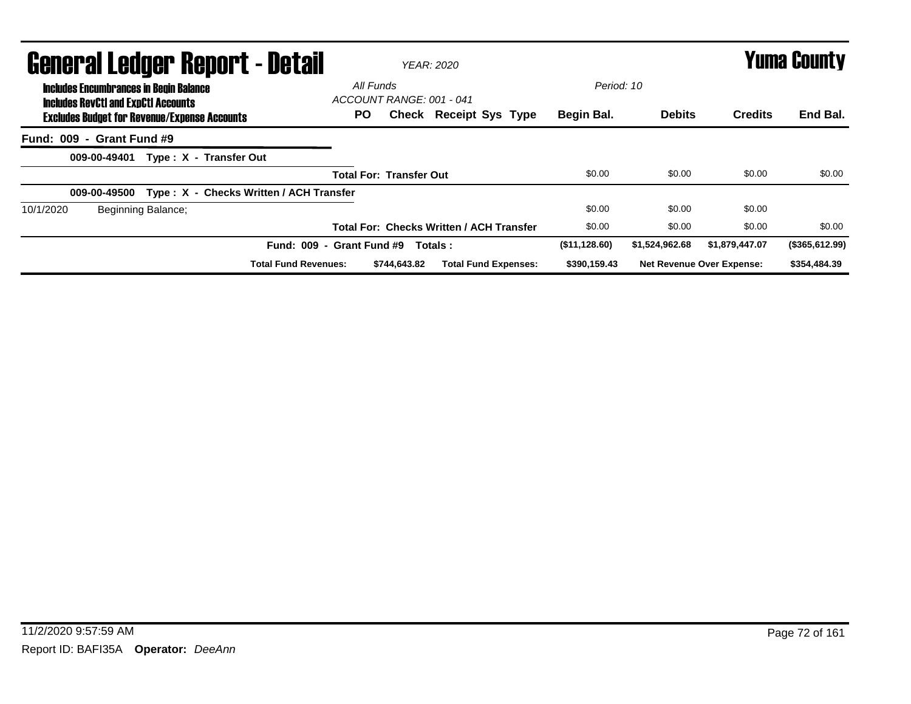| <b>General Ledger Report - Detail</b>                                                       |                                       | <b>YEAR: 2020</b> |                                                 |               | <b>Yuma County</b> |                                  |                |  |
|---------------------------------------------------------------------------------------------|---------------------------------------|-------------------|-------------------------------------------------|---------------|--------------------|----------------------------------|----------------|--|
| <b>Includes Encumbrances in Begin Balance</b><br><b>Includes RevCtI and ExpCtI Accounts</b> | All Funds<br>ACCOUNT RANGE: 001 - 041 |                   |                                                 | Period: 10    |                    |                                  |                |  |
| <b>Excludes Budget for Revenue/Expense Accounts</b>                                         | PO.                                   |                   | <b>Check Receipt Sys Type</b>                   | Begin Bal.    | <b>Debits</b>      | <b>Credits</b>                   | End Bal.       |  |
| Fund: 009 - Grant Fund #9                                                                   |                                       |                   |                                                 |               |                    |                                  |                |  |
| Type: X - Transfer Out<br>009-00-49401                                                      |                                       |                   |                                                 |               |                    |                                  |                |  |
|                                                                                             | <b>Total For: Transfer Out</b>        |                   |                                                 | \$0.00        | \$0.00             | \$0.00                           | \$0.00         |  |
| Type: X - Checks Written / ACH Transfer<br>009-00-49500                                     |                                       |                   |                                                 |               |                    |                                  |                |  |
| Beginning Balance;<br>10/1/2020                                                             |                                       |                   |                                                 | \$0.00        | \$0.00             | \$0.00                           |                |  |
|                                                                                             |                                       |                   | <b>Total For: Checks Written / ACH Transfer</b> | \$0.00        | \$0.00             | \$0.00                           | \$0.00         |  |
|                                                                                             | Fund: 009 - Grant Fund #9             | Totals:           |                                                 | (\$11,128.60) | \$1,524,962.68     | \$1,879,447.07                   | (\$365,612.99) |  |
| <b>Total Fund Revenues:</b>                                                                 | \$744.643.82                          |                   | <b>Total Fund Expenses:</b>                     | \$390,159.43  |                    | <b>Net Revenue Over Expense:</b> | \$354,484.39   |  |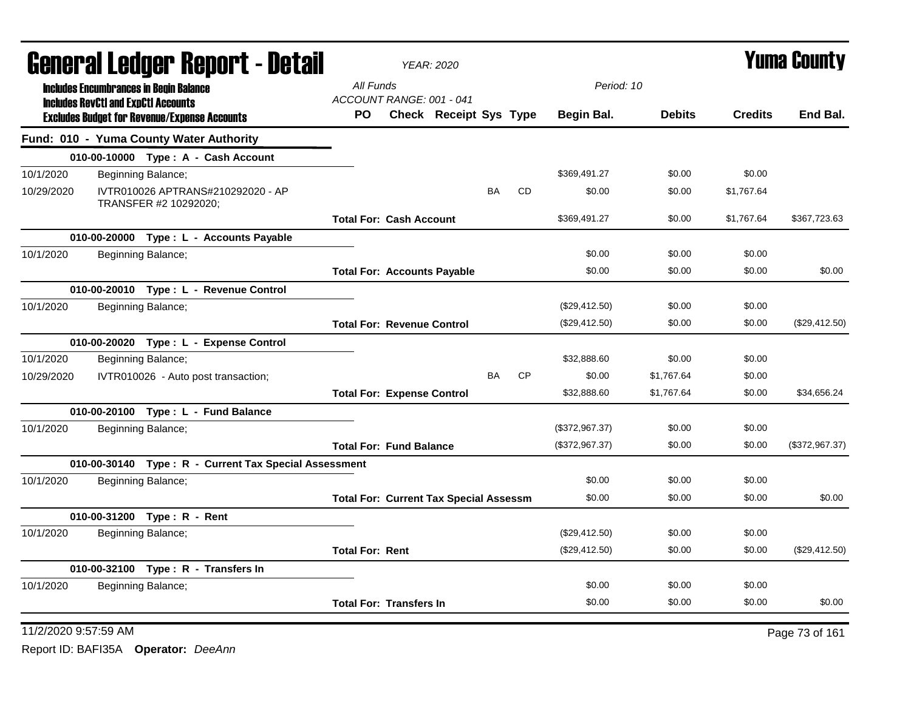| <b>General Ledger Report - Detail</b><br><b>Includes Encumbrances in Begin Balance</b> |                                            |                                                            |                                               | <b>YEAR: 2020</b>             |           |           |                |               | <b>Yuma County</b> |                |
|----------------------------------------------------------------------------------------|--------------------------------------------|------------------------------------------------------------|-----------------------------------------------|-------------------------------|-----------|-----------|----------------|---------------|--------------------|----------------|
|                                                                                        | <b>Includes RevCtI and ExpCtI Accounts</b> |                                                            | All Funds<br>ACCOUNT RANGE: 001 - 041         |                               |           |           | Period: 10     |               |                    |                |
|                                                                                        |                                            | <b>Excludes Budget for Revenue/Expense Accounts</b>        | PO.                                           | <b>Check Receipt Sys Type</b> |           |           | Begin Bal.     | <b>Debits</b> | <b>Credits</b>     | End Bal.       |
|                                                                                        |                                            | Fund: 010 - Yuma County Water Authority                    |                                               |                               |           |           |                |               |                    |                |
|                                                                                        |                                            | 010-00-10000 Type: A - Cash Account                        |                                               |                               |           |           |                |               |                    |                |
| 10/1/2020                                                                              |                                            | Beginning Balance;                                         |                                               |                               |           |           | \$369,491.27   | \$0.00        | \$0.00             |                |
| 10/29/2020                                                                             |                                            | IVTR010026 APTRANS#210292020 - AP<br>TRANSFER #2 10292020; |                                               |                               | <b>BA</b> | <b>CD</b> | \$0.00         | \$0.00        | \$1,767.64         |                |
|                                                                                        |                                            |                                                            | <b>Total For: Cash Account</b>                |                               |           |           | \$369,491.27   | \$0.00        | \$1,767.64         | \$367,723.63   |
|                                                                                        |                                            | 010-00-20000 Type: L - Accounts Payable                    |                                               |                               |           |           |                |               |                    |                |
| 10/1/2020                                                                              |                                            | Beginning Balance;                                         |                                               |                               |           |           | \$0.00         | \$0.00        | \$0.00             |                |
|                                                                                        |                                            |                                                            | <b>Total For: Accounts Payable</b>            |                               |           |           | \$0.00         | \$0.00        | \$0.00             | \$0.00         |
|                                                                                        |                                            | 010-00-20010 Type: L - Revenue Control                     |                                               |                               |           |           |                |               |                    |                |
| 10/1/2020                                                                              |                                            | Beginning Balance;                                         |                                               |                               |           |           | (\$29,412.50)  | \$0.00        | \$0.00             |                |
|                                                                                        |                                            |                                                            | <b>Total For: Revenue Control</b>             |                               |           |           | (\$29,412.50)  | \$0.00        | \$0.00             | (\$29,412.50)  |
|                                                                                        |                                            | 010-00-20020 Type: L - Expense Control                     |                                               |                               |           |           |                |               |                    |                |
| 10/1/2020                                                                              |                                            | Beginning Balance;                                         |                                               |                               |           |           | \$32,888.60    | \$0.00        | \$0.00             |                |
| 10/29/2020                                                                             |                                            | IVTR010026 - Auto post transaction;                        |                                               |                               | <b>BA</b> | <b>CP</b> | \$0.00         | \$1,767.64    | \$0.00             |                |
|                                                                                        |                                            |                                                            | <b>Total For: Expense Control</b>             |                               |           |           | \$32,888,60    | \$1,767.64    | \$0.00             | \$34.656.24    |
|                                                                                        |                                            | 010-00-20100 Type: L - Fund Balance                        |                                               |                               |           |           |                |               |                    |                |
| 10/1/2020                                                                              |                                            | Beginning Balance;                                         |                                               |                               |           |           | (\$372,967.37) | \$0.00        | \$0.00             |                |
|                                                                                        |                                            |                                                            | <b>Total For: Fund Balance</b>                |                               |           |           | (\$372,967.37) | \$0.00        | \$0.00             | (\$372,967.37) |
|                                                                                        |                                            | 010-00-30140 Type: R - Current Tax Special Assessment      |                                               |                               |           |           |                |               |                    |                |
| 10/1/2020                                                                              |                                            | Beginning Balance;                                         |                                               |                               |           |           | \$0.00         | \$0.00        | \$0.00             |                |
|                                                                                        |                                            |                                                            | <b>Total For: Current Tax Special Assessm</b> |                               |           |           | \$0.00         | \$0.00        | \$0.00             | \$0.00         |
|                                                                                        |                                            | 010-00-31200 Type: R - Rent                                |                                               |                               |           |           |                |               |                    |                |
| 10/1/2020                                                                              |                                            | Beginning Balance;                                         |                                               |                               |           |           | (\$29,412.50)  | \$0.00        | \$0.00             |                |
|                                                                                        |                                            |                                                            | <b>Total For: Rent</b>                        |                               |           |           | (\$29,412.50)  | \$0.00        | \$0.00             | (\$29,412.50)  |
|                                                                                        |                                            | 010-00-32100 Type: R - Transfers In                        |                                               |                               |           |           |                |               |                    |                |
| 10/1/2020                                                                              |                                            | Beginning Balance;                                         |                                               |                               |           |           | \$0.00         | \$0.00        | \$0.00             |                |
|                                                                                        |                                            |                                                            | <b>Total For: Transfers In</b>                |                               |           |           | \$0.00         | \$0.00        | \$0.00             | \$0.00         |

11/2/2020 9:57:59 AM Page 73 of 161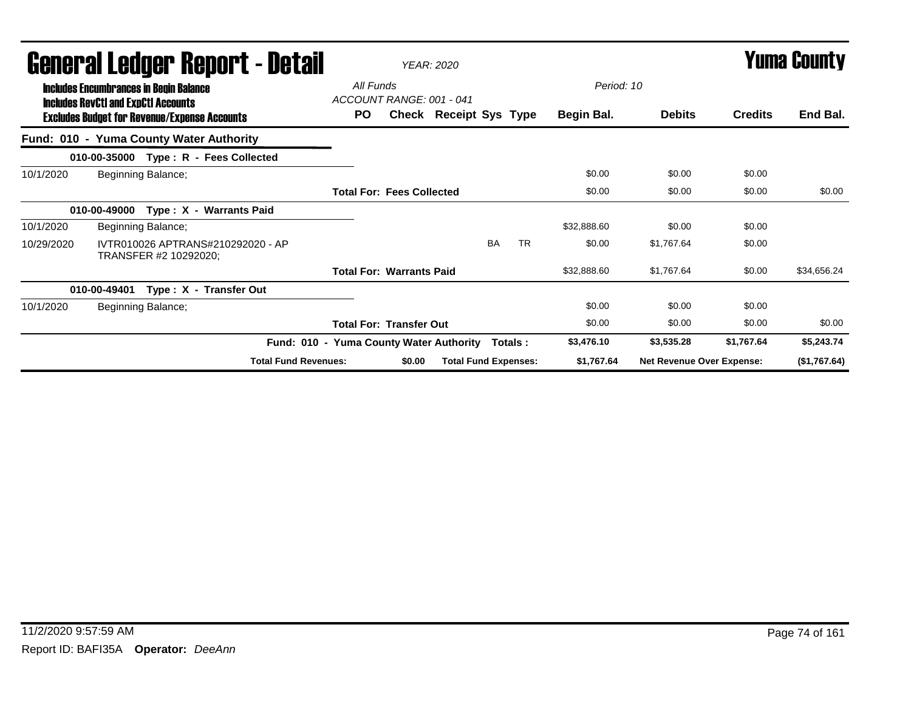|            | General Ledger Report - Detail                                                              |                                         |                                       | <b>YEAR: 2020</b>           |           |           |             |                                  |                | <b>Yuma County</b> |  |
|------------|---------------------------------------------------------------------------------------------|-----------------------------------------|---------------------------------------|-----------------------------|-----------|-----------|-------------|----------------------------------|----------------|--------------------|--|
|            | <b>Includes Encumbrances in Begin Balance</b><br><b>Includes RevCtI and ExpCtI Accounts</b> |                                         | All Funds<br>ACCOUNT RANGE: 001 - 041 |                             |           |           | Period: 10  |                                  |                |                    |  |
|            | <b>Excludes Budget for Revenue/Expense Accounts</b>                                         | PO.                                     |                                       | Check Receipt Sys Type      |           |           | Begin Bal.  | <b>Debits</b>                    | <b>Credits</b> | End Bal.           |  |
|            | Fund: 010 - Yuma County Water Authority                                                     |                                         |                                       |                             |           |           |             |                                  |                |                    |  |
|            | 010-00-35000 Type: R - Fees Collected                                                       |                                         |                                       |                             |           |           |             |                                  |                |                    |  |
| 10/1/2020  | Beginning Balance;                                                                          |                                         |                                       |                             |           |           | \$0.00      | \$0.00                           | \$0.00         |                    |  |
|            |                                                                                             |                                         | <b>Total For: Fees Collected</b>      |                             |           |           | \$0.00      | \$0.00                           | \$0.00         | \$0.00             |  |
|            | Type: X - Warrants Paid<br>010-00-49000                                                     |                                         |                                       |                             |           |           |             |                                  |                |                    |  |
| 10/1/2020  | Beginning Balance;                                                                          |                                         |                                       |                             |           |           | \$32,888.60 | \$0.00                           | \$0.00         |                    |  |
| 10/29/2020 | IVTR010026 APTRANS#210292020 - AP<br>TRANSFER #2 10292020;                                  |                                         |                                       |                             | <b>BA</b> | <b>TR</b> | \$0.00      | \$1.767.64                       | \$0.00         |                    |  |
|            |                                                                                             |                                         | <b>Total For: Warrants Paid</b>       |                             |           |           | \$32,888.60 | \$1,767.64                       | \$0.00         | \$34,656.24        |  |
|            | Type: X - Transfer Out<br>010-00-49401                                                      |                                         |                                       |                             |           |           |             |                                  |                |                    |  |
| 10/1/2020  | Beginning Balance;                                                                          |                                         |                                       |                             |           |           | \$0.00      | \$0.00                           | \$0.00         |                    |  |
|            |                                                                                             |                                         | <b>Total For: Transfer Out</b>        |                             |           |           | \$0.00      | \$0.00                           | \$0.00         | \$0.00             |  |
|            |                                                                                             | Fund: 010 - Yuma County Water Authority |                                       |                             |           | Totals :  | \$3,476.10  | \$3,535.28                       | \$1,767.64     | \$5,243.74         |  |
|            |                                                                                             | <b>Total Fund Revenues:</b>             | \$0.00                                | <b>Total Fund Expenses:</b> |           |           | \$1,767.64  | <b>Net Revenue Over Expense:</b> |                | (\$1,767.64)       |  |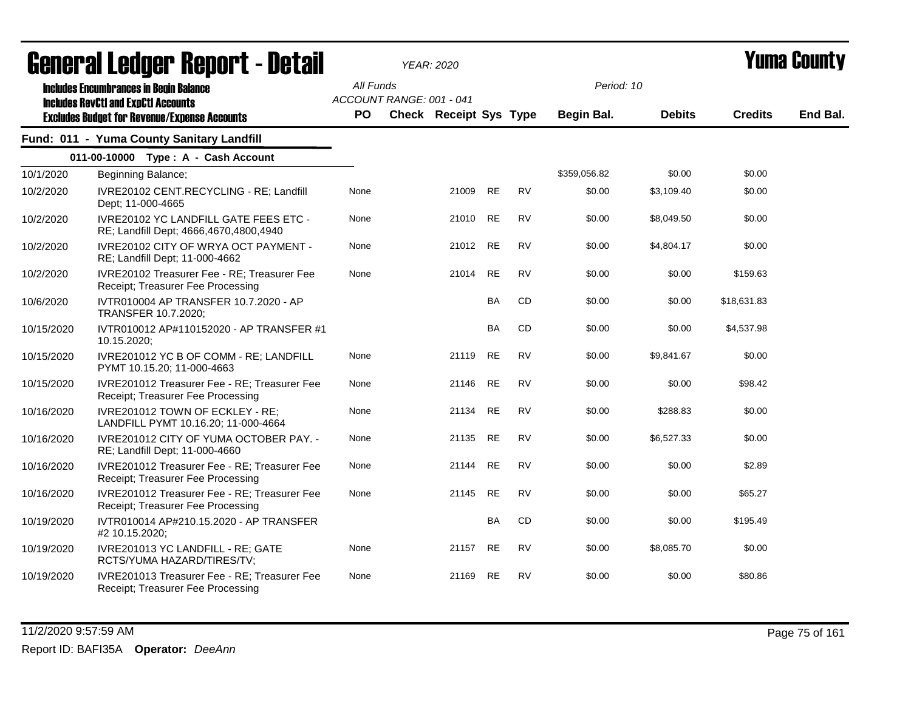| <b>General Ledger Report - Detail</b> |                                                                                             |           |                          | YEAR: 2020                    |           |           |                   |               |                | Yuma Countv |
|---------------------------------------|---------------------------------------------------------------------------------------------|-----------|--------------------------|-------------------------------|-----------|-----------|-------------------|---------------|----------------|-------------|
|                                       | <b>Includes Encumbrances in Begin Balance</b><br><b>Includes RevCtI and ExpCtI Accounts</b> | All Funds | ACCOUNT RANGE: 001 - 041 |                               |           |           | Period: 10        |               |                |             |
|                                       | <b>Excludes Budget for Revenue/Expense Accounts</b>                                         | PO        |                          | <b>Check Receipt Sys Type</b> |           |           | <b>Begin Bal.</b> | <b>Debits</b> | <b>Credits</b> | End Bal.    |
|                                       | Fund: 011 - Yuma County Sanitary Landfill                                                   |           |                          |                               |           |           |                   |               |                |             |
|                                       | 011-00-10000 Type: A - Cash Account                                                         |           |                          |                               |           |           |                   |               |                |             |
| 10/1/2020                             | Beginning Balance;                                                                          |           |                          |                               |           |           | \$359,056.82      | \$0.00        | \$0.00         |             |
| 10/2/2020                             | IVRE20102 CENT.RECYCLING - RE; Landfill<br>Dept; 11-000-4665                                | None      |                          | 21009                         | <b>RE</b> | <b>RV</b> | \$0.00            | \$3,109.40    | \$0.00         |             |
| 10/2/2020                             | IVRE20102 YC LANDFILL GATE FEES ETC -<br>RE; Landfill Dept; 4666,4670,4800,4940             | None      |                          | 21010                         | <b>RE</b> | <b>RV</b> | \$0.00            | \$8,049.50    | \$0.00         |             |
| 10/2/2020                             | IVRE20102 CITY OF WRYA OCT PAYMENT -<br>RE; Landfill Dept; 11-000-4662                      | None      |                          | 21012                         | <b>RE</b> | <b>RV</b> | \$0.00            | \$4,804.17    | \$0.00         |             |
| 10/2/2020                             | IVRE20102 Treasurer Fee - RE; Treasurer Fee<br>Receipt; Treasurer Fee Processing            | None      |                          | 21014                         | <b>RE</b> | <b>RV</b> | \$0.00            | \$0.00        | \$159.63       |             |
| 10/6/2020                             | IVTR010004 AP TRANSFER 10.7.2020 - AP<br>TRANSFER 10.7.2020;                                |           |                          |                               | BA        | CD        | \$0.00            | \$0.00        | \$18,631.83    |             |
| 10/15/2020                            | IVTR010012 AP#110152020 - AP TRANSFER #1<br>10.15.2020;                                     |           |                          |                               | BA        | CD        | \$0.00            | \$0.00        | \$4,537.98     |             |
| 10/15/2020                            | IVRE201012 YC B OF COMM - RE; LANDFILL<br>PYMT 10.15.20; 11-000-4663                        | None      |                          | 21119                         | <b>RE</b> | <b>RV</b> | \$0.00            | \$9,841.67    | \$0.00         |             |
| 10/15/2020                            | IVRE201012 Treasurer Fee - RE: Treasurer Fee<br>Receipt; Treasurer Fee Processing           | None      |                          | 21146                         | <b>RE</b> | <b>RV</b> | \$0.00            | \$0.00        | \$98.42        |             |
| 10/16/2020                            | IVRE201012 TOWN OF ECKLEY - RE;<br>LANDFILL PYMT 10.16.20; 11-000-4664                      | None      |                          | 21134                         | <b>RE</b> | <b>RV</b> | \$0.00            | \$288.83      | \$0.00         |             |
| 10/16/2020                            | IVRE201012 CITY OF YUMA OCTOBER PAY. -<br>RE; Landfill Dept; 11-000-4660                    | None      |                          | 21135                         | <b>RE</b> | <b>RV</b> | \$0.00            | \$6,527.33    | \$0.00         |             |
| 10/16/2020                            | IVRE201012 Treasurer Fee - RE; Treasurer Fee<br>Receipt; Treasurer Fee Processing           | None      |                          | 21144                         | <b>RE</b> | <b>RV</b> | \$0.00            | \$0.00        | \$2.89         |             |
| 10/16/2020                            | IVRE201012 Treasurer Fee - RE; Treasurer Fee<br>Receipt; Treasurer Fee Processing           | None      |                          | 21145                         | <b>RE</b> | <b>RV</b> | \$0.00            | \$0.00        | \$65.27        |             |
| 10/19/2020                            | IVTR010014 AP#210.15.2020 - AP TRANSFER<br>#2 10.15.2020;                                   |           |                          |                               | <b>BA</b> | CD        | \$0.00            | \$0.00        | \$195.49       |             |
| 10/19/2020                            | IVRE201013 YC LANDFILL - RE; GATE<br>RCTS/YUMA HAZARD/TIRES/TV;                             | None      |                          | 21157                         | <b>RE</b> | <b>RV</b> | \$0.00            | \$8,085.70    | \$0.00         |             |
| 10/19/2020                            | IVRE201013 Treasurer Fee - RE; Treasurer Fee<br>Receipt; Treasurer Fee Processing           | None      |                          | 21169                         | <b>RE</b> | <b>RV</b> | \$0.00            | \$0.00        | \$80.86        |             |

11/2/2020 9:57:59 AM Page 75 of 161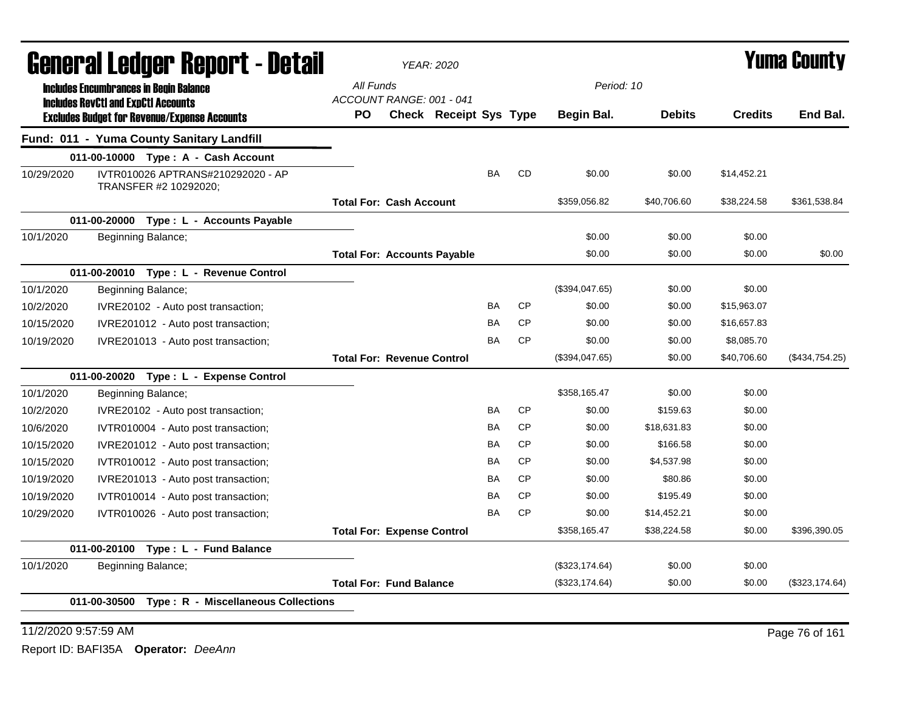|            | General Ledger Report - Detail                                                                   |                                    | <b>YEAR: 2020</b>      |           |           |                |               |                | Yuma County    |
|------------|--------------------------------------------------------------------------------------------------|------------------------------------|------------------------|-----------|-----------|----------------|---------------|----------------|----------------|
|            | <b>Includes Encumbrances in Begin Balance</b>                                                    | All Funds                          |                        |           |           | Period: 10     |               |                |                |
|            | <b>Includes RevCtI and ExpCtI Accounts</b>                                                       | ACCOUNT RANGE: 001 - 041<br>PO.    | Check Receipt Sys Type |           |           | Begin Bal.     | <b>Debits</b> | <b>Credits</b> | End Bal.       |
|            | <b>Excludes Budget for Revenue/Expense Accounts</b><br>Fund: 011 - Yuma County Sanitary Landfill |                                    |                        |           |           |                |               |                |                |
|            |                                                                                                  |                                    |                        |           |           |                |               |                |                |
| 10/29/2020 | 011-00-10000 Type: A - Cash Account<br>IVTR010026 APTRANS#210292020 - AP                         |                                    |                        | <b>BA</b> | CD        | \$0.00         | \$0.00        | \$14,452.21    |                |
|            | TRANSFER #2 10292020;                                                                            |                                    |                        |           |           |                |               |                |                |
|            |                                                                                                  | <b>Total For: Cash Account</b>     |                        |           |           | \$359,056.82   | \$40,706.60   | \$38,224.58    | \$361,538.84   |
|            | 011-00-20000 Type : L - Accounts Payable                                                         |                                    |                        |           |           |                |               |                |                |
| 10/1/2020  | Beginning Balance;                                                                               |                                    |                        |           |           | \$0.00         | \$0.00        | \$0.00         |                |
|            |                                                                                                  | <b>Total For: Accounts Payable</b> |                        |           |           | \$0.00         | \$0.00        | \$0.00         | \$0.00         |
|            | 011-00-20010 Type: L - Revenue Control                                                           |                                    |                        |           |           |                |               |                |                |
| 10/1/2020  | Beginning Balance;                                                                               |                                    |                        |           |           | (\$394,047.65) | \$0.00        | \$0.00         |                |
| 10/2/2020  | IVRE20102 - Auto post transaction;                                                               |                                    |                        | BA        | <b>CP</b> | \$0.00         | \$0.00        | \$15,963.07    |                |
| 10/15/2020 | IVRE201012 - Auto post transaction;                                                              |                                    |                        | BA        | <b>CP</b> | \$0.00         | \$0.00        | \$16,657.83    |                |
| 10/19/2020 | IVRE201013 - Auto post transaction;                                                              |                                    |                        | <b>BA</b> | <b>CP</b> | \$0.00         | \$0.00        | \$8,085.70     |                |
|            |                                                                                                  | <b>Total For: Revenue Control</b>  |                        |           |           | (\$394,047.65) | \$0.00        | \$40,706.60    | (\$434,754.25) |
|            | 011-00-20020 Type: L - Expense Control                                                           |                                    |                        |           |           |                |               |                |                |
| 10/1/2020  | Beginning Balance;                                                                               |                                    |                        |           |           | \$358,165.47   | \$0.00        | \$0.00         |                |
| 10/2/2020  | IVRE20102 - Auto post transaction;                                                               |                                    |                        | <b>BA</b> | <b>CP</b> | \$0.00         | \$159.63      | \$0.00         |                |
| 10/6/2020  | IVTR010004 - Auto post transaction;                                                              |                                    |                        | <b>BA</b> | <b>CP</b> | \$0.00         | \$18,631.83   | \$0.00         |                |
| 10/15/2020 | IVRE201012 - Auto post transaction;                                                              |                                    |                        | BA        | <b>CP</b> | \$0.00         | \$166.58      | \$0.00         |                |
| 10/15/2020 | IVTR010012 - Auto post transaction;                                                              |                                    |                        | BA        | <b>CP</b> | \$0.00         | \$4,537.98    | \$0.00         |                |
| 10/19/2020 | IVRE201013 - Auto post transaction;                                                              |                                    |                        | BA        | <b>CP</b> | \$0.00         | \$80.86       | \$0.00         |                |
| 10/19/2020 | IVTR010014 - Auto post transaction;                                                              |                                    |                        | <b>BA</b> | <b>CP</b> | \$0.00         | \$195.49      | \$0.00         |                |
| 10/29/2020 | IVTR010026 - Auto post transaction;                                                              |                                    |                        | <b>BA</b> | <b>CP</b> | \$0.00         | \$14,452.21   | \$0.00         |                |
|            |                                                                                                  | <b>Total For: Expense Control</b>  |                        |           |           | \$358,165.47   | \$38,224.58   | \$0.00         | \$396,390.05   |
|            | 011-00-20100 Type: L - Fund Balance                                                              |                                    |                        |           |           |                |               |                |                |
| 10/1/2020  | Beginning Balance;                                                                               |                                    |                        |           |           | (\$323,174.64) | \$0.00        | \$0.00         |                |
|            |                                                                                                  | <b>Total For: Fund Balance</b>     |                        |           |           | (\$323,174.64) | \$0.00        | \$0.00         | (\$323,174.64) |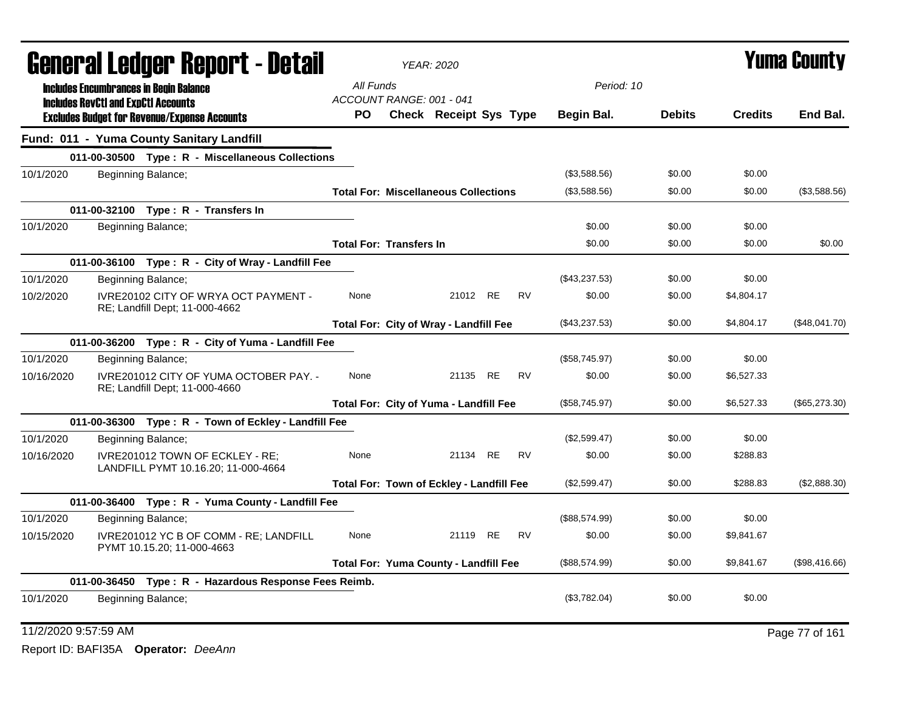|            | General Ledger Report - Detail                                                              |           | <b>YEAR: 2020</b>                               |          |           |               |               | <b>Yuma County</b> |               |
|------------|---------------------------------------------------------------------------------------------|-----------|-------------------------------------------------|----------|-----------|---------------|---------------|--------------------|---------------|
|            | <b>Includes Encumbrances in Begin Balance</b><br><b>Includes RevCtI and ExpCtI Accounts</b> | All Funds | ACCOUNT RANGE: 001 - 041                        |          |           | Period: 10    |               |                    |               |
|            | <b>Excludes Budget for Revenue/Expense Accounts</b>                                         | PO.       | <b>Check Receipt Sys Type</b>                   |          |           | Begin Bal.    | <b>Debits</b> | <b>Credits</b>     | End Bal.      |
|            | Fund: 011 - Yuma County Sanitary Landfill                                                   |           |                                                 |          |           |               |               |                    |               |
|            | 011-00-30500 Type: R - Miscellaneous Collections                                            |           |                                                 |          |           |               |               |                    |               |
| 10/1/2020  | Beginning Balance;                                                                          |           |                                                 |          |           | (\$3,588.56)  | \$0.00        | \$0.00             |               |
|            |                                                                                             |           | <b>Total For: Miscellaneous Collections</b>     |          |           | (\$3,588.56)  | \$0.00        | \$0.00             | (\$3,588.56)  |
|            | 011-00-32100 Type: R - Transfers In                                                         |           |                                                 |          |           |               |               |                    |               |
| 10/1/2020  | Beginning Balance;                                                                          |           |                                                 |          |           | \$0.00        | \$0.00        | \$0.00             |               |
|            |                                                                                             |           | <b>Total For: Transfers In</b>                  |          |           | \$0.00        | \$0.00        | \$0.00             | \$0.00        |
|            | 011-00-36100 Type: R - City of Wray - Landfill Fee                                          |           |                                                 |          |           |               |               |                    |               |
| 10/1/2020  | Beginning Balance;                                                                          |           |                                                 |          |           | (\$43,237.53) | \$0.00        | \$0.00             |               |
| 10/2/2020  | IVRE20102 CITY OF WRYA OCT PAYMENT -<br>RE; Landfill Dept; 11-000-4662                      | None      |                                                 | 21012 RE | <b>RV</b> | \$0.00        | \$0.00        | \$4,804.17         |               |
|            |                                                                                             |           | Total For: City of Wray - Landfill Fee          |          |           | (\$43,237.53) | \$0.00        | \$4,804.17         | (\$48,041.70) |
|            | 011-00-36200 Type: R - City of Yuma - Landfill Fee                                          |           |                                                 |          |           |               |               |                    |               |
| 10/1/2020  | Beginning Balance;                                                                          |           |                                                 |          |           | (\$58,745.97) | \$0.00        | \$0.00             |               |
| 10/16/2020 | IVRE201012 CITY OF YUMA OCTOBER PAY. -<br>RE; Landfill Dept; 11-000-4660                    | None      |                                                 | 21135 RE | <b>RV</b> | \$0.00        | \$0.00        | \$6,527.33         |               |
|            |                                                                                             |           | Total For: City of Yuma - Landfill Fee          |          |           | (\$58,745.97) | \$0.00        | \$6,527.33         | (\$65,273.30) |
|            | 011-00-36300 Type: R - Town of Eckley - Landfill Fee                                        |           |                                                 |          |           |               |               |                    |               |
| 10/1/2020  | Beginning Balance;                                                                          |           |                                                 |          |           | (\$2,599.47)  | \$0.00        | \$0.00             |               |
| 10/16/2020 | IVRE201012 TOWN OF ECKLEY - RE;<br>LANDFILL PYMT 10.16.20; 11-000-4664                      | None      |                                                 | 21134 RE | <b>RV</b> | \$0.00        | \$0.00        | \$288.83           |               |
|            |                                                                                             |           | <b>Total For: Town of Eckley - Landfill Fee</b> |          |           | (\$2,599.47)  | \$0.00        | \$288.83           | (\$2,888.30)  |
|            | 011-00-36400 Type: R - Yuma County - Landfill Fee                                           |           |                                                 |          |           |               |               |                    |               |
| 10/1/2020  | Beginning Balance;                                                                          |           |                                                 |          |           | (\$88,574.99) | \$0.00        | \$0.00             |               |
| 10/15/2020 | IVRE201012 YC B OF COMM - RE; LANDFILL<br>PYMT 10.15.20; 11-000-4663                        | None      |                                                 | 21119 RE | <b>RV</b> | \$0.00        | \$0.00        | \$9,841.67         |               |
|            |                                                                                             |           | <b>Total For: Yuma County - Landfill Fee</b>    |          |           | (\$88,574.99) | \$0.00        | \$9,841.67         | (\$98,416.66) |
|            | 011-00-36450 Type: R - Hazardous Response Fees Reimb.                                       |           |                                                 |          |           |               |               |                    |               |
| 10/1/2020  | Beginning Balance;                                                                          |           |                                                 |          |           | (\$3,782.04)  | \$0.00        | \$0.00             |               |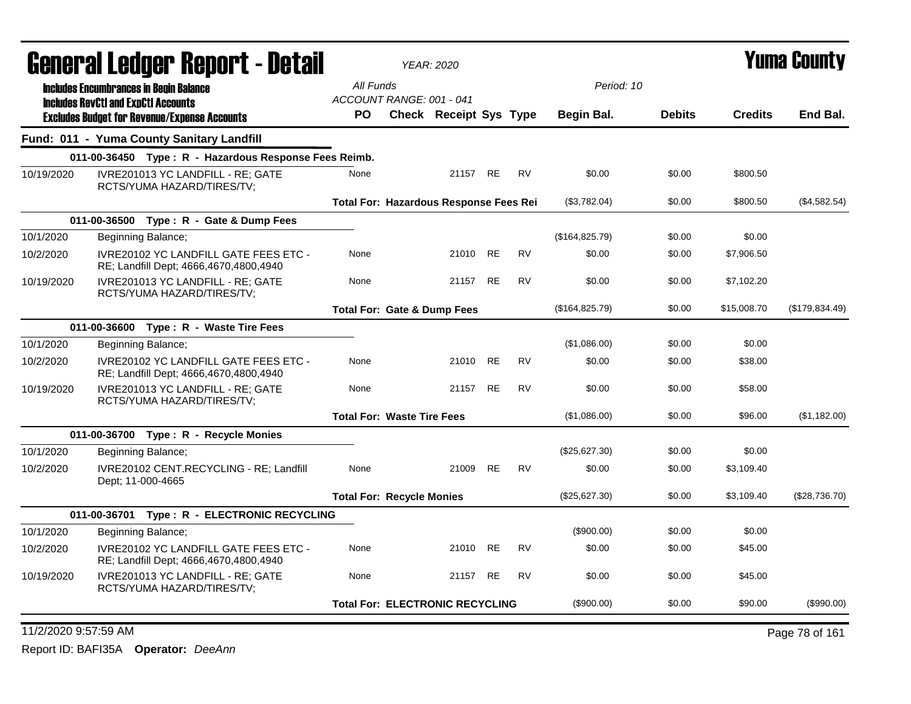| <b>General Ledger Report - Detail</b> |                                                                                        |                                   | <b>YEAR: 2020</b>                             |           |           |                |               |                | <b>Yuma County</b> |
|---------------------------------------|----------------------------------------------------------------------------------------|-----------------------------------|-----------------------------------------------|-----------|-----------|----------------|---------------|----------------|--------------------|
|                                       | <b>Includes Encumbrances in Begin Balance</b>                                          | All Funds                         |                                               |           |           | Period: 10     |               |                |                    |
|                                       | <b>Includes RevCtI and ExpCtI Accounts</b>                                             | ACCOUNT RANGE: 001 - 041          |                                               |           |           |                |               |                |                    |
|                                       | <b>Excludes Budget for Revenue/Expense Accounts</b>                                    | <b>PO</b>                         | <b>Check Receipt Sys Type</b>                 |           |           | Begin Bal.     | <b>Debits</b> | <b>Credits</b> | End Bal.           |
|                                       | Fund: 011 - Yuma County Sanitary Landfill                                              |                                   |                                               |           |           |                |               |                |                    |
|                                       | 011-00-36450 Type: R - Hazardous Response Fees Reimb.                                  |                                   |                                               |           |           |                |               |                |                    |
| 10/19/2020                            | IVRE201013 YC LANDFILL - RE; GATE<br>RCTS/YUMA HAZARD/TIRES/TV;                        | None                              | 21157 RE                                      |           | <b>RV</b> | \$0.00         | \$0.00        | \$800.50       |                    |
|                                       |                                                                                        |                                   | <b>Total For: Hazardous Response Fees Rei</b> |           |           | (\$3,782.04)   | \$0.00        | \$800.50       | (\$4,582.54)       |
|                                       | 011-00-36500 Type: R - Gate & Dump Fees                                                |                                   |                                               |           |           |                |               |                |                    |
| 10/1/2020                             | Beginning Balance;                                                                     |                                   |                                               |           |           | (\$164,825.79) | \$0.00        | \$0.00         |                    |
| 10/2/2020                             | <b>IVRE20102 YC LANDFILL GATE FEES ETC -</b><br>RE; Landfill Dept; 4666,4670,4800,4940 | None                              | 21010                                         | <b>RE</b> | <b>RV</b> | \$0.00         | \$0.00        | \$7,906.50     |                    |
| 10/19/2020                            | IVRE201013 YC LANDFILL - RE; GATE<br>RCTS/YUMA HAZARD/TIRES/TV;                        | None                              | 21157 RE                                      |           | RV        | \$0.00         | \$0.00        | \$7,102.20     |                    |
|                                       |                                                                                        |                                   | <b>Total For: Gate &amp; Dump Fees</b>        |           |           | (\$164,825.79) | \$0.00        | \$15,008.70    | (\$179,834.49)     |
|                                       | 011-00-36600 Type: R - Waste Tire Fees                                                 |                                   |                                               |           |           |                |               |                |                    |
| 10/1/2020                             | Beginning Balance;                                                                     |                                   |                                               |           |           | (\$1,086.00)   | \$0.00        | \$0.00         |                    |
| 10/2/2020                             | <b>IVRE20102 YC LANDFILL GATE FEES ETC -</b><br>RE; Landfill Dept; 4666,4670,4800,4940 | None                              | 21010 RE                                      |           | <b>RV</b> | \$0.00         | \$0.00        | \$38.00        |                    |
| 10/19/2020                            | IVRE201013 YC LANDFILL - RE: GATE<br>RCTS/YUMA HAZARD/TIRES/TV;                        | None                              | 21157 RE                                      |           | <b>RV</b> | \$0.00         | \$0.00        | \$58.00        |                    |
|                                       |                                                                                        | <b>Total For: Waste Tire Fees</b> |                                               |           |           | (\$1,086.00)   | \$0.00        | \$96.00        | (\$1,182.00)       |
|                                       | 011-00-36700 Type: R - Recycle Monies                                                  |                                   |                                               |           |           |                |               |                |                    |
| 10/1/2020                             | Beginning Balance;                                                                     |                                   |                                               |           |           | (\$25,627.30)  | \$0.00        | \$0.00         |                    |
| 10/2/2020                             | IVRE20102 CENT.RECYCLING - RE; Landfill<br>Dept; 11-000-4665                           | None                              | 21009 RE                                      |           | <b>RV</b> | \$0.00         | \$0.00        | \$3,109.40     |                    |
|                                       |                                                                                        | <b>Total For: Recycle Monies</b>  |                                               |           |           | (\$25,627.30)  | \$0.00        | \$3.109.40     | (\$28,736.70)      |
|                                       | 011-00-36701 Type: R - ELECTRONIC RECYCLING                                            |                                   |                                               |           |           |                |               |                |                    |
| 10/1/2020                             | Beginning Balance;                                                                     |                                   |                                               |           |           | (\$900.00)     | \$0.00        | \$0.00         |                    |
| 10/2/2020                             | <b>IVRE20102 YC LANDFILL GATE FEES ETC -</b><br>RE; Landfill Dept; 4666,4670,4800,4940 | None                              | 21010 RE                                      |           | RV        | \$0.00         | \$0.00        | \$45.00        |                    |
| 10/19/2020                            | IVRE201013 YC LANDFILL - RE: GATE<br>RCTS/YUMA HAZARD/TIRES/TV;                        | None                              | 21157 RE                                      |           | <b>RV</b> | \$0.00         | \$0.00        | \$45.00        |                    |
|                                       |                                                                                        |                                   | <b>Total For: ELECTRONIC RECYCLING</b>        |           |           | (\$900.00)     | \$0.00        | \$90.00        | $(\$990.00)$       |
| 11/2/2020 9:57:59 AM                  |                                                                                        |                                   |                                               |           |           |                |               |                | Page 78 of 161     |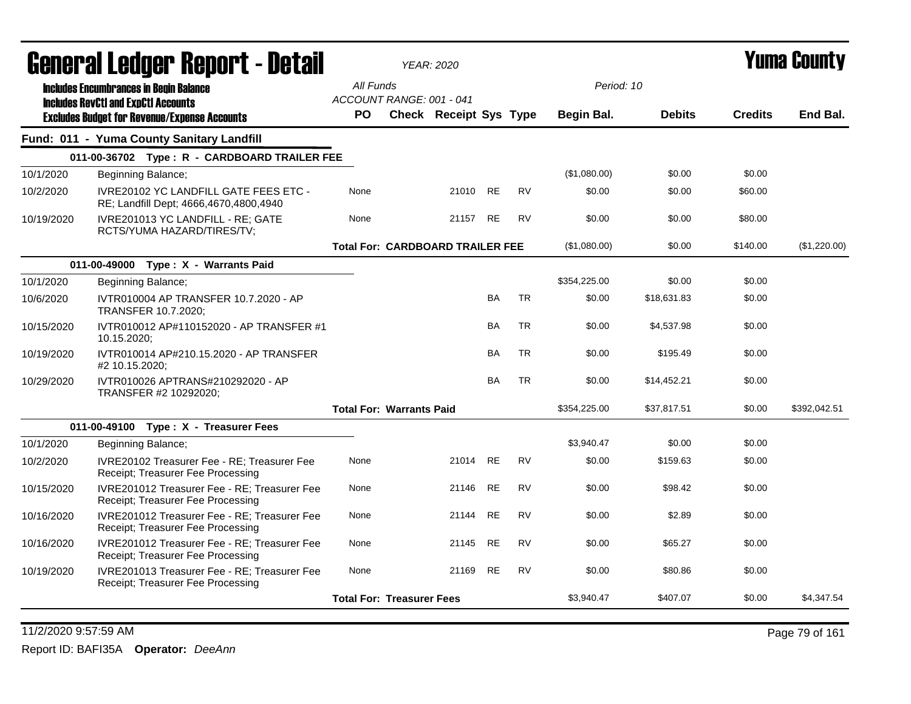|            | General Ledger Report - Detail                                                         |                                  | <b>YEAR: 2020</b>                       |           |           |              |               |                | Yuma County  |
|------------|----------------------------------------------------------------------------------------|----------------------------------|-----------------------------------------|-----------|-----------|--------------|---------------|----------------|--------------|
|            | <b>Includes Encumbrances in Begin Balance</b>                                          | All Funds                        |                                         |           |           | Period: 10   |               |                |              |
|            | <b>Includes RevCtI and ExpCtI Accounts</b>                                             | ACCOUNT RANGE: 001 - 041         |                                         |           |           |              |               |                |              |
|            | <b>Excludes Budget for Revenue/Expense Accounts</b>                                    | <b>PO</b>                        | Check Receipt Sys Type                  |           |           | Begin Bal.   | <b>Debits</b> | <b>Credits</b> | End Bal.     |
|            | Fund: 011 - Yuma County Sanitary Landfill                                              |                                  |                                         |           |           |              |               |                |              |
|            | 011-00-36702 Type: R - CARDBOARD TRAILER FEE                                           |                                  |                                         |           |           |              |               |                |              |
| 10/1/2020  | Beginning Balance;                                                                     |                                  |                                         |           |           | (\$1,080.00) | \$0.00        | \$0.00         |              |
| 10/2/2020  | <b>IVRE20102 YC LANDFILL GATE FEES ETC -</b><br>RE; Landfill Dept; 4666,4670,4800,4940 | None                             | 21010                                   | <b>RE</b> | <b>RV</b> | \$0.00       | \$0.00        | \$60.00        |              |
| 10/19/2020 | IVRE201013 YC LANDFILL - RE; GATE<br>RCTS/YUMA HAZARD/TIRES/TV;                        | None                             | 21157 RE                                |           | <b>RV</b> | \$0.00       | \$0.00        | \$80.00        |              |
|            |                                                                                        |                                  | <b>Total For: CARDBOARD TRAILER FEE</b> |           |           | (\$1,080.00) | \$0.00        | \$140.00       | (\$1,220.00) |
|            | 011-00-49000 Type: X - Warrants Paid                                                   |                                  |                                         |           |           |              |               |                |              |
| 10/1/2020  | Beginning Balance;                                                                     |                                  |                                         |           |           | \$354,225.00 | \$0.00        | \$0.00         |              |
| 10/6/2020  | IVTR010004 AP TRANSFER 10.7.2020 - AP<br><b>TRANSFER 10.7.2020;</b>                    |                                  |                                         | <b>BA</b> | <b>TR</b> | \$0.00       | \$18,631.83   | \$0.00         |              |
| 10/15/2020 | IVTR010012 AP#110152020 - AP TRANSFER #1<br>10.15.2020;                                |                                  |                                         | <b>BA</b> | TR        | \$0.00       | \$4,537.98    | \$0.00         |              |
| 10/19/2020 | IVTR010014 AP#210.15.2020 - AP TRANSFER<br>#2 10.15.2020;                              |                                  |                                         | <b>BA</b> | <b>TR</b> | \$0.00       | \$195.49      | \$0.00         |              |
| 10/29/2020 | IVTR010026 APTRANS#210292020 - AP<br>TRANSFER #2 10292020;                             |                                  |                                         | <b>BA</b> | <b>TR</b> | \$0.00       | \$14,452.21   | \$0.00         |              |
|            |                                                                                        | <b>Total For: Warrants Paid</b>  |                                         |           |           | \$354,225.00 | \$37,817.51   | \$0.00         | \$392.042.51 |
|            | 011-00-49100 Type: X - Treasurer Fees                                                  |                                  |                                         |           |           |              |               |                |              |
| 10/1/2020  | Beginning Balance;                                                                     |                                  |                                         |           |           | \$3,940.47   | \$0.00        | \$0.00         |              |
| 10/2/2020  | IVRE20102 Treasurer Fee - RE: Treasurer Fee<br>Receipt; Treasurer Fee Processing       | None                             | 21014 RE                                |           | <b>RV</b> | \$0.00       | \$159.63      | \$0.00         |              |
| 10/15/2020 | IVRE201012 Treasurer Fee - RE; Treasurer Fee<br>Receipt; Treasurer Fee Processing      | None                             | 21146                                   | <b>RE</b> | <b>RV</b> | \$0.00       | \$98.42       | \$0.00         |              |
| 10/16/2020 | IVRE201012 Treasurer Fee - RE: Treasurer Fee<br>Receipt; Treasurer Fee Processing      | None                             | 21144                                   | <b>RE</b> | <b>RV</b> | \$0.00       | \$2.89        | \$0.00         |              |
| 10/16/2020 | IVRE201012 Treasurer Fee - RE; Treasurer Fee<br>Receipt; Treasurer Fee Processing      | None                             | 21145 RE                                |           | <b>RV</b> | \$0.00       | \$65.27       | \$0.00         |              |
| 10/19/2020 | IVRE201013 Treasurer Fee - RE; Treasurer Fee<br>Receipt; Treasurer Fee Processing      | None                             | 21169 RE                                |           | <b>RV</b> | \$0.00       | \$80.86       | \$0.00         |              |
|            |                                                                                        | <b>Total For: Treasurer Fees</b> |                                         |           |           | \$3.940.47   | \$407.07      | \$0.00         | \$4,347.54   |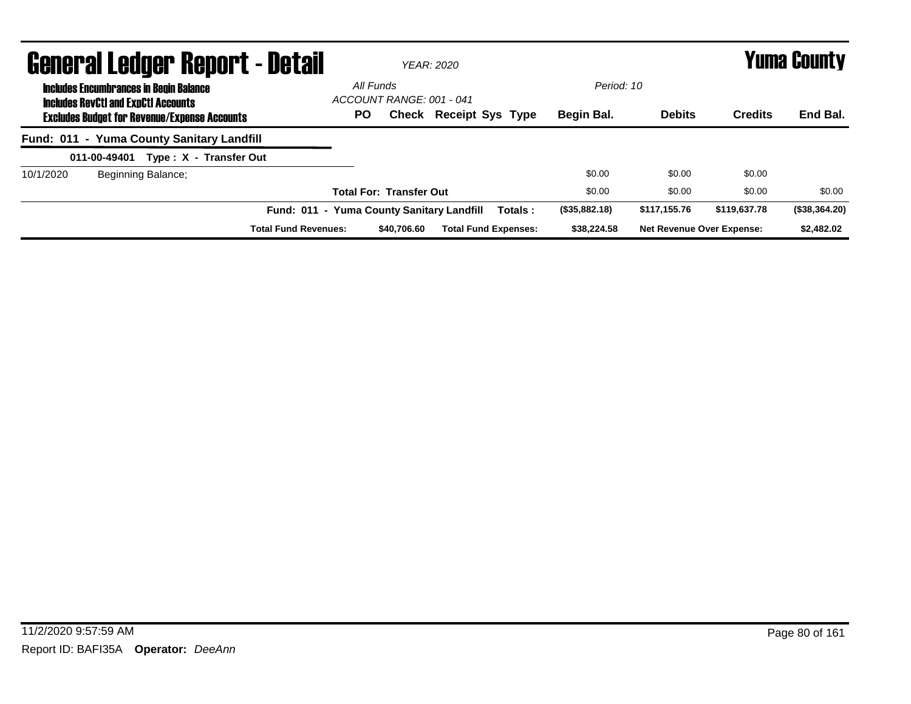| <b>General Ledger Report - Detail</b>                                                       |                                           |                                       | <b>YEAR: 2020</b>             |         |               |                                  |                | Yuma County   |
|---------------------------------------------------------------------------------------------|-------------------------------------------|---------------------------------------|-------------------------------|---------|---------------|----------------------------------|----------------|---------------|
| <b>Includes Encumbrances in Begin Balance</b><br><b>Includes RevCtI and ExpCtI Accounts</b> |                                           | All Funds<br>ACCOUNT RANGE: 001 - 041 |                               |         | Period: 10    |                                  |                |               |
| <b>Excludes Budget for Revenue/Expense Accounts</b>                                         | <b>PO</b>                                 |                                       | <b>Check Receipt Sys Type</b> |         | Begin Bal.    | <b>Debits</b>                    | <b>Credits</b> | End Bal.      |
| Fund: 011 - Yuma County Sanitary Landfill                                                   |                                           |                                       |                               |         |               |                                  |                |               |
| Type: X - Transfer Out<br>011-00-49401                                                      |                                           |                                       |                               |         |               |                                  |                |               |
| 10/1/2020<br>Beginning Balance;                                                             |                                           |                                       |                               |         | \$0.00        | \$0.00                           | \$0.00         |               |
|                                                                                             |                                           | <b>Total For: Transfer Out</b>        |                               |         | \$0.00        | \$0.00                           | \$0.00         | \$0.00        |
|                                                                                             | Fund: 011 - Yuma County Sanitary Landfill |                                       |                               | Totals: | (\$35,882.18) | \$117,155.76                     | \$119,637.78   | (\$38,364.20) |
| <b>Total Fund Revenues:</b>                                                                 |                                           | \$40,706.60                           | <b>Total Fund Expenses:</b>   |         | \$38,224.58   | <b>Net Revenue Over Expense:</b> |                | \$2,482.02    |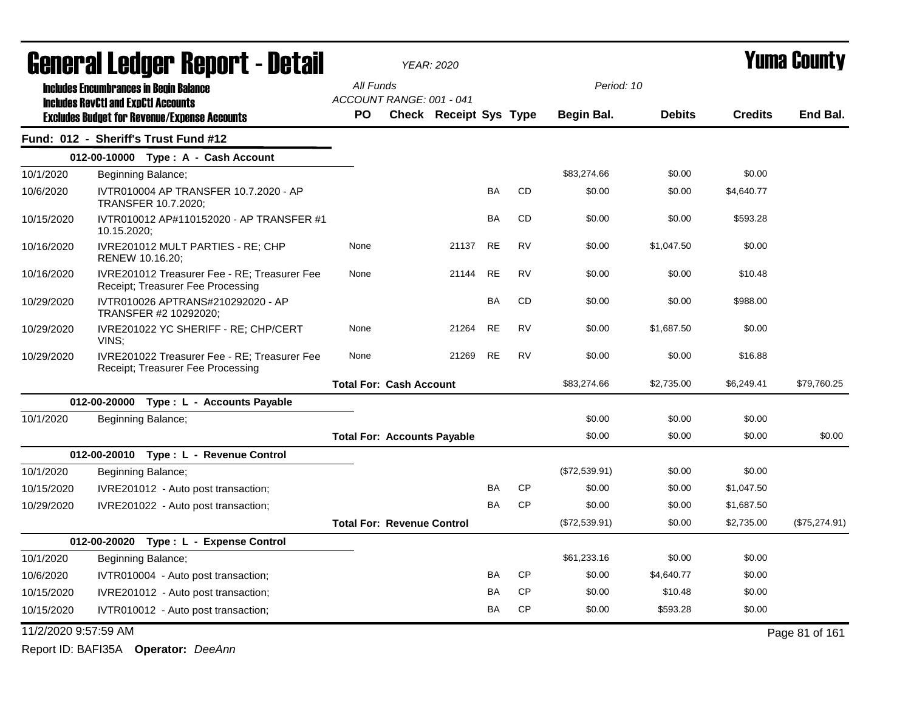| <b>General Ledger Report - Detail</b> |                                                                                   | <b>YEAR: 2020</b>                  |                               |           |           |               | <b>Yuma County</b> |                |                |
|---------------------------------------|-----------------------------------------------------------------------------------|------------------------------------|-------------------------------|-----------|-----------|---------------|--------------------|----------------|----------------|
|                                       | <b>Includes Encumbrances in Begin Balance</b>                                     | All Funds                          |                               |           |           | Period: 10    |                    |                |                |
|                                       | <b>Includes RevCtI and ExpCtI Accounts</b>                                        | ACCOUNT RANGE: 001 - 041           |                               |           |           |               |                    |                |                |
|                                       | <b>Excludes Budget for Revenue/Expense Accounts</b>                               | <b>PO</b>                          | <b>Check Receipt Sys Type</b> |           |           | Begin Bal.    | <b>Debits</b>      | <b>Credits</b> | End Bal.       |
|                                       | Fund: 012 - Sheriff's Trust Fund #12                                              |                                    |                               |           |           |               |                    |                |                |
|                                       | 012-00-10000 Type: A - Cash Account                                               |                                    |                               |           |           |               |                    |                |                |
| 10/1/2020                             | Beginning Balance;                                                                |                                    |                               |           |           | \$83,274.66   | \$0.00             | \$0.00         |                |
| 10/6/2020                             | IVTR010004 AP TRANSFER 10.7.2020 - AP<br>TRANSFER 10.7.2020;                      |                                    |                               | <b>BA</b> | <b>CD</b> | \$0.00        | \$0.00             | \$4,640.77     |                |
| 10/15/2020                            | IVTR010012 AP#110152020 - AP TRANSFER #1<br>10.15.2020;                           |                                    |                               | <b>BA</b> | <b>CD</b> | \$0.00        | \$0.00             | \$593.28       |                |
| 10/16/2020                            | IVRE201012 MULT PARTIES - RE; CHP<br>RENEW 10.16.20;                              | None                               | 21137                         | <b>RE</b> | <b>RV</b> | \$0.00        | \$1,047.50         | \$0.00         |                |
| 10/16/2020                            | IVRE201012 Treasurer Fee - RE; Treasurer Fee<br>Receipt; Treasurer Fee Processing | None                               | 21144                         | <b>RE</b> | <b>RV</b> | \$0.00        | \$0.00             | \$10.48        |                |
| 10/29/2020                            | IVTR010026 APTRANS#210292020 - AP<br>TRANSFER #2 10292020;                        |                                    |                               | BA        | CD        | \$0.00        | \$0.00             | \$988.00       |                |
| 10/29/2020                            | IVRE201022 YC SHERIFF - RE; CHP/CERT<br>VINS:                                     | None                               | 21264                         | RE        | <b>RV</b> | \$0.00        | \$1,687.50         | \$0.00         |                |
| 10/29/2020                            | IVRE201022 Treasurer Fee - RE; Treasurer Fee<br>Receipt; Treasurer Fee Processing | None                               | 21269                         | <b>RE</b> | <b>RV</b> | \$0.00        | \$0.00             | \$16.88        |                |
|                                       |                                                                                   | <b>Total For: Cash Account</b>     |                               |           |           | \$83.274.66   | \$2,735.00         | \$6,249.41     | \$79.760.25    |
|                                       | 012-00-20000 Type: L - Accounts Payable                                           |                                    |                               |           |           |               |                    |                |                |
| 10/1/2020                             | Beginning Balance;                                                                |                                    |                               |           |           | \$0.00        | \$0.00             | \$0.00         |                |
|                                       |                                                                                   | <b>Total For: Accounts Payable</b> |                               |           |           | \$0.00        | \$0.00             | \$0.00         | \$0.00         |
|                                       | 012-00-20010 Type: L - Revenue Control                                            |                                    |                               |           |           |               |                    |                |                |
| 10/1/2020                             | Beginning Balance;                                                                |                                    |                               |           |           | (\$72,539.91) | \$0.00             | \$0.00         |                |
| 10/15/2020                            | IVRE201012 - Auto post transaction;                                               |                                    |                               | <b>BA</b> | <b>CP</b> | \$0.00        | \$0.00             | \$1,047.50     |                |
| 10/29/2020                            | IVRE201022 - Auto post transaction;                                               |                                    |                               | BA        | <b>CP</b> | \$0.00        | \$0.00             | \$1,687.50     |                |
|                                       |                                                                                   | <b>Total For: Revenue Control</b>  |                               |           |           | (\$72,539.91) | \$0.00             | \$2,735.00     | (\$75,274.91)  |
|                                       | 012-00-20020 Type: L - Expense Control                                            |                                    |                               |           |           |               |                    |                |                |
| 10/1/2020                             | Beginning Balance;                                                                |                                    |                               |           |           | \$61,233.16   | \$0.00             | \$0.00         |                |
| 10/6/2020                             | IVTR010004 - Auto post transaction;                                               |                                    |                               | <b>BA</b> | <b>CP</b> | \$0.00        | \$4,640.77         | \$0.00         |                |
| 10/15/2020                            | IVRE201012 - Auto post transaction;                                               |                                    |                               | BA        | <b>CP</b> | \$0.00        | \$10.48            | \$0.00         |                |
| 10/15/2020                            | IVTR010012 - Auto post transaction;                                               |                                    |                               | BA        | <b>CP</b> | \$0.00        | \$593.28           | \$0.00         |                |
| 11/2/2020 9:57:59 AM                  |                                                                                   |                                    |                               |           |           |               |                    |                | Page 81 of 161 |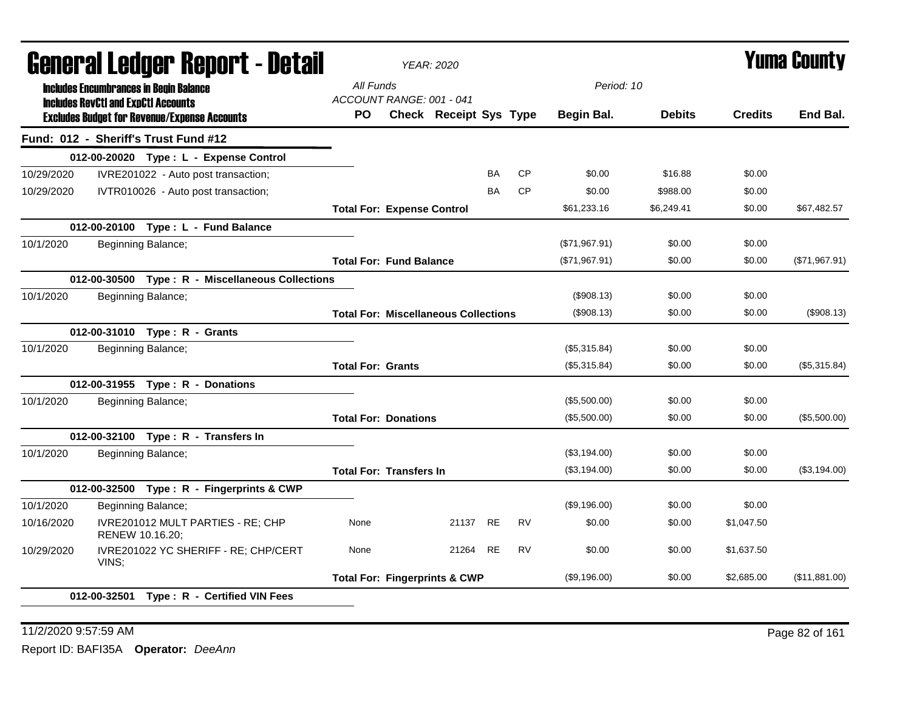| General Ledger Report - Detail |                                               |                                                     |                                   | <b>YEAR: 2020</b>                           |           |           |               |               |                | <b>Yuma County</b> |
|--------------------------------|-----------------------------------------------|-----------------------------------------------------|-----------------------------------|---------------------------------------------|-----------|-----------|---------------|---------------|----------------|--------------------|
|                                | <b>Includes Encumbrances in Begin Balance</b> |                                                     | All Funds                         |                                             |           |           | Period: 10    |               |                |                    |
|                                | <b>Includes RevCtI and ExpCtI Accounts</b>    |                                                     | ACCOUNT RANGE: 001 - 041          |                                             |           |           |               |               |                |                    |
|                                |                                               | <b>Excludes Budget for Revenue/Expense Accounts</b> | PO.                               | Check Receipt Sys Type                      |           |           | Begin Bal.    | <b>Debits</b> | <b>Credits</b> | End Bal.           |
|                                |                                               | Fund: 012 - Sheriff's Trust Fund #12                |                                   |                                             |           |           |               |               |                |                    |
|                                |                                               | 012-00-20020 Type: L - Expense Control              |                                   |                                             |           |           |               |               |                |                    |
| 10/29/2020                     |                                               | IVRE201022 - Auto post transaction;                 |                                   |                                             | <b>BA</b> | <b>CP</b> | \$0.00        | \$16.88       | \$0.00         |                    |
| 10/29/2020                     |                                               | IVTR010026 - Auto post transaction;                 |                                   |                                             | BA        | <b>CP</b> | \$0.00        | \$988.00      | \$0.00         |                    |
|                                |                                               |                                                     | <b>Total For: Expense Control</b> |                                             |           |           | \$61,233.16   | \$6,249.41    | \$0.00         | \$67,482.57        |
|                                |                                               | 012-00-20100 Type: L - Fund Balance                 |                                   |                                             |           |           |               |               |                |                    |
| 10/1/2020                      | Beginning Balance;                            |                                                     |                                   |                                             |           |           | (\$71,967.91) | \$0.00        | \$0.00         |                    |
|                                |                                               |                                                     | <b>Total For: Fund Balance</b>    |                                             |           |           | (\$71,967.91) | \$0.00        | \$0.00         | (\$71,967.91)      |
|                                |                                               | 012-00-30500 Type: R - Miscellaneous Collections    |                                   |                                             |           |           |               |               |                |                    |
| 10/1/2020                      | Beginning Balance;                            |                                                     |                                   |                                             |           |           | (\$908.13)    | \$0.00        | \$0.00         |                    |
|                                |                                               |                                                     |                                   | <b>Total For: Miscellaneous Collections</b> |           |           | (\$908.13)    | \$0.00        | \$0.00         | (\$908.13)         |
|                                |                                               | 012-00-31010 Type: R - Grants                       |                                   |                                             |           |           |               |               |                |                    |
| 10/1/2020                      | Beginning Balance;                            |                                                     |                                   |                                             |           |           | (\$5,315.84)  | \$0.00        | \$0.00         |                    |
|                                |                                               |                                                     | <b>Total For: Grants</b>          |                                             |           |           | (\$5,315.84)  | \$0.00        | \$0.00         | (\$5,315.84)       |
|                                |                                               | 012-00-31955 Type: R - Donations                    |                                   |                                             |           |           |               |               |                |                    |
| 10/1/2020                      | Beginning Balance;                            |                                                     |                                   |                                             |           |           | (\$5,500.00)  | \$0.00        | \$0.00         |                    |
|                                |                                               |                                                     | <b>Total For: Donations</b>       |                                             |           |           | (\$5,500.00)  | \$0.00        | \$0.00         | (\$5,500.00)       |
|                                |                                               | 012-00-32100 Type: R - Transfers In                 |                                   |                                             |           |           |               |               |                |                    |
| 10/1/2020                      | Beginning Balance;                            |                                                     |                                   |                                             |           |           | (\$3,194.00)  | \$0.00        | \$0.00         |                    |
|                                |                                               |                                                     | <b>Total For: Transfers In</b>    |                                             |           |           | (\$3,194.00)  | \$0.00        | \$0.00         | (\$3,194.00)       |
|                                |                                               | 012-00-32500 Type: R - Fingerprints & CWP           |                                   |                                             |           |           |               |               |                |                    |
| 10/1/2020                      | Beginning Balance;                            |                                                     |                                   |                                             |           |           | (\$9,196.00)  | \$0.00        | \$0.00         |                    |
| 10/16/2020                     | RENEW 10.16.20;                               | IVRE201012 MULT PARTIES - RE; CHP                   | None                              | 21137                                       | <b>RE</b> | <b>RV</b> | \$0.00        | \$0.00        | \$1,047.50     |                    |
| 10/29/2020                     | VINS:                                         | IVRE201022 YC SHERIFF - RE; CHP/CERT                | None                              | 21264 RE                                    |           | <b>RV</b> | \$0.00        | \$0.00        | \$1,637.50     |                    |
|                                |                                               |                                                     |                                   | <b>Total For: Fingerprints &amp; CWP</b>    |           |           | (\$9,196.00)  | \$0.00        | \$2,685.00     | (\$11,881.00)      |
|                                | 012-00-32501                                  | Type: R - Certified VIN Fees                        |                                   |                                             |           |           |               |               |                |                    |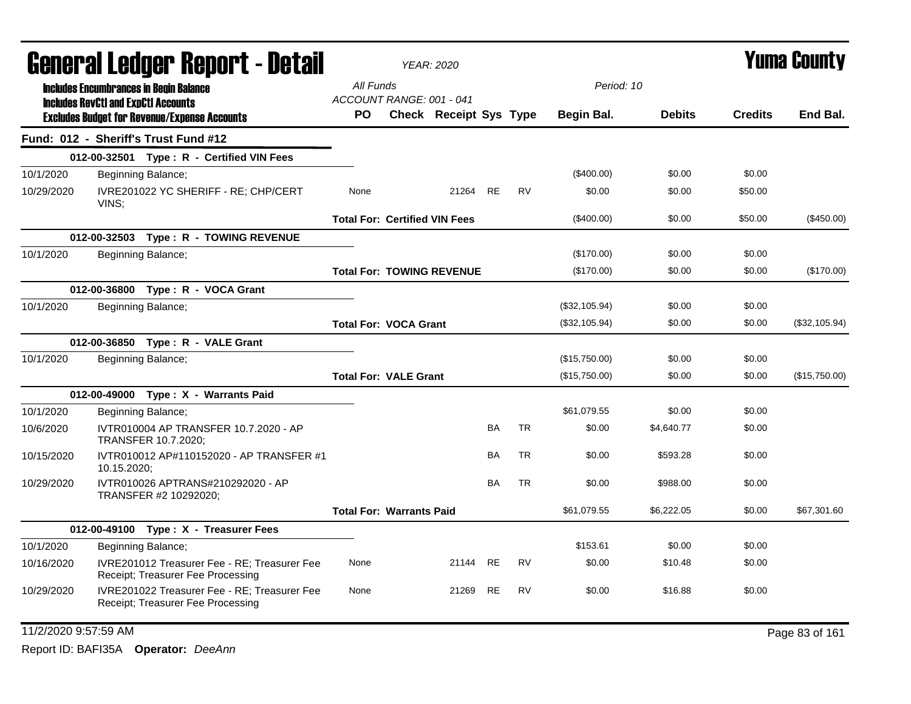|            | <b>General Ledger Report - Detail</b>         |                                                                                   |                                       | <b>YEAR: 2020</b>                |           |           |               | <b>Yuma County</b> |                |                |  |
|------------|-----------------------------------------------|-----------------------------------------------------------------------------------|---------------------------------------|----------------------------------|-----------|-----------|---------------|--------------------|----------------|----------------|--|
|            | <b>Includes Encumbrances in Begin Balance</b> |                                                                                   | All Funds                             |                                  |           |           | Period: 10    |                    |                |                |  |
|            | <b>Includes RevCtI and ExpCtI Accounts</b>    | <b>Excludes Budget for Revenue/Expense Accounts</b>                               | ACCOUNT RANGE: 001 - 041<br><b>PO</b> | Check Receipt Sys Type           |           |           | Begin Bal.    | <b>Debits</b>      | <b>Credits</b> | End Bal.       |  |
|            |                                               | Fund: 012 - Sheriff's Trust Fund #12                                              |                                       |                                  |           |           |               |                    |                |                |  |
|            |                                               | 012-00-32501 Type: R - Certified VIN Fees                                         |                                       |                                  |           |           |               |                    |                |                |  |
| 10/1/2020  |                                               | Beginning Balance;                                                                |                                       |                                  |           |           | $(\$400.00)$  | \$0.00             | \$0.00         |                |  |
| 10/29/2020 | VINS:                                         | IVRE201022 YC SHERIFF - RE; CHP/CERT                                              | None                                  | 21264 RE                         |           | <b>RV</b> | \$0.00        | \$0.00             | \$50.00        |                |  |
|            |                                               |                                                                                   | <b>Total For: Certified VIN Fees</b>  |                                  |           |           | (\$400.00)    | \$0.00             | \$50.00        | (\$450.00)     |  |
|            |                                               | 012-00-32503 Type: R - TOWING REVENUE                                             |                                       |                                  |           |           |               |                    |                |                |  |
| 10/1/2020  |                                               | Beginning Balance;                                                                |                                       |                                  |           |           | (\$170.00)    | \$0.00             | \$0.00         |                |  |
|            |                                               |                                                                                   |                                       | <b>Total For: TOWING REVENUE</b> |           |           | (\$170.00)    | \$0.00             | \$0.00         | (\$170.00)     |  |
|            |                                               | 012-00-36800 Type: R - VOCA Grant                                                 |                                       |                                  |           |           |               |                    |                |                |  |
| 10/1/2020  |                                               | Beginning Balance;                                                                |                                       |                                  |           |           | (\$32,105.94) | \$0.00             | \$0.00         |                |  |
|            |                                               |                                                                                   | <b>Total For: VOCA Grant</b>          |                                  |           |           | (\$32,105.94) | \$0.00             | \$0.00         | (\$32,105.94)  |  |
|            |                                               | 012-00-36850 Type: R - VALE Grant                                                 |                                       |                                  |           |           |               |                    |                |                |  |
| 10/1/2020  |                                               | Beginning Balance;                                                                |                                       |                                  |           |           | (\$15,750.00) | \$0.00             | \$0.00         |                |  |
|            |                                               |                                                                                   | <b>Total For: VALE Grant</b>          |                                  |           |           | (\$15,750.00) | \$0.00             | \$0.00         | (\$15,750.00)  |  |
|            |                                               | 012-00-49000 Type: X - Warrants Paid                                              |                                       |                                  |           |           |               |                    |                |                |  |
| 10/1/2020  |                                               | Beginning Balance;                                                                |                                       |                                  |           |           | \$61,079.55   | \$0.00             | \$0.00         |                |  |
| 10/6/2020  |                                               | IVTR010004 AP TRANSFER 10.7.2020 - AP<br>TRANSFER 10.7.2020;                      |                                       |                                  | <b>BA</b> | <b>TR</b> | \$0.00        | \$4,640.77         | \$0.00         |                |  |
| 10/15/2020 | 10.15.2020;                                   | IVTR010012 AP#110152020 - AP TRANSFER #1                                          |                                       |                                  | BA        | TR        | \$0.00        | \$593.28           | \$0.00         |                |  |
| 10/29/2020 |                                               | IVTR010026 APTRANS#210292020 - AP<br>TRANSFER #2 10292020;                        |                                       |                                  | BA        | <b>TR</b> | \$0.00        | \$988.00           | \$0.00         |                |  |
|            |                                               |                                                                                   | <b>Total For: Warrants Paid</b>       |                                  |           |           | \$61,079.55   | \$6,222.05         | \$0.00         | \$67,301.60    |  |
|            |                                               | 012-00-49100 Type: X - Treasurer Fees                                             |                                       |                                  |           |           |               |                    |                |                |  |
| 10/1/2020  |                                               | Beginning Balance;                                                                |                                       |                                  |           |           | \$153.61      | \$0.00             | \$0.00         |                |  |
| 10/16/2020 |                                               | IVRE201012 Treasurer Fee - RE: Treasurer Fee<br>Receipt; Treasurer Fee Processing | None                                  | 21144 RE                         |           | <b>RV</b> | \$0.00        | \$10.48            | \$0.00         |                |  |
| 10/29/2020 |                                               | IVRE201022 Treasurer Fee - RE; Treasurer Fee<br>Receipt; Treasurer Fee Processing | None                                  | 21269                            | <b>RE</b> | <b>RV</b> | \$0.00        | \$16.88            | \$0.00         |                |  |
|            | 11/2/2020 9:57:59 AM                          |                                                                                   |                                       |                                  |           |           |               |                    |                | Page 83 of 161 |  |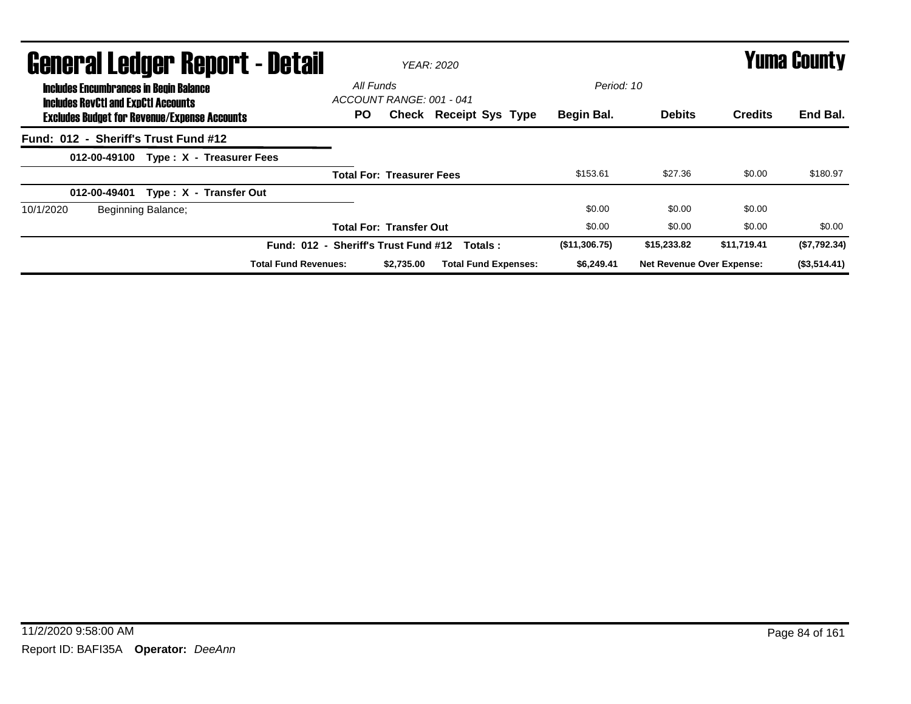| <b>General Ledger Report - Detail</b>                                                       | <b>YEAR: 2020</b>                               | <b>Yuma County</b> |                                  |                |                 |
|---------------------------------------------------------------------------------------------|-------------------------------------------------|--------------------|----------------------------------|----------------|-----------------|
| <b>Includes Encumbrances in Begin Balance</b><br><b>Includes RevCtI and ExpCtI Accounts</b> | All Funds<br>ACCOUNT RANGE: 001 - 041           | Period: 10         |                                  |                |                 |
| <b>Excludes Budget for Revenue/Expense Accounts</b>                                         | PO.<br><b>Check Receipt Sys Type</b>            | Begin Bal.         | <b>Debits</b>                    | <b>Credits</b> | End Bal.        |
| Fund: 012 - Sheriff's Trust Fund #12                                                        |                                                 |                    |                                  |                |                 |
| Type: X - Treasurer Fees<br>012-00-49100                                                    |                                                 |                    |                                  |                |                 |
|                                                                                             | <b>Total For: Treasurer Fees</b>                | \$153.61           | \$27.36                          | \$0.00         | \$180.97        |
| Type: X - Transfer Out<br>012-00-49401                                                      |                                                 |                    |                                  |                |                 |
| 10/1/2020<br>Beginning Balance;                                                             |                                                 | \$0.00             | \$0.00                           | \$0.00         |                 |
|                                                                                             | <b>Total For: Transfer Out</b>                  | \$0.00             | \$0.00                           | \$0.00         | \$0.00          |
|                                                                                             | Fund: 012 - Sheriff's Trust Fund #12<br>Totals: | (\$11,306.75)      | \$15,233.82                      | \$11,719.41    | (\$7,792.34)    |
| <b>Total Fund Revenues:</b>                                                                 | <b>Total Fund Expenses:</b><br>\$2.735.00       | \$6,249.41         | <b>Net Revenue Over Expense:</b> |                | $($ \$3,514.41) |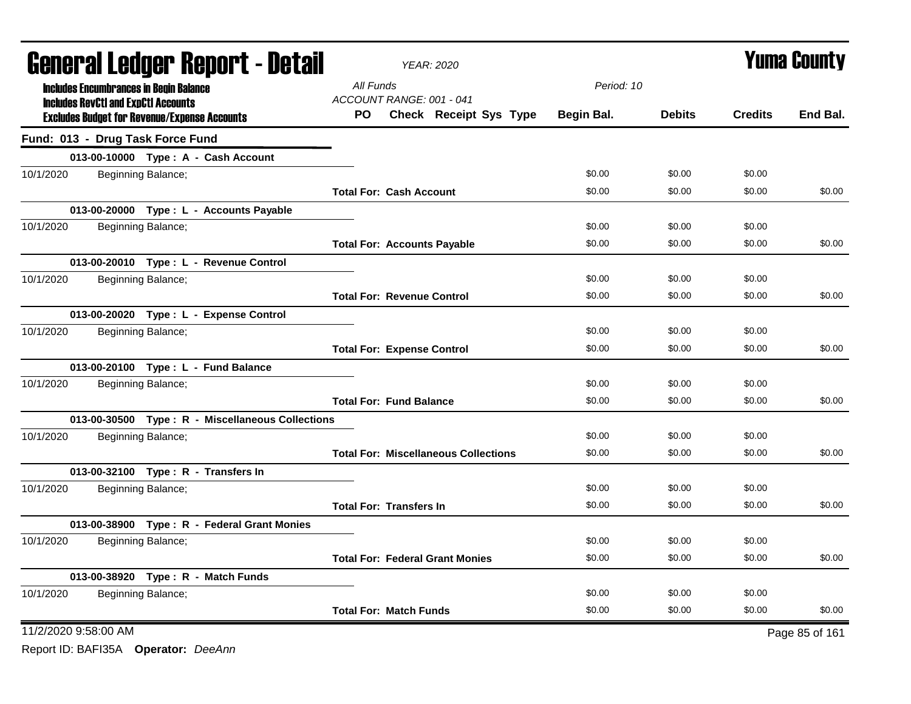| <b>General Ledger Report - Detail</b> |  |                                                                                                   |                                    | YEAR: 2020                                  | <b>Yuma County</b> |               |                |                |
|---------------------------------------|--|---------------------------------------------------------------------------------------------------|------------------------------------|---------------------------------------------|--------------------|---------------|----------------|----------------|
|                                       |  | <b>Includes Encumbrances in Begin Balance</b>                                                     | All Funds                          |                                             | Period: 10         |               |                |                |
|                                       |  | <b>Includes RevCtI and ExpCtI Accounts</b><br><b>Excludes Budget for Revenue/Expense Accounts</b> | ACCOUNT RANGE: 001 - 041<br>PO.    | Check Receipt Sys Type                      | Begin Bal.         | <b>Debits</b> | <b>Credits</b> | End Bal.       |
|                                       |  | Fund: 013 - Drug Task Force Fund                                                                  |                                    |                                             |                    |               |                |                |
|                                       |  | 013-00-10000 Type: A - Cash Account                                                               |                                    |                                             |                    |               |                |                |
| 10/1/2020                             |  | Beginning Balance;                                                                                |                                    |                                             | \$0.00             | \$0.00        | \$0.00         |                |
|                                       |  |                                                                                                   | <b>Total For: Cash Account</b>     |                                             | \$0.00             | \$0.00        | \$0.00         | \$0.00         |
|                                       |  | 013-00-20000 Type : L - Accounts Payable                                                          |                                    |                                             |                    |               |                |                |
| 10/1/2020                             |  | Beginning Balance;                                                                                |                                    |                                             | \$0.00             | \$0.00        | \$0.00         |                |
|                                       |  |                                                                                                   | <b>Total For: Accounts Payable</b> |                                             | \$0.00             | \$0.00        | \$0.00         | \$0.00         |
|                                       |  | 013-00-20010 Type: L - Revenue Control                                                            |                                    |                                             |                    |               |                |                |
| 10/1/2020                             |  | Beginning Balance;                                                                                |                                    |                                             | \$0.00             | \$0.00        | \$0.00         |                |
|                                       |  |                                                                                                   | <b>Total For: Revenue Control</b>  |                                             | \$0.00             | \$0.00        | \$0.00         | \$0.00         |
|                                       |  | 013-00-20020 Type: L - Expense Control                                                            |                                    |                                             |                    |               |                |                |
| 10/1/2020                             |  | Beginning Balance;                                                                                |                                    |                                             | \$0.00             | \$0.00        | \$0.00         |                |
|                                       |  |                                                                                                   | <b>Total For: Expense Control</b>  |                                             | \$0.00             | \$0.00        | \$0.00         | \$0.00         |
|                                       |  | 013-00-20100 Type: L - Fund Balance                                                               |                                    |                                             |                    |               |                |                |
| 10/1/2020                             |  | Beginning Balance;                                                                                |                                    |                                             | \$0.00             | \$0.00        | \$0.00         |                |
|                                       |  |                                                                                                   | <b>Total For: Fund Balance</b>     |                                             | \$0.00             | \$0.00        | \$0.00         | \$0.00         |
|                                       |  | 013-00-30500 Type: R - Miscellaneous Collections                                                  |                                    |                                             |                    |               |                |                |
| 10/1/2020                             |  | Beginning Balance;                                                                                |                                    |                                             | \$0.00             | \$0.00        | \$0.00         |                |
|                                       |  |                                                                                                   |                                    | <b>Total For: Miscellaneous Collections</b> | \$0.00             | \$0.00        | \$0.00         | \$0.00         |
|                                       |  | 013-00-32100 Type: R - Transfers In                                                               |                                    |                                             |                    |               |                |                |
| 10/1/2020                             |  | Beginning Balance;                                                                                |                                    |                                             | \$0.00             | \$0.00        | \$0.00         |                |
|                                       |  |                                                                                                   | <b>Total For: Transfers In</b>     |                                             | \$0.00             | \$0.00        | \$0.00         | \$0.00         |
|                                       |  | 013-00-38900 Type: R - Federal Grant Monies                                                       |                                    |                                             |                    |               |                |                |
| 10/1/2020                             |  | Beginning Balance;                                                                                |                                    |                                             | \$0.00             | \$0.00        | \$0.00         |                |
|                                       |  |                                                                                                   |                                    | <b>Total For: Federal Grant Monies</b>      | \$0.00             | \$0.00        | \$0.00         | \$0.00         |
|                                       |  | 013-00-38920 Type: R - Match Funds                                                                |                                    |                                             |                    |               |                |                |
| 10/1/2020                             |  | Beginning Balance;                                                                                |                                    |                                             | \$0.00             | \$0.00        | \$0.00         |                |
|                                       |  |                                                                                                   | <b>Total For: Match Funds</b>      |                                             | \$0.00             | \$0.00        | \$0.00         | \$0.00         |
| 11/2/2020 9:58:00 AM                  |  |                                                                                                   |                                    |                                             |                    |               |                | Page 85 of 161 |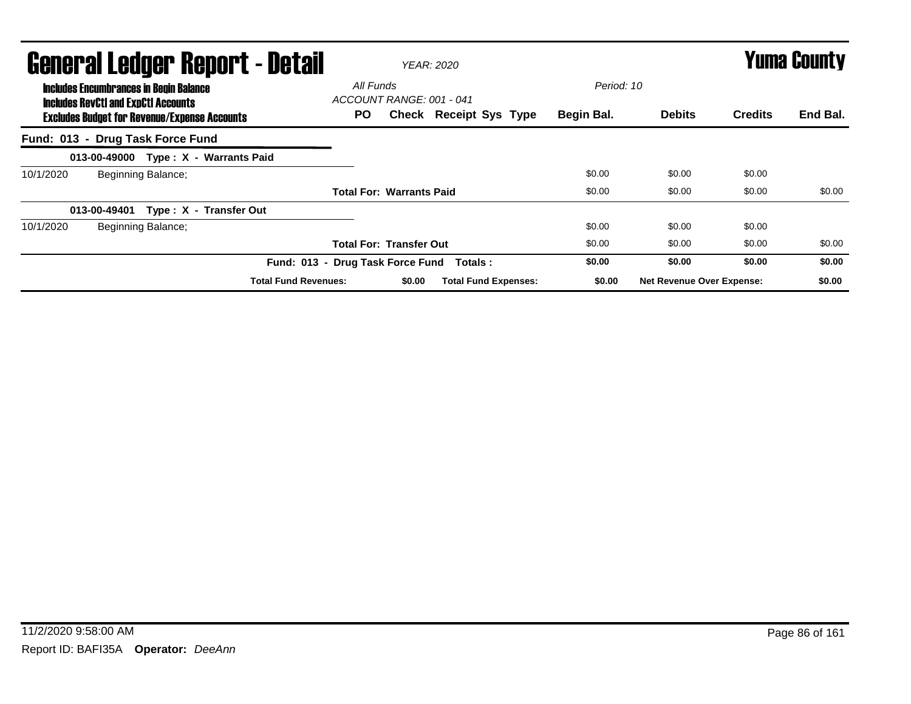|                                  | General Ledger Report - Detail<br><b>Includes Encumbrances in Begin Balance</b><br><b>Includes RevCtI and ExpCtI Accounts</b> |                    |                                      |                                 | All Funds | <b>YEAR: 2020</b>             | Period: 10 |                                  | Yuma County    |          |
|----------------------------------|-------------------------------------------------------------------------------------------------------------------------------|--------------------|--------------------------------------|---------------------------------|-----------|-------------------------------|------------|----------------------------------|----------------|----------|
|                                  | <b>Excludes Budget for Revenue/Expense Accounts</b>                                                                           |                    |                                      | ACCOUNT RANGE: 001 - 041<br>PO. |           | <b>Check Receipt Sys Type</b> | Begin Bal. | <b>Debits</b>                    | <b>Credits</b> | End Bal. |
| Fund: 013 - Drug Task Force Fund |                                                                                                                               |                    |                                      |                                 |           |                               |            |                                  |                |          |
|                                  |                                                                                                                               |                    | 013-00-49000 Type: X - Warrants Paid |                                 |           |                               |            |                                  |                |          |
| 10/1/2020                        |                                                                                                                               | Beginning Balance; |                                      |                                 |           |                               | \$0.00     | \$0.00                           | \$0.00         |          |
|                                  |                                                                                                                               |                    |                                      | <b>Total For: Warrants Paid</b> |           |                               | \$0.00     | \$0.00                           | \$0.00         | \$0.00   |
|                                  | 013-00-49401                                                                                                                  |                    | Type: X - Transfer Out               |                                 |           |                               |            |                                  |                |          |
| 10/1/2020                        |                                                                                                                               | Beginning Balance; |                                      |                                 |           |                               | \$0.00     | \$0.00                           | \$0.00         |          |
|                                  |                                                                                                                               |                    |                                      | <b>Total For: Transfer Out</b>  |           |                               | \$0.00     | \$0.00                           | \$0.00         | \$0.00   |
|                                  |                                                                                                                               |                    | Fund: 013 - Drug Task Force Fund     |                                 |           | Totals :                      | \$0.00     | \$0.00                           | \$0.00         | \$0.00   |
|                                  |                                                                                                                               |                    | <b>Total Fund Revenues:</b>          |                                 | \$0.00    | <b>Total Fund Expenses:</b>   | \$0.00     | <b>Net Revenue Over Expense:</b> |                | \$0.00   |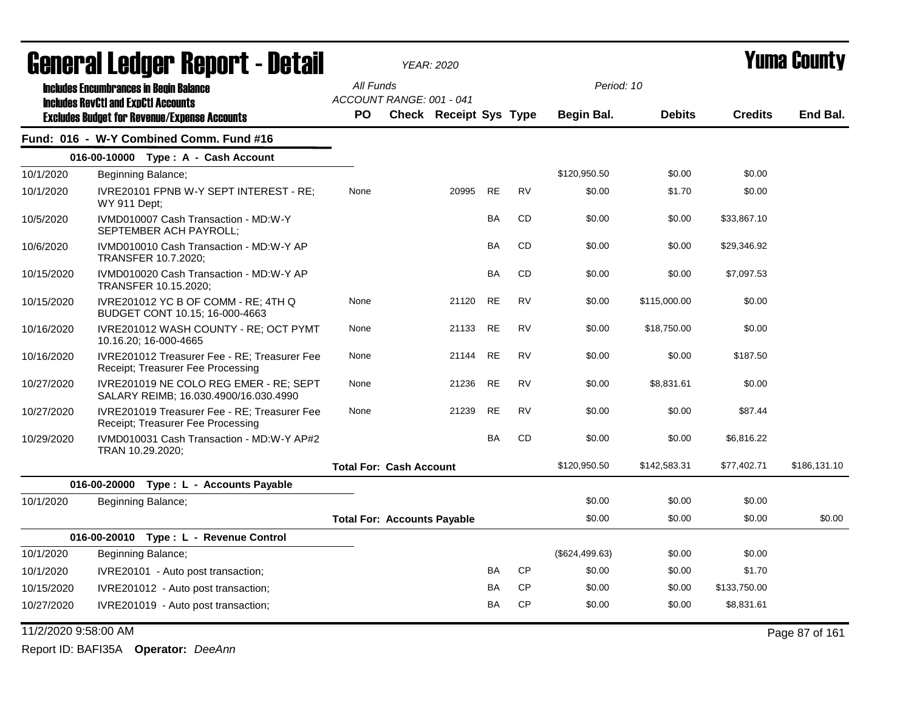|                      | General Ledger Report - Detail                                                    |                                    | <b>YEAR: 2020</b>             |           |           |                | Yuma County   |                |                |  |
|----------------------|-----------------------------------------------------------------------------------|------------------------------------|-------------------------------|-----------|-----------|----------------|---------------|----------------|----------------|--|
|                      | <b>Includes Encumbrances in Begin Balance</b>                                     | All Funds                          |                               |           |           | Period: 10     |               |                |                |  |
|                      | <b>Includes RevCtI and ExpCtI Accounts</b>                                        | ACCOUNT RANGE: 001 - 041           |                               |           |           |                |               |                |                |  |
|                      | <b>Excludes Budget for Revenue/Expense Accounts</b>                               | <b>PO</b>                          | <b>Check Receipt Sys Type</b> |           |           | Begin Bal.     | <b>Debits</b> | <b>Credits</b> | End Bal.       |  |
|                      | Fund: 016 - W-Y Combined Comm. Fund #16                                           |                                    |                               |           |           |                |               |                |                |  |
|                      | 016-00-10000 Type: A - Cash Account                                               |                                    |                               |           |           |                |               |                |                |  |
| 10/1/2020            | Beginning Balance;                                                                |                                    |                               |           |           | \$120,950.50   | \$0.00        | \$0.00         |                |  |
| 10/1/2020            | IVRE20101 FPNB W-Y SEPT INTEREST - RE;<br>WY 911 Dept;                            | None                               | 20995                         | <b>RE</b> | <b>RV</b> | \$0.00         | \$1.70        | \$0.00         |                |  |
| 10/5/2020            | IVMD010007 Cash Transaction - MD:W-Y<br>SEPTEMBER ACH PAYROLL;                    |                                    |                               | <b>BA</b> | <b>CD</b> | \$0.00         | \$0.00        | \$33,867.10    |                |  |
| 10/6/2020            | IVMD010010 Cash Transaction - MD:W-Y AP<br><b>TRANSFER 10.7.2020;</b>             |                                    |                               | <b>BA</b> | <b>CD</b> | \$0.00         | \$0.00        | \$29,346.92    |                |  |
| 10/15/2020           | IVMD010020 Cash Transaction - MD:W-Y AP<br>TRANSFER 10.15.2020;                   |                                    |                               | <b>BA</b> | <b>CD</b> | \$0.00         | \$0.00        | \$7,097.53     |                |  |
| 10/15/2020           | IVRE201012 YC B OF COMM - RE; 4TH Q<br>BUDGET CONT 10.15; 16-000-4663             | None                               | 21120                         | RE        | RV        | \$0.00         | \$115,000.00  | \$0.00         |                |  |
| 10/16/2020           | IVRE201012 WASH COUNTY - RE; OCT PYMT<br>10.16.20; 16-000-4665                    | None                               | 21133                         | <b>RE</b> | <b>RV</b> | \$0.00         | \$18,750.00   | \$0.00         |                |  |
| 10/16/2020           | IVRE201012 Treasurer Fee - RE; Treasurer Fee<br>Receipt; Treasurer Fee Processing | None                               | 21144                         | <b>RE</b> | <b>RV</b> | \$0.00         | \$0.00        | \$187.50       |                |  |
| 10/27/2020           | IVRE201019 NE COLO REG EMER - RE; SEPT<br>SALARY REIMB; 16.030.4900/16.030.4990   | None                               | 21236                         | <b>RE</b> | <b>RV</b> | \$0.00         | \$8,831.61    | \$0.00         |                |  |
| 10/27/2020           | IVRE201019 Treasurer Fee - RE; Treasurer Fee<br>Receipt; Treasurer Fee Processing | None                               | 21239                         | <b>RE</b> | <b>RV</b> | \$0.00         | \$0.00        | \$87.44        |                |  |
| 10/29/2020           | IVMD010031 Cash Transaction - MD:W-Y AP#2<br>TRAN 10.29.2020;                     |                                    |                               | <b>BA</b> | CD        | \$0.00         | \$0.00        | \$6,816.22     |                |  |
|                      |                                                                                   | <b>Total For: Cash Account</b>     |                               |           |           | \$120,950.50   | \$142,583.31  | \$77,402.71    | \$186,131.10   |  |
|                      | 016-00-20000 Type : L - Accounts Payable                                          |                                    |                               |           |           |                |               |                |                |  |
| 10/1/2020            | Beginning Balance;                                                                |                                    |                               |           |           | \$0.00         | \$0.00        | \$0.00         |                |  |
|                      |                                                                                   | <b>Total For: Accounts Payable</b> |                               |           |           | \$0.00         | \$0.00        | \$0.00         | \$0.00         |  |
|                      | 016-00-20010 Type: L - Revenue Control                                            |                                    |                               |           |           |                |               |                |                |  |
| 10/1/2020            | Beginning Balance;                                                                |                                    |                               |           |           | (\$624,499.63) | \$0.00        | \$0.00         |                |  |
| 10/1/2020            | IVRE20101 - Auto post transaction;                                                |                                    |                               | BA        | CP        | \$0.00         | \$0.00        | \$1.70         |                |  |
| 10/15/2020           | IVRE201012 - Auto post transaction;                                               |                                    |                               | BA        | CP        | \$0.00         | \$0.00        | \$133,750.00   |                |  |
| 10/27/2020           | IVRE201019 - Auto post transaction;                                               |                                    |                               | <b>BA</b> | CP        | \$0.00         | \$0.00        | \$8,831.61     |                |  |
| 11/2/2020 9:58:00 AM |                                                                                   |                                    |                               |           |           |                |               |                | Page 87 of 161 |  |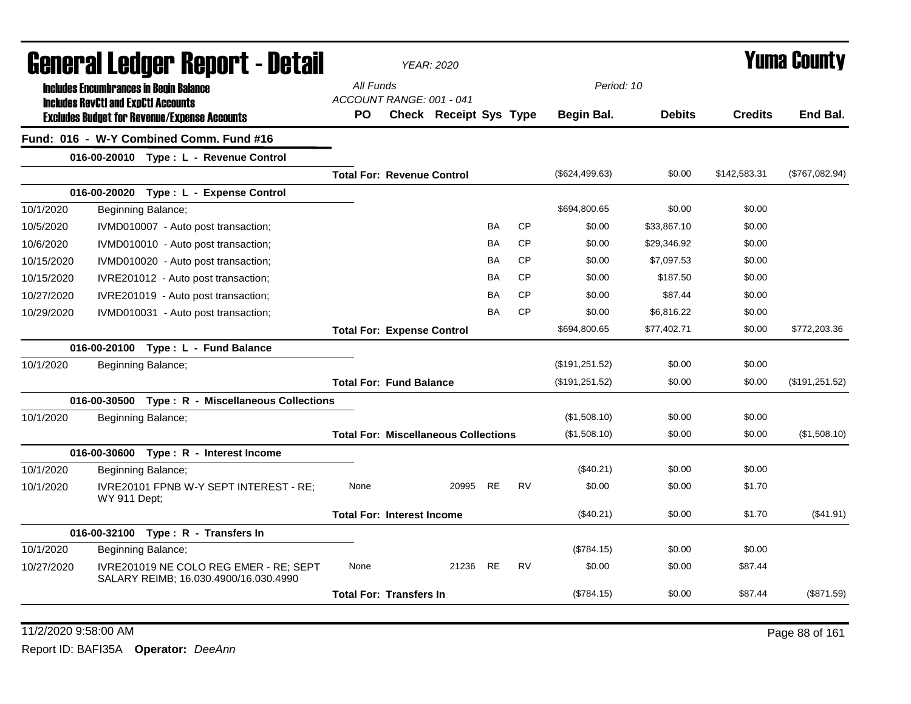| General Ledger Report - Detail |                                                                                             | YEAR: 2020                                  |  |                               |           |           |                |               | Yuma County    |                |  |
|--------------------------------|---------------------------------------------------------------------------------------------|---------------------------------------------|--|-------------------------------|-----------|-----------|----------------|---------------|----------------|----------------|--|
|                                | <b>Includes Encumbrances in Begin Balance</b><br><b>Includes RevCtI and ExpCtI Accounts</b> | All Funds<br>ACCOUNT RANGE: 001 - 041       |  |                               |           |           |                | Period: 10    |                |                |  |
|                                | <b>Excludes Budget for Revenue/Expense Accounts</b>                                         | PO.                                         |  | <b>Check Receipt Sys Type</b> |           |           | Begin Bal.     | <b>Debits</b> | <b>Credits</b> | End Bal.       |  |
|                                | Fund: 016 - W-Y Combined Comm. Fund #16                                                     |                                             |  |                               |           |           |                |               |                |                |  |
|                                | 016-00-20010 Type: L - Revenue Control                                                      |                                             |  |                               |           |           |                |               |                |                |  |
|                                |                                                                                             | <b>Total For: Revenue Control</b>           |  |                               |           |           | (\$624,499.63) | \$0.00        | \$142,583.31   | (\$767,082.94) |  |
|                                | 016-00-20020 Type: L - Expense Control                                                      |                                             |  |                               |           |           |                |               |                |                |  |
| 10/1/2020                      | Beginning Balance;                                                                          |                                             |  |                               |           |           | \$694,800.65   | \$0.00        | \$0.00         |                |  |
| 10/5/2020                      | IVMD010007 - Auto post transaction;                                                         |                                             |  |                               | BA        | <b>CP</b> | \$0.00         | \$33,867.10   | \$0.00         |                |  |
| 10/6/2020                      | IVMD010010 - Auto post transaction;                                                         |                                             |  |                               | BA        | <b>CP</b> | \$0.00         | \$29,346.92   | \$0.00         |                |  |
| 10/15/2020                     | IVMD010020 - Auto post transaction;                                                         |                                             |  |                               | BA        | <b>CP</b> | \$0.00         | \$7,097.53    | \$0.00         |                |  |
| 10/15/2020                     | IVRE201012 - Auto post transaction;                                                         |                                             |  |                               | BA        | <b>CP</b> | \$0.00         | \$187.50      | \$0.00         |                |  |
| 10/27/2020                     | IVRE201019 - Auto post transaction;                                                         |                                             |  |                               | <b>BA</b> | <b>CP</b> | \$0.00         | \$87.44       | \$0.00         |                |  |
| 10/29/2020                     | IVMD010031 - Auto post transaction;                                                         |                                             |  |                               | ΒA        | <b>CP</b> | \$0.00         | \$6,816.22    | \$0.00         |                |  |
|                                |                                                                                             | <b>Total For: Expense Control</b>           |  |                               |           |           | \$694,800.65   | \$77,402.71   | \$0.00         | \$772,203.36   |  |
|                                | 016-00-20100 Type: L - Fund Balance                                                         |                                             |  |                               |           |           |                |               |                |                |  |
| 10/1/2020                      | Beginning Balance;                                                                          |                                             |  |                               |           |           | (\$191,251.52) | \$0.00        | \$0.00         |                |  |
|                                |                                                                                             | <b>Total For: Fund Balance</b>              |  |                               |           |           | (\$191,251.52) | \$0.00        | \$0.00         | (\$191,251.52) |  |
|                                | 016-00-30500 Type: R - Miscellaneous Collections                                            |                                             |  |                               |           |           |                |               |                |                |  |
| 10/1/2020                      | Beginning Balance;                                                                          |                                             |  |                               |           |           | (\$1,508.10)   | \$0.00        | \$0.00         |                |  |
|                                |                                                                                             | <b>Total For: Miscellaneous Collections</b> |  |                               |           |           | (\$1,508.10)   | \$0.00        | \$0.00         | (\$1,508.10)   |  |
|                                | 016-00-30600 Type: R - Interest Income                                                      |                                             |  |                               |           |           |                |               |                |                |  |
| 10/1/2020                      | Beginning Balance;                                                                          |                                             |  |                               |           |           | $(\$40.21)$    | \$0.00        | \$0.00         |                |  |
| 10/1/2020                      | IVRE20101 FPNB W-Y SEPT INTEREST - RE;<br>WY 911 Dept:                                      | None                                        |  | 20995                         | RE.       | <b>RV</b> | \$0.00         | \$0.00        | \$1.70         |                |  |
|                                |                                                                                             | <b>Total For: Interest Income</b>           |  |                               |           |           | (\$40.21)      | \$0.00        | \$1.70         | (\$41.91)      |  |
|                                | 016-00-32100 Type: R - Transfers In                                                         |                                             |  |                               |           |           |                |               |                |                |  |
| 10/1/2020                      | Beginning Balance;                                                                          |                                             |  |                               |           |           | (\$784.15)     | \$0.00        | \$0.00         |                |  |
| 10/27/2020                     | IVRE201019 NE COLO REG EMER - RE; SEPT<br>SALARY REIMB; 16.030.4900/16.030.4990             | None                                        |  | 21236 RE                      |           | <b>RV</b> | \$0.00         | \$0.00        | \$87.44        |                |  |
|                                |                                                                                             | <b>Total For: Transfers In</b>              |  |                               |           |           | (\$784.15)     | \$0.00        | \$87.44        | (\$871.59)     |  |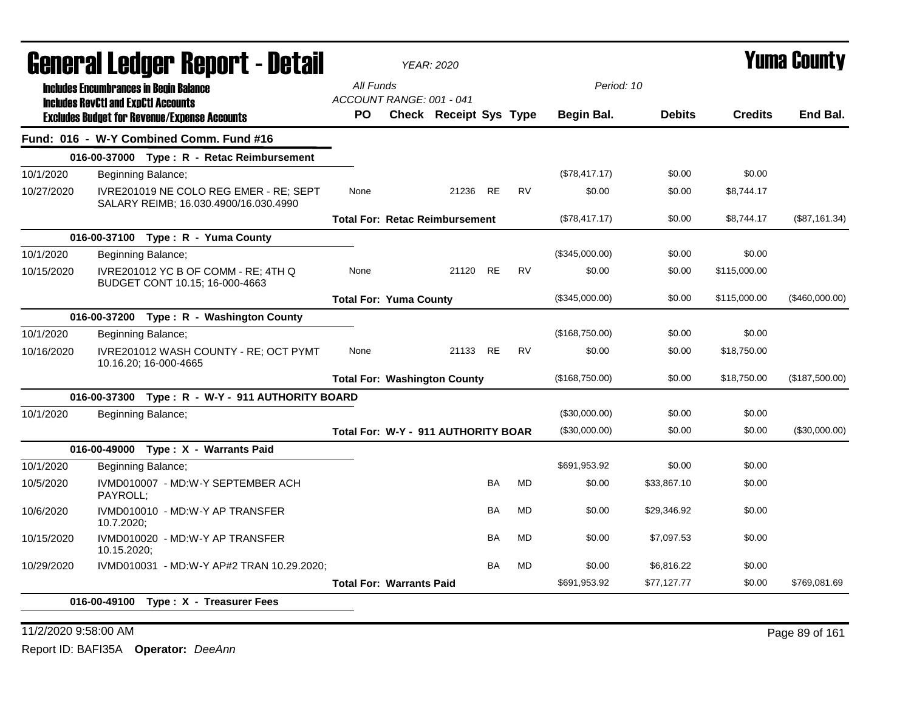|            | General Ledger Report - Detail                                                                    |                                       | <b>YEAR: 2020</b>                     |           |           |                 |               |                | <b>Yuma County</b> |  |  |
|------------|---------------------------------------------------------------------------------------------------|---------------------------------------|---------------------------------------|-----------|-----------|-----------------|---------------|----------------|--------------------|--|--|
|            | <b>Includes Encumbrances in Begin Balance</b>                                                     | All Funds<br>ACCOUNT RANGE: 001 - 041 |                                       |           |           | Period: 10      |               |                |                    |  |  |
|            | <b>Includes RevCtI and ExpCtI Accounts</b><br><b>Excludes Budget for Revenue/Expense Accounts</b> | PО                                    | <b>Check Receipt Sys Type</b>         |           |           | Begin Bal.      | <b>Debits</b> | <b>Credits</b> | End Bal.           |  |  |
|            | Fund: 016 - W-Y Combined Comm. Fund #16                                                           |                                       |                                       |           |           |                 |               |                |                    |  |  |
|            | 016-00-37000 Type: R - Retac Reimbursement                                                        |                                       |                                       |           |           |                 |               |                |                    |  |  |
| 10/1/2020  | Beginning Balance;                                                                                |                                       |                                       |           |           | (\$78,417.17)   | \$0.00        | \$0.00         |                    |  |  |
| 10/27/2020 | IVRE201019 NE COLO REG EMER - RE; SEPT<br>SALARY REIMB; 16.030.4900/16.030.4990                   | None                                  | 21236                                 | <b>RE</b> | <b>RV</b> | \$0.00          | \$0.00        | \$8,744.17     |                    |  |  |
|            |                                                                                                   |                                       | <b>Total For: Retac Reimbursement</b> |           |           | (\$78,417.17)   | \$0.00        | \$8,744.17     | (\$87,161.34)      |  |  |
|            | 016-00-37100 Type: R - Yuma County                                                                |                                       |                                       |           |           |                 |               |                |                    |  |  |
| 10/1/2020  | Beginning Balance;                                                                                |                                       |                                       |           |           | (\$345,000.00)  | \$0.00        | \$0.00         |                    |  |  |
| 10/15/2020 | IVRE201012 YC B OF COMM - RE; 4TH Q<br>BUDGET CONT 10.15; 16-000-4663                             | None                                  | 21120                                 | <b>RE</b> | <b>RV</b> | \$0.00          | \$0.00        | \$115,000.00   |                    |  |  |
|            |                                                                                                   | <b>Total For: Yuma County</b>         |                                       |           |           | (\$345,000.00)  | \$0.00        | \$115,000.00   | (\$460,000.00)     |  |  |
|            | 016-00-37200 Type: R - Washington County                                                          |                                       |                                       |           |           |                 |               |                |                    |  |  |
| 10/1/2020  | Beginning Balance;                                                                                |                                       |                                       |           |           | (\$168,750.00)  | \$0.00        | \$0.00         |                    |  |  |
| 10/16/2020 | IVRE201012 WASH COUNTY - RE; OCT PYMT<br>10.16.20; 16-000-4665                                    | None                                  | 21133 RE                              |           | <b>RV</b> | \$0.00          | \$0.00        | \$18,750.00    |                    |  |  |
|            |                                                                                                   |                                       | <b>Total For: Washington County</b>   |           |           | (\$168,750.00)  | \$0.00        | \$18,750.00    | (\$187,500.00)     |  |  |
|            | 016-00-37300 Type: R - W-Y - 911 AUTHORITY BOARD                                                  |                                       |                                       |           |           |                 |               |                |                    |  |  |
| 10/1/2020  | Beginning Balance;                                                                                |                                       |                                       |           |           | (\$30,000.00)   | \$0.00        | \$0.00         |                    |  |  |
|            |                                                                                                   |                                       | Total For: W-Y - 911 AUTHORITY BOAR   |           |           | $(\$30,000.00)$ | \$0.00        | \$0.00         | (\$30,000.00)      |  |  |
|            | 016-00-49000 Type: X - Warrants Paid                                                              |                                       |                                       |           |           |                 |               |                |                    |  |  |
| 10/1/2020  | Beginning Balance;                                                                                |                                       |                                       |           |           | \$691,953.92    | \$0.00        | \$0.00         |                    |  |  |
| 10/5/2020  | IVMD010007 - MD:W-Y SEPTEMBER ACH<br>PAYROLL;                                                     |                                       |                                       | BA        | <b>MD</b> | \$0.00          | \$33,867.10   | \$0.00         |                    |  |  |
| 10/6/2020  | IVMD010010 - MD:W-Y AP TRANSFER<br>10.7.2020;                                                     |                                       |                                       | BA        | <b>MD</b> | \$0.00          | \$29,346.92   | \$0.00         |                    |  |  |
| 10/15/2020 | IVMD010020 - MD:W-Y AP TRANSFER<br>10.15.2020;                                                    |                                       |                                       | ΒA        | MD        | \$0.00          | \$7,097.53    | \$0.00         |                    |  |  |
| 10/29/2020 | IVMD010031 - MD:W-Y AP#2 TRAN 10.29.2020;                                                         |                                       |                                       | BA        | MD        | \$0.00          | \$6,816.22    | \$0.00         |                    |  |  |
|            |                                                                                                   | <b>Total For: Warrants Paid</b>       |                                       |           |           | \$691,953.92    | \$77,127.77   | \$0.00         | \$769,081.69       |  |  |
|            | 016-00-49100 Type: X - Treasurer Fees                                                             |                                       |                                       |           |           |                 |               |                |                    |  |  |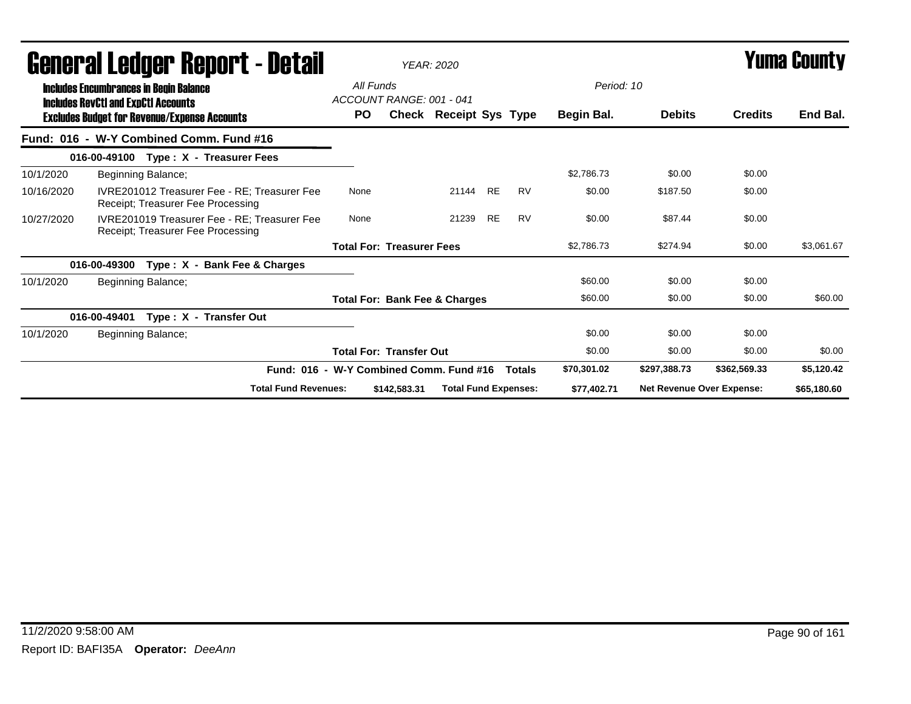|            | General Ledger Report - Detail                                                              |           |                                          | <b>YEAR: 2020</b>           |           |               | <b>Yuma County</b> |                                  |                |             |
|------------|---------------------------------------------------------------------------------------------|-----------|------------------------------------------|-----------------------------|-----------|---------------|--------------------|----------------------------------|----------------|-------------|
|            | <b>Includes Encumbrances in Begin Balance</b><br><b>Includes RevCtI and ExpCtI Accounts</b> | All Funds | ACCOUNT RANGE: 001 - 041                 |                             |           |               | Period: 10         |                                  |                |             |
|            | <b>Excludes Budget for Revenue/Expense Accounts</b>                                         | <b>PO</b> |                                          | Check Receipt Sys Type      |           |               | Begin Bal.         | <b>Debits</b>                    | <b>Credits</b> | End Bal.    |
|            | Fund: 016 - W-Y Combined Comm. Fund #16                                                     |           |                                          |                             |           |               |                    |                                  |                |             |
|            | 016-00-49100 Type: X - Treasurer Fees                                                       |           |                                          |                             |           |               |                    |                                  |                |             |
| 10/1/2020  | Beginning Balance;                                                                          |           |                                          |                             |           |               | \$2,786.73         | \$0.00                           | \$0.00         |             |
| 10/16/2020 | IVRE201012 Treasurer Fee - RE: Treasurer Fee<br>Receipt; Treasurer Fee Processing           | None      |                                          | 21144                       | <b>RE</b> | <b>RV</b>     | \$0.00             | \$187.50                         | \$0.00         |             |
| 10/27/2020 | IVRE201019 Treasurer Fee - RE: Treasurer Fee<br>Receipt; Treasurer Fee Processing           | None      |                                          | 21239                       | <b>RE</b> | <b>RV</b>     | \$0.00             | \$87.44                          | \$0.00         |             |
|            |                                                                                             |           | <b>Total For: Treasurer Fees</b>         |                             |           |               | \$2,786.73         | \$274.94                         | \$0.00         | \$3.061.67  |
|            | Type: X - Bank Fee & Charges<br>016-00-49300                                                |           |                                          |                             |           |               |                    |                                  |                |             |
| 10/1/2020  | Beginning Balance;                                                                          |           |                                          |                             |           |               | \$60.00            | \$0.00                           | \$0.00         |             |
|            |                                                                                             |           | <b>Total For: Bank Fee &amp; Charges</b> |                             |           |               | \$60.00            | \$0.00                           | \$0.00         | \$60.00     |
|            | Type: X - Transfer Out<br>016-00-49401                                                      |           |                                          |                             |           |               |                    |                                  |                |             |
| 10/1/2020  | Beginning Balance;                                                                          |           |                                          |                             |           |               | \$0.00             | \$0.00                           | \$0.00         |             |
|            |                                                                                             |           | <b>Total For: Transfer Out</b>           |                             |           |               | \$0.00             | \$0.00                           | \$0.00         | \$0.00      |
|            | Fund: 016 - W-Y Combined Comm. Fund #16                                                     |           |                                          |                             |           | <b>Totals</b> | \$70,301.02        | \$297,388.73                     | \$362,569.33   | \$5,120.42  |
|            | <b>Total Fund Revenues:</b>                                                                 |           | \$142,583.31                             | <b>Total Fund Expenses:</b> |           |               | \$77,402.71        | <b>Net Revenue Over Expense:</b> |                | \$65,180.60 |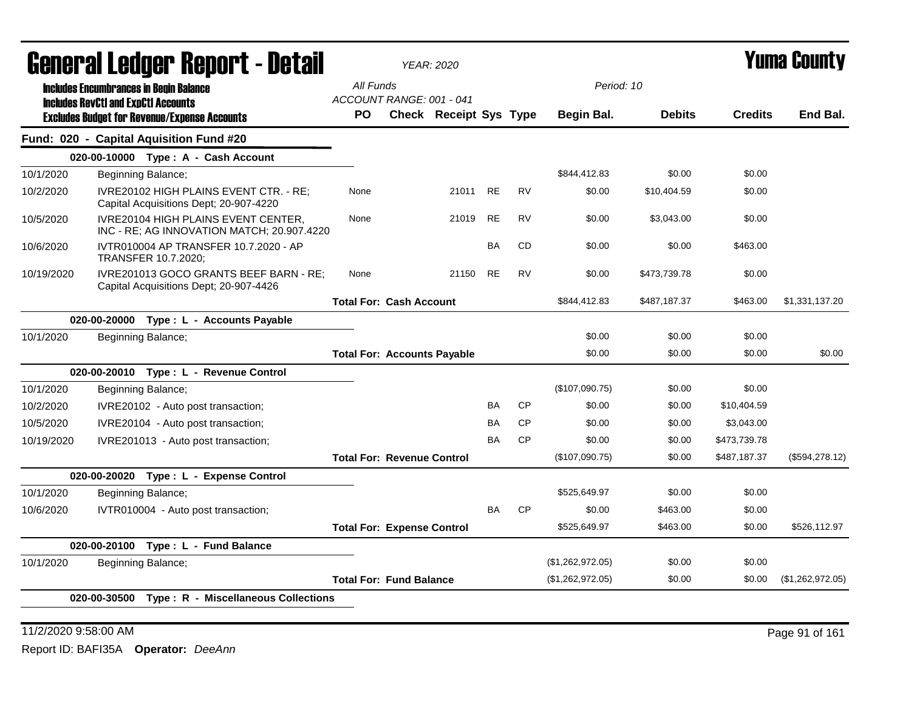| General Ledger Report - Detail |                                                                                   |                                    | <b>YEAR: 2020</b> |                        |           |           |                  |               |                | Yuma Countv      |
|--------------------------------|-----------------------------------------------------------------------------------|------------------------------------|-------------------|------------------------|-----------|-----------|------------------|---------------|----------------|------------------|
|                                | <b>Includes Encumbrances in Begin Balance</b>                                     | All Funds                          |                   |                        |           |           | Period: 10       |               |                |                  |
|                                | <b>Includes RevCtI and ExpCtI Accounts</b>                                        | ACCOUNT RANGE: 001 - 041           |                   |                        |           |           |                  |               |                |                  |
|                                | <b>Excludes Budget for Revenue/Expense Accounts</b>                               | PO.                                |                   | Check Receipt Sys Type |           |           | Begin Bal.       | <b>Debits</b> | <b>Credits</b> | End Bal.         |
|                                | Fund: 020 - Capital Aquisition Fund #20                                           |                                    |                   |                        |           |           |                  |               |                |                  |
|                                | 020-00-10000 Type: A - Cash Account                                               |                                    |                   |                        |           |           |                  |               |                |                  |
| 10/1/2020                      | Beginning Balance;                                                                |                                    |                   |                        |           |           | \$844,412.83     | \$0.00        | \$0.00         |                  |
| 10/2/2020                      | IVRE20102 HIGH PLAINS EVENT CTR. - RE;<br>Capital Acquisitions Dept; 20-907-4220  | None                               |                   | 21011 RE               |           | <b>RV</b> | \$0.00           | \$10,404.59   | \$0.00         |                  |
| 10/5/2020                      | IVRE20104 HIGH PLAINS EVENT CENTER,<br>INC - RE; AG INNOVATION MATCH; 20.907.4220 | None                               |                   | 21019                  | <b>RE</b> | <b>RV</b> | \$0.00           | \$3,043.00    | \$0.00         |                  |
| 10/6/2020                      | IVTR010004 AP TRANSFER 10.7.2020 - AP<br>TRANSFER 10.7.2020;                      |                                    |                   |                        | <b>BA</b> | <b>CD</b> | \$0.00           | \$0.00        | \$463.00       |                  |
| 10/19/2020                     | IVRE201013 GOCO GRANTS BEEF BARN - RE;<br>Capital Acquisitions Dept; 20-907-4426  | None                               |                   | 21150                  | <b>RE</b> | <b>RV</b> | \$0.00           | \$473,739.78  | \$0.00         |                  |
|                                |                                                                                   | <b>Total For: Cash Account</b>     |                   |                        |           |           | \$844,412.83     | \$487,187.37  | \$463.00       | \$1,331,137.20   |
|                                | 020-00-20000 Type: L - Accounts Payable                                           |                                    |                   |                        |           |           |                  |               |                |                  |
| 10/1/2020                      | Beginning Balance;                                                                |                                    |                   |                        |           |           | \$0.00           | \$0.00        | \$0.00         |                  |
|                                |                                                                                   | <b>Total For: Accounts Payable</b> |                   |                        |           |           | \$0.00           | \$0.00        | \$0.00         | \$0.00           |
|                                | 020-00-20010 Type: L - Revenue Control                                            |                                    |                   |                        |           |           |                  |               |                |                  |
| 10/1/2020                      | Beginning Balance;                                                                |                                    |                   |                        |           |           | (\$107,090.75)   | \$0.00        | \$0.00         |                  |
| 10/2/2020                      | IVRE20102 - Auto post transaction;                                                |                                    |                   |                        | <b>BA</b> | <b>CP</b> | \$0.00           | \$0.00        | \$10,404.59    |                  |
| 10/5/2020                      | IVRE20104 - Auto post transaction;                                                |                                    |                   |                        | BA        | <b>CP</b> | \$0.00           | \$0.00        | \$3,043.00     |                  |
| 10/19/2020                     | IVRE201013 - Auto post transaction;                                               |                                    |                   |                        | <b>BA</b> | <b>CP</b> | \$0.00           | \$0.00        | \$473,739.78   |                  |
|                                |                                                                                   | <b>Total For: Revenue Control</b>  |                   |                        |           |           | (\$107,090.75)   | \$0.00        | \$487,187.37   | (\$594, 278.12)  |
|                                | 020-00-20020 Type: L - Expense Control                                            |                                    |                   |                        |           |           |                  |               |                |                  |
| 10/1/2020                      | Beginning Balance;                                                                |                                    |                   |                        |           |           | \$525,649.97     | \$0.00        | \$0.00         |                  |
| 10/6/2020                      | IVTR010004 - Auto post transaction;                                               |                                    |                   |                        | BA        | <b>CP</b> | \$0.00           | \$463.00      | \$0.00         |                  |
|                                |                                                                                   | <b>Total For: Expense Control</b>  |                   |                        |           |           | \$525,649.97     | \$463.00      | \$0.00         | \$526,112.97     |
|                                | 020-00-20100 Type: L - Fund Balance                                               |                                    |                   |                        |           |           |                  |               |                |                  |
| 10/1/2020                      | Beginning Balance;                                                                |                                    |                   |                        |           |           | (\$1,262,972.05) | \$0.00        | \$0.00         |                  |
|                                |                                                                                   | <b>Total For: Fund Balance</b>     |                   |                        |           |           | (\$1,262,972.05) | \$0.00        | \$0.00         | (\$1,262,972.05) |
|                                | 020-00-30500 Type: R - Miscellaneous Collections                                  |                                    |                   |                        |           |           |                  |               |                |                  |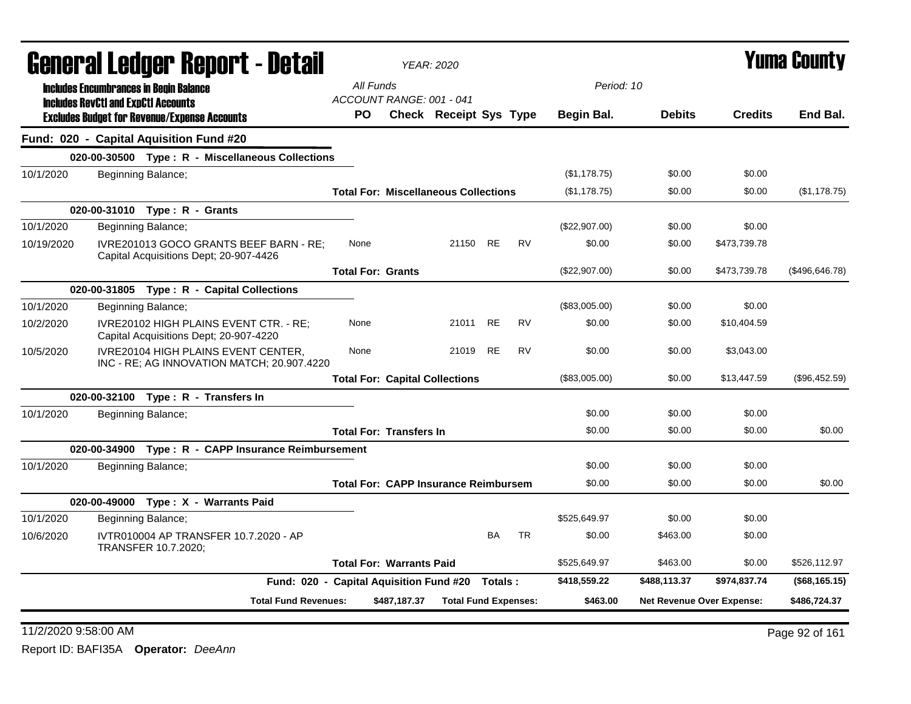| General Ledger Report - Detail |                                                                                   |                                                 |              | <b>YEAR: 2020</b>                           |           |           |               |                           | Yuma County    |                  |
|--------------------------------|-----------------------------------------------------------------------------------|-------------------------------------------------|--------------|---------------------------------------------|-----------|-----------|---------------|---------------------------|----------------|------------------|
|                                | <b>Includes Encumbrances in Begin Balance</b>                                     | All Funds                                       |              |                                             |           |           | Period: 10    |                           |                |                  |
|                                | <b>Includes RevCtI and ExpCtI Accounts</b>                                        | ACCOUNT RANGE: 001 - 041                        |              |                                             |           |           |               |                           |                |                  |
|                                | <b>Excludes Budget for Revenue/Expense Accounts</b>                               | PO.                                             |              | Check Receipt Sys Type                      |           |           | Begin Bal.    | <b>Debits</b>             | <b>Credits</b> | End Bal.         |
|                                | Fund: 020 - Capital Aquisition Fund #20                                           |                                                 |              |                                             |           |           |               |                           |                |                  |
|                                | 020-00-30500 Type: R - Miscellaneous Collections                                  |                                                 |              |                                             |           |           |               |                           |                |                  |
| 10/1/2020                      | Beginning Balance;                                                                |                                                 |              |                                             |           |           | (\$1,178.75)  | \$0.00                    | \$0.00         |                  |
|                                |                                                                                   |                                                 |              | <b>Total For: Miscellaneous Collections</b> |           |           | (\$1,178.75)  | \$0.00                    | \$0.00         | (\$1,178.75)     |
|                                | 020-00-31010 Type: R - Grants                                                     |                                                 |              |                                             |           |           |               |                           |                |                  |
| 10/1/2020                      | Beginning Balance;                                                                |                                                 |              |                                             |           |           | (\$22,907.00) | \$0.00                    | \$0.00         |                  |
| 10/19/2020                     | IVRE201013 GOCO GRANTS BEEF BARN - RE:<br>Capital Acquisitions Dept; 20-907-4426  | None                                            |              | 21150 RE                                    |           | <b>RV</b> | \$0.00        | \$0.00                    | \$473,739.78   |                  |
|                                |                                                                                   | <b>Total For: Grants</b>                        |              |                                             |           |           | (\$22,907.00) | \$0.00                    | \$473,739.78   | (\$496,646.78)   |
|                                | 020-00-31805 Type: R - Capital Collections                                        |                                                 |              |                                             |           |           |               |                           |                |                  |
| 10/1/2020                      | Beginning Balance;                                                                |                                                 |              |                                             |           |           | (\$83,005.00) | \$0.00                    | \$0.00         |                  |
| 10/2/2020                      | IVRE20102 HIGH PLAINS EVENT CTR. - RE;<br>Capital Acquisitions Dept; 20-907-4220  | None                                            |              | 21011 RE                                    |           | <b>RV</b> | \$0.00        | \$0.00                    | \$10,404.59    |                  |
| 10/5/2020                      | IVRE20104 HIGH PLAINS EVENT CENTER,<br>INC - RE; AG INNOVATION MATCH; 20.907.4220 | None                                            |              | 21019                                       | <b>RE</b> | <b>RV</b> | \$0.00        | \$0.00                    | \$3,043.00     |                  |
|                                |                                                                                   |                                                 |              | <b>Total For: Capital Collections</b>       |           |           | (\$83,005.00) | \$0.00                    | \$13,447.59    | (\$96,452.59)    |
|                                | 020-00-32100 Type: R - Transfers In                                               |                                                 |              |                                             |           |           |               |                           |                |                  |
| 10/1/2020                      | Beginning Balance;                                                                |                                                 |              |                                             |           |           | \$0.00        | \$0.00                    | \$0.00         |                  |
|                                |                                                                                   | <b>Total For: Transfers In</b>                  |              |                                             |           |           | \$0.00        | \$0.00                    | \$0.00         | \$0.00           |
|                                | 020-00-34900 Type: R - CAPP Insurance Reimbursement                               |                                                 |              |                                             |           |           |               |                           |                |                  |
| 10/1/2020                      | Beginning Balance;                                                                |                                                 |              |                                             |           |           | \$0.00        | \$0.00                    | \$0.00         |                  |
|                                |                                                                                   |                                                 |              | <b>Total For: CAPP Insurance Reimbursem</b> |           |           | \$0.00        | \$0.00                    | \$0.00         | \$0.00           |
|                                | 020-00-49000 Type: X - Warrants Paid                                              |                                                 |              |                                             |           |           |               |                           |                |                  |
| 10/1/2020                      | Beginning Balance;                                                                |                                                 |              |                                             |           |           | \$525,649.97  | \$0.00                    | \$0.00         |                  |
| 10/6/2020                      | IVTR010004 AP TRANSFER 10.7.2020 - AP<br>TRANSFER 10.7.2020;                      |                                                 |              |                                             | <b>BA</b> | <b>TR</b> | \$0.00        | \$463.00                  | \$0.00         |                  |
|                                |                                                                                   | <b>Total For: Warrants Paid</b>                 |              |                                             |           |           | \$525,649.97  | \$463.00                  | \$0.00         | \$526,112.97     |
|                                |                                                                                   | Fund: 020 - Capital Aquisition Fund #20 Totals: |              |                                             |           |           | \$418,559.22  | \$488,113.37              | \$974,837.74   | $($ \$68,165.15) |
|                                | <b>Total Fund Revenues:</b>                                                       |                                                 | \$487,187.37 | <b>Total Fund Expenses:</b>                 |           |           | \$463.00      | Net Revenue Over Expense: |                | \$486,724.37     |

### 11/2/2020 9:58:00 AM Page 92 of 161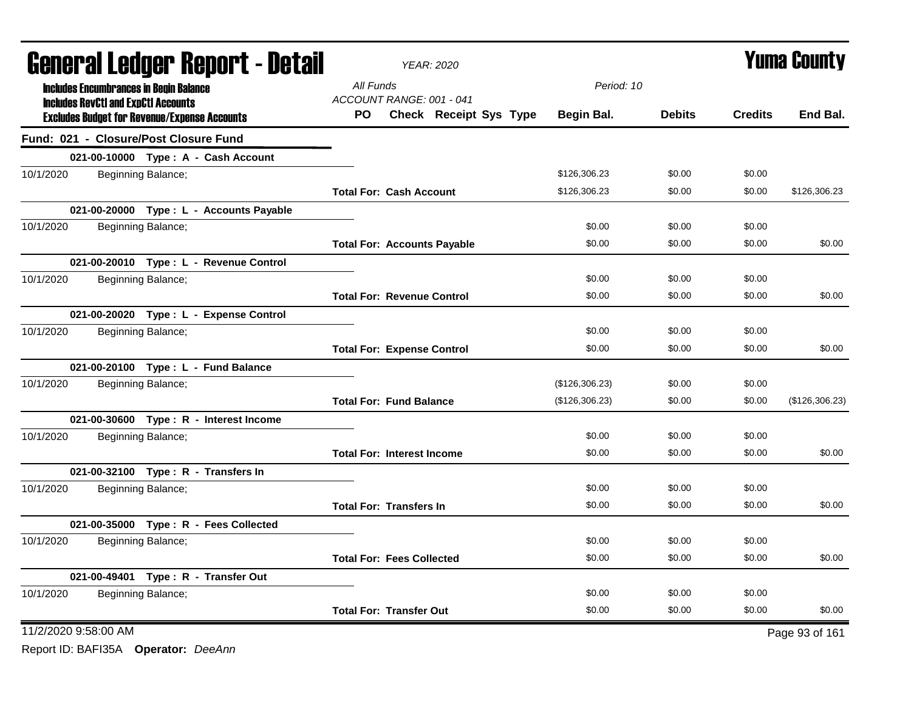| <b>General Ledger Report - Detail</b> |  |                                                                                                   | YEAR: 2020                         | <b>Yuma County</b>     |                |               |                |                |
|---------------------------------------|--|---------------------------------------------------------------------------------------------------|------------------------------------|------------------------|----------------|---------------|----------------|----------------|
|                                       |  | <b>Includes Encumbrances in Begin Balance</b>                                                     | All Funds                          |                        | Period: 10     |               |                |                |
|                                       |  | <b>Includes RevCtI and ExpCtI Accounts</b><br><b>Excludes Budget for Revenue/Expense Accounts</b> | ACCOUNT RANGE: 001 - 041<br>PO.    | Check Receipt Sys Type | Begin Bal.     | <b>Debits</b> | <b>Credits</b> | End Bal.       |
|                                       |  | Fund: 021 - Closure/Post Closure Fund                                                             |                                    |                        |                |               |                |                |
|                                       |  | 021-00-10000 Type: A - Cash Account                                                               |                                    |                        |                |               |                |                |
| 10/1/2020                             |  | Beginning Balance;                                                                                |                                    |                        | \$126,306.23   | \$0.00        | \$0.00         |                |
|                                       |  |                                                                                                   | <b>Total For: Cash Account</b>     |                        | \$126,306.23   | \$0.00        | \$0.00         | \$126,306.23   |
|                                       |  | 021-00-20000 Type: L - Accounts Payable                                                           |                                    |                        |                |               |                |                |
| 10/1/2020                             |  | Beginning Balance;                                                                                |                                    |                        | \$0.00         | \$0.00        | \$0.00         |                |
|                                       |  |                                                                                                   | <b>Total For: Accounts Payable</b> |                        | \$0.00         | \$0.00        | \$0.00         | \$0.00         |
|                                       |  | 021-00-20010 Type: L - Revenue Control                                                            |                                    |                        |                |               |                |                |
| 10/1/2020                             |  | Beginning Balance;                                                                                |                                    |                        | \$0.00         | \$0.00        | \$0.00         |                |
|                                       |  |                                                                                                   | <b>Total For: Revenue Control</b>  |                        | \$0.00         | \$0.00        | \$0.00         | \$0.00         |
|                                       |  | 021-00-20020 Type: L - Expense Control                                                            |                                    |                        |                |               |                |                |
| 10/1/2020                             |  | Beginning Balance;                                                                                |                                    |                        | \$0.00         | \$0.00        | \$0.00         |                |
|                                       |  |                                                                                                   | <b>Total For: Expense Control</b>  |                        | \$0.00         | \$0.00        | \$0.00         | \$0.00         |
|                                       |  | 021-00-20100 Type: L - Fund Balance                                                               |                                    |                        |                |               |                |                |
| 10/1/2020                             |  | Beginning Balance;                                                                                |                                    |                        | (\$126,306.23) | \$0.00        | \$0.00         |                |
|                                       |  |                                                                                                   | <b>Total For: Fund Balance</b>     |                        | (\$126,306.23) | \$0.00        | \$0.00         | (\$126,306.23) |
|                                       |  | 021-00-30600 Type: R - Interest Income                                                            |                                    |                        |                |               |                |                |
| 10/1/2020                             |  | Beginning Balance;                                                                                |                                    |                        | \$0.00         | \$0.00        | \$0.00         |                |
|                                       |  |                                                                                                   | <b>Total For: Interest Income</b>  |                        | \$0.00         | \$0.00        | \$0.00         | \$0.00         |
|                                       |  | 021-00-32100 Type: R - Transfers In                                                               |                                    |                        |                |               |                |                |
| 10/1/2020                             |  | Beginning Balance;                                                                                |                                    |                        | \$0.00         | \$0.00        | \$0.00         |                |
|                                       |  |                                                                                                   | <b>Total For: Transfers In</b>     |                        | \$0.00         | \$0.00        | \$0.00         | \$0.00         |
|                                       |  | 021-00-35000 Type: R - Fees Collected                                                             |                                    |                        |                |               |                |                |
| 10/1/2020                             |  | Beginning Balance;                                                                                |                                    |                        | \$0.00         | \$0.00        | \$0.00         |                |
|                                       |  |                                                                                                   | <b>Total For: Fees Collected</b>   |                        | \$0.00         | \$0.00        | \$0.00         | \$0.00         |
|                                       |  | 021-00-49401 Type: R - Transfer Out                                                               |                                    |                        |                |               |                |                |
| 10/1/2020                             |  | Beginning Balance;                                                                                |                                    |                        | \$0.00         | \$0.00        | \$0.00         |                |
|                                       |  |                                                                                                   | <b>Total For: Transfer Out</b>     |                        | \$0.00         | \$0.00        | \$0.00         | \$0.00         |
| 11/2/2020 9:58:00 AM                  |  |                                                                                                   |                                    |                        |                |               |                | Page 93 of 161 |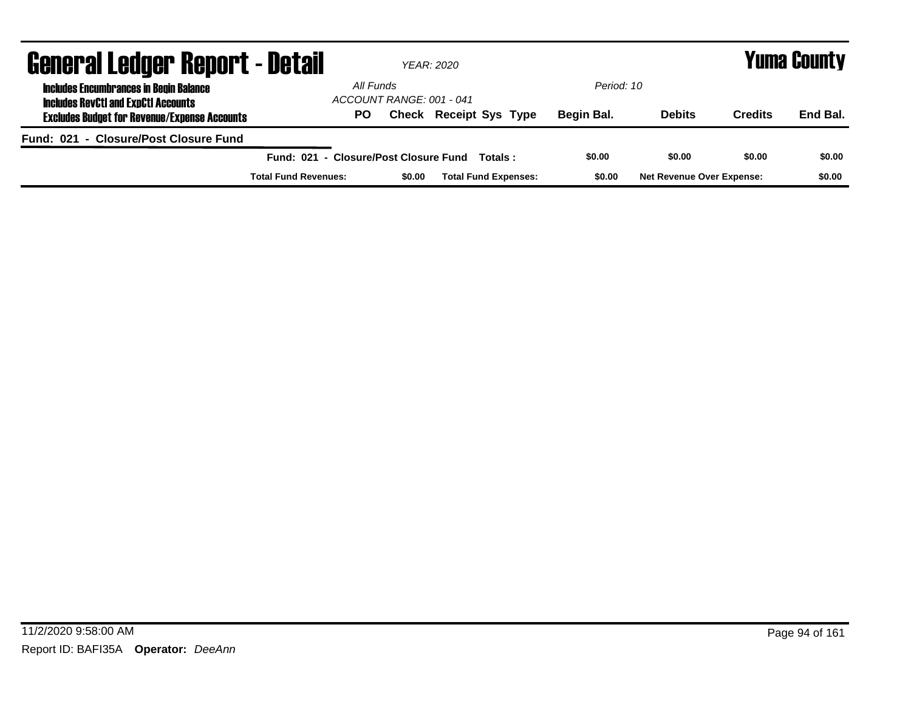| <b>General Ledger Report - Detail</b>                                                       |                                       | <b>YEAR: 2020</b>        |                               |            | <b>Yuma County</b>               |                |          |  |  |
|---------------------------------------------------------------------------------------------|---------------------------------------|--------------------------|-------------------------------|------------|----------------------------------|----------------|----------|--|--|
| <b>Includes Encumbrances in Begin Balance</b><br><b>Includes RevCtI and ExpCtI Accounts</b> | All Funds                             | ACCOUNT RANGE: 001 - 041 |                               | Period: 10 |                                  |                |          |  |  |
| <b>Excludes Budget for Revenue/Expense Accounts</b>                                         | PO.                                   |                          | <b>Check Receipt Sys Type</b> | Begin Bal. | <b>Debits</b>                    | <b>Credits</b> | End Bal. |  |  |
| Fund: 021 - Closure/Post Closure Fund                                                       |                                       |                          |                               |            |                                  |                |          |  |  |
|                                                                                             | Fund: 021 - Closure/Post Closure Fund |                          | Totals :                      | \$0.00     | \$0.00                           | \$0.00         | \$0.00   |  |  |
|                                                                                             | <b>Total Fund Revenues:</b>           | \$0.00                   | <b>Total Fund Expenses:</b>   | \$0.00     | <b>Net Revenue Over Expense:</b> |                | \$0.00   |  |  |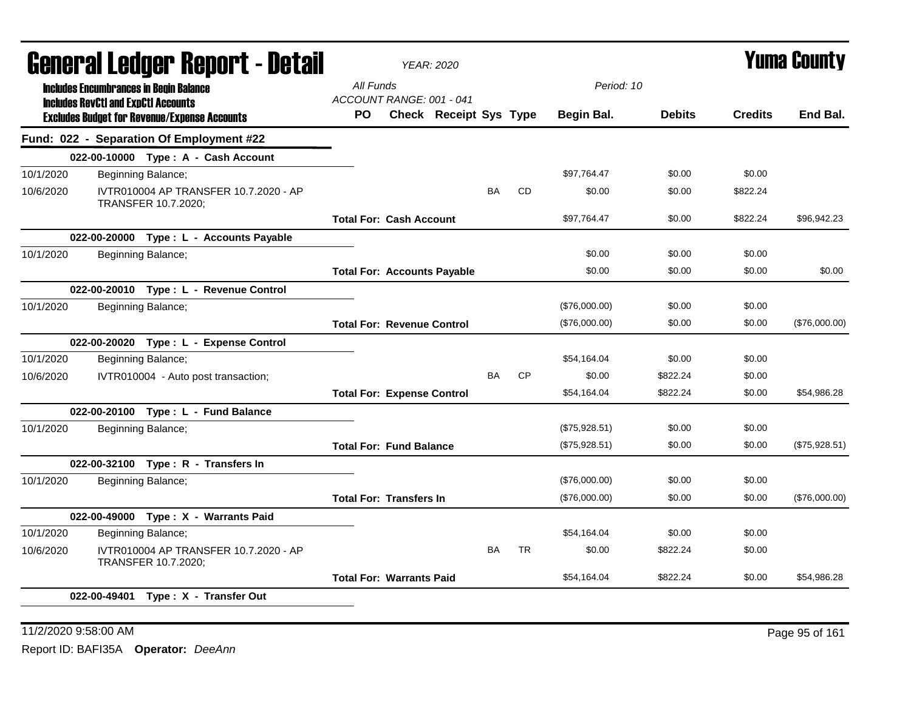|           | Generai Leuger Keport - Detail                                                              |                                       | <b>YEAR: 2020</b>                  |           |           |               |               | <b>Yuma Guunty</b> |               |
|-----------|---------------------------------------------------------------------------------------------|---------------------------------------|------------------------------------|-----------|-----------|---------------|---------------|--------------------|---------------|
|           | <b>Includes Encumbrances in Begin Balance</b><br><b>Includes RevCtI and ExpCtI Accounts</b> | All Funds<br>ACCOUNT RANGE: 001 - 041 |                                    |           |           | Period: 10    |               |                    |               |
|           | <b>Excludes Budget for Revenue/Expense Accounts</b>                                         | PO.                                   | Check Receipt Sys Type             |           |           | Begin Bal.    | <b>Debits</b> | <b>Credits</b>     | End Bal.      |
|           | Fund: 022 - Separation Of Employment #22                                                    |                                       |                                    |           |           |               |               |                    |               |
|           | 022-00-10000 Type: A - Cash Account                                                         |                                       |                                    |           |           |               |               |                    |               |
| 10/1/2020 | Beginning Balance;                                                                          |                                       |                                    |           |           | \$97,764.47   | \$0.00        | \$0.00             |               |
| 10/6/2020 | IVTR010004 AP TRANSFER 10.7.2020 - AP<br>TRANSFER 10.7.2020;                                |                                       |                                    | <b>BA</b> | <b>CD</b> | \$0.00        | \$0.00        | \$822.24           |               |
|           |                                                                                             | <b>Total For: Cash Account</b>        |                                    |           |           | \$97,764.47   | \$0.00        | \$822.24           | \$96,942.23   |
|           | 022-00-20000 Type: L - Accounts Payable                                                     |                                       |                                    |           |           |               |               |                    |               |
| 10/1/2020 | Beginning Balance;                                                                          |                                       |                                    |           |           | \$0.00        | \$0.00        | \$0.00             |               |
|           |                                                                                             |                                       | <b>Total For: Accounts Payable</b> |           |           | \$0.00        | \$0.00        | \$0.00             | \$0.00        |
|           | 022-00-20010 Type: L - Revenue Control                                                      |                                       |                                    |           |           |               |               |                    |               |
| 10/1/2020 | Beginning Balance;                                                                          |                                       |                                    |           |           | (\$76,000.00) | \$0.00        | \$0.00             |               |
|           |                                                                                             | <b>Total For: Revenue Control</b>     |                                    |           |           | (\$76,000.00) | \$0.00        | \$0.00             | (\$76,000.00) |
|           | 022-00-20020 Type: L - Expense Control                                                      |                                       |                                    |           |           |               |               |                    |               |
| 10/1/2020 | Beginning Balance;                                                                          |                                       |                                    |           |           | \$54,164.04   | \$0.00        | \$0.00             |               |
| 10/6/2020 | IVTR010004 - Auto post transaction;                                                         |                                       |                                    | <b>BA</b> | <b>CP</b> | \$0.00        | \$822.24      | \$0.00             |               |
|           |                                                                                             | <b>Total For: Expense Control</b>     |                                    |           |           | \$54,164.04   | \$822.24      | \$0.00             | \$54,986.28   |
|           | 022-00-20100 Type: L - Fund Balance                                                         |                                       |                                    |           |           |               |               |                    |               |
| 10/1/2020 | Beginning Balance;                                                                          |                                       |                                    |           |           | (\$75,928.51) | \$0.00        | \$0.00             |               |
|           |                                                                                             | <b>Total For: Fund Balance</b>        |                                    |           |           | (\$75,928.51) | \$0.00        | \$0.00             | (\$75,928.51) |
|           | 022-00-32100 Type: R - Transfers In                                                         |                                       |                                    |           |           |               |               |                    |               |
| 10/1/2020 | Beginning Balance;                                                                          |                                       |                                    |           |           | (\$76,000.00) | \$0.00        | \$0.00             |               |
|           |                                                                                             | <b>Total For: Transfers In</b>        |                                    |           |           | (\$76,000.00) | \$0.00        | \$0.00             | (\$76,000.00) |
|           | 022-00-49000 Type: X - Warrants Paid                                                        |                                       |                                    |           |           |               |               |                    |               |
| 10/1/2020 | Beginning Balance;                                                                          |                                       |                                    |           |           | \$54,164.04   | \$0.00        | \$0.00             |               |
| 10/6/2020 | IVTR010004 AP TRANSFER 10.7.2020 - AP<br>TRANSFER 10.7.2020;                                |                                       |                                    | <b>BA</b> | <b>TR</b> | \$0.00        | \$822.24      | \$0.00             |               |
|           |                                                                                             | <b>Total For: Warrants Paid</b>       |                                    |           |           | \$54,164.04   | \$822.24      | \$0.00             | \$54,986.28   |
|           | 022-00-49401 Type: X - Transfer Out                                                         |                                       |                                    |           |           |               |               |                    |               |
|           |                                                                                             |                                       |                                    |           |           |               |               |                    |               |

11/2/2020 9:58:00 AM Page 95 of 161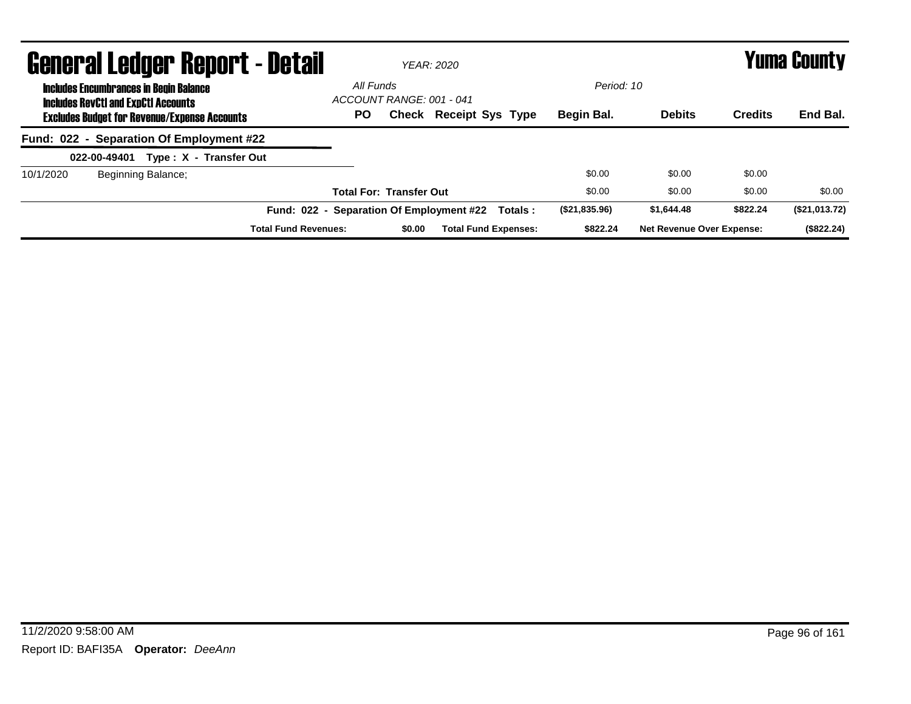| <b>General Ledger Report - Detail</b>                                                       |                                          | <b>YEAR: 2020</b>              |                               |          |               |                                  |                | Yuma County   |
|---------------------------------------------------------------------------------------------|------------------------------------------|--------------------------------|-------------------------------|----------|---------------|----------------------------------|----------------|---------------|
| <b>Includes Encumbrances in Begin Balance</b><br><b>Includes RevCtI and ExpCtI Accounts</b> | All Funds                                | ACCOUNT RANGE: 001 - 041       |                               |          | Period: 10    |                                  |                |               |
| <b>Excludes Budget for Revenue/Expense Accounts</b>                                         | <b>PO</b>                                |                                | <b>Check Receipt Sys Type</b> |          | Begin Bal.    | <b>Debits</b>                    | <b>Credits</b> | End Bal.      |
| Fund: 022 - Separation Of Employment #22                                                    |                                          |                                |                               |          |               |                                  |                |               |
| Type: X - Transfer Out<br>022-00-49401                                                      |                                          |                                |                               |          |               |                                  |                |               |
| Beginning Balance;<br>10/1/2020                                                             |                                          |                                |                               |          | \$0.00        | \$0.00                           | \$0.00         |               |
|                                                                                             |                                          | <b>Total For: Transfer Out</b> |                               |          | \$0.00        | \$0.00                           | \$0.00         | \$0.00        |
|                                                                                             | Fund: 022 - Separation Of Employment #22 |                                |                               | Totals : | (\$21,835.96) | \$1.644.48                       | \$822.24       | (\$21,013.72) |
| <b>Total Fund Revenues:</b>                                                                 |                                          | \$0.00                         | <b>Total Fund Expenses:</b>   |          | \$822.24      | <b>Net Revenue Over Expense:</b> |                | (\$822.24)    |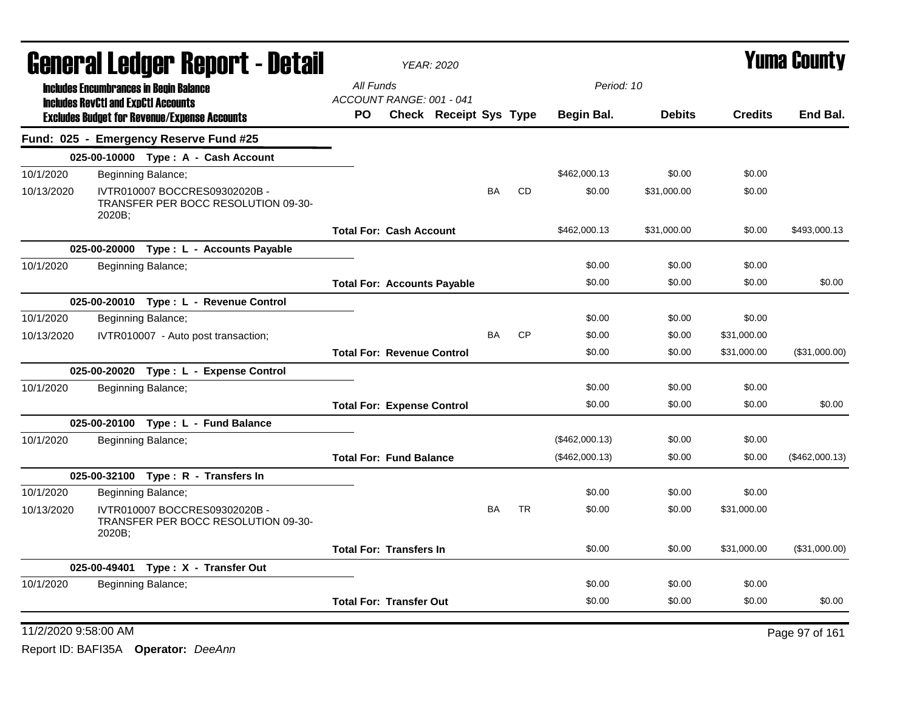| All Funds<br>Period: 10<br><b>Includes Encumbrances in Begin Balance</b><br>ACCOUNT RANGE: 001 - 041<br><b>Includes RevCtI and ExpCtI Accounts</b><br>Check Receipt Sys Type<br><b>Credits</b><br>PO.<br>Begin Bal.<br><b>Debits</b><br><b>Excludes Budget for Revenue/Expense Accounts</b><br>Fund: 025 - Emergency Reserve Fund #25<br>025-00-10000 Type: A - Cash Account<br>\$0.00<br>10/1/2020<br>\$462,000.13<br>\$0.00<br>Beginning Balance;<br>CD<br>IVTR010007 BOCCRES09302020B -<br>BA<br>\$0.00<br>\$31,000.00<br>\$0.00<br>10/13/2020<br>TRANSFER PER BOCC RESOLUTION 09-30-<br>2020B;<br>\$462,000.13<br>\$31,000.00<br>\$0.00<br><b>Total For: Cash Account</b><br>025-00-20000 Type: L - Accounts Payable<br>\$0.00<br>\$0.00<br>10/1/2020<br>Beginning Balance;<br>\$0.00<br>\$0.00<br>\$0.00<br>\$0.00<br><b>Total For: Accounts Payable</b><br>025-00-20010 Type: L - Revenue Control<br>\$0.00<br>\$0.00<br>10/1/2020<br>Beginning Balance;<br>\$0.00<br><b>CP</b><br><b>BA</b><br>\$0.00<br>\$0.00<br>10/13/2020<br>IVTR010007 - Auto post transaction;<br>\$31,000.00<br><b>Total For: Revenue Control</b><br>\$0.00<br>\$0.00<br>\$31,000.00<br>025-00-20020 Type: L - Expense Control<br>10/1/2020<br>Beginning Balance;<br>\$0.00<br>\$0.00<br>\$0.00<br>\$0.00<br>\$0.00<br>\$0.00<br><b>Total For: Expense Control</b><br>025-00-20100 Type: L - Fund Balance<br>\$0.00<br>\$0.00<br>10/1/2020<br>Beginning Balance;<br>(\$462,000.13)<br>(\$462,000.13)<br>\$0.00<br>\$0.00<br><b>Total For: Fund Balance</b><br>025-00-32100 Type: R - Transfers In<br>10/1/2020<br>\$0.00<br>Beginning Balance;<br>\$0.00<br>\$0.00<br><b>TR</b><br>IVTR010007 BOCCRES09302020B -<br>BA<br>\$0.00<br>\$0.00<br>\$31,000.00<br>10/13/2020<br>TRANSFER PER BOCC RESOLUTION 09-30-<br>2020B;<br><b>Total For: Transfers In</b><br>\$0.00<br>\$0.00<br>\$31,000.00<br>025-00-49401 Type: X - Transfer Out<br>\$0.00<br>\$0.00<br>\$0.00<br>10/1/2020<br>Beginning Balance; |  | General Ledger Report - Detail |  | <b>YEAR: 2020</b> |  |        |        |        | <b>Yuma County</b> |
|-------------------------------------------------------------------------------------------------------------------------------------------------------------------------------------------------------------------------------------------------------------------------------------------------------------------------------------------------------------------------------------------------------------------------------------------------------------------------------------------------------------------------------------------------------------------------------------------------------------------------------------------------------------------------------------------------------------------------------------------------------------------------------------------------------------------------------------------------------------------------------------------------------------------------------------------------------------------------------------------------------------------------------------------------------------------------------------------------------------------------------------------------------------------------------------------------------------------------------------------------------------------------------------------------------------------------------------------------------------------------------------------------------------------------------------------------------------------------------------------------------------------------------------------------------------------------------------------------------------------------------------------------------------------------------------------------------------------------------------------------------------------------------------------------------------------------------------------------------------------------------------------------------------------------------------------------------------------------------------|--|--------------------------------|--|-------------------|--|--------|--------|--------|--------------------|
|                                                                                                                                                                                                                                                                                                                                                                                                                                                                                                                                                                                                                                                                                                                                                                                                                                                                                                                                                                                                                                                                                                                                                                                                                                                                                                                                                                                                                                                                                                                                                                                                                                                                                                                                                                                                                                                                                                                                                                                     |  |                                |  |                   |  |        |        |        |                    |
|                                                                                                                                                                                                                                                                                                                                                                                                                                                                                                                                                                                                                                                                                                                                                                                                                                                                                                                                                                                                                                                                                                                                                                                                                                                                                                                                                                                                                                                                                                                                                                                                                                                                                                                                                                                                                                                                                                                                                                                     |  |                                |  |                   |  |        |        |        | End Bal.           |
|                                                                                                                                                                                                                                                                                                                                                                                                                                                                                                                                                                                                                                                                                                                                                                                                                                                                                                                                                                                                                                                                                                                                                                                                                                                                                                                                                                                                                                                                                                                                                                                                                                                                                                                                                                                                                                                                                                                                                                                     |  |                                |  |                   |  |        |        |        |                    |
|                                                                                                                                                                                                                                                                                                                                                                                                                                                                                                                                                                                                                                                                                                                                                                                                                                                                                                                                                                                                                                                                                                                                                                                                                                                                                                                                                                                                                                                                                                                                                                                                                                                                                                                                                                                                                                                                                                                                                                                     |  |                                |  |                   |  |        |        |        |                    |
|                                                                                                                                                                                                                                                                                                                                                                                                                                                                                                                                                                                                                                                                                                                                                                                                                                                                                                                                                                                                                                                                                                                                                                                                                                                                                                                                                                                                                                                                                                                                                                                                                                                                                                                                                                                                                                                                                                                                                                                     |  |                                |  |                   |  |        |        |        |                    |
|                                                                                                                                                                                                                                                                                                                                                                                                                                                                                                                                                                                                                                                                                                                                                                                                                                                                                                                                                                                                                                                                                                                                                                                                                                                                                                                                                                                                                                                                                                                                                                                                                                                                                                                                                                                                                                                                                                                                                                                     |  |                                |  |                   |  |        |        |        |                    |
|                                                                                                                                                                                                                                                                                                                                                                                                                                                                                                                                                                                                                                                                                                                                                                                                                                                                                                                                                                                                                                                                                                                                                                                                                                                                                                                                                                                                                                                                                                                                                                                                                                                                                                                                                                                                                                                                                                                                                                                     |  |                                |  |                   |  |        |        |        | \$493,000.13       |
|                                                                                                                                                                                                                                                                                                                                                                                                                                                                                                                                                                                                                                                                                                                                                                                                                                                                                                                                                                                                                                                                                                                                                                                                                                                                                                                                                                                                                                                                                                                                                                                                                                                                                                                                                                                                                                                                                                                                                                                     |  |                                |  |                   |  |        |        |        |                    |
|                                                                                                                                                                                                                                                                                                                                                                                                                                                                                                                                                                                                                                                                                                                                                                                                                                                                                                                                                                                                                                                                                                                                                                                                                                                                                                                                                                                                                                                                                                                                                                                                                                                                                                                                                                                                                                                                                                                                                                                     |  |                                |  |                   |  |        |        |        |                    |
|                                                                                                                                                                                                                                                                                                                                                                                                                                                                                                                                                                                                                                                                                                                                                                                                                                                                                                                                                                                                                                                                                                                                                                                                                                                                                                                                                                                                                                                                                                                                                                                                                                                                                                                                                                                                                                                                                                                                                                                     |  |                                |  |                   |  |        |        |        | \$0.00             |
|                                                                                                                                                                                                                                                                                                                                                                                                                                                                                                                                                                                                                                                                                                                                                                                                                                                                                                                                                                                                                                                                                                                                                                                                                                                                                                                                                                                                                                                                                                                                                                                                                                                                                                                                                                                                                                                                                                                                                                                     |  |                                |  |                   |  |        |        |        |                    |
|                                                                                                                                                                                                                                                                                                                                                                                                                                                                                                                                                                                                                                                                                                                                                                                                                                                                                                                                                                                                                                                                                                                                                                                                                                                                                                                                                                                                                                                                                                                                                                                                                                                                                                                                                                                                                                                                                                                                                                                     |  |                                |  |                   |  |        |        |        |                    |
|                                                                                                                                                                                                                                                                                                                                                                                                                                                                                                                                                                                                                                                                                                                                                                                                                                                                                                                                                                                                                                                                                                                                                                                                                                                                                                                                                                                                                                                                                                                                                                                                                                                                                                                                                                                                                                                                                                                                                                                     |  |                                |  |                   |  |        |        |        |                    |
|                                                                                                                                                                                                                                                                                                                                                                                                                                                                                                                                                                                                                                                                                                                                                                                                                                                                                                                                                                                                                                                                                                                                                                                                                                                                                                                                                                                                                                                                                                                                                                                                                                                                                                                                                                                                                                                                                                                                                                                     |  |                                |  |                   |  |        |        |        | (\$31,000.00)      |
|                                                                                                                                                                                                                                                                                                                                                                                                                                                                                                                                                                                                                                                                                                                                                                                                                                                                                                                                                                                                                                                                                                                                                                                                                                                                                                                                                                                                                                                                                                                                                                                                                                                                                                                                                                                                                                                                                                                                                                                     |  |                                |  |                   |  |        |        |        |                    |
|                                                                                                                                                                                                                                                                                                                                                                                                                                                                                                                                                                                                                                                                                                                                                                                                                                                                                                                                                                                                                                                                                                                                                                                                                                                                                                                                                                                                                                                                                                                                                                                                                                                                                                                                                                                                                                                                                                                                                                                     |  |                                |  |                   |  |        |        |        |                    |
|                                                                                                                                                                                                                                                                                                                                                                                                                                                                                                                                                                                                                                                                                                                                                                                                                                                                                                                                                                                                                                                                                                                                                                                                                                                                                                                                                                                                                                                                                                                                                                                                                                                                                                                                                                                                                                                                                                                                                                                     |  |                                |  |                   |  |        |        |        | \$0.00             |
|                                                                                                                                                                                                                                                                                                                                                                                                                                                                                                                                                                                                                                                                                                                                                                                                                                                                                                                                                                                                                                                                                                                                                                                                                                                                                                                                                                                                                                                                                                                                                                                                                                                                                                                                                                                                                                                                                                                                                                                     |  |                                |  |                   |  |        |        |        |                    |
|                                                                                                                                                                                                                                                                                                                                                                                                                                                                                                                                                                                                                                                                                                                                                                                                                                                                                                                                                                                                                                                                                                                                                                                                                                                                                                                                                                                                                                                                                                                                                                                                                                                                                                                                                                                                                                                                                                                                                                                     |  |                                |  |                   |  |        |        |        |                    |
|                                                                                                                                                                                                                                                                                                                                                                                                                                                                                                                                                                                                                                                                                                                                                                                                                                                                                                                                                                                                                                                                                                                                                                                                                                                                                                                                                                                                                                                                                                                                                                                                                                                                                                                                                                                                                                                                                                                                                                                     |  |                                |  |                   |  |        |        |        | (\$462,000.13)     |
|                                                                                                                                                                                                                                                                                                                                                                                                                                                                                                                                                                                                                                                                                                                                                                                                                                                                                                                                                                                                                                                                                                                                                                                                                                                                                                                                                                                                                                                                                                                                                                                                                                                                                                                                                                                                                                                                                                                                                                                     |  |                                |  |                   |  |        |        |        |                    |
|                                                                                                                                                                                                                                                                                                                                                                                                                                                                                                                                                                                                                                                                                                                                                                                                                                                                                                                                                                                                                                                                                                                                                                                                                                                                                                                                                                                                                                                                                                                                                                                                                                                                                                                                                                                                                                                                                                                                                                                     |  |                                |  |                   |  |        |        |        |                    |
|                                                                                                                                                                                                                                                                                                                                                                                                                                                                                                                                                                                                                                                                                                                                                                                                                                                                                                                                                                                                                                                                                                                                                                                                                                                                                                                                                                                                                                                                                                                                                                                                                                                                                                                                                                                                                                                                                                                                                                                     |  |                                |  |                   |  |        |        |        |                    |
|                                                                                                                                                                                                                                                                                                                                                                                                                                                                                                                                                                                                                                                                                                                                                                                                                                                                                                                                                                                                                                                                                                                                                                                                                                                                                                                                                                                                                                                                                                                                                                                                                                                                                                                                                                                                                                                                                                                                                                                     |  |                                |  |                   |  |        |        |        | (\$31,000.00)      |
|                                                                                                                                                                                                                                                                                                                                                                                                                                                                                                                                                                                                                                                                                                                                                                                                                                                                                                                                                                                                                                                                                                                                                                                                                                                                                                                                                                                                                                                                                                                                                                                                                                                                                                                                                                                                                                                                                                                                                                                     |  |                                |  |                   |  |        |        |        |                    |
|                                                                                                                                                                                                                                                                                                                                                                                                                                                                                                                                                                                                                                                                                                                                                                                                                                                                                                                                                                                                                                                                                                                                                                                                                                                                                                                                                                                                                                                                                                                                                                                                                                                                                                                                                                                                                                                                                                                                                                                     |  |                                |  |                   |  |        |        |        |                    |
| <b>Total For: Transfer Out</b>                                                                                                                                                                                                                                                                                                                                                                                                                                                                                                                                                                                                                                                                                                                                                                                                                                                                                                                                                                                                                                                                                                                                                                                                                                                                                                                                                                                                                                                                                                                                                                                                                                                                                                                                                                                                                                                                                                                                                      |  |                                |  |                   |  | \$0.00 | \$0.00 | \$0.00 | \$0.00             |

11/2/2020 9:58:00 AM Page 97 of 161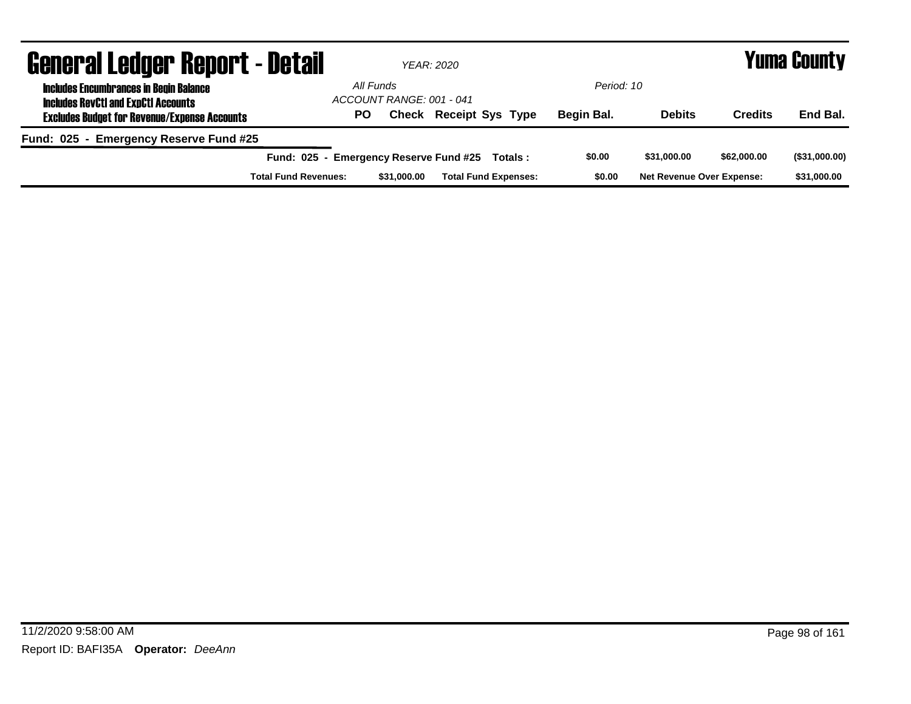| <b>General Ledger Report - Detail</b>                                                       |                                       |             | YEAR: 2020                    |            | <b>Yuma County</b>               |                |               |  |
|---------------------------------------------------------------------------------------------|---------------------------------------|-------------|-------------------------------|------------|----------------------------------|----------------|---------------|--|
| <b>Includes Encumbrances in Begin Balance</b><br><b>Includes RevCtI and ExpCtI Accounts</b> | All Funds<br>ACCOUNT RANGE: 001 - 041 |             |                               | Period: 10 |                                  |                |               |  |
| <b>Excludes Budget for Revenue/Expense Accounts</b>                                         | <b>PO</b>                             |             | <b>Check Receipt Sys Type</b> | Begin Bal. | <b>Debits</b>                    | <b>Credits</b> | End Bal.      |  |
| Fund: 025 - Emergency Reserve Fund #25                                                      |                                       |             |                               |            |                                  |                |               |  |
| Fund: 025 - Emergency Reserve Fund #25                                                      |                                       |             | Totals :                      | \$0.00     | \$31,000,00                      | \$62,000.00    | (\$31,000.00) |  |
| <b>Total Fund Revenues:</b>                                                                 |                                       | \$31,000,00 | <b>Total Fund Expenses:</b>   | \$0.00     | <b>Net Revenue Over Expense:</b> |                | \$31,000.00   |  |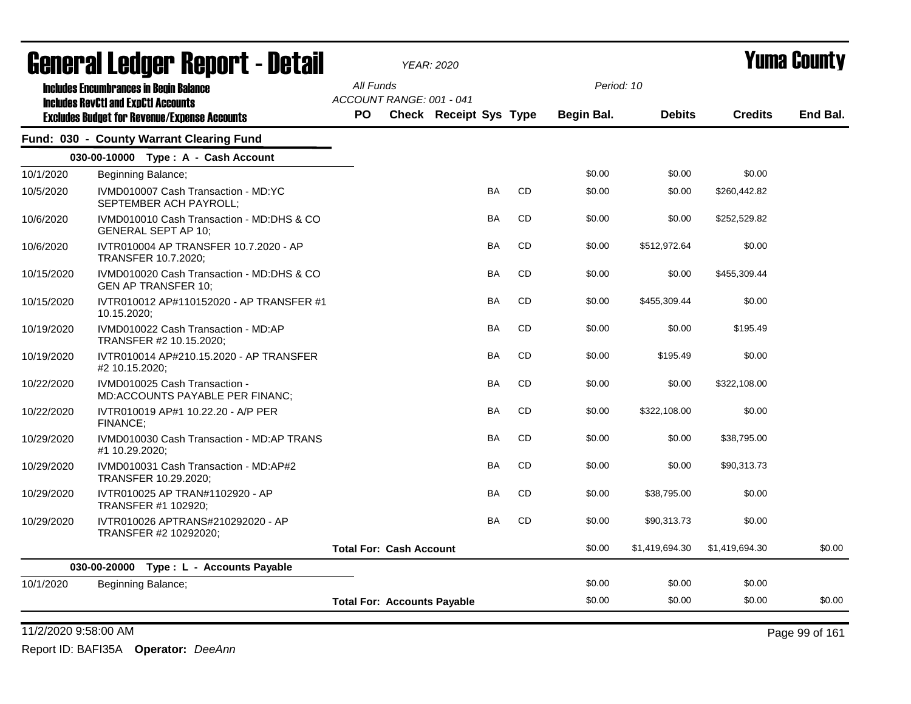|            | agiigi.si fanñai. urbol.f - Dafsii                                                          | <b>YEAR: 2020</b> |                                    |                               |           |           | T UIIIA GUUIILY   |                |                |          |
|------------|---------------------------------------------------------------------------------------------|-------------------|------------------------------------|-------------------------------|-----------|-----------|-------------------|----------------|----------------|----------|
|            | <b>Includes Encumbrances in Begin Balance</b><br><b>Includes RevCtI and ExpCtI Accounts</b> | All Funds         | ACCOUNT RANGE: 001 - 041           |                               |           |           | Period: 10        |                |                |          |
|            | <b>Excludes Budget for Revenue/Expense Accounts</b>                                         | <b>PO</b>         |                                    | <b>Check Receipt Sys Type</b> |           |           | <b>Begin Bal.</b> | <b>Debits</b>  | <b>Credits</b> | End Bal. |
|            | Fund: 030 - County Warrant Clearing Fund                                                    |                   |                                    |                               |           |           |                   |                |                |          |
|            | 030-00-10000 Type: A - Cash Account                                                         |                   |                                    |                               |           |           |                   |                |                |          |
| 10/1/2020  | Beginning Balance;                                                                          |                   |                                    |                               |           |           | \$0.00            | \$0.00         | \$0.00         |          |
| 10/5/2020  | IVMD010007 Cash Transaction - MD:YC<br>SEPTEMBER ACH PAYROLL;                               |                   |                                    |                               | BA        | CD        | \$0.00            | \$0.00         | \$260,442.82   |          |
| 10/6/2020  | IVMD010010 Cash Transaction - MD:DHS & CO<br><b>GENERAL SEPT AP 10;</b>                     |                   |                                    |                               | BA        | <b>CD</b> | \$0.00            | \$0.00         | \$252,529.82   |          |
| 10/6/2020  | IVTR010004 AP TRANSFER 10.7.2020 - AP<br><b>TRANSFER 10.7.2020;</b>                         |                   |                                    |                               | <b>BA</b> | <b>CD</b> | \$0.00            | \$512,972.64   | \$0.00         |          |
| 10/15/2020 | IVMD010020 Cash Transaction - MD:DHS & CO<br><b>GEN AP TRANSFER 10;</b>                     |                   |                                    |                               | <b>BA</b> | CD        | \$0.00            | \$0.00         | \$455.309.44   |          |
| 10/15/2020 | IVTR010012 AP#110152020 - AP TRANSFER #1<br>10.15.2020;                                     |                   |                                    |                               | <b>BA</b> | CD        | \$0.00            | \$455,309.44   | \$0.00         |          |
| 10/19/2020 | IVMD010022 Cash Transaction - MD:AP<br>TRANSFER #2 10.15.2020;                              |                   |                                    |                               | <b>BA</b> | <b>CD</b> | \$0.00            | \$0.00         | \$195.49       |          |
| 10/19/2020 | IVTR010014 AP#210.15.2020 - AP TRANSFER<br>#2 10.15.2020;                                   |                   |                                    |                               | <b>BA</b> | <b>CD</b> | \$0.00            | \$195.49       | \$0.00         |          |
| 10/22/2020 | IVMD010025 Cash Transaction -<br>MD:ACCOUNTS PAYABLE PER FINANC;                            |                   |                                    |                               | <b>BA</b> | CD        | \$0.00            | \$0.00         | \$322,108.00   |          |
| 10/22/2020 | IVTR010019 AP#1 10.22.20 - A/P PER<br>FINANCE;                                              |                   |                                    |                               | <b>BA</b> | <b>CD</b> | \$0.00            | \$322,108.00   | \$0.00         |          |
| 10/29/2020 | IVMD010030 Cash Transaction - MD:AP TRANS<br>#1 10.29.2020;                                 |                   |                                    |                               | <b>BA</b> | <b>CD</b> | \$0.00            | \$0.00         | \$38,795.00    |          |
| 10/29/2020 | IVMD010031 Cash Transaction - MD:AP#2<br>TRANSFER 10.29.2020;                               |                   |                                    |                               | <b>BA</b> | <b>CD</b> | \$0.00            | \$0.00         | \$90,313.73    |          |
| 10/29/2020 | IVTR010025 AP TRAN#1102920 - AP<br>TRANSFER #1 102920;                                      |                   |                                    |                               | BA        | CD        | \$0.00            | \$38,795.00    | \$0.00         |          |
| 10/29/2020 | IVTR010026 APTRANS#210292020 - AP<br>TRANSFER #2 10292020;                                  |                   |                                    |                               | <b>BA</b> | CD        | \$0.00            | \$90,313.73    | \$0.00         |          |
|            |                                                                                             |                   | <b>Total For: Cash Account</b>     |                               |           |           | \$0.00            | \$1,419,694.30 | \$1,419,694.30 | \$0.00   |
|            | 030-00-20000 Type : L - Accounts Payable                                                    |                   |                                    |                               |           |           |                   |                |                |          |
| 10/1/2020  | Beginning Balance;                                                                          |                   |                                    |                               |           |           | \$0.00            | \$0.00         | \$0.00         |          |
|            |                                                                                             |                   | <b>Total For: Accounts Payable</b> |                               |           |           | \$0.00            | \$0.00         | \$0.00         | \$0.00   |

11/2/2020 9:58:00 AM Page 99 of 161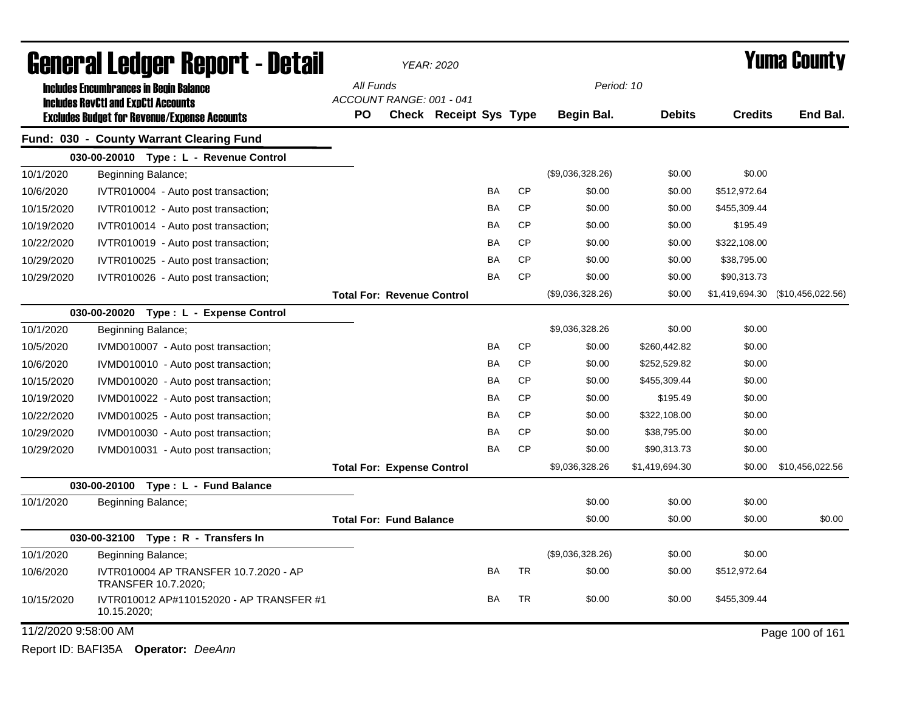|                      | General Ledger Report - Detail                                                                    |           |                                   | YEAR: 2020                    |           |           |                  |                |                | <b>Yuma County</b>               |
|----------------------|---------------------------------------------------------------------------------------------------|-----------|-----------------------------------|-------------------------------|-----------|-----------|------------------|----------------|----------------|----------------------------------|
|                      | <b>Includes Encumbrances in Begin Balance</b>                                                     | All Funds | ACCOUNT RANGE: 001 - 041          |                               |           |           | Period: 10       |                |                |                                  |
|                      | <b>Includes RevCtI and ExpCtI Accounts</b><br><b>Excludes Budget for Revenue/Expense Accounts</b> | PO        |                                   | <b>Check Receipt Sys Type</b> |           |           | Begin Bal.       | <b>Debits</b>  | <b>Credits</b> | End Bal.                         |
|                      | Fund: 030 - County Warrant Clearing Fund                                                          |           |                                   |                               |           |           |                  |                |                |                                  |
|                      | 030-00-20010 Type: L - Revenue Control                                                            |           |                                   |                               |           |           |                  |                |                |                                  |
| 10/1/2020            | Beginning Balance;                                                                                |           |                                   |                               |           |           | (\$9,036,328.26) | \$0.00         | \$0.00         |                                  |
| 10/6/2020            | IVTR010004 - Auto post transaction;                                                               |           |                                   |                               | BA        | <b>CP</b> | \$0.00           | \$0.00         | \$512,972.64   |                                  |
| 10/15/2020           | IVTR010012 - Auto post transaction;                                                               |           |                                   |                               | BA        | <b>CP</b> | \$0.00           | \$0.00         | \$455,309.44   |                                  |
| 10/19/2020           | IVTR010014 - Auto post transaction;                                                               |           |                                   |                               | BA        | <b>CP</b> | \$0.00           | \$0.00         | \$195.49       |                                  |
| 10/22/2020           | IVTR010019 - Auto post transaction;                                                               |           |                                   |                               | BA        | <b>CP</b> | \$0.00           | \$0.00         | \$322,108.00   |                                  |
| 10/29/2020           | IVTR010025 - Auto post transaction;                                                               |           |                                   |                               | BA        | <b>CP</b> | \$0.00           | \$0.00         | \$38,795.00    |                                  |
| 10/29/2020           | IVTR010026 - Auto post transaction;                                                               |           |                                   |                               | BA        | <b>CP</b> | \$0.00           | \$0.00         | \$90,313.73    |                                  |
|                      |                                                                                                   |           | <b>Total For: Revenue Control</b> |                               |           |           | (\$9,036,328.26) | \$0.00         |                | \$1,419,694.30 (\$10,456,022.56) |
|                      | 030-00-20020 Type: L - Expense Control                                                            |           |                                   |                               |           |           |                  |                |                |                                  |
| 10/1/2020            | Beginning Balance;                                                                                |           |                                   |                               |           |           | \$9,036,328.26   | \$0.00         | \$0.00         |                                  |
| 10/5/2020            | IVMD010007 - Auto post transaction;                                                               |           |                                   |                               | BA        | <b>CP</b> | \$0.00           | \$260,442.82   | \$0.00         |                                  |
| 10/6/2020            | IVMD010010 - Auto post transaction;                                                               |           |                                   |                               | BA        | <b>CP</b> | \$0.00           | \$252,529.82   | \$0.00         |                                  |
| 10/15/2020           | IVMD010020 - Auto post transaction;                                                               |           |                                   |                               | BA        | <b>CP</b> | \$0.00           | \$455,309.44   | \$0.00         |                                  |
| 10/19/2020           | IVMD010022 - Auto post transaction;                                                               |           |                                   |                               | BA        | <b>CP</b> | \$0.00           | \$195.49       | \$0.00         |                                  |
| 10/22/2020           | IVMD010025 - Auto post transaction;                                                               |           |                                   |                               | BA        | <b>CP</b> | \$0.00           | \$322,108.00   | \$0.00         |                                  |
| 10/29/2020           | IVMD010030 - Auto post transaction;                                                               |           |                                   |                               | BA        | <b>CP</b> | \$0.00           | \$38,795.00    | \$0.00         |                                  |
| 10/29/2020           | IVMD010031 - Auto post transaction;                                                               |           |                                   |                               | BA        | <b>CP</b> | \$0.00           | \$90,313.73    | \$0.00         |                                  |
|                      |                                                                                                   |           | <b>Total For: Expense Control</b> |                               |           |           | \$9,036,328.26   | \$1,419,694.30 | \$0.00         | \$10,456,022.56                  |
|                      | 030-00-20100<br>Type: L - Fund Balance                                                            |           |                                   |                               |           |           |                  |                |                |                                  |
| 10/1/2020            | Beginning Balance;                                                                                |           |                                   |                               |           |           | \$0.00           | \$0.00         | \$0.00         |                                  |
|                      |                                                                                                   |           | <b>Total For: Fund Balance</b>    |                               |           |           | \$0.00           | \$0.00         | \$0.00         | \$0.00                           |
|                      | 030-00-32100<br>Type: R - Transfers In                                                            |           |                                   |                               |           |           |                  |                |                |                                  |
| 10/1/2020            | Beginning Balance;                                                                                |           |                                   |                               |           |           | (\$9,036,328.26) | \$0.00         | \$0.00         |                                  |
| 10/6/2020            | IVTR010004 AP TRANSFER 10.7.2020 - AP<br>TRANSFER 10.7.2020;                                      |           |                                   |                               | BA        | <b>TR</b> | \$0.00           | \$0.00         | \$512,972.64   |                                  |
| 10/15/2020           | IVTR010012 AP#110152020 - AP TRANSFER #1<br>10.15.2020;                                           |           |                                   |                               | <b>BA</b> | <b>TR</b> | \$0.00           | \$0.00         | \$455,309.44   |                                  |
| 11/2/2020 9:58:00 AM |                                                                                                   |           |                                   |                               |           |           |                  |                |                | Page 100 of 161                  |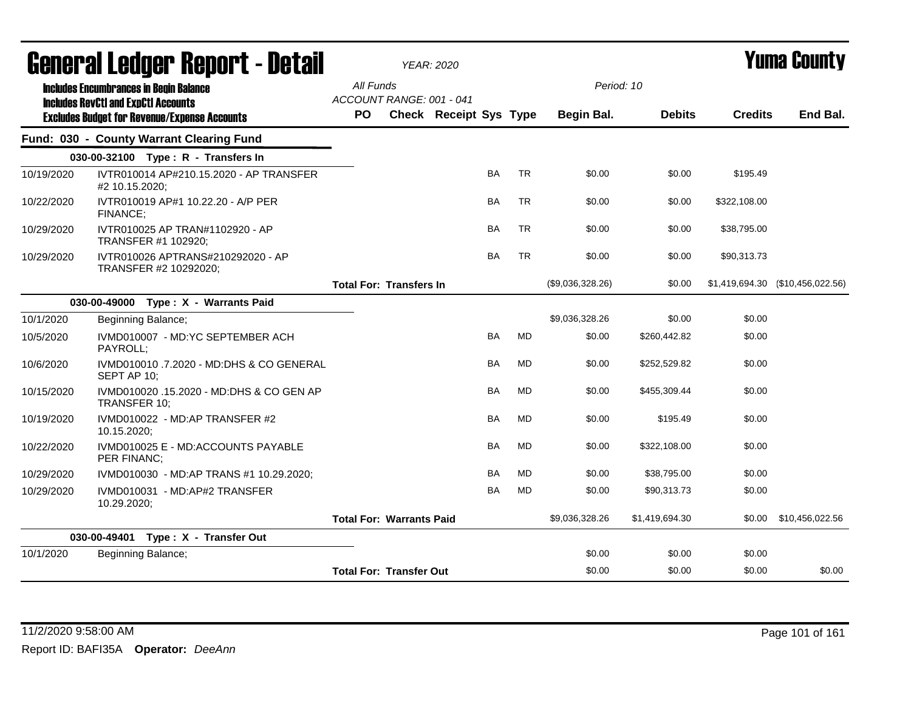|            | <b>General Ledger Report - Detail</b>                                                       |           |                                 | <b>YEAR: 2020</b>             |           |           |                  |                |                | Yuma County                      |
|------------|---------------------------------------------------------------------------------------------|-----------|---------------------------------|-------------------------------|-----------|-----------|------------------|----------------|----------------|----------------------------------|
|            | <b>Includes Encumbrances in Begin Balance</b><br><b>Includes RevCtI and ExpCtI Accounts</b> | All Funds | ACCOUNT RANGE: 001 - 041        |                               |           |           |                  | Period: 10     |                |                                  |
|            | <b>Excludes Budget for Revenue/Expense Accounts</b>                                         | <b>PO</b> |                                 | <b>Check Receipt Sys Type</b> |           |           | Begin Bal.       | <b>Debits</b>  | <b>Credits</b> | End Bal.                         |
|            | Fund: 030 - County Warrant Clearing Fund                                                    |           |                                 |                               |           |           |                  |                |                |                                  |
|            | 030-00-32100 Type: R - Transfers In                                                         |           |                                 |                               |           |           |                  |                |                |                                  |
| 10/19/2020 | IVTR010014 AP#210.15.2020 - AP TRANSFER<br>#2 10.15.2020;                                   |           |                                 |                               | <b>BA</b> | <b>TR</b> | \$0.00           | \$0.00         | \$195.49       |                                  |
| 10/22/2020 | IVTR010019 AP#1 10.22.20 - A/P PER<br>FINANCE:                                              |           |                                 |                               | BA        | <b>TR</b> | \$0.00           | \$0.00         | \$322,108.00   |                                  |
| 10/29/2020 | IVTR010025 AP TRAN#1102920 - AP<br>TRANSFER #1 102920;                                      |           |                                 |                               | <b>BA</b> | <b>TR</b> | \$0.00           | \$0.00         | \$38,795.00    |                                  |
| 10/29/2020 | IVTR010026 APTRANS#210292020 - AP<br>TRANSFER #2 10292020;                                  |           |                                 |                               | <b>BA</b> | <b>TR</b> | \$0.00           | \$0.00         | \$90,313.73    |                                  |
|            |                                                                                             |           | <b>Total For: Transfers In</b>  |                               |           |           | (\$9,036,328.26) | \$0.00         |                | \$1,419,694.30 (\$10,456,022.56) |
|            | 030-00-49000 Type: X - Warrants Paid                                                        |           |                                 |                               |           |           |                  |                |                |                                  |
| 10/1/2020  | Beginning Balance;                                                                          |           |                                 |                               |           |           | \$9,036,328.26   | \$0.00         | \$0.00         |                                  |
| 10/5/2020  | IVMD010007 - MD:YC SEPTEMBER ACH<br>PAYROLL;                                                |           |                                 |                               | BA        | <b>MD</b> | \$0.00           | \$260,442.82   | \$0.00         |                                  |
| 10/6/2020  | IVMD010010 .7.2020 - MD:DHS & CO GENERAL<br>SEPT AP 10;                                     |           |                                 |                               | BA        | <b>MD</b> | \$0.00           | \$252,529.82   | \$0.00         |                                  |
| 10/15/2020 | IVMD010020 .15.2020 - MD:DHS & CO GEN AP<br>TRANSFER 10;                                    |           |                                 |                               | BA        | <b>MD</b> | \$0.00           | \$455,309.44   | \$0.00         |                                  |
| 10/19/2020 | IVMD010022 - MD:AP TRANSFER #2<br>10.15.2020;                                               |           |                                 |                               | <b>BA</b> | MD        | \$0.00           | \$195.49       | \$0.00         |                                  |
| 10/22/2020 | IVMD010025 E - MD:ACCOUNTS PAYABLE<br>PER FINANC;                                           |           |                                 |                               | <b>BA</b> | <b>MD</b> | \$0.00           | \$322,108.00   | \$0.00         |                                  |
| 10/29/2020 | IVMD010030 - MD:AP TRANS #1 10.29.2020;                                                     |           |                                 |                               | BA        | MD        | \$0.00           | \$38,795.00    | \$0.00         |                                  |
| 10/29/2020 | IVMD010031 - MD:AP#2 TRANSFER<br>10.29.2020;                                                |           |                                 |                               | BA        | <b>MD</b> | \$0.00           | \$90,313.73    | \$0.00         |                                  |
|            |                                                                                             |           | <b>Total For: Warrants Paid</b> |                               |           |           | \$9,036,328.26   | \$1,419,694.30 | \$0.00         | \$10,456,022.56                  |
|            | 030-00-49401 Type: X - Transfer Out                                                         |           |                                 |                               |           |           |                  |                |                |                                  |
| 10/1/2020  | Beginning Balance;                                                                          |           |                                 |                               |           |           | \$0.00           | \$0.00         | \$0.00         |                                  |
|            |                                                                                             |           | <b>Total For: Transfer Out</b>  |                               |           |           | \$0.00           | \$0.00         | \$0.00         | \$0.00                           |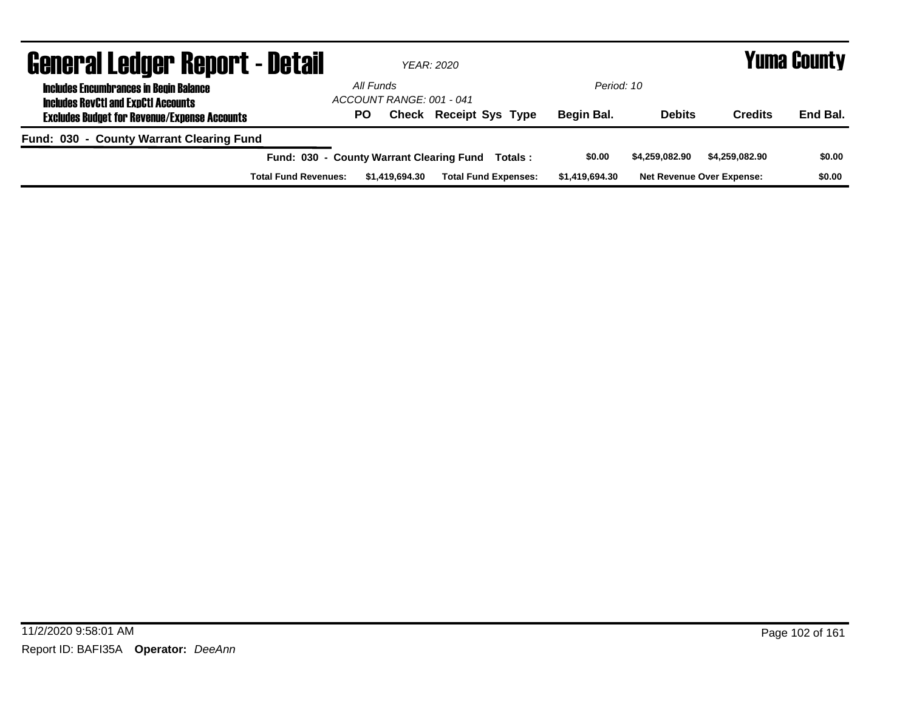| <b>General Ledger Report - Detail</b>                                                       |                                          |                | YEAR: 2020                    |                |                |                                  | <b>Yuma County</b> |
|---------------------------------------------------------------------------------------------|------------------------------------------|----------------|-------------------------------|----------------|----------------|----------------------------------|--------------------|
| <b>Includes Encumbrances in Begin Balance</b><br><b>Includes RevCtI and ExpCtI Accounts</b> | All Funds<br>ACCOUNT RANGE: 001 - 041    |                |                               | Period: 10     |                |                                  |                    |
| <b>Excludes Budget for Revenue/Expense Accounts</b>                                         | <b>PO</b>                                |                | <b>Check Receipt Sys Type</b> | Begin Bal.     | <b>Debits</b>  | <b>Credits</b>                   | End Bal.           |
| Fund: 030 - County Warrant Clearing Fund                                                    |                                          |                |                               |                |                |                                  |                    |
|                                                                                             | Fund: 030 - County Warrant Clearing Fund |                | Totals:                       | \$0.00         | \$4,259,082.90 | \$4,259,082.90                   | \$0.00             |
| <b>Total Fund Revenues:</b>                                                                 |                                          | \$1,419,694.30 | <b>Total Fund Expenses:</b>   | \$1,419,694.30 |                | <b>Net Revenue Over Expense:</b> | \$0.00             |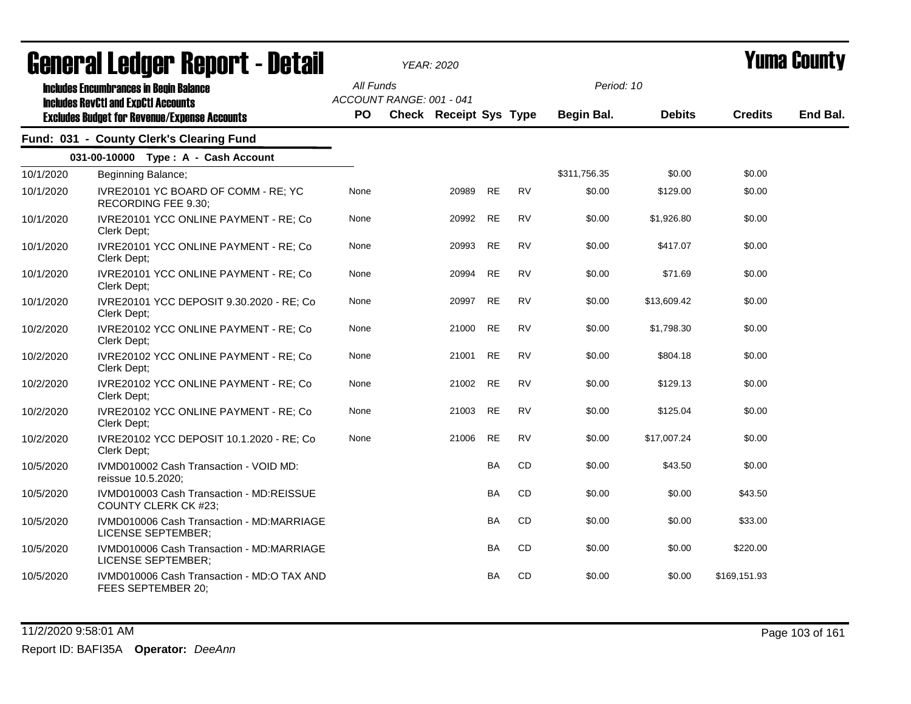|           | agiigi ai fanñal. Ughni 1 - netsii                                                          |                  |                          | <i>YEAR: 2020</i>             |           |           |                          |               |                | I UIIIA VUUIILY |
|-----------|---------------------------------------------------------------------------------------------|------------------|--------------------------|-------------------------------|-----------|-----------|--------------------------|---------------|----------------|-----------------|
|           | <b>Includes Encumbrances in Begin Balance</b><br><b>Includes RevCtI and ExpCtI Accounts</b> | All Funds<br>PO. | ACCOUNT RANGE: 001 - 041 | <b>Check Receipt Sys Type</b> |           |           | Period: 10<br>Begin Bal. | <b>Debits</b> | <b>Credits</b> | End Bal.        |
|           | <b>Excludes Budget for Revenue/Expense Accounts</b>                                         |                  |                          |                               |           |           |                          |               |                |                 |
|           | Fund: 031 - County Clerk's Clearing Fund                                                    |                  |                          |                               |           |           |                          |               |                |                 |
|           | 031-00-10000 Type: A - Cash Account                                                         |                  |                          |                               |           |           |                          |               |                |                 |
| 10/1/2020 | Beginning Balance;                                                                          |                  |                          |                               |           |           | \$311,756.35             | \$0.00        | \$0.00         |                 |
| 10/1/2020 | IVRE20101 YC BOARD OF COMM - RE; YC<br>RECORDING FEE 9.30;                                  | None             |                          | 20989                         | <b>RE</b> | <b>RV</b> | \$0.00                   | \$129.00      | \$0.00         |                 |
| 10/1/2020 | IVRE20101 YCC ONLINE PAYMENT - RE; Co<br>Clerk Dept;                                        | None             |                          | 20992                         | <b>RE</b> | <b>RV</b> | \$0.00                   | \$1,926.80    | \$0.00         |                 |
| 10/1/2020 | IVRE20101 YCC ONLINE PAYMENT - RE; Co<br>Clerk Dept:                                        | None             |                          | 20993                         | <b>RE</b> | <b>RV</b> | \$0.00                   | \$417.07      | \$0.00         |                 |
| 10/1/2020 | IVRE20101 YCC ONLINE PAYMENT - RE; Co<br>Clerk Dept:                                        | None             |                          | 20994                         | <b>RE</b> | <b>RV</b> | \$0.00                   | \$71.69       | \$0.00         |                 |
| 10/1/2020 | IVRE20101 YCC DEPOSIT 9.30.2020 - RE; Co<br>Clerk Dept:                                     | None             |                          | 20997                         | RE        | <b>RV</b> | \$0.00                   | \$13,609.42   | \$0.00         |                 |
| 10/2/2020 | IVRE20102 YCC ONLINE PAYMENT - RE; Co<br>Clerk Dept:                                        | None             |                          | 21000                         | RE        | <b>RV</b> | \$0.00                   | \$1,798.30    | \$0.00         |                 |
| 10/2/2020 | IVRE20102 YCC ONLINE PAYMENT - RE; Co<br>Clerk Dept:                                        | None             |                          | 21001                         | RE        | <b>RV</b> | \$0.00                   | \$804.18      | \$0.00         |                 |
| 10/2/2020 | IVRE20102 YCC ONLINE PAYMENT - RE; Co<br>Clerk Dept;                                        | None             |                          | 21002                         | <b>RE</b> | <b>RV</b> | \$0.00                   | \$129.13      | \$0.00         |                 |
| 10/2/2020 | IVRE20102 YCC ONLINE PAYMENT - RE; Co<br>Clerk Dept;                                        | None             |                          | 21003                         | <b>RE</b> | <b>RV</b> | \$0.00                   | \$125.04      | \$0.00         |                 |
| 10/2/2020 | IVRE20102 YCC DEPOSIT 10.1.2020 - RE; Co<br>Clerk Dept;                                     | None             |                          | 21006                         | <b>RE</b> | <b>RV</b> | \$0.00                   | \$17,007.24   | \$0.00         |                 |
| 10/5/2020 | IVMD010002 Cash Transaction - VOID MD:<br>reissue 10.5.2020;                                |                  |                          |                               | BA        | CD        | \$0.00                   | \$43.50       | \$0.00         |                 |
| 10/5/2020 | IVMD010003 Cash Transaction - MD:REISSUE<br><b>COUNTY CLERK CK #23;</b>                     |                  |                          |                               | BA        | CD        | \$0.00                   | \$0.00        | \$43.50        |                 |
| 10/5/2020 | IVMD010006 Cash Transaction - MD:MARRIAGE<br>LICENSE SEPTEMBER;                             |                  |                          |                               | BA        | CD        | \$0.00                   | \$0.00        | \$33.00        |                 |
| 10/5/2020 | IVMD010006 Cash Transaction - MD:MARRIAGE<br>LICENSE SEPTEMBER;                             |                  |                          |                               | BA        | CD        | \$0.00                   | \$0.00        | \$220.00       |                 |
| 10/5/2020 | IVMD010006 Cash Transaction - MD:O TAX AND<br>FEES SEPTEMBER 20;                            |                  |                          |                               | <b>BA</b> | <b>CD</b> | \$0.00                   | \$0.00        | \$169,151.93   |                 |

### 11/2/2020 9:58:01 AM Page 103 of 161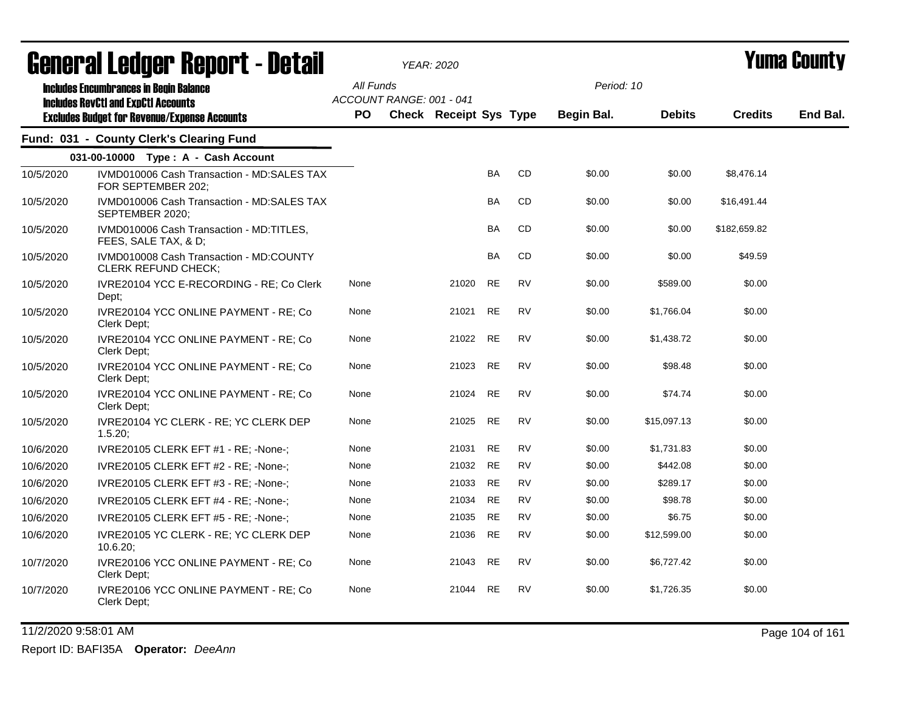|           | <b>General Ledger Report - Detail</b>                                                             |           |                          | <b>YEAR: 2020</b>             |           |           | Yuma County |               |                |          |
|-----------|---------------------------------------------------------------------------------------------------|-----------|--------------------------|-------------------------------|-----------|-----------|-------------|---------------|----------------|----------|
|           | <b>Includes Encumbrances in Begin Balance</b>                                                     | All Funds |                          |                               |           |           | Period: 10  |               |                |          |
|           | <b>Includes RevCtI and ExpCtI Accounts</b><br><b>Excludes Budget for Revenue/Expense Accounts</b> | PO        | ACCOUNT RANGE: 001 - 041 | <b>Check Receipt Sys Type</b> |           |           | Begin Bal.  | <b>Debits</b> | <b>Credits</b> | End Bal. |
|           | Fund: 031 - County Clerk's Clearing Fund                                                          |           |                          |                               |           |           |             |               |                |          |
|           | 031-00-10000 Type: A - Cash Account                                                               |           |                          |                               |           |           |             |               |                |          |
| 10/5/2020 | IVMD010006 Cash Transaction - MD:SALES TAX<br>FOR SEPTEMBER 202;                                  |           |                          |                               | <b>BA</b> | CD        | \$0.00      | \$0.00        | \$8,476.14     |          |
| 10/5/2020 | IVMD010006 Cash Transaction - MD:SALES TAX<br>SEPTEMBER 2020;                                     |           |                          |                               | <b>BA</b> | <b>CD</b> | \$0.00      | \$0.00        | \$16,491.44    |          |
| 10/5/2020 | IVMD010006 Cash Transaction - MD:TITLES.<br>FEES, SALE TAX, & D;                                  |           |                          |                               | BA        | CD.       | \$0.00      | \$0.00        | \$182,659.82   |          |
| 10/5/2020 | IVMD010008 Cash Transaction - MD:COUNTY<br><b>CLERK REFUND CHECK;</b>                             |           |                          |                               | <b>BA</b> | CD.       | \$0.00      | \$0.00        | \$49.59        |          |
| 10/5/2020 | IVRE20104 YCC E-RECORDING - RE; Co Clerk<br>Dept;                                                 | None      |                          | 21020                         | <b>RE</b> | <b>RV</b> | \$0.00      | \$589.00      | \$0.00         |          |
| 10/5/2020 | IVRE20104 YCC ONLINE PAYMENT - RE; Co<br>Clerk Dept:                                              | None      |                          | 21021                         | <b>RE</b> | <b>RV</b> | \$0.00      | \$1.766.04    | \$0.00         |          |
| 10/5/2020 | IVRE20104 YCC ONLINE PAYMENT - RE; Co<br>Clerk Dept;                                              | None      |                          | 21022                         | <b>RE</b> | <b>RV</b> | \$0.00      | \$1,438.72    | \$0.00         |          |
| 10/5/2020 | IVRE20104 YCC ONLINE PAYMENT - RE; Co<br>Clerk Dept:                                              | None      |                          | 21023                         | <b>RE</b> | <b>RV</b> | \$0.00      | \$98.48       | \$0.00         |          |
| 10/5/2020 | IVRE20104 YCC ONLINE PAYMENT - RE; Co<br>Clerk Dept:                                              | None      |                          | 21024                         | <b>RE</b> | <b>RV</b> | \$0.00      | \$74.74       | \$0.00         |          |
| 10/5/2020 | IVRE20104 YC CLERK - RE; YC CLERK DEP<br>1.5.20;                                                  | None      |                          | 21025                         | <b>RE</b> | <b>RV</b> | \$0.00      | \$15,097.13   | \$0.00         |          |
| 10/6/2020 | IVRE20105 CLERK EFT #1 - RE; -None-;                                                              | None      |                          | 21031                         | <b>RE</b> | <b>RV</b> | \$0.00      | \$1,731.83    | \$0.00         |          |
| 10/6/2020 | IVRE20105 CLERK EFT #2 - RE; -None-;                                                              | None      |                          | 21032                         | <b>RE</b> | <b>RV</b> | \$0.00      | \$442.08      | \$0.00         |          |
| 10/6/2020 | IVRE20105 CLERK EFT #3 - RE; -None-;                                                              | None      |                          | 21033                         | <b>RE</b> | <b>RV</b> | \$0.00      | \$289.17      | \$0.00         |          |
| 10/6/2020 | IVRE20105 CLERK EFT #4 - RE; -None-;                                                              | None      |                          | 21034                         | <b>RE</b> | <b>RV</b> | \$0.00      | \$98.78       | \$0.00         |          |
| 10/6/2020 | IVRE20105 CLERK EFT #5 - RE; -None-;                                                              | None      |                          | 21035                         | <b>RE</b> | <b>RV</b> | \$0.00      | \$6.75        | \$0.00         |          |
| 10/6/2020 | IVRE20105 YC CLERK - RE; YC CLERK DEP<br>$10.6.20$ ;                                              | None      |                          | 21036                         | <b>RE</b> | <b>RV</b> | \$0.00      | \$12,599.00   | \$0.00         |          |
| 10/7/2020 | IVRE20106 YCC ONLINE PAYMENT - RE; Co<br>Clerk Dept;                                              | None      |                          | 21043                         | RE        | <b>RV</b> | \$0.00      | \$6,727.42    | \$0.00         |          |
| 10/7/2020 | IVRE20106 YCC ONLINE PAYMENT - RE; Co<br>Clerk Dept;                                              | None      |                          | 21044                         | <b>RE</b> | <b>RV</b> | \$0.00      | \$1,726.35    | \$0.00         |          |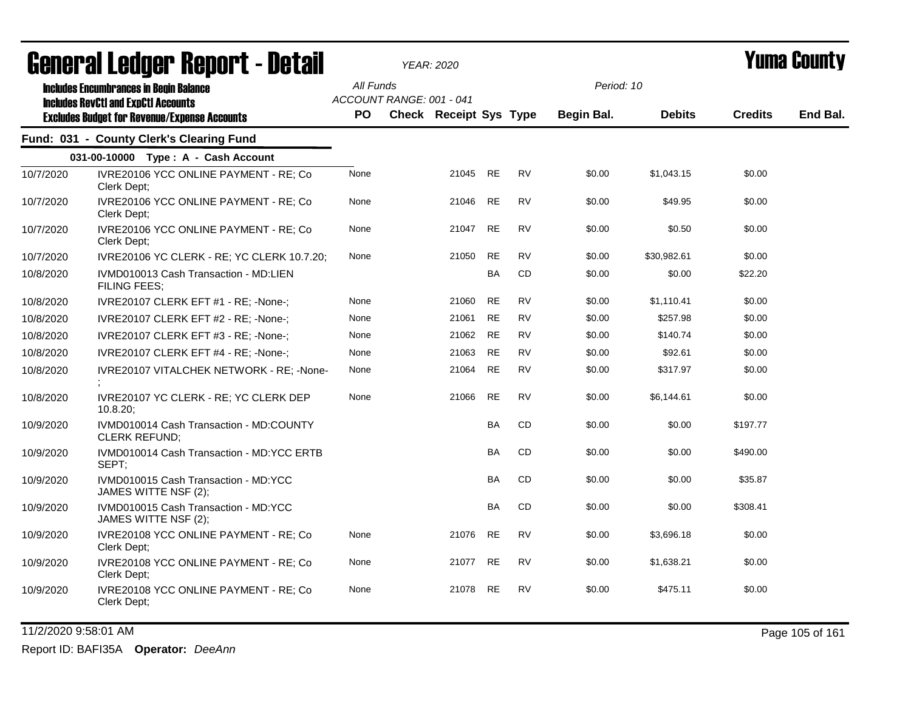| <u>agual și frañal. Urbol ( - defsii</u> |                                                                                                                                                    |      | YEAR: 2020                            |           | I UIIIA VUUIILY |            |               |                |          |
|------------------------------------------|----------------------------------------------------------------------------------------------------------------------------------------------------|------|---------------------------------------|-----------|-----------------|------------|---------------|----------------|----------|
|                                          | <b>Includes Encumbrances in Begin Balance</b><br><b>Includes RevCtI and ExpCtI Accounts</b><br><b>Excludes Budget for Revenue/Expense Accounts</b> |      | All Funds<br>ACCOUNT RANGE: 001 - 041 |           |                 | Period: 10 |               |                | End Bal. |
|                                          |                                                                                                                                                    | PO.  | <b>Check Receipt Sys Type</b>         |           |                 | Begin Bal. | <b>Debits</b> | <b>Credits</b> |          |
|                                          | Fund: 031 - County Clerk's Clearing Fund                                                                                                           |      |                                       |           |                 |            |               |                |          |
|                                          | 031-00-10000 Type: A - Cash Account                                                                                                                |      |                                       |           |                 |            |               |                |          |
| 10/7/2020                                | IVRE20106 YCC ONLINE PAYMENT - RE; Co<br>Clerk Dept;                                                                                               | None | 21045                                 | <b>RE</b> | <b>RV</b>       | \$0.00     | \$1,043.15    | \$0.00         |          |
| 10/7/2020                                | IVRE20106 YCC ONLINE PAYMENT - RE; Co<br>Clerk Dept:                                                                                               | None | 21046                                 | <b>RE</b> | <b>RV</b>       | \$0.00     | \$49.95       | \$0.00         |          |
| 10/7/2020                                | IVRE20106 YCC ONLINE PAYMENT - RE; Co<br>Clerk Dept;                                                                                               | None | 21047                                 | <b>RE</b> | <b>RV</b>       | \$0.00     | \$0.50        | \$0.00         |          |
| 10/7/2020                                | IVRE20106 YC CLERK - RE; YC CLERK 10.7.20;                                                                                                         | None | 21050                                 | <b>RE</b> | <b>RV</b>       | \$0.00     | \$30,982.61   | \$0.00         |          |
| 10/8/2020                                | IVMD010013 Cash Transaction - MD:LIEN<br><b>FILING FEES:</b>                                                                                       |      |                                       | <b>BA</b> | CD              | \$0.00     | \$0.00        | \$22.20        |          |
| 10/8/2020                                | IVRE20107 CLERK EFT #1 - RE; -None-;                                                                                                               | None | 21060                                 | <b>RE</b> | <b>RV</b>       | \$0.00     | \$1,110.41    | \$0.00         |          |
| 10/8/2020                                | IVRE20107 CLERK EFT #2 - RE; -None-;                                                                                                               | None | 21061                                 | <b>RE</b> | <b>RV</b>       | \$0.00     | \$257.98      | \$0.00         |          |
| 10/8/2020                                | IVRE20107 CLERK EFT #3 - RE; -None-;                                                                                                               | None | 21062                                 | <b>RE</b> | <b>RV</b>       | \$0.00     | \$140.74      | \$0.00         |          |
| 10/8/2020                                | IVRE20107 CLERK EFT #4 - RE; -None-;                                                                                                               | None | 21063                                 | <b>RE</b> | <b>RV</b>       | \$0.00     | \$92.61       | \$0.00         |          |
| 10/8/2020                                | IVRE20107 VITALCHEK NETWORK - RE; -None-                                                                                                           | None | 21064                                 | <b>RE</b> | <b>RV</b>       | \$0.00     | \$317.97      | \$0.00         |          |
| 10/8/2020                                | IVRE20107 YC CLERK - RE; YC CLERK DEP<br>$10.8.20$ ;                                                                                               | None | 21066                                 | <b>RE</b> | <b>RV</b>       | \$0.00     | \$6,144.61    | \$0.00         |          |
| 10/9/2020                                | IVMD010014 Cash Transaction - MD:COUNTY<br><b>CLERK REFUND;</b>                                                                                    |      |                                       | <b>BA</b> | <b>CD</b>       | \$0.00     | \$0.00        | \$197.77       |          |
| 10/9/2020                                | IVMD010014 Cash Transaction - MD:YCC ERTB<br>SEPT;                                                                                                 |      |                                       | <b>BA</b> | CD              | \$0.00     | \$0.00        | \$490.00       |          |
| 10/9/2020                                | IVMD010015 Cash Transaction - MD:YCC<br>JAMES WITTE NSF (2);                                                                                       |      |                                       | <b>BA</b> | CD              | \$0.00     | \$0.00        | \$35.87        |          |
| 10/9/2020                                | IVMD010015 Cash Transaction - MD:YCC<br>JAMES WITTE NSF (2);                                                                                       |      |                                       | <b>BA</b> | CD              | \$0.00     | \$0.00        | \$308.41       |          |
| 10/9/2020                                | IVRE20108 YCC ONLINE PAYMENT - RE; Co<br>Clerk Dept;                                                                                               | None | 21076                                 | <b>RE</b> | <b>RV</b>       | \$0.00     | \$3,696.18    | \$0.00         |          |
| 10/9/2020                                | IVRE20108 YCC ONLINE PAYMENT - RE; Co<br>Clerk Dept;                                                                                               | None | 21077                                 | <b>RE</b> | <b>RV</b>       | \$0.00     | \$1,638.21    | \$0.00         |          |
| 10/9/2020                                | IVRE20108 YCC ONLINE PAYMENT - RE; Co<br>Clerk Dept;                                                                                               | None | 21078                                 | RE        | RV              | \$0.00     | \$475.11      | \$0.00         |          |

11/2/2020 9:58:01 AM Page 105 of 161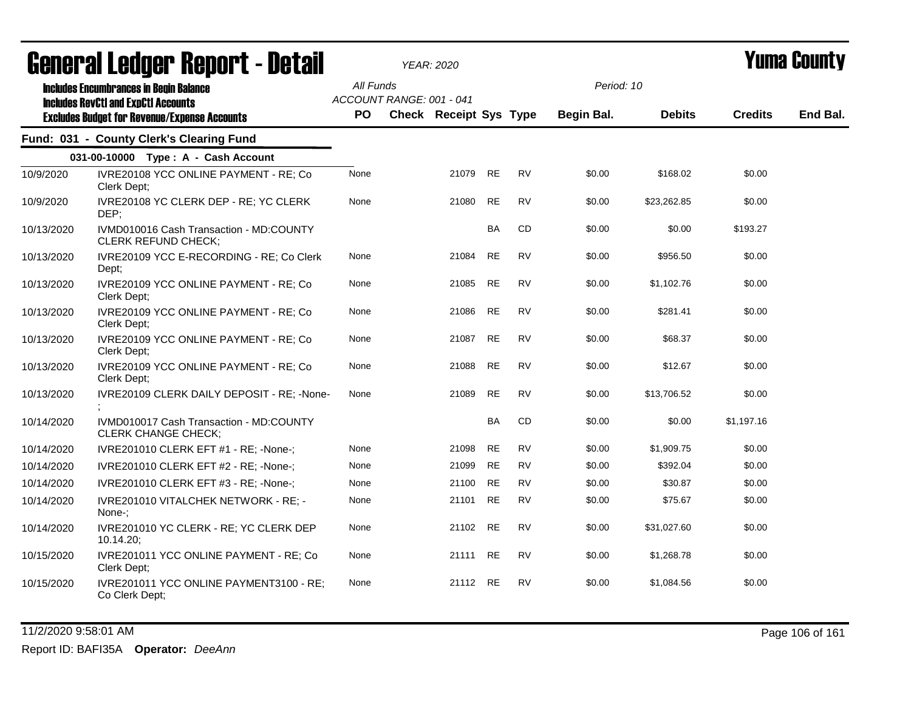| ugligi ai lguygi   ngµul l - dglaii |                                                                                             | YEAR: 2020 |                          |                               |           |           |            |               | I UIIIU VVUIILT |          |
|-------------------------------------|---------------------------------------------------------------------------------------------|------------|--------------------------|-------------------------------|-----------|-----------|------------|---------------|-----------------|----------|
|                                     | <b>Includes Encumbrances in Begin Balance</b><br><b>Includes RevCtI and ExpCtI Accounts</b> | All Funds  | ACCOUNT RANGE: 001 - 041 |                               |           |           | Period: 10 |               |                 |          |
|                                     | <b>Excludes Budget for Revenue/Expense Accounts</b>                                         | <b>PO</b>  |                          | <b>Check Receipt Sys Type</b> |           |           | Begin Bal. | <b>Debits</b> | <b>Credits</b>  | End Bal. |
|                                     | Fund: 031 - County Clerk's Clearing Fund                                                    |            |                          |                               |           |           |            |               |                 |          |
|                                     | 031-00-10000 Type: A - Cash Account                                                         |            |                          |                               |           |           |            |               |                 |          |
| 10/9/2020                           | IVRE20108 YCC ONLINE PAYMENT - RE; Co<br>Clerk Dept:                                        | None       |                          | 21079                         | <b>RE</b> | <b>RV</b> | \$0.00     | \$168.02      | \$0.00          |          |
| 10/9/2020                           | IVRE20108 YC CLERK DEP - RE; YC CLERK<br>DEP;                                               | None       |                          | 21080                         | <b>RE</b> | <b>RV</b> | \$0.00     | \$23,262.85   | \$0.00          |          |
| 10/13/2020                          | IVMD010016 Cash Transaction - MD:COUNTY<br><b>CLERK REFUND CHECK;</b>                       |            |                          |                               | <b>BA</b> | CD        | \$0.00     | \$0.00        | \$193.27        |          |
| 10/13/2020                          | IVRE20109 YCC E-RECORDING - RE; Co Clerk<br>Dept;                                           | None       |                          | 21084                         | <b>RE</b> | <b>RV</b> | \$0.00     | \$956.50      | \$0.00          |          |
| 10/13/2020                          | IVRE20109 YCC ONLINE PAYMENT - RE; Co<br>Clerk Dept;                                        | None       |                          | 21085                         | <b>RE</b> | <b>RV</b> | \$0.00     | \$1,102.76    | \$0.00          |          |
| 10/13/2020                          | IVRE20109 YCC ONLINE PAYMENT - RE; Co<br>Clerk Dept:                                        | None       |                          | 21086                         | <b>RE</b> | <b>RV</b> | \$0.00     | \$281.41      | \$0.00          |          |
| 10/13/2020                          | IVRE20109 YCC ONLINE PAYMENT - RE; Co<br>Clerk Dept;                                        | None       |                          | 21087                         | <b>RE</b> | <b>RV</b> | \$0.00     | \$68.37       | \$0.00          |          |
| 10/13/2020                          | IVRE20109 YCC ONLINE PAYMENT - RE; Co<br>Clerk Dept;                                        | None       |                          | 21088                         | <b>RE</b> | <b>RV</b> | \$0.00     | \$12.67       | \$0.00          |          |
| 10/13/2020                          | IVRE20109 CLERK DAILY DEPOSIT - RE; -None-                                                  | None       |                          | 21089                         | <b>RE</b> | <b>RV</b> | \$0.00     | \$13,706.52   | \$0.00          |          |
| 10/14/2020                          | IVMD010017 Cash Transaction - MD:COUNTY<br>CLERK CHANGE CHECK;                              |            |                          |                               | <b>BA</b> | CD        | \$0.00     | \$0.00        | \$1,197.16      |          |
| 10/14/2020                          | IVRE201010 CLERK EFT #1 - RE; -None-;                                                       | None       |                          | 21098                         | <b>RE</b> | <b>RV</b> | \$0.00     | \$1,909.75    | \$0.00          |          |
| 10/14/2020                          | IVRE201010 CLERK EFT #2 - RE; -None-;                                                       | None       |                          | 21099                         | <b>RE</b> | <b>RV</b> | \$0.00     | \$392.04      | \$0.00          |          |
| 10/14/2020                          | IVRE201010 CLERK EFT #3 - RE; -None-;                                                       | None       |                          | 21100                         | <b>RE</b> | <b>RV</b> | \$0.00     | \$30.87       | \$0.00          |          |
| 10/14/2020                          | <b>IVRE201010 VITALCHEK NETWORK - RE: -</b><br>None-:                                       | None       |                          | 21101                         | RE        | RV        | \$0.00     | \$75.67       | \$0.00          |          |
| 10/14/2020                          | IVRE201010 YC CLERK - RE; YC CLERK DEP<br>10.14.20;                                         | None       |                          | 21102                         | <b>RE</b> | <b>RV</b> | \$0.00     | \$31,027.60   | \$0.00          |          |
| 10/15/2020                          | IVRE201011 YCC ONLINE PAYMENT - RE; Co<br>Clerk Dept;                                       | None       |                          | 21111                         | <b>RE</b> | <b>RV</b> | \$0.00     | \$1,268.78    | \$0.00          |          |
| 10/15/2020                          | IVRE201011 YCC ONLINE PAYMENT3100 - RE;<br>Co Clerk Dept;                                   | None       |                          | 21112                         | <b>RE</b> | <b>RV</b> | \$0.00     | \$1,084.56    | \$0.00          |          |

11/2/2020 9:58:01 AM Page 106 of 161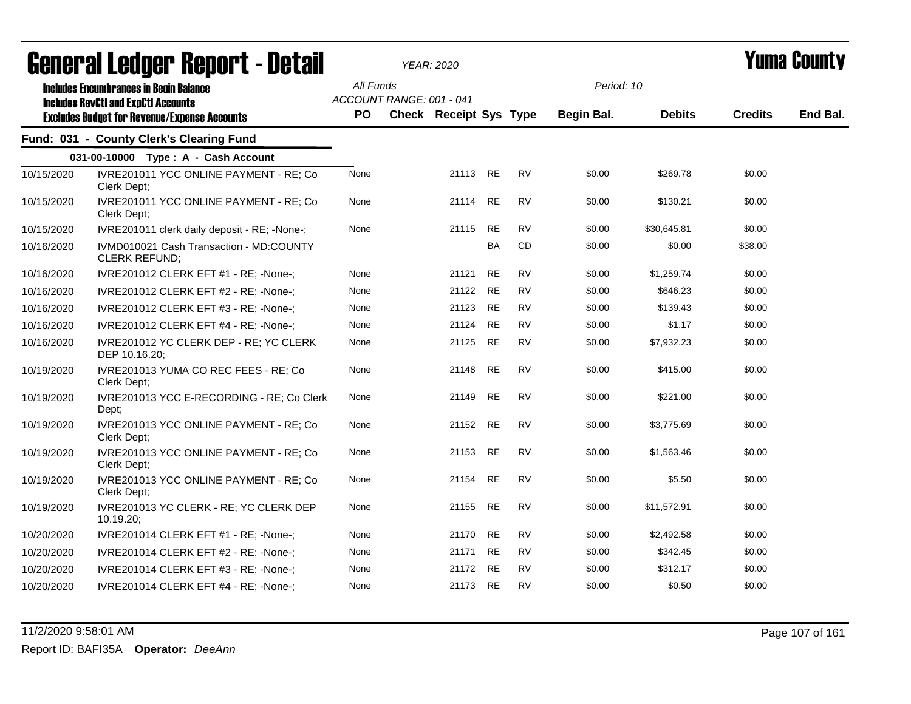|            | ugligi ai lguygi "Ngµui"l - Dglaii                                                          |      |                                       | YEAR: 2020                    |           |           |            |               |                | I UIIIU VUUIILY |
|------------|---------------------------------------------------------------------------------------------|------|---------------------------------------|-------------------------------|-----------|-----------|------------|---------------|----------------|-----------------|
|            | <b>Includes Encumbrances in Begin Balance</b><br><b>Includes RevCtI and ExpCtI Accounts</b> |      | All Funds<br>ACCOUNT RANGE: 001 - 041 |                               |           |           | Period: 10 |               |                | End Bal.        |
|            | <b>Excludes Budget for Revenue/Expense Accounts</b>                                         | PO.  |                                       | <b>Check Receipt Sys Type</b> |           |           | Begin Bal. | <b>Debits</b> | <b>Credits</b> |                 |
|            | Fund: 031 - County Clerk's Clearing Fund                                                    |      |                                       |                               |           |           |            |               |                |                 |
|            | 031-00-10000 Type: A - Cash Account                                                         |      |                                       |                               |           |           |            |               |                |                 |
| 10/15/2020 | IVRE201011 YCC ONLINE PAYMENT - RE; Co<br>Clerk Dept;                                       | None |                                       | 21113 RE                      |           | <b>RV</b> | \$0.00     | \$269.78      | \$0.00         |                 |
| 10/15/2020 | IVRE201011 YCC ONLINE PAYMENT - RE; Co<br>Clerk Dept;                                       | None |                                       | 21114                         | <b>RE</b> | <b>RV</b> | \$0.00     | \$130.21      | \$0.00         |                 |
| 10/15/2020 | IVRE201011 clerk daily deposit - RE; -None-;                                                | None |                                       | 21115                         | <b>RE</b> | <b>RV</b> | \$0.00     | \$30,645.81   | \$0.00         |                 |
| 10/16/2020 | IVMD010021 Cash Transaction - MD:COUNTY<br><b>CLERK REFUND;</b>                             |      |                                       |                               | BA        | CD        | \$0.00     | \$0.00        | \$38.00        |                 |
| 10/16/2020 | IVRE201012 CLERK EFT #1 - RE; -None-;                                                       | None |                                       | 21121                         | <b>RE</b> | <b>RV</b> | \$0.00     | \$1,259.74    | \$0.00         |                 |
| 10/16/2020 | IVRE201012 CLERK EFT #2 - RE; -None-;                                                       | None |                                       | 21122                         | <b>RE</b> | <b>RV</b> | \$0.00     | \$646.23      | \$0.00         |                 |
| 10/16/2020 | IVRE201012 CLERK EFT #3 - RE; -None-;                                                       | None |                                       | 21123                         | <b>RE</b> | <b>RV</b> | \$0.00     | \$139.43      | \$0.00         |                 |
| 10/16/2020 | IVRE201012 CLERK EFT #4 - RE; -None-;                                                       | None |                                       | 21124                         | <b>RE</b> | <b>RV</b> | \$0.00     | \$1.17        | \$0.00         |                 |
| 10/16/2020 | IVRE201012 YC CLERK DEP - RE; YC CLERK<br>DEP 10.16.20;                                     | None |                                       | 21125                         | <b>RE</b> | <b>RV</b> | \$0.00     | \$7,932.23    | \$0.00         |                 |
| 10/19/2020 | IVRE201013 YUMA CO REC FEES - RE; Co<br>Clerk Dept;                                         | None |                                       | 21148                         | <b>RE</b> | <b>RV</b> | \$0.00     | \$415.00      | \$0.00         |                 |
| 10/19/2020 | IVRE201013 YCC E-RECORDING - RE; Co Clerk<br>Dept;                                          | None |                                       | 21149                         | <b>RE</b> | <b>RV</b> | \$0.00     | \$221.00      | \$0.00         |                 |
| 10/19/2020 | IVRE201013 YCC ONLINE PAYMENT - RE; Co<br>Clerk Dept:                                       | None |                                       | 21152                         | <b>RE</b> | <b>RV</b> | \$0.00     | \$3,775.69    | \$0.00         |                 |
| 10/19/2020 | IVRE201013 YCC ONLINE PAYMENT - RE; Co<br>Clerk Dept:                                       | None |                                       | 21153                         | <b>RE</b> | <b>RV</b> | \$0.00     | \$1,563.46    | \$0.00         |                 |
| 10/19/2020 | IVRE201013 YCC ONLINE PAYMENT - RE; Co<br>Clerk Dept:                                       | None |                                       | 21154                         | <b>RE</b> | <b>RV</b> | \$0.00     | \$5.50        | \$0.00         |                 |
| 10/19/2020 | IVRE201013 YC CLERK - RE; YC CLERK DEP<br>10.19.20;                                         | None |                                       | 21155                         | <b>RE</b> | <b>RV</b> | \$0.00     | \$11,572.91   | \$0.00         |                 |
| 10/20/2020 | IVRE201014 CLERK EFT #1 - RE; -None-;                                                       | None |                                       | 21170                         | <b>RE</b> | <b>RV</b> | \$0.00     | \$2,492.58    | \$0.00         |                 |
| 10/20/2020 | IVRE201014 CLERK EFT #2 - RE; -None-;                                                       | None |                                       | 21171                         | <b>RE</b> | RV        | \$0.00     | \$342.45      | \$0.00         |                 |
| 10/20/2020 | IVRE201014 CLERK EFT #3 - RE; -None-;                                                       | None |                                       | 21172                         | <b>RE</b> | <b>RV</b> | \$0.00     | \$312.17      | \$0.00         |                 |
| 10/20/2020 | IVRE201014 CLERK EFT #4 - RE; -None-;                                                       | None |                                       | 21173                         | <b>RE</b> | <b>RV</b> | \$0.00     | \$0.50        | \$0.00         |                 |
|            |                                                                                             |      |                                       |                               |           |           |            |               |                |                 |

11/2/2020 9:58:01 AM Page 107 of 161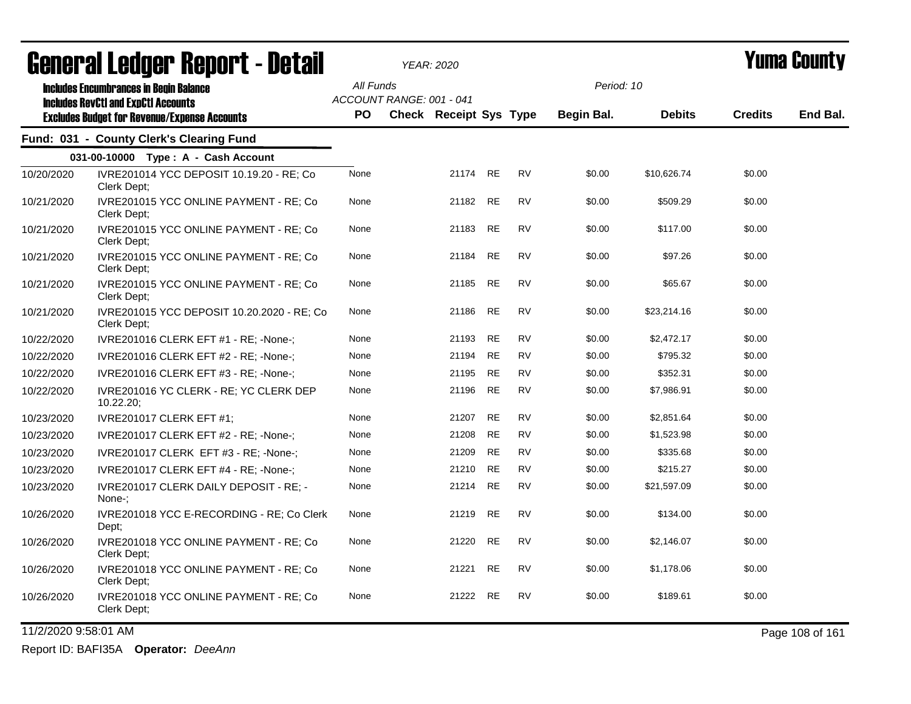| General Ledger Report - Detail |                                                                                                   |           | YEAR: 2020                                                |          |           |           | Yuma Countv |               |                |          |
|--------------------------------|---------------------------------------------------------------------------------------------------|-----------|-----------------------------------------------------------|----------|-----------|-----------|-------------|---------------|----------------|----------|
|                                | <b>Includes Encumbrances in Begin Balance</b>                                                     | All Funds |                                                           |          |           |           | Period: 10  |               |                |          |
|                                | <b>Includes RevCtI and ExpCtI Accounts</b><br><b>Excludes Budget for Revenue/Expense Accounts</b> | PO.       | ACCOUNT RANGE: 001 - 041<br><b>Check Receipt Sys Type</b> |          |           |           | Begin Bal.  | <b>Debits</b> | <b>Credits</b> | End Bal. |
|                                | Fund: 031 - County Clerk's Clearing Fund                                                          |           |                                                           |          |           |           |             |               |                |          |
|                                | 031-00-10000 Type: A - Cash Account                                                               |           |                                                           |          |           |           |             |               |                |          |
| 10/20/2020                     | IVRE201014 YCC DEPOSIT 10.19.20 - RE; Co<br>Clerk Dept;                                           | None      |                                                           | 21174 RE |           | <b>RV</b> | \$0.00      | \$10,626.74   | \$0.00         |          |
| 10/21/2020                     | IVRE201015 YCC ONLINE PAYMENT - RE; Co<br>Clerk Dept;                                             | None      |                                                           | 21182    | <b>RE</b> | <b>RV</b> | \$0.00      | \$509.29      | \$0.00         |          |
| 10/21/2020                     | IVRE201015 YCC ONLINE PAYMENT - RE; Co<br>Clerk Dept;                                             | None      |                                                           | 21183    | RE        | <b>RV</b> | \$0.00      | \$117.00      | \$0.00         |          |
| 10/21/2020                     | IVRE201015 YCC ONLINE PAYMENT - RE; Co<br>Clerk Dept;                                             | None      |                                                           | 21184    | RE        | <b>RV</b> | \$0.00      | \$97.26       | \$0.00         |          |
| 10/21/2020                     | IVRE201015 YCC ONLINE PAYMENT - RE; Co<br>Clerk Dept;                                             | None      |                                                           | 21185    | <b>RE</b> | <b>RV</b> | \$0.00      | \$65.67       | \$0.00         |          |
| 10/21/2020                     | IVRE201015 YCC DEPOSIT 10.20.2020 - RE: Co<br>Clerk Dept;                                         | None      |                                                           | 21186    | <b>RE</b> | <b>RV</b> | \$0.00      | \$23,214.16   | \$0.00         |          |
| 10/22/2020                     | IVRE201016 CLERK EFT #1 - RE; -None-;                                                             | None      |                                                           | 21193    | RE        | <b>RV</b> | \$0.00      | \$2,472.17    | \$0.00         |          |
| 10/22/2020                     | IVRE201016 CLERK EFT #2 - RE; -None-;                                                             | None      |                                                           | 21194    | RE        | <b>RV</b> | \$0.00      | \$795.32      | \$0.00         |          |
| 10/22/2020                     | IVRE201016 CLERK EFT #3 - RE; -None-;                                                             | None      |                                                           | 21195    | <b>RE</b> | <b>RV</b> | \$0.00      | \$352.31      | \$0.00         |          |
| 10/22/2020                     | IVRE201016 YC CLERK - RE; YC CLERK DEP<br>10.22.20;                                               | None      |                                                           | 21196    | <b>RE</b> | <b>RV</b> | \$0.00      | \$7,986.91    | \$0.00         |          |
| 10/23/2020                     | <b>IVRE201017 CLERK EFT #1:</b>                                                                   | None      |                                                           | 21207    | <b>RE</b> | <b>RV</b> | \$0.00      | \$2,851.64    | \$0.00         |          |
| 10/23/2020                     | IVRE201017 CLERK EFT #2 - RE; -None-;                                                             | None      |                                                           | 21208    | <b>RE</b> | <b>RV</b> | \$0.00      | \$1,523.98    | \$0.00         |          |
| 10/23/2020                     | IVRE201017 CLERK EFT #3 - RE; -None-;                                                             | None      |                                                           | 21209    | <b>RE</b> | <b>RV</b> | \$0.00      | \$335.68      | \$0.00         |          |
| 10/23/2020                     | IVRE201017 CLERK EFT #4 - RE; -None-;                                                             | None      |                                                           | 21210    | <b>RE</b> | <b>RV</b> | \$0.00      | \$215.27      | \$0.00         |          |
| 10/23/2020                     | IVRE201017 CLERK DAILY DEPOSIT - RE; -<br>None-:                                                  | None      |                                                           | 21214    | RE        | <b>RV</b> | \$0.00      | \$21,597.09   | \$0.00         |          |
| 10/26/2020                     | IVRE201018 YCC E-RECORDING - RE; Co Clerk<br>Dept:                                                | None      |                                                           | 21219    | <b>RE</b> | <b>RV</b> | \$0.00      | \$134.00      | \$0.00         |          |
| 10/26/2020                     | IVRE201018 YCC ONLINE PAYMENT - RE; Co<br>Clerk Dept;                                             | None      |                                                           | 21220    | <b>RE</b> | <b>RV</b> | \$0.00      | \$2,146.07    | \$0.00         |          |
| 10/26/2020                     | IVRE201018 YCC ONLINE PAYMENT - RE; Co<br>Clerk Dept;                                             | None      |                                                           | 21221    | <b>RE</b> | <b>RV</b> | \$0.00      | \$1,178.06    | \$0.00         |          |
| 10/26/2020                     | IVRE201018 YCC ONLINE PAYMENT - RE; Co<br>Clerk Dept;                                             | None      |                                                           | 21222    | <b>RE</b> | RV        | \$0.00      | \$189.61      | \$0.00         |          |

11/2/2020 9:58:01 AM Page 108 of 161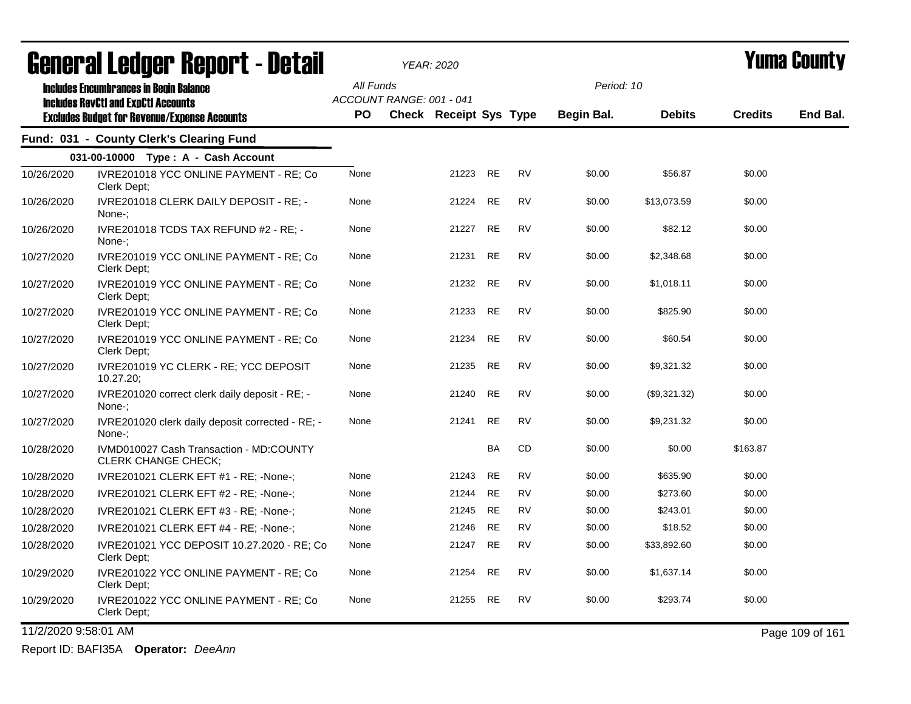|            | acıici ai leuyei" nepol"l - Detail                                                                |           |                          | <i>YEAR: 2020</i>             |           |           |            |               |                | I UIIIA VVUIILY |
|------------|---------------------------------------------------------------------------------------------------|-----------|--------------------------|-------------------------------|-----------|-----------|------------|---------------|----------------|-----------------|
|            | <b>Includes Encumbrances in Begin Balance</b>                                                     | All Funds |                          |                               |           |           | Period: 10 |               |                |                 |
|            | <b>Includes RevCtI and ExpCtI Accounts</b><br><b>Excludes Budget for Revenue/Expense Accounts</b> | PO.       | ACCOUNT RANGE: 001 - 041 | <b>Check Receipt Sys Type</b> |           |           | Begin Bal. | <b>Debits</b> | <b>Credits</b> | End Bal.        |
|            | Fund: 031 - County Clerk's Clearing Fund                                                          |           |                          |                               |           |           |            |               |                |                 |
|            | 031-00-10000 Type: A - Cash Account                                                               |           |                          |                               |           |           |            |               |                |                 |
| 10/26/2020 | IVRE201018 YCC ONLINE PAYMENT - RE; Co<br>Clerk Dept;                                             | None      |                          | 21223                         | <b>RE</b> | <b>RV</b> | \$0.00     | \$56.87       | \$0.00         |                 |
| 10/26/2020 | IVRE201018 CLERK DAILY DEPOSIT - RE; -<br>None-;                                                  | None      |                          | 21224                         | <b>RE</b> | <b>RV</b> | \$0.00     | \$13,073.59   | \$0.00         |                 |
| 10/26/2020 | IVRE201018 TCDS TAX REFUND #2 - RE; -<br>None-:                                                   | None      |                          | 21227                         | <b>RE</b> | <b>RV</b> | \$0.00     | \$82.12       | \$0.00         |                 |
| 10/27/2020 | IVRE201019 YCC ONLINE PAYMENT - RE; Co<br>Clerk Dept:                                             | None      |                          | 21231                         | <b>RE</b> | <b>RV</b> | \$0.00     | \$2,348.68    | \$0.00         |                 |
| 10/27/2020 | IVRE201019 YCC ONLINE PAYMENT - RE; Co<br>Clerk Dept:                                             | None      |                          | 21232                         | <b>RE</b> | <b>RV</b> | \$0.00     | \$1,018.11    | \$0.00         |                 |
| 10/27/2020 | IVRE201019 YCC ONLINE PAYMENT - RE; Co<br>Clerk Dept;                                             | None      |                          | 21233                         | <b>RE</b> | <b>RV</b> | \$0.00     | \$825.90      | \$0.00         |                 |
| 10/27/2020 | IVRE201019 YCC ONLINE PAYMENT - RE; Co<br>Clerk Dept:                                             | None      |                          | 21234                         | <b>RE</b> | <b>RV</b> | \$0.00     | \$60.54       | \$0.00         |                 |
| 10/27/2020 | IVRE201019 YC CLERK - RE; YCC DEPOSIT<br>10.27.20;                                                | None      |                          | 21235                         | <b>RE</b> | <b>RV</b> | \$0.00     | \$9,321.32    | \$0.00         |                 |
| 10/27/2020 | IVRE201020 correct clerk daily deposit - RE; -<br>None-:                                          | None      |                          | 21240                         | <b>RE</b> | <b>RV</b> | \$0.00     | (\$9,321.32)  | \$0.00         |                 |
| 10/27/2020 | IVRE201020 clerk daily deposit corrected - RE; -<br>None-:                                        | None      |                          | 21241                         | <b>RE</b> | <b>RV</b> | \$0.00     | \$9,231.32    | \$0.00         |                 |
| 10/28/2020 | IVMD010027 Cash Transaction - MD:COUNTY<br>CLERK CHANGE CHECK;                                    |           |                          |                               | BA        | CD        | \$0.00     | \$0.00        | \$163.87       |                 |
| 10/28/2020 | IVRE201021 CLERK EFT #1 - RE; -None-;                                                             | None      |                          | 21243                         | <b>RE</b> | <b>RV</b> | \$0.00     | \$635.90      | \$0.00         |                 |
| 10/28/2020 | IVRE201021 CLERK EFT #2 - RE; -None-;                                                             | None      |                          | 21244                         | <b>RE</b> | <b>RV</b> | \$0.00     | \$273.60      | \$0.00         |                 |
| 10/28/2020 | IVRE201021 CLERK EFT #3 - RE; -None-;                                                             | None      |                          | 21245                         | <b>RE</b> | <b>RV</b> | \$0.00     | \$243.01      | \$0.00         |                 |
| 10/28/2020 | IVRE201021 CLERK EFT #4 - RE; -None-;                                                             | None      |                          | 21246                         | <b>RE</b> | RV        | \$0.00     | \$18.52       | \$0.00         |                 |
| 10/28/2020 | IVRE201021 YCC DEPOSIT 10.27.2020 - RE; Co<br>Clerk Dept;                                         | None      |                          | 21247                         | <b>RE</b> | <b>RV</b> | \$0.00     | \$33,892.60   | \$0.00         |                 |
| 10/29/2020 | IVRE201022 YCC ONLINE PAYMENT - RE; Co<br>Clerk Dept;                                             | None      |                          | 21254                         | <b>RE</b> | <b>RV</b> | \$0.00     | \$1,637.14    | \$0.00         |                 |
| 10/29/2020 | IVRE201022 YCC ONLINE PAYMENT - RE; Co<br>Clerk Dept;                                             | None      |                          | 21255                         | <b>RE</b> | <b>RV</b> | \$0.00     | \$293.74      | \$0.00         |                 |

11/2/2020 9:58:01 AM Page 109 of 161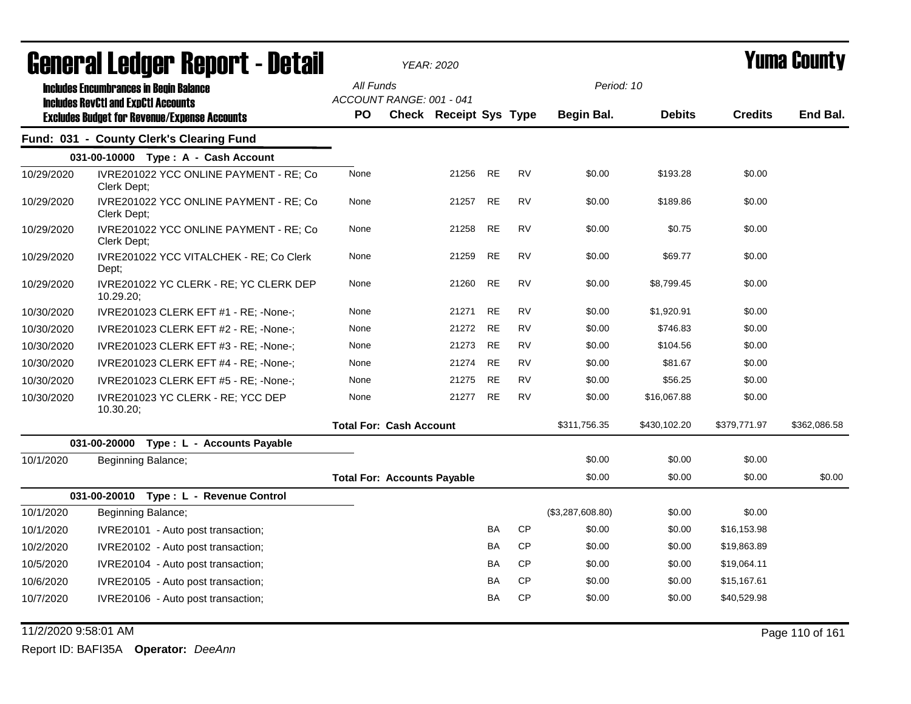|            | Generai Leuger Keport - Detail                                                                                                                     |                                                    | YEAR: 2020                    |           |           |                                 |               |                | Yuma Gounty  |
|------------|----------------------------------------------------------------------------------------------------------------------------------------------------|----------------------------------------------------|-------------------------------|-----------|-----------|---------------------------------|---------------|----------------|--------------|
|            | <b>Includes Encumbrances in Begin Balance</b><br><b>Includes RevCtI and ExpCtI Accounts</b><br><b>Excludes Budget for Revenue/Expense Accounts</b> | All Funds<br>ACCOUNT RANGE: 001 - 041<br><b>PO</b> | <b>Check Receipt Sys Type</b> |           |           | Period: 10<br><b>Begin Bal.</b> | <b>Debits</b> | <b>Credits</b> | End Bal.     |
|            | Fund: 031 - County Clerk's Clearing Fund                                                                                                           |                                                    |                               |           |           |                                 |               |                |              |
|            |                                                                                                                                                    |                                                    |                               |           |           |                                 |               |                |              |
|            | 031-00-10000 Type: A - Cash Account                                                                                                                |                                                    |                               |           |           |                                 |               |                |              |
| 10/29/2020 | IVRE201022 YCC ONLINE PAYMENT - RE; Co<br>Clerk Dept:                                                                                              | None                                               | 21256                         | RE        | <b>RV</b> | \$0.00                          | \$193.28      | \$0.00         |              |
| 10/29/2020 | IVRE201022 YCC ONLINE PAYMENT - RE; Co<br>Clerk Dept:                                                                                              | None                                               | 21257                         | <b>RE</b> | <b>RV</b> | \$0.00                          | \$189.86      | \$0.00         |              |
| 10/29/2020 | IVRE201022 YCC ONLINE PAYMENT - RE; Co<br>Clerk Dept;                                                                                              | None                                               | 21258                         | <b>RE</b> | <b>RV</b> | \$0.00                          | \$0.75        | \$0.00         |              |
| 10/29/2020 | IVRE201022 YCC VITALCHEK - RE; Co Clerk<br>Dept;                                                                                                   | None                                               | 21259                         | <b>RE</b> | <b>RV</b> | \$0.00                          | \$69.77       | \$0.00         |              |
| 10/29/2020 | IVRE201022 YC CLERK - RE; YC CLERK DEP<br>10.29.20                                                                                                 | None                                               | 21260                         | <b>RE</b> | <b>RV</b> | \$0.00                          | \$8,799.45    | \$0.00         |              |
| 10/30/2020 | IVRE201023 CLERK EFT #1 - RE; -None-;                                                                                                              | None                                               | 21271                         | RE        | <b>RV</b> | \$0.00                          | \$1,920.91    | \$0.00         |              |
| 10/30/2020 | IVRE201023 CLERK EFT #2 - RE; -None-;                                                                                                              | None                                               | 21272                         | RE        | <b>RV</b> | \$0.00                          | \$746.83      | \$0.00         |              |
| 10/30/2020 | IVRE201023 CLERK EFT #3 - RE; -None-;                                                                                                              | None                                               | 21273                         | <b>RE</b> | <b>RV</b> | \$0.00                          | \$104.56      | \$0.00         |              |
| 10/30/2020 | IVRE201023 CLERK EFT #4 - RE; -None-;                                                                                                              | None                                               | 21274                         | <b>RE</b> | <b>RV</b> | \$0.00                          | \$81.67       | \$0.00         |              |
| 10/30/2020 | IVRE201023 CLERK EFT #5 - RE; -None-;                                                                                                              | None                                               | 21275                         | <b>RE</b> | <b>RV</b> | \$0.00                          | \$56.25       | \$0.00         |              |
| 10/30/2020 | IVRE201023 YC CLERK - RE; YCC DEP<br>10.30.20;                                                                                                     | None                                               | 21277                         | <b>RE</b> | <b>RV</b> | \$0.00                          | \$16,067.88   | \$0.00         |              |
|            |                                                                                                                                                    | <b>Total For: Cash Account</b>                     |                               |           |           | \$311,756.35                    | \$430,102.20  | \$379,771.97   | \$362,086.58 |
|            | 031-00-20000<br>Type : L - Accounts Payable                                                                                                        |                                                    |                               |           |           |                                 |               |                |              |
| 10/1/2020  | Beginning Balance;                                                                                                                                 |                                                    |                               |           |           | \$0.00                          | \$0.00        | \$0.00         |              |
|            |                                                                                                                                                    | <b>Total For: Accounts Payable</b>                 |                               |           |           | \$0.00                          | \$0.00        | \$0.00         | \$0.00       |
|            | 031-00-20010<br>Type : L - Revenue Control                                                                                                         |                                                    |                               |           |           |                                 |               |                |              |
| 10/1/2020  | Beginning Balance;                                                                                                                                 |                                                    |                               |           |           | (\$3,287,608.80)                | \$0.00        | \$0.00         |              |
| 10/1/2020  | IVRE20101 - Auto post transaction;                                                                                                                 |                                                    |                               | BA        | <b>CP</b> | \$0.00                          | \$0.00        | \$16,153.98    |              |
| 10/2/2020  | IVRE20102 - Auto post transaction;                                                                                                                 |                                                    |                               | <b>BA</b> | <b>CP</b> | \$0.00                          | \$0.00        | \$19,863.89    |              |
| 10/5/2020  | IVRE20104 - Auto post transaction;                                                                                                                 |                                                    |                               | <b>BA</b> | CP        | \$0.00                          | \$0.00        | \$19,064.11    |              |
| 10/6/2020  | IVRE20105 - Auto post transaction;                                                                                                                 |                                                    |                               | BA        | <b>CP</b> | \$0.00                          | \$0.00        | \$15,167.61    |              |
| 10/7/2020  | IVRE20106 - Auto post transaction;                                                                                                                 |                                                    |                               | <b>BA</b> | CP        | \$0.00                          | \$0.00        | \$40,529.98    |              |

11/2/2020 9:58:01 AM Page 110 of 161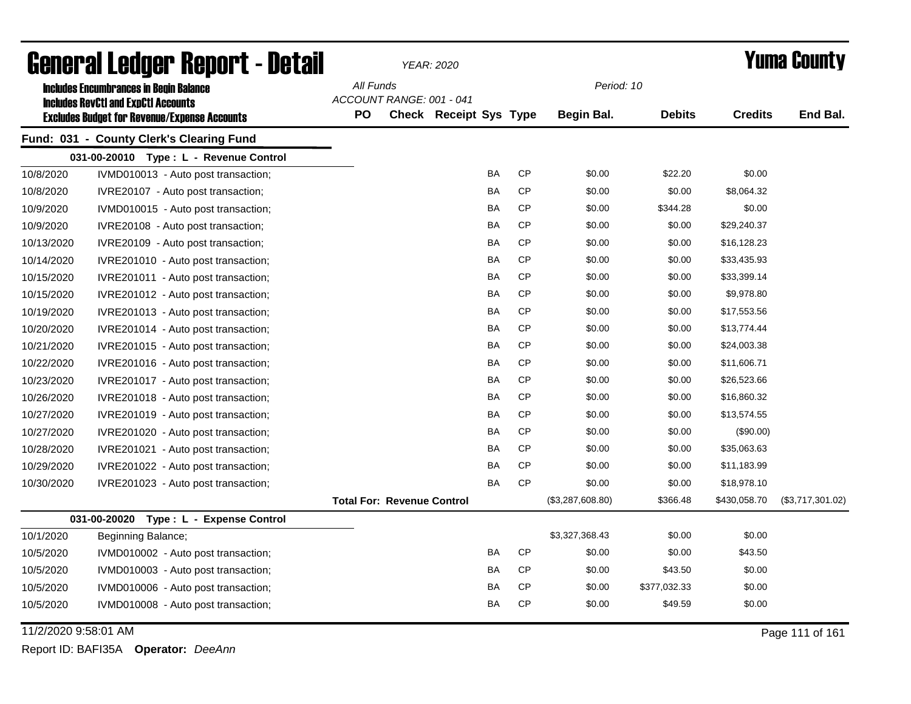|                      | <b>General Ledger Report - Detail</b>               |                                   |                          | <b>YEAR: 2020</b>             |           |           |                  |               |                | <b>Yuma County</b> |
|----------------------|-----------------------------------------------------|-----------------------------------|--------------------------|-------------------------------|-----------|-----------|------------------|---------------|----------------|--------------------|
|                      | <b>Includes Encumbrances in Begin Balance</b>       | All Funds                         |                          |                               |           |           | Period: 10       |               |                |                    |
|                      | <b>Includes RevCtI and ExpCtI Accounts</b>          |                                   | ACCOUNT RANGE: 001 - 041 |                               |           |           |                  |               |                |                    |
|                      | <b>Excludes Budget for Revenue/Expense Accounts</b> | <b>PO</b>                         |                          | <b>Check Receipt Sys Type</b> |           |           | Begin Bal.       | <b>Debits</b> | <b>Credits</b> | End Bal.           |
|                      | Fund: 031 - County Clerk's Clearing Fund            |                                   |                          |                               |           |           |                  |               |                |                    |
|                      | 031-00-20010 Type: L - Revenue Control              |                                   |                          |                               |           |           |                  |               |                |                    |
| 10/8/2020            | IVMD010013 - Auto post transaction;                 |                                   |                          |                               | <b>BA</b> | CP        | \$0.00           | \$22.20       | \$0.00         |                    |
| 10/8/2020            | IVRE20107 - Auto post transaction;                  |                                   |                          |                               | BA        | <b>CP</b> | \$0.00           | \$0.00        | \$8,064.32     |                    |
| 10/9/2020            | IVMD010015 - Auto post transaction;                 |                                   |                          |                               | BA        | <b>CP</b> | \$0.00           | \$344.28      | \$0.00         |                    |
| 10/9/2020            | IVRE20108 - Auto post transaction;                  |                                   |                          |                               | <b>BA</b> | <b>CP</b> | \$0.00           | \$0.00        | \$29,240.37    |                    |
| 10/13/2020           | IVRE20109 - Auto post transaction;                  |                                   |                          |                               | <b>BA</b> | CP        | \$0.00           | \$0.00        | \$16,128.23    |                    |
| 10/14/2020           | IVRE201010 - Auto post transaction;                 |                                   |                          |                               | <b>BA</b> | <b>CP</b> | \$0.00           | \$0.00        | \$33,435.93    |                    |
| 10/15/2020           | IVRE201011 - Auto post transaction;                 |                                   |                          |                               | BA        | <b>CP</b> | \$0.00           | \$0.00        | \$33,399.14    |                    |
| 10/15/2020           | IVRE201012 - Auto post transaction;                 |                                   |                          |                               | BA        | <b>CP</b> | \$0.00           | \$0.00        | \$9,978.80     |                    |
| 10/19/2020           | IVRE201013 - Auto post transaction;                 |                                   |                          |                               | <b>BA</b> | CP        | \$0.00           | \$0.00        | \$17,553.56    |                    |
| 10/20/2020           | IVRE201014 - Auto post transaction;                 |                                   |                          |                               | <b>BA</b> | <b>CP</b> | \$0.00           | \$0.00        | \$13,774.44    |                    |
| 10/21/2020           | IVRE201015 - Auto post transaction;                 |                                   |                          |                               | BA        | <b>CP</b> | \$0.00           | \$0.00        | \$24,003.38    |                    |
| 10/22/2020           | IVRE201016 - Auto post transaction;                 |                                   |                          |                               | <b>BA</b> | <b>CP</b> | \$0.00           | \$0.00        | \$11,606.71    |                    |
| 10/23/2020           | IVRE201017 - Auto post transaction;                 |                                   |                          |                               | <b>BA</b> | CP        | \$0.00           | \$0.00        | \$26,523.66    |                    |
| 10/26/2020           | IVRE201018 - Auto post transaction;                 |                                   |                          |                               | BA        | <b>CP</b> | \$0.00           | \$0.00        | \$16,860.32    |                    |
| 10/27/2020           | IVRE201019 - Auto post transaction;                 |                                   |                          |                               | <b>BA</b> | <b>CP</b> | \$0.00           | \$0.00        | \$13,574.55    |                    |
| 10/27/2020           | IVRE201020 - Auto post transaction;                 |                                   |                          |                               | <b>BA</b> | CP        | \$0.00           | \$0.00        | (\$90.00)      |                    |
| 10/28/2020           | IVRE201021 - Auto post transaction;                 |                                   |                          |                               | <b>BA</b> | <b>CP</b> | \$0.00           | \$0.00        | \$35,063.63    |                    |
| 10/29/2020           | IVRE201022 - Auto post transaction;                 |                                   |                          |                               | <b>BA</b> | <b>CP</b> | \$0.00           | \$0.00        | \$11,183.99    |                    |
| 10/30/2020           | IVRE201023 - Auto post transaction;                 |                                   |                          |                               | <b>BA</b> | <b>CP</b> | \$0.00           | \$0.00        | \$18,978.10    |                    |
|                      |                                                     | <b>Total For: Revenue Control</b> |                          |                               |           |           | (\$3,287,608.80) | \$366.48      | \$430,058.70   | (\$3,717,301.02)   |
|                      | 031-00-20020<br>Type: L - Expense Control           |                                   |                          |                               |           |           |                  |               |                |                    |
| 10/1/2020            | Beginning Balance;                                  |                                   |                          |                               |           |           | \$3,327,368.43   | \$0.00        | \$0.00         |                    |
| 10/5/2020            | IVMD010002 - Auto post transaction;                 |                                   |                          |                               | <b>BA</b> | <b>CP</b> | \$0.00           | \$0.00        | \$43.50        |                    |
| 10/5/2020            | IVMD010003 - Auto post transaction;                 |                                   |                          |                               | <b>BA</b> | <b>CP</b> | \$0.00           | \$43.50       | \$0.00         |                    |
| 10/5/2020            | IVMD010006 - Auto post transaction;                 |                                   |                          |                               | BA        | <b>CP</b> | \$0.00           | \$377,032.33  | \$0.00         |                    |
| 10/5/2020            | IVMD010008 - Auto post transaction;                 |                                   |                          |                               | BA        | <b>CP</b> | \$0.00           | \$49.59       | \$0.00         |                    |
| 11/2/2020 9:58:01 AM |                                                     |                                   |                          |                               |           |           |                  |               |                | Page 111 of 161    |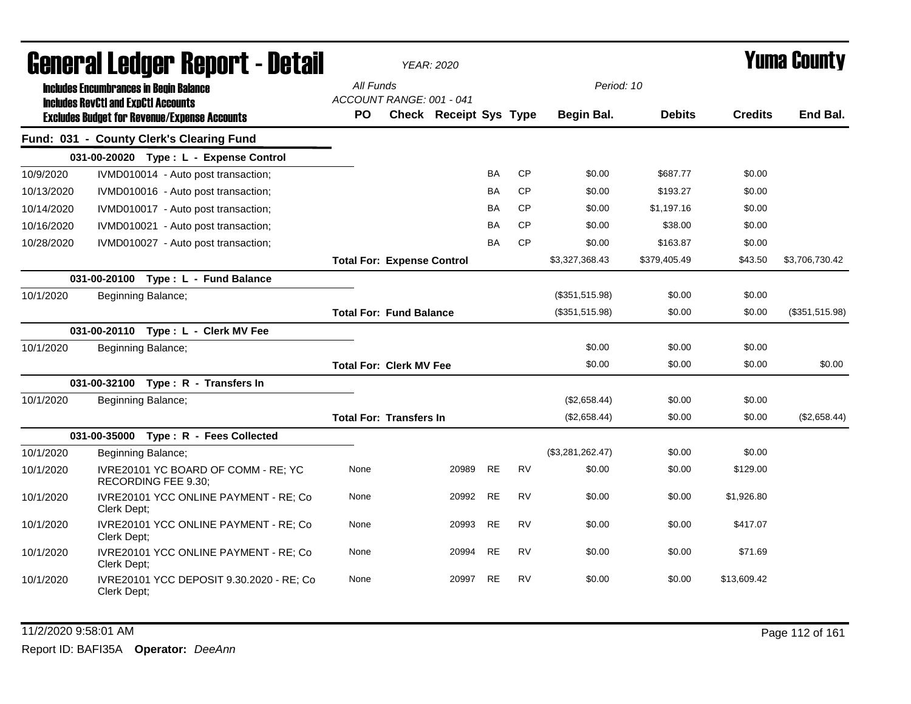|            | <b>General Ledger Report - Detail</b>                                                             |           | <b>YEAR: 2020</b>                                         |       |           |           |                  |               |                | <b>Yuma County</b> |
|------------|---------------------------------------------------------------------------------------------------|-----------|-----------------------------------------------------------|-------|-----------|-----------|------------------|---------------|----------------|--------------------|
|            | <b>Includes Encumbrances in Begin Balance</b>                                                     | All Funds |                                                           |       |           |           | Period: 10       |               |                |                    |
|            | <b>Includes RevCtI and ExpCtI Accounts</b><br><b>Excludes Budget for Revenue/Expense Accounts</b> | <b>PO</b> | ACCOUNT RANGE: 001 - 041<br><b>Check Receipt Sys Type</b> |       |           |           | Begin Bal.       | <b>Debits</b> | <b>Credits</b> | End Bal.           |
|            | Fund: 031 - County Clerk's Clearing Fund                                                          |           |                                                           |       |           |           |                  |               |                |                    |
|            | 031-00-20020 Type: L - Expense Control                                                            |           |                                                           |       |           |           |                  |               |                |                    |
| 10/9/2020  | IVMD010014 - Auto post transaction;                                                               |           |                                                           |       | <b>BA</b> | <b>CP</b> | \$0.00           | \$687.77      | \$0.00         |                    |
| 10/13/2020 | IVMD010016 - Auto post transaction;                                                               |           |                                                           |       | BA        | <b>CP</b> | \$0.00           | \$193.27      | \$0.00         |                    |
| 10/14/2020 | IVMD010017 - Auto post transaction;                                                               |           |                                                           |       | BA        | <b>CP</b> | \$0.00           | \$1,197.16    | \$0.00         |                    |
| 10/16/2020 | IVMD010021 - Auto post transaction;                                                               |           |                                                           |       | <b>BA</b> | <b>CP</b> | \$0.00           | \$38.00       | \$0.00         |                    |
| 10/28/2020 | IVMD010027 - Auto post transaction;                                                               |           |                                                           |       | BA        | <b>CP</b> | \$0.00           | \$163.87      | \$0.00         |                    |
|            |                                                                                                   |           | <b>Total For: Expense Control</b>                         |       |           |           | \$3,327,368.43   | \$379,405.49  | \$43.50        | \$3,706,730.42     |
|            | Type: L - Fund Balance<br>031-00-20100                                                            |           |                                                           |       |           |           |                  |               |                |                    |
| 10/1/2020  | Beginning Balance;                                                                                |           |                                                           |       |           |           | (\$351,515.98)   | \$0.00        | \$0.00         |                    |
|            |                                                                                                   |           | <b>Total For: Fund Balance</b>                            |       |           |           | (\$351,515.98)   | \$0.00        | \$0.00         | (\$351,515.98)     |
|            | 031-00-20110<br>Type: L - Clerk MV Fee                                                            |           |                                                           |       |           |           |                  |               |                |                    |
| 10/1/2020  | Beginning Balance;                                                                                |           |                                                           |       |           |           | \$0.00           | \$0.00        | \$0.00         |                    |
|            |                                                                                                   |           | <b>Total For: Clerk MV Fee</b>                            |       |           |           | \$0.00           | \$0.00        | \$0.00         | \$0.00             |
|            | 031-00-32100 Type: R - Transfers In                                                               |           |                                                           |       |           |           |                  |               |                |                    |
| 10/1/2020  | Beginning Balance;                                                                                |           |                                                           |       |           |           | (\$2,658.44)     | \$0.00        | \$0.00         |                    |
|            |                                                                                                   |           | <b>Total For: Transfers In</b>                            |       |           |           | (\$2,658.44)     | \$0.00        | \$0.00         | (\$2,658.44)       |
|            | 031-00-35000 Type: R - Fees Collected                                                             |           |                                                           |       |           |           |                  |               |                |                    |
| 10/1/2020  | Beginning Balance;                                                                                |           |                                                           |       |           |           | (\$3,281,262.47) | \$0.00        | \$0.00         |                    |
| 10/1/2020  | IVRE20101 YC BOARD OF COMM - RE; YC<br>RECORDING FEE 9.30;                                        | None      |                                                           | 20989 | <b>RE</b> | <b>RV</b> | \$0.00           | \$0.00        | \$129.00       |                    |
| 10/1/2020  | IVRE20101 YCC ONLINE PAYMENT - RE; Co<br>Clerk Dept:                                              | None      |                                                           | 20992 | <b>RE</b> | <b>RV</b> | \$0.00           | \$0.00        | \$1,926.80     |                    |
| 10/1/2020  | IVRE20101 YCC ONLINE PAYMENT - RE; Co<br>Clerk Dept:                                              | None      |                                                           | 20993 | <b>RE</b> | <b>RV</b> | \$0.00           | \$0.00        | \$417.07       |                    |
| 10/1/2020  | IVRE20101 YCC ONLINE PAYMENT - RE; Co<br>Clerk Dept;                                              | None      |                                                           | 20994 | <b>RE</b> | <b>RV</b> | \$0.00           | \$0.00        | \$71.69        |                    |
| 10/1/2020  | IVRE20101 YCC DEPOSIT 9.30.2020 - RE; Co<br>Clerk Dept;                                           | None      |                                                           | 20997 | <b>RE</b> | <b>RV</b> | \$0.00           | \$0.00        | \$13,609.42    |                    |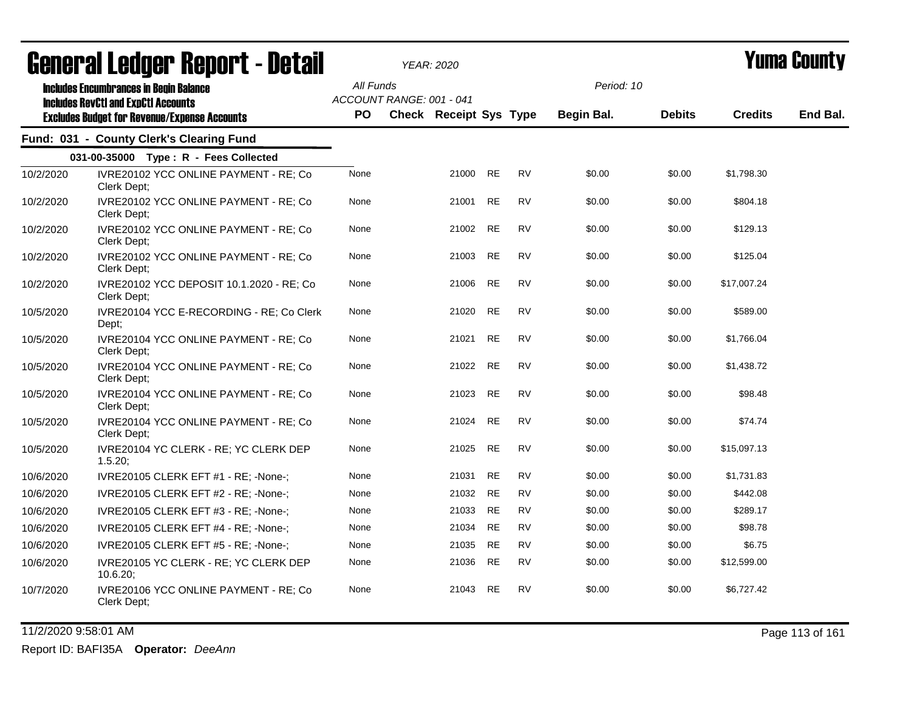|           | agiigi (gi fanàri, dehol. f - nefail                                                        |           |                          | <i>YEAR: 2020</i>      |           |           |                   |               |                | I UIIIA VUUIIL\ |
|-----------|---------------------------------------------------------------------------------------------|-----------|--------------------------|------------------------|-----------|-----------|-------------------|---------------|----------------|-----------------|
|           | <b>Includes Encumbrances in Begin Balance</b><br><b>Includes RevCtI and ExpCtI Accounts</b> | All Funds | ACCOUNT RANGE: 001 - 041 |                        |           |           | Period: 10        |               |                |                 |
|           | <b>Excludes Budget for Revenue/Expense Accounts</b>                                         | <b>PO</b> |                          | Check Receipt Sys Type |           |           | <b>Begin Bal.</b> | <b>Debits</b> | <b>Credits</b> | End Bal.        |
|           | Fund: 031 - County Clerk's Clearing Fund                                                    |           |                          |                        |           |           |                   |               |                |                 |
|           | 031-00-35000 Type: R - Fees Collected                                                       |           |                          |                        |           |           |                   |               |                |                 |
| 10/2/2020 | IVRE20102 YCC ONLINE PAYMENT - RE; Co<br>Clerk Dept;                                        | None      |                          | 21000                  | <b>RE</b> | <b>RV</b> | \$0.00            | \$0.00        | \$1,798.30     |                 |
| 10/2/2020 | IVRE20102 YCC ONLINE PAYMENT - RE; Co<br>Clerk Dept;                                        | None      |                          | 21001                  | <b>RE</b> | <b>RV</b> | \$0.00            | \$0.00        | \$804.18       |                 |
| 10/2/2020 | IVRE20102 YCC ONLINE PAYMENT - RE; Co<br>Clerk Dept;                                        | None      |                          | 21002                  | <b>RE</b> | <b>RV</b> | \$0.00            | \$0.00        | \$129.13       |                 |
| 10/2/2020 | IVRE20102 YCC ONLINE PAYMENT - RE; Co<br>Clerk Dept;                                        | None      |                          | 21003                  | <b>RE</b> | <b>RV</b> | \$0.00            | \$0.00        | \$125.04       |                 |
| 10/2/2020 | IVRE20102 YCC DEPOSIT 10.1.2020 - RE; Co<br>Clerk Dept;                                     | None      |                          | 21006                  | <b>RE</b> | <b>RV</b> | \$0.00            | \$0.00        | \$17,007.24    |                 |
| 10/5/2020 | IVRE20104 YCC E-RECORDING - RE; Co Clerk<br>Dept;                                           | None      |                          | 21020                  | <b>RE</b> | <b>RV</b> | \$0.00            | \$0.00        | \$589.00       |                 |
| 10/5/2020 | IVRE20104 YCC ONLINE PAYMENT - RE; Co<br>Clerk Dept;                                        | None      |                          | 21021                  | <b>RE</b> | <b>RV</b> | \$0.00            | \$0.00        | \$1,766.04     |                 |
| 10/5/2020 | IVRE20104 YCC ONLINE PAYMENT - RE; Co<br>Clerk Dept:                                        | None      |                          | 21022                  | <b>RE</b> | <b>RV</b> | \$0.00            | \$0.00        | \$1,438.72     |                 |
| 10/5/2020 | IVRE20104 YCC ONLINE PAYMENT - RE; Co<br>Clerk Dept;                                        | None      |                          | 21023                  | <b>RE</b> | <b>RV</b> | \$0.00            | \$0.00        | \$98.48        |                 |
| 10/5/2020 | IVRE20104 YCC ONLINE PAYMENT - RE; Co<br>Clerk Dept:                                        | None      |                          | 21024                  | <b>RE</b> | <b>RV</b> | \$0.00            | \$0.00        | \$74.74        |                 |
| 10/5/2020 | IVRE20104 YC CLERK - RE; YC CLERK DEP<br>1.5.20                                             | None      |                          | 21025                  | <b>RE</b> | <b>RV</b> | \$0.00            | \$0.00        | \$15,097.13    |                 |
| 10/6/2020 | IVRE20105 CLERK EFT #1 - RE; -None-;                                                        | None      |                          | 21031                  | RE        | RV        | \$0.00            | \$0.00        | \$1,731.83     |                 |
| 10/6/2020 | IVRE20105 CLERK EFT #2 - RE; -None-;                                                        | None      |                          | 21032                  | <b>RE</b> | <b>RV</b> | \$0.00            | \$0.00        | \$442.08       |                 |
| 10/6/2020 | IVRE20105 CLERK EFT #3 - RE; -None-;                                                        | None      |                          | 21033                  | <b>RE</b> | <b>RV</b> | \$0.00            | \$0.00        | \$289.17       |                 |
| 10/6/2020 | IVRE20105 CLERK EFT #4 - RE; -None-;                                                        | None      |                          | 21034                  | <b>RE</b> | <b>RV</b> | \$0.00            | \$0.00        | \$98.78        |                 |
| 10/6/2020 | IVRE20105 CLERK EFT #5 - RE; -None-;                                                        | None      |                          | 21035                  | <b>RE</b> | <b>RV</b> | \$0.00            | \$0.00        | \$6.75         |                 |
| 10/6/2020 | IVRE20105 YC CLERK - RE; YC CLERK DEP<br>10.6.20;                                           | None      |                          | 21036                  | <b>RE</b> | RV        | \$0.00            | \$0.00        | \$12,599.00    |                 |
| 10/7/2020 | IVRE20106 YCC ONLINE PAYMENT - RE; Co<br>Clerk Dept;                                        | None      |                          | 21043                  | RE        | RV        | \$0.00            | \$0.00        | \$6,727.42     |                 |

11/2/2020 9:58:01 AM Page 113 of 161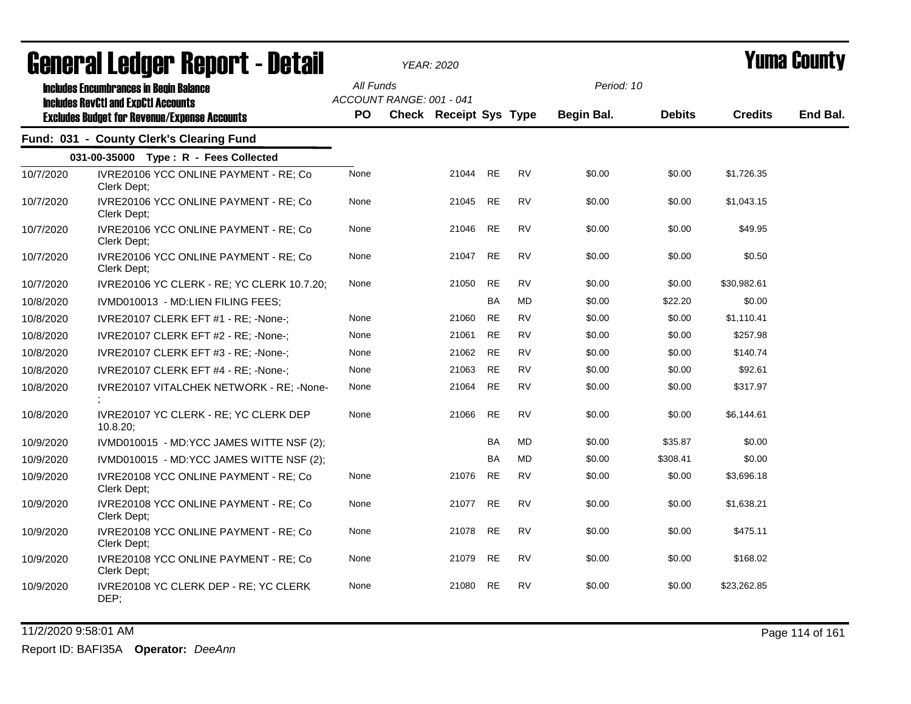|           | <b>agiigi.gi fanñai. Vanni. ( - nafqii</b>                                                  |           | YEAR: 2020                    |       |           |           |                   |               |                | I UIIIA VUUIILY |
|-----------|---------------------------------------------------------------------------------------------|-----------|-------------------------------|-------|-----------|-----------|-------------------|---------------|----------------|-----------------|
|           | <b>Includes Encumbrances in Begin Balance</b><br><b>Includes RevCtI and ExpCtI Accounts</b> | All Funds | ACCOUNT RANGE: 001 - 041      |       |           |           | Period: 10        |               |                |                 |
|           | <b>Excludes Budget for Revenue/Expense Accounts</b>                                         | PO.       | <b>Check Receipt Sys Type</b> |       |           |           | <b>Begin Bal.</b> | <b>Debits</b> | <b>Credits</b> | End Bal.        |
|           | Fund: 031 - County Clerk's Clearing Fund                                                    |           |                               |       |           |           |                   |               |                |                 |
|           | 031-00-35000 Type: R - Fees Collected                                                       |           |                               |       |           |           |                   |               |                |                 |
| 10/7/2020 | IVRE20106 YCC ONLINE PAYMENT - RE; Co<br>Clerk Dept;                                        | None      |                               | 21044 | RE        | <b>RV</b> | \$0.00            | \$0.00        | \$1,726.35     |                 |
| 10/7/2020 | IVRE20106 YCC ONLINE PAYMENT - RE; Co<br>Clerk Dept;                                        | None      |                               | 21045 | <b>RE</b> | <b>RV</b> | \$0.00            | \$0.00        | \$1,043.15     |                 |
| 10/7/2020 | IVRE20106 YCC ONLINE PAYMENT - RE; Co<br>Clerk Dept;                                        | None      |                               | 21046 | <b>RE</b> | <b>RV</b> | \$0.00            | \$0.00        | \$49.95        |                 |
| 10/7/2020 | IVRE20106 YCC ONLINE PAYMENT - RE; Co<br>Clerk Dept;                                        | None      |                               | 21047 | <b>RE</b> | <b>RV</b> | \$0.00            | \$0.00        | \$0.50         |                 |
| 10/7/2020 | IVRE20106 YC CLERK - RE; YC CLERK 10.7.20;                                                  | None      |                               | 21050 | <b>RE</b> | <b>RV</b> | \$0.00            | \$0.00        | \$30,982.61    |                 |
| 10/8/2020 | IVMD010013 - MD:LIEN FILING FEES;                                                           |           |                               |       | BA        | <b>MD</b> | \$0.00            | \$22.20       | \$0.00         |                 |
| 10/8/2020 | IVRE20107 CLERK EFT #1 - RE; -None-;                                                        | None      |                               | 21060 | <b>RE</b> | <b>RV</b> | \$0.00            | \$0.00        | \$1,110.41     |                 |
| 10/8/2020 | IVRE20107 CLERK EFT #2 - RE; -None-;                                                        | None      |                               | 21061 | <b>RE</b> | <b>RV</b> | \$0.00            | \$0.00        | \$257.98       |                 |
| 10/8/2020 | IVRE20107 CLERK EFT #3 - RE; -None-;                                                        | None      |                               | 21062 | <b>RE</b> | <b>RV</b> | \$0.00            | \$0.00        | \$140.74       |                 |
| 10/8/2020 | IVRE20107 CLERK EFT #4 - RE; -None-;                                                        | None      |                               | 21063 | <b>RE</b> | <b>RV</b> | \$0.00            | \$0.00        | \$92.61        |                 |
| 10/8/2020 | IVRE20107 VITALCHEK NETWORK - RE; -None-                                                    | None      |                               | 21064 | <b>RE</b> | <b>RV</b> | \$0.00            | \$0.00        | \$317.97       |                 |
| 10/8/2020 | IVRE20107 YC CLERK - RE; YC CLERK DEP<br>$10.8.20$ :                                        | None      |                               | 21066 | <b>RE</b> | <b>RV</b> | \$0.00            | \$0.00        | \$6,144.61     |                 |
| 10/9/2020 | IVMD010015 - MD:YCC JAMES WITTE NSF (2);                                                    |           |                               |       | <b>BA</b> | <b>MD</b> | \$0.00            | \$35.87       | \$0.00         |                 |
| 10/9/2020 | IVMD010015 - MD:YCC JAMES WITTE NSF (2);                                                    |           |                               |       | <b>BA</b> | <b>MD</b> | \$0.00            | \$308.41      | \$0.00         |                 |
| 10/9/2020 | IVRE20108 YCC ONLINE PAYMENT - RE; Co<br>Clerk Dept;                                        | None      |                               | 21076 | <b>RE</b> | <b>RV</b> | \$0.00            | \$0.00        | \$3,696.18     |                 |
| 10/9/2020 | IVRE20108 YCC ONLINE PAYMENT - RE; Co<br>Clerk Dept;                                        | None      |                               | 21077 | <b>RE</b> | <b>RV</b> | \$0.00            | \$0.00        | \$1,638.21     |                 |
| 10/9/2020 | IVRE20108 YCC ONLINE PAYMENT - RE; Co<br>Clerk Dept;                                        | None      |                               | 21078 | <b>RE</b> | <b>RV</b> | \$0.00            | \$0.00        | \$475.11       |                 |
| 10/9/2020 | IVRE20108 YCC ONLINE PAYMENT - RE; Co<br>Clerk Dept;                                        | None      |                               | 21079 | <b>RE</b> | <b>RV</b> | \$0.00            | \$0.00        | \$168.02       |                 |
| 10/9/2020 | IVRE20108 YC CLERK DEP - RE; YC CLERK<br>DEP:                                               | None      |                               | 21080 | <b>RE</b> | <b>RV</b> | \$0.00            | \$0.00        | \$23,262.85    |                 |

11/2/2020 9:58:01 AM Page 114 of 161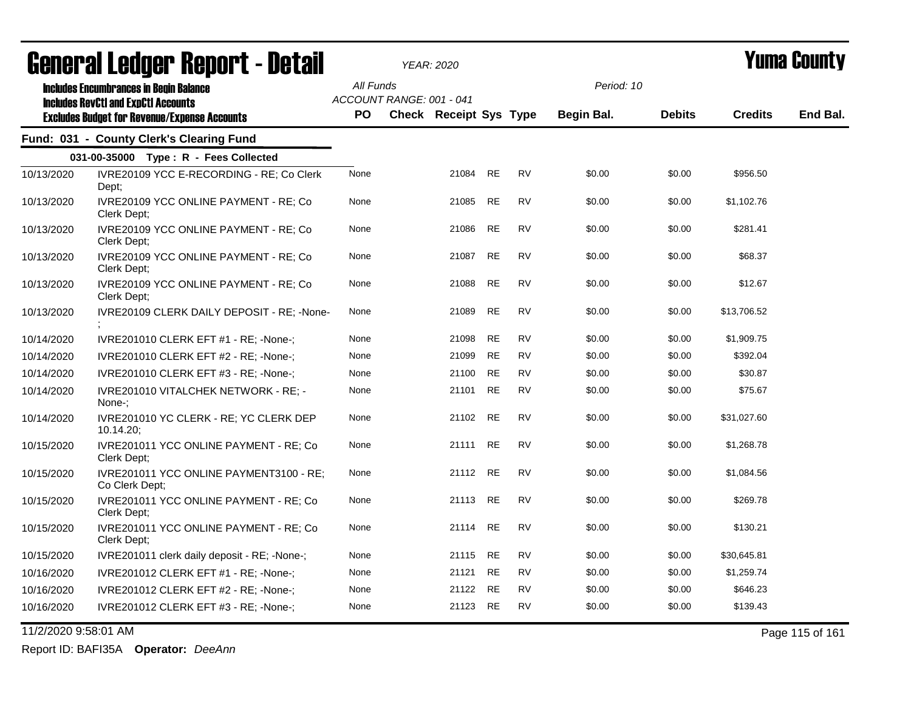|                      | agiigi.gi fanñai. Vahni. ( - nafqii                       |           | YEAR: 2020               |          |           |           |                   |               |                | I UIIIA VUUIILY |
|----------------------|-----------------------------------------------------------|-----------|--------------------------|----------|-----------|-----------|-------------------|---------------|----------------|-----------------|
|                      | <b>Includes Encumbrances in Begin Balance</b>             | All Funds |                          |          |           |           | Period: 10        |               |                |                 |
|                      | <b>Includes RevCtI and ExpCtI Accounts</b>                |           | ACCOUNT RANGE: 001 - 041 |          |           |           |                   |               |                |                 |
|                      | <b>Excludes Budget for Revenue/Expense Accounts</b>       | PO.       | Check Receipt Sys Type   |          |           |           | <b>Begin Bal.</b> | <b>Debits</b> | <b>Credits</b> | End Bal.        |
|                      | Fund: 031 - County Clerk's Clearing Fund                  |           |                          |          |           |           |                   |               |                |                 |
|                      | 031-00-35000 Type: R - Fees Collected                     |           |                          |          |           |           |                   |               |                |                 |
| 10/13/2020           | IVRE20109 YCC E-RECORDING - RE; Co Clerk<br>Dept;         | None      |                          | 21084 RE |           | <b>RV</b> | \$0.00            | \$0.00        | \$956.50       |                 |
| 10/13/2020           | IVRE20109 YCC ONLINE PAYMENT - RE; Co<br>Clerk Dept;      | None      |                          | 21085    | RE        | <b>RV</b> | \$0.00            | \$0.00        | \$1,102.76     |                 |
| 10/13/2020           | IVRE20109 YCC ONLINE PAYMENT - RE; Co<br>Clerk Dept;      | None      |                          | 21086    | RE        | <b>RV</b> | \$0.00            | \$0.00        | \$281.41       |                 |
| 10/13/2020           | IVRE20109 YCC ONLINE PAYMENT - RE; Co<br>Clerk Dept;      | None      |                          | 21087    | RE        | <b>RV</b> | \$0.00            | \$0.00        | \$68.37        |                 |
| 10/13/2020           | IVRE20109 YCC ONLINE PAYMENT - RE; Co<br>Clerk Dept;      | None      |                          | 21088    | <b>RE</b> | <b>RV</b> | \$0.00            | \$0.00        | \$12.67        |                 |
| 10/13/2020           | IVRE20109 CLERK DAILY DEPOSIT - RE: -None-                | None      |                          | 21089    | <b>RE</b> | <b>RV</b> | \$0.00            | \$0.00        | \$13,706.52    |                 |
| 10/14/2020           | IVRE201010 CLERK EFT #1 - RE; -None-;                     | None      |                          | 21098    | <b>RE</b> | <b>RV</b> | \$0.00            | \$0.00        | \$1,909.75     |                 |
| 10/14/2020           | IVRE201010 CLERK EFT #2 - RE; -None-;                     | None      |                          | 21099    | <b>RE</b> | <b>RV</b> | \$0.00            | \$0.00        | \$392.04       |                 |
| 10/14/2020           | IVRE201010 CLERK EFT #3 - RE; -None-;                     | None      |                          | 21100    | <b>RE</b> | <b>RV</b> | \$0.00            | \$0.00        | \$30.87        |                 |
| 10/14/2020           | IVRE201010 VITALCHEK NETWORK - RE; -<br>None-;            | None      |                          | 21101    | RE        | <b>RV</b> | \$0.00            | \$0.00        | \$75.67        |                 |
| 10/14/2020           | IVRE201010 YC CLERK - RE; YC CLERK DEP<br>10.14.20        | None      |                          | 21102    | <b>RE</b> | <b>RV</b> | \$0.00            | \$0.00        | \$31,027.60    |                 |
| 10/15/2020           | IVRE201011 YCC ONLINE PAYMENT - RE; Co<br>Clerk Dept;     | None      |                          | 21111 RE |           | <b>RV</b> | \$0.00            | \$0.00        | \$1,268.78     |                 |
| 10/15/2020           | IVRE201011 YCC ONLINE PAYMENT3100 - RE;<br>Co Clerk Dept; | None      |                          | 21112 RE |           | <b>RV</b> | \$0.00            | \$0.00        | \$1,084.56     |                 |
| 10/15/2020           | IVRE201011 YCC ONLINE PAYMENT - RE; Co<br>Clerk Dept;     | None      |                          | 21113 RE |           | <b>RV</b> | \$0.00            | \$0.00        | \$269.78       |                 |
| 10/15/2020           | IVRE201011 YCC ONLINE PAYMENT - RE; Co<br>Clerk Dept;     | None      |                          | 21114    | RE        | <b>RV</b> | \$0.00            | \$0.00        | \$130.21       |                 |
| 10/15/2020           | IVRE201011 clerk daily deposit - RE; -None-;              | None      |                          | 21115 RE |           | <b>RV</b> | \$0.00            | \$0.00        | \$30,645.81    |                 |
| 10/16/2020           | IVRE201012 CLERK EFT #1 - RE; -None-;                     | None      |                          | 21121    | <b>RE</b> | <b>RV</b> | \$0.00            | \$0.00        | \$1,259.74     |                 |
| 10/16/2020           | IVRE201012 CLERK EFT #2 - RE; -None-;                     | None      |                          | 21122    | RE        | <b>RV</b> | \$0.00            | \$0.00        | \$646.23       |                 |
| 10/16/2020           | IVRE201012 CLERK EFT #3 - RE; -None-;                     | None      |                          | 21123    | <b>RE</b> | <b>RV</b> | \$0.00            | \$0.00        | \$139.43       |                 |
| 11/2/2020 9:58:01 AM |                                                           |           |                          |          |           |           |                   |               |                | Page 115 of 161 |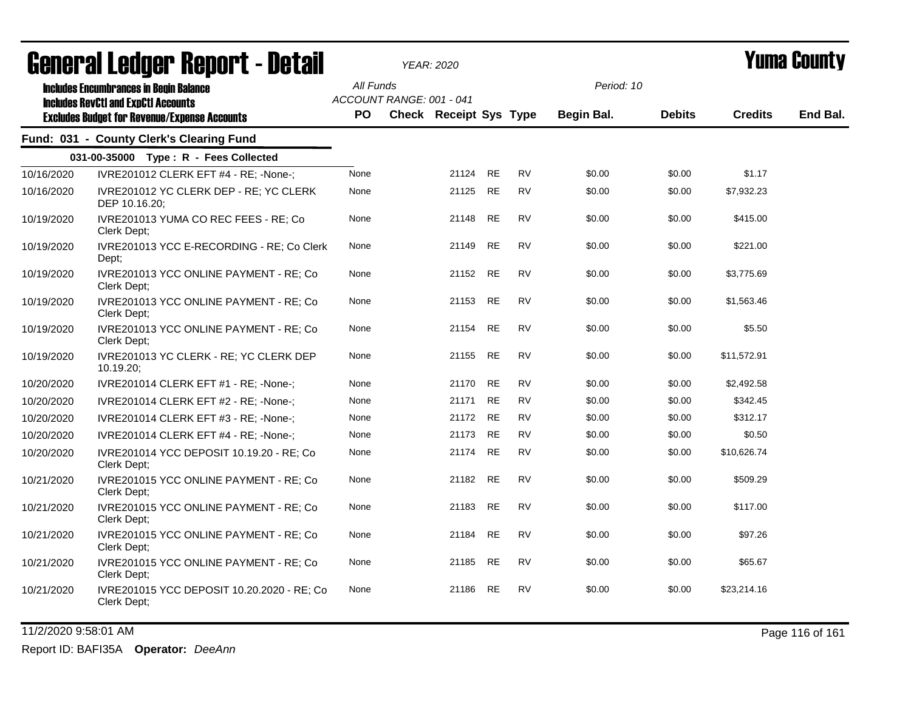|            | agual.gi fanñal. Urini. ( - nafsii                                                          |                        | <i>YEAR: 2020</i>                                  |          |           |           |                          |               |                | I UIIIA VUUIILY |
|------------|---------------------------------------------------------------------------------------------|------------------------|----------------------------------------------------|----------|-----------|-----------|--------------------------|---------------|----------------|-----------------|
|            | <b>Includes Encumbrances in Begin Balance</b><br><b>Includes RevCtI and ExpCtI Accounts</b> | All Funds<br><b>PO</b> | ACCOUNT RANGE: 001 - 041<br>Check Receipt Sys Type |          |           |           | Period: 10<br>Begin Bal. | <b>Debits</b> | <b>Credits</b> | End Bal.        |
|            | <b>Excludes Budget for Revenue/Expense Accounts</b>                                         |                        |                                                    |          |           |           |                          |               |                |                 |
|            | Fund: 031 - County Clerk's Clearing Fund                                                    |                        |                                                    |          |           |           |                          |               |                |                 |
|            | 031-00-35000 Type: R - Fees Collected                                                       |                        |                                                    |          |           |           |                          |               |                |                 |
| 10/16/2020 | IVRE201012 CLERK EFT #4 - RE; -None-;                                                       | None                   |                                                    | 21124    | <b>RE</b> | <b>RV</b> | \$0.00                   | \$0.00        | \$1.17         |                 |
| 10/16/2020 | IVRE201012 YC CLERK DEP - RE; YC CLERK<br>DEP 10.16.20;                                     | None                   |                                                    | 21125    | <b>RE</b> | <b>RV</b> | \$0.00                   | \$0.00        | \$7,932.23     |                 |
| 10/19/2020 | IVRE201013 YUMA CO REC FEES - RE; Co<br>Clerk Dept:                                         | None                   |                                                    | 21148    | <b>RE</b> | <b>RV</b> | \$0.00                   | \$0.00        | \$415.00       |                 |
| 10/19/2020 | IVRE201013 YCC E-RECORDING - RE; Co Clerk<br>Dept;                                          | None                   |                                                    | 21149    | <b>RE</b> | <b>RV</b> | \$0.00                   | \$0.00        | \$221.00       |                 |
| 10/19/2020 | IVRE201013 YCC ONLINE PAYMENT - RE; Co<br>Clerk Dept:                                       | None                   |                                                    | 21152    | <b>RE</b> | <b>RV</b> | \$0.00                   | \$0.00        | \$3,775.69     |                 |
| 10/19/2020 | IVRE201013 YCC ONLINE PAYMENT - RE; Co<br>Clerk Dept;                                       | None                   |                                                    | 21153    | <b>RE</b> | <b>RV</b> | \$0.00                   | \$0.00        | \$1,563.46     |                 |
| 10/19/2020 | IVRE201013 YCC ONLINE PAYMENT - RE; Co<br>Clerk Dept;                                       | None                   |                                                    | 21154    | <b>RE</b> | <b>RV</b> | \$0.00                   | \$0.00        | \$5.50         |                 |
| 10/19/2020 | IVRE201013 YC CLERK - RE; YC CLERK DEP<br>10.19.20;                                         | None                   |                                                    | 21155    | <b>RE</b> | RV        | \$0.00                   | \$0.00        | \$11,572.91    |                 |
| 10/20/2020 | IVRE201014 CLERK EFT #1 - RE; -None-;                                                       | None                   |                                                    | 21170    | <b>RE</b> | RV        | \$0.00                   | \$0.00        | \$2,492.58     |                 |
| 10/20/2020 | IVRE201014 CLERK EFT #2 - RE; -None-;                                                       | None                   |                                                    | 21171    | <b>RE</b> | <b>RV</b> | \$0.00                   | \$0.00        | \$342.45       |                 |
| 10/20/2020 | IVRE201014 CLERK EFT #3 - RE; -None-;                                                       | None                   |                                                    | 21172 RE |           | <b>RV</b> | \$0.00                   | \$0.00        | \$312.17       |                 |
| 10/20/2020 | IVRE201014 CLERK EFT #4 - RE; -None-;                                                       | None                   |                                                    | 21173    | <b>RE</b> | <b>RV</b> | \$0.00                   | \$0.00        | \$0.50         |                 |
| 10/20/2020 | IVRE201014 YCC DEPOSIT 10.19.20 - RE; Co<br>Clerk Dept;                                     | None                   |                                                    | 21174    | <b>RE</b> | <b>RV</b> | \$0.00                   | \$0.00        | \$10,626.74    |                 |
| 10/21/2020 | IVRE201015 YCC ONLINE PAYMENT - RE; Co<br>Clerk Dept:                                       | None                   |                                                    | 21182    | <b>RE</b> | <b>RV</b> | \$0.00                   | \$0.00        | \$509.29       |                 |
| 10/21/2020 | IVRE201015 YCC ONLINE PAYMENT - RE; Co<br>Clerk Dept:                                       | None                   |                                                    | 21183    | <b>RE</b> | <b>RV</b> | \$0.00                   | \$0.00        | \$117.00       |                 |
| 10/21/2020 | IVRE201015 YCC ONLINE PAYMENT - RE; Co<br>Clerk Dept;                                       | None                   |                                                    | 21184    | <b>RE</b> | <b>RV</b> | \$0.00                   | \$0.00        | \$97.26        |                 |
| 10/21/2020 | IVRE201015 YCC ONLINE PAYMENT - RE; Co<br>Clerk Dept;                                       | None                   |                                                    | 21185    | <b>RE</b> | <b>RV</b> | \$0.00                   | \$0.00        | \$65.67        |                 |
| 10/21/2020 | IVRE201015 YCC DEPOSIT 10.20.2020 - RE; Co<br>Clerk Dept;                                   | None                   |                                                    | 21186    | <b>RE</b> | <b>RV</b> | \$0.00                   | \$0.00        | \$23,214.16    |                 |

11/2/2020 9:58:01 AM Page 116 of 161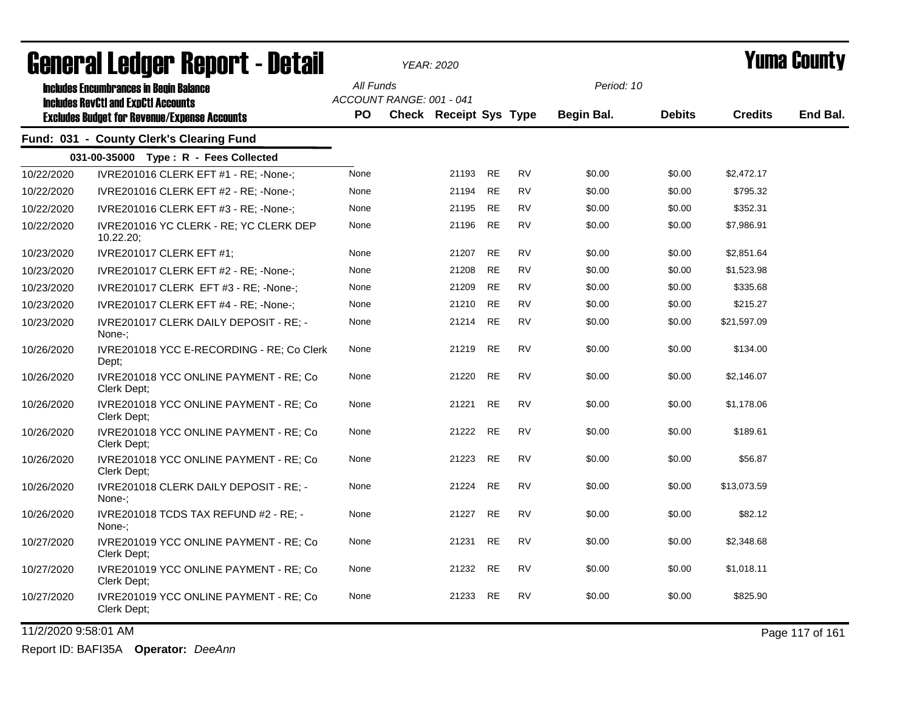|            | agiigi.gi fanñai. Ughni. ( - nafail                                                                                                                |                  |                          | YEAR: 2020                    |           |           |                          |               |                | T UIIIA VUUIILY |
|------------|----------------------------------------------------------------------------------------------------------------------------------------------------|------------------|--------------------------|-------------------------------|-----------|-----------|--------------------------|---------------|----------------|-----------------|
|            | <b>Includes Encumbrances in Begin Balance</b><br><b>Includes RevCtI and ExpCtI Accounts</b><br><b>Excludes Budget for Revenue/Expense Accounts</b> | All Funds<br>PO. | ACCOUNT RANGE: 001 - 041 | <b>Check Receipt Sys Type</b> |           |           | Period: 10<br>Begin Bal. | <b>Debits</b> | <b>Credits</b> | End Bal.        |
|            | Fund: 031 - County Clerk's Clearing Fund                                                                                                           |                  |                          |                               |           |           |                          |               |                |                 |
|            | 031-00-35000 Type: R - Fees Collected                                                                                                              |                  |                          |                               |           |           |                          |               |                |                 |
| 10/22/2020 | IVRE201016 CLERK EFT #1 - RE; -None-;                                                                                                              | None             |                          | 21193                         | <b>RE</b> | <b>RV</b> | \$0.00                   | \$0.00        | \$2,472.17     |                 |
| 10/22/2020 | IVRE201016 CLERK EFT #2 - RE; -None-;                                                                                                              | None             |                          | 21194                         | <b>RE</b> | <b>RV</b> | \$0.00                   | \$0.00        | \$795.32       |                 |
| 10/22/2020 | IVRE201016 CLERK EFT #3 - RE; -None-;                                                                                                              | None             |                          | 21195                         | <b>RE</b> | <b>RV</b> | \$0.00                   | \$0.00        | \$352.31       |                 |
| 10/22/2020 | IVRE201016 YC CLERK - RE; YC CLERK DEP<br>$10.22.20$ ;                                                                                             | None             |                          | 21196                         | <b>RE</b> | <b>RV</b> | \$0.00                   | \$0.00        | \$7,986.91     |                 |
| 10/23/2020 | <b>IVRE201017 CLERK EFT #1;</b>                                                                                                                    | None             |                          | 21207                         | <b>RE</b> | <b>RV</b> | \$0.00                   | \$0.00        | \$2,851.64     |                 |
| 10/23/2020 | IVRE201017 CLERK EFT #2 - RE; -None-;                                                                                                              | None             |                          | 21208                         | <b>RE</b> | <b>RV</b> | \$0.00                   | \$0.00        | \$1,523.98     |                 |
| 10/23/2020 | IVRE201017 CLERK EFT #3 - RE; -None-;                                                                                                              | None             |                          | 21209                         | <b>RE</b> | <b>RV</b> | \$0.00                   | \$0.00        | \$335.68       |                 |
| 10/23/2020 | IVRE201017 CLERK EFT #4 - RE; -None-;                                                                                                              | None             |                          | 21210                         | <b>RE</b> | <b>RV</b> | \$0.00                   | \$0.00        | \$215.27       |                 |
| 10/23/2020 | IVRE201017 CLERK DAILY DEPOSIT - RE; -<br>None-:                                                                                                   | None             |                          | 21214                         | <b>RE</b> | <b>RV</b> | \$0.00                   | \$0.00        | \$21,597.09    |                 |
| 10/26/2020 | IVRE201018 YCC E-RECORDING - RE; Co Clerk<br>Dept;                                                                                                 | None             |                          | 21219                         | <b>RE</b> | <b>RV</b> | \$0.00                   | \$0.00        | \$134.00       |                 |
| 10/26/2020 | IVRE201018 YCC ONLINE PAYMENT - RE; Co<br>Clerk Dept:                                                                                              | None             |                          | 21220                         | <b>RE</b> | <b>RV</b> | \$0.00                   | \$0.00        | \$2,146.07     |                 |
| 10/26/2020 | IVRE201018 YCC ONLINE PAYMENT - RE; Co<br>Clerk Dept:                                                                                              | None             |                          | 21221                         | <b>RE</b> | <b>RV</b> | \$0.00                   | \$0.00        | \$1,178.06     |                 |
| 10/26/2020 | IVRE201018 YCC ONLINE PAYMENT - RE; Co<br>Clerk Dept;                                                                                              | None             |                          | 21222                         | <b>RE</b> | <b>RV</b> | \$0.00                   | \$0.00        | \$189.61       |                 |
| 10/26/2020 | IVRE201018 YCC ONLINE PAYMENT - RE; Co<br>Clerk Dept;                                                                                              | None             |                          | 21223                         | <b>RE</b> | <b>RV</b> | \$0.00                   | \$0.00        | \$56.87        |                 |
| 10/26/2020 | IVRE201018 CLERK DAILY DEPOSIT - RE; -<br>None-:                                                                                                   | None             |                          | 21224                         | <b>RE</b> | <b>RV</b> | \$0.00                   | \$0.00        | \$13,073.59    |                 |
| 10/26/2020 | IVRE201018 TCDS TAX REFUND #2 - RE; -<br>None-:                                                                                                    | None             |                          | 21227                         | <b>RE</b> | <b>RV</b> | \$0.00                   | \$0.00        | \$82.12        |                 |
| 10/27/2020 | IVRE201019 YCC ONLINE PAYMENT - RE; Co<br>Clerk Dept;                                                                                              | None             |                          | 21231                         | <b>RE</b> | <b>RV</b> | \$0.00                   | \$0.00        | \$2,348.68     |                 |
| 10/27/2020 | IVRE201019 YCC ONLINE PAYMENT - RE; Co<br>Clerk Dept;                                                                                              | None             |                          | 21232                         | <b>RE</b> | <b>RV</b> | \$0.00                   | \$0.00        | \$1,018.11     |                 |
| 10/27/2020 | IVRE201019 YCC ONLINE PAYMENT - RE; Co<br>Clerk Dept;                                                                                              | None             |                          | 21233                         | <b>RE</b> | <b>RV</b> | \$0.00                   | \$0.00        | \$825.90       |                 |
|            |                                                                                                                                                    |                  |                          |                               |           |           |                          |               |                |                 |

11/2/2020 9:58:01 AM Page 117 of 161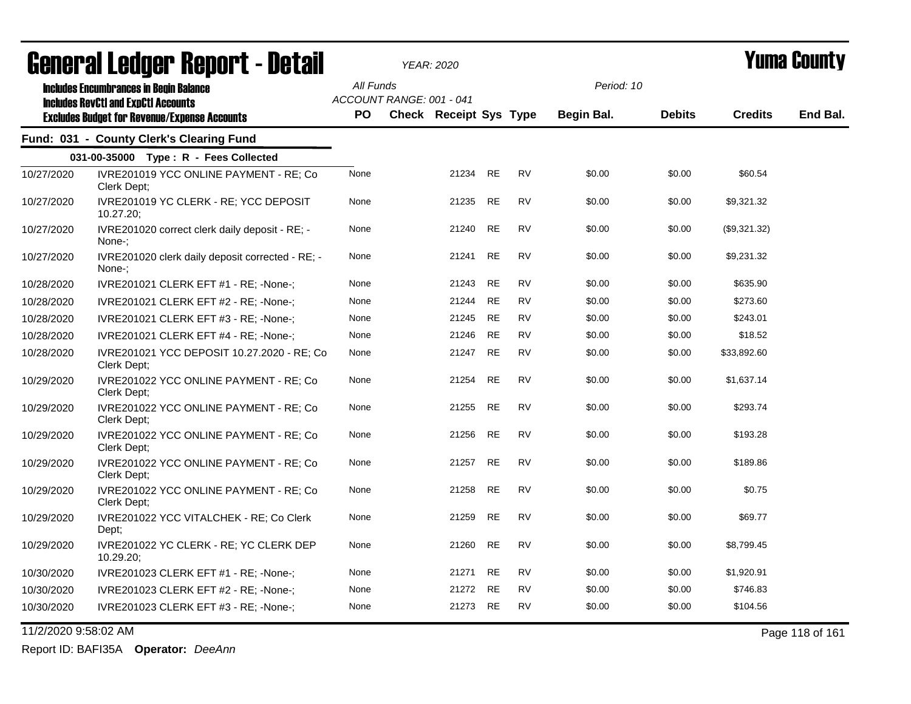|                      | agiigi.gi fanñai. Ughni. ( - natsii                                                               |           |                          | <b>YEAR: 2020</b>      |           |           |            |               |                | I UIIIA VUUIILY |
|----------------------|---------------------------------------------------------------------------------------------------|-----------|--------------------------|------------------------|-----------|-----------|------------|---------------|----------------|-----------------|
|                      | <b>Includes Encumbrances in Begin Balance</b>                                                     | All Funds |                          |                        |           |           | Period: 10 |               |                |                 |
|                      | <b>Includes RevCtI and ExpCtI Accounts</b><br><b>Excludes Budget for Revenue/Expense Accounts</b> | PO.       | ACCOUNT RANGE: 001 - 041 | Check Receipt Sys Type |           |           | Begin Bal. | <b>Debits</b> | <b>Credits</b> | End Bal.        |
|                      | Fund: 031 - County Clerk's Clearing Fund                                                          |           |                          |                        |           |           |            |               |                |                 |
|                      | 031-00-35000 Type: R - Fees Collected                                                             |           |                          |                        |           |           |            |               |                |                 |
| 10/27/2020           | IVRE201019 YCC ONLINE PAYMENT - RE; Co<br>Clerk Dept;                                             | None      |                          | 21234                  | <b>RE</b> | <b>RV</b> | \$0.00     | \$0.00        | \$60.54        |                 |
| 10/27/2020           | IVRE201019 YC CLERK - RE; YCC DEPOSIT<br>$10.27.20$ ;                                             | None      |                          | 21235                  | <b>RE</b> | <b>RV</b> | \$0.00     | \$0.00        | \$9,321.32     |                 |
| 10/27/2020           | IVRE201020 correct clerk daily deposit - RE; -<br>None-:                                          | None      |                          | 21240                  | <b>RE</b> | <b>RV</b> | \$0.00     | \$0.00        | (\$9,321.32)   |                 |
| 10/27/2020           | IVRE201020 clerk daily deposit corrected - RE; -<br>None-:                                        | None      |                          | 21241                  | <b>RE</b> | <b>RV</b> | \$0.00     | \$0.00        | \$9,231.32     |                 |
| 10/28/2020           | IVRE201021 CLERK EFT #1 - RE; -None-;                                                             | None      |                          | 21243                  | <b>RE</b> | <b>RV</b> | \$0.00     | \$0.00        | \$635.90       |                 |
| 10/28/2020           | IVRE201021 CLERK EFT #2 - RE; -None-;                                                             | None      |                          | 21244                  | <b>RE</b> | <b>RV</b> | \$0.00     | \$0.00        | \$273.60       |                 |
| 10/28/2020           | IVRE201021 CLERK EFT #3 - RE; -None-;                                                             | None      |                          | 21245                  | <b>RE</b> | <b>RV</b> | \$0.00     | \$0.00        | \$243.01       |                 |
| 10/28/2020           | IVRE201021 CLERK EFT #4 - RE; -None-;                                                             | None      |                          | 21246                  | <b>RE</b> | <b>RV</b> | \$0.00     | \$0.00        | \$18.52        |                 |
| 10/28/2020           | IVRE201021 YCC DEPOSIT 10.27.2020 - RE; Co<br>Clerk Dept:                                         | None      |                          | 21247                  | <b>RE</b> | <b>RV</b> | \$0.00     | \$0.00        | \$33,892.60    |                 |
| 10/29/2020           | IVRE201022 YCC ONLINE PAYMENT - RE; Co<br>Clerk Dept;                                             | None      |                          | 21254                  | <b>RE</b> | <b>RV</b> | \$0.00     | \$0.00        | \$1,637.14     |                 |
| 10/29/2020           | IVRE201022 YCC ONLINE PAYMENT - RE; Co<br>Clerk Dept;                                             | None      |                          | 21255                  | <b>RE</b> | <b>RV</b> | \$0.00     | \$0.00        | \$293.74       |                 |
| 10/29/2020           | IVRE201022 YCC ONLINE PAYMENT - RE; Co<br>Clerk Dept;                                             | None      |                          | 21256                  | <b>RE</b> | <b>RV</b> | \$0.00     | \$0.00        | \$193.28       |                 |
| 10/29/2020           | IVRE201022 YCC ONLINE PAYMENT - RE; Co<br>Clerk Dept;                                             | None      |                          | 21257                  | <b>RE</b> | <b>RV</b> | \$0.00     | \$0.00        | \$189.86       |                 |
| 10/29/2020           | IVRE201022 YCC ONLINE PAYMENT - RE; Co<br>Clerk Dept:                                             | None      |                          | 21258                  | <b>RE</b> | <b>RV</b> | \$0.00     | \$0.00        | \$0.75         |                 |
| 10/29/2020           | IVRE201022 YCC VITALCHEK - RE; Co Clerk<br>Dept;                                                  | None      |                          | 21259                  | <b>RE</b> | <b>RV</b> | \$0.00     | \$0.00        | \$69.77        |                 |
| 10/29/2020           | IVRE201022 YC CLERK - RE; YC CLERK DEP<br>10.29.20;                                               | None      |                          | 21260                  | <b>RE</b> | <b>RV</b> | \$0.00     | \$0.00        | \$8,799.45     |                 |
| 10/30/2020           | IVRE201023 CLERK EFT #1 - RE; -None-;                                                             | None      |                          | 21271                  | <b>RE</b> | <b>RV</b> | \$0.00     | \$0.00        | \$1,920.91     |                 |
| 10/30/2020           | IVRE201023 CLERK EFT #2 - RE; -None-;                                                             | None      |                          | 21272                  | <b>RE</b> | <b>RV</b> | \$0.00     | \$0.00        | \$746.83       |                 |
| 10/30/2020           | IVRE201023 CLERK EFT #3 - RE; -None-;                                                             | None      |                          | 21273                  | <b>RE</b> | <b>RV</b> | \$0.00     | \$0.00        | \$104.56       |                 |
| 11/2/2020 9:58:02 AM |                                                                                                   |           |                          |                        |           |           |            |               |                | Page 118 of 161 |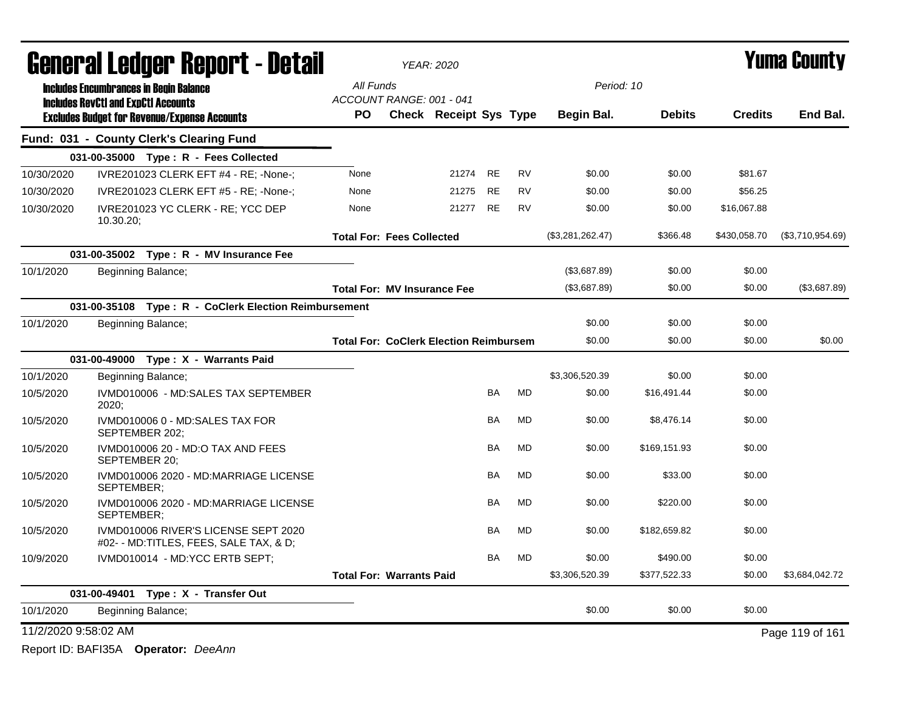|                      |                                            | <b>General Ledger Report - Detail</b>                                          |                                               | <b>YEAR: 2020</b>             |           |           |                  |               |                | <b>Yuma County</b> |
|----------------------|--------------------------------------------|--------------------------------------------------------------------------------|-----------------------------------------------|-------------------------------|-----------|-----------|------------------|---------------|----------------|--------------------|
|                      |                                            | <b>Includes Encumbrances in Begin Balance</b>                                  | All Funds                                     |                               |           |           | Period: 10       |               |                |                    |
|                      | <b>Includes RevCtI and ExpCtI Accounts</b> | <b>Excludes Budget for Revenue/Expense Accounts</b>                            | ACCOUNT RANGE: 001 - 041<br><b>PO</b>         | <b>Check Receipt Sys Type</b> |           |           | Begin Bal.       | <b>Debits</b> | <b>Credits</b> | End Bal.           |
|                      |                                            | Fund: 031 - County Clerk's Clearing Fund                                       |                                               |                               |           |           |                  |               |                |                    |
|                      |                                            | 031-00-35000 Type: R - Fees Collected                                          |                                               |                               |           |           |                  |               |                |                    |
| 10/30/2020           |                                            | IVRE201023 CLERK EFT #4 - RE; -None-;                                          | None                                          | 21274                         | <b>RE</b> | <b>RV</b> | \$0.00           | \$0.00        | \$81.67        |                    |
| 10/30/2020           |                                            | IVRE201023 CLERK EFT #5 - RE; -None-;                                          | None                                          | 21275                         | <b>RE</b> | <b>RV</b> | \$0.00           | \$0.00        | \$56.25        |                    |
| 10/30/2020           | 10.30.20                                   | IVRE201023 YC CLERK - RE; YCC DEP                                              | None                                          | 21277                         | <b>RE</b> | <b>RV</b> | \$0.00           | \$0.00        | \$16,067.88    |                    |
|                      |                                            |                                                                                | <b>Total For: Fees Collected</b>              |                               |           |           | (\$3,281,262.47) | \$366.48      | \$430,058.70   | (\$3,710,954.69)   |
|                      |                                            | 031-00-35002 Type: R - MV Insurance Fee                                        |                                               |                               |           |           |                  |               |                |                    |
| 10/1/2020            |                                            | Beginning Balance;                                                             |                                               |                               |           |           | (\$3,687.89)     | \$0.00        | \$0.00         |                    |
|                      |                                            |                                                                                | <b>Total For: MV Insurance Fee</b>            |                               |           |           | (\$3,687.89)     | \$0.00        | \$0.00         | (\$3,687.89)       |
|                      |                                            | 031-00-35108 Type: R - CoClerk Election Reimbursement                          |                                               |                               |           |           |                  |               |                |                    |
| 10/1/2020            |                                            | Beginning Balance;                                                             |                                               |                               |           |           | \$0.00           | \$0.00        | \$0.00         |                    |
|                      |                                            |                                                                                | <b>Total For: CoClerk Election Reimbursem</b> |                               |           |           | \$0.00           | \$0.00        | \$0.00         | \$0.00             |
|                      |                                            | 031-00-49000 Type: X - Warrants Paid                                           |                                               |                               |           |           |                  |               |                |                    |
| 10/1/2020            |                                            | Beginning Balance;                                                             |                                               |                               |           |           | \$3,306,520.39   | \$0.00        | \$0.00         |                    |
| 10/5/2020            | 2020;                                      | IVMD010006 - MD:SALES TAX SEPTEMBER                                            |                                               |                               | BA        | MD        | \$0.00           | \$16,491.44   | \$0.00         |                    |
| 10/5/2020            |                                            | IVMD010006 0 - MD:SALES TAX FOR<br>SEPTEMBER 202;                              |                                               |                               | BA        | MD        | \$0.00           | \$8,476.14    | \$0.00         |                    |
| 10/5/2020            | SEPTEMBER 20:                              | IVMD010006 20 - MD:O TAX AND FEES                                              |                                               |                               | <b>BA</b> | <b>MD</b> | \$0.00           | \$169,151.93  | \$0.00         |                    |
| 10/5/2020            | SEPTEMBER:                                 | IVMD010006 2020 - MD:MARRIAGE LICENSE                                          |                                               |                               | BA        | <b>MD</b> | \$0.00           | \$33.00       | \$0.00         |                    |
| 10/5/2020            | SEPTEMBER:                                 | IVMD010006 2020 - MD:MARRIAGE LICENSE                                          |                                               |                               | <b>BA</b> | MD        | \$0.00           | \$220.00      | \$0.00         |                    |
| 10/5/2020            |                                            | IVMD010006 RIVER'S LICENSE SEPT 2020<br>#02- - MD:TITLES, FEES, SALE TAX, & D; |                                               |                               | <b>BA</b> | <b>MD</b> | \$0.00           | \$182,659.82  | \$0.00         |                    |
| 10/9/2020            |                                            | IVMD010014 - MD:YCC ERTB SEPT;                                                 |                                               |                               | <b>BA</b> | <b>MD</b> | \$0.00           | \$490.00      | \$0.00         |                    |
|                      |                                            |                                                                                | <b>Total For: Warrants Paid</b>               |                               |           |           | \$3,306,520.39   | \$377,522.33  | \$0.00         | \$3,684,042.72     |
|                      |                                            | 031-00-49401 Type: X - Transfer Out                                            |                                               |                               |           |           |                  |               |                |                    |
| 10/1/2020            |                                            | Beginning Balance;                                                             |                                               |                               |           |           | \$0.00           | \$0.00        | \$0.00         |                    |
| 11/2/2020 9:58:02 AM |                                            |                                                                                |                                               |                               |           |           |                  |               |                | Page 119 of 161    |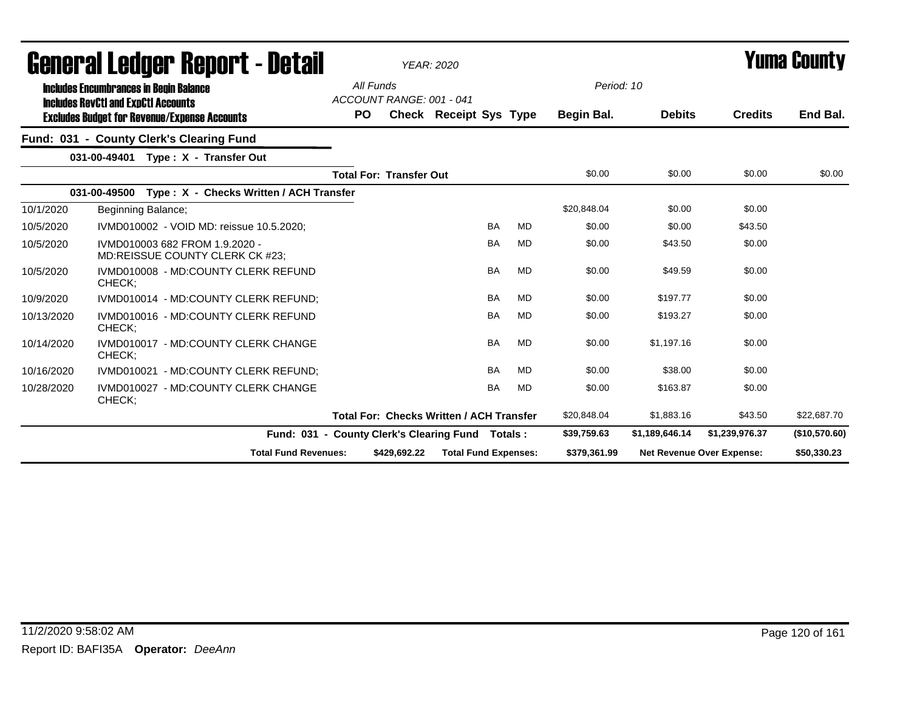|            | General Ledger Report - Detail                                                              |                                                  |              | <b>YEAR: 2020</b>                               |           |           |              |                |                           | <b>Yuma County</b> |
|------------|---------------------------------------------------------------------------------------------|--------------------------------------------------|--------------|-------------------------------------------------|-----------|-----------|--------------|----------------|---------------------------|--------------------|
|            | <b>Includes Encumbrances in Begin Balance</b><br><b>Includes RevCtI and ExpCtI Accounts</b> | All Funds<br>ACCOUNT RANGE: 001 - 041            |              |                                                 |           |           | Period: 10   |                |                           |                    |
|            | <b>Excludes Budget for Revenue/Expense Accounts</b>                                         | PO.                                              |              | Check Receipt Sys Type                          |           |           | Begin Bal.   | <b>Debits</b>  | <b>Credits</b>            | End Bal.           |
|            | Fund: 031 - County Clerk's Clearing Fund                                                    |                                                  |              |                                                 |           |           |              |                |                           |                    |
|            | 031-00-49401 Type: X - Transfer Out                                                         |                                                  |              |                                                 |           |           |              |                |                           |                    |
|            |                                                                                             | <b>Total For: Transfer Out</b>                   |              |                                                 |           |           | \$0.00       | \$0.00         | \$0.00                    | \$0.00             |
|            | 031-00-49500<br>Type: X - Checks Written / ACH Transfer                                     |                                                  |              |                                                 |           |           |              |                |                           |                    |
| 10/1/2020  | Beginning Balance;                                                                          |                                                  |              |                                                 |           |           | \$20,848.04  | \$0.00         | \$0.00                    |                    |
| 10/5/2020  | IVMD010002 - VOID MD: reissue 10.5.2020:                                                    |                                                  |              |                                                 | <b>BA</b> | <b>MD</b> | \$0.00       | \$0.00         | \$43.50                   |                    |
| 10/5/2020  | IVMD010003 682 FROM 1.9.2020 -<br>MD:REISSUE COUNTY CLERK CK #23;                           |                                                  |              |                                                 | <b>BA</b> | MD        | \$0.00       | \$43.50        | \$0.00                    |                    |
| 10/5/2020  | IVMD010008 - MD:COUNTY CLERK REFUND<br>CHECK:                                               |                                                  |              |                                                 | <b>BA</b> | <b>MD</b> | \$0.00       | \$49.59        | \$0.00                    |                    |
| 10/9/2020  | IVMD010014 - MD:COUNTY CLERK REFUND;                                                        |                                                  |              |                                                 | <b>BA</b> | <b>MD</b> | \$0.00       | \$197.77       | \$0.00                    |                    |
| 10/13/2020 | IVMD010016 - MD:COUNTY CLERK REFUND<br>CHECK;                                               |                                                  |              |                                                 | <b>BA</b> | MD        | \$0.00       | \$193.27       | \$0.00                    |                    |
| 10/14/2020 | IVMD010017 - MD:COUNTY CLERK CHANGE<br>CHECK;                                               |                                                  |              |                                                 | <b>BA</b> | <b>MD</b> | \$0.00       | \$1.197.16     | \$0.00                    |                    |
| 10/16/2020 | IVMD010021 - MD:COUNTY CLERK REFUND;                                                        |                                                  |              |                                                 | <b>BA</b> | MD        | \$0.00       | \$38.00        | \$0.00                    |                    |
| 10/28/2020 | IVMD010027 - MD:COUNTY CLERK CHANGE<br>CHECK;                                               |                                                  |              |                                                 | <b>BA</b> | <b>MD</b> | \$0.00       | \$163.87       | \$0.00                    |                    |
|            |                                                                                             |                                                  |              | <b>Total For: Checks Written / ACH Transfer</b> |           |           | \$20,848.04  | \$1,883.16     | \$43.50                   | \$22,687.70        |
|            |                                                                                             | Fund: 031 - County Clerk's Clearing Fund Totals: |              |                                                 |           |           | \$39,759.63  | \$1,189,646.14 | \$1,239,976.37            | (\$10,570.60)      |
|            | <b>Total Fund Revenues:</b>                                                                 |                                                  | \$429,692.22 | <b>Total Fund Expenses:</b>                     |           |           | \$379,361.99 |                | Net Revenue Over Expense: | \$50,330.23        |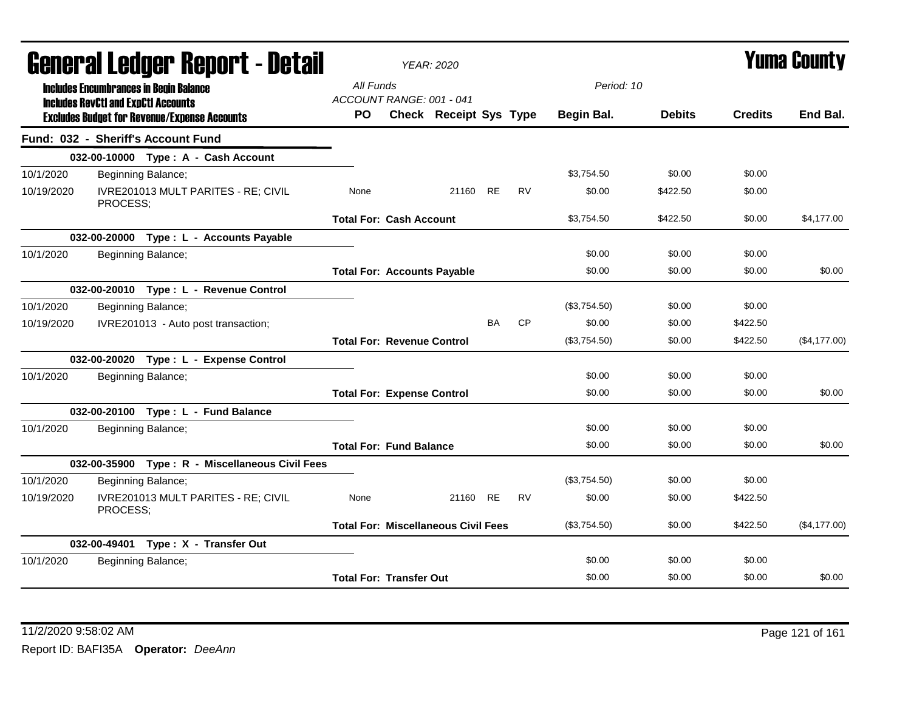|            |                                            | <u>ggiigi.si fanñai. Kenni. ( - netsii</u>          |                                       | <b>YEAR: 2020</b>                          |           |           |              |               |                | T UIIIA GUUIILY |
|------------|--------------------------------------------|-----------------------------------------------------|---------------------------------------|--------------------------------------------|-----------|-----------|--------------|---------------|----------------|-----------------|
|            | <b>Includes RevCtI and ExpCtI Accounts</b> | <b>Includes Encumbrances in Begin Balance</b>       | All Funds<br>ACCOUNT RANGE: 001 - 041 |                                            |           |           | Period: 10   |               |                |                 |
|            |                                            | <b>Excludes Budget for Revenue/Expense Accounts</b> | <b>PO</b>                             | Check Receipt Sys Type                     |           |           | Begin Bal.   | <b>Debits</b> | <b>Credits</b> | End Bal.        |
|            |                                            | Fund: 032 - Sheriff's Account Fund                  |                                       |                                            |           |           |              |               |                |                 |
|            |                                            | 032-00-10000 Type: A - Cash Account                 |                                       |                                            |           |           |              |               |                |                 |
| 10/1/2020  |                                            | Beginning Balance;                                  |                                       |                                            |           |           | \$3,754.50   | \$0.00        | \$0.00         |                 |
| 10/19/2020 | PROCESS;                                   | IVRE201013 MULT PARITES - RE; CIVIL                 | None                                  | 21160 RE                                   |           | <b>RV</b> | \$0.00       | \$422.50      | \$0.00         |                 |
|            |                                            |                                                     | <b>Total For: Cash Account</b>        |                                            |           |           | \$3,754.50   | \$422.50      | \$0.00         | \$4,177.00      |
|            |                                            | 032-00-20000 Type: L - Accounts Payable             |                                       |                                            |           |           |              |               |                |                 |
| 10/1/2020  |                                            | Beginning Balance;                                  |                                       |                                            |           |           | \$0.00       | \$0.00        | \$0.00         |                 |
|            |                                            |                                                     | <b>Total For: Accounts Payable</b>    |                                            |           |           | \$0.00       | \$0.00        | \$0.00         | \$0.00          |
|            |                                            | 032-00-20010 Type: L - Revenue Control              |                                       |                                            |           |           |              |               |                |                 |
| 10/1/2020  |                                            | Beginning Balance;                                  |                                       |                                            |           |           | (\$3,754.50) | \$0.00        | \$0.00         |                 |
| 10/19/2020 |                                            | IVRE201013 - Auto post transaction;                 |                                       |                                            | <b>BA</b> | <b>CP</b> | \$0.00       | \$0.00        | \$422.50       |                 |
|            |                                            |                                                     | <b>Total For: Revenue Control</b>     |                                            |           |           | (\$3,754.50) | \$0.00        | \$422.50       | (\$4,177.00)    |
|            |                                            | 032-00-20020 Type: L - Expense Control              |                                       |                                            |           |           |              |               |                |                 |
| 10/1/2020  |                                            | Beginning Balance;                                  |                                       |                                            |           |           | \$0.00       | \$0.00        | \$0.00         |                 |
|            |                                            |                                                     | <b>Total For: Expense Control</b>     |                                            |           |           | \$0.00       | \$0.00        | \$0.00         | \$0.00          |
|            |                                            | 032-00-20100 Type: L - Fund Balance                 |                                       |                                            |           |           |              |               |                |                 |
| 10/1/2020  |                                            | Beginning Balance;                                  |                                       |                                            |           |           | \$0.00       | \$0.00        | \$0.00         |                 |
|            |                                            |                                                     | <b>Total For: Fund Balance</b>        |                                            |           |           | \$0.00       | \$0.00        | \$0.00         | \$0.00          |
|            |                                            | 032-00-35900 Type: R - Miscellaneous Civil Fees     |                                       |                                            |           |           |              |               |                |                 |
| 10/1/2020  |                                            | Beginning Balance;                                  |                                       |                                            |           |           | (\$3,754.50) | \$0.00        | \$0.00         |                 |
| 10/19/2020 | PROCESS;                                   | IVRE201013 MULT PARITES - RE; CIVIL                 | None                                  | 21160 RE                                   |           | <b>RV</b> | \$0.00       | \$0.00        | \$422.50       |                 |
|            |                                            |                                                     |                                       | <b>Total For: Miscellaneous Civil Fees</b> |           |           | (\$3,754.50) | \$0.00        | \$422.50       | (\$4,177.00)    |
|            |                                            | 032-00-49401 Type: X - Transfer Out                 |                                       |                                            |           |           |              |               |                |                 |
| 10/1/2020  |                                            | Beginning Balance;                                  |                                       |                                            |           |           | \$0.00       | \$0.00        | \$0.00         |                 |
|            |                                            |                                                     | <b>Total For: Transfer Out</b>        |                                            |           |           | \$0.00       | \$0.00        | \$0.00         | \$0.00          |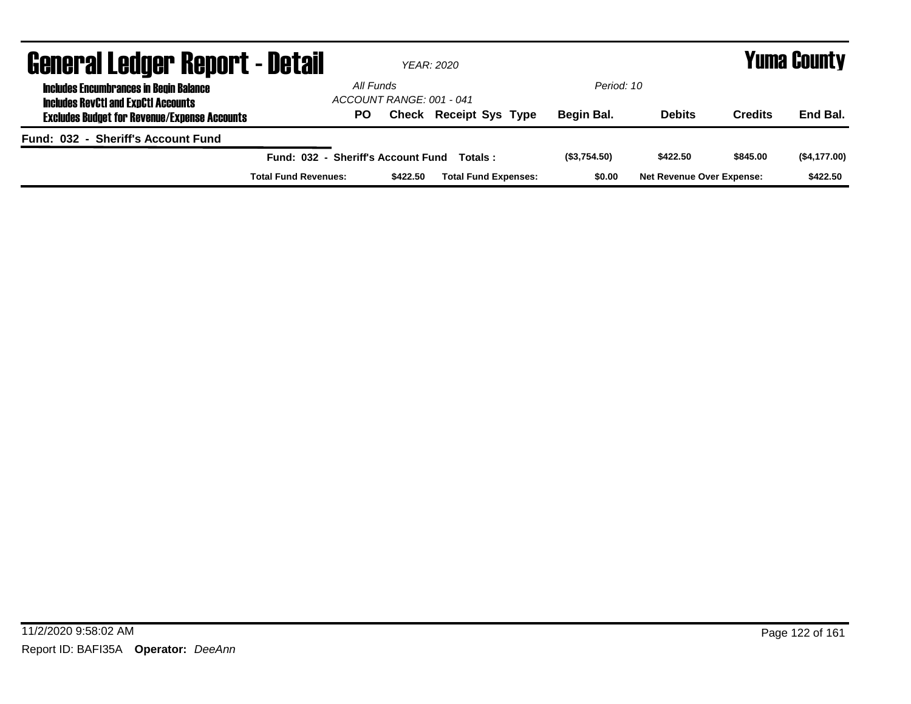| <b>General Ledger Report - Detail</b>                                                       |                                    |                          | YEAR: 2020                    |             | Yuma County                      |                |              |  |  |
|---------------------------------------------------------------------------------------------|------------------------------------|--------------------------|-------------------------------|-------------|----------------------------------|----------------|--------------|--|--|
| <b>Includes Encumbrances in Begin Balance</b><br><b>Includes RevCtI and ExpCtI Accounts</b> | All Funds                          | ACCOUNT RANGE: 001 - 041 |                               | Period: 10  |                                  |                |              |  |  |
| <b>Excludes Budget for Revenue/Expense Accounts</b>                                         | PO                                 |                          | <b>Check Receipt Sys Type</b> | Begin Bal.  | <b>Debits</b>                    | <b>Credits</b> | End Bal.     |  |  |
| Fund: 032 - Sheriff's Account Fund                                                          |                                    |                          |                               |             |                                  |                |              |  |  |
|                                                                                             | Fund: 032 - Sheriff's Account Fund |                          | Totals :                      | (S3,754.50) | \$422.50                         | \$845.00       | (\$4,177.00) |  |  |
|                                                                                             | <b>Total Fund Revenues:</b>        | \$422.50                 | <b>Total Fund Expenses:</b>   | \$0.00      | <b>Net Revenue Over Expense:</b> |                | \$422.50     |  |  |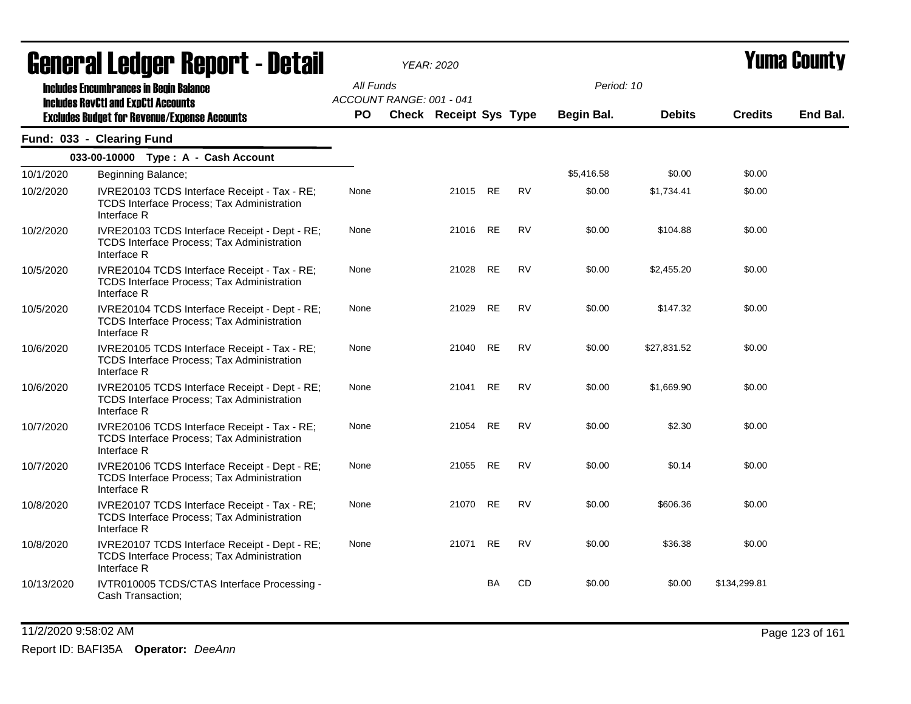|            | agual.gi fanñal. Urini. ( - nafsil                                                                                                                 |                        |                          | YEAR: 2020                    |           |           |                          |               |                | I UIIIA VUUIILY |
|------------|----------------------------------------------------------------------------------------------------------------------------------------------------|------------------------|--------------------------|-------------------------------|-----------|-----------|--------------------------|---------------|----------------|-----------------|
|            | <b>Includes Encumbrances in Begin Balance</b><br><b>Includes RevCtI and ExpCtI Accounts</b><br><b>Excludes Budget for Revenue/Expense Accounts</b> | All Funds<br><b>PO</b> | ACCOUNT RANGE: 001 - 041 | <b>Check Receipt Sys Type</b> |           |           | Period: 10<br>Begin Bal. | <b>Debits</b> | <b>Credits</b> | End Bal.        |
|            | Fund: 033 - Clearing Fund                                                                                                                          |                        |                          |                               |           |           |                          |               |                |                 |
|            | 033-00-10000 Type: A - Cash Account                                                                                                                |                        |                          |                               |           |           |                          |               |                |                 |
| 10/1/2020  | Beginning Balance;                                                                                                                                 |                        |                          |                               |           |           | \$5,416.58               | \$0.00        | \$0.00         |                 |
| 10/2/2020  | IVRE20103 TCDS Interface Receipt - Tax - RE;<br>TCDS Interface Process; Tax Administration<br>Interface R                                          | None                   |                          | 21015 RE                      |           | <b>RV</b> | \$0.00                   | \$1,734.41    | \$0.00         |                 |
| 10/2/2020  | IVRE20103 TCDS Interface Receipt - Dept - RE;<br>TCDS Interface Process; Tax Administration<br>Interface R                                         | None                   |                          | 21016                         | <b>RE</b> | <b>RV</b> | \$0.00                   | \$104.88      | \$0.00         |                 |
| 10/5/2020  | IVRE20104 TCDS Interface Receipt - Tax - RE;<br><b>TCDS Interface Process; Tax Administration</b><br>Interface R                                   | None                   |                          | 21028                         | <b>RE</b> | <b>RV</b> | \$0.00                   | \$2,455.20    | \$0.00         |                 |
| 10/5/2020  | IVRE20104 TCDS Interface Receipt - Dept - RE;<br>TCDS Interface Process; Tax Administration<br>Interface R                                         | None                   |                          | 21029                         | <b>RE</b> | <b>RV</b> | \$0.00                   | \$147.32      | \$0.00         |                 |
| 10/6/2020  | IVRE20105 TCDS Interface Receipt - Tax - RE;<br>TCDS Interface Process; Tax Administration<br>Interface R                                          | None                   |                          | 21040                         | RE        | RV        | \$0.00                   | \$27,831.52   | \$0.00         |                 |
| 10/6/2020  | IVRE20105 TCDS Interface Receipt - Dept - RE;<br>TCDS Interface Process; Tax Administration<br>Interface R                                         | None                   |                          | 21041                         | <b>RE</b> | <b>RV</b> | \$0.00                   | \$1,669.90    | \$0.00         |                 |
| 10/7/2020  | IVRE20106 TCDS Interface Receipt - Tax - RE;<br>TCDS Interface Process; Tax Administration<br>Interface R                                          | None                   |                          | 21054                         | <b>RE</b> | <b>RV</b> | \$0.00                   | \$2.30        | \$0.00         |                 |
| 10/7/2020  | IVRE20106 TCDS Interface Receipt - Dept - RE;<br>TCDS Interface Process; Tax Administration<br>Interface R                                         | None                   |                          | 21055                         | <b>RE</b> | <b>RV</b> | \$0.00                   | \$0.14        | \$0.00         |                 |
| 10/8/2020  | IVRE20107 TCDS Interface Receipt - Tax - RE;<br><b>TCDS Interface Process; Tax Administration</b><br>Interface R                                   | None                   |                          | 21070                         | RE        | <b>RV</b> | \$0.00                   | \$606.36      | \$0.00         |                 |
| 10/8/2020  | IVRE20107 TCDS Interface Receipt - Dept - RE;<br>TCDS Interface Process; Tax Administration<br>Interface R                                         | None                   |                          | 21071 RE                      |           | <b>RV</b> | \$0.00                   | \$36.38       | \$0.00         |                 |
| 10/13/2020 | IVTR010005 TCDS/CTAS Interface Processing -<br>Cash Transaction;                                                                                   |                        |                          |                               | <b>BA</b> | CD        | \$0.00                   | \$0.00        | \$134,299.81   |                 |

11/2/2020 9:58:02 AM Page 123 of 161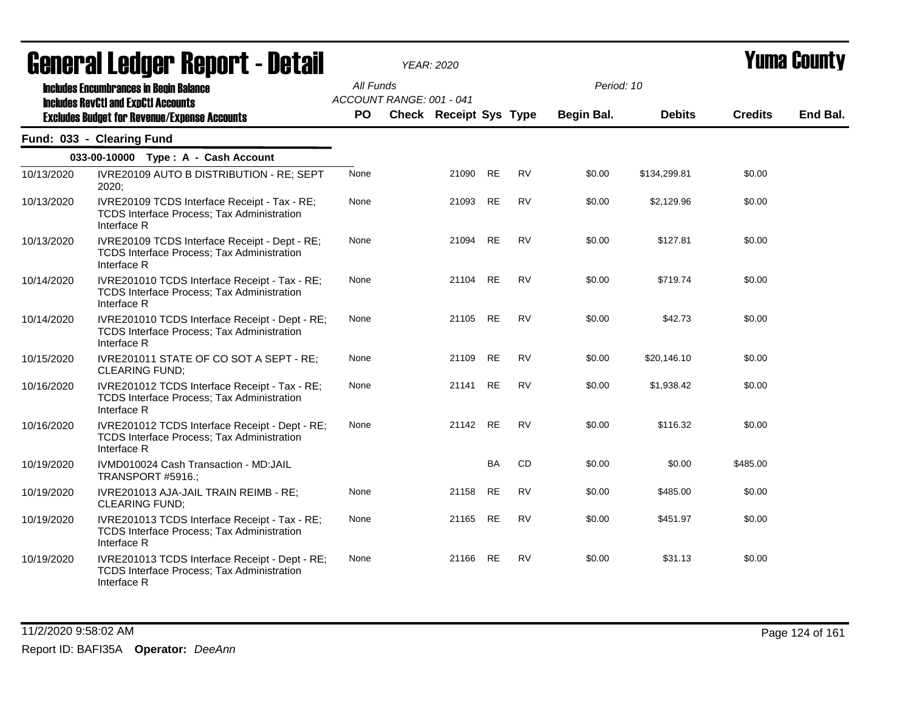|            | <b>General Ledger Report - Detail</b>                                                                                                              |                        | <b>YEAR: 2020</b>                                         |           |           |                          |               | Yuma Countv    |          |
|------------|----------------------------------------------------------------------------------------------------------------------------------------------------|------------------------|-----------------------------------------------------------|-----------|-----------|--------------------------|---------------|----------------|----------|
|            | <b>Includes Encumbrances in Begin Balance</b><br><b>Includes RevCtI and ExpCtI Accounts</b><br><b>Excludes Budget for Revenue/Expense Accounts</b> | All Funds<br><b>PO</b> | ACCOUNT RANGE: 001 - 041<br><b>Check Receipt Sys Type</b> |           |           | Period: 10<br>Begin Bal. | <b>Debits</b> | <b>Credits</b> | End Bal. |
|            | Fund: 033 - Clearing Fund                                                                                                                          |                        |                                                           |           |           |                          |               |                |          |
|            | 033-00-10000 Type: A - Cash Account                                                                                                                |                        |                                                           |           |           |                          |               |                |          |
| 10/13/2020 | IVRE20109 AUTO B DISTRIBUTION - RE; SEPT<br>2020:                                                                                                  | None                   | 21090                                                     | <b>RE</b> | <b>RV</b> | \$0.00                   | \$134,299.81  | \$0.00         |          |
| 10/13/2020 | IVRE20109 TCDS Interface Receipt - Tax - RE;<br>TCDS Interface Process; Tax Administration<br>Interface R                                          | None                   | 21093                                                     | RE        | <b>RV</b> | \$0.00                   | \$2,129.96    | \$0.00         |          |
| 10/13/2020 | IVRE20109 TCDS Interface Receipt - Dept - RE;<br>TCDS Interface Process; Tax Administration<br>Interface R                                         | None                   | 21094                                                     | RE        | <b>RV</b> | \$0.00                   | \$127.81      | \$0.00         |          |
| 10/14/2020 | IVRE201010 TCDS Interface Receipt - Tax - RE;<br>TCDS Interface Process; Tax Administration<br>Interface R                                         | None                   | 21104                                                     | <b>RE</b> | <b>RV</b> | \$0.00                   | \$719.74      | \$0.00         |          |
| 10/14/2020 | IVRE201010 TCDS Interface Receipt - Dept - RE;<br>TCDS Interface Process; Tax Administration<br>Interface R                                        | None                   | 21105 RE                                                  |           | <b>RV</b> | \$0.00                   | \$42.73       | \$0.00         |          |
| 10/15/2020 | IVRE201011 STATE OF CO SOT A SEPT - RE;<br><b>CLEARING FUND;</b>                                                                                   | None                   | 21109                                                     | <b>RE</b> | <b>RV</b> | \$0.00                   | \$20,146.10   | \$0.00         |          |
| 10/16/2020 | IVRE201012 TCDS Interface Receipt - Tax - RE;<br>TCDS Interface Process; Tax Administration<br>Interface R                                         | None                   | 21141                                                     | <b>RE</b> | <b>RV</b> | \$0.00                   | \$1,938.42    | \$0.00         |          |
| 10/16/2020 | IVRE201012 TCDS Interface Receipt - Dept - RE;<br><b>TCDS Interface Process; Tax Administration</b><br>Interface R                                 | None                   | 21142 RE                                                  |           | <b>RV</b> | \$0.00                   | \$116.32      | \$0.00         |          |
| 10/19/2020 | IVMD010024 Cash Transaction - MD:JAIL<br>TRANSPORT #5916.;                                                                                         |                        |                                                           | <b>BA</b> | CD        | \$0.00                   | \$0.00        | \$485.00       |          |
| 10/19/2020 | IVRE201013 AJA-JAIL TRAIN REIMB - RE;<br><b>CLEARING FUND:</b>                                                                                     | None                   | 21158                                                     | RE        | <b>RV</b> | \$0.00                   | \$485.00      | \$0.00         |          |
| 10/19/2020 | IVRE201013 TCDS Interface Receipt - Tax - RE;<br>TCDS Interface Process; Tax Administration<br>Interface R                                         | None                   | 21165                                                     | RE        | <b>RV</b> | \$0.00                   | \$451.97      | \$0.00         |          |
| 10/19/2020 | IVRE201013 TCDS Interface Receipt - Dept - RE;<br>TCDS Interface Process; Tax Administration<br>Interface R                                        | None                   | 21166 RE                                                  |           | <b>RV</b> | \$0.00                   | \$31.13       | \$0.00         |          |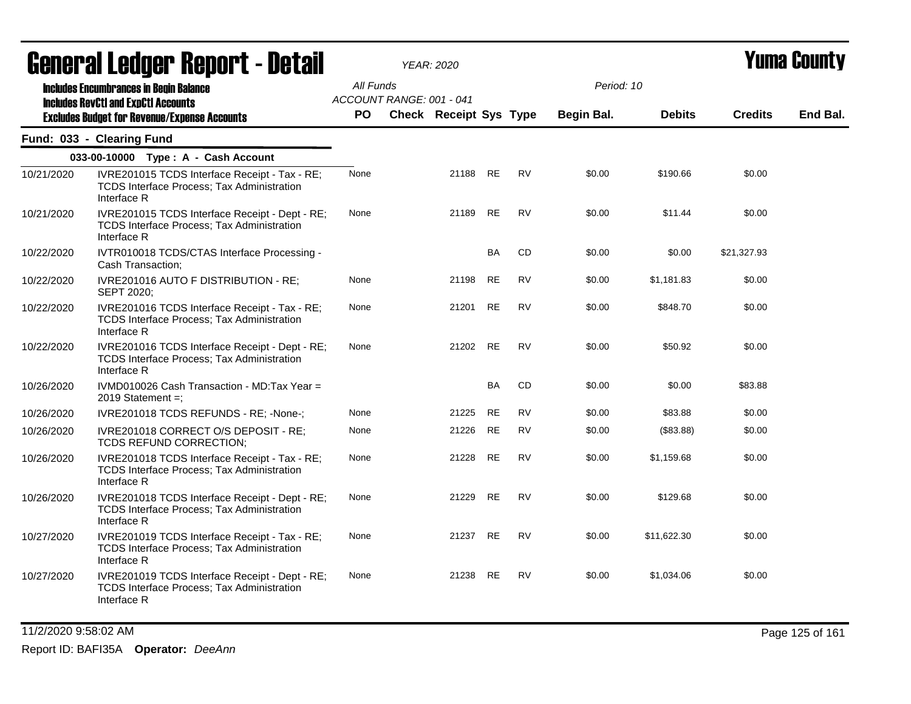|            | agligi ai fanñal. Ughni f - neful                                                                                  |           |                          | YEAR: 2020                    |           |           |            |               |                | I UIIIU VUUIIL J |
|------------|--------------------------------------------------------------------------------------------------------------------|-----------|--------------------------|-------------------------------|-----------|-----------|------------|---------------|----------------|------------------|
|            | <b>Includes Encumbrances in Begin Balance</b><br><b>Includes RevCtI and ExpCtI Accounts</b>                        | All Funds | ACCOUNT RANGE: 001 - 041 |                               |           |           | Period: 10 |               |                |                  |
|            | <b>Excludes Budget for Revenue/Expense Accounts</b>                                                                | PO.       |                          | <b>Check Receipt Sys Type</b> |           |           | Begin Bal. | <b>Debits</b> | <b>Credits</b> | End Bal.         |
|            | Fund: 033 - Clearing Fund                                                                                          |           |                          |                               |           |           |            |               |                |                  |
|            | 033-00-10000 Type: A - Cash Account                                                                                |           |                          |                               |           |           |            |               |                |                  |
| 10/21/2020 | IVRE201015 TCDS Interface Receipt - Tax - RE;<br>TCDS Interface Process; Tax Administration<br>Interface R         | None      |                          | 21188                         | <b>RE</b> | <b>RV</b> | \$0.00     | \$190.66      | \$0.00         |                  |
| 10/21/2020 | IVRE201015 TCDS Interface Receipt - Dept - RE;<br><b>TCDS Interface Process: Tax Administration</b><br>Interface R | None      |                          | 21189                         | <b>RE</b> | <b>RV</b> | \$0.00     | \$11.44       | \$0.00         |                  |
| 10/22/2020 | IVTR010018 TCDS/CTAS Interface Processing -<br>Cash Transaction;                                                   |           |                          |                               | BA        | CD        | \$0.00     | \$0.00        | \$21,327.93    |                  |
| 10/22/2020 | IVRE201016 AUTO F DISTRIBUTION - RE;<br><b>SEPT 2020;</b>                                                          | None      |                          | 21198                         | <b>RE</b> | RV        | \$0.00     | \$1,181.83    | \$0.00         |                  |
| 10/22/2020 | IVRE201016 TCDS Interface Receipt - Tax - RE;<br>TCDS Interface Process; Tax Administration<br>Interface R         | None      |                          | 21201                         | <b>RE</b> | <b>RV</b> | \$0.00     | \$848.70      | \$0.00         |                  |
| 10/22/2020 | IVRE201016 TCDS Interface Receipt - Dept - RE;<br><b>TCDS Interface Process; Tax Administration</b><br>Interface R | None      |                          | 21202                         | RE        | <b>RV</b> | \$0.00     | \$50.92       | \$0.00         |                  |
| 10/26/2020 | IVMD010026 Cash Transaction - MD:Tax Year =<br>2019 Statement =;                                                   |           |                          |                               | <b>BA</b> | <b>CD</b> | \$0.00     | \$0.00        | \$83.88        |                  |
| 10/26/2020 | IVRE201018 TCDS REFUNDS - RE; -None-;                                                                              | None      |                          | 21225                         | <b>RE</b> | RV        | \$0.00     | \$83.88       | \$0.00         |                  |
| 10/26/2020 | IVRE201018 CORRECT O/S DEPOSIT - RE;<br>TCDS REFUND CORRECTION;                                                    | None      |                          | 21226                         | <b>RE</b> | <b>RV</b> | \$0.00     | (\$83.88)     | \$0.00         |                  |
| 10/26/2020 | IVRE201018 TCDS Interface Receipt - Tax - RE;<br>TCDS Interface Process; Tax Administration<br>Interface R         | None      |                          | 21228                         | <b>RE</b> | <b>RV</b> | \$0.00     | \$1,159.68    | \$0.00         |                  |
| 10/26/2020 | IVRE201018 TCDS Interface Receipt - Dept - RE;<br>TCDS Interface Process; Tax Administration<br>Interface R        | None      |                          | 21229                         | <b>RE</b> | <b>RV</b> | \$0.00     | \$129.68      | \$0.00         |                  |
| 10/27/2020 | IVRE201019 TCDS Interface Receipt - Tax - RE;<br>TCDS Interface Process; Tax Administration<br>Interface R         | None      |                          | 21237                         | <b>RE</b> | <b>RV</b> | \$0.00     | \$11,622.30   | \$0.00         |                  |
| 10/27/2020 | IVRE201019 TCDS Interface Receipt - Dept - RE;<br>TCDS Interface Process; Tax Administration<br>Interface R        | None      |                          | 21238                         | <b>RE</b> | <b>RV</b> | \$0.00     | \$1,034.06    | \$0.00         |                  |

11/2/2020 9:58:02 AM Page 125 of 161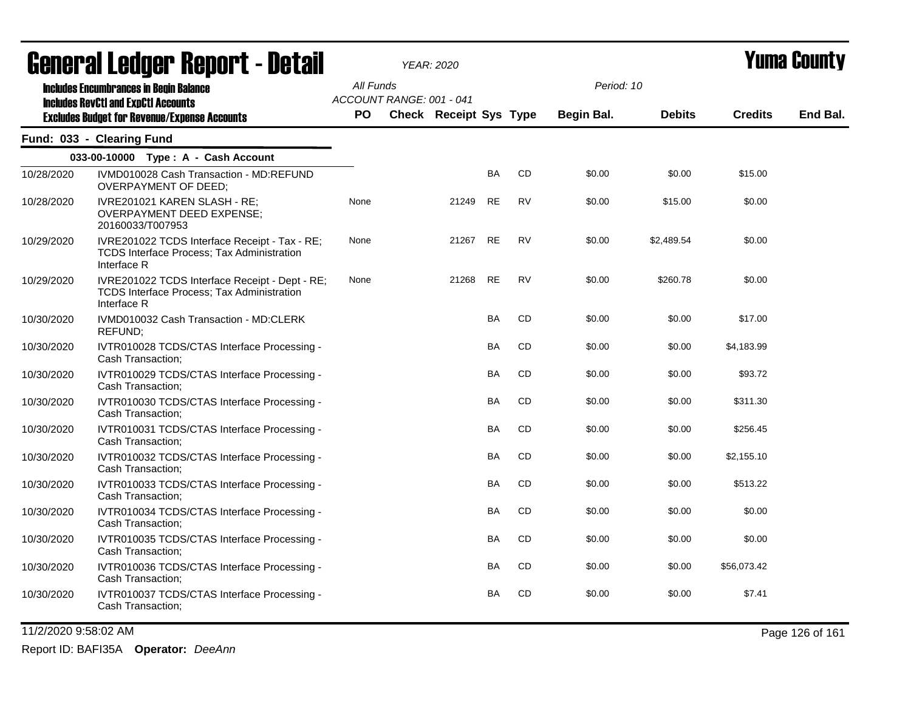| <b>General Ledger Report - Detail</b> |                                                                                                             |           |                          | YEAR: 2020             |           |           |            |               | Yuma County    |          |
|---------------------------------------|-------------------------------------------------------------------------------------------------------------|-----------|--------------------------|------------------------|-----------|-----------|------------|---------------|----------------|----------|
|                                       | <b>Includes Encumbrances in Begin Balance</b>                                                               | All Funds |                          |                        |           |           | Period: 10 |               |                |          |
|                                       | <b>Includes RevCtI and ExpCtI Accounts</b><br><b>Excludes Budget for Revenue/Expense Accounts</b>           | PO.       | ACCOUNT RANGE: 001 - 041 | Check Receipt Sys Type |           |           | Begin Bal. | <b>Debits</b> | <b>Credits</b> | End Bal. |
|                                       | Fund: 033 - Clearing Fund                                                                                   |           |                          |                        |           |           |            |               |                |          |
|                                       | 033-00-10000 Type: A - Cash Account                                                                         |           |                          |                        |           |           |            |               |                |          |
| 10/28/2020                            | IVMD010028 Cash Transaction - MD:REFUND<br>OVERPAYMENT OF DEED;                                             |           |                          |                        | <b>BA</b> | <b>CD</b> | \$0.00     | \$0.00        | \$15.00        |          |
| 10/28/2020                            | IVRE201021 KAREN SLASH - RE;<br>OVERPAYMENT DEED EXPENSE;<br>20160033/T007953                               | None      |                          | 21249                  | <b>RE</b> | <b>RV</b> | \$0.00     | \$15.00       | \$0.00         |          |
| 10/29/2020                            | IVRE201022 TCDS Interface Receipt - Tax - RE;<br>TCDS Interface Process; Tax Administration<br>Interface R  | None      |                          | 21267                  | <b>RE</b> | <b>RV</b> | \$0.00     | \$2,489.54    | \$0.00         |          |
| 10/29/2020                            | IVRE201022 TCDS Interface Receipt - Dept - RE;<br>TCDS Interface Process; Tax Administration<br>Interface R | None      |                          | 21268                  | <b>RE</b> | <b>RV</b> | \$0.00     | \$260.78      | \$0.00         |          |
| 10/30/2020                            | IVMD010032 Cash Transaction - MD:CLERK<br><b>REFUND:</b>                                                    |           |                          |                        | <b>BA</b> | <b>CD</b> | \$0.00     | \$0.00        | \$17.00        |          |
| 10/30/2020                            | IVTR010028 TCDS/CTAS Interface Processing -<br>Cash Transaction;                                            |           |                          |                        | <b>BA</b> | CD        | \$0.00     | \$0.00        | \$4,183.99     |          |
| 10/30/2020                            | IVTR010029 TCDS/CTAS Interface Processing -<br>Cash Transaction;                                            |           |                          |                        | BA        | CD        | \$0.00     | \$0.00        | \$93.72        |          |
| 10/30/2020                            | IVTR010030 TCDS/CTAS Interface Processing -<br>Cash Transaction;                                            |           |                          |                        | <b>BA</b> | CD        | \$0.00     | \$0.00        | \$311.30       |          |
| 10/30/2020                            | IVTR010031 TCDS/CTAS Interface Processing -<br>Cash Transaction;                                            |           |                          |                        | <b>BA</b> | <b>CD</b> | \$0.00     | \$0.00        | \$256.45       |          |
| 10/30/2020                            | IVTR010032 TCDS/CTAS Interface Processing -<br>Cash Transaction:                                            |           |                          |                        | <b>BA</b> | CD        | \$0.00     | \$0.00        | \$2,155.10     |          |
| 10/30/2020                            | IVTR010033 TCDS/CTAS Interface Processing -<br>Cash Transaction;                                            |           |                          |                        | <b>BA</b> | CD        | \$0.00     | \$0.00        | \$513.22       |          |
| 10/30/2020                            | IVTR010034 TCDS/CTAS Interface Processing -<br>Cash Transaction;                                            |           |                          |                        | BA        | CD        | \$0.00     | \$0.00        | \$0.00         |          |
| 10/30/2020                            | IVTR010035 TCDS/CTAS Interface Processing -<br>Cash Transaction;                                            |           |                          |                        | <b>BA</b> | <b>CD</b> | \$0.00     | \$0.00        | \$0.00         |          |
| 10/30/2020                            | IVTR010036 TCDS/CTAS Interface Processing -<br>Cash Transaction;                                            |           |                          |                        | <b>BA</b> | CD        | \$0.00     | \$0.00        | \$56,073.42    |          |
| 10/30/2020                            | IVTR010037 TCDS/CTAS Interface Processing -<br>Cash Transaction;                                            |           |                          |                        | BA        | CD        | \$0.00     | \$0.00        | \$7.41         |          |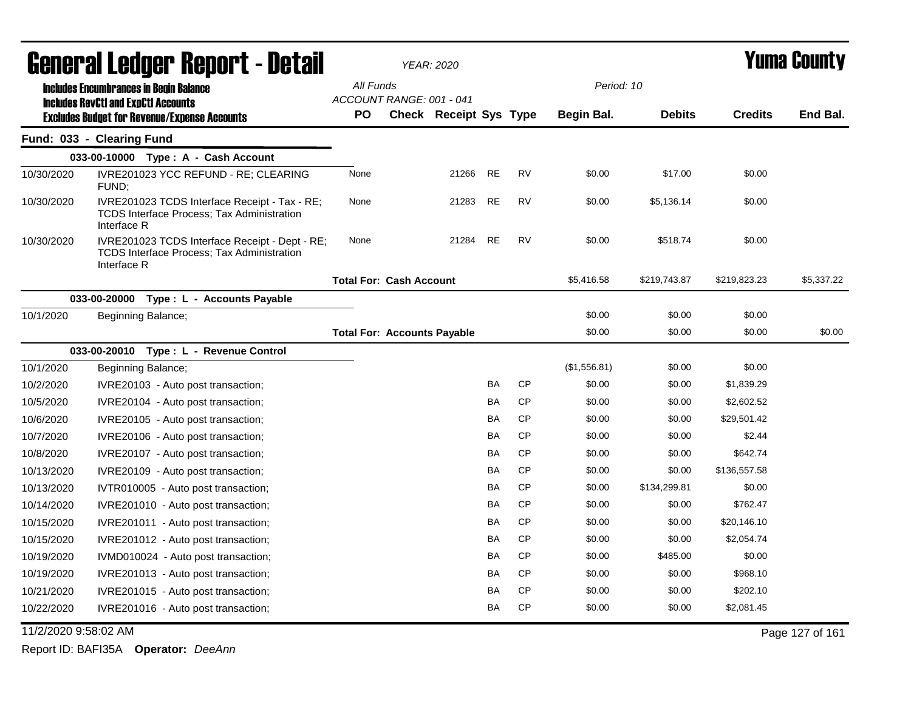| <b>General Ledger Report - Detail</b> |                                                                                                                    | <b>YEAR: 2020</b>                     |                               |           | <b>Yuma County</b> |              |               |                |                 |
|---------------------------------------|--------------------------------------------------------------------------------------------------------------------|---------------------------------------|-------------------------------|-----------|--------------------|--------------|---------------|----------------|-----------------|
|                                       | <b>Includes Encumbrances in Begin Balance</b>                                                                      | All Funds                             |                               |           |                    | Period: 10   |               |                |                 |
|                                       | <b>Includes RevCtI and ExpCtI Accounts</b>                                                                         | ACCOUNT RANGE: 001 - 041<br><b>PO</b> | <b>Check Receipt Sys Type</b> |           |                    | Begin Bal.   | <b>Debits</b> | <b>Credits</b> | End Bal.        |
|                                       | <b>Excludes Budget for Revenue/Expense Accounts</b><br>Fund: 033 - Clearing Fund                                   |                                       |                               |           |                    |              |               |                |                 |
|                                       | 033-00-10000 Type: A - Cash Account                                                                                |                                       |                               |           |                    |              |               |                |                 |
| 10/30/2020                            | IVRE201023 YCC REFUND - RE; CLEARING                                                                               | None                                  | 21266                         | RE        | <b>RV</b>          | \$0.00       | \$17.00       | \$0.00         |                 |
|                                       | FUND;                                                                                                              |                                       |                               |           |                    |              |               |                |                 |
| 10/30/2020                            | IVRE201023 TCDS Interface Receipt - Tax - RE;<br><b>TCDS Interface Process; Tax Administration</b><br>Interface R  | None                                  | 21283                         | RE        | RV                 | \$0.00       | \$5,136.14    | \$0.00         |                 |
| 10/30/2020                            | IVRE201023 TCDS Interface Receipt - Dept - RE;<br><b>TCDS Interface Process: Tax Administration</b><br>Interface R | None                                  | 21284                         | RE        | <b>RV</b>          | \$0.00       | \$518.74      | \$0.00         |                 |
|                                       |                                                                                                                    | <b>Total For: Cash Account</b>        |                               |           |                    | \$5,416.58   | \$219,743.87  | \$219,823.23   | \$5,337.22      |
|                                       | 033-00-20000 Type : L - Accounts Payable                                                                           |                                       |                               |           |                    |              |               |                |                 |
| 10/1/2020                             | Beginning Balance;                                                                                                 |                                       |                               |           |                    | \$0.00       | \$0.00        | \$0.00         |                 |
|                                       |                                                                                                                    | <b>Total For: Accounts Payable</b>    |                               |           |                    | \$0.00       | \$0.00        | \$0.00         | \$0.00          |
|                                       | 033-00-20010 Type: L - Revenue Control                                                                             |                                       |                               |           |                    |              |               |                |                 |
| 10/1/2020                             | Beginning Balance;                                                                                                 |                                       |                               |           |                    | (\$1,556.81) | \$0.00        | \$0.00         |                 |
| 10/2/2020                             | IVRE20103 - Auto post transaction;                                                                                 |                                       |                               | BA        | <b>CP</b>          | \$0.00       | \$0.00        | \$1,839.29     |                 |
| 10/5/2020                             | IVRE20104 - Auto post transaction;                                                                                 |                                       |                               | BA        | <b>CP</b>          | \$0.00       | \$0.00        | \$2,602.52     |                 |
| 10/6/2020                             | IVRE20105 - Auto post transaction;                                                                                 |                                       |                               | BA        | <b>CP</b>          | \$0.00       | \$0.00        | \$29,501.42    |                 |
| 10/7/2020                             | IVRE20106 - Auto post transaction;                                                                                 |                                       |                               | BA        | CP                 | \$0.00       | \$0.00        | \$2.44         |                 |
| 10/8/2020                             | IVRE20107 - Auto post transaction;                                                                                 |                                       |                               | BA        | <b>CP</b>          | \$0.00       | \$0.00        | \$642.74       |                 |
| 10/13/2020                            | IVRE20109 - Auto post transaction;                                                                                 |                                       |                               | BA        | <b>CP</b>          | \$0.00       | \$0.00        | \$136,557.58   |                 |
| 10/13/2020                            | IVTR010005 - Auto post transaction;                                                                                |                                       |                               | <b>BA</b> | <b>CP</b>          | \$0.00       | \$134,299.81  | \$0.00         |                 |
| 10/14/2020                            | IVRE201010 - Auto post transaction;                                                                                |                                       |                               | BA        | <b>CP</b>          | \$0.00       | \$0.00        | \$762.47       |                 |
| 10/15/2020                            | IVRE201011 - Auto post transaction;                                                                                |                                       |                               | BA        | <b>CP</b>          | \$0.00       | \$0.00        | \$20,146.10    |                 |
| 10/15/2020                            | IVRE201012 - Auto post transaction;                                                                                |                                       |                               | BA        | CP                 | \$0.00       | \$0.00        | \$2,054.74     |                 |
| 10/19/2020                            | IVMD010024 - Auto post transaction;                                                                                |                                       |                               | BA        | <b>CP</b>          | \$0.00       | \$485.00      | \$0.00         |                 |
| 10/19/2020                            | IVRE201013 - Auto post transaction;                                                                                |                                       |                               | BA        | <b>CP</b>          | \$0.00       | \$0.00        | \$968.10       |                 |
| 10/21/2020                            | IVRE201015 - Auto post transaction;                                                                                |                                       |                               | BA        | CP                 | \$0.00       | \$0.00        | \$202.10       |                 |
| 10/22/2020                            | IVRE201016 - Auto post transaction;                                                                                |                                       |                               | BA        | <b>CP</b>          | \$0.00       | \$0.00        | \$2,081.45     |                 |
| 11/2/2020 9:58:02 AM                  |                                                                                                                    |                                       |                               |           |                    |              |               |                | Page 127 of 161 |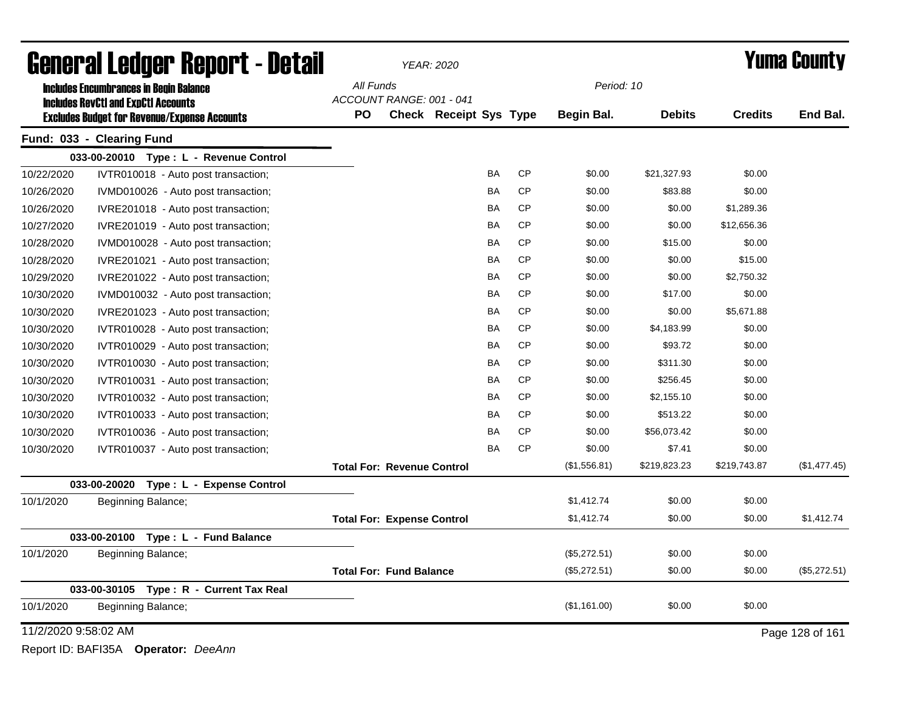| General Ledger Report - Detail |                                                     |                                   | <b>YEAR: 2020</b>             |           |           | <b>Yuma County</b> |               |                |                 |
|--------------------------------|-----------------------------------------------------|-----------------------------------|-------------------------------|-----------|-----------|--------------------|---------------|----------------|-----------------|
|                                | <b>Includes Encumbrances in Begin Balance</b>       | All Funds                         |                               |           |           | Period: 10         |               |                |                 |
|                                | <b>Includes RevCtI and ExpCtI Accounts</b>          | ACCOUNT RANGE: 001 - 041          |                               |           |           |                    |               |                |                 |
|                                | <b>Excludes Budget for Revenue/Expense Accounts</b> | <b>PO</b>                         | <b>Check Receipt Sys Type</b> |           |           | Begin Bal.         | <b>Debits</b> | <b>Credits</b> | End Bal.        |
|                                | Fund: 033 - Clearing Fund                           |                                   |                               |           |           |                    |               |                |                 |
|                                | 033-00-20010 Type: L - Revenue Control              |                                   |                               |           |           |                    |               |                |                 |
| 10/22/2020                     | IVTR010018 - Auto post transaction;                 |                                   |                               | BA        | <b>CP</b> | \$0.00             | \$21,327.93   | \$0.00         |                 |
| 10/26/2020                     | IVMD010026 - Auto post transaction;                 |                                   |                               | BA        | <b>CP</b> | \$0.00             | \$83.88       | \$0.00         |                 |
| 10/26/2020                     | IVRE201018 - Auto post transaction;                 |                                   |                               | BA        | <b>CP</b> | \$0.00             | \$0.00        | \$1,289.36     |                 |
| 10/27/2020                     | IVRE201019 - Auto post transaction;                 |                                   |                               | BA        | <b>CP</b> | \$0.00             | \$0.00        | \$12,656.36    |                 |
| 10/28/2020                     | IVMD010028 - Auto post transaction;                 |                                   |                               | BA        | <b>CP</b> | \$0.00             | \$15.00       | \$0.00         |                 |
| 10/28/2020                     | IVRE201021 - Auto post transaction;                 |                                   |                               | <b>BA</b> | <b>CP</b> | \$0.00             | \$0.00        | \$15.00        |                 |
| 10/29/2020                     | IVRE201022 - Auto post transaction;                 |                                   |                               | BA        | <b>CP</b> | \$0.00             | \$0.00        | \$2,750.32     |                 |
| 10/30/2020                     | IVMD010032 - Auto post transaction;                 |                                   |                               | BA        | <b>CP</b> | \$0.00             | \$17.00       | \$0.00         |                 |
| 10/30/2020                     | IVRE201023 - Auto post transaction;                 |                                   |                               | BA        | <b>CP</b> | \$0.00             | \$0.00        | \$5,671.88     |                 |
| 10/30/2020                     | IVTR010028 - Auto post transaction;                 |                                   |                               | BA        | <b>CP</b> | \$0.00             | \$4,183.99    | \$0.00         |                 |
| 10/30/2020                     | IVTR010029 - Auto post transaction;                 |                                   |                               | BA        | <b>CP</b> | \$0.00             | \$93.72       | \$0.00         |                 |
| 10/30/2020                     | IVTR010030 - Auto post transaction;                 |                                   |                               | BA        | <b>CP</b> | \$0.00             | \$311.30      | \$0.00         |                 |
| 10/30/2020                     | IVTR010031 - Auto post transaction;                 |                                   |                               | BA        | <b>CP</b> | \$0.00             | \$256.45      | \$0.00         |                 |
| 10/30/2020                     | IVTR010032 - Auto post transaction;                 |                                   |                               | BA        | <b>CP</b> | \$0.00             | \$2,155.10    | \$0.00         |                 |
| 10/30/2020                     | IVTR010033 - Auto post transaction;                 |                                   |                               | BA        | <b>CP</b> | \$0.00             | \$513.22      | \$0.00         |                 |
| 10/30/2020                     | IVTR010036 - Auto post transaction;                 |                                   |                               | BA        | <b>CP</b> | \$0.00             | \$56,073.42   | \$0.00         |                 |
| 10/30/2020                     | IVTR010037 - Auto post transaction;                 |                                   |                               | BA        | <b>CP</b> | \$0.00             | \$7.41        | \$0.00         |                 |
|                                |                                                     | <b>Total For: Revenue Control</b> |                               |           |           | (\$1,556.81)       | \$219,823.23  | \$219,743.87   | (\$1,477.45)    |
|                                | 033-00-20020<br>Type: L - Expense Control           |                                   |                               |           |           |                    |               |                |                 |
| 10/1/2020                      | Beginning Balance;                                  |                                   |                               |           |           | \$1,412.74         | \$0.00        | \$0.00         |                 |
|                                |                                                     | <b>Total For: Expense Control</b> |                               |           |           | \$1,412.74         | \$0.00        | \$0.00         | \$1,412.74      |
|                                | 033-00-20100<br>Type: L - Fund Balance              |                                   |                               |           |           |                    |               |                |                 |
| 10/1/2020                      | Beginning Balance;                                  |                                   |                               |           |           | (\$5,272.51)       | \$0.00        | \$0.00         |                 |
|                                |                                                     | <b>Total For: Fund Balance</b>    |                               |           |           | (\$5,272.51)       | \$0.00        | \$0.00         | (\$5,272.51)    |
|                                | 033-00-30105 Type: R - Current Tax Real             |                                   |                               |           |           |                    |               |                |                 |
| 10/1/2020                      | Beginning Balance;                                  |                                   |                               |           |           | (\$1,161.00)       | \$0.00        | \$0.00         |                 |
| 11/2/2020 9:58:02 AM           |                                                     |                                   |                               |           |           |                    |               |                | Page 128 of 161 |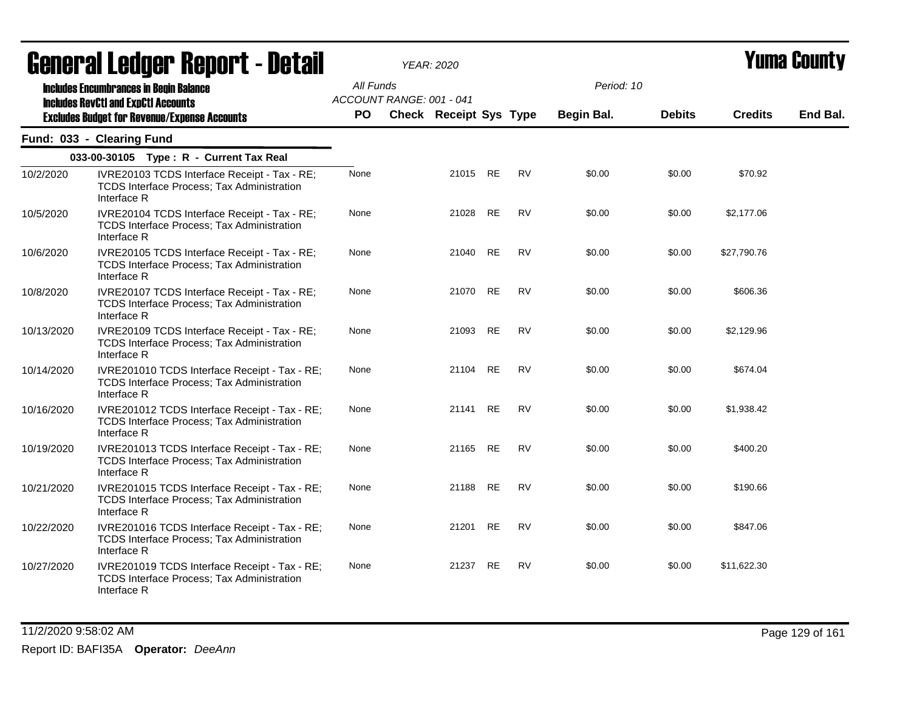|            | ugligi ai Lguygi -ilgµul l - Dglaii                                                                               |           |                          | YEAR: 2020             |           |           |            |               |                | i umu vounty |
|------------|-------------------------------------------------------------------------------------------------------------------|-----------|--------------------------|------------------------|-----------|-----------|------------|---------------|----------------|--------------|
|            | <b>Includes Encumbrances in Begin Balance</b><br><b>Includes RevCtI and ExpCtI Accounts</b>                       | All Funds | ACCOUNT RANGE: 001 - 041 |                        |           |           | Period: 10 |               |                |              |
|            | <b>Excludes Budget for Revenue/Expense Accounts</b>                                                               | <b>PO</b> |                          | Check Receipt Sys Type |           |           | Begin Bal. | <b>Debits</b> | <b>Credits</b> | End Bal.     |
|            | Fund: 033 - Clearing Fund                                                                                         |           |                          |                        |           |           |            |               |                |              |
|            | 033-00-30105 Type: R - Current Tax Real                                                                           |           |                          |                        |           |           |            |               |                |              |
| 10/2/2020  | IVRE20103 TCDS Interface Receipt - Tax - RE;<br>TCDS Interface Process; Tax Administration<br>Interface R         | None      |                          | 21015 RE               |           | RV        | \$0.00     | \$0.00        | \$70.92        |              |
| 10/5/2020  | IVRE20104 TCDS Interface Receipt - Tax - RE;<br><b>TCDS Interface Process; Tax Administration</b><br>Interface R  | None      |                          | 21028                  | <b>RE</b> | <b>RV</b> | \$0.00     | \$0.00        | \$2,177.06     |              |
| 10/6/2020  | IVRE20105 TCDS Interface Receipt - Tax - RE;<br>TCDS Interface Process; Tax Administration<br>Interface R         | None      |                          | 21040 RE               |           | <b>RV</b> | \$0.00     | \$0.00        | \$27,790.76    |              |
| 10/8/2020  | IVRE20107 TCDS Interface Receipt - Tax - RE;<br>TCDS Interface Process; Tax Administration<br>Interface R         | None      |                          | 21070 RE               |           | <b>RV</b> | \$0.00     | \$0.00        | \$606.36       |              |
| 10/13/2020 | IVRE20109 TCDS Interface Receipt - Tax - RE;<br><b>TCDS Interface Process; Tax Administration</b><br>Interface R  | None      |                          | 21093 RE               |           | <b>RV</b> | \$0.00     | \$0.00        | \$2,129.96     |              |
| 10/14/2020 | IVRE201010 TCDS Interface Receipt - Tax - RE;<br><b>TCDS Interface Process; Tax Administration</b><br>Interface R | None      |                          | 21104                  | RE        | <b>RV</b> | \$0.00     | \$0.00        | \$674.04       |              |
| 10/16/2020 | IVRE201012 TCDS Interface Receipt - Tax - RE;<br>TCDS Interface Process; Tax Administration<br>Interface R        | None      |                          | 21141 RE               |           | <b>RV</b> | \$0.00     | \$0.00        | \$1,938.42     |              |
| 10/19/2020 | IVRE201013 TCDS Interface Receipt - Tax - RE;<br>TCDS Interface Process; Tax Administration<br>Interface R        | None      |                          | 21165 RE               |           | RV        | \$0.00     | \$0.00        | \$400.20       |              |
| 10/21/2020 | IVRE201015 TCDS Interface Receipt - Tax - RE;<br>TCDS Interface Process; Tax Administration<br>Interface R        | None      |                          | 21188 RE               |           | RV        | \$0.00     | \$0.00        | \$190.66       |              |
| 10/22/2020 | IVRE201016 TCDS Interface Receipt - Tax - RE;<br>TCDS Interface Process; Tax Administration<br>Interface R        | None      |                          | 21201 RE               |           | <b>RV</b> | \$0.00     | \$0.00        | \$847.06       |              |
| 10/27/2020 | IVRE201019 TCDS Interface Receipt - Tax - RE;<br>TCDS Interface Process; Tax Administration<br>Interface R        | None      |                          | 21237                  | RE        | <b>RV</b> | \$0.00     | \$0.00        | \$11,622.30    |              |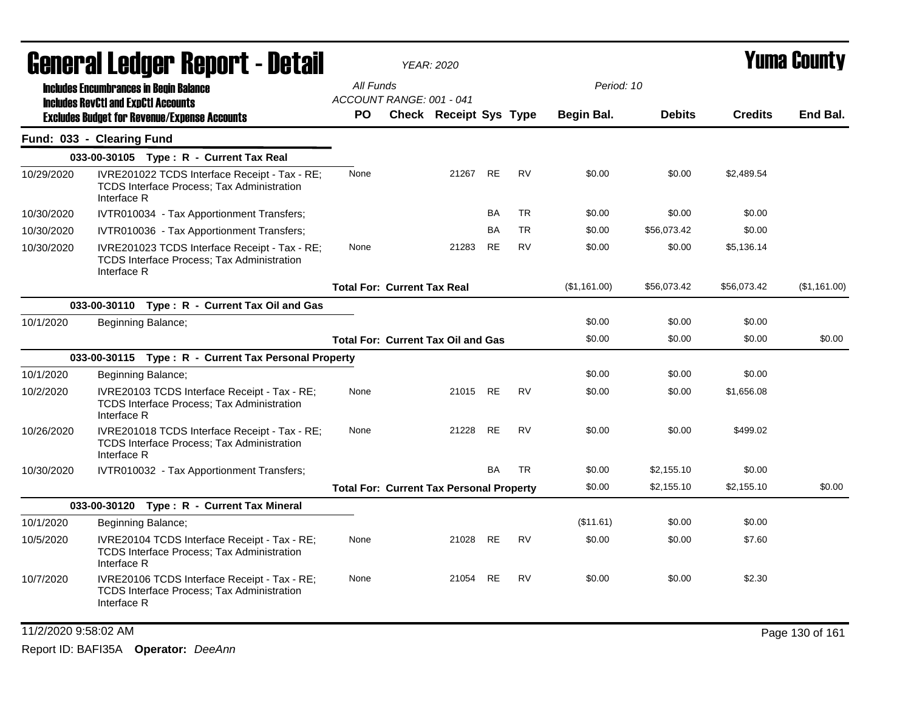| General Ledger Report - Detail |                                                                                                                   | <b>YEAR: 2020</b>                  |                                                 |           | Yuma County |              |               |                |                 |
|--------------------------------|-------------------------------------------------------------------------------------------------------------------|------------------------------------|-------------------------------------------------|-----------|-------------|--------------|---------------|----------------|-----------------|
|                                | <b>Includes Encumbrances in Begin Balance</b>                                                                     | All Funds                          |                                                 |           |             | Period: 10   |               |                |                 |
|                                | <b>Includes RevCtI and ExpCtI Accounts</b>                                                                        | ACCOUNT RANGE: 001 - 041           |                                                 |           |             |              |               |                |                 |
|                                | <b>Excludes Budget for Revenue/Expense Accounts</b>                                                               | <b>PO</b>                          | Check Receipt Sys Type                          |           |             | Begin Bal.   | <b>Debits</b> | <b>Credits</b> | End Bal.        |
|                                | Fund: 033 - Clearing Fund                                                                                         |                                    |                                                 |           |             |              |               |                |                 |
|                                | 033-00-30105 Type: R - Current Tax Real                                                                           |                                    |                                                 |           |             |              |               |                |                 |
| 10/29/2020                     | IVRE201022 TCDS Interface Receipt - Tax - RE;<br><b>TCDS Interface Process; Tax Administration</b><br>Interface R | None                               | 21267                                           | RE        | <b>RV</b>   | \$0.00       | \$0.00        | \$2,489.54     |                 |
| 10/30/2020                     | IVTR010034 - Tax Apportionment Transfers;                                                                         |                                    |                                                 | <b>BA</b> | <b>TR</b>   | \$0.00       | \$0.00        | \$0.00         |                 |
| 10/30/2020                     | IVTR010036 - Tax Apportionment Transfers;                                                                         |                                    |                                                 | BA        | <b>TR</b>   | \$0.00       | \$56,073.42   | \$0.00         |                 |
| 10/30/2020                     | IVRE201023 TCDS Interface Receipt - Tax - RE;<br><b>TCDS Interface Process; Tax Administration</b><br>Interface R | None                               | 21283                                           | RE        | <b>RV</b>   | \$0.00       | \$0.00        | \$5,136.14     |                 |
|                                |                                                                                                                   | <b>Total For: Current Tax Real</b> |                                                 |           |             | (\$1,161.00) | \$56,073.42   | \$56,073.42    | (\$1,161.00)    |
|                                | 033-00-30110 Type: R - Current Tax Oil and Gas                                                                    |                                    |                                                 |           |             |              |               |                |                 |
| 10/1/2020                      | Beginning Balance;                                                                                                |                                    |                                                 |           |             | \$0.00       | \$0.00        | \$0.00         |                 |
|                                |                                                                                                                   |                                    | <b>Total For: Current Tax Oil and Gas</b>       |           |             | \$0.00       | \$0.00        | \$0.00         | \$0.00          |
|                                | 033-00-30115 Type: R - Current Tax Personal Property                                                              |                                    |                                                 |           |             |              |               |                |                 |
| 10/1/2020                      | Beginning Balance;                                                                                                |                                    |                                                 |           |             | \$0.00       | \$0.00        | \$0.00         |                 |
| 10/2/2020                      | IVRE20103 TCDS Interface Receipt - Tax - RE;<br><b>TCDS Interface Process; Tax Administration</b><br>Interface R  | None                               | 21015 RE                                        |           | <b>RV</b>   | \$0.00       | \$0.00        | \$1,656.08     |                 |
| 10/26/2020                     | IVRE201018 TCDS Interface Receipt - Tax - RE;<br><b>TCDS Interface Process; Tax Administration</b><br>Interface R | None                               | 21228                                           | <b>RE</b> | <b>RV</b>   | \$0.00       | \$0.00        | \$499.02       |                 |
| 10/30/2020                     | IVTR010032 - Tax Apportionment Transfers;                                                                         |                                    |                                                 | <b>BA</b> | <b>TR</b>   | \$0.00       | \$2,155.10    | \$0.00         |                 |
|                                |                                                                                                                   |                                    | <b>Total For: Current Tax Personal Property</b> |           |             | \$0.00       | \$2,155.10    | \$2,155.10     | \$0.00          |
|                                | 033-00-30120 Type: R - Current Tax Mineral                                                                        |                                    |                                                 |           |             |              |               |                |                 |
| 10/1/2020                      | Beginning Balance;                                                                                                |                                    |                                                 |           |             | (\$11.61)    | \$0.00        | \$0.00         |                 |
| 10/5/2020                      | IVRE20104 TCDS Interface Receipt - Tax - RE;<br><b>TCDS Interface Process: Tax Administration</b><br>Interface R  | None                               | 21028                                           | <b>RE</b> | <b>RV</b>   | \$0.00       | \$0.00        | \$7.60         |                 |
| 10/7/2020                      | IVRE20106 TCDS Interface Receipt - Tax - RE;<br><b>TCDS Interface Process; Tax Administration</b><br>Interface R  | None                               | 21054 RE                                        |           | <b>RV</b>   | \$0.00       | \$0.00        | \$2.30         |                 |
| 11/2/2020 9:58:02 AM           |                                                                                                                   |                                    |                                                 |           |             |              |               |                | Page 130 of 161 |
|                                |                                                                                                                   |                                    |                                                 |           |             |              |               |                |                 |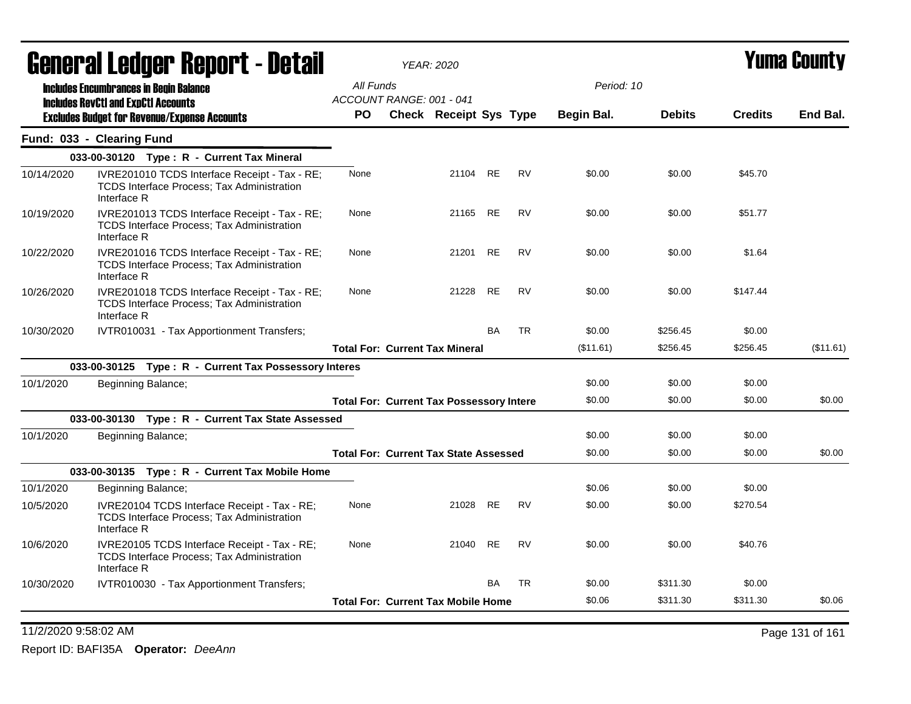|            | General Ledger Report - Detail                                                                                    |                                                 | <b>YEAR: 2020</b>             |           |           |            |               | Yuma County    |           |
|------------|-------------------------------------------------------------------------------------------------------------------|-------------------------------------------------|-------------------------------|-----------|-----------|------------|---------------|----------------|-----------|
|            | <b>Includes Encumbrances in Begin Balance</b>                                                                     | All Funds                                       |                               |           |           | Period: 10 |               |                |           |
|            | <b>Includes RevCtI and ExpCtI Accounts</b>                                                                        | ACCOUNT RANGE: 001 - 041                        |                               |           |           |            |               |                |           |
|            | <b>Excludes Budget for Revenue/Expense Accounts</b>                                                               | PO.                                             | <b>Check Receipt Sys Type</b> |           |           | Begin Bal. | <b>Debits</b> | <b>Credits</b> | End Bal.  |
|            | Fund: 033 - Clearing Fund                                                                                         |                                                 |                               |           |           |            |               |                |           |
|            | 033-00-30120 Type: R - Current Tax Mineral                                                                        |                                                 |                               |           |           |            |               |                |           |
| 10/14/2020 | IVRE201010 TCDS Interface Receipt - Tax - RE;<br><b>TCDS Interface Process: Tax Administration</b><br>Interface R | None                                            | 21104 RE                      |           | <b>RV</b> | \$0.00     | \$0.00        | \$45.70        |           |
| 10/19/2020 | IVRE201013 TCDS Interface Receipt - Tax - RE;<br>TCDS Interface Process; Tax Administration<br>Interface R        | None                                            | 21165 RE                      |           | <b>RV</b> | \$0.00     | \$0.00        | \$51.77        |           |
| 10/22/2020 | IVRE201016 TCDS Interface Receipt - Tax - RE;<br><b>TCDS Interface Process: Tax Administration</b><br>Interface R | None                                            | 21201                         | <b>RE</b> | <b>RV</b> | \$0.00     | \$0.00        | \$1.64         |           |
| 10/26/2020 | IVRE201018 TCDS Interface Receipt - Tax - RE;<br>TCDS Interface Process; Tax Administration<br>Interface R        | None                                            | 21228                         | <b>RE</b> | <b>RV</b> | \$0.00     | \$0.00        | \$147.44       |           |
| 10/30/2020 | IVTR010031 - Tax Apportionment Transfers;                                                                         |                                                 |                               | <b>BA</b> | <b>TR</b> | \$0.00     | \$256.45      | \$0.00         |           |
|            |                                                                                                                   | <b>Total For: Current Tax Mineral</b>           |                               |           |           | (\$11.61)  | \$256.45      | \$256.45       | (\$11.61) |
|            | 033-00-30125 Type: R - Current Tax Possessory Interes                                                             |                                                 |                               |           |           |            |               |                |           |
| 10/1/2020  | Beginning Balance;                                                                                                |                                                 |                               |           |           | \$0.00     | \$0.00        | \$0.00         |           |
|            |                                                                                                                   | <b>Total For: Current Tax Possessory Intere</b> |                               |           |           | \$0.00     | \$0.00        | \$0.00         | \$0.00    |
|            | 033-00-30130 Type: R - Current Tax State Assessed                                                                 |                                                 |                               |           |           |            |               |                |           |
| 10/1/2020  | Beginning Balance;                                                                                                |                                                 |                               |           |           | \$0.00     | \$0.00        | \$0.00         |           |
|            |                                                                                                                   | <b>Total For: Current Tax State Assessed</b>    |                               |           |           | \$0.00     | \$0.00        | \$0.00         | \$0.00    |
|            | 033-00-30135 Type: R - Current Tax Mobile Home                                                                    |                                                 |                               |           |           |            |               |                |           |
| 10/1/2020  | Beginning Balance;                                                                                                |                                                 |                               |           |           | \$0.06     | \$0.00        | \$0.00         |           |
| 10/5/2020  | IVRE20104 TCDS Interface Receipt - Tax - RE;<br><b>TCDS Interface Process; Tax Administration</b><br>Interface R  | None                                            | 21028 RE                      |           | <b>RV</b> | \$0.00     | \$0.00        | \$270.54       |           |
| 10/6/2020  | IVRE20105 TCDS Interface Receipt - Tax - RE;<br>TCDS Interface Process; Tax Administration<br>Interface R         | None                                            | 21040                         | <b>RE</b> | <b>RV</b> | \$0.00     | \$0.00        | \$40.76        |           |
| 10/30/2020 | IVTR010030 - Tax Apportionment Transfers;                                                                         |                                                 |                               | <b>BA</b> | <b>TR</b> | \$0.00     | \$311.30      | \$0.00         |           |
|            |                                                                                                                   | <b>Total For: Current Tax Mobile Home</b>       |                               |           |           | \$0.06     | \$311.30      | \$311.30       | \$0.06    |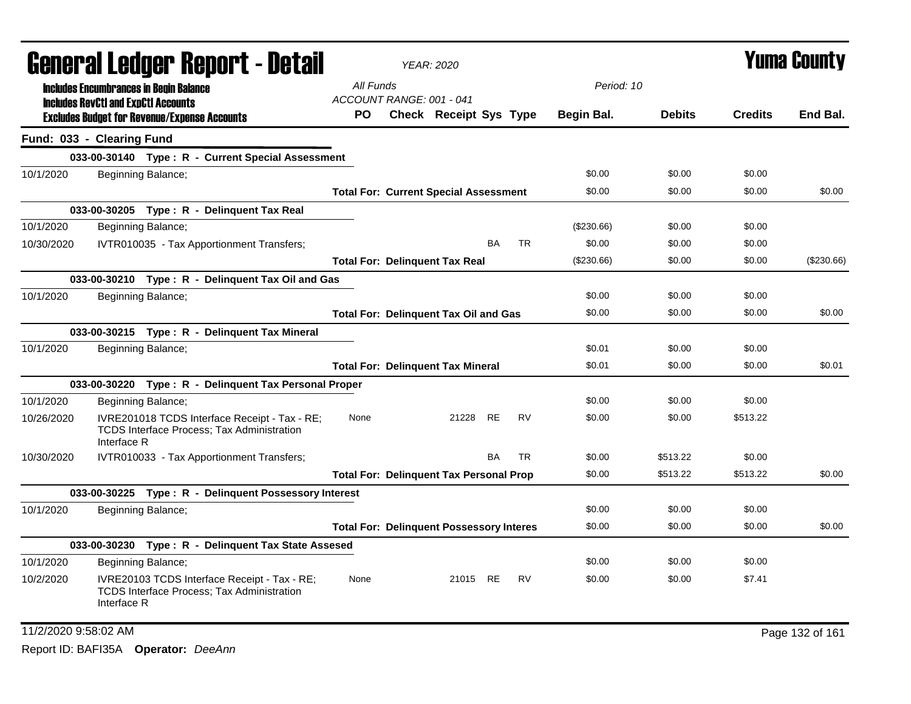| General Ledger Report - Detail |                                                                                                                  |                                       | <b>YEAR: 2020</b>                               |           |           |              |               | <b>Yuma County</b> |                 |
|--------------------------------|------------------------------------------------------------------------------------------------------------------|---------------------------------------|-------------------------------------------------|-----------|-----------|--------------|---------------|--------------------|-----------------|
|                                | <b>Includes Encumbrances in Begin Balance</b>                                                                    | All Funds<br>ACCOUNT RANGE: 001 - 041 |                                                 |           |           | Period: 10   |               |                    |                 |
|                                | <b>Includes RevCtI and ExpCtI Accounts</b><br><b>Excludes Budget for Revenue/Expense Accounts</b>                | PO.                                   | <b>Check Receipt Sys Type</b>                   |           |           | Begin Bal.   | <b>Debits</b> | <b>Credits</b>     | End Bal.        |
|                                | Fund: 033 - Clearing Fund                                                                                        |                                       |                                                 |           |           |              |               |                    |                 |
|                                | 033-00-30140 Type: R - Current Special Assessment                                                                |                                       |                                                 |           |           |              |               |                    |                 |
| 10/1/2020                      | Beginning Balance;                                                                                               |                                       |                                                 |           |           | \$0.00       | \$0.00        | \$0.00             |                 |
|                                |                                                                                                                  |                                       | <b>Total For: Current Special Assessment</b>    |           |           | \$0.00       | \$0.00        | \$0.00             | \$0.00          |
|                                | 033-00-30205 Type: R - Delinquent Tax Real                                                                       |                                       |                                                 |           |           |              |               |                    |                 |
| 10/1/2020                      | Beginning Balance;                                                                                               |                                       |                                                 |           |           | $(\$230.66)$ | \$0.00        | \$0.00             |                 |
| 10/30/2020                     | IVTR010035 - Tax Apportionment Transfers;                                                                        |                                       |                                                 | BA        | <b>TR</b> | \$0.00       | \$0.00        | \$0.00             |                 |
|                                |                                                                                                                  |                                       | <b>Total For: Delinguent Tax Real</b>           |           |           | (\$230.66)   | \$0.00        | \$0.00             | (\$230.66)      |
|                                | 033-00-30210 Type: R - Delinquent Tax Oil and Gas                                                                |                                       |                                                 |           |           |              |               |                    |                 |
| 10/1/2020                      | Beginning Balance;                                                                                               |                                       |                                                 |           |           | \$0.00       | \$0.00        | \$0.00             |                 |
|                                |                                                                                                                  |                                       | <b>Total For: Delinquent Tax Oil and Gas</b>    |           |           | \$0.00       | \$0.00        | \$0.00             | \$0.00          |
|                                | 033-00-30215 Type: R - Delinquent Tax Mineral                                                                    |                                       |                                                 |           |           |              |               |                    |                 |
| 10/1/2020                      | Beginning Balance;                                                                                               |                                       |                                                 |           |           | \$0.01       | \$0.00        | \$0.00             |                 |
|                                |                                                                                                                  |                                       | <b>Total For: Delinquent Tax Mineral</b>        |           |           | \$0.01       | \$0.00        | \$0.00             | \$0.01          |
|                                | 033-00-30220 Type: R - Delinquent Tax Personal Proper                                                            |                                       |                                                 |           |           |              |               |                    |                 |
| 10/1/2020                      | Beginning Balance;                                                                                               |                                       |                                                 |           |           | \$0.00       | \$0.00        | \$0.00             |                 |
| 10/26/2020                     | IVRE201018 TCDS Interface Receipt - Tax - RE;<br>TCDS Interface Process; Tax Administration<br>Interface R       | None                                  | 21228                                           | <b>RE</b> | <b>RV</b> | \$0.00       | \$0.00        | \$513.22           |                 |
| 10/30/2020                     | IVTR010033 - Tax Apportionment Transfers;                                                                        |                                       |                                                 | <b>BA</b> | <b>TR</b> | \$0.00       | \$513.22      | \$0.00             |                 |
|                                |                                                                                                                  |                                       | <b>Total For: Delinguent Tax Personal Prop</b>  |           |           | \$0.00       | \$513.22      | \$513.22           | \$0.00          |
|                                | 033-00-30225 Type: R - Delinquent Possessory Interest                                                            |                                       |                                                 |           |           |              |               |                    |                 |
| 10/1/2020                      | Beginning Balance;                                                                                               |                                       |                                                 |           |           | \$0.00       | \$0.00        | \$0.00             |                 |
|                                |                                                                                                                  |                                       | <b>Total For: Delinquent Possessory Interes</b> |           |           | \$0.00       | \$0.00        | \$0.00             | \$0.00          |
|                                | 033-00-30230 Type: R - Delinquent Tax State Assesed                                                              |                                       |                                                 |           |           |              |               |                    |                 |
| 10/1/2020                      | Beginning Balance;                                                                                               |                                       |                                                 |           |           | \$0.00       | \$0.00        | \$0.00             |                 |
| 10/2/2020                      | IVRE20103 TCDS Interface Receipt - Tax - RE;<br><b>TCDS Interface Process; Tax Administration</b><br>Interface R | None                                  | 21015 RE                                        |           | <b>RV</b> | \$0.00       | \$0.00        | \$7.41             |                 |
| 11/2/2020 9:58:02 AM           |                                                                                                                  |                                       |                                                 |           |           |              |               |                    | Page 132 of 161 |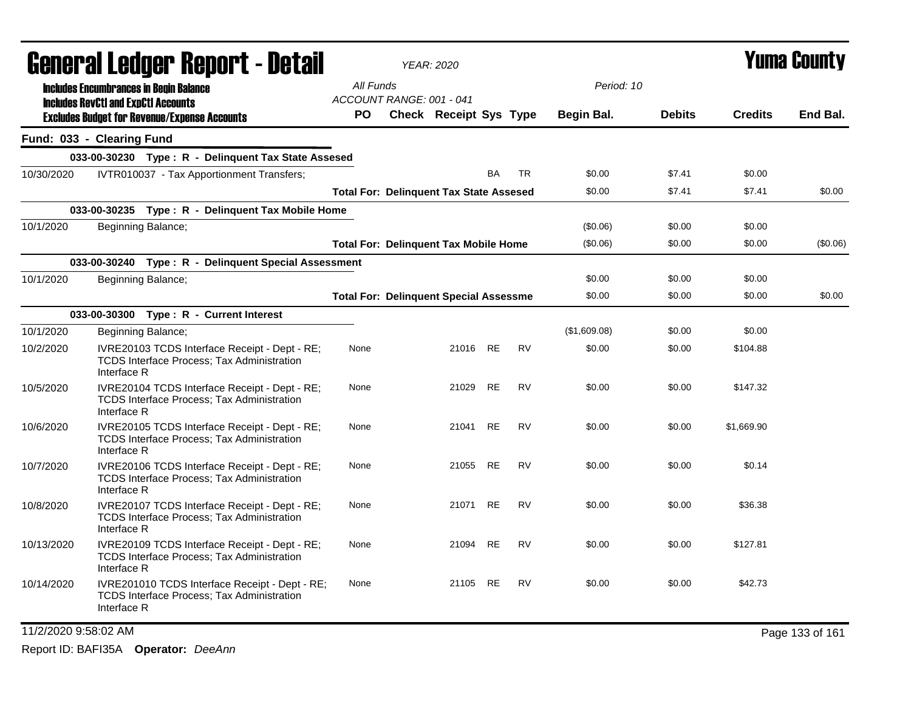|                      | <b>General Ledger Report - Detail</b> |                           |                                                                                                    | <b>YEAR: 2020</b>                              |                               |           | <b>Yuma County</b> |              |               |                |                 |
|----------------------|---------------------------------------|---------------------------|----------------------------------------------------------------------------------------------------|------------------------------------------------|-------------------------------|-----------|--------------------|--------------|---------------|----------------|-----------------|
|                      |                                       |                           | <b>Includes Encumbrances in Begin Balance</b>                                                      | All Funds                                      |                               |           |                    | Period: 10   |               |                |                 |
|                      |                                       |                           | <b>Includes RevCtI and ExpCtI Accounts</b><br><b>Excludes Budget for Revenue/Expense Accounts</b>  | ACCOUNT RANGE: 001 - 041<br>PO.                | <b>Check Receipt Sys Type</b> |           |                    | Begin Bal.   | <b>Debits</b> | <b>Credits</b> | End Bal.        |
|                      |                                       | Fund: 033 - Clearing Fund |                                                                                                    |                                                |                               |           |                    |              |               |                |                 |
|                      |                                       |                           | 033-00-30230 Type: R - Delinquent Tax State Assesed                                                |                                                |                               |           |                    |              |               |                |                 |
| 10/30/2020           |                                       |                           | IVTR010037 - Tax Apportionment Transfers;                                                          |                                                |                               | <b>BA</b> | <b>TR</b>          | \$0.00       | \$7.41        | \$0.00         |                 |
|                      |                                       |                           |                                                                                                    | <b>Total For: Delinguent Tax State Assesed</b> |                               |           |                    | \$0.00       | \$7.41        | \$7.41         | \$0.00          |
|                      |                                       |                           | 033-00-30235 Type: R - Delinquent Tax Mobile Home                                                  |                                                |                               |           |                    |              |               |                |                 |
| 10/1/2020            |                                       |                           | Beginning Balance;                                                                                 |                                                |                               |           |                    | (\$0.06)     | \$0.00        | \$0.00         |                 |
|                      |                                       |                           |                                                                                                    | <b>Total For: Delinquent Tax Mobile Home</b>   |                               |           |                    | (\$0.06)     | \$0.00        | \$0.00         | (\$0.06)        |
|                      |                                       |                           | 033-00-30240 Type: R - Delinquent Special Assessment                                               |                                                |                               |           |                    |              |               |                |                 |
| 10/1/2020            |                                       |                           | Beginning Balance;                                                                                 |                                                |                               |           |                    | \$0.00       | \$0.00        | \$0.00         |                 |
|                      |                                       |                           |                                                                                                    | <b>Total For: Delinquent Special Assessme</b>  |                               |           |                    | \$0.00       | \$0.00        | \$0.00         | \$0.00          |
|                      |                                       |                           | 033-00-30300 Type: R - Current Interest                                                            |                                                |                               |           |                    |              |               |                |                 |
| 10/1/2020            |                                       |                           | Beginning Balance;                                                                                 |                                                |                               |           |                    | (\$1,609.08) | \$0.00        | \$0.00         |                 |
| 10/2/2020            |                                       | Interface R               | IVRE20103 TCDS Interface Receipt - Dept - RE;<br><b>TCDS Interface Process; Tax Administration</b> | None                                           | 21016                         | RE        | RV                 | \$0.00       | \$0.00        | \$104.88       |                 |
| 10/5/2020            |                                       | Interface R               | IVRE20104 TCDS Interface Receipt - Dept - RE;<br><b>TCDS Interface Process; Tax Administration</b> | None                                           | 21029                         | <b>RE</b> | <b>RV</b>          | \$0.00       | \$0.00        | \$147.32       |                 |
| 10/6/2020            |                                       | Interface R               | IVRE20105 TCDS Interface Receipt - Dept - RE;<br>TCDS Interface Process; Tax Administration        | None                                           | 21041                         | <b>RE</b> | <b>RV</b>          | \$0.00       | \$0.00        | \$1,669.90     |                 |
| 10/7/2020            |                                       | Interface R               | IVRE20106 TCDS Interface Receipt - Dept - RE;<br>TCDS Interface Process; Tax Administration        | None                                           | 21055                         | <b>RE</b> | <b>RV</b>          | \$0.00       | \$0.00        | \$0.14         |                 |
| 10/8/2020            |                                       | Interface R               | IVRE20107 TCDS Interface Receipt - Dept - RE;<br><b>TCDS Interface Process; Tax Administration</b> | None                                           | 21071                         | <b>RE</b> | <b>RV</b>          | \$0.00       | \$0.00        | \$36.38        |                 |
| 10/13/2020           |                                       | Interface R               | IVRE20109 TCDS Interface Receipt - Dept - RE;<br><b>TCDS Interface Process; Tax Administration</b> | None                                           | 21094                         | RE        | RV                 | \$0.00       | \$0.00        | \$127.81       |                 |
| 10/14/2020           |                                       | Interface R               | IVRE201010 TCDS Interface Receipt - Dept - RE;<br>TCDS Interface Process; Tax Administration       | None                                           | 21105 RE                      |           | <b>RV</b>          | \$0.00       | \$0.00        | \$42.73        |                 |
| 11/2/2020 9:58:02 AM |                                       |                           |                                                                                                    |                                                |                               |           |                    |              |               |                | Page 133 of 161 |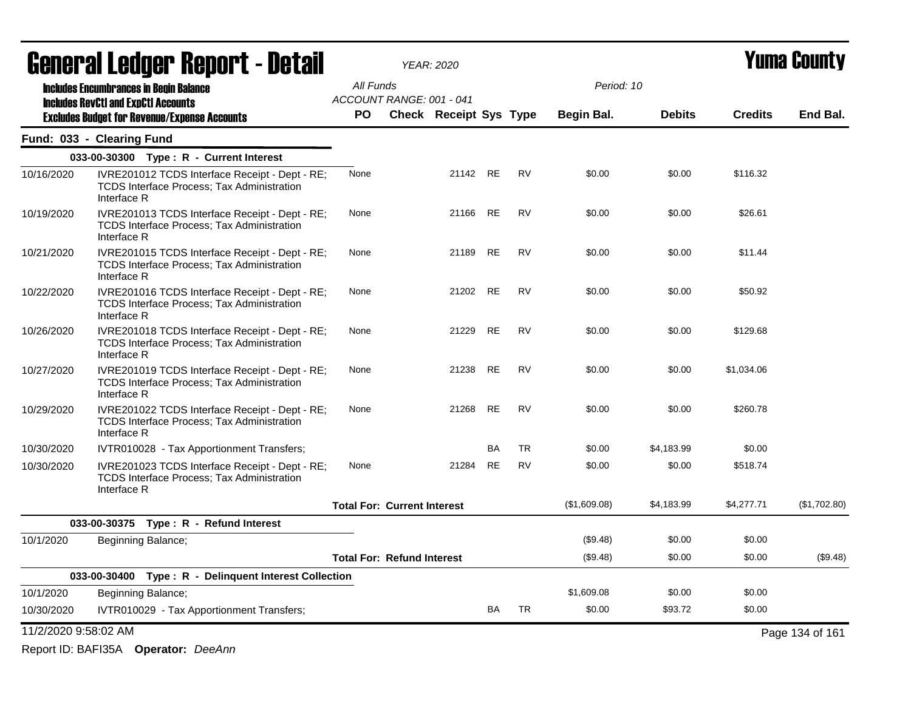|                      | <b>General Ledger Report - Detail</b>                                                                              |           | <b>YEAR: 2020</b>                  |           |           | Yuma County  |               |                |                 |
|----------------------|--------------------------------------------------------------------------------------------------------------------|-----------|------------------------------------|-----------|-----------|--------------|---------------|----------------|-----------------|
|                      | <b>Includes Encumbrances in Begin Balance</b>                                                                      | All Funds |                                    |           |           | Period: 10   |               |                |                 |
|                      | <b>Includes RevCtI and ExpCtI Accounts</b>                                                                         |           | ACCOUNT RANGE: 001 - 041           |           |           |              |               |                |                 |
|                      | <b>Excludes Budget for Revenue/Expense Accounts</b>                                                                | <b>PO</b> | <b>Check Receipt Sys Type</b>      |           |           | Begin Bal.   | <b>Debits</b> | <b>Credits</b> | End Bal.        |
|                      | Fund: 033 - Clearing Fund                                                                                          |           |                                    |           |           |              |               |                |                 |
|                      | 033-00-30300 Type: R - Current Interest                                                                            |           |                                    |           |           |              |               |                |                 |
| 10/16/2020           | IVRE201012 TCDS Interface Receipt - Dept - RE;<br><b>TCDS Interface Process: Tax Administration</b><br>Interface R | None      |                                    | 21142 RE  | RV        | \$0.00       | \$0.00        | \$116.32       |                 |
| 10/19/2020           | IVRE201013 TCDS Interface Receipt - Dept - RE;<br><b>TCDS Interface Process; Tax Administration</b><br>Interface R | None      | 21166                              | RE        | <b>RV</b> | \$0.00       | \$0.00        | \$26.61        |                 |
| 10/21/2020           | IVRE201015 TCDS Interface Receipt - Dept - RE;<br><b>TCDS Interface Process: Tax Administration</b><br>Interface R | None      | 21189                              | <b>RE</b> | <b>RV</b> | \$0.00       | \$0.00        | \$11.44        |                 |
| 10/22/2020           | IVRE201016 TCDS Interface Receipt - Dept - RE;<br><b>TCDS Interface Process; Tax Administration</b><br>Interface R | None      |                                    | 21202 RE  | <b>RV</b> | \$0.00       | \$0.00        | \$50.92        |                 |
| 10/26/2020           | IVRE201018 TCDS Interface Receipt - Dept - RE;<br>TCDS Interface Process; Tax Administration<br>Interface R        | None      | 21229                              | RE        | RV        | \$0.00       | \$0.00        | \$129.68       |                 |
| 10/27/2020           | IVRE201019 TCDS Interface Receipt - Dept - RE;<br><b>TCDS Interface Process; Tax Administration</b><br>Interface R | None      | 21238                              | RE        | <b>RV</b> | \$0.00       | \$0.00        | \$1,034.06     |                 |
| 10/29/2020           | IVRE201022 TCDS Interface Receipt - Dept - RE;<br><b>TCDS Interface Process: Tax Administration</b><br>Interface R | None      | 21268                              | <b>RE</b> | <b>RV</b> | \$0.00       | \$0.00        | \$260.78       |                 |
| 10/30/2020           | IVTR010028 - Tax Apportionment Transfers;                                                                          |           |                                    | BA        | <b>TR</b> | \$0.00       | \$4,183.99    | \$0.00         |                 |
| 10/30/2020           | IVRE201023 TCDS Interface Receipt - Dept - RE;<br><b>TCDS Interface Process: Tax Administration</b><br>Interface R | None      | 21284                              | <b>RE</b> | <b>RV</b> | \$0.00       | \$0.00        | \$518.74       |                 |
|                      |                                                                                                                    |           | <b>Total For: Current Interest</b> |           |           | (\$1,609.08) | \$4,183.99    | \$4,277.71     | (\$1,702.80)    |
|                      | 033-00-30375 Type: R - Refund Interest                                                                             |           |                                    |           |           |              |               |                |                 |
| 10/1/2020            | Beginning Balance;                                                                                                 |           |                                    |           |           | (\$9.48)     | \$0.00        | \$0.00         |                 |
|                      |                                                                                                                    |           | <b>Total For: Refund Interest</b>  |           |           | (\$9.48)     | \$0.00        | \$0.00         | (\$9.48)        |
|                      | 033-00-30400 Type: R - Delinquent Interest Collection                                                              |           |                                    |           |           |              |               |                |                 |
| 10/1/2020            | Beginning Balance;                                                                                                 |           |                                    |           |           | \$1,609.08   | \$0.00        | \$0.00         |                 |
| 10/30/2020           | IVTR010029 - Tax Apportionment Transfers;                                                                          |           |                                    | <b>BA</b> | <b>TR</b> | \$0.00       | \$93.72       | \$0.00         |                 |
| 11/2/2020 9:58:02 AM |                                                                                                                    |           |                                    |           |           |              |               |                | Page 134 of 161 |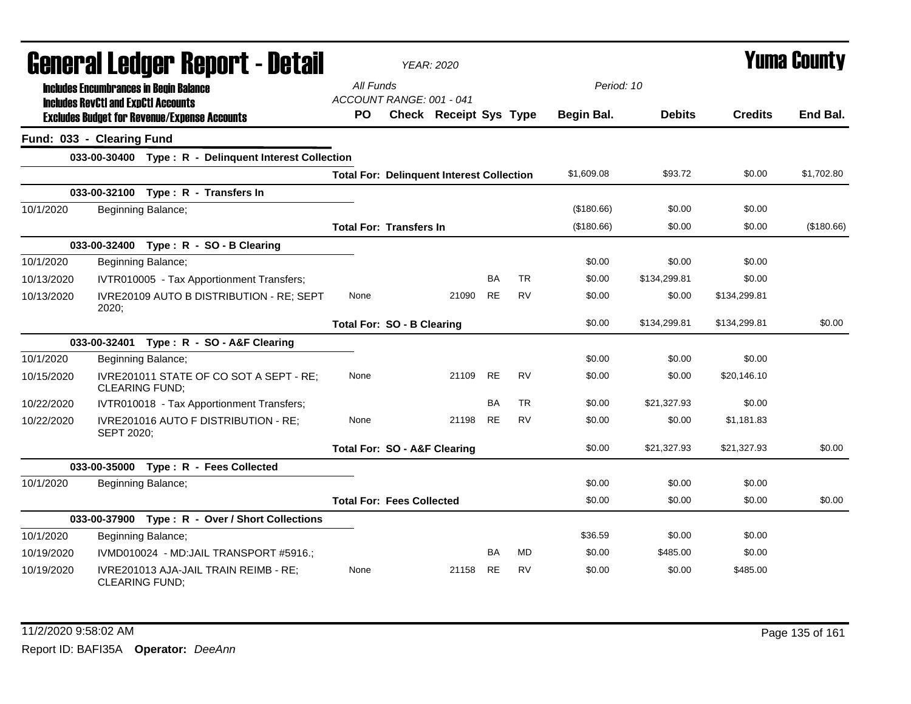| <b>General Ledger Report - Detail</b> |                                                                                                   | <b>YEAR: 2020</b> |                                                  |                               |           |           |            | Yuma County   |                |            |
|---------------------------------------|---------------------------------------------------------------------------------------------------|-------------------|--------------------------------------------------|-------------------------------|-----------|-----------|------------|---------------|----------------|------------|
|                                       | <b>Includes Encumbrances in Begin Balance</b>                                                     | All Funds         |                                                  |                               |           |           | Period: 10 |               |                |            |
|                                       | <b>Includes RevCtI and ExpCtI Accounts</b><br><b>Excludes Budget for Revenue/Expense Accounts</b> | <b>PO</b>         | ACCOUNT RANGE: 001 - 041                         | <b>Check Receipt Sys Type</b> |           |           | Begin Bal. | <b>Debits</b> | <b>Credits</b> | End Bal.   |
|                                       | Fund: 033 - Clearing Fund                                                                         |                   |                                                  |                               |           |           |            |               |                |            |
|                                       | 033-00-30400 Type: R - Delinquent Interest Collection                                             |                   |                                                  |                               |           |           |            |               |                |            |
|                                       |                                                                                                   |                   | <b>Total For: Delinquent Interest Collection</b> |                               |           |           | \$1,609.08 | \$93.72       | \$0.00         | \$1,702.80 |
|                                       | 033-00-32100 Type: R - Transfers In                                                               |                   |                                                  |                               |           |           |            |               |                |            |
| 10/1/2020                             | Beginning Balance;                                                                                |                   |                                                  |                               |           |           | (\$180.66) | \$0.00        | \$0.00         |            |
|                                       |                                                                                                   |                   | <b>Total For: Transfers In</b>                   |                               |           |           | (\$180.66) | \$0.00        | \$0.00         | (\$180.66) |
|                                       | 033-00-32400 Type: R - SO - B Clearing                                                            |                   |                                                  |                               |           |           |            |               |                |            |
| 10/1/2020                             | Beginning Balance;                                                                                |                   |                                                  |                               |           |           | \$0.00     | \$0.00        | \$0.00         |            |
| 10/13/2020                            | IVTR010005 - Tax Apportionment Transfers;                                                         |                   |                                                  |                               | <b>BA</b> | TR        | \$0.00     | \$134,299.81  | \$0.00         |            |
| 10/13/2020                            | IVRE20109 AUTO B DISTRIBUTION - RE; SEPT<br>2020;                                                 | None              |                                                  | 21090                         | <b>RE</b> | <b>RV</b> | \$0.00     | \$0.00        | \$134,299.81   |            |
|                                       |                                                                                                   |                   | <b>Total For: SO - B Clearing</b>                |                               |           |           | \$0.00     | \$134,299.81  | \$134,299.81   | \$0.00     |
|                                       | 033-00-32401 Type: R - SO - A&F Clearing                                                          |                   |                                                  |                               |           |           |            |               |                |            |
| 10/1/2020                             | Beginning Balance;                                                                                |                   |                                                  |                               |           |           | \$0.00     | \$0.00        | \$0.00         |            |
| 10/15/2020                            | IVRE201011 STATE OF CO SOT A SEPT - RE;<br>CLEARING FUND;                                         | None              |                                                  | 21109                         | <b>RE</b> | <b>RV</b> | \$0.00     | \$0.00        | \$20,146.10    |            |
| 10/22/2020                            | IVTR010018 - Tax Apportionment Transfers;                                                         |                   |                                                  |                               | <b>BA</b> | <b>TR</b> | \$0.00     | \$21,327.93   | \$0.00         |            |
| 10/22/2020                            | IVRE201016 AUTO F DISTRIBUTION - RE;<br>SEPT 2020;                                                | None              |                                                  | 21198                         | <b>RE</b> | <b>RV</b> | \$0.00     | \$0.00        | \$1,181.83     |            |
|                                       |                                                                                                   |                   | <b>Total For: SO - A&amp;F Clearing</b>          |                               |           |           | \$0.00     | \$21,327.93   | \$21,327.93    | \$0.00     |
|                                       | 033-00-35000 Type: R - Fees Collected                                                             |                   |                                                  |                               |           |           |            |               |                |            |
| 10/1/2020                             | Beginning Balance;                                                                                |                   |                                                  |                               |           |           | \$0.00     | \$0.00        | \$0.00         |            |
|                                       |                                                                                                   |                   | <b>Total For: Fees Collected</b>                 |                               |           |           | \$0.00     | \$0.00        | \$0.00         | \$0.00     |
|                                       | 033-00-37900 Type: R - Over / Short Collections                                                   |                   |                                                  |                               |           |           |            |               |                |            |
| 10/1/2020                             | Beginning Balance;                                                                                |                   |                                                  |                               |           |           | \$36.59    | \$0.00        | \$0.00         |            |
| 10/19/2020                            | IVMD010024 - MD:JAIL TRANSPORT #5916.;                                                            |                   |                                                  |                               | <b>BA</b> | <b>MD</b> | \$0.00     | \$485.00      | \$0.00         |            |
| 10/19/2020                            | IVRE201013 AJA-JAIL TRAIN REIMB - RE;<br><b>CLEARING FUND;</b>                                    | None              |                                                  | 21158                         | <b>RE</b> | <b>RV</b> | \$0.00     | \$0.00        | \$485.00       |            |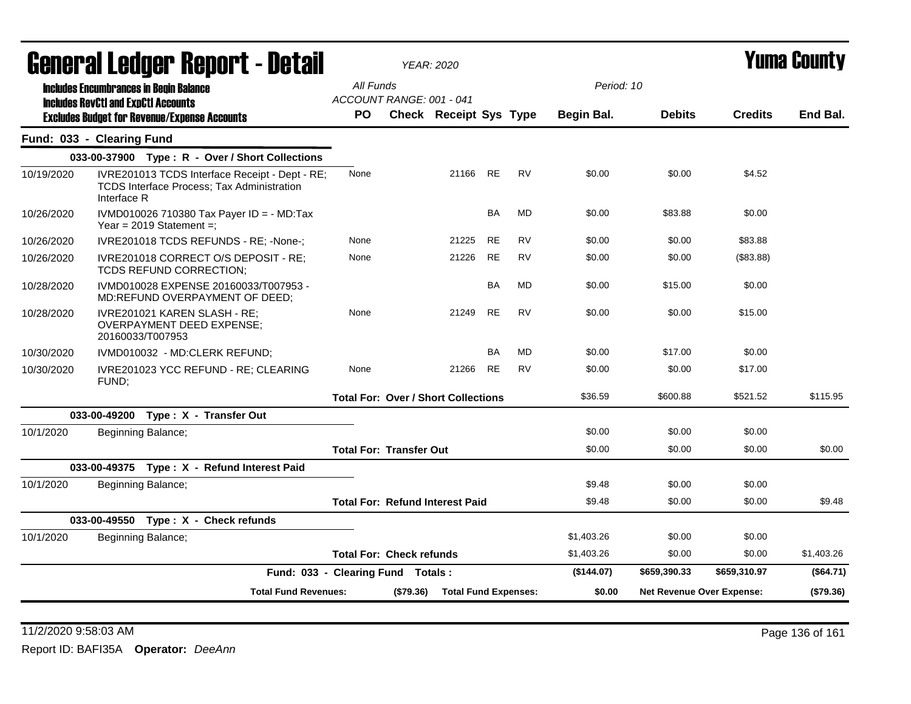|            | Generai Leuger Keport - Detail                                                                                     |                                                    |           | <b>YEAR: 2020</b>           |           |           |                          |                                  | Yuma Gounty    |            |
|------------|--------------------------------------------------------------------------------------------------------------------|----------------------------------------------------|-----------|-----------------------------|-----------|-----------|--------------------------|----------------------------------|----------------|------------|
|            | <b>Includes Encumbrances in Begin Balance</b><br><b>Includes RevCtI and ExpCtI Accounts</b>                        | All Funds<br>ACCOUNT RANGE: 001 - 041<br><b>PO</b> |           | Check Receipt Sys Type      |           |           | Period: 10<br>Begin Bal. | <b>Debits</b>                    | <b>Credits</b> | End Bal.   |
|            | <b>Excludes Budget for Revenue/Expense Accounts</b>                                                                |                                                    |           |                             |           |           |                          |                                  |                |            |
|            | Fund: 033 - Clearing Fund                                                                                          |                                                    |           |                             |           |           |                          |                                  |                |            |
|            | 033-00-37900 Type: R - Over / Short Collections                                                                    |                                                    |           |                             |           |           |                          |                                  |                |            |
| 10/19/2020 | IVRE201013 TCDS Interface Receipt - Dept - RE;<br><b>TCDS Interface Process; Tax Administration</b><br>Interface R | None                                               |           | 21166 RE                    |           | <b>RV</b> | \$0.00                   | \$0.00                           | \$4.52         |            |
| 10/26/2020 | IVMD010026 710380 Tax Payer ID = - MD:Tax<br>Year = $2019$ Statement =;                                            |                                                    |           |                             | <b>BA</b> | <b>MD</b> | \$0.00                   | \$83.88                          | \$0.00         |            |
| 10/26/2020 | IVRE201018 TCDS REFUNDS - RE; -None-;                                                                              | None                                               |           | 21225                       | <b>RE</b> | <b>RV</b> | \$0.00                   | \$0.00                           | \$83.88        |            |
| 10/26/2020 | IVRE201018 CORRECT O/S DEPOSIT - RE;<br>TCDS REFUND CORRECTION;                                                    | None                                               |           | 21226                       | <b>RE</b> | <b>RV</b> | \$0.00                   | \$0.00                           | (\$83.88)      |            |
| 10/28/2020 | IVMD010028 EXPENSE 20160033/T007953 -<br>MD:REFUND OVERPAYMENT OF DEED;                                            |                                                    |           |                             | <b>BA</b> | <b>MD</b> | \$0.00                   | \$15.00                          | \$0.00         |            |
| 10/28/2020 | IVRE201021 KAREN SLASH - RE;<br><b>OVERPAYMENT DEED EXPENSE;</b><br>20160033/T007953                               | None                                               |           | 21249                       | <b>RE</b> | <b>RV</b> | \$0.00                   | \$0.00                           | \$15.00        |            |
| 10/30/2020 | IVMD010032 - MD:CLERK REFUND;                                                                                      |                                                    |           |                             | <b>BA</b> | MD        | \$0.00                   | \$17.00                          | \$0.00         |            |
| 10/30/2020 | IVRE201023 YCC REFUND - RE; CLEARING<br>FUND;                                                                      | None                                               |           | 21266                       | RE        | <b>RV</b> | \$0.00                   | \$0.00                           | \$17.00        |            |
|            |                                                                                                                    | <b>Total For: Over / Short Collections</b>         |           |                             |           |           | \$36.59                  | \$600.88                         | \$521.52       | \$115.95   |
|            | 033-00-49200 Type: X - Transfer Out                                                                                |                                                    |           |                             |           |           |                          |                                  |                |            |
| 10/1/2020  | Beginning Balance;                                                                                                 |                                                    |           |                             |           |           | \$0.00                   | \$0.00                           | \$0.00         |            |
|            |                                                                                                                    | <b>Total For: Transfer Out</b>                     |           |                             |           |           | \$0.00                   | \$0.00                           | \$0.00         | \$0.00     |
|            | 033-00-49375 Type: X - Refund Interest Paid                                                                        |                                                    |           |                             |           |           |                          |                                  |                |            |
| 10/1/2020  | Beginning Balance;                                                                                                 |                                                    |           |                             |           |           | \$9.48                   | \$0.00                           | \$0.00         |            |
|            |                                                                                                                    | <b>Total For: Refund Interest Paid</b>             |           |                             |           |           | \$9.48                   | \$0.00                           | \$0.00         | \$9.48     |
|            | 033-00-49550 Type: X - Check refunds                                                                               |                                                    |           |                             |           |           |                          |                                  |                |            |
| 10/1/2020  | Beginning Balance;                                                                                                 |                                                    |           |                             |           |           | \$1,403.26               | \$0.00                           | \$0.00         |            |
|            |                                                                                                                    | <b>Total For: Check refunds</b>                    |           |                             |           |           | \$1,403.26               | \$0.00                           | \$0.00         | \$1,403.26 |
|            | Fund: 033 - Clearing Fund Totals:                                                                                  |                                                    |           |                             |           |           | (\$144.07)               | \$659,390.33                     | \$659,310.97   | (\$64.71)  |
|            | <b>Total Fund Revenues:</b>                                                                                        |                                                    | (\$79.36) | <b>Total Fund Expenses:</b> |           |           | \$0.00                   | <b>Net Revenue Over Expense:</b> |                | (\$79.36)  |

11/2/2020 9:58:03 AM Page 136 of 161 Report ID: BAFI35A **Operator:** *DeeAnn*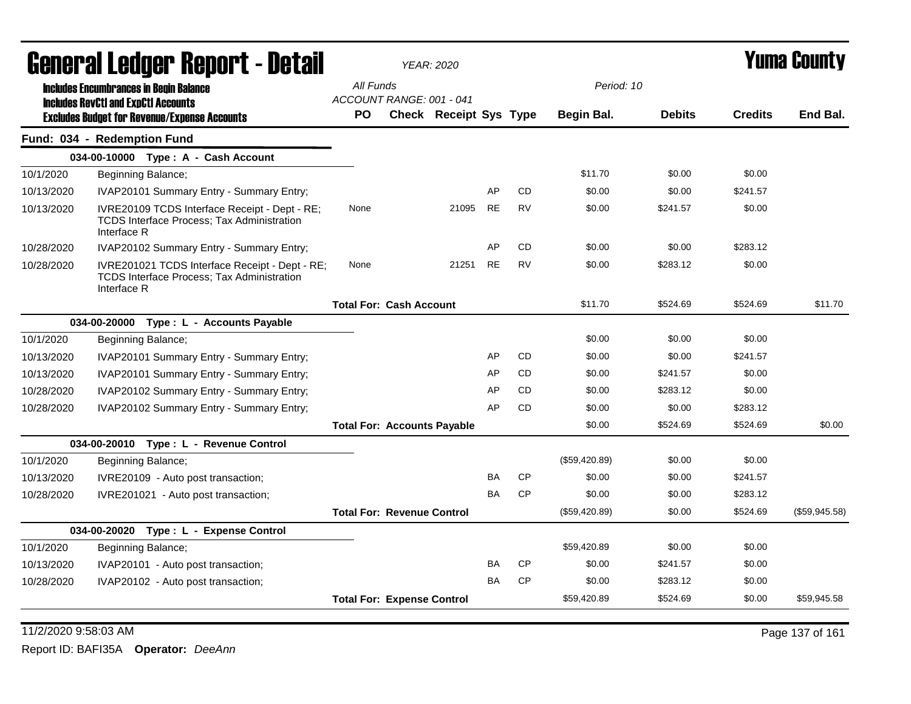| All Funds<br>Period: 10<br><b>Includes Encumbrances in Begin Balance</b><br>ACCOUNT RANGE: 001 - 041<br><b>Includes RevCtI and ExpCtI Accounts</b><br><b>Check Receipt Sys Type</b><br><b>Debits</b><br><b>Credits</b><br><b>PO</b><br>Begin Bal.<br><b>Excludes Budget for Revenue/Expense Accounts</b><br>Fund: 034 - Redemption Fund<br>034-00-10000 Type: A - Cash Account<br>\$0.00<br>10/1/2020<br>\$11.70<br>\$0.00<br>Beginning Balance;<br>AP<br><b>CD</b><br>\$0.00<br>\$0.00<br>\$241.57<br>IVAP20101 Summary Entry - Summary Entry;<br>10/13/2020<br>IVRE20109 TCDS Interface Receipt - Dept - RE;<br>21095<br><b>RE</b><br><b>RV</b><br>\$0.00<br>\$241.57<br>\$0.00<br>10/13/2020<br>None<br><b>TCDS Interface Process: Tax Administration</b><br>Interface R<br>AP<br>CD<br>10/28/2020<br>IVAP20102 Summary Entry - Summary Entry;<br>\$0.00<br>\$0.00<br>\$283.12<br><b>RE</b><br><b>RV</b><br>10/28/2020<br>IVRE201021 TCDS Interface Receipt - Dept - RE;<br>None<br>21251<br>\$0.00<br>\$283.12<br>\$0.00<br>TCDS Interface Process; Tax Administration<br>Interface R<br>\$11.70<br>\$524.69<br>\$524.69<br><b>Total For: Cash Account</b><br>034-00-20000<br>Type: L - Accounts Payable<br>10/1/2020<br>\$0.00<br>\$0.00<br>\$0.00<br>Beginning Balance;<br><b>CD</b><br>AP<br>\$0.00<br>\$0.00<br>\$241.57<br>10/13/2020<br>IVAP20101 Summary Entry - Summary Entry;<br><b>CD</b><br>AP<br>\$0.00<br>\$241.57<br>\$0.00<br>10/13/2020<br>IVAP20101 Summary Entry - Summary Entry;<br>AP<br><b>CD</b><br>\$0.00<br>\$283.12<br>\$0.00<br>10/28/2020<br>IVAP20102 Summary Entry - Summary Entry;<br>IVAP20102 Summary Entry - Summary Entry;<br>AP<br><b>CD</b><br>\$0.00<br>\$0.00<br>\$283.12<br>10/28/2020<br>\$524.69<br>\$524.69<br>\$0.00<br><b>Total For: Accounts Payable</b><br>034-00-20010 Type: L - Revenue Control<br>(\$59,420.89)<br>\$0.00<br>\$0.00<br>10/1/2020<br>Beginning Balance;<br><b>CP</b><br>BA<br>\$0.00<br>\$0.00<br>\$241.57<br>10/13/2020<br>IVRE20109 - Auto post transaction;<br><b>CP</b><br><b>BA</b><br>\$0.00<br>\$0.00<br>\$283.12<br>10/28/2020<br>IVRE201021 - Auto post transaction;<br>\$0.00<br><b>Total For: Revenue Control</b><br>(\$59,420.89)<br>\$524.69<br>034-00-20020<br>Type: L - Expense Control<br>10/1/2020<br>Beginning Balance;<br>\$59,420.89<br>\$0.00<br>\$0.00<br>BA<br><b>CP</b><br>\$0.00<br>\$241.57<br>\$0.00<br>10/13/2020<br>IVAP20101 - Auto post transaction;<br><b>CP</b><br><b>BA</b><br>\$0.00<br>\$283.12<br>\$0.00<br>10/28/2020<br>IVAP20102 - Auto post transaction;<br>\$59,420.89<br>\$524.69<br>\$0.00<br><b>Total For: Expense Control</b> | General Ledger Report - Detail |  | <b>YEAR: 2020</b> |  |  | <b>Yuma County</b> |
|-------------------------------------------------------------------------------------------------------------------------------------------------------------------------------------------------------------------------------------------------------------------------------------------------------------------------------------------------------------------------------------------------------------------------------------------------------------------------------------------------------------------------------------------------------------------------------------------------------------------------------------------------------------------------------------------------------------------------------------------------------------------------------------------------------------------------------------------------------------------------------------------------------------------------------------------------------------------------------------------------------------------------------------------------------------------------------------------------------------------------------------------------------------------------------------------------------------------------------------------------------------------------------------------------------------------------------------------------------------------------------------------------------------------------------------------------------------------------------------------------------------------------------------------------------------------------------------------------------------------------------------------------------------------------------------------------------------------------------------------------------------------------------------------------------------------------------------------------------------------------------------------------------------------------------------------------------------------------------------------------------------------------------------------------------------------------------------------------------------------------------------------------------------------------------------------------------------------------------------------------------------------------------------------------------------------------------------------------------------------------------------------------------------------------------------------------------------------------------------------------------------------------------------------------------------------------------------------------------------------------------------------------|--------------------------------|--|-------------------|--|--|--------------------|
|                                                                                                                                                                                                                                                                                                                                                                                                                                                                                                                                                                                                                                                                                                                                                                                                                                                                                                                                                                                                                                                                                                                                                                                                                                                                                                                                                                                                                                                                                                                                                                                                                                                                                                                                                                                                                                                                                                                                                                                                                                                                                                                                                                                                                                                                                                                                                                                                                                                                                                                                                                                                                                                 |                                |  |                   |  |  |                    |
|                                                                                                                                                                                                                                                                                                                                                                                                                                                                                                                                                                                                                                                                                                                                                                                                                                                                                                                                                                                                                                                                                                                                                                                                                                                                                                                                                                                                                                                                                                                                                                                                                                                                                                                                                                                                                                                                                                                                                                                                                                                                                                                                                                                                                                                                                                                                                                                                                                                                                                                                                                                                                                                 |                                |  |                   |  |  |                    |
|                                                                                                                                                                                                                                                                                                                                                                                                                                                                                                                                                                                                                                                                                                                                                                                                                                                                                                                                                                                                                                                                                                                                                                                                                                                                                                                                                                                                                                                                                                                                                                                                                                                                                                                                                                                                                                                                                                                                                                                                                                                                                                                                                                                                                                                                                                                                                                                                                                                                                                                                                                                                                                                 |                                |  |                   |  |  | End Bal.           |
|                                                                                                                                                                                                                                                                                                                                                                                                                                                                                                                                                                                                                                                                                                                                                                                                                                                                                                                                                                                                                                                                                                                                                                                                                                                                                                                                                                                                                                                                                                                                                                                                                                                                                                                                                                                                                                                                                                                                                                                                                                                                                                                                                                                                                                                                                                                                                                                                                                                                                                                                                                                                                                                 |                                |  |                   |  |  |                    |
|                                                                                                                                                                                                                                                                                                                                                                                                                                                                                                                                                                                                                                                                                                                                                                                                                                                                                                                                                                                                                                                                                                                                                                                                                                                                                                                                                                                                                                                                                                                                                                                                                                                                                                                                                                                                                                                                                                                                                                                                                                                                                                                                                                                                                                                                                                                                                                                                                                                                                                                                                                                                                                                 |                                |  |                   |  |  |                    |
|                                                                                                                                                                                                                                                                                                                                                                                                                                                                                                                                                                                                                                                                                                                                                                                                                                                                                                                                                                                                                                                                                                                                                                                                                                                                                                                                                                                                                                                                                                                                                                                                                                                                                                                                                                                                                                                                                                                                                                                                                                                                                                                                                                                                                                                                                                                                                                                                                                                                                                                                                                                                                                                 |                                |  |                   |  |  |                    |
|                                                                                                                                                                                                                                                                                                                                                                                                                                                                                                                                                                                                                                                                                                                                                                                                                                                                                                                                                                                                                                                                                                                                                                                                                                                                                                                                                                                                                                                                                                                                                                                                                                                                                                                                                                                                                                                                                                                                                                                                                                                                                                                                                                                                                                                                                                                                                                                                                                                                                                                                                                                                                                                 |                                |  |                   |  |  |                    |
|                                                                                                                                                                                                                                                                                                                                                                                                                                                                                                                                                                                                                                                                                                                                                                                                                                                                                                                                                                                                                                                                                                                                                                                                                                                                                                                                                                                                                                                                                                                                                                                                                                                                                                                                                                                                                                                                                                                                                                                                                                                                                                                                                                                                                                                                                                                                                                                                                                                                                                                                                                                                                                                 |                                |  |                   |  |  |                    |
|                                                                                                                                                                                                                                                                                                                                                                                                                                                                                                                                                                                                                                                                                                                                                                                                                                                                                                                                                                                                                                                                                                                                                                                                                                                                                                                                                                                                                                                                                                                                                                                                                                                                                                                                                                                                                                                                                                                                                                                                                                                                                                                                                                                                                                                                                                                                                                                                                                                                                                                                                                                                                                                 |                                |  |                   |  |  |                    |
|                                                                                                                                                                                                                                                                                                                                                                                                                                                                                                                                                                                                                                                                                                                                                                                                                                                                                                                                                                                                                                                                                                                                                                                                                                                                                                                                                                                                                                                                                                                                                                                                                                                                                                                                                                                                                                                                                                                                                                                                                                                                                                                                                                                                                                                                                                                                                                                                                                                                                                                                                                                                                                                 |                                |  |                   |  |  |                    |
|                                                                                                                                                                                                                                                                                                                                                                                                                                                                                                                                                                                                                                                                                                                                                                                                                                                                                                                                                                                                                                                                                                                                                                                                                                                                                                                                                                                                                                                                                                                                                                                                                                                                                                                                                                                                                                                                                                                                                                                                                                                                                                                                                                                                                                                                                                                                                                                                                                                                                                                                                                                                                                                 |                                |  |                   |  |  | \$11.70            |
|                                                                                                                                                                                                                                                                                                                                                                                                                                                                                                                                                                                                                                                                                                                                                                                                                                                                                                                                                                                                                                                                                                                                                                                                                                                                                                                                                                                                                                                                                                                                                                                                                                                                                                                                                                                                                                                                                                                                                                                                                                                                                                                                                                                                                                                                                                                                                                                                                                                                                                                                                                                                                                                 |                                |  |                   |  |  |                    |
|                                                                                                                                                                                                                                                                                                                                                                                                                                                                                                                                                                                                                                                                                                                                                                                                                                                                                                                                                                                                                                                                                                                                                                                                                                                                                                                                                                                                                                                                                                                                                                                                                                                                                                                                                                                                                                                                                                                                                                                                                                                                                                                                                                                                                                                                                                                                                                                                                                                                                                                                                                                                                                                 |                                |  |                   |  |  |                    |
|                                                                                                                                                                                                                                                                                                                                                                                                                                                                                                                                                                                                                                                                                                                                                                                                                                                                                                                                                                                                                                                                                                                                                                                                                                                                                                                                                                                                                                                                                                                                                                                                                                                                                                                                                                                                                                                                                                                                                                                                                                                                                                                                                                                                                                                                                                                                                                                                                                                                                                                                                                                                                                                 |                                |  |                   |  |  |                    |
|                                                                                                                                                                                                                                                                                                                                                                                                                                                                                                                                                                                                                                                                                                                                                                                                                                                                                                                                                                                                                                                                                                                                                                                                                                                                                                                                                                                                                                                                                                                                                                                                                                                                                                                                                                                                                                                                                                                                                                                                                                                                                                                                                                                                                                                                                                                                                                                                                                                                                                                                                                                                                                                 |                                |  |                   |  |  |                    |
|                                                                                                                                                                                                                                                                                                                                                                                                                                                                                                                                                                                                                                                                                                                                                                                                                                                                                                                                                                                                                                                                                                                                                                                                                                                                                                                                                                                                                                                                                                                                                                                                                                                                                                                                                                                                                                                                                                                                                                                                                                                                                                                                                                                                                                                                                                                                                                                                                                                                                                                                                                                                                                                 |                                |  |                   |  |  |                    |
|                                                                                                                                                                                                                                                                                                                                                                                                                                                                                                                                                                                                                                                                                                                                                                                                                                                                                                                                                                                                                                                                                                                                                                                                                                                                                                                                                                                                                                                                                                                                                                                                                                                                                                                                                                                                                                                                                                                                                                                                                                                                                                                                                                                                                                                                                                                                                                                                                                                                                                                                                                                                                                                 |                                |  |                   |  |  |                    |
|                                                                                                                                                                                                                                                                                                                                                                                                                                                                                                                                                                                                                                                                                                                                                                                                                                                                                                                                                                                                                                                                                                                                                                                                                                                                                                                                                                                                                                                                                                                                                                                                                                                                                                                                                                                                                                                                                                                                                                                                                                                                                                                                                                                                                                                                                                                                                                                                                                                                                                                                                                                                                                                 |                                |  |                   |  |  | \$0.00             |
|                                                                                                                                                                                                                                                                                                                                                                                                                                                                                                                                                                                                                                                                                                                                                                                                                                                                                                                                                                                                                                                                                                                                                                                                                                                                                                                                                                                                                                                                                                                                                                                                                                                                                                                                                                                                                                                                                                                                                                                                                                                                                                                                                                                                                                                                                                                                                                                                                                                                                                                                                                                                                                                 |                                |  |                   |  |  |                    |
|                                                                                                                                                                                                                                                                                                                                                                                                                                                                                                                                                                                                                                                                                                                                                                                                                                                                                                                                                                                                                                                                                                                                                                                                                                                                                                                                                                                                                                                                                                                                                                                                                                                                                                                                                                                                                                                                                                                                                                                                                                                                                                                                                                                                                                                                                                                                                                                                                                                                                                                                                                                                                                                 |                                |  |                   |  |  |                    |
|                                                                                                                                                                                                                                                                                                                                                                                                                                                                                                                                                                                                                                                                                                                                                                                                                                                                                                                                                                                                                                                                                                                                                                                                                                                                                                                                                                                                                                                                                                                                                                                                                                                                                                                                                                                                                                                                                                                                                                                                                                                                                                                                                                                                                                                                                                                                                                                                                                                                                                                                                                                                                                                 |                                |  |                   |  |  |                    |
|                                                                                                                                                                                                                                                                                                                                                                                                                                                                                                                                                                                                                                                                                                                                                                                                                                                                                                                                                                                                                                                                                                                                                                                                                                                                                                                                                                                                                                                                                                                                                                                                                                                                                                                                                                                                                                                                                                                                                                                                                                                                                                                                                                                                                                                                                                                                                                                                                                                                                                                                                                                                                                                 |                                |  |                   |  |  |                    |
|                                                                                                                                                                                                                                                                                                                                                                                                                                                                                                                                                                                                                                                                                                                                                                                                                                                                                                                                                                                                                                                                                                                                                                                                                                                                                                                                                                                                                                                                                                                                                                                                                                                                                                                                                                                                                                                                                                                                                                                                                                                                                                                                                                                                                                                                                                                                                                                                                                                                                                                                                                                                                                                 |                                |  |                   |  |  | (\$59,945.58)      |
|                                                                                                                                                                                                                                                                                                                                                                                                                                                                                                                                                                                                                                                                                                                                                                                                                                                                                                                                                                                                                                                                                                                                                                                                                                                                                                                                                                                                                                                                                                                                                                                                                                                                                                                                                                                                                                                                                                                                                                                                                                                                                                                                                                                                                                                                                                                                                                                                                                                                                                                                                                                                                                                 |                                |  |                   |  |  |                    |
|                                                                                                                                                                                                                                                                                                                                                                                                                                                                                                                                                                                                                                                                                                                                                                                                                                                                                                                                                                                                                                                                                                                                                                                                                                                                                                                                                                                                                                                                                                                                                                                                                                                                                                                                                                                                                                                                                                                                                                                                                                                                                                                                                                                                                                                                                                                                                                                                                                                                                                                                                                                                                                                 |                                |  |                   |  |  |                    |
|                                                                                                                                                                                                                                                                                                                                                                                                                                                                                                                                                                                                                                                                                                                                                                                                                                                                                                                                                                                                                                                                                                                                                                                                                                                                                                                                                                                                                                                                                                                                                                                                                                                                                                                                                                                                                                                                                                                                                                                                                                                                                                                                                                                                                                                                                                                                                                                                                                                                                                                                                                                                                                                 |                                |  |                   |  |  |                    |
|                                                                                                                                                                                                                                                                                                                                                                                                                                                                                                                                                                                                                                                                                                                                                                                                                                                                                                                                                                                                                                                                                                                                                                                                                                                                                                                                                                                                                                                                                                                                                                                                                                                                                                                                                                                                                                                                                                                                                                                                                                                                                                                                                                                                                                                                                                                                                                                                                                                                                                                                                                                                                                                 |                                |  |                   |  |  |                    |
|                                                                                                                                                                                                                                                                                                                                                                                                                                                                                                                                                                                                                                                                                                                                                                                                                                                                                                                                                                                                                                                                                                                                                                                                                                                                                                                                                                                                                                                                                                                                                                                                                                                                                                                                                                                                                                                                                                                                                                                                                                                                                                                                                                                                                                                                                                                                                                                                                                                                                                                                                                                                                                                 |                                |  |                   |  |  | \$59,945.58        |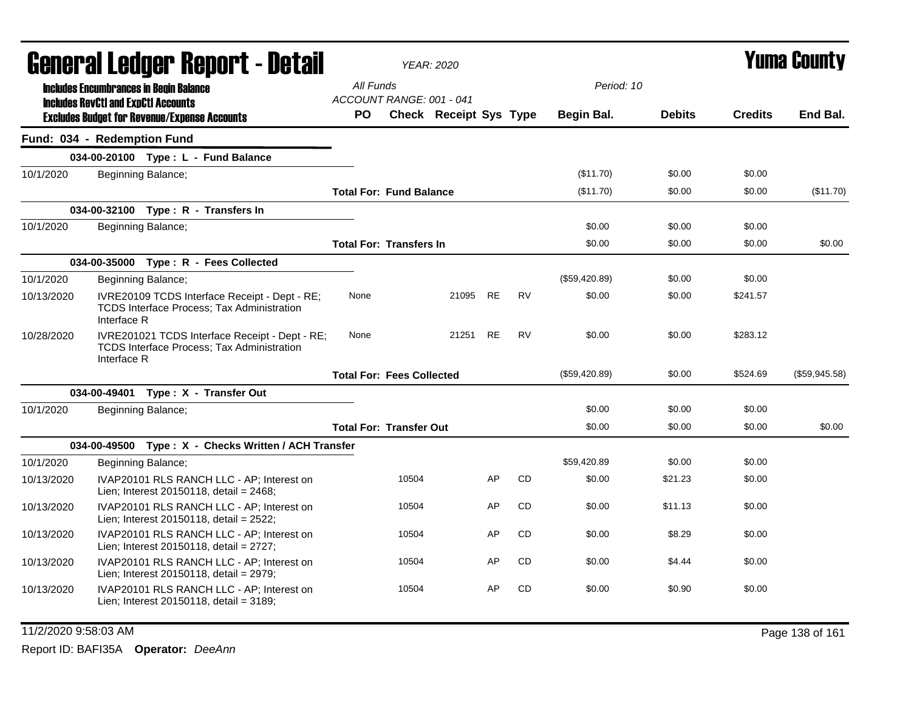| <b>General Ledger Report - Detail</b> |                                            |                                                                                                    |                                       |       | <b>YEAR: 2020</b>             |    |           |               | <b>Yuma County</b> |                |                 |  |
|---------------------------------------|--------------------------------------------|----------------------------------------------------------------------------------------------------|---------------------------------------|-------|-------------------------------|----|-----------|---------------|--------------------|----------------|-----------------|--|
|                                       |                                            | <b>Includes Encumbrances in Begin Balance</b>                                                      | All Funds                             |       |                               |    |           | Period: 10    |                    |                |                 |  |
|                                       | <b>Includes RevCtI and ExpCtI Accounts</b> | <b>Excludes Budget for Revenue/Expense Accounts</b>                                                | ACCOUNT RANGE: 001 - 041<br><b>PO</b> |       | <b>Check Receipt Sys Type</b> |    |           | Begin Bal.    | <b>Debits</b>      | <b>Credits</b> | End Bal.        |  |
|                                       | Fund: 034 - Redemption Fund                |                                                                                                    |                                       |       |                               |    |           |               |                    |                |                 |  |
|                                       |                                            | 034-00-20100 Type: L - Fund Balance                                                                |                                       |       |                               |    |           |               |                    |                |                 |  |
| 10/1/2020                             |                                            | Beginning Balance;                                                                                 |                                       |       |                               |    |           | (\$11.70)     | \$0.00             | \$0.00         |                 |  |
|                                       |                                            |                                                                                                    | <b>Total For: Fund Balance</b>        |       |                               |    |           | (\$11.70)     | \$0.00             | \$0.00         | (\$11.70)       |  |
|                                       |                                            | 034-00-32100 Type: R - Transfers In                                                                |                                       |       |                               |    |           |               |                    |                |                 |  |
| 10/1/2020                             |                                            | Beginning Balance;                                                                                 |                                       |       |                               |    |           | \$0.00        | \$0.00             | \$0.00         |                 |  |
|                                       |                                            |                                                                                                    | <b>Total For: Transfers In</b>        |       |                               |    |           | \$0.00        | \$0.00             | \$0.00         | \$0.00          |  |
|                                       |                                            | 034-00-35000 Type: R - Fees Collected                                                              |                                       |       |                               |    |           |               |                    |                |                 |  |
| 10/1/2020                             |                                            | Beginning Balance;                                                                                 |                                       |       |                               |    |           | (\$59,420.89) | \$0.00             | \$0.00         |                 |  |
| 10/13/2020                            | Interface R                                | IVRE20109 TCDS Interface Receipt - Dept - RE;<br><b>TCDS Interface Process: Tax Administration</b> | None                                  |       | 21095 RE                      |    | <b>RV</b> | \$0.00        | \$0.00             | \$241.57       |                 |  |
| 10/28/2020                            | Interface R                                | IVRE201021 TCDS Interface Receipt - Dept - RE;<br>TCDS Interface Process; Tax Administration       | None                                  |       | 21251 RE                      |    | <b>RV</b> | \$0.00        | \$0.00             | \$283.12       |                 |  |
|                                       |                                            |                                                                                                    | <b>Total For: Fees Collected</b>      |       |                               |    |           | (\$59,420.89) | \$0.00             | \$524.69       | (\$59,945.58)   |  |
|                                       |                                            | 034-00-49401 Type: X - Transfer Out                                                                |                                       |       |                               |    |           |               |                    |                |                 |  |
| 10/1/2020                             |                                            | Beginning Balance;                                                                                 |                                       |       |                               |    |           | \$0.00        | \$0.00             | \$0.00         |                 |  |
|                                       |                                            |                                                                                                    | <b>Total For: Transfer Out</b>        |       |                               |    |           | \$0.00        | \$0.00             | \$0.00         | \$0.00          |  |
|                                       |                                            | 034-00-49500 Type: X - Checks Written / ACH Transfer                                               |                                       |       |                               |    |           |               |                    |                |                 |  |
| 10/1/2020                             |                                            | Beginning Balance;                                                                                 |                                       |       |                               |    |           | \$59,420.89   | \$0.00             | \$0.00         |                 |  |
| 10/13/2020                            |                                            | IVAP20101 RLS RANCH LLC - AP: Interest on<br>Lien; Interest 20150118, detail = $2468$ ;            |                                       | 10504 |                               | AP | CD        | \$0.00        | \$21.23            | \$0.00         |                 |  |
| 10/13/2020                            |                                            | IVAP20101 RLS RANCH LLC - AP; Interest on<br>Lien; Interest 20150118, detail = $2522$ ;            |                                       | 10504 |                               | AP | <b>CD</b> | \$0.00        | \$11.13            | \$0.00         |                 |  |
| 10/13/2020                            |                                            | IVAP20101 RLS RANCH LLC - AP; Interest on<br>Lien; Interest 20150118, detail = $2727$ ;            |                                       | 10504 |                               | AP | <b>CD</b> | \$0.00        | \$8.29             | \$0.00         |                 |  |
| 10/13/2020                            |                                            | IVAP20101 RLS RANCH LLC - AP; Interest on<br>Lien; Interest 20150118, detail = 2979;               |                                       | 10504 |                               | AP | CD        | \$0.00        | \$4.44             | \$0.00         |                 |  |
| 10/13/2020                            |                                            | IVAP20101 RLS RANCH LLC - AP; Interest on<br>Lien; Interest 20150118, detail = $3189$ ;            |                                       | 10504 |                               | AP | <b>CD</b> | \$0.00        | \$0.90             | \$0.00         |                 |  |
|                                       | 11/2/2020 9:58:03 AM                       |                                                                                                    |                                       |       |                               |    |           |               |                    |                | Page 138 of 161 |  |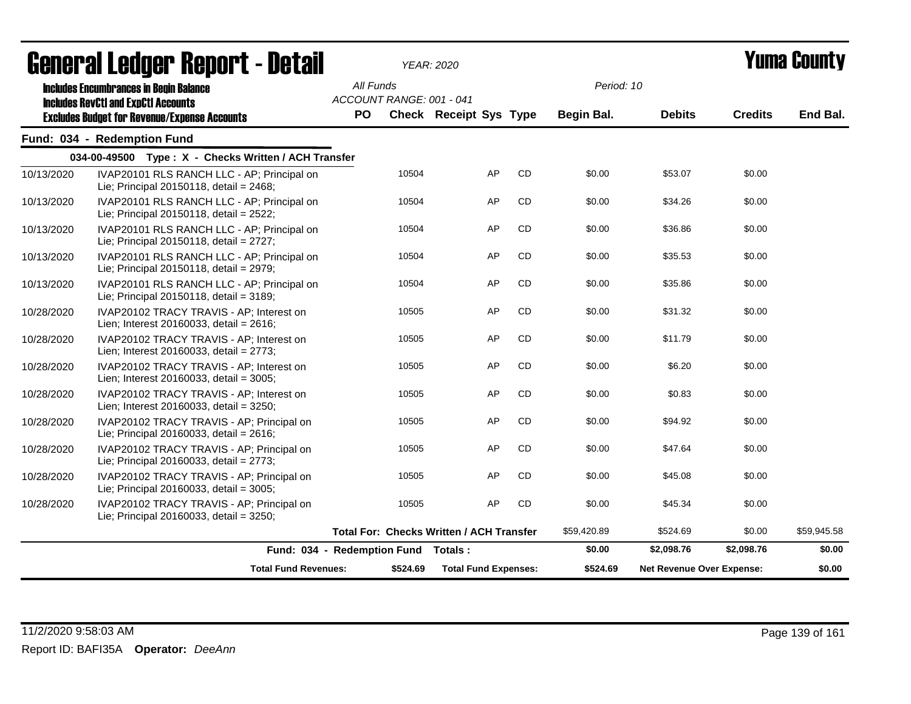|            | agligi qi fanagi. Ughni f - nefqil                                                          |                  |                          | YEAR: 2020                                      |    |             |                                  |                | I UIIIU VUUIILY |
|------------|---------------------------------------------------------------------------------------------|------------------|--------------------------|-------------------------------------------------|----|-------------|----------------------------------|----------------|-----------------|
|            | <b>Includes Encumbrances in Begin Balance</b><br><b>Includes RevCtI and ExpCtI Accounts</b> | All Funds<br>PO. | ACCOUNT RANGE: 001 - 041 | <b>Check Receipt Sys Type</b>                   |    | Period: 10  |                                  | <b>Credits</b> | End Bal.        |
|            | <b>Excludes Budget for Revenue/Expense Accounts</b>                                         |                  |                          |                                                 |    | Begin Bal.  | <b>Debits</b>                    |                |                 |
|            | Fund: 034 - Redemption Fund                                                                 |                  |                          |                                                 |    |             |                                  |                |                 |
|            | 034-00-49500 Type: X - Checks Written / ACH Transfer                                        |                  |                          |                                                 |    |             |                                  |                |                 |
| 10/13/2020 | IVAP20101 RLS RANCH LLC - AP; Principal on<br>Lie; Principal 20150118, detail = 2468;       |                  | 10504                    | AP                                              | CD | \$0.00      | \$53.07                          | \$0.00         |                 |
| 10/13/2020 | IVAP20101 RLS RANCH LLC - AP; Principal on<br>Lie; Principal 20150118, detail = 2522;       |                  | 10504                    | AP                                              | CD | \$0.00      | \$34.26                          | \$0.00         |                 |
| 10/13/2020 | IVAP20101 RLS RANCH LLC - AP; Principal on<br>Lie; Principal 20150118, detail = 2727;       |                  | 10504                    | AP                                              | CD | \$0.00      | \$36.86                          | \$0.00         |                 |
| 10/13/2020 | IVAP20101 RLS RANCH LLC - AP; Principal on<br>Lie; Principal 20150118, detail = 2979;       |                  | 10504                    | AP                                              | CD | \$0.00      | \$35.53                          | \$0.00         |                 |
| 10/13/2020 | IVAP20101 RLS RANCH LLC - AP; Principal on<br>Lie; Principal 20150118, detail = $3189$ ;    |                  | 10504                    | AP                                              | CD | \$0.00      | \$35.86                          | \$0.00         |                 |
| 10/28/2020 | IVAP20102 TRACY TRAVIS - AP; Interest on<br>Lien; Interest 20160033, detail = 2616;         |                  | 10505                    | AP                                              | CD | \$0.00      | \$31.32                          | \$0.00         |                 |
| 10/28/2020 | IVAP20102 TRACY TRAVIS - AP; Interest on<br>Lien; Interest 20160033, detail = 2773;         |                  | 10505                    | AP                                              | CD | \$0.00      | \$11.79                          | \$0.00         |                 |
| 10/28/2020 | IVAP20102 TRACY TRAVIS - AP; Interest on<br>Lien; Interest 20160033, detail = 3005;         |                  | 10505                    | AP                                              | CD | \$0.00      | \$6.20                           | \$0.00         |                 |
| 10/28/2020 | IVAP20102 TRACY TRAVIS - AP; Interest on<br>Lien; Interest 20160033, detail = 3250;         |                  | 10505                    | AP                                              | CD | \$0.00      | \$0.83                           | \$0.00         |                 |
| 10/28/2020 | IVAP20102 TRACY TRAVIS - AP; Principal on<br>Lie; Principal 20160033, detail = 2616;        |                  | 10505                    | AP                                              | CD | \$0.00      | \$94.92                          | \$0.00         |                 |
| 10/28/2020 | IVAP20102 TRACY TRAVIS - AP; Principal on<br>Lie; Principal 20160033, detail = $2773$ ;     |                  | 10505                    | AP                                              | CD | \$0.00      | \$47.64                          | \$0.00         |                 |
| 10/28/2020 | IVAP20102 TRACY TRAVIS - AP; Principal on<br>Lie; Principal 20160033, detail = 3005;        |                  | 10505                    | AP                                              | CD | \$0.00      | \$45.08                          | \$0.00         |                 |
| 10/28/2020 | IVAP20102 TRACY TRAVIS - AP; Principal on<br>Lie; Principal 20160033, detail = 3250;        |                  | 10505                    | AP                                              | CD | \$0.00      | \$45.34                          | \$0.00         |                 |
|            |                                                                                             |                  |                          | <b>Total For: Checks Written / ACH Transfer</b> |    | \$59,420.89 | \$524.69                         | \$0.00         | \$59,945.58     |
|            | Fund: 034 - Redemption Fund Totals:                                                         |                  |                          |                                                 |    | \$0.00      | \$2,098.76                       | \$2,098.76     | \$0.00          |
|            | <b>Total Fund Revenues:</b>                                                                 |                  | \$524.69                 | <b>Total Fund Expenses:</b>                     |    | \$524.69    | <b>Net Revenue Over Expense:</b> |                | \$0.00          |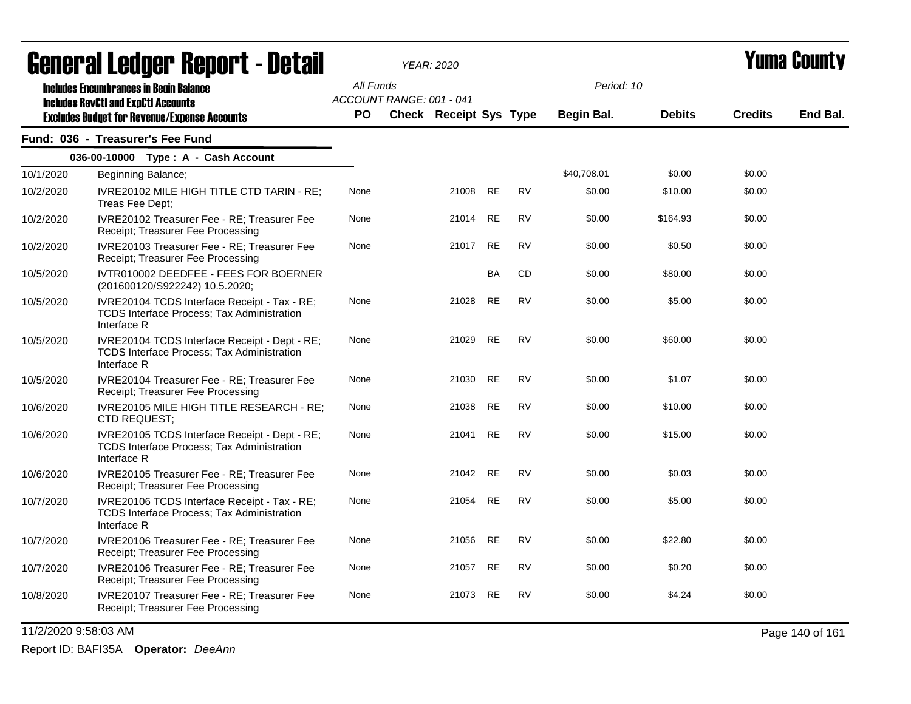| <b>General Ledger Report - Detail</b> |                                                                                                                   |           |                          | <b>YEAR: 2020</b>      |           |           | Yuma County |               |                |          |  |
|---------------------------------------|-------------------------------------------------------------------------------------------------------------------|-----------|--------------------------|------------------------|-----------|-----------|-------------|---------------|----------------|----------|--|
|                                       | <b>Includes Encumbrances in Begin Balance</b>                                                                     | All Funds |                          |                        |           |           | Period: 10  |               |                |          |  |
|                                       | <b>Includes RevCtI and ExpCtI Accounts</b>                                                                        | <b>PO</b> | ACCOUNT RANGE: 001 - 041 | Check Receipt Sys Type |           |           | Begin Bal.  | <b>Debits</b> | <b>Credits</b> | End Bal. |  |
|                                       | <b>Excludes Budget for Revenue/Expense Accounts</b><br>Fund: 036 - Treasurer's Fee Fund                           |           |                          |                        |           |           |             |               |                |          |  |
|                                       | 036-00-10000 Type: A - Cash Account                                                                               |           |                          |                        |           |           |             |               |                |          |  |
| 10/1/2020                             | Beginning Balance;                                                                                                |           |                          |                        |           |           | \$40,708.01 | \$0.00        | \$0.00         |          |  |
| 10/2/2020                             | IVRE20102 MILE HIGH TITLE CTD TARIN - RE:<br>Treas Fee Dept;                                                      | None      |                          | 21008                  | <b>RE</b> | <b>RV</b> | \$0.00      | \$10.00       | \$0.00         |          |  |
| 10/2/2020                             | IVRE20102 Treasurer Fee - RE; Treasurer Fee<br>Receipt; Treasurer Fee Processing                                  | None      |                          | 21014                  | RE        | <b>RV</b> | \$0.00      | \$164.93      | \$0.00         |          |  |
| 10/2/2020                             | IVRE20103 Treasurer Fee - RE: Treasurer Fee<br>Receipt; Treasurer Fee Processing                                  | None      |                          | 21017                  | <b>RE</b> | <b>RV</b> | \$0.00      | \$0.50        | \$0.00         |          |  |
| 10/5/2020                             | IVTR010002 DEEDFEE - FEES FOR BOERNER<br>(201600120/S922242) 10.5.2020;                                           |           |                          |                        | <b>BA</b> | <b>CD</b> | \$0.00      | \$80.00       | \$0.00         |          |  |
| 10/5/2020                             | IVRE20104 TCDS Interface Receipt - Tax - RE;<br><b>TCDS Interface Process: Tax Administration</b><br>Interface R  | None      |                          | 21028                  | <b>RE</b> | <b>RV</b> | \$0.00      | \$5.00        | \$0.00         |          |  |
| 10/5/2020                             | IVRE20104 TCDS Interface Receipt - Dept - RE;<br><b>TCDS Interface Process: Tax Administration</b><br>Interface R | None      |                          | 21029                  | <b>RE</b> | <b>RV</b> | \$0.00      | \$60.00       | \$0.00         |          |  |
| 10/5/2020                             | IVRE20104 Treasurer Fee - RE; Treasurer Fee<br>Receipt; Treasurer Fee Processing                                  | None      |                          | 21030                  | RE        | RV        | \$0.00      | \$1.07        | \$0.00         |          |  |
| 10/6/2020                             | IVRE20105 MILE HIGH TITLE RESEARCH - RE;<br>CTD REQUEST:                                                          | None      |                          | 21038                  | <b>RE</b> | <b>RV</b> | \$0.00      | \$10.00       | \$0.00         |          |  |
| 10/6/2020                             | IVRE20105 TCDS Interface Receipt - Dept - RE;<br>TCDS Interface Process; Tax Administration<br>Interface R        | None      |                          | 21041                  | <b>RE</b> | <b>RV</b> | \$0.00      | \$15.00       | \$0.00         |          |  |
| 10/6/2020                             | IVRE20105 Treasurer Fee - RE; Treasurer Fee<br>Receipt; Treasurer Fee Processing                                  | None      |                          | 21042                  | RE        | <b>RV</b> | \$0.00      | \$0.03        | \$0.00         |          |  |
| 10/7/2020                             | IVRE20106 TCDS Interface Receipt - Tax - RE;<br><b>TCDS Interface Process; Tax Administration</b><br>Interface R  | None      |                          | 21054                  | RE        | <b>RV</b> | \$0.00      | \$5.00        | \$0.00         |          |  |
| 10/7/2020                             | IVRE20106 Treasurer Fee - RE; Treasurer Fee<br>Receipt; Treasurer Fee Processing                                  | None      |                          | 21056                  | <b>RE</b> | <b>RV</b> | \$0.00      | \$22.80       | \$0.00         |          |  |
| 10/7/2020                             | IVRE20106 Treasurer Fee - RE; Treasurer Fee<br>Receipt; Treasurer Fee Processing                                  | None      |                          | 21057                  | RE        | RV        | \$0.00      | \$0.20        | \$0.00         |          |  |
| 10/8/2020                             | IVRE20107 Treasurer Fee - RE; Treasurer Fee<br>Receipt; Treasurer Fee Processing                                  | None      |                          | 21073                  | <b>RE</b> | <b>RV</b> | \$0.00      | \$4.24        | \$0.00         |          |  |

11/2/2020 9:58:03 AM Page 140 of 161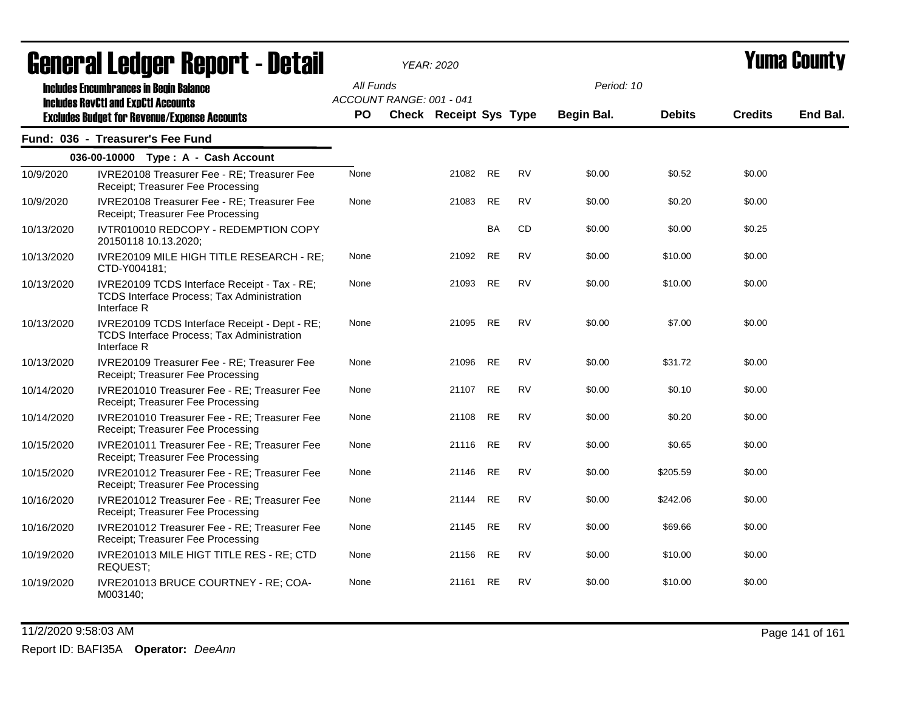|            | <u>ugligi ai lguygi ligpul lahagtari</u>                                                                   |                                       | I CAR. 2020            |           |           |            |               |                | I UIIIU VVUIILY |
|------------|------------------------------------------------------------------------------------------------------------|---------------------------------------|------------------------|-----------|-----------|------------|---------------|----------------|-----------------|
|            | <b>Includes Encumbrances in Begin Balance</b><br><b>Includes RevCtI and ExpCtI Accounts</b>                | All Funds<br>ACCOUNT RANGE: 001 - 041 |                        |           |           | Period: 10 |               |                |                 |
|            | <b>Excludes Budget for Revenue/Expense Accounts</b>                                                        | <b>PO</b>                             | Check Receipt Sys Type |           |           | Begin Bal. | <b>Debits</b> | <b>Credits</b> | End Bal.        |
|            | Fund: 036 - Treasurer's Fee Fund                                                                           |                                       |                        |           |           |            |               |                |                 |
|            | 036-00-10000 Type: A - Cash Account                                                                        |                                       |                        |           |           |            |               |                |                 |
| 10/9/2020  | IVRE20108 Treasurer Fee - RE; Treasurer Fee<br>Receipt; Treasurer Fee Processing                           | None                                  | 21082 RE               |           | <b>RV</b> | \$0.00     | \$0.52        | \$0.00         |                 |
| 10/9/2020  | IVRE20108 Treasurer Fee - RE; Treasurer Fee<br>Receipt; Treasurer Fee Processing                           | None                                  | 21083                  | RE        | <b>RV</b> | \$0.00     | \$0.20        | \$0.00         |                 |
| 10/13/2020 | IVTR010010 REDCOPY - REDEMPTION COPY<br>20150118 10.13.2020;                                               |                                       |                        | BA        | CD        | \$0.00     | \$0.00        | \$0.25         |                 |
| 10/13/2020 | IVRE20109 MILE HIGH TITLE RESEARCH - RE;<br>CTD-Y004181;                                                   | None                                  | 21092                  | <b>RE</b> | <b>RV</b> | \$0.00     | \$10.00       | \$0.00         |                 |
| 10/13/2020 | IVRE20109 TCDS Interface Receipt - Tax - RE;<br>TCDS Interface Process; Tax Administration<br>Interface R  | None                                  | 21093 RE               |           | <b>RV</b> | \$0.00     | \$10.00       | \$0.00         |                 |
| 10/13/2020 | IVRE20109 TCDS Interface Receipt - Dept - RE;<br>TCDS Interface Process; Tax Administration<br>Interface R | None                                  | 21095                  | RE.       | <b>RV</b> | \$0.00     | \$7.00        | \$0.00         |                 |
| 10/13/2020 | IVRE20109 Treasurer Fee - RE; Treasurer Fee<br>Receipt; Treasurer Fee Processing                           | None                                  | 21096 RE               |           | <b>RV</b> | \$0.00     | \$31.72       | \$0.00         |                 |
| 10/14/2020 | IVRE201010 Treasurer Fee - RE; Treasurer Fee<br>Receipt; Treasurer Fee Processing                          | None                                  | 21107 RE               |           | <b>RV</b> | \$0.00     | \$0.10        | \$0.00         |                 |
| 10/14/2020 | IVRE201010 Treasurer Fee - RE; Treasurer Fee<br>Receipt; Treasurer Fee Processing                          | None                                  | 21108                  | <b>RE</b> | <b>RV</b> | \$0.00     | \$0.20        | \$0.00         |                 |
| 10/15/2020 | IVRE201011 Treasurer Fee - RE; Treasurer Fee<br>Receipt; Treasurer Fee Processing                          | None                                  | 21116                  | RE.       | <b>RV</b> | \$0.00     | \$0.65        | \$0.00         |                 |
| 10/15/2020 | IVRE201012 Treasurer Fee - RE; Treasurer Fee<br>Receipt; Treasurer Fee Processing                          | None                                  | 21146                  | RE        | <b>RV</b> | \$0.00     | \$205.59      | \$0.00         |                 |
| 10/16/2020 | IVRE201012 Treasurer Fee - RE; Treasurer Fee<br>Receipt; Treasurer Fee Processing                          | None                                  | 21144                  | RE        | <b>RV</b> | \$0.00     | \$242.06      | \$0.00         |                 |
| 10/16/2020 | IVRE201012 Treasurer Fee - RE; Treasurer Fee<br>Receipt; Treasurer Fee Processing                          | None                                  | 21145 RE               |           | <b>RV</b> | \$0.00     | \$69.66       | \$0.00         |                 |
| 10/19/2020 | IVRE201013 MILE HIGT TITLE RES - RE; CTD<br>REQUEST;                                                       | None                                  | 21156                  | RE        | <b>RV</b> | \$0.00     | \$10.00       | \$0.00         |                 |
| 10/19/2020 | IVRE201013 BRUCE COURTNEY - RE; COA-<br>M003140;                                                           | None                                  | 21161                  | RE        | <b>RV</b> | \$0.00     | \$10.00       | \$0.00         |                 |

11/2/2020 9:58:03 AM Page 141 of 161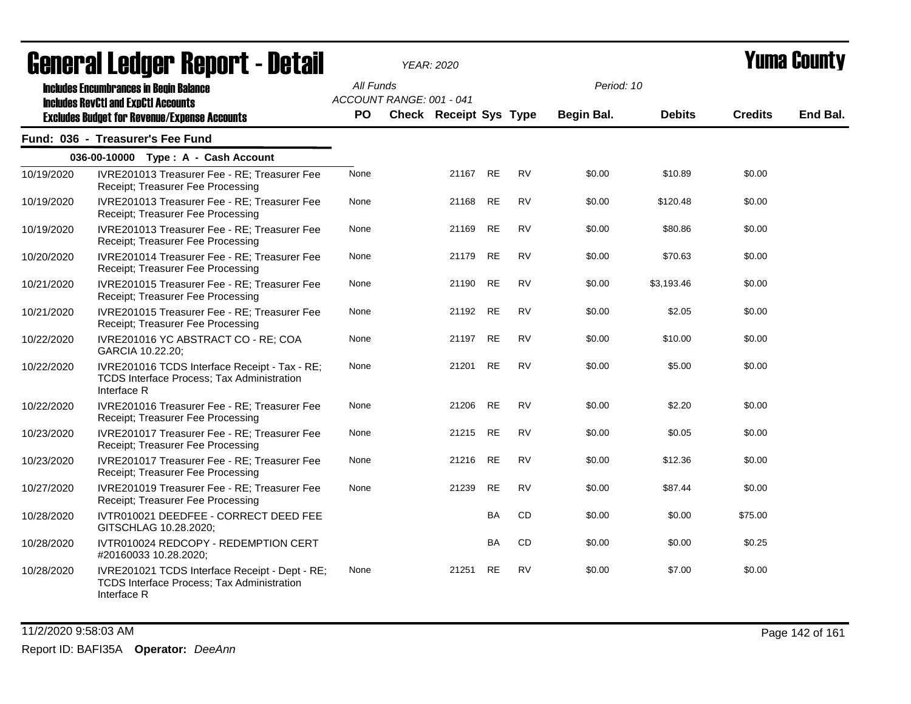|            | UGIIGI AI LGUYGI  IlGµUI L <sup>-</sup> DGLAII                                                                     |           | ILAN. ZUZU               |           |           |            |               |                | umu vvunty |
|------------|--------------------------------------------------------------------------------------------------------------------|-----------|--------------------------|-----------|-----------|------------|---------------|----------------|------------|
|            | <b>Includes Encumbrances in Begin Balance</b><br><b>Includes RevCtI and ExpCtI Accounts</b>                        | All Funds | ACCOUNT RANGE: 001 - 041 |           |           | Period: 10 |               |                |            |
|            | <b>Excludes Budget for Revenue/Expense Accounts</b>                                                                | <b>PO</b> | Check Receipt Sys Type   |           |           | Begin Bal. | <b>Debits</b> | <b>Credits</b> | End Bal.   |
|            | Fund: 036 - Treasurer's Fee Fund                                                                                   |           |                          |           |           |            |               |                |            |
|            | 036-00-10000 Type: A - Cash Account                                                                                |           |                          |           |           |            |               |                |            |
| 10/19/2020 | IVRE201013 Treasurer Fee - RE; Treasurer Fee<br>Receipt; Treasurer Fee Processing                                  | None      | 21167 RE                 |           | <b>RV</b> | \$0.00     | \$10.89       | \$0.00         |            |
| 10/19/2020 | IVRE201013 Treasurer Fee - RE; Treasurer Fee<br>Receipt; Treasurer Fee Processing                                  | None      | 21168                    | RE        | <b>RV</b> | \$0.00     | \$120.48      | \$0.00         |            |
| 10/19/2020 | IVRE201013 Treasurer Fee - RE; Treasurer Fee<br>Receipt; Treasurer Fee Processing                                  | None      | 21169                    | RE.       | <b>RV</b> | \$0.00     | \$80.86       | \$0.00         |            |
| 10/20/2020 | IVRE201014 Treasurer Fee - RE; Treasurer Fee<br>Receipt; Treasurer Fee Processing                                  | None      | 21179                    | <b>RE</b> | <b>RV</b> | \$0.00     | \$70.63       | \$0.00         |            |
| 10/21/2020 | IVRE201015 Treasurer Fee - RE; Treasurer Fee<br>Receipt; Treasurer Fee Processing                                  | None      | 21190 RE                 |           | <b>RV</b> | \$0.00     | \$3,193.46    | \$0.00         |            |
| 10/21/2020 | IVRE201015 Treasurer Fee - RE; Treasurer Fee<br>Receipt; Treasurer Fee Processing                                  | None      | 21192 RE                 |           | <b>RV</b> | \$0.00     | \$2.05        | \$0.00         |            |
| 10/22/2020 | IVRE201016 YC ABSTRACT CO - RE; COA<br>GARCIA 10.22.20;                                                            | None      | 21197 RE                 |           | <b>RV</b> | \$0.00     | \$10.00       | \$0.00         |            |
| 10/22/2020 | IVRE201016 TCDS Interface Receipt - Tax - RE;<br>TCDS Interface Process; Tax Administration<br>Interface R         | None      | 21201                    | RE        | <b>RV</b> | \$0.00     | \$5.00        | \$0.00         |            |
| 10/22/2020 | IVRE201016 Treasurer Fee - RE; Treasurer Fee<br>Receipt; Treasurer Fee Processing                                  | None      | 21206 RE                 |           | <b>RV</b> | \$0.00     | \$2.20        | \$0.00         |            |
| 10/23/2020 | IVRE201017 Treasurer Fee - RE; Treasurer Fee<br>Receipt; Treasurer Fee Processing                                  | None      | 21215 RE                 |           | <b>RV</b> | \$0.00     | \$0.05        | \$0.00         |            |
| 10/23/2020 | IVRE201017 Treasurer Fee - RE; Treasurer Fee<br>Receipt; Treasurer Fee Processing                                  | None      | 21216 RE                 |           | <b>RV</b> | \$0.00     | \$12.36       | \$0.00         |            |
| 10/27/2020 | IVRE201019 Treasurer Fee - RE; Treasurer Fee<br>Receipt; Treasurer Fee Processing                                  | None      | 21239                    | <b>RE</b> | <b>RV</b> | \$0.00     | \$87.44       | \$0.00         |            |
| 10/28/2020 | IVTR010021 DEEDFEE - CORRECT DEED FEE<br>GITSCHLAG 10.28.2020;                                                     |           |                          | BA        | CD        | \$0.00     | \$0.00        | \$75.00        |            |
| 10/28/2020 | IVTR010024 REDCOPY - REDEMPTION CERT<br>#20160033 10.28.2020;                                                      |           |                          | <b>BA</b> | CD        | \$0.00     | \$0.00        | \$0.25         |            |
| 10/28/2020 | IVRE201021 TCDS Interface Receipt - Dept - RE;<br><b>TCDS Interface Process; Tax Administration</b><br>Interface R | None      | 21251                    | <b>RE</b> | <b>RV</b> | \$0.00     | \$7.00        | \$0.00         |            |

11/2/2020 9:58:03 AM Page 142 of 161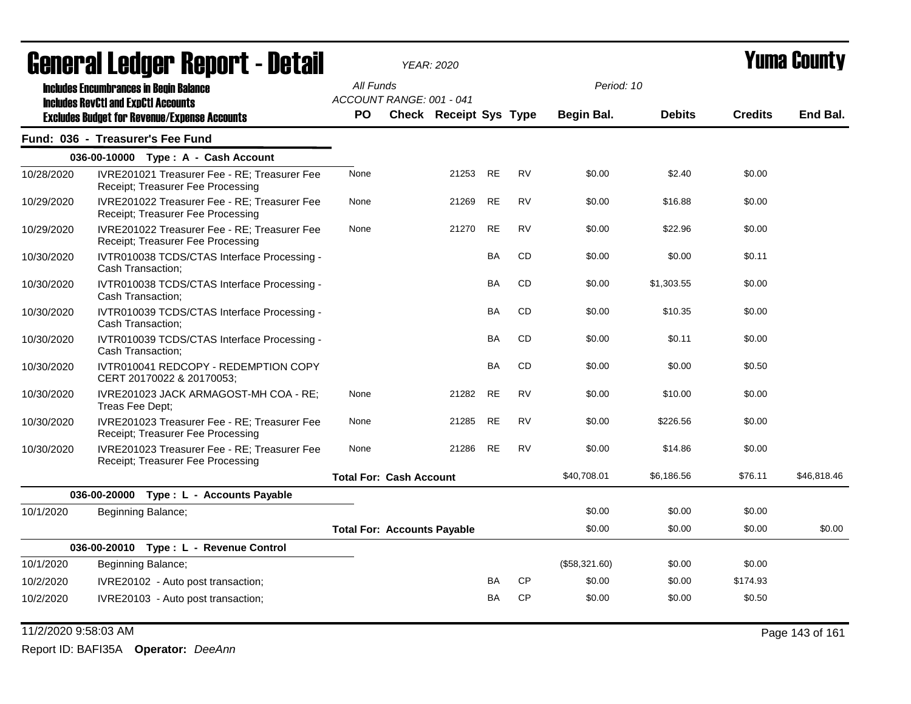| acıici ai leuyei" nepul l - detail |                                                                                             |           | <i>YEAR: 2020</i>                  |                               |           |           |               |               | I UIIIA VUUIILY |             |  |
|------------------------------------|---------------------------------------------------------------------------------------------|-----------|------------------------------------|-------------------------------|-----------|-----------|---------------|---------------|-----------------|-------------|--|
|                                    | <b>Includes Encumbrances in Begin Balance</b><br><b>Includes RevCtI and ExpCtI Accounts</b> | All Funds | ACCOUNT RANGE: 001 - 041           |                               |           |           | Period: 10    |               |                 |             |  |
|                                    | <b>Excludes Budget for Revenue/Expense Accounts</b>                                         | PO.       |                                    | <b>Check Receipt Sys Type</b> |           |           | Begin Bal.    | <b>Debits</b> | <b>Credits</b>  | End Bal.    |  |
|                                    | Fund: 036 - Treasurer's Fee Fund                                                            |           |                                    |                               |           |           |               |               |                 |             |  |
|                                    | 036-00-10000 Type: A - Cash Account                                                         |           |                                    |                               |           |           |               |               |                 |             |  |
| 10/28/2020                         | IVRE201021 Treasurer Fee - RE; Treasurer Fee<br>Receipt; Treasurer Fee Processing           | None      |                                    | 21253                         | RE        | <b>RV</b> | \$0.00        | \$2.40        | \$0.00          |             |  |
| 10/29/2020                         | IVRE201022 Treasurer Fee - RE; Treasurer Fee<br>Receipt; Treasurer Fee Processing           | None      |                                    | 21269                         | RE        | <b>RV</b> | \$0.00        | \$16.88       | \$0.00          |             |  |
| 10/29/2020                         | IVRE201022 Treasurer Fee - RE; Treasurer Fee<br>Receipt; Treasurer Fee Processing           | None      |                                    | 21270                         | RE        | <b>RV</b> | \$0.00        | \$22.96       | \$0.00          |             |  |
| 10/30/2020                         | IVTR010038 TCDS/CTAS Interface Processing -<br>Cash Transaction;                            |           |                                    |                               | BA        | CD        | \$0.00        | \$0.00        | \$0.11          |             |  |
| 10/30/2020                         | IVTR010038 TCDS/CTAS Interface Processing -<br>Cash Transaction;                            |           |                                    |                               | BA        | <b>CD</b> | \$0.00        | \$1,303.55    | \$0.00          |             |  |
| 10/30/2020                         | IVTR010039 TCDS/CTAS Interface Processing -<br>Cash Transaction;                            |           |                                    |                               | BA        | <b>CD</b> | \$0.00        | \$10.35       | \$0.00          |             |  |
| 10/30/2020                         | IVTR010039 TCDS/CTAS Interface Processing -<br>Cash Transaction;                            |           |                                    |                               | BA        | CD        | \$0.00        | \$0.11        | \$0.00          |             |  |
| 10/30/2020                         | IVTR010041 REDCOPY - REDEMPTION COPY<br>CERT 20170022 & 20170053;                           |           |                                    |                               | <b>BA</b> | <b>CD</b> | \$0.00        | \$0.00        | \$0.50          |             |  |
| 10/30/2020                         | IVRE201023 JACK ARMAGOST-MH COA - RE;<br>Treas Fee Dept;                                    | None      |                                    | 21282                         | <b>RE</b> | <b>RV</b> | \$0.00        | \$10.00       | \$0.00          |             |  |
| 10/30/2020                         | IVRE201023 Treasurer Fee - RE; Treasurer Fee<br>Receipt; Treasurer Fee Processing           | None      |                                    | 21285                         | <b>RE</b> | <b>RV</b> | \$0.00        | \$226.56      | \$0.00          |             |  |
| 10/30/2020                         | IVRE201023 Treasurer Fee - RE; Treasurer Fee<br>Receipt; Treasurer Fee Processing           | None      |                                    | 21286                         | RE        | <b>RV</b> | \$0.00        | \$14.86       | \$0.00          |             |  |
|                                    |                                                                                             |           | <b>Total For: Cash Account</b>     |                               |           |           | \$40,708.01   | \$6,186.56    | \$76.11         | \$46,818.46 |  |
|                                    | 036-00-20000 Type: L - Accounts Payable                                                     |           |                                    |                               |           |           |               |               |                 |             |  |
| 10/1/2020                          | Beginning Balance;                                                                          |           |                                    |                               |           |           | \$0.00        | \$0.00        | \$0.00          |             |  |
|                                    |                                                                                             |           | <b>Total For: Accounts Payable</b> |                               |           |           | \$0.00        | \$0.00        | \$0.00          | \$0.00      |  |
|                                    | 036-00-20010 Type: L - Revenue Control                                                      |           |                                    |                               |           |           |               |               |                 |             |  |
| 10/1/2020                          | Beginning Balance;                                                                          |           |                                    |                               |           |           | (\$58,321.60) | \$0.00        | \$0.00          |             |  |
| 10/2/2020                          | IVRE20102 - Auto post transaction;                                                          |           |                                    |                               | BA        | <b>CP</b> | \$0.00        | \$0.00        | \$174.93        |             |  |
| 10/2/2020                          | IVRE20103 - Auto post transaction;                                                          |           |                                    |                               | BA        | CP        | \$0.00        | \$0.00        | \$0.50          |             |  |

11/2/2020 9:58:03 AM Page 143 of 161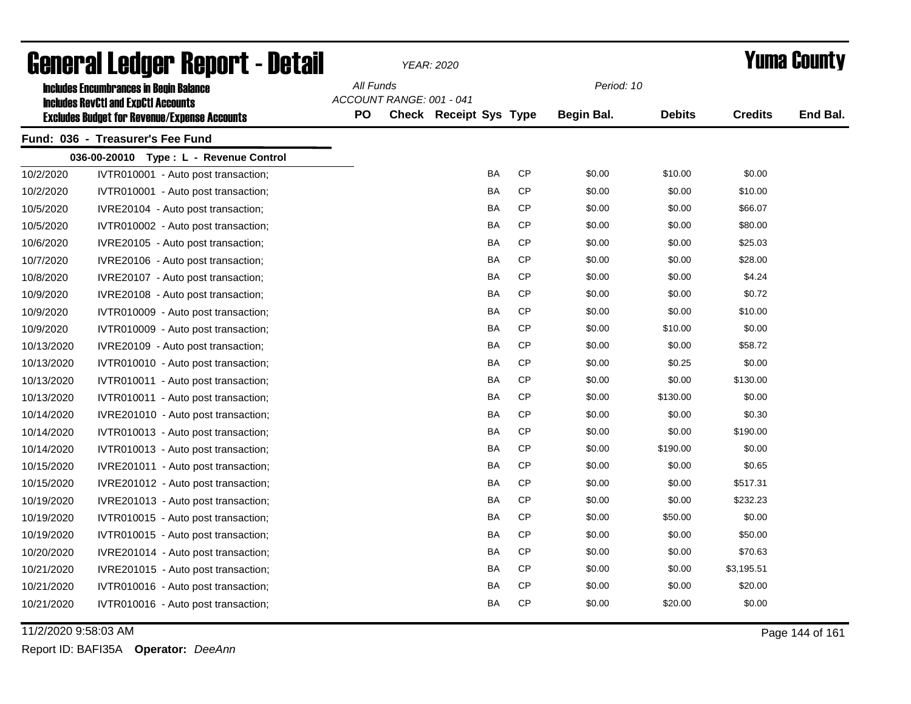| General Ledger Report - Detail |                                                                                             |           |                          | YEAR: 2020                    |           | <b>Yuma County</b> |               |                |          |
|--------------------------------|---------------------------------------------------------------------------------------------|-----------|--------------------------|-------------------------------|-----------|--------------------|---------------|----------------|----------|
|                                | <b>Includes Encumbrances in Begin Balance</b><br><b>Includes RevCtI and ExpCtI Accounts</b> | All Funds | ACCOUNT RANGE: 001 - 041 |                               |           | Period: 10         |               |                |          |
|                                | <b>Excludes Budget for Revenue/Expense Accounts</b>                                         | <b>PO</b> |                          | <b>Check Receipt Sys Type</b> |           | <b>Begin Bal.</b>  | <b>Debits</b> | <b>Credits</b> | End Bal. |
|                                | Fund: 036 - Treasurer's Fee Fund                                                            |           |                          |                               |           |                    |               |                |          |
|                                | 036-00-20010 Type: L - Revenue Control                                                      |           |                          |                               |           |                    |               |                |          |
| 10/2/2020                      | IVTR010001 - Auto post transaction;                                                         |           |                          | BA                            | <b>CP</b> | \$0.00             | \$10.00       | \$0.00         |          |
| 10/2/2020                      | IVTR010001 - Auto post transaction;                                                         |           |                          | <b>BA</b>                     | <b>CP</b> | \$0.00             | \$0.00        | \$10.00        |          |
| 10/5/2020                      | IVRE20104 - Auto post transaction;                                                          |           |                          | BA                            | СP        | \$0.00             | \$0.00        | \$66.07        |          |
| 10/5/2020                      | IVTR010002 - Auto post transaction;                                                         |           |                          | BA                            | <b>CP</b> | \$0.00             | \$0.00        | \$80.00        |          |
| 10/6/2020                      | IVRE20105 - Auto post transaction;                                                          |           |                          | BA                            | CP        | \$0.00             | \$0.00        | \$25.03        |          |
| 10/7/2020                      | IVRE20106 - Auto post transaction;                                                          |           |                          | BA                            | <b>CP</b> | \$0.00             | \$0.00        | \$28.00        |          |
| 10/8/2020                      | IVRE20107 - Auto post transaction;                                                          |           |                          | BA                            | <b>CP</b> | \$0.00             | \$0.00        | \$4.24         |          |
| 10/9/2020                      | IVRE20108 - Auto post transaction;                                                          |           |                          | BA                            | <b>CP</b> | \$0.00             | \$0.00        | \$0.72         |          |
| 10/9/2020                      | IVTR010009 - Auto post transaction;                                                         |           |                          | BA                            | <b>CP</b> | \$0.00             | \$0.00        | \$10.00        |          |
| 10/9/2020                      | IVTR010009 - Auto post transaction;                                                         |           |                          | BA                            | <b>CP</b> | \$0.00             | \$10.00       | \$0.00         |          |
| 10/13/2020                     | IVRE20109 - Auto post transaction;                                                          |           |                          | BA                            | <b>CP</b> | \$0.00             | \$0.00        | \$58.72        |          |
| 10/13/2020                     | IVTR010010 - Auto post transaction;                                                         |           |                          | BA                            | <b>CP</b> | \$0.00             | \$0.25        | \$0.00         |          |
| 10/13/2020                     | IVTR010011 - Auto post transaction;                                                         |           |                          | BA                            | CP        | \$0.00             | \$0.00        | \$130.00       |          |
| 10/13/2020                     | IVTR010011 - Auto post transaction;                                                         |           |                          | BA                            | <b>CP</b> | \$0.00             | \$130.00      | \$0.00         |          |
| 10/14/2020                     | IVRE201010 - Auto post transaction;                                                         |           |                          | BA                            | <b>CP</b> | \$0.00             | \$0.00        | \$0.30         |          |
| 10/14/2020                     | IVTR010013 - Auto post transaction;                                                         |           |                          | BA                            | <b>CP</b> | \$0.00             | \$0.00        | \$190.00       |          |
| 10/14/2020                     | IVTR010013 - Auto post transaction;                                                         |           |                          | BA                            | <b>CP</b> | \$0.00             | \$190.00      | \$0.00         |          |
| 10/15/2020                     | IVRE201011 - Auto post transaction;                                                         |           |                          | <b>BA</b>                     | <b>CP</b> | \$0.00             | \$0.00        | \$0.65         |          |
| 10/15/2020                     | IVRE201012 - Auto post transaction;                                                         |           |                          | BA                            | <b>CP</b> | \$0.00             | \$0.00        | \$517.31       |          |
| 10/19/2020                     | IVRE201013 - Auto post transaction;                                                         |           |                          | BA                            | CP        | \$0.00             | \$0.00        | \$232.23       |          |
| 10/19/2020                     | IVTR010015 - Auto post transaction;                                                         |           |                          | BA                            | <b>CP</b> | \$0.00             | \$50.00       | \$0.00         |          |
| 10/19/2020                     | IVTR010015 - Auto post transaction;                                                         |           |                          | BA                            | <b>CP</b> | \$0.00             | \$0.00        | \$50.00        |          |
| 10/20/2020                     | IVRE201014 - Auto post transaction;                                                         |           |                          | BA                            | <b>CP</b> | \$0.00             | \$0.00        | \$70.63        |          |
| 10/21/2020                     | IVRE201015 - Auto post transaction;                                                         |           |                          | BA                            | CP        | \$0.00             | \$0.00        | \$3,195.51     |          |
| 10/21/2020                     | IVTR010016 - Auto post transaction;                                                         |           |                          | BA                            | CP        | \$0.00             | \$0.00        | \$20.00        |          |
| 10/21/2020                     | IVTR010016 - Auto post transaction;                                                         |           |                          | <b>BA</b>                     | <b>CP</b> | \$0.00             | \$20.00       | \$0.00         |          |

11/2/2020 9:58:03 AM Page 144 of 161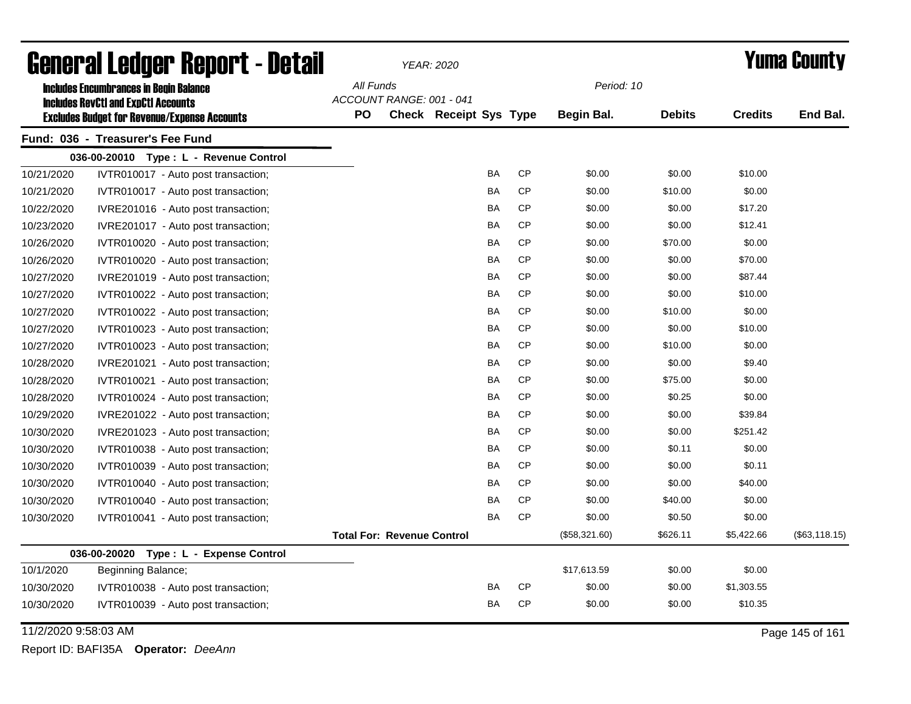| General Ledger Report - Detail |                                                     |           | <b>YEAR: 2020</b>                 |                        |           |           |               |               | <b>Yuma County</b> |               |
|--------------------------------|-----------------------------------------------------|-----------|-----------------------------------|------------------------|-----------|-----------|---------------|---------------|--------------------|---------------|
|                                | <b>Includes Encumbrances in Begin Balance</b>       | All Funds |                                   |                        |           |           | Period: 10    |               |                    |               |
|                                | <b>Includes RevCtI and ExpCtI Accounts</b>          |           | ACCOUNT RANGE: 001 - 041          |                        |           |           |               |               |                    |               |
|                                | <b>Excludes Budget for Revenue/Expense Accounts</b> | <b>PO</b> |                                   | Check Receipt Sys Type |           |           | Begin Bal.    | <b>Debits</b> | <b>Credits</b>     | End Bal.      |
|                                | Fund: 036 - Treasurer's Fee Fund                    |           |                                   |                        |           |           |               |               |                    |               |
|                                | 036-00-20010 Type: L - Revenue Control              |           |                                   |                        |           |           |               |               |                    |               |
| 10/21/2020                     | IVTR010017 - Auto post transaction;                 |           |                                   |                        | BA        | <b>CP</b> | \$0.00        | \$0.00        | \$10.00            |               |
| 10/21/2020                     | IVTR010017 - Auto post transaction;                 |           |                                   |                        | <b>BA</b> | <b>CP</b> | \$0.00        | \$10.00       | \$0.00             |               |
| 10/22/2020                     | IVRE201016 - Auto post transaction;                 |           |                                   |                        | <b>BA</b> | <b>CP</b> | \$0.00        | \$0.00        | \$17.20            |               |
| 10/23/2020                     | IVRE201017 - Auto post transaction;                 |           |                                   |                        | BA        | <b>CP</b> | \$0.00        | \$0.00        | \$12.41            |               |
| 10/26/2020                     | IVTR010020 - Auto post transaction;                 |           |                                   |                        | BA        | CP        | \$0.00        | \$70.00       | \$0.00             |               |
| 10/26/2020                     | IVTR010020 - Auto post transaction;                 |           |                                   |                        | BA        | CP        | \$0.00        | \$0.00        | \$70.00            |               |
| 10/27/2020                     | IVRE201019 - Auto post transaction;                 |           |                                   |                        | BA        | CP        | \$0.00        | \$0.00        | \$87.44            |               |
| 10/27/2020                     | IVTR010022 - Auto post transaction;                 |           |                                   |                        | BA        | CP        | \$0.00        | \$0.00        | \$10.00            |               |
| 10/27/2020                     | IVTR010022 - Auto post transaction;                 |           |                                   |                        | BA        | CP        | \$0.00        | \$10.00       | \$0.00             |               |
| 10/27/2020                     | IVTR010023 - Auto post transaction;                 |           |                                   |                        | BA        | <b>CP</b> | \$0.00        | \$0.00        | \$10.00            |               |
| 10/27/2020                     | IVTR010023 - Auto post transaction;                 |           |                                   |                        | <b>BA</b> | <b>CP</b> | \$0.00        | \$10.00       | \$0.00             |               |
| 10/28/2020                     | IVRE201021 - Auto post transaction;                 |           |                                   |                        | BA        | CP        | \$0.00        | \$0.00        | \$9.40             |               |
| 10/28/2020                     | IVTR010021 - Auto post transaction;                 |           |                                   |                        | BA        | CP        | \$0.00        | \$75.00       | \$0.00             |               |
| 10/28/2020                     | IVTR010024 - Auto post transaction;                 |           |                                   |                        | BA        | <b>CP</b> | \$0.00        | \$0.25        | \$0.00             |               |
| 10/29/2020                     | IVRE201022 - Auto post transaction;                 |           |                                   |                        | BA        | <b>CP</b> | \$0.00        | \$0.00        | \$39.84            |               |
| 10/30/2020                     | IVRE201023 - Auto post transaction;                 |           |                                   |                        | BA        | <b>CP</b> | \$0.00        | \$0.00        | \$251.42           |               |
| 10/30/2020                     | IVTR010038 - Auto post transaction;                 |           |                                   |                        | BA        | <b>CP</b> | \$0.00        | \$0.11        | \$0.00             |               |
| 10/30/2020                     | IVTR010039 - Auto post transaction;                 |           |                                   |                        | BA        | <b>CP</b> | \$0.00        | \$0.00        | \$0.11             |               |
| 10/30/2020                     | IVTR010040 - Auto post transaction;                 |           |                                   |                        | <b>BA</b> | <b>CP</b> | \$0.00        | \$0.00        | \$40.00            |               |
| 10/30/2020                     | IVTR010040 - Auto post transaction;                 |           |                                   |                        | BA        | CP        | \$0.00        | \$40.00       | \$0.00             |               |
| 10/30/2020                     | IVTR010041 - Auto post transaction;                 |           |                                   |                        | BA        | CP        | \$0.00        | \$0.50        | \$0.00             |               |
|                                |                                                     |           | <b>Total For: Revenue Control</b> |                        |           |           | (\$58,321.60) | \$626.11      | \$5,422.66         | (\$63,118.15) |
|                                | 036-00-20020<br>Type: L - Expense Control           |           |                                   |                        |           |           |               |               |                    |               |
| 10/1/2020                      | Beginning Balance;                                  |           |                                   |                        |           |           | \$17,613.59   | \$0.00        | \$0.00             |               |
| 10/30/2020                     | IVTR010038 - Auto post transaction;                 |           |                                   |                        | BA        | CP        | \$0.00        | \$0.00        | \$1,303.55         |               |
| 10/30/2020                     | IVTR010039 - Auto post transaction;                 |           |                                   |                        | BA        | CP        | \$0.00        | \$0.00        | \$10.35            |               |

11/2/2020 9:58:03 AM Page 145 of 161

Report ID: BAFI35A **Operator:** *DeeAnn*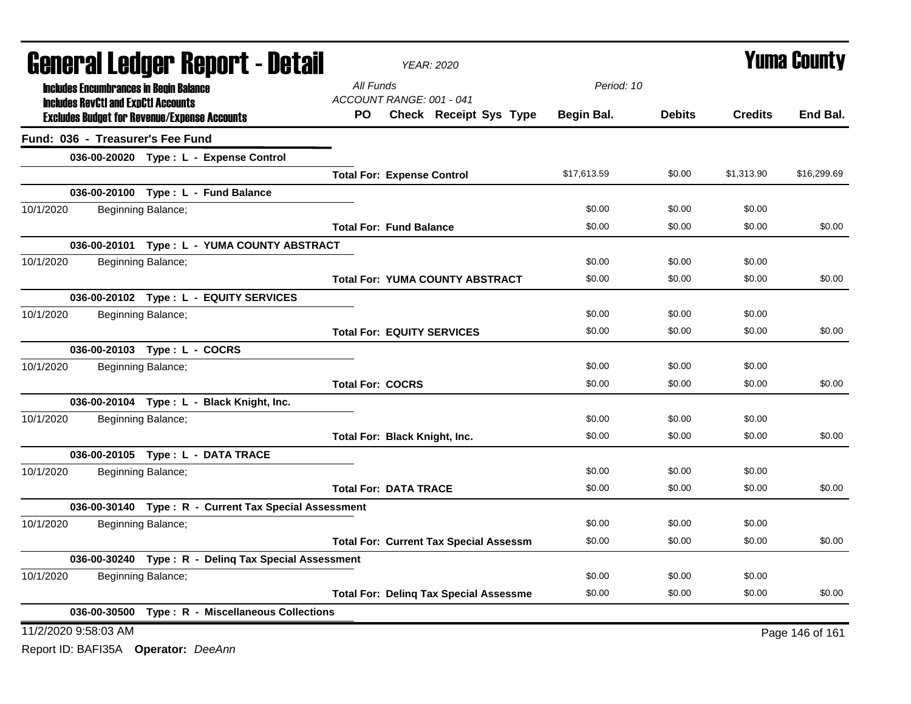|           | <b>General Ledger Report - Detail</b>      |                                                       |           |                                   | YEAR: 2020                                    |             | <b>Yuma County</b> |                |                 |  |
|-----------|--------------------------------------------|-------------------------------------------------------|-----------|-----------------------------------|-----------------------------------------------|-------------|--------------------|----------------|-----------------|--|
|           |                                            | <b>Includes Encumbrances in Begin Balance</b>         | All Funds |                                   |                                               | Period: 10  |                    |                |                 |  |
|           | <b>Includes RevCtI and ExpCtI Accounts</b> |                                                       |           |                                   | ACCOUNT RANGE: 001 - 041                      |             |                    |                |                 |  |
|           |                                            | <b>Excludes Budget for Revenue/Expense Accounts</b>   | PO.       |                                   | Check Receipt Sys Type                        | Begin Bal.  | <b>Debits</b>      | <b>Credits</b> | End Bal.        |  |
|           |                                            | Fund: 036 - Treasurer's Fee Fund                      |           |                                   |                                               |             |                    |                |                 |  |
|           |                                            | 036-00-20020 Type: L - Expense Control                |           |                                   |                                               |             |                    |                |                 |  |
|           |                                            |                                                       |           | <b>Total For: Expense Control</b> |                                               | \$17,613.59 | \$0.00             | \$1,313.90     | \$16,299.69     |  |
|           |                                            | 036-00-20100 Type: L - Fund Balance                   |           |                                   |                                               |             |                    |                |                 |  |
| 10/1/2020 |                                            | Beginning Balance;                                    |           |                                   |                                               | \$0.00      | \$0.00             | \$0.00         |                 |  |
|           |                                            |                                                       |           | <b>Total For: Fund Balance</b>    |                                               | \$0.00      | \$0.00             | \$0.00         | \$0.00          |  |
|           |                                            | 036-00-20101 Type: L - YUMA COUNTY ABSTRACT           |           |                                   |                                               |             |                    |                |                 |  |
| 10/1/2020 |                                            | Beginning Balance;                                    |           |                                   |                                               | \$0.00      | \$0.00             | \$0.00         |                 |  |
|           |                                            |                                                       |           |                                   | <b>Total For: YUMA COUNTY ABSTRACT</b>        | \$0.00      | \$0.00             | \$0.00         | \$0.00          |  |
|           |                                            | 036-00-20102 Type: L - EQUITY SERVICES                |           |                                   |                                               |             |                    |                |                 |  |
| 10/1/2020 |                                            | Beginning Balance;                                    |           |                                   |                                               | \$0.00      | \$0.00             | \$0.00         |                 |  |
|           |                                            |                                                       |           |                                   | <b>Total For: EQUITY SERVICES</b>             | \$0.00      | \$0.00             | \$0.00         | \$0.00          |  |
|           |                                            | 036-00-20103 Type: L - COCRS                          |           |                                   |                                               |             |                    |                |                 |  |
| 10/1/2020 |                                            | Beginning Balance;                                    |           |                                   |                                               | \$0.00      | \$0.00             | \$0.00         |                 |  |
|           |                                            |                                                       |           | <b>Total For: COCRS</b>           |                                               | \$0.00      | \$0.00             | \$0.00         | \$0.00          |  |
|           |                                            | 036-00-20104 Type: L - Black Knight, Inc.             |           |                                   |                                               |             |                    |                |                 |  |
| 10/1/2020 |                                            | Beginning Balance;                                    |           |                                   |                                               | \$0.00      | \$0.00             | \$0.00         |                 |  |
|           |                                            |                                                       |           |                                   | Total For: Black Knight, Inc.                 | \$0.00      | \$0.00             | \$0.00         | \$0.00          |  |
|           |                                            | 036-00-20105 Type: L - DATA TRACE                     |           |                                   |                                               |             |                    |                |                 |  |
| 10/1/2020 |                                            | Beginning Balance;                                    |           |                                   |                                               | \$0.00      | \$0.00             | \$0.00         |                 |  |
|           |                                            |                                                       |           | <b>Total For: DATA TRACE</b>      |                                               | \$0.00      | \$0.00             | \$0.00         | \$0.00          |  |
|           |                                            | 036-00-30140 Type: R - Current Tax Special Assessment |           |                                   |                                               |             |                    |                |                 |  |
| 10/1/2020 |                                            | Beginning Balance;                                    |           |                                   |                                               | \$0.00      | \$0.00             | \$0.00         |                 |  |
|           |                                            |                                                       |           |                                   | <b>Total For: Current Tax Special Assessm</b> | \$0.00      | \$0.00             | \$0.00         | \$0.00          |  |
|           |                                            | 036-00-30240 Type: R - Deling Tax Special Assessment  |           |                                   |                                               |             |                    |                |                 |  |
| 10/1/2020 |                                            | Beginning Balance;                                    |           |                                   |                                               | \$0.00      | \$0.00             | \$0.00         |                 |  |
|           |                                            |                                                       |           |                                   | <b>Total For: Deling Tax Special Assessme</b> | \$0.00      | \$0.00             | \$0.00         | \$0.00          |  |
|           |                                            | 036-00-30500 Type: R - Miscellaneous Collections      |           |                                   |                                               |             |                    |                |                 |  |
|           | 11/2/2020 9:58:03 AM                       |                                                       |           |                                   |                                               |             |                    |                | Page 146 of 161 |  |

Report ID: BAFI35A **Operator:** *DeeAnn*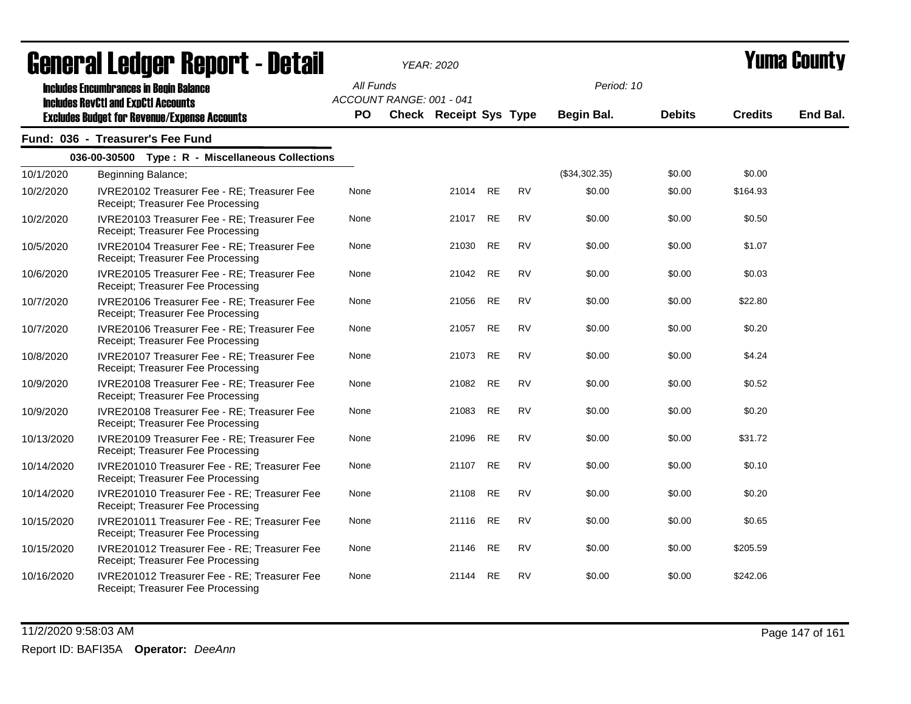|            | UGIIGI AI LGUYGI  Ilgµvi  l <sup>-</sup> DGʻlali                                            |                        |                          | ILAR. ZUZU             |           |           |                          |               |                | I UMU VVUM J |
|------------|---------------------------------------------------------------------------------------------|------------------------|--------------------------|------------------------|-----------|-----------|--------------------------|---------------|----------------|--------------|
|            | <b>Includes Encumbrances in Begin Balance</b><br><b>Includes RevCtI and ExpCtI Accounts</b> | All Funds<br><b>PO</b> | ACCOUNT RANGE: 001 - 041 | Check Receipt Sys Type |           |           | Period: 10<br>Begin Bal. | <b>Debits</b> | <b>Credits</b> | End Bal.     |
|            | <b>Excludes Budget for Revenue/Expense Accounts</b>                                         |                        |                          |                        |           |           |                          |               |                |              |
|            | Fund: 036 - Treasurer's Fee Fund                                                            |                        |                          |                        |           |           |                          |               |                |              |
|            | 036-00-30500 Type: R - Miscellaneous Collections                                            |                        |                          |                        |           |           |                          |               |                |              |
| 10/1/2020  | Beginning Balance;                                                                          |                        |                          |                        |           |           | (\$34,302.35)            | \$0.00        | \$0.00         |              |
| 10/2/2020  | IVRE20102 Treasurer Fee - RE; Treasurer Fee<br>Receipt; Treasurer Fee Processing            | None                   |                          | 21014 RE               |           | <b>RV</b> | \$0.00                   | \$0.00        | \$164.93       |              |
| 10/2/2020  | IVRE20103 Treasurer Fee - RE; Treasurer Fee<br>Receipt; Treasurer Fee Processing            | None                   |                          | 21017                  | <b>RE</b> | <b>RV</b> | \$0.00                   | \$0.00        | \$0.50         |              |
| 10/5/2020  | IVRE20104 Treasurer Fee - RE; Treasurer Fee<br>Receipt: Treasurer Fee Processing            | None                   |                          | 21030                  | RE        | <b>RV</b> | \$0.00                   | \$0.00        | \$1.07         |              |
| 10/6/2020  | IVRE20105 Treasurer Fee - RE; Treasurer Fee<br>Receipt; Treasurer Fee Processing            | None                   |                          | 21042                  | RE        | <b>RV</b> | \$0.00                   | \$0.00        | \$0.03         |              |
| 10/7/2020  | IVRE20106 Treasurer Fee - RE; Treasurer Fee<br>Receipt; Treasurer Fee Processing            | None                   |                          | 21056                  | <b>RE</b> | <b>RV</b> | \$0.00                   | \$0.00        | \$22.80        |              |
| 10/7/2020  | IVRE20106 Treasurer Fee - RE; Treasurer Fee<br>Receipt; Treasurer Fee Processing            | None                   |                          | 21057                  | <b>RE</b> | <b>RV</b> | \$0.00                   | \$0.00        | \$0.20         |              |
| 10/8/2020  | IVRE20107 Treasurer Fee - RE; Treasurer Fee<br>Receipt; Treasurer Fee Processing            | None                   |                          | 21073                  | <b>RE</b> | <b>RV</b> | \$0.00                   | \$0.00        | \$4.24         |              |
| 10/9/2020  | IVRE20108 Treasurer Fee - RE; Treasurer Fee<br>Receipt; Treasurer Fee Processing            | None                   |                          | 21082                  | RE        | <b>RV</b> | \$0.00                   | \$0.00        | \$0.52         |              |
| 10/9/2020  | IVRE20108 Treasurer Fee - RE; Treasurer Fee<br>Receipt; Treasurer Fee Processing            | None                   |                          | 21083                  | <b>RE</b> | <b>RV</b> | \$0.00                   | \$0.00        | \$0.20         |              |
| 10/13/2020 | IVRE20109 Treasurer Fee - RE; Treasurer Fee<br>Receipt; Treasurer Fee Processing            | None                   |                          | 21096                  | <b>RE</b> | <b>RV</b> | \$0.00                   | \$0.00        | \$31.72        |              |
| 10/14/2020 | IVRE201010 Treasurer Fee - RE; Treasurer Fee<br>Receipt; Treasurer Fee Processing           | None                   |                          | 21107                  | <b>RE</b> | <b>RV</b> | \$0.00                   | \$0.00        | \$0.10         |              |
| 10/14/2020 | IVRE201010 Treasurer Fee - RE; Treasurer Fee<br>Receipt; Treasurer Fee Processing           | None                   |                          | 21108                  | <b>RE</b> | <b>RV</b> | \$0.00                   | \$0.00        | \$0.20         |              |
| 10/15/2020 | IVRE201011 Treasurer Fee - RE; Treasurer Fee<br>Receipt; Treasurer Fee Processing           | None                   |                          | 21116                  | <b>RE</b> | <b>RV</b> | \$0.00                   | \$0.00        | \$0.65         |              |
| 10/15/2020 | IVRE201012 Treasurer Fee - RE; Treasurer Fee<br>Receipt; Treasurer Fee Processing           | None                   |                          | 21146                  | <b>RE</b> | <b>RV</b> | \$0.00                   | \$0.00        | \$205.59       |              |
| 10/16/2020 | IVRE201012 Treasurer Fee - RE; Treasurer Fee<br>Receipt; Treasurer Fee Processing           | None                   |                          | 21144                  | <b>RE</b> | <b>RV</b> | \$0.00                   | \$0.00        | \$242.06       |              |

11/2/2020 9:58:03 AM Page 147 of 161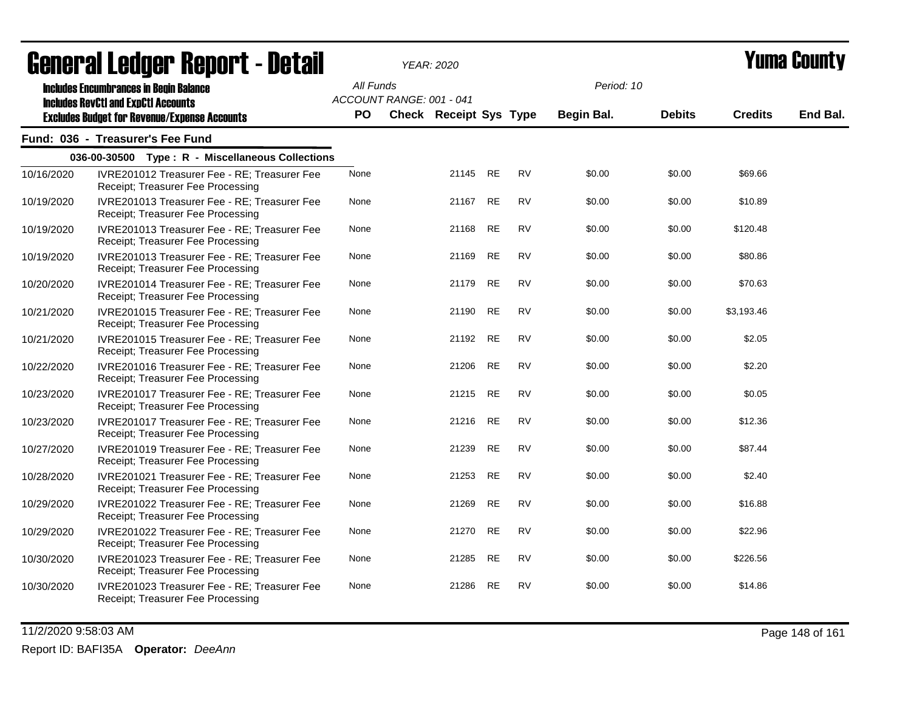|            | <u>ugligi ai lguygi lighni t- ngtali</u>                                                    |           |                          | I EAR. ZUZU            |           |           |            |               |                | I UMU VVUNT |
|------------|---------------------------------------------------------------------------------------------|-----------|--------------------------|------------------------|-----------|-----------|------------|---------------|----------------|-------------|
|            | <b>Includes Encumbrances in Begin Balance</b><br><b>Includes RevCtI and ExpCtI Accounts</b> | All Funds | ACCOUNT RANGE: 001 - 041 |                        |           |           | Period: 10 |               |                |             |
|            | <b>Excludes Budget for Revenue/Expense Accounts</b>                                         | PO.       |                          | Check Receipt Sys Type |           |           | Begin Bal. | <b>Debits</b> | <b>Credits</b> | End Bal.    |
|            | Fund: 036 - Treasurer's Fee Fund                                                            |           |                          |                        |           |           |            |               |                |             |
|            | 036-00-30500 Type: R - Miscellaneous Collections                                            |           |                          |                        |           |           |            |               |                |             |
| 10/16/2020 | IVRE201012 Treasurer Fee - RE; Treasurer Fee<br>Receipt: Treasurer Fee Processing           | None      |                          | 21145 RE               |           | <b>RV</b> | \$0.00     | \$0.00        | \$69.66        |             |
| 10/19/2020 | IVRE201013 Treasurer Fee - RE; Treasurer Fee<br>Receipt; Treasurer Fee Processing           | None      |                          | 21167                  | <b>RE</b> | <b>RV</b> | \$0.00     | \$0.00        | \$10.89        |             |
| 10/19/2020 | IVRE201013 Treasurer Fee - RE; Treasurer Fee<br>Receipt; Treasurer Fee Processing           | None      |                          | 21168                  | <b>RE</b> | <b>RV</b> | \$0.00     | \$0.00        | \$120.48       |             |
| 10/19/2020 | IVRE201013 Treasurer Fee - RE; Treasurer Fee<br>Receipt; Treasurer Fee Processing           | None      |                          | 21169 RE               |           | <b>RV</b> | \$0.00     | \$0.00        | \$80.86        |             |
| 10/20/2020 | IVRE201014 Treasurer Fee - RE; Treasurer Fee<br>Receipt; Treasurer Fee Processing           | None      |                          | 21179                  | <b>RE</b> | <b>RV</b> | \$0.00     | \$0.00        | \$70.63        |             |
| 10/21/2020 | IVRE201015 Treasurer Fee - RE; Treasurer Fee<br>Receipt; Treasurer Fee Processing           | None      |                          | 21190                  | <b>RE</b> | <b>RV</b> | \$0.00     | \$0.00        | \$3,193.46     |             |
| 10/21/2020 | IVRE201015 Treasurer Fee - RE; Treasurer Fee<br>Receipt; Treasurer Fee Processing           | None      |                          | 21192                  | <b>RE</b> | <b>RV</b> | \$0.00     | \$0.00        | \$2.05         |             |
| 10/22/2020 | IVRE201016 Treasurer Fee - RE; Treasurer Fee<br>Receipt; Treasurer Fee Processing           | None      |                          | 21206                  | <b>RE</b> | <b>RV</b> | \$0.00     | \$0.00        | \$2.20         |             |
| 10/23/2020 | IVRE201017 Treasurer Fee - RE; Treasurer Fee<br>Receipt; Treasurer Fee Processing           | None      |                          | 21215 RE               |           | <b>RV</b> | \$0.00     | \$0.00        | \$0.05         |             |
| 10/23/2020 | IVRE201017 Treasurer Fee - RE; Treasurer Fee<br>Receipt; Treasurer Fee Processing           | None      |                          | 21216 RE               |           | <b>RV</b> | \$0.00     | \$0.00        | \$12.36        |             |
| 10/27/2020 | IVRE201019 Treasurer Fee - RE; Treasurer Fee<br>Receipt; Treasurer Fee Processing           | None      |                          | 21239                  | <b>RE</b> | <b>RV</b> | \$0.00     | \$0.00        | \$87.44        |             |
| 10/28/2020 | IVRE201021 Treasurer Fee - RE; Treasurer Fee<br>Receipt; Treasurer Fee Processing           | None      |                          | 21253                  | <b>RE</b> | <b>RV</b> | \$0.00     | \$0.00        | \$2.40         |             |
| 10/29/2020 | IVRE201022 Treasurer Fee - RE; Treasurer Fee<br>Receipt; Treasurer Fee Processing           | None      |                          | 21269                  | <b>RE</b> | <b>RV</b> | \$0.00     | \$0.00        | \$16.88        |             |
| 10/29/2020 | IVRE201022 Treasurer Fee - RE; Treasurer Fee<br>Receipt; Treasurer Fee Processing           | None      |                          | 21270 RE               |           | <b>RV</b> | \$0.00     | \$0.00        | \$22.96        |             |
| 10/30/2020 | IVRE201023 Treasurer Fee - RE; Treasurer Fee<br>Receipt; Treasurer Fee Processing           | None      |                          | 21285                  | RE        | <b>RV</b> | \$0.00     | \$0.00        | \$226.56       |             |
| 10/30/2020 | IVRE201023 Treasurer Fee - RE; Treasurer Fee<br>Receipt; Treasurer Fee Processing           | None      |                          | 21286                  | RE        | RV        | \$0.00     | \$0.00        | \$14.86        |             |

11/2/2020 9:58:03 AM Page 148 of 161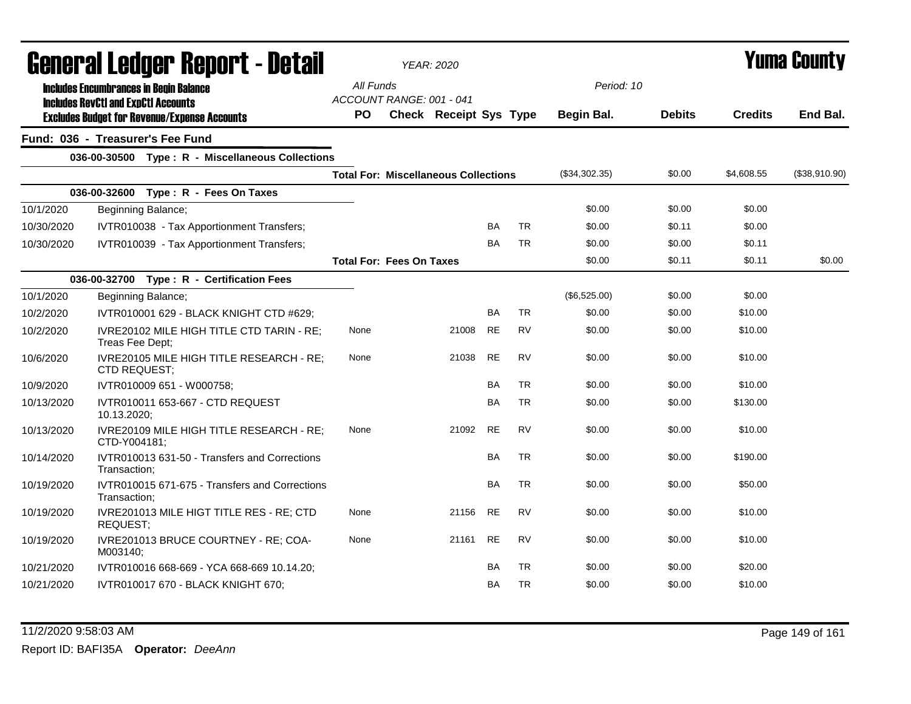|            | <b>General Ledger Report - Detail</b>                                                             |           | <b>YEAR: 2020</b>                           |           |           |               |               | Yuma County    |               |  |
|------------|---------------------------------------------------------------------------------------------------|-----------|---------------------------------------------|-----------|-----------|---------------|---------------|----------------|---------------|--|
|            | <b>Includes Encumbrances in Begin Balance</b>                                                     | All Funds | ACCOUNT RANGE: 001 - 041                    |           |           | Period: 10    |               |                |               |  |
|            | <b>Includes RevCtI and ExpCtI Accounts</b><br><b>Excludes Budget for Revenue/Expense Accounts</b> | <b>PO</b> | <b>Check Receipt Sys Type</b>               |           |           | Begin Bal.    | <b>Debits</b> | <b>Credits</b> | End Bal.      |  |
|            | Fund: 036 - Treasurer's Fee Fund                                                                  |           |                                             |           |           |               |               |                |               |  |
|            | 036-00-30500 Type: R - Miscellaneous Collections                                                  |           |                                             |           |           |               |               |                |               |  |
|            |                                                                                                   |           | <b>Total For: Miscellaneous Collections</b> |           |           | (\$34,302.35) | \$0.00        | \$4,608.55     | (\$38,910.90) |  |
|            | 036-00-32600<br>Type: R - Fees On Taxes                                                           |           |                                             |           |           |               |               |                |               |  |
| 10/1/2020  | Beginning Balance;                                                                                |           |                                             |           |           | \$0.00        | \$0.00        | \$0.00         |               |  |
| 10/30/2020 | IVTR010038 - Tax Apportionment Transfers;                                                         |           |                                             | BA        | <b>TR</b> | \$0.00        | \$0.11        | \$0.00         |               |  |
| 10/30/2020 | IVTR010039 - Tax Apportionment Transfers;                                                         |           |                                             | <b>BA</b> | <b>TR</b> | \$0.00        | \$0.00        | \$0.11         |               |  |
|            |                                                                                                   |           | <b>Total For: Fees On Taxes</b>             |           |           | \$0.00        | \$0.11        | \$0.11         | \$0.00        |  |
|            | 036-00-32700 Type: R - Certification Fees                                                         |           |                                             |           |           |               |               |                |               |  |
| 10/1/2020  | Beginning Balance;                                                                                |           |                                             |           |           | (\$6,525.00)  | \$0.00        | \$0.00         |               |  |
| 10/2/2020  | IVTR010001 629 - BLACK KNIGHT CTD #629;                                                           |           |                                             | BA        | <b>TR</b> | \$0.00        | \$0.00        | \$10.00        |               |  |
| 10/2/2020  | IVRE20102 MILE HIGH TITLE CTD TARIN - RE;<br>Treas Fee Dept;                                      | None      | 21008                                       | <b>RE</b> | <b>RV</b> | \$0.00        | \$0.00        | \$10.00        |               |  |
| 10/6/2020  | IVRE20105 MILE HIGH TITLE RESEARCH - RE;<br>CTD REQUEST;                                          | None      | 21038                                       | <b>RE</b> | RV        | \$0.00        | \$0.00        | \$10.00        |               |  |
| 10/9/2020  | IVTR010009 651 - W000758;                                                                         |           |                                             | BA        | <b>TR</b> | \$0.00        | \$0.00        | \$10.00        |               |  |
| 10/13/2020 | IVTR010011 653-667 - CTD REQUEST<br>10.13.2020;                                                   |           |                                             | BA        | <b>TR</b> | \$0.00        | \$0.00        | \$130.00       |               |  |
| 10/13/2020 | IVRE20109 MILE HIGH TITLE RESEARCH - RE;<br>CTD-Y004181;                                          | None      | 21092                                       | <b>RE</b> | <b>RV</b> | \$0.00        | \$0.00        | \$10.00        |               |  |
| 10/14/2020 | IVTR010013 631-50 - Transfers and Corrections<br>Transaction:                                     |           |                                             | <b>BA</b> | <b>TR</b> | \$0.00        | \$0.00        | \$190.00       |               |  |
| 10/19/2020 | IVTR010015 671-675 - Transfers and Corrections<br>Transaction:                                    |           |                                             | BA        | <b>TR</b> | \$0.00        | \$0.00        | \$50.00        |               |  |
| 10/19/2020 | IVRE201013 MILE HIGT TITLE RES - RE; CTD<br><b>REQUEST;</b>                                       | None      | 21156                                       | <b>RE</b> | <b>RV</b> | \$0.00        | \$0.00        | \$10.00        |               |  |
| 10/19/2020 | IVRE201013 BRUCE COURTNEY - RE; COA-<br>M003140:                                                  | None      | 21161                                       | <b>RE</b> | <b>RV</b> | \$0.00        | \$0.00        | \$10.00        |               |  |
| 10/21/2020 | IVTR010016 668-669 - YCA 668-669 10.14.20;                                                        |           |                                             | BA        | <b>TR</b> | \$0.00        | \$0.00        | \$20.00        |               |  |
| 10/21/2020 | IVTR010017 670 - BLACK KNIGHT 670;                                                                |           |                                             | BA        | <b>TR</b> | \$0.00        | \$0.00        | \$10.00        |               |  |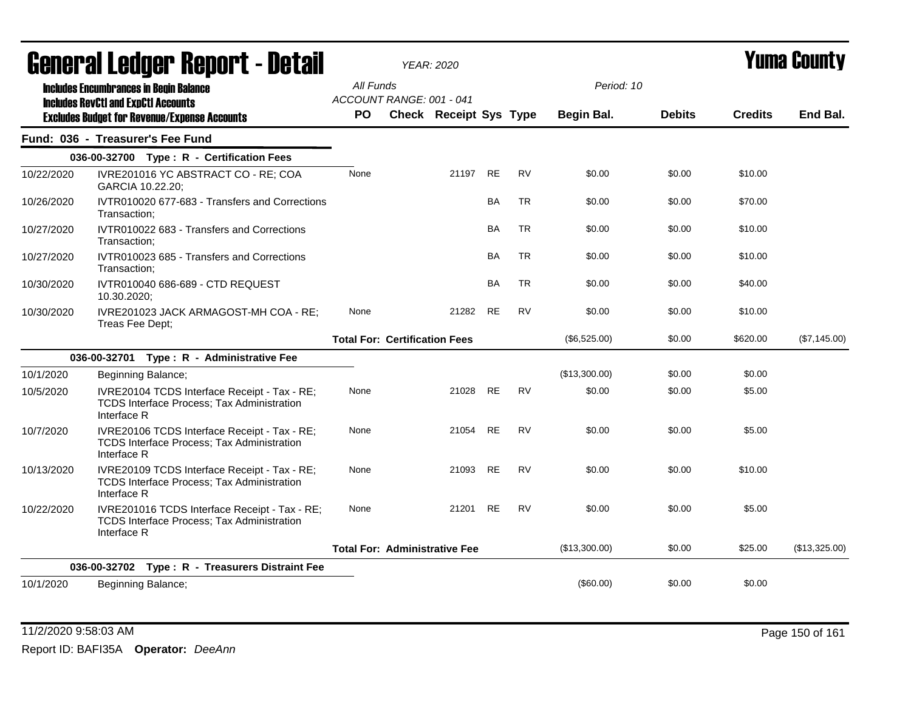| agiigi.gi fanñai. ughni. - Datsii |                                                                                                                   |                                              | YEAR: 2020                    |           |           | I UIIIA VUUIILY          |               |                |               |
|-----------------------------------|-------------------------------------------------------------------------------------------------------------------|----------------------------------------------|-------------------------------|-----------|-----------|--------------------------|---------------|----------------|---------------|
|                                   | <b>Includes Encumbrances in Begin Balance</b><br><b>Includes RevCtI and ExpCtI Accounts</b>                       | All Funds<br>ACCOUNT RANGE: 001 - 041<br>PO. | <b>Check Receipt Sys Type</b> |           |           | Period: 10<br>Begin Bal. | <b>Debits</b> | <b>Credits</b> | End Bal.      |
|                                   | <b>Excludes Budget for Revenue/Expense Accounts</b>                                                               |                                              |                               |           |           |                          |               |                |               |
|                                   | Fund: 036 - Treasurer's Fee Fund                                                                                  |                                              |                               |           |           |                          |               |                |               |
|                                   | 036-00-32700 Type: R - Certification Fees                                                                         |                                              |                               |           |           |                          |               |                |               |
| 10/22/2020                        | IVRE201016 YC ABSTRACT CO - RE; COA<br>GARCIA 10.22.20;                                                           | None                                         | 21197 RE                      |           | <b>RV</b> | \$0.00                   | \$0.00        | \$10.00        |               |
| 10/26/2020                        | IVTR010020 677-683 - Transfers and Corrections<br>Transaction:                                                    |                                              |                               | <b>BA</b> | <b>TR</b> | \$0.00                   | \$0.00        | \$70.00        |               |
| 10/27/2020                        | IVTR010022 683 - Transfers and Corrections<br>Transaction:                                                        |                                              |                               | BA        | <b>TR</b> | \$0.00                   | \$0.00        | \$10.00        |               |
| 10/27/2020                        | IVTR010023 685 - Transfers and Corrections<br>Transaction;                                                        |                                              |                               | <b>BA</b> | <b>TR</b> | \$0.00                   | \$0.00        | \$10.00        |               |
| 10/30/2020                        | IVTR010040 686-689 - CTD REQUEST<br>10.30.2020;                                                                   |                                              |                               | <b>BA</b> | TR        | \$0.00                   | \$0.00        | \$40.00        |               |
| 10/30/2020                        | IVRE201023 JACK ARMAGOST-MH COA - RE;<br>Treas Fee Dept;                                                          | None                                         | 21282                         | <b>RE</b> | <b>RV</b> | \$0.00                   | \$0.00        | \$10.00        |               |
|                                   |                                                                                                                   | <b>Total For: Certification Fees</b>         |                               |           |           | (\$6,525.00)             | \$0.00        | \$620.00       | (\$7,145.00)  |
|                                   | 036-00-32701 Type: R - Administrative Fee                                                                         |                                              |                               |           |           |                          |               |                |               |
| 10/1/2020                         | Beginning Balance;                                                                                                |                                              |                               |           |           | (\$13,300.00)            | \$0.00        | \$0.00         |               |
| 10/5/2020                         | IVRE20104 TCDS Interface Receipt - Tax - RE;<br>TCDS Interface Process; Tax Administration<br>Interface R         | None                                         | 21028                         | <b>RE</b> | <b>RV</b> | \$0.00                   | \$0.00        | \$5.00         |               |
| 10/7/2020                         | IVRE20106 TCDS Interface Receipt - Tax - RE;<br><b>TCDS Interface Process; Tax Administration</b><br>Interface R  | None                                         | 21054 RE                      |           | <b>RV</b> | \$0.00                   | \$0.00        | \$5.00         |               |
| 10/13/2020                        | IVRE20109 TCDS Interface Receipt - Tax - RE;<br>TCDS Interface Process; Tax Administration<br>Interface R         | None                                         | 21093 RE                      |           | <b>RV</b> | \$0.00                   | \$0.00        | \$10.00        |               |
| 10/22/2020                        | IVRE201016 TCDS Interface Receipt - Tax - RE;<br><b>TCDS Interface Process; Tax Administration</b><br>Interface R | None                                         | 21201 RE                      |           | <b>RV</b> | \$0.00                   | \$0.00        | \$5.00         |               |
|                                   |                                                                                                                   | <b>Total For: Administrative Fee</b>         |                               |           |           | (\$13,300.00)            | \$0.00        | \$25.00        | (\$13,325.00) |
|                                   | 036-00-32702 Type: R - Treasurers Distraint Fee                                                                   |                                              |                               |           |           |                          |               |                |               |
| 10/1/2020                         | Beginning Balance;                                                                                                |                                              |                               |           |           | (\$60.00)                | \$0.00        | \$0.00         |               |

11/2/2020 9:58:03 AM Page 150 of 161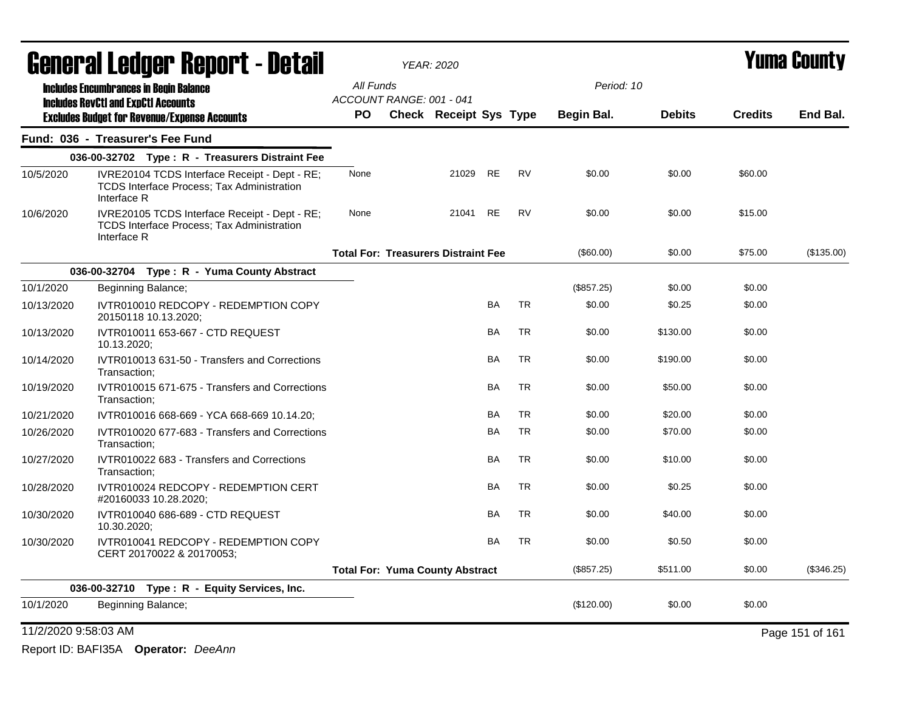|                      | <b>General Ledger Report - Detail</b>                                                                             |                                            | <b>YEAR: 2020</b>      |           | Yuma Countv |            |               |                |                 |
|----------------------|-------------------------------------------------------------------------------------------------------------------|--------------------------------------------|------------------------|-----------|-------------|------------|---------------|----------------|-----------------|
|                      | <b>Includes Encumbrances in Begin Balance</b>                                                                     | All Funds                                  |                        |           |             | Period: 10 |               |                |                 |
|                      | <b>Includes RevCtI and ExpCtI Accounts</b><br><b>Excludes Budget for Revenue/Expense Accounts</b>                 | ACCOUNT RANGE: 001 - 041<br><b>PO</b>      | Check Receipt Sys Type |           |             | Begin Bal. | <b>Debits</b> | <b>Credits</b> | End Bal.        |
|                      | Fund: 036 - Treasurer's Fee Fund                                                                                  |                                            |                        |           |             |            |               |                |                 |
|                      | 036-00-32702 Type: R - Treasurers Distraint Fee                                                                   |                                            |                        |           |             |            |               |                |                 |
| 10/5/2020            | IVRE20104 TCDS Interface Receipt - Dept - RE;<br><b>TCDS Interface Process; Tax Administration</b><br>Interface R | None                                       | 21029                  | RE        | <b>RV</b>   | \$0.00     | \$0.00        | \$60.00        |                 |
| 10/6/2020            | IVRE20105 TCDS Interface Receipt - Dept - RE;<br><b>TCDS Interface Process: Tax Administration</b><br>Interface R | None                                       | 21041                  | RE        | <b>RV</b>   | \$0.00     | \$0.00        | \$15.00        |                 |
|                      |                                                                                                                   | <b>Total For: Treasurers Distraint Fee</b> |                        |           |             | (\$60.00)  | \$0.00        | \$75.00        | (\$135.00)      |
|                      | 036-00-32704 Type: R - Yuma County Abstract                                                                       |                                            |                        |           |             |            |               |                |                 |
| 10/1/2020            | Beginning Balance;                                                                                                |                                            |                        |           |             | (\$857.25) | \$0.00        | \$0.00         |                 |
| 10/13/2020           | IVTR010010 REDCOPY - REDEMPTION COPY<br>20150118 10.13.2020;                                                      |                                            |                        | BA        | <b>TR</b>   | \$0.00     | \$0.25        | \$0.00         |                 |
| 10/13/2020           | IVTR010011 653-667 - CTD REQUEST<br>10.13.2020;                                                                   |                                            |                        | BA        | <b>TR</b>   | \$0.00     | \$130.00      | \$0.00         |                 |
| 10/14/2020           | IVTR010013 631-50 - Transfers and Corrections<br>Transaction:                                                     |                                            |                        | BA        | <b>TR</b>   | \$0.00     | \$190.00      | \$0.00         |                 |
| 10/19/2020           | IVTR010015 671-675 - Transfers and Corrections<br>Transaction:                                                    |                                            |                        | <b>BA</b> | <b>TR</b>   | \$0.00     | \$50.00       | \$0.00         |                 |
| 10/21/2020           | IVTR010016 668-669 - YCA 668-669 10.14.20;                                                                        |                                            |                        | BA        | <b>TR</b>   | \$0.00     | \$20.00       | \$0.00         |                 |
| 10/26/2020           | IVTR010020 677-683 - Transfers and Corrections<br>Transaction;                                                    |                                            |                        | BA        | TR          | \$0.00     | \$70.00       | \$0.00         |                 |
| 10/27/2020           | IVTR010022 683 - Transfers and Corrections<br>Transaction;                                                        |                                            |                        | BA        | TR          | \$0.00     | \$10.00       | \$0.00         |                 |
| 10/28/2020           | IVTR010024 REDCOPY - REDEMPTION CERT<br>#20160033 10.28.2020;                                                     |                                            |                        | BA        | <b>TR</b>   | \$0.00     | \$0.25        | \$0.00         |                 |
| 10/30/2020           | IVTR010040 686-689 - CTD REQUEST<br>10.30.2020;                                                                   |                                            |                        | BA        | <b>TR</b>   | \$0.00     | \$40.00       | \$0.00         |                 |
| 10/30/2020           | IVTR010041 REDCOPY - REDEMPTION COPY<br>CERT 20170022 & 20170053;                                                 |                                            |                        | <b>BA</b> | <b>TR</b>   | \$0.00     | \$0.50        | \$0.00         |                 |
|                      |                                                                                                                   | <b>Total For: Yuma County Abstract</b>     |                        |           |             | (\$857.25) | \$511.00      | \$0.00         | (\$346.25)      |
|                      | 036-00-32710 Type: R - Equity Services, Inc.                                                                      |                                            |                        |           |             |            |               |                |                 |
| 10/1/2020            | Beginning Balance;                                                                                                |                                            |                        |           |             | (\$120.00) | \$0.00        | \$0.00         |                 |
| 11/2/2020 9:58:03 AM |                                                                                                                   |                                            |                        |           |             |            |               |                | Page 151 of 161 |

Report ID: BAFI35A **Operator:** *DeeAnn*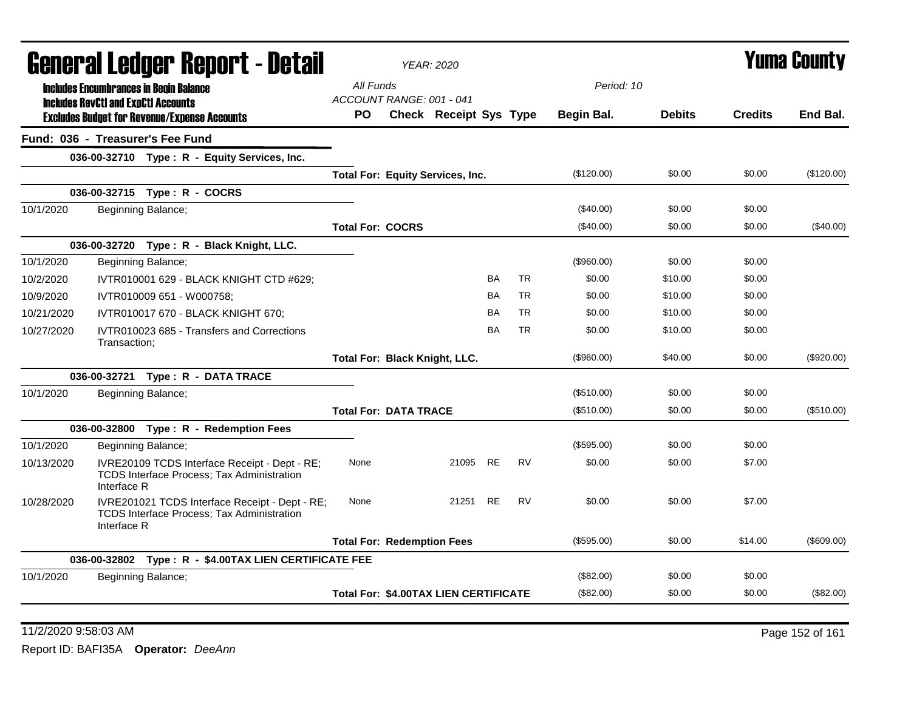| General Ledger Report - Detail<br>All Funds<br>Period: 10<br><b>Includes Encumbrances in Begin Balance</b><br>ACCOUNT RANGE: 001 - 041<br><b>Includes RevCtI and ExpCtI Accounts</b><br>PO.<br>Check Receipt Sys Type<br>Begin Bal.<br><b>Debits</b><br><b>Excludes Budget for Revenue/Expense Accounts</b><br>Fund: 036 - Treasurer's Fee Fund<br>036-00-32710 Type: R - Equity Services, Inc.<br>(\$120.00)<br>\$0.00<br><b>Total For: Equity Services, Inc.</b><br>036-00-32715 Type: R - COCRS<br>10/1/2020<br>Beginning Balance;<br>\$0.00<br>$(\$40.00)$<br>(\$40.00)<br>\$0.00<br><b>Total For: COCRS</b><br>036-00-32720 Type: R - Black Knight, LLC. | <b>Credits</b><br>\$0.00<br>\$0.00 | End Bal.<br>(\$120.00) |
|---------------------------------------------------------------------------------------------------------------------------------------------------------------------------------------------------------------------------------------------------------------------------------------------------------------------------------------------------------------------------------------------------------------------------------------------------------------------------------------------------------------------------------------------------------------------------------------------------------------------------------------------------------------|------------------------------------|------------------------|
|                                                                                                                                                                                                                                                                                                                                                                                                                                                                                                                                                                                                                                                               |                                    |                        |
|                                                                                                                                                                                                                                                                                                                                                                                                                                                                                                                                                                                                                                                               |                                    |                        |
|                                                                                                                                                                                                                                                                                                                                                                                                                                                                                                                                                                                                                                                               |                                    |                        |
|                                                                                                                                                                                                                                                                                                                                                                                                                                                                                                                                                                                                                                                               |                                    |                        |
|                                                                                                                                                                                                                                                                                                                                                                                                                                                                                                                                                                                                                                                               |                                    |                        |
|                                                                                                                                                                                                                                                                                                                                                                                                                                                                                                                                                                                                                                                               |                                    |                        |
|                                                                                                                                                                                                                                                                                                                                                                                                                                                                                                                                                                                                                                                               |                                    |                        |
|                                                                                                                                                                                                                                                                                                                                                                                                                                                                                                                                                                                                                                                               | \$0.00                             | (\$40.00)              |
|                                                                                                                                                                                                                                                                                                                                                                                                                                                                                                                                                                                                                                                               |                                    |                        |
| (\$960.00)<br>\$0.00<br>10/1/2020<br>Beginning Balance;                                                                                                                                                                                                                                                                                                                                                                                                                                                                                                                                                                                                       | \$0.00                             |                        |
| <b>BA</b><br><b>TR</b><br>\$0.00<br>\$10.00<br>10/2/2020<br>IVTR010001 629 - BLACK KNIGHT CTD #629;                                                                                                                                                                                                                                                                                                                                                                                                                                                                                                                                                           | \$0.00                             |                        |
| <b>TR</b><br>BA<br>\$0.00<br>\$10.00<br>10/9/2020<br>IVTR010009 651 - W000758;                                                                                                                                                                                                                                                                                                                                                                                                                                                                                                                                                                                | \$0.00                             |                        |
| <b>TR</b><br><b>BA</b><br>\$0.00<br>10/21/2020<br>IVTR010017 670 - BLACK KNIGHT 670;<br>\$10.00                                                                                                                                                                                                                                                                                                                                                                                                                                                                                                                                                               | \$0.00                             |                        |
| <b>BA</b><br><b>TR</b><br>10/27/2020<br>IVTR010023 685 - Transfers and Corrections<br>\$0.00<br>\$10.00<br>Transaction:                                                                                                                                                                                                                                                                                                                                                                                                                                                                                                                                       | \$0.00                             |                        |
| \$40.00<br>(\$960.00)<br>Total For: Black Knight, LLC.                                                                                                                                                                                                                                                                                                                                                                                                                                                                                                                                                                                                        | \$0.00                             | (\$920.00)             |
| 036-00-32721 Type: R - DATA TRACE                                                                                                                                                                                                                                                                                                                                                                                                                                                                                                                                                                                                                             |                                    |                        |
| Beginning Balance;<br>(\$510.00)<br>\$0.00<br>10/1/2020                                                                                                                                                                                                                                                                                                                                                                                                                                                                                                                                                                                                       | \$0.00                             |                        |
| <b>Total For: DATA TRACE</b><br>(\$510.00)<br>\$0.00                                                                                                                                                                                                                                                                                                                                                                                                                                                                                                                                                                                                          | \$0.00                             | (\$510.00)             |
| 036-00-32800 Type: R - Redemption Fees                                                                                                                                                                                                                                                                                                                                                                                                                                                                                                                                                                                                                        |                                    |                        |
| 10/1/2020<br>(\$595.00)<br>\$0.00<br>Beginning Balance;                                                                                                                                                                                                                                                                                                                                                                                                                                                                                                                                                                                                       | \$0.00                             |                        |
| IVRE20109 TCDS Interface Receipt - Dept - RE;<br>21095<br><b>RE</b><br><b>RV</b><br>\$0.00<br>10/13/2020<br>None<br>\$0.00<br>TCDS Interface Process; Tax Administration<br>Interface R                                                                                                                                                                                                                                                                                                                                                                                                                                                                       | \$7.00                             |                        |
| <b>RV</b><br>10/28/2020<br>IVRE201021 TCDS Interface Receipt - Dept - RE;<br>None<br>21251 RE<br>\$0.00<br>\$0.00<br>TCDS Interface Process; Tax Administration<br>Interface R                                                                                                                                                                                                                                                                                                                                                                                                                                                                                | \$7.00                             |                        |
| \$0.00<br><b>Total For: Redemption Fees</b><br>(\$595.00)                                                                                                                                                                                                                                                                                                                                                                                                                                                                                                                                                                                                     | \$14.00                            | (\$609.00)             |
| 036-00-32802 Type: R - \$4.00TAX LIEN CERTIFICATE FEE                                                                                                                                                                                                                                                                                                                                                                                                                                                                                                                                                                                                         |                                    |                        |
| (\$82.00)<br>\$0.00<br>10/1/2020<br>Beginning Balance;                                                                                                                                                                                                                                                                                                                                                                                                                                                                                                                                                                                                        | \$0.00                             |                        |
| Total For: \$4.00TAX LIEN CERTIFICATE<br>(\$82.00)<br>\$0.00                                                                                                                                                                                                                                                                                                                                                                                                                                                                                                                                                                                                  | \$0.00                             | (\$82.00)              |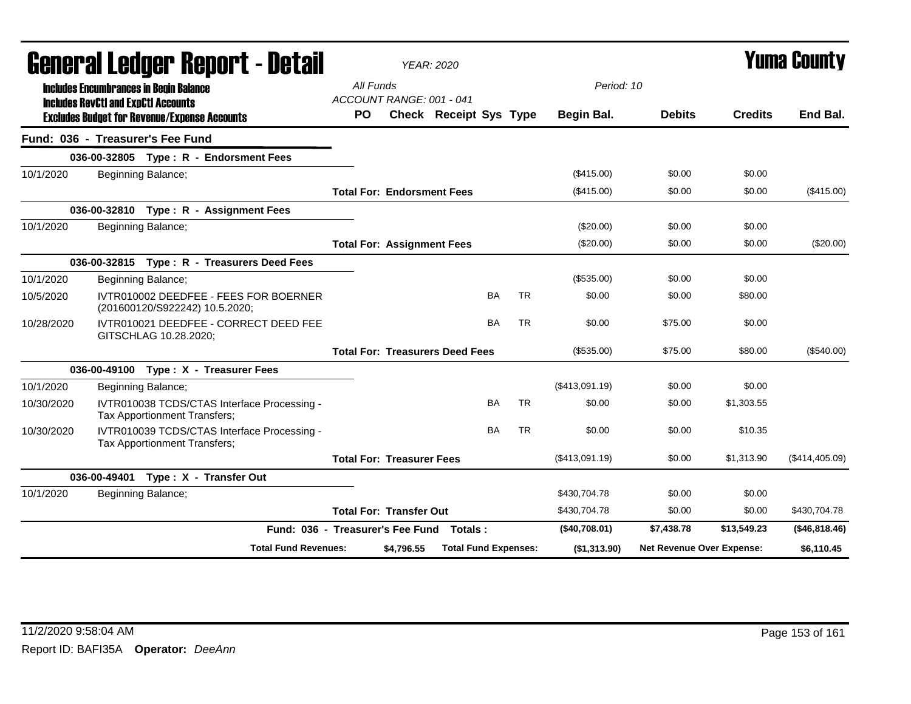|            |                                                                                                                               |                                       | <b>YEAR: 2020</b> |                                          |           |                |                           | <b>Yuma County</b> |                |
|------------|-------------------------------------------------------------------------------------------------------------------------------|---------------------------------------|-------------------|------------------------------------------|-----------|----------------|---------------------------|--------------------|----------------|
|            | General Ledger Report - Detail<br><b>Includes Encumbrances in Begin Balance</b><br><b>Includes RevCtI and ExpCtI Accounts</b> | All Funds<br>ACCOUNT RANGE: 001 - 041 |                   |                                          |           | Period: 10     |                           |                    |                |
|            | <b>Excludes Budget for Revenue/Expense Accounts</b>                                                                           | <b>PO</b>                             |                   | <b>Check Receipt Sys Type</b>            |           | Begin Bal.     | <b>Debits</b>             | <b>Credits</b>     | End Bal.       |
|            | Fund: 036 - Treasurer's Fee Fund                                                                                              |                                       |                   |                                          |           |                |                           |                    |                |
|            | 036-00-32805 Type: R - Endorsment Fees                                                                                        |                                       |                   |                                          |           |                |                           |                    |                |
| 10/1/2020  | Beginning Balance;                                                                                                            |                                       |                   |                                          |           | (\$415.00)     | \$0.00                    | \$0.00             |                |
|            |                                                                                                                               | <b>Total For: Endorsment Fees</b>     |                   |                                          |           | (\$415.00)     | \$0.00                    | \$0.00             | (\$415.00)     |
|            | 036-00-32810 Type: R - Assignment Fees                                                                                        |                                       |                   |                                          |           |                |                           |                    |                |
| 10/1/2020  | Beginning Balance;                                                                                                            |                                       |                   |                                          |           | (\$20.00)      | \$0.00                    | \$0.00             |                |
|            |                                                                                                                               | <b>Total For: Assignment Fees</b>     |                   |                                          |           | (\$20.00)      | \$0.00                    | \$0.00             | (\$20.00)      |
|            | 036-00-32815 Type: R - Treasurers Deed Fees                                                                                   |                                       |                   |                                          |           |                |                           |                    |                |
| 10/1/2020  | Beginning Balance;                                                                                                            |                                       |                   |                                          |           | (\$535.00)     | \$0.00                    | \$0.00             |                |
| 10/5/2020  | IVTR010002 DEEDFEE - FEES FOR BOERNER<br>(201600120/S922242) 10.5.2020;                                                       |                                       |                   | <b>BA</b>                                | <b>TR</b> | \$0.00         | \$0.00                    | \$80.00            |                |
| 10/28/2020 | IVTR010021 DEEDFEE - CORRECT DEED FEE<br>GITSCHLAG 10.28.2020;                                                                |                                       |                   | BA                                       | <b>TR</b> | \$0.00         | \$75.00                   | \$0.00             |                |
|            |                                                                                                                               |                                       |                   | <b>Total For: Treasurers Deed Fees</b>   |           | (\$535.00)     | \$75.00                   | \$80.00            | (\$540.00)     |
|            | 036-00-49100 Type: X - Treasurer Fees                                                                                         |                                       |                   |                                          |           |                |                           |                    |                |
| 10/1/2020  | Beginning Balance;                                                                                                            |                                       |                   |                                          |           | (\$413,091.19) | \$0.00                    | \$0.00             |                |
| 10/30/2020 | IVTR010038 TCDS/CTAS Interface Processing -<br><b>Tax Apportionment Transfers:</b>                                            |                                       |                   | BA                                       | <b>TR</b> | \$0.00         | \$0.00                    | \$1,303.55         |                |
| 10/30/2020 | IVTR010039 TCDS/CTAS Interface Processing -<br>Tax Apportionment Transfers;                                                   |                                       |                   | <b>BA</b>                                | <b>TR</b> | \$0.00         | \$0.00                    | \$10.35            |                |
|            |                                                                                                                               | <b>Total For: Treasurer Fees</b>      |                   |                                          |           | (\$413,091.19) | \$0.00                    | \$1,313.90         | (\$414,405.09) |
|            | 036-00-49401 Type: X - Transfer Out                                                                                           |                                       |                   |                                          |           |                |                           |                    |                |
| 10/1/2020  | Beginning Balance;                                                                                                            |                                       |                   |                                          |           | \$430,704.78   | \$0.00                    | \$0.00             |                |
|            |                                                                                                                               | <b>Total For: Transfer Out</b>        |                   |                                          |           | \$430,704.78   | \$0.00                    | \$0.00             | \$430,704.78   |
|            |                                                                                                                               |                                       |                   | Fund: 036 - Treasurer's Fee Fund Totals: |           | (\$40,708.01)  | \$7,438.78                | \$13,549.23        | (\$46,818.46)  |
|            | <b>Total Fund Revenues:</b>                                                                                                   |                                       | \$4,796.55        | <b>Total Fund Expenses:</b>              |           | (\$1,313.90)   | Net Revenue Over Expense: |                    | \$6,110.45     |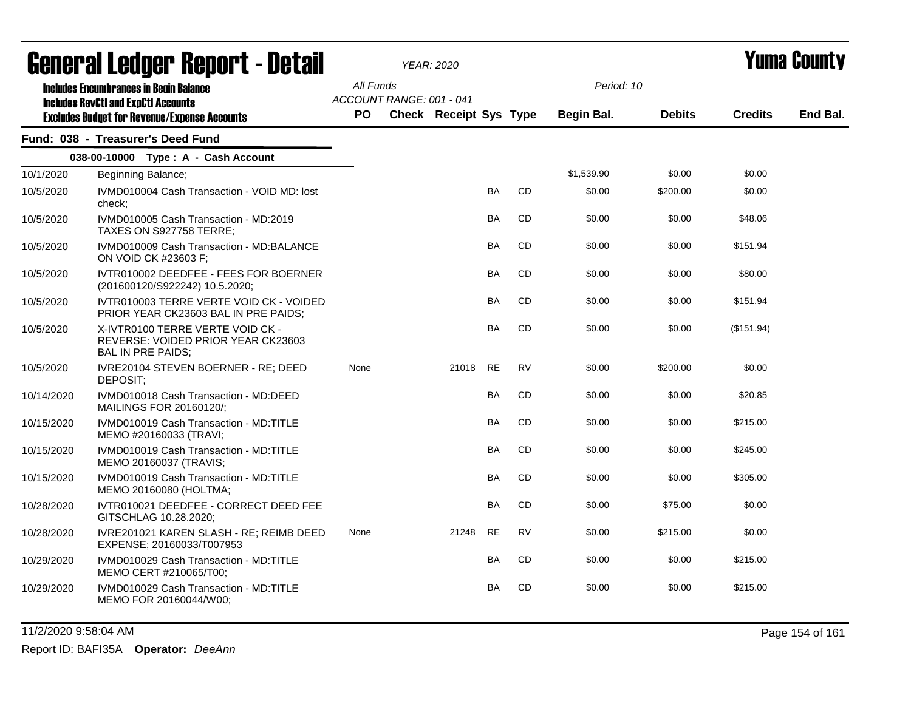|            | agual.gi fanñal. Urini. ( - nafsii                                                                                                                 |                                              | YEAR: 2020                    |           |           |                          |               |                | I UIIIA VUUIILY |
|------------|----------------------------------------------------------------------------------------------------------------------------------------------------|----------------------------------------------|-------------------------------|-----------|-----------|--------------------------|---------------|----------------|-----------------|
|            | <b>Includes Encumbrances in Begin Balance</b><br><b>Includes RevCtI and ExpCtI Accounts</b><br><b>Excludes Budget for Revenue/Expense Accounts</b> | All Funds<br>ACCOUNT RANGE: 001 - 041<br>PO. | <b>Check Receipt Sys Type</b> |           |           | Period: 10<br>Begin Bal. | <b>Debits</b> | <b>Credits</b> | End Bal.        |
|            | Fund: 038 - Treasurer's Deed Fund                                                                                                                  |                                              |                               |           |           |                          |               |                |                 |
|            | 038-00-10000 Type: A - Cash Account                                                                                                                |                                              |                               |           |           |                          |               |                |                 |
| 10/1/2020  | Beginning Balance;                                                                                                                                 |                                              |                               |           |           | \$1,539.90               | \$0.00        | \$0.00         |                 |
| 10/5/2020  | IVMD010004 Cash Transaction - VOID MD: lost<br>check:                                                                                              |                                              |                               | <b>BA</b> | CD        | \$0.00                   | \$200.00      | \$0.00         |                 |
| 10/5/2020  | IVMD010005 Cash Transaction - MD:2019<br>TAXES ON S927758 TERRE;                                                                                   |                                              |                               | BA        | CD        | \$0.00                   | \$0.00        | \$48.06        |                 |
| 10/5/2020  | IVMD010009 Cash Transaction - MD:BALANCE<br>ON VOID CK #23603 F;                                                                                   |                                              |                               | BA        | CD        | \$0.00                   | \$0.00        | \$151.94       |                 |
| 10/5/2020  | IVTR010002 DEEDFEE - FEES FOR BOERNER<br>(201600120/S922242) 10.5.2020;                                                                            |                                              |                               | <b>BA</b> | <b>CD</b> | \$0.00                   | \$0.00        | \$80.00        |                 |
| 10/5/2020  | IVTR010003 TERRE VERTE VOID CK - VOIDED<br>PRIOR YEAR CK23603 BAL IN PRE PAIDS;                                                                    |                                              |                               | BA        | CD        | \$0.00                   | \$0.00        | \$151.94       |                 |
| 10/5/2020  | X-IVTR0100 TERRE VERTE VOID CK -<br>REVERSE: VOIDED PRIOR YEAR CK23603<br><b>BAL IN PRE PAIDS;</b>                                                 |                                              |                               | BA        | CD        | \$0.00                   | \$0.00        | (\$151.94)     |                 |
| 10/5/2020  | IVRE20104 STEVEN BOERNER - RE; DEED<br>DEPOSIT;                                                                                                    | None                                         | 21018                         | RE        | RV        | \$0.00                   | \$200.00      | \$0.00         |                 |
| 10/14/2020 | IVMD010018 Cash Transaction - MD:DEED<br>MAILINGS FOR 20160120/;                                                                                   |                                              |                               | <b>BA</b> | CD        | \$0.00                   | \$0.00        | \$20.85        |                 |
| 10/15/2020 | IVMD010019 Cash Transaction - MD:TITLE<br>MEMO #20160033 (TRAVI;                                                                                   |                                              |                               | BA        | CD        | \$0.00                   | \$0.00        | \$215.00       |                 |
| 10/15/2020 | IVMD010019 Cash Transaction - MD:TITLE<br>MEMO 20160037 (TRAVIS;                                                                                   |                                              |                               | BA        | CD        | \$0.00                   | \$0.00        | \$245.00       |                 |
| 10/15/2020 | IVMD010019 Cash Transaction - MD:TITLE<br>MEMO 20160080 (HOLTMA;                                                                                   |                                              |                               | <b>BA</b> | CD        | \$0.00                   | \$0.00        | \$305.00       |                 |
| 10/28/2020 | IVTR010021 DEEDFEE - CORRECT DEED FEE<br>GITSCHLAG 10.28.2020;                                                                                     |                                              |                               | <b>BA</b> | CD        | \$0.00                   | \$75.00       | \$0.00         |                 |
| 10/28/2020 | IVRE201021 KAREN SLASH - RE; REIMB DEED<br>EXPENSE; 20160033/T007953                                                                               | None                                         | 21248                         | <b>RE</b> | RV        | \$0.00                   | \$215.00      | \$0.00         |                 |
| 10/29/2020 | IVMD010029 Cash Transaction - MD:TITLE<br>MEMO CERT #210065/T00;                                                                                   |                                              |                               | <b>BA</b> | CD        | \$0.00                   | \$0.00        | \$215.00       |                 |
| 10/29/2020 | IVMD010029 Cash Transaction - MD:TITLE<br>MEMO FOR 20160044/W00;                                                                                   |                                              |                               | <b>BA</b> | CD        | \$0.00                   | \$0.00        | \$215.00       |                 |

11/2/2020 9:58:04 AM Page 154 of 161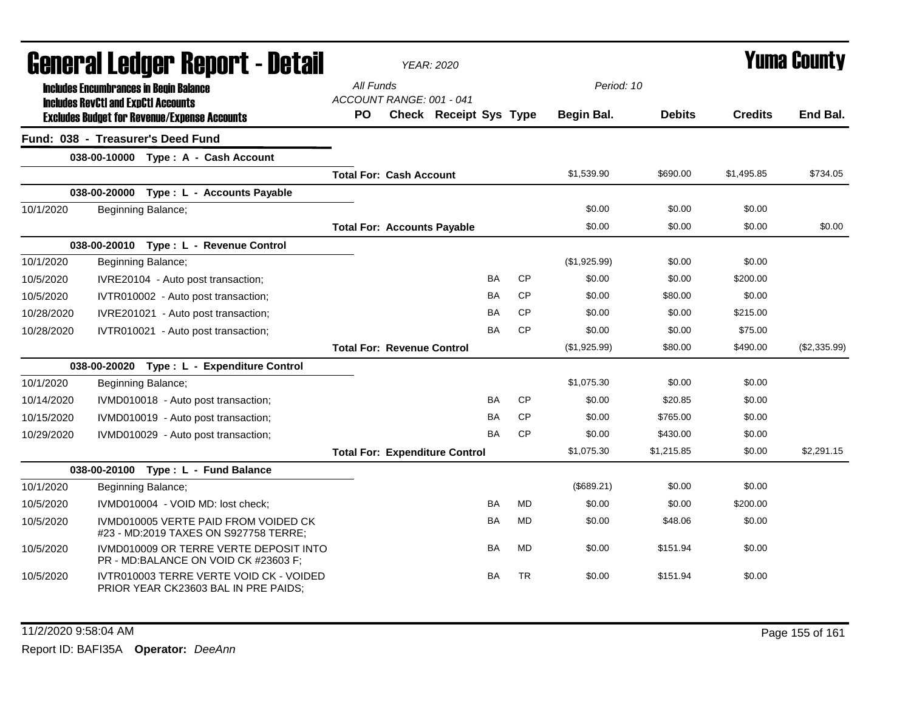| General Ledger Report - Detail |                                            |                                                                                 |                                       | <b>YEAR: 2020</b>                     |           |           |              |               | Yuma County    |              |
|--------------------------------|--------------------------------------------|---------------------------------------------------------------------------------|---------------------------------------|---------------------------------------|-----------|-----------|--------------|---------------|----------------|--------------|
|                                | <b>Includes RevCtI and ExpCtI Accounts</b> | <b>Includes Encumbrances in Begin Balance</b>                                   | All Funds<br>ACCOUNT RANGE: 001 - 041 |                                       |           |           | Period: 10   |               |                |              |
|                                |                                            | <b>Excludes Budget for Revenue/Expense Accounts</b>                             | PO                                    | <b>Check Receipt Sys Type</b>         |           |           | Begin Bal.   | <b>Debits</b> | <b>Credits</b> | End Bal.     |
|                                |                                            | Fund: 038 - Treasurer's Deed Fund                                               |                                       |                                       |           |           |              |               |                |              |
|                                |                                            | 038-00-10000 Type: A - Cash Account                                             |                                       |                                       |           |           |              |               |                |              |
|                                |                                            |                                                                                 | <b>Total For: Cash Account</b>        |                                       |           |           | \$1,539.90   | \$690.00      | \$1,495.85     | \$734.05     |
|                                |                                            | 038-00-20000 Type: L - Accounts Payable                                         |                                       |                                       |           |           |              |               |                |              |
| 10/1/2020                      |                                            | Beginning Balance;                                                              |                                       |                                       |           |           | \$0.00       | \$0.00        | \$0.00         |              |
|                                |                                            |                                                                                 | <b>Total For: Accounts Payable</b>    |                                       |           |           | \$0.00       | \$0.00        | \$0.00         | \$0.00       |
|                                |                                            | 038-00-20010 Type: L - Revenue Control                                          |                                       |                                       |           |           |              |               |                |              |
| 10/1/2020                      |                                            | Beginning Balance;                                                              |                                       |                                       |           |           | (\$1,925.99) | \$0.00        | \$0.00         |              |
| 10/5/2020                      |                                            | IVRE20104 - Auto post transaction;                                              |                                       |                                       | <b>BA</b> | <b>CP</b> | \$0.00       | \$0.00        | \$200.00       |              |
| 10/5/2020                      |                                            | IVTR010002 - Auto post transaction;                                             |                                       |                                       | <b>BA</b> | <b>CP</b> | \$0.00       | \$80.00       | \$0.00         |              |
| 10/28/2020                     |                                            | IVRE201021 - Auto post transaction;                                             |                                       |                                       | <b>BA</b> | <b>CP</b> | \$0.00       | \$0.00        | \$215.00       |              |
| 10/28/2020                     |                                            | IVTR010021 - Auto post transaction;                                             |                                       |                                       | <b>BA</b> | <b>CP</b> | \$0.00       | \$0.00        | \$75.00        |              |
|                                |                                            |                                                                                 | <b>Total For: Revenue Control</b>     |                                       |           |           | (\$1,925.99) | \$80.00       | \$490.00       | (\$2,335.99) |
|                                |                                            | 038-00-20020 Type: L - Expenditure Control                                      |                                       |                                       |           |           |              |               |                |              |
| 10/1/2020                      |                                            | Beginning Balance;                                                              |                                       |                                       |           |           | \$1,075.30   | \$0.00        | \$0.00         |              |
| 10/14/2020                     |                                            | IVMD010018 - Auto post transaction;                                             |                                       |                                       | <b>BA</b> | <b>CP</b> | \$0.00       | \$20.85       | \$0.00         |              |
| 10/15/2020                     |                                            | IVMD010019 - Auto post transaction;                                             |                                       |                                       | BA        | <b>CP</b> | \$0.00       | \$765.00      | \$0.00         |              |
| 10/29/2020                     |                                            | IVMD010029 - Auto post transaction;                                             |                                       |                                       | <b>BA</b> | <b>CP</b> | \$0.00       | \$430.00      | \$0.00         |              |
|                                |                                            |                                                                                 |                                       | <b>Total For: Expenditure Control</b> |           |           | \$1,075.30   | \$1,215.85    | \$0.00         | \$2,291.15   |
|                                |                                            | 038-00-20100 Type: L - Fund Balance                                             |                                       |                                       |           |           |              |               |                |              |
| 10/1/2020                      |                                            | Beginning Balance;                                                              |                                       |                                       |           |           | (\$689.21)   | \$0.00        | \$0.00         |              |
| 10/5/2020                      |                                            | IVMD010004 - VOID MD: lost check;                                               |                                       |                                       | <b>BA</b> | <b>MD</b> | \$0.00       | \$0.00        | \$200.00       |              |
| 10/5/2020                      |                                            | IVMD010005 VERTE PAID FROM VOIDED CK<br>#23 - MD:2019 TAXES ON S927758 TERRE;   |                                       |                                       | <b>BA</b> | <b>MD</b> | \$0.00       | \$48.06       | \$0.00         |              |
| 10/5/2020                      |                                            | IVMD010009 OR TERRE VERTE DEPOSIT INTO<br>PR - MD:BALANCE ON VOID CK #23603 F;  |                                       |                                       | <b>BA</b> | <b>MD</b> | \$0.00       | \$151.94      | \$0.00         |              |
| 10/5/2020                      |                                            | IVTR010003 TERRE VERTE VOID CK - VOIDED<br>PRIOR YEAR CK23603 BAL IN PRE PAIDS; |                                       |                                       | <b>BA</b> | <b>TR</b> | \$0.00       | \$151.94      | \$0.00         |              |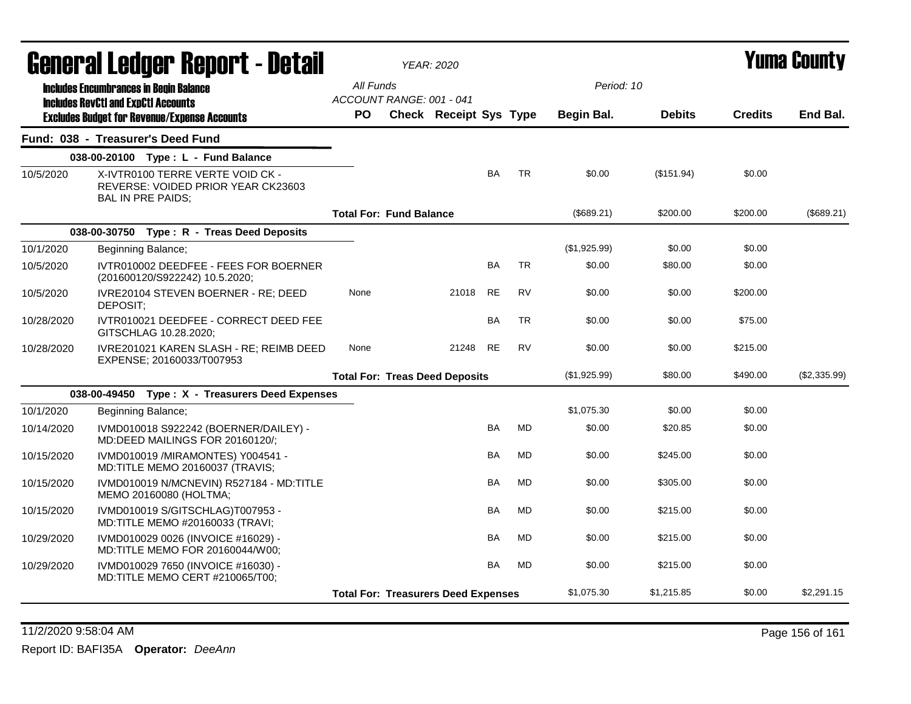|            | General Ledger Report - Detail                                                                     |                                            | <b>YEAR: 2020</b>      |           |           |              |               |                | Yuma County  |
|------------|----------------------------------------------------------------------------------------------------|--------------------------------------------|------------------------|-----------|-----------|--------------|---------------|----------------|--------------|
|            | <b>Includes Encumbrances in Begin Balance</b>                                                      | All Funds                                  |                        |           |           | Period: 10   |               |                |              |
|            | <b>Includes RevCtI and ExpCtI Accounts</b><br><b>Excludes Budget for Revenue/Expense Accounts</b>  | ACCOUNT RANGE: 001 - 041<br><b>PO</b>      | Check Receipt Sys Type |           |           | Begin Bal.   | <b>Debits</b> | <b>Credits</b> | End Bal.     |
|            | Fund: 038 - Treasurer's Deed Fund                                                                  |                                            |                        |           |           |              |               |                |              |
|            | 038-00-20100 Type: L - Fund Balance                                                                |                                            |                        |           |           |              |               |                |              |
| 10/5/2020  | X-IVTR0100 TERRE VERTE VOID CK -<br>REVERSE: VOIDED PRIOR YEAR CK23603<br><b>BAL IN PRE PAIDS;</b> |                                            |                        | <b>BA</b> | <b>TR</b> | \$0.00       | (\$151.94)    | \$0.00         |              |
|            |                                                                                                    | <b>Total For: Fund Balance</b>             |                        |           |           | (\$689.21)   | \$200.00      | \$200.00       | (\$689.21)   |
|            | 038-00-30750 Type: R - Treas Deed Deposits                                                         |                                            |                        |           |           |              |               |                |              |
| 10/1/2020  | Beginning Balance;                                                                                 |                                            |                        |           |           | (\$1,925.99) | \$0.00        | \$0.00         |              |
| 10/5/2020  | IVTR010002 DEEDFEE - FEES FOR BOERNER<br>(201600120/S922242) 10.5.2020;                            |                                            |                        | <b>BA</b> | <b>TR</b> | \$0.00       | \$80.00       | \$0.00         |              |
| 10/5/2020  | IVRE20104 STEVEN BOERNER - RE; DEED<br>DEPOSIT:                                                    | None                                       | 21018                  | RE        | <b>RV</b> | \$0.00       | \$0.00        | \$200.00       |              |
| 10/28/2020 | IVTR010021 DEEDFEE - CORRECT DEED FEE<br>GITSCHLAG 10.28.2020;                                     |                                            |                        | <b>BA</b> | <b>TR</b> | \$0.00       | \$0.00        | \$75.00        |              |
| 10/28/2020 | IVRE201021 KAREN SLASH - RE; REIMB DEED<br>EXPENSE; 20160033/T007953                               | None                                       | 21248                  | <b>RE</b> | <b>RV</b> | \$0.00       | \$0.00        | \$215.00       |              |
|            |                                                                                                    | <b>Total For: Treas Deed Deposits</b>      |                        |           |           | (\$1,925.99) | \$80.00       | \$490.00       | (\$2,335.99) |
|            | 038-00-49450 Type: X - Treasurers Deed Expenses                                                    |                                            |                        |           |           |              |               |                |              |
| 10/1/2020  | Beginning Balance;                                                                                 |                                            |                        |           |           | \$1,075.30   | \$0.00        | \$0.00         |              |
| 10/14/2020 | IVMD010018 S922242 (BOERNER/DAILEY) -<br>MD:DEED MAILINGS FOR 20160120/;                           |                                            |                        | <b>BA</b> | <b>MD</b> | \$0.00       | \$20.85       | \$0.00         |              |
| 10/15/2020 | IVMD010019 /MIRAMONTES) Y004541 -<br>MD:TITLE MEMO 20160037 (TRAVIS;                               |                                            |                        | BA        | <b>MD</b> | \$0.00       | \$245.00      | \$0.00         |              |
| 10/15/2020 | IVMD010019 N/MCNEVIN) R527184 - MD:TITLE<br>MEMO 20160080 (HOLTMA;                                 |                                            |                        | BA        | <b>MD</b> | \$0.00       | \$305.00      | \$0.00         |              |
| 10/15/2020 | IVMD010019 S/GITSCHLAG)T007953 -<br>MD:TITLE MEMO #20160033 (TRAVI;                                |                                            |                        | <b>BA</b> | MD        | \$0.00       | \$215.00      | \$0.00         |              |
| 10/29/2020 | IVMD010029 0026 (INVOICE #16029) -<br>MD:TITLE MEMO FOR 20160044/W00;                              |                                            |                        | <b>BA</b> | <b>MD</b> | \$0.00       | \$215.00      | \$0.00         |              |
| 10/29/2020 | IVMD010029 7650 (INVOICE #16030) -<br>MD:TITLE MEMO CERT #210065/T00;                              |                                            |                        | <b>BA</b> | <b>MD</b> | \$0.00       | \$215.00      | \$0.00         |              |
|            |                                                                                                    | <b>Total For: Treasurers Deed Expenses</b> |                        |           |           | \$1,075.30   | \$1,215.85    | \$0.00         | \$2,291.15   |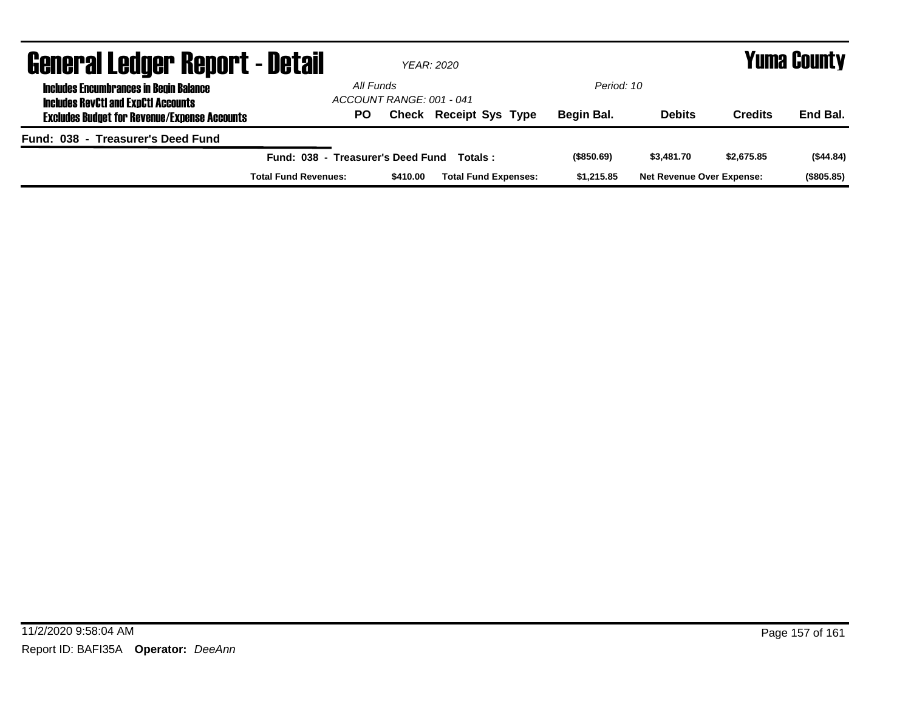| <b>General Ledger Report - Detail</b>                                                       |                                   | YEAR: 2020                            | Yuma County                   |            |                                  |            |            |
|---------------------------------------------------------------------------------------------|-----------------------------------|---------------------------------------|-------------------------------|------------|----------------------------------|------------|------------|
| <b>Includes Encumbrances in Begin Balance</b><br><b>Includes RevCtI and ExpCtI Accounts</b> |                                   | All Funds<br>ACCOUNT RANGE: 001 - 041 |                               | Period: 10 |                                  |            |            |
| <b>Excludes Budget for Revenue/Expense Accounts</b>                                         | PO                                |                                       | <b>Check Receipt Sys Type</b> | Begin Bal. | <b>Debits</b>                    | Credits    | End Bal.   |
| Fund: 038 - Treasurer's Deed Fund                                                           |                                   |                                       |                               |            |                                  |            |            |
|                                                                                             | Fund: 038 - Treasurer's Deed Fund |                                       | Totals :                      | (\$850.69) | \$3,481.70                       | \$2,675.85 | (\$44.84)  |
|                                                                                             | <b>Total Fund Revenues:</b>       | \$410.00                              | <b>Total Fund Expenses:</b>   | \$1,215.85 | <b>Net Revenue Over Expense:</b> |            | (\$805.85) |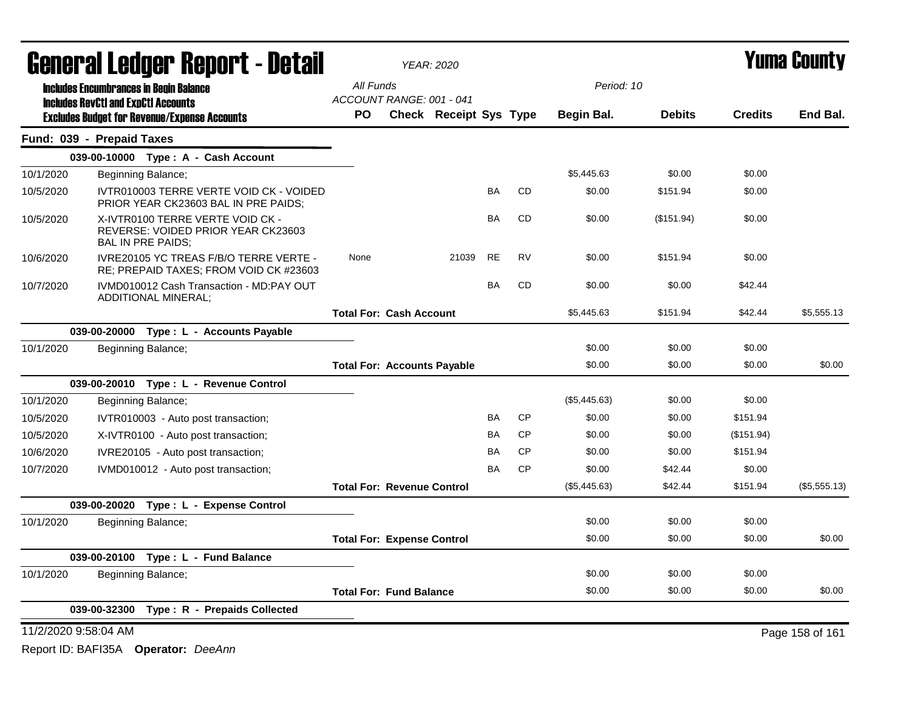| <b>General Ledger Report - Detail</b>                                                       |                           |                          |                                                                                  | <b>YEAR: 2020</b>                  |       | <b>Yuma County</b> |               |                |            |            |                 |
|---------------------------------------------------------------------------------------------|---------------------------|--------------------------|----------------------------------------------------------------------------------|------------------------------------|-------|--------------------|---------------|----------------|------------|------------|-----------------|
| <b>Includes Encumbrances in Begin Balance</b><br><b>Includes RevCtI and ExpCtI Accounts</b> |                           |                          | All Funds                                                                        |                                    |       |                    | Period: 10    |                |            |            |                 |
|                                                                                             |                           |                          | ACCOUNT RANGE: 001 - 041                                                         |                                    |       |                    |               |                |            |            |                 |
| <b>Excludes Budget for Revenue/Expense Accounts</b>                                         |                           | <b>PO</b>                | <b>Check Receipt Sys Type</b>                                                    |                                    |       | Begin Bal.         | <b>Debits</b> | <b>Credits</b> | End Bal.   |            |                 |
|                                                                                             | Fund: 039 - Prepaid Taxes |                          |                                                                                  |                                    |       |                    |               |                |            |            |                 |
|                                                                                             |                           |                          | 039-00-10000 Type: A - Cash Account                                              |                                    |       |                    |               |                |            |            |                 |
| 10/1/2020                                                                                   |                           | Beginning Balance;       |                                                                                  |                                    |       |                    |               | \$5,445.63     | \$0.00     | \$0.00     |                 |
| 10/5/2020                                                                                   |                           |                          | IVTR010003 TERRE VERTE VOID CK - VOIDED<br>PRIOR YEAR CK23603 BAL IN PRE PAIDS;  |                                    |       | <b>BA</b>          | <b>CD</b>     | \$0.00         | \$151.94   | \$0.00     |                 |
| 10/5/2020                                                                                   |                           | <b>BAL IN PRE PAIDS;</b> | X-IVTR0100 TERRE VERTE VOID CK -<br>REVERSE: VOIDED PRIOR YEAR CK23603           |                                    |       | <b>BA</b>          | <b>CD</b>     | \$0.00         | (\$151.94) | \$0.00     |                 |
| 10/6/2020                                                                                   |                           |                          | IVRE20105 YC TREAS F/B/O TERRE VERTE -<br>RE; PREPAID TAXES; FROM VOID CK #23603 | None                               | 21039 | <b>RE</b>          | <b>RV</b>     | \$0.00         | \$151.94   | \$0.00     |                 |
| 10/7/2020                                                                                   |                           | ADDITIONAL MINERAL;      | IVMD010012 Cash Transaction - MD:PAY OUT                                         |                                    |       | BA                 | CD            | \$0.00         | \$0.00     | \$42.44    |                 |
|                                                                                             |                           |                          |                                                                                  | <b>Total For: Cash Account</b>     |       |                    |               | \$5,445.63     | \$151.94   | \$42.44    | \$5,555.13      |
|                                                                                             |                           |                          | 039-00-20000 Type : L - Accounts Payable                                         |                                    |       |                    |               |                |            |            |                 |
| 10/1/2020                                                                                   |                           | Beginning Balance;       |                                                                                  |                                    |       |                    |               | \$0.00         | \$0.00     | \$0.00     |                 |
|                                                                                             |                           |                          |                                                                                  | <b>Total For: Accounts Payable</b> |       |                    |               | \$0.00         | \$0.00     | \$0.00     | \$0.00          |
|                                                                                             |                           |                          | 039-00-20010 Type: L - Revenue Control                                           |                                    |       |                    |               |                |            |            |                 |
| 10/1/2020                                                                                   |                           | Beginning Balance;       |                                                                                  |                                    |       |                    |               | (\$5,445.63)   | \$0.00     | \$0.00     |                 |
| 10/5/2020                                                                                   |                           |                          | IVTR010003 - Auto post transaction;                                              |                                    |       | BA                 | CP            | \$0.00         | \$0.00     | \$151.94   |                 |
| 10/5/2020                                                                                   |                           |                          | X-IVTR0100 - Auto post transaction;                                              |                                    |       | <b>BA</b>          | <b>CP</b>     | \$0.00         | \$0.00     | (\$151.94) |                 |
| 10/6/2020                                                                                   |                           |                          | IVRE20105 - Auto post transaction;                                               |                                    |       | BA                 | <b>CP</b>     | \$0.00         | \$0.00     | \$151.94   |                 |
| 10/7/2020                                                                                   |                           |                          | IVMD010012 - Auto post transaction;                                              |                                    |       | <b>BA</b>          | <b>CP</b>     | \$0.00         | \$42.44    | \$0.00     |                 |
|                                                                                             |                           |                          |                                                                                  | <b>Total For: Revenue Control</b>  |       |                    |               | (\$5,445.63)   | \$42.44    | \$151.94   | (\$5,555.13)    |
|                                                                                             |                           |                          | 039-00-20020 Type: L - Expense Control                                           |                                    |       |                    |               |                |            |            |                 |
| 10/1/2020                                                                                   |                           | Beginning Balance;       |                                                                                  |                                    |       |                    |               | \$0.00         | \$0.00     | \$0.00     |                 |
|                                                                                             |                           |                          |                                                                                  | <b>Total For: Expense Control</b>  |       |                    |               | \$0.00         | \$0.00     | \$0.00     | \$0.00          |
|                                                                                             |                           |                          | 039-00-20100 Type: L - Fund Balance                                              |                                    |       |                    |               |                |            |            |                 |
| 10/1/2020                                                                                   |                           | Beginning Balance;       |                                                                                  |                                    |       |                    |               | \$0.00         | \$0.00     | \$0.00     |                 |
|                                                                                             |                           |                          |                                                                                  | <b>Total For: Fund Balance</b>     |       |                    |               | \$0.00         | \$0.00     | \$0.00     | \$0.00          |
|                                                                                             |                           |                          | 039-00-32300 Type: R - Prepaids Collected                                        |                                    |       |                    |               |                |            |            |                 |
|                                                                                             | 11/2/2020 9:58:04 AM      |                          |                                                                                  |                                    |       |                    |               |                |            |            | Page 158 of 161 |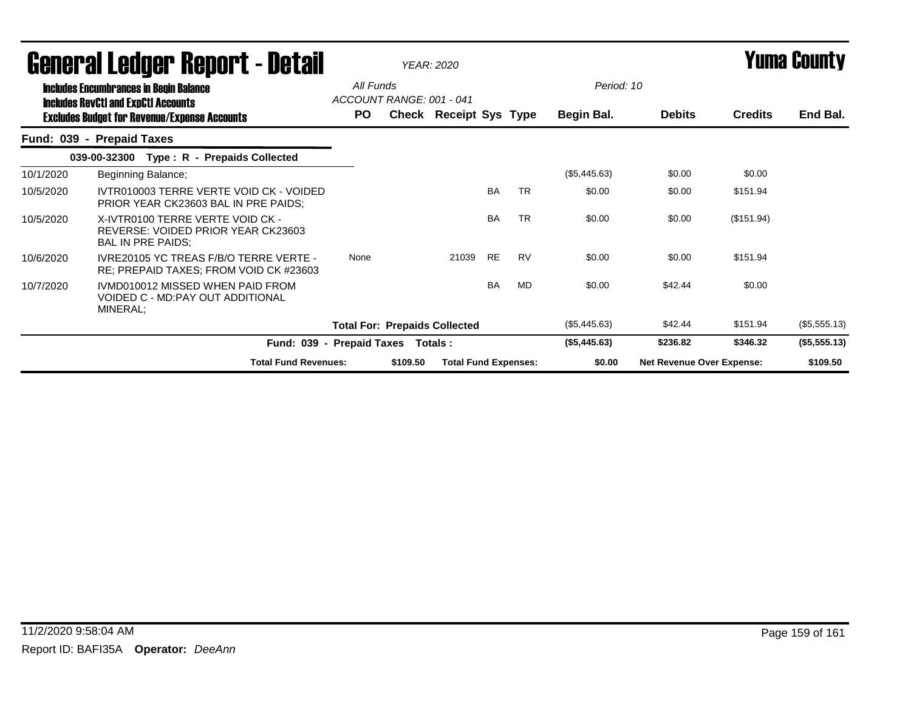| General Leuger Keport - Detail                                                              |                                                                                             |                                       | <b>YEAR: 2020</b> |                             |           |           |              | Yunia Gounty                     |                |              |
|---------------------------------------------------------------------------------------------|---------------------------------------------------------------------------------------------|---------------------------------------|-------------------|-----------------------------|-----------|-----------|--------------|----------------------------------|----------------|--------------|
| <b>Includes Encumbrances in Begin Balance</b><br><b>Includes RevCtI and ExpCtI Accounts</b> |                                                                                             | All Funds<br>ACCOUNT RANGE: 001 - 041 |                   |                             |           |           | Period: 10   |                                  |                |              |
|                                                                                             | <b>Excludes Budget for Revenue/Expense Accounts</b>                                         | PO.                                   |                   | Check Receipt Sys Type      |           |           | Begin Bal.   | <b>Debits</b>                    | <b>Credits</b> | End Bal.     |
|                                                                                             | Fund: 039 - Prepaid Taxes                                                                   |                                       |                   |                             |           |           |              |                                  |                |              |
|                                                                                             | Type: R - Prepaids Collected<br>039-00-32300                                                |                                       |                   |                             |           |           |              |                                  |                |              |
| 10/1/2020                                                                                   | Beginning Balance;                                                                          |                                       |                   |                             |           |           | (\$5,445.63) | \$0.00                           | \$0.00         |              |
| 10/5/2020                                                                                   | IVTR010003 TERRE VERTE VOID CK - VOIDED<br>PRIOR YEAR CK23603 BAL IN PRE PAIDS:             |                                       |                   |                             | <b>BA</b> | <b>TR</b> | \$0.00       | \$0.00                           | \$151.94       |              |
| 10/5/2020                                                                                   | X-IVTR0100 TERRE VERTE VOID CK -<br>REVERSE: VOIDED PRIOR YEAR CK23603<br>BAL IN PRE PAIDS; |                                       |                   |                             | <b>BA</b> | <b>TR</b> | \$0.00       | \$0.00                           | (\$151.94)     |              |
| 10/6/2020                                                                                   | IVRE20105 YC TREAS F/B/O TERRE VERTE -<br>RE; PREPAID TAXES; FROM VOID CK #23603            | None                                  |                   | 21039                       | <b>RE</b> | <b>RV</b> | \$0.00       | \$0.00                           | \$151.94       |              |
| 10/7/2020                                                                                   | IVMD010012 MISSED WHEN PAID FROM<br>VOIDED C - MD:PAY OUT ADDITIONAL<br>MINERAL:            |                                       |                   |                             | <b>BA</b> | MD        | \$0.00       | \$42.44                          | \$0.00         |              |
|                                                                                             |                                                                                             | <b>Total For: Prepaids Collected</b>  |                   |                             |           |           | (\$5,445.63) | \$42.44                          | \$151.94       | (\$5,555.13) |
|                                                                                             | Fund: 039 - Prepaid Taxes Totals:                                                           |                                       |                   |                             |           |           | (\$5,445.63) | \$236.82                         | \$346.32       | (\$5,555.13) |
|                                                                                             | <b>Total Fund Revenues:</b>                                                                 |                                       | \$109.50          | <b>Total Fund Expenses:</b> |           |           | \$0.00       | <b>Net Revenue Over Expense:</b> |                | \$109.50     |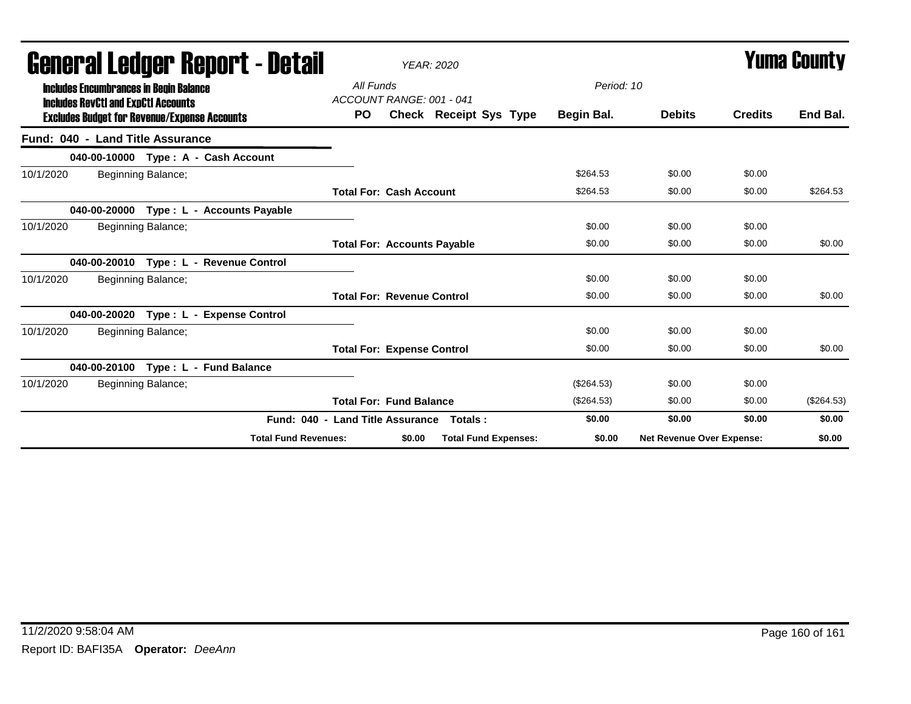| General Ledger Report - Detail                                                              |                                  |                                       | <b>YEAR: 2020</b>           |            |                           |                | Yuma Countv  |
|---------------------------------------------------------------------------------------------|----------------------------------|---------------------------------------|-----------------------------|------------|---------------------------|----------------|--------------|
| <b>Includes Encumbrances in Begin Balance</b><br><b>Includes RevCtI and ExpCtI Accounts</b> |                                  | All Funds<br>ACCOUNT RANGE: 001 - 041 |                             | Period: 10 |                           |                |              |
| <b>Excludes Budget for Revenue/Expense Accounts</b>                                         | <b>PO</b>                        |                                       | Check Receipt Sys Type      | Begin Bal. | <b>Debits</b>             | <b>Credits</b> | End Bal.     |
| Fund: 040 - Land Title Assurance                                                            |                                  |                                       |                             |            |                           |                |              |
| 040-00-10000 Type: A - Cash Account                                                         |                                  |                                       |                             |            |                           |                |              |
| 10/1/2020<br>Beginning Balance;                                                             |                                  |                                       |                             | \$264.53   | \$0.00                    | \$0.00         |              |
|                                                                                             |                                  | <b>Total For: Cash Account</b>        |                             | \$264.53   | \$0.00                    | \$0.00         | \$264.53     |
| Type : L - Accounts Payable<br>040-00-20000                                                 |                                  |                                       |                             |            |                           |                |              |
| 10/1/2020<br>Beginning Balance;                                                             |                                  |                                       |                             | \$0.00     | \$0.00                    | \$0.00         |              |
|                                                                                             |                                  | <b>Total For: Accounts Payable</b>    |                             | \$0.00     | \$0.00                    | \$0.00         | \$0.00       |
| Type: L - Revenue Control<br>040-00-20010                                                   |                                  |                                       |                             |            |                           |                |              |
| 10/1/2020<br>Beginning Balance;                                                             |                                  |                                       |                             | \$0.00     | \$0.00                    | \$0.00         |              |
|                                                                                             |                                  | <b>Total For: Revenue Control</b>     |                             | \$0.00     | \$0.00                    | \$0.00         | \$0.00       |
| 040-00-20020<br>Type: L - Expense Control                                                   |                                  |                                       |                             |            |                           |                |              |
| 10/1/2020<br>Beginning Balance;                                                             |                                  |                                       |                             | \$0.00     | \$0.00                    | \$0.00         |              |
|                                                                                             |                                  | <b>Total For: Expense Control</b>     |                             | \$0.00     | \$0.00                    | \$0.00         | \$0.00       |
| Type : L - Fund Balance<br>040-00-20100                                                     |                                  |                                       |                             |            |                           |                |              |
| 10/1/2020<br>Beginning Balance;                                                             |                                  |                                       |                             | (\$264.53) | \$0.00                    | \$0.00         |              |
|                                                                                             |                                  | <b>Total For: Fund Balance</b>        |                             | (\$264.53) | \$0.00                    | \$0.00         | $(\$264.53)$ |
|                                                                                             | Fund: 040 - Land Title Assurance |                                       | Totals:                     | \$0.00     | \$0.00                    | \$0.00         | \$0.00       |
| <b>Total Fund Revenues:</b>                                                                 |                                  | \$0.00                                | <b>Total Fund Expenses:</b> | \$0.00     | Net Revenue Over Expense: |                | \$0.00       |